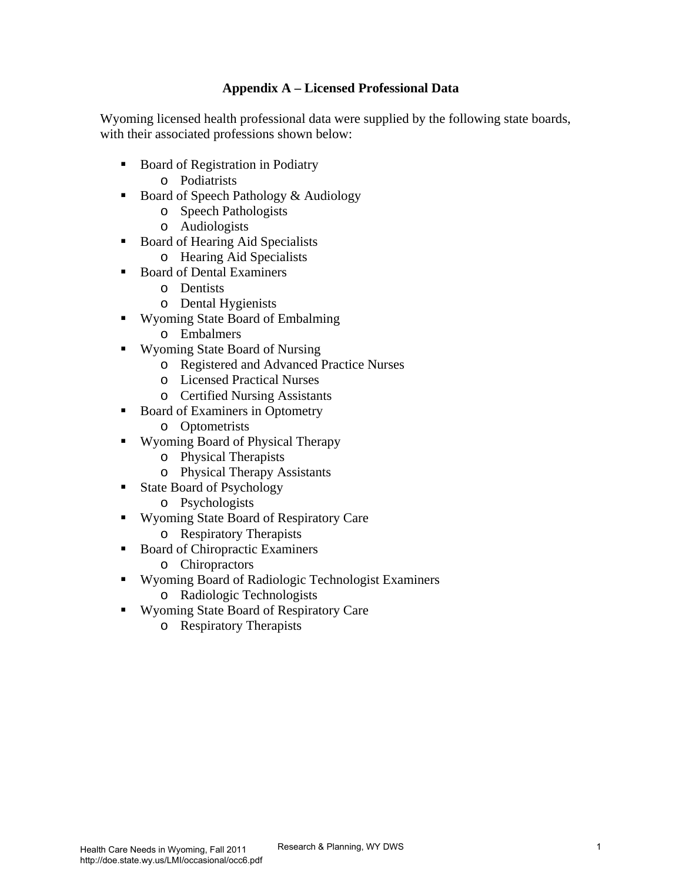# **Appendix A – Licensed Professional Data**

Wyoming licensed health professional data were supplied by the following state boards, with their associated professions shown below:

- Board of Registration in Podiatry o Podiatrists
- Board of Speech Pathology & Audiology
	- o Speech Pathologists
	- o Audiologists
- Board of Hearing Aid Specialists
	- o Hearing Aid Specialists
- Board of Dental Examiners
	- o Dentists
	- o Dental Hygienists
- Wyoming State Board of Embalming
	- o Embalmers
- Wyoming State Board of Nursing
	- o Registered and Advanced Practice Nurses
	- o Licensed Practical Nurses
	- o Certified Nursing Assistants
- Board of Examiners in Optometry
	- o Optometrists
- Wyoming Board of Physical Therapy
	- o Physical Therapists
	- o Physical Therapy Assistants
- **State Board of Psychology** 
	- o Psychologists
- Wyoming State Board of Respiratory Care
	- o Respiratory Therapists
- Board of Chiropractic Examiners
	- o Chiropractors
- Wyoming Board of Radiologic Technologist Examiners
	- o Radiologic Technologists
- Wyoming State Board of Respiratory Care
	- o Respiratory Therapists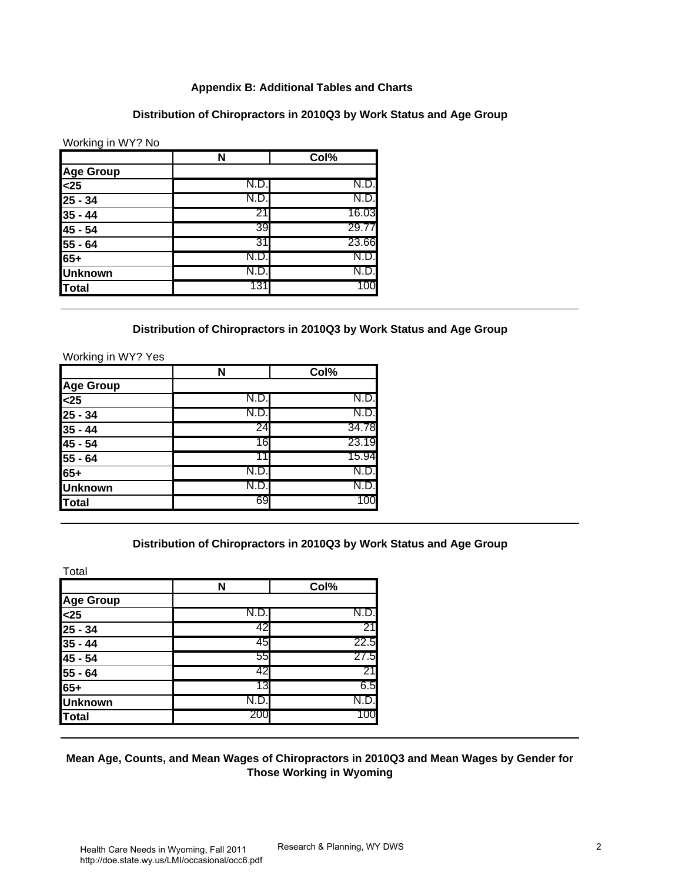#### **Appendix B: Additional Tables and Charts**

#### **Distribution of Chiropractors in 2010Q3 by Work Status and Age Group**

Working in WY? No

|                                                   | N     | Col%  |
|---------------------------------------------------|-------|-------|
| <b>Age Group</b>                                  |       |       |
|                                                   | N.D.I | N.D.  |
|                                                   | N.D.  | N.D.  |
| $\frac{25}{25 - 34}$<br>$\frac{25 - 34}{35 - 44}$ | 21    | 16.03 |
| $45 - 54$                                         | 39    | 29.77 |
| $55 - 64$                                         | 31    | 23.66 |
| $65+$                                             | N.D   | N.D.  |
| <b>Unknown</b>                                    | N.D.  | N.D.  |
| Total                                             | 131   | 100   |

#### **Distribution of Chiropractors in 2010Q3 by Work Status and Age Group**

Working in WY? Yes

|                                                                 | N    | Col%  |
|-----------------------------------------------------------------|------|-------|
| <b>Age Group</b>                                                |      |       |
|                                                                 | N.D. | N.D.  |
|                                                                 | N.D  | N.D.  |
| $\frac{25}{25}$<br>$\frac{25}{25}$ - 34<br>$\frac{35}{35}$ - 44 | 24   | 34.78 |
| $45 - 54$                                                       | 16   | 23.19 |
|                                                                 |      | 15.94 |
| $\frac{55 - 64}{65+}$                                           | N.D  | N.D.  |
| <b>Unknown</b>                                                  | N.D  | N.D.  |
| Total                                                           | 69   | 100   |

#### **Distribution of Chiropractors in 2010Q3 by Work Status and Age Group**

Total

|                                                                          | N   | Col% |
|--------------------------------------------------------------------------|-----|------|
| <b>Age Group</b>                                                         |     |      |
|                                                                          | N.D | N.D. |
|                                                                          | 42  | 21   |
|                                                                          | 45  | 22.5 |
| $\frac{25}{35} - 34$<br>35 - 34<br>35 - 44<br>45 - 54<br>55 - 64<br>65 + | 55  | 27.5 |
|                                                                          | 42  | 21   |
|                                                                          | 13  | 6.5  |
| <b>Unknown</b>                                                           | N.D | N.D. |
| <b>Total</b>                                                             | 200 | 100  |

### **Mean Age, Counts, and Mean Wages of Chiropractors in 2010Q3 and Mean Wages by Gender for Those Working in Wyoming**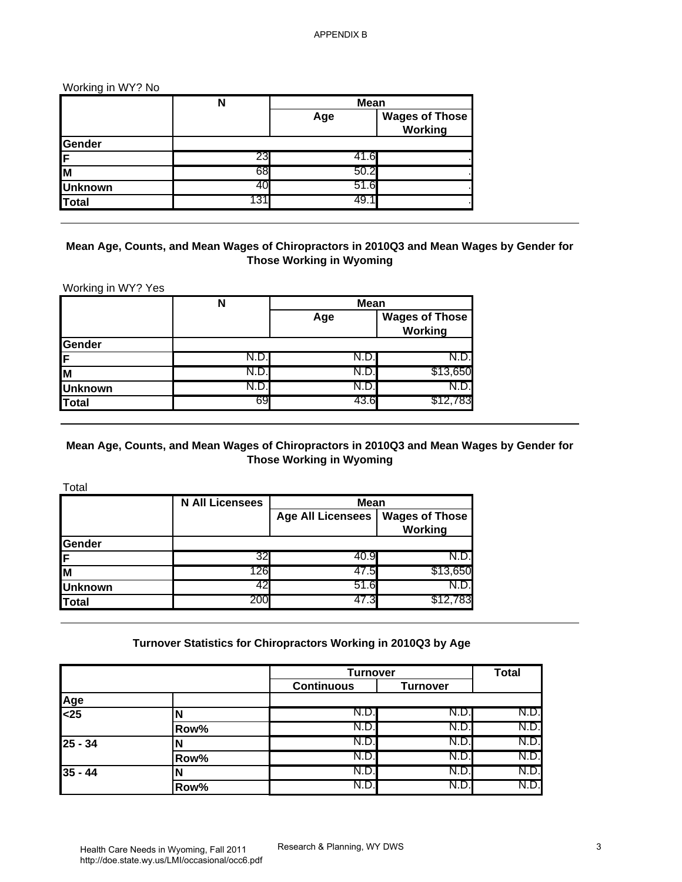Working in WY? No

|                | N    |      | <b>Mean</b>                      |
|----------------|------|------|----------------------------------|
|                |      | Age  | <b>Wages of Those</b><br>Working |
| Gender         |      |      |                                  |
| IF.            | 23   |      |                                  |
| <b>I</b> M     | 68   | 50.2 |                                  |
| <b>Unknown</b> | 40   | 51.6 |                                  |
| Total          | د. ا | 49   |                                  |

## **Mean Age, Counts, and Mean Wages of Chiropractors in 2010Q3 and Mean Wages by Gender for Those Working in Wyoming**

Working in WY? Yes

|                | N   | <b>Mean</b> |                                  |
|----------------|-----|-------------|----------------------------------|
|                |     | Age         | <b>Wages of Those</b><br>Working |
| Gender         |     |             |                                  |
| İF.            |     | IN.D        | N.D.I                            |
| lм             | N.D | N.D.        | \$13,650                         |
| <b>Unknown</b> |     | ، ۱۷. ۱     | N.D.I                            |
| Total          | 69  | 43.6        | \$12,783                         |

## **Mean Age, Counts, and Mean Wages of Chiropractors in 2010Q3 and Mean Wages by Gender for Those Working in Wyoming**

Total

|                | <b>N All Licensees</b> | <b>Mean</b>              |                                  |
|----------------|------------------------|--------------------------|----------------------------------|
|                |                        | <b>Age All Licensees</b> | <b>Wages of Those</b><br>Working |
| <b>Gender</b>  |                        |                          |                                  |
| 1F             | 32                     | 40.Y                     |                                  |
| lм             | 126                    | 47.5                     | \$13,650                         |
| <b>Unknown</b> | 42                     | 51.6                     |                                  |
| <b>Total</b>   | 200                    | 47.3                     | \$12,783                         |

### **Turnover Statistics for Chiropractors Working in 2010Q3 by Age**

|                                 |      |                   | <b>Turnover</b> |       |
|---------------------------------|------|-------------------|-----------------|-------|
|                                 |      | <b>Continuous</b> | <b>Turnover</b> |       |
| $\frac{\text{Age}}{\text{&25}}$ |      |                   |                 |       |
|                                 |      | N.D.              | N.D             | N.D.  |
|                                 | Row% | N.D.              | N.D             | N.D.  |
| $25 - 34$                       |      | N.D.              | N.D.            | N.D.I |
|                                 | Row% | N.D.              | N.D             | N.D.I |
| $35 - 44$                       |      | N.D.              | N.D.            | N.D.  |
|                                 | Row% | N.D.              | N.D.            | N.D.  |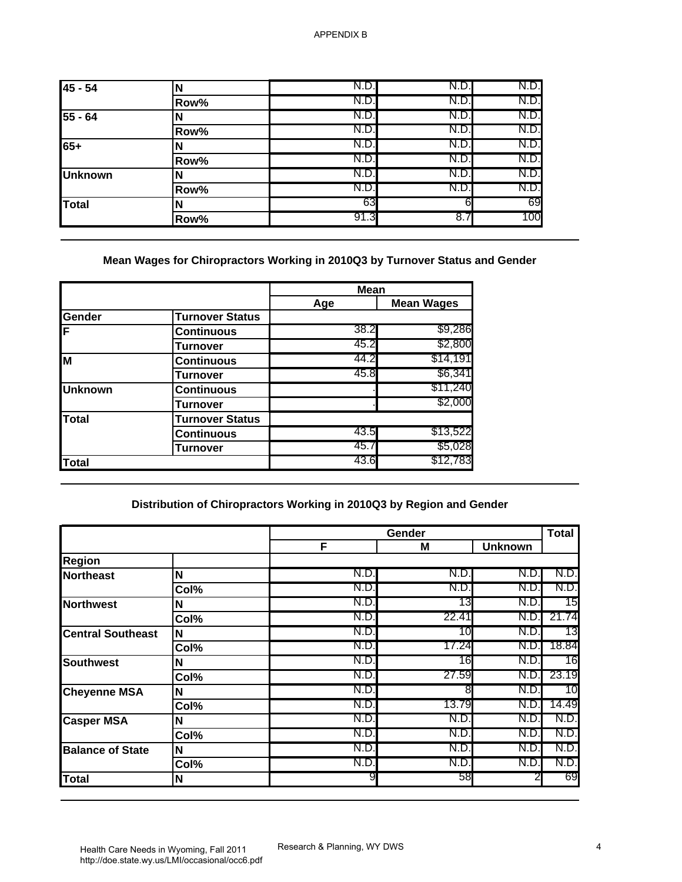| $45 - 54$      | N    | N.D. | N.D. | N.D.  |
|----------------|------|------|------|-------|
|                | Row% | N.D. | N.D. | N.D.  |
| $55 - 64$      | N    | N.D. | N.D. | N.D.I |
|                | Row% | N.D  | N.D. | N.D.  |
| 65+            | N    | N.D. | N.D. | N.D.  |
|                | Row% | N.D. | N.D. | N.D.  |
| <b>Unknown</b> | N    | N.D. | N.D. | N.D.I |
|                | Row% | N.D. | N.D. | N.D.  |
| Total          | N    | 63   | 61   | 69    |
|                | Row% | 91.3 | 8.7  | 100   |

# **Mean Wages for Chiropractors Working in 2010Q3 by Turnover Status and Gender**

|                |                        | <b>Mean</b> |                   |
|----------------|------------------------|-------------|-------------------|
|                |                        | Age         | <b>Mean Wages</b> |
| <b>Gender</b>  | <b>Turnover Status</b> |             |                   |
| İΕ             | Continuous             | 38.2        | \$9,286           |
|                | Turnover               | 45.2        | \$2,800           |
| M              | Continuous             | 44.2        | \$14,191          |
|                | Turnover               | 45.8        | \$6,341           |
| <b>Unknown</b> | <b>Continuous</b>      |             | \$11,240          |
|                | Turnover               |             | \$2,000           |
| <b>Total</b>   | <b>Turnover Status</b> |             |                   |
|                | Continuous             | 43.5        | \$13,522          |
|                | Turnover               | 45.7        | \$5,028           |
| Total          |                        | 43.6        | \$12,783          |

# **Distribution of Chiropractors Working in 2010Q3 by Region and Gender**

|                          |      | Gender |       | <b>Total</b>   |       |  |
|--------------------------|------|--------|-------|----------------|-------|--|
|                          |      | F      | M     | <b>Unknown</b> |       |  |
| <b>Region</b>            |      |        |       |                |       |  |
| <b>Northeast</b>         | N    | N.D.   | N.D.  | N.D.           | N.D.  |  |
|                          | Col% | N.D.   | N.D.  | N.D.           | N.D.  |  |
| <b>Northwest</b>         | N    | N.D.   | 13    | N.D.           | 15    |  |
|                          | Col% | N.D.   | 22.41 | N.D.           | 21.74 |  |
| <b>Central Southeast</b> | N    | N.D.   | 10    | N.D.           | 13    |  |
|                          | Col% | N.D.   | 17.24 | N.D.           | 18.84 |  |
| Southwest                | N    | N.D.   | 16    | N.D            | 16    |  |
|                          | Col% | N.D.   | 27.59 | N.D.           | 23.19 |  |
| <b>Cheyenne MSA</b>      | N    | N.D.   | 8     | N.D.           | 10    |  |
|                          | Col% | N.D.   | 13.79 | N.D            | 14.49 |  |
| <b>Casper MSA</b>        | N    | N.D.   | N.D.  | N.D.           | N.D.  |  |
|                          | Col% | N.D.   | N.D.  | N.D.           | N.D.  |  |
| <b>Balance of State</b>  | N    | N.D.   | N.D.  | N.D.           | N.D.  |  |
|                          | Col% | N.D.   | N.D.  | N.D.           | N.D.  |  |
| Total                    | N    |        | 58    |                | 69    |  |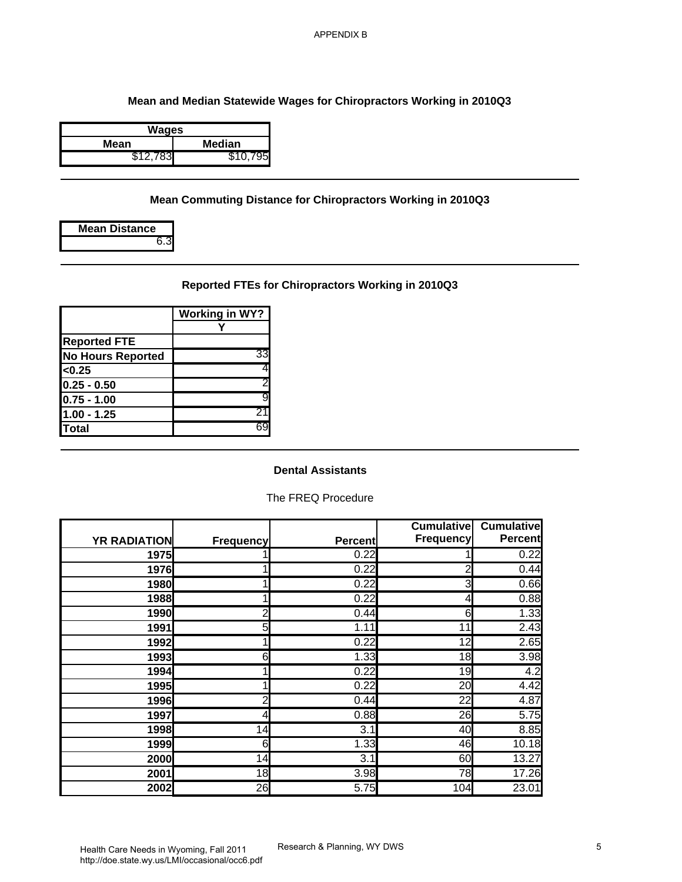### **Mean and Median Statewide Wages for Chiropractors Working in 2010Q3**

| Wages    |          |
|----------|----------|
| Mean     | Median   |
| \$12,783 | \$10.795 |

### **Mean Commuting Distance for Chiropractors Working in 2010Q3**

| <b>Mean Distance</b> |
|----------------------|
|                      |

# **Reported FTEs for Chiropractors Working in 2010Q3**

|                          | <b>Working in WY?</b> |
|--------------------------|-----------------------|
|                          |                       |
| <b>Reported FTE</b>      |                       |
| <b>No Hours Reported</b> | 33                    |
| < 0.25                   |                       |
| $0.25 - 0.50$            | 2                     |
| $0.75 - 1.00$            | 9                     |
| $1.00 - 1.25$            | 21                    |
| <b>Total</b>             |                       |

#### **Dental Assistants**

### The FREQ Procedure

| <b>YR RADIATION</b> | <b>Frequency</b> | <b>Percent</b> | <b>Cumulative</b><br>Frequency | <b>Cumulative</b><br><b>Percent</b> |
|---------------------|------------------|----------------|--------------------------------|-------------------------------------|
| 1975                |                  | 0.22           |                                | 0.22                                |
| 1976                | 1                | 0.22           | 2                              | 0.44                                |
| 1980                |                  | 0.22           | 3                              | 0.66                                |
| 1988                |                  | 0.22           | 4                              | 0.88                                |
| 1990                | $\overline{2}$   | 0.44           | 6                              | 1.33                                |
| 1991                | 5                | 1.11           | 11                             | 2.43                                |
| 1992                |                  | 0.22           | 12                             | 2.65                                |
| 1993                | 6                | 1.33           | 18                             | 3.98                                |
| 1994                | 1                | 0.22           | 19                             | 4.2                                 |
| 1995                | 1                | 0.22           | $\overline{20}$                | 4.42                                |
| 1996                | $\overline{a}$   | 0.44           | 22                             | 4.87                                |
| 1997                | 4                | 0.88           | 26                             | 5.75                                |
| 1998                | 14               | 3.1            | 40                             | 8.85                                |
| 1999                | 6                | 1.33           | 46                             | 10.18                               |
| 2000                | 14               | 3.1            | 60                             | 13.27                               |
| 2001                | 18               | 3.98           | 78                             | 17.26                               |
| 2002                | 26               | 5.75           | 104                            | 23.01                               |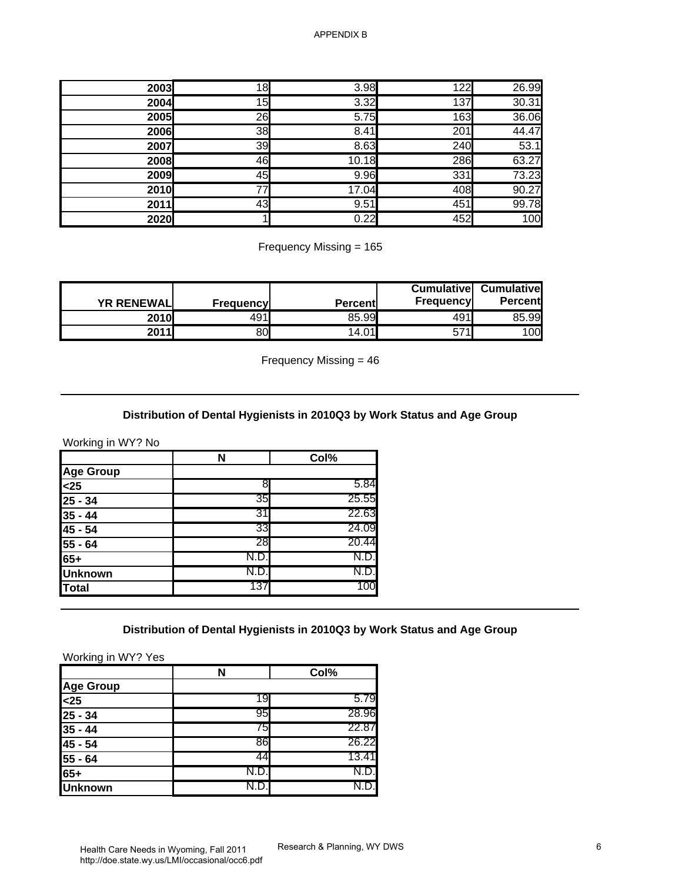| 2003 | 18 | 3.98  | 122 | 26.99 |
|------|----|-------|-----|-------|
| 2004 | 15 | 3.32  | 137 | 30.31 |
| 2005 | 26 | 5.75  | 163 | 36.06 |
| 2006 | 38 | 8.41  | 201 | 44.47 |
| 2007 | 39 | 8.63  | 240 | 53.1  |
| 2008 | 46 | 10.18 | 286 | 63.27 |
| 2009 | 45 | 9.96  | 331 | 73.23 |
| 2010 | 77 | 17.04 | 408 | 90.27 |
| 2011 | 43 | 9.51  | 451 | 99.78 |
| 2020 |    | 0.22  | 452 | 100   |

Frequency Missing = 165

| <b>YR RENEWALL</b> | <b>Frequencyl</b> | <b>Percentl</b> | <b>Cumulative</b><br><b>Frequencyl</b> | <b>Cumulative</b><br><b>Percent</b> |
|--------------------|-------------------|-----------------|----------------------------------------|-------------------------------------|
| 2010               | 491               | 85.99           | 491l                                   | 85.99                               |
| 2011               | 80                | 14.01           | 57<br>11                               | 100                                 |

Frequency Missing = 46

#### **Distribution of Dental Hygienists in 2010Q3 by Work Status and Age Group**

Working in WY? No

|                | N   | Col%  |
|----------------|-----|-------|
| Age Group      |     |       |
| $25$           | 8   | 5.84  |
| $25 - 34$      | 35  | 25.55 |
| $35 - 44$      | 31  | 22.63 |
| 45 - 54        | 33  | 24.09 |
| $55 - 64$      | 28  | 20.44 |
| 65+            | N.D | N.D.  |
| <b>Unknown</b> | N.D | N.D.  |
| Total          | 137 | 100   |

#### **Distribution of Dental Hygienists in 2010Q3 by Work Status and Age Group**

Working in WY? Yes

|                  |      | Col%  |
|------------------|------|-------|
| <b>Age Group</b> |      |       |
| $25$             | 19   | 5.79  |
| $25 - 34$        | 95   | 28.96 |
| $35 - 44$        | 75   | 22.87 |
| 45 - 54          | 86   | 26.22 |
| 55 - 64          |      | 13.41 |
| $65+$            | N.D. | N.D.I |
| <b>Unknown</b>   |      |       |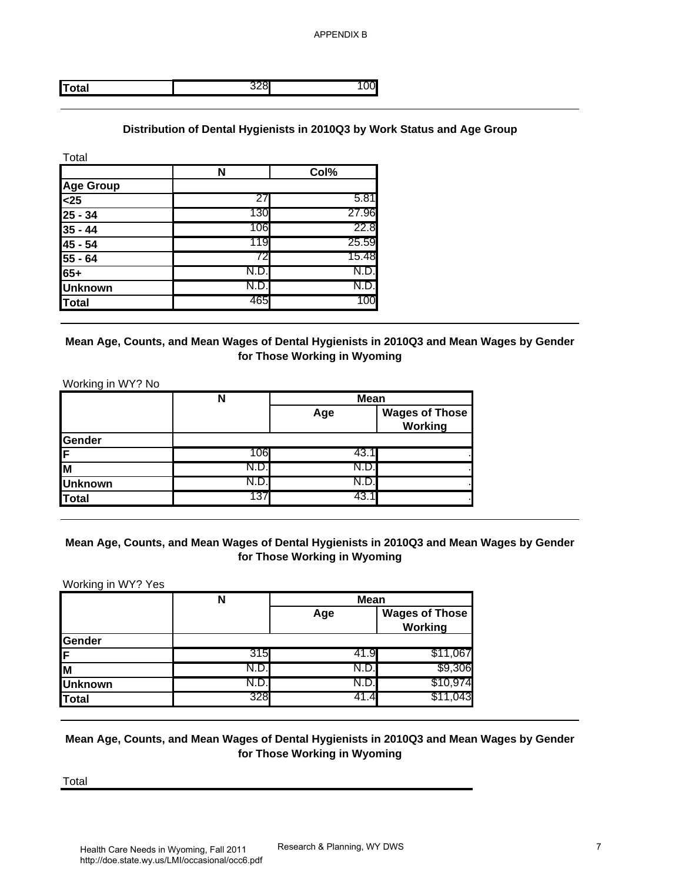APPENDIX B

**Total** 328 100

## **Distribution of Dental Hygienists in 2010Q3 by Work Status and Age Group**

| Total            |      |       |
|------------------|------|-------|
|                  | N    | Col%  |
| <b>Age Group</b> |      |       |
| $25$             | 27   | 5.81  |
| $25 - 34$        | 130  | 27.96 |
| $35 - 44$        | 106  | 22.8  |
| 45 - 54          | 119  | 25.59 |
| $55 - 64$        | 72   | 15.48 |
| 65+              | N.D. | N.D.  |
| <b>Unknown</b>   | N.D  | N.D.  |
| <b>Total</b>     | 465  | 100   |

## **Mean Age, Counts, and Mean Wages of Dental Hygienists in 2010Q3 and Mean Wages by Gender for Those Working in Wyoming**

Working in WY? No

|                | N    | <b>Mean</b> |                                  |
|----------------|------|-------------|----------------------------------|
|                |      | Age         | <b>Wages of Those</b><br>Working |
| Gender         |      |             |                                  |
| IF.            | 106  | -43.        |                                  |
| lм             |      |             |                                  |
| <b>Unknown</b> | N.D. | IN.L        |                                  |
| Total          | 137  | 43. .       |                                  |

## **Mean Age, Counts, and Mean Wages of Dental Hygienists in 2010Q3 and Mean Wages by Gender for Those Working in Wyoming**

Working in WY? Yes

|                | N    | <b>Mean</b> |                                  |
|----------------|------|-------------|----------------------------------|
|                |      | Age         | <b>Wages of Those</b><br>Working |
| Gender         |      |             |                                  |
| İF.            | 315I | 41.9        | \$11,067                         |
| lм             |      | N.D.        | \$9,306                          |
| <b>Unknown</b> |      |             | \$10,974                         |
| Total          | 328  |             | \$11.043                         |

# **Mean Age, Counts, and Mean Wages of Dental Hygienists in 2010Q3 and Mean Wages by Gender for Those Working in Wyoming**

Total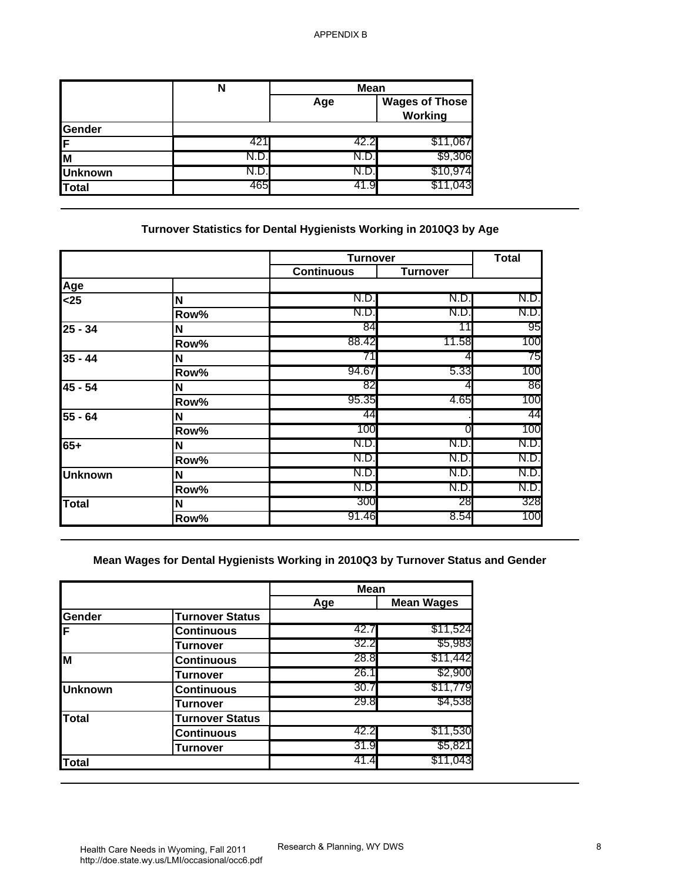|                | N   | <b>Mean</b> |                                  |
|----------------|-----|-------------|----------------------------------|
|                |     | Age         | <b>Wages of Those</b><br>Working |
| Gender         |     |             |                                  |
| IF             | 42  | 42.2        | \$11,067                         |
| ΙM             |     |             | \$9,306                          |
| <b>Unknown</b> |     | IN.D.       | \$10,974                         |
| Total          | 465 | 41.9        |                                  |

# **Turnover Statistics for Dental Hygienists Working in 2010Q3 by Age**

|                |      | <b>Turnover</b>   |                 | <b>Total</b> |
|----------------|------|-------------------|-----------------|--------------|
|                |      | <b>Continuous</b> | <b>Turnover</b> |              |
| Age            |      |                   |                 |              |
| $25$           | N    | N.D.              | N.D             | N.D.         |
|                | Row% | N.D.              | N.D             | N.D.         |
| $25 - 34$      | N    | 84                | 11              | 95           |
|                | Row% | 88.42             | 11.58           | 100          |
| $35 - 44$      | Ν    | 71                |                 | 75           |
|                | Row% | 94.67             | 5.33            | 100          |
| 45 - 54        | N    | 82                |                 | 86           |
|                | Row% | 95.35             | 4.65            | 100          |
| 55 - 64        | N    | 44                |                 | 44           |
|                | Row% | 100               | ΩI              | 100          |
| 65+            | N    | N.D.              | N.D.            | N.D.         |
|                | Row% | N.D.              | N.D.            | N.D.         |
| <b>Unknown</b> | N    | N.D.              | N.D.            | N.D.         |
|                | Row% | N.D.              | N.D.            | N.D.         |
| Total          | N    | 300               | 28              | 328          |
|                | Row% | 91.46             | 8.54            | 100          |

# **Mean Wages for Dental Hygienists Working in 2010Q3 by Turnover Status and Gender**

|                |                        | <b>Mean</b> |                   |
|----------------|------------------------|-------------|-------------------|
|                |                        | Age         | <b>Mean Wages</b> |
| <b>Gender</b>  | <b>Turnover Status</b> |             |                   |
| İF.            | <b>Continuous</b>      | 42.7        | \$11,524          |
|                | Turnover               | 32.2        | \$5,983           |
| lм             | <b>Continuous</b>      | 28.8        | \$11,442          |
|                | Turnover               | 26.1        | \$2,900           |
| <b>Unknown</b> | <b>Continuous</b>      | 30.7        | \$11,779          |
|                | Turnover               | 29.8        | \$4,538           |
| <b>Total</b>   | <b>Turnover Status</b> |             |                   |
|                | <b>Continuous</b>      | 42.2        | \$11,530          |
|                | <b>Turnover</b>        | 31.9        | \$5,821           |
| Total          |                        | 41.4        | \$11,043          |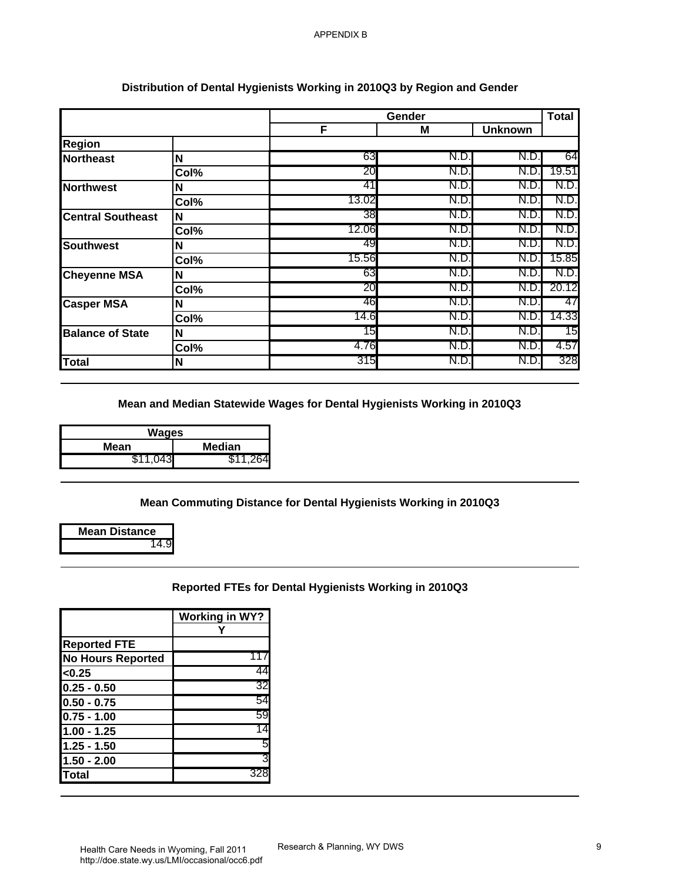|                          |      |       | Gender |                | <b>Total</b> |
|--------------------------|------|-------|--------|----------------|--------------|
|                          |      | F     | M      | <b>Unknown</b> |              |
| <b>Region</b>            |      |       |        |                |              |
| <b>Northeast</b>         | N    | 63    | N.D    | N.D            | 64           |
|                          | Col% | 20    | N.D    | N.D            | 19.51        |
| Northwest                | N    | 41    | N.D    | N.D            | N.D.         |
|                          | Col% | 13.02 | N.D.   | N.D            | N.D.         |
| <b>Central Southeast</b> | N    | 38    | N.D.   | N.D            | N.D.         |
|                          | Col% | 12.06 | N.D.   | N.D            | N.D.         |
| <b>Southwest</b>         | N    | 49    | N.D.   | N.D            | N.D.         |
|                          | Col% | 15.56 | N.D.   | N.D            | 15.85        |
| <b>Cheyenne MSA</b>      | N    | 63    | N.D.   | N.D            | N.D.         |
|                          | Col% | 20    | N.D    | N.D            | 20.12        |
| <b>Casper MSA</b>        | N    | 46    | N.D    | N.D            | 47           |
|                          | Col% | 14.6  | N.D    | N.D            | 14.33        |
| <b>Balance of State</b>  | N    | 15    | N.D    | N.D            | 15           |
|                          | Col% | 4.76  | N.D.   | N.D            | 4.57         |
| <b>Total</b>             | N    | 315   | N.D.   | N.D            | 328          |

# **Distribution of Dental Hygienists Working in 2010Q3 by Region and Gender**

**Mean and Median Statewide Wages for Dental Hygienists Working in 2010Q3**

| Wages    |          |
|----------|----------|
| Mean     | Median   |
| \$11.043 | \$11.264 |

## **Mean Commuting Distance for Dental Hygienists Working in 2010Q3**

| <b>Mean Distance</b> |
|----------------------|
|                      |

**Reported FTEs for Dental Hygienists Working in 2010Q3**

|                          | <b>Working in WY?</b> |
|--------------------------|-----------------------|
|                          |                       |
| <b>Reported FTE</b>      |                       |
| <b>No Hours Reported</b> | 117                   |
| < 0.25                   | 44                    |
| $0.25 - 0.50$            | 32                    |
| $ 0.50 - 0.75$           | 54                    |
| $0.75 - 1.00$            | 59                    |
| 1.00 - 1.25              | 14                    |
| 1.25 - 1.50              | 5                     |
| 1.50 - 2.00              | 3                     |
| lTotal                   | 328                   |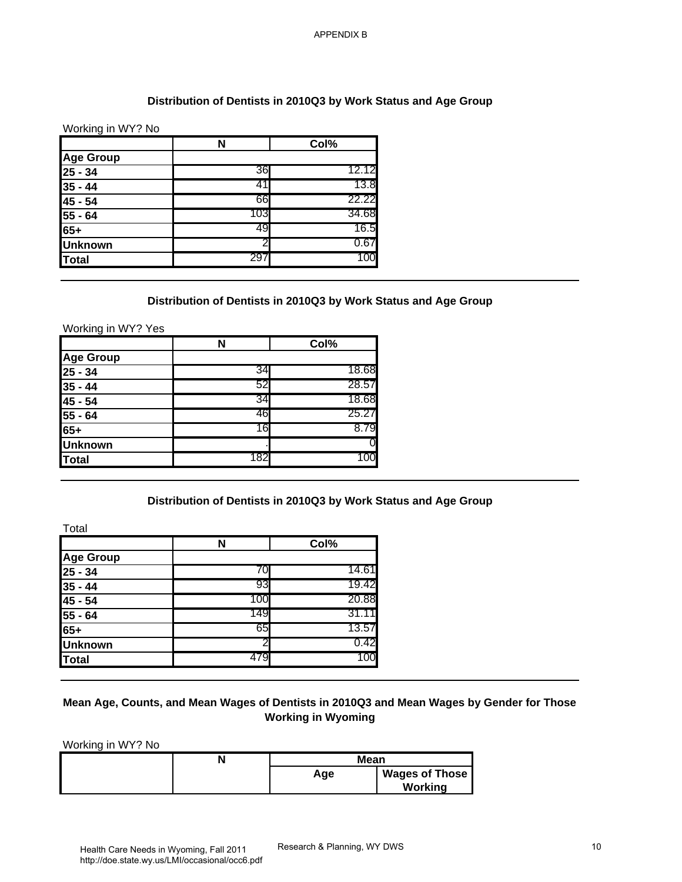## **Distribution of Dentists in 2010Q3 by Work Status and Age Group**

| <b>Age Group</b>               |                                                                      |                  |  |
|--------------------------------|----------------------------------------------------------------------|------------------|--|
|                                | N                                                                    | Col%             |  |
| $25 - 34$                      | 36                                                                   | 12.12            |  |
| $35 - 44$                      | 41                                                                   | 13.8             |  |
| 45 - 54                        | 66                                                                   | 22.22            |  |
| $55 - 64$                      | 103                                                                  | 34.68            |  |
| $65+$                          | 49                                                                   | 16.5             |  |
| <b>Unknown</b>                 | 2                                                                    | 0.67             |  |
| <b>Total</b>                   | 297                                                                  | 100              |  |
| Working in WY? Yes             | Distribution of Dentists in 2010Q3 by Work Status and Age Group      |                  |  |
| <b>Age Group</b>               | N                                                                    | Co <sub>1%</sub> |  |
| $25 - 34$                      | 34                                                                   | 18.68            |  |
| $35 - 44$                      | 52                                                                   | 28.57            |  |
| 45 - 54                        | 34                                                                   | 18.68            |  |
| 55 - 64                        | 46                                                                   | 25.27            |  |
| $65+$                          | 16                                                                   | 8.79             |  |
| <b>Unknown</b>                 |                                                                      |                  |  |
| <b>Total</b>                   | 182                                                                  | 100              |  |
| Total                          | Distribution of Dentists in 2010Q3 by Work Status and Age Group<br>N | Col%             |  |
| <b>Age Group</b>               |                                                                      |                  |  |
| $25 - 34$                      | 70                                                                   | 14.61            |  |
| $35 - 44$                      | 93                                                                   | 19.42            |  |
| $45 - 54$                      | 100                                                                  | 20.88            |  |
|                                | 149                                                                  | 31.11            |  |
|                                |                                                                      |                  |  |
| $55 - 64$<br>$65+$             | 65                                                                   | 13.57            |  |
| <b>Unknown</b><br><b>Total</b> | 2<br>479                                                             | 0.42<br>100      |  |

### **Distribution of Dentists in 2010Q3 by Work Status and Age Group**

|                                                                         | N   | Col%  |
|-------------------------------------------------------------------------|-----|-------|
|                                                                         |     |       |
|                                                                         | 34  | 18.68 |
|                                                                         | 52  | 28.57 |
|                                                                         | 34  | 18.68 |
| Age Group<br>25 - 34<br>35 - 44<br>35 - 54<br>45 - 54<br>55 - 64<br>65+ | 46  | 25.27 |
|                                                                         | 16  | 8.79  |
| <b>Unknown</b>                                                          |     |       |
| Total                                                                   | 182 | 100   |

### **Distribution of Dentists in 2010Q3 by Work Status and Age Group**

|                  |     | Col%  |
|------------------|-----|-------|
| <b>Age Group</b> |     |       |
| $25 - 34$        | 70  | 14.61 |
| $35 - 44$        | 93  | 19.42 |
| $45 - 54$        | 100 | 20.88 |
| $55 - 64$        | 149 | 31.11 |
| $65+$            | 65  | 13.57 |
| <b>Unknown</b>   |     | 0.42  |
| Total            |     | 100   |

## **Mean Age, Counts, and Mean Wages of Dentists in 2010Q3 and Mean Wages by Gender for Those Working in Wyoming**

|  | <b>Mean</b> |                       |
|--|-------------|-----------------------|
|  | Age         | <b>Wages of Those</b> |
|  |             | Working               |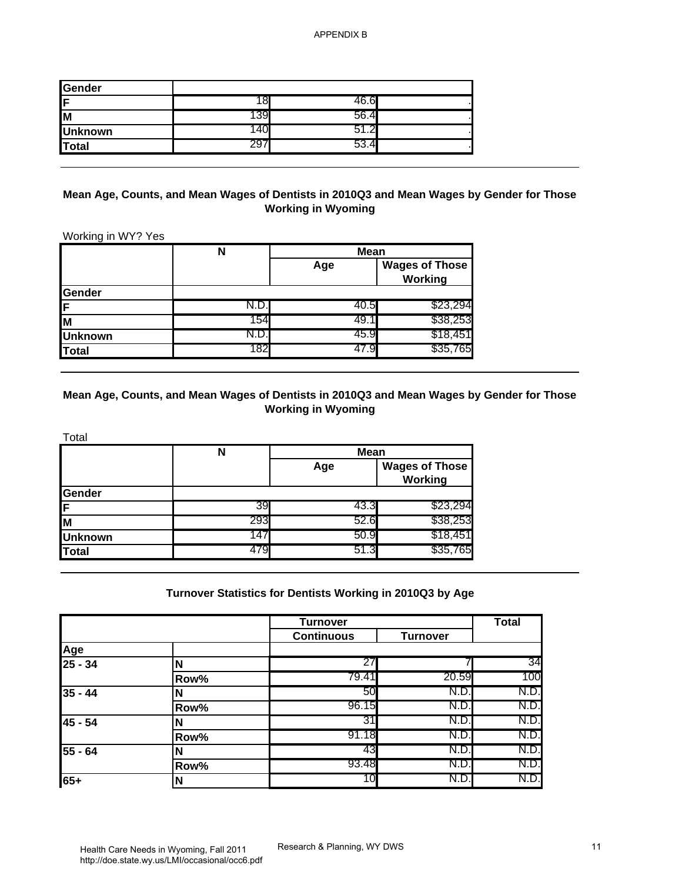| Gender         |    |            |  |
|----------------|----|------------|--|
| ĺΕ             |    | .b         |  |
| M              | აა | 5b.<br>4   |  |
| <b>Unknown</b> |    | . <u>.</u> |  |
| Total          | ∠ຯ | 53.4       |  |

## **Mean Age, Counts, and Mean Wages of Dentists in 2010Q3 and Mean Wages by Gender for Those Working in Wyoming**

|                | N    | <b>Mean</b> |                                  |
|----------------|------|-------------|----------------------------------|
|                |      | Age         | <b>Wages of Those</b><br>Working |
| Gender         |      |             |                                  |
| ١F             |      | 40.5I       | \$23,294                         |
| lм             | 154  | 49.1        | \$38,253                         |
| <b>Unknown</b> |      | 45.9        | \$18,451                         |
| Total          | 1821 | 47.Y        | \$35,765                         |

## **Mean Age, Counts, and Mean Wages of Dentists in 2010Q3 and Mean Wages by Gender for Those Working in Wyoming**

| Total          |     |             |                                  |
|----------------|-----|-------------|----------------------------------|
|                | N   | <b>Mean</b> |                                  |
|                |     | Age         | <b>Wages of Those</b><br>Working |
| Gender         |     |             |                                  |
| IF.            | 39  | 43.3        | \$23,294                         |
| lм             | 293 | 52.6        | \$38,253                         |
| <b>Unknown</b> | 147 | 50.9        | \$18,451                         |
| Total          | 479 | 51.3        | \$35,765                         |

### **Turnover Statistics for Dentists Working in 2010Q3 by Age**

| Gender                                                             |                                                                                                |                                          |                                         |                              |
|--------------------------------------------------------------------|------------------------------------------------------------------------------------------------|------------------------------------------|-----------------------------------------|------------------------------|
|                                                                    | 18                                                                                             | 46.6                                     |                                         |                              |
|                                                                    | 139                                                                                            | 56.4                                     |                                         |                              |
| <b>Unknown</b>                                                     | 140                                                                                            | 51.2                                     |                                         |                              |
| <b>Total</b>                                                       | 297                                                                                            | 53.4                                     |                                         |                              |
| Working in WY? Yes                                                 | Mean Age, Counts, and Mean Wages of Dentists in 2010Q3 and Mean Wages by Gender for Those      | <b>Working in Wyoming</b>                |                                         |                              |
|                                                                    | $\overline{\mathsf{N}}$                                                                        | <b>Mean</b>                              |                                         |                              |
|                                                                    |                                                                                                | Age                                      | <b>Wages of Those</b><br><b>Working</b> |                              |
| Gender                                                             |                                                                                                |                                          |                                         |                              |
|                                                                    | N.D.                                                                                           | 40.5                                     | \$23,294                                |                              |
|                                                                    | 154                                                                                            | 49.1                                     | \$38,253                                |                              |
| <b>Unknown</b>                                                     | N.D.                                                                                           | 45.9                                     | \$18,451                                |                              |
| <b>Total</b>                                                       | 182                                                                                            | 47.9                                     | \$35,765                                |                              |
|                                                                    | Mean Age, Counts, and Mean Wages of Dentists in 2010Q3 and Mean Wages by Gender for Those<br>N | <b>Working in Wyoming</b><br><b>Mean</b> |                                         |                              |
|                                                                    |                                                                                                | Age                                      | <b>Wages of Those</b><br>Working        |                              |
|                                                                    | 39                                                                                             | 43.3                                     | \$23,294                                |                              |
|                                                                    | 293                                                                                            | 52.6                                     | \$38,253                                |                              |
|                                                                    | 147                                                                                            | 50.9                                     | \$18,451                                |                              |
|                                                                    | 479                                                                                            | 51.3                                     | \$35,765                                |                              |
| Total<br>Gender<br>F<br>M<br><b>Unknown</b><br><b>Total</b><br>Age | Turnover Statistics for Dentists Working in 2010Q3 by Age                                      | <b>Turnover</b><br><b>Continuous</b>     | <b>Turnover</b>                         | <b>Total</b>                 |
|                                                                    | $\mathsf{N}$                                                                                   | 27                                       | 7                                       | 34                           |
| $25 - 34$                                                          | Row%                                                                                           | 79.41                                    | 20.59                                   | 100                          |
|                                                                    | N                                                                                              | 50                                       | N.D.                                    |                              |
|                                                                    | Row%                                                                                           | 96.15                                    | N.D.                                    |                              |
|                                                                    | N                                                                                              | 31                                       | N.D.                                    |                              |
|                                                                    | Row%                                                                                           | 91.18                                    | N.D.                                    | N.D.<br>N.D.<br>N.D.<br>N.D. |
| $35 - 44$<br>45 - 54<br>55 - 64                                    | N                                                                                              | 43                                       | N.D.                                    | N.D.                         |
| 65+                                                                | Row%<br>N                                                                                      | 93.48<br>10                              | N.D.<br>N.D.                            | N.D.<br>N.D.                 |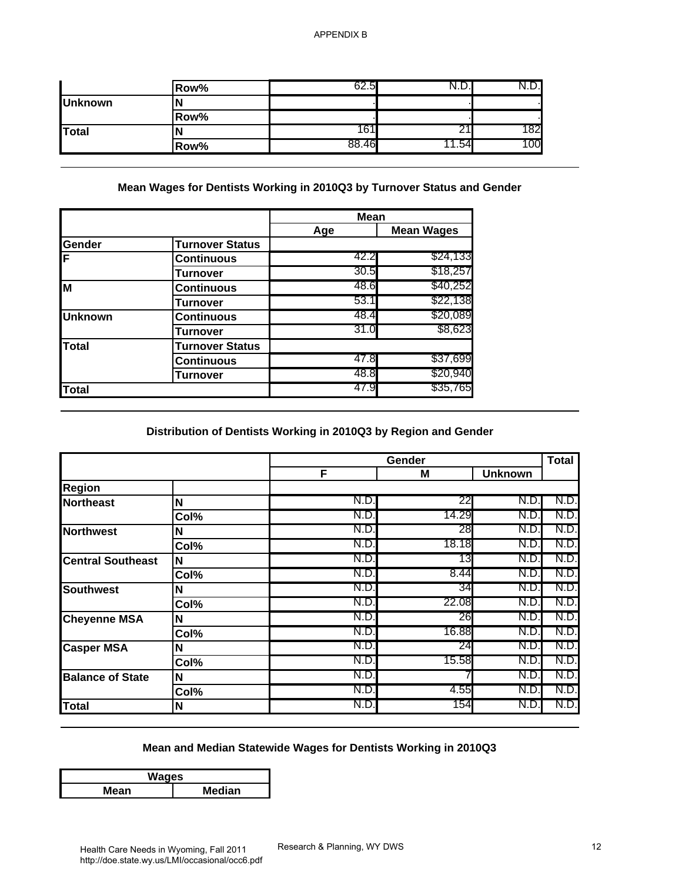|                | Row% | Б,<br>62.5 | ้ง.∟⁄. |     |
|----------------|------|------------|--------|-----|
| <b>Unknown</b> |      |            |        |     |
|                | Row% |            |        |     |
| Total          |      |            |        | 182 |
|                | Row% | 88.46      | .54    | 100 |

|                |                        | <b>Mean</b> |                   |
|----------------|------------------------|-------------|-------------------|
|                |                        | Age         | <b>Mean Wages</b> |
| Gender         | <b>Turnover Status</b> |             |                   |
| F              | Continuous             | 42.2        | \$24,133          |
|                | Turnover               | 30.5        | \$18,257          |
| M              | <b>Continuous</b>      | 48.6        | \$40,252          |
|                | Turnover               | 53.1        | \$22,138          |
| <b>Unknown</b> | <b>Continuous</b>      | 48.4        | \$20,089          |
|                | Turnover               | 31.0        | \$8,623           |
| Total          | <b>Turnover Status</b> |             |                   |
|                | Continuous             | 47.8        | \$37,699          |
|                | Turnover               | 48.8        | \$20,940          |
| <b>Total</b>   |                        | 47.9        | \$35,765          |

# **Distribution of Dentists Working in 2010Q3 by Region and Gender**

| <b>Unknown</b><br><b>Total</b><br>Gender<br>F                                                                                                                                | Row%<br>N<br>Row%<br>N<br>Row%<br>Mean Wages for Dentists Working in 2010Q3 by Turnover Status and Gender | 62.5<br>161<br>88.46 | N.D.<br>21<br>11.54 | N.D.           |              |
|------------------------------------------------------------------------------------------------------------------------------------------------------------------------------|-----------------------------------------------------------------------------------------------------------|----------------------|---------------------|----------------|--------------|
|                                                                                                                                                                              |                                                                                                           |                      |                     |                |              |
|                                                                                                                                                                              |                                                                                                           |                      |                     |                |              |
|                                                                                                                                                                              |                                                                                                           |                      |                     | 182            |              |
|                                                                                                                                                                              |                                                                                                           |                      |                     | 100            |              |
|                                                                                                                                                                              |                                                                                                           | <b>Mean</b>          |                     |                |              |
|                                                                                                                                                                              |                                                                                                           | Age                  | <b>Mean Wages</b>   |                |              |
|                                                                                                                                                                              | <b>Turnover Status</b><br><b>Continuous</b>                                                               | 42.2                 | \$24,133            |                |              |
|                                                                                                                                                                              |                                                                                                           | 30.5                 | \$18,257            |                |              |
| M                                                                                                                                                                            | <b>Turnover</b><br><b>Continuous</b>                                                                      | 48.6                 | \$40,252            |                |              |
|                                                                                                                                                                              | <b>Turnover</b>                                                                                           | 53.1                 | \$22,138            |                |              |
| <b>Unknown</b>                                                                                                                                                               | <b>Continuous</b>                                                                                         | 48.4                 | \$20,089            |                |              |
|                                                                                                                                                                              | <b>Turnover</b>                                                                                           | 31.0                 | \$8,623             |                |              |
| <b>Total</b>                                                                                                                                                                 | <b>Turnover Status</b>                                                                                    |                      |                     |                |              |
|                                                                                                                                                                              | <b>Continuous</b>                                                                                         | 47.8                 | \$37,699            |                |              |
|                                                                                                                                                                              | <b>Turnover</b>                                                                                           | 48.8                 | \$20,940            |                |              |
|                                                                                                                                                                              |                                                                                                           |                      |                     |                |              |
| <b>Total</b>                                                                                                                                                                 | Distribution of Dentists Working in 2010Q3 by Region and Gender                                           | 47.9                 | \$35,765<br>Gender  |                | <b>Total</b> |
|                                                                                                                                                                              |                                                                                                           | F                    | M                   | <b>Unknown</b> |              |
|                                                                                                                                                                              | N                                                                                                         | N.D.                 | 22                  | N.D.           | N.D.         |
|                                                                                                                                                                              | Col%                                                                                                      | N.D.                 | 14.29               | N.D.           | N.D.         |
|                                                                                                                                                                              | $\mathsf{N}$                                                                                              | N.D.                 | 28                  | N.D.           | N.D.         |
|                                                                                                                                                                              | Col%                                                                                                      | N.D.                 | 18.18               | N.D.           | N.D.         |
|                                                                                                                                                                              | N                                                                                                         | N.D                  | 13                  | N.D.           | N.D          |
|                                                                                                                                                                              | Col%                                                                                                      | N.D.                 | 8.44                | N.D.           | N.D.         |
|                                                                                                                                                                              | N                                                                                                         | N.D.                 | 34                  | N.D.           | N.D.         |
|                                                                                                                                                                              | Col%                                                                                                      | N.D.                 | 22.08               | N.D.           | N.D.         |
|                                                                                                                                                                              | N                                                                                                         | N.D.                 | 26                  | N.D.           | N.D.         |
|                                                                                                                                                                              | Col%                                                                                                      | N.D.                 | 16.88               | N.D.           | N.D.         |
|                                                                                                                                                                              | Ν                                                                                                         | N.D.                 | 24                  | N.D.           | N.D.         |
|                                                                                                                                                                              | Col%                                                                                                      | N.D.<br>N.D.         | 15.58               | N.D.<br>N.D.   | N.D.<br>N.D. |
| <b>Region</b><br><b>Northeast</b><br><b>Northwest</b><br><b>Central Southeast</b><br><b>Southwest</b><br><b>Cheyenne MSA</b><br><b>Casper MSA</b><br><b>Balance of State</b> | N<br>$\overline{\text{Col}}\%$                                                                            | N.D.                 | 4.55                | N.D.           | N.D.         |

## **Mean and Median Statewide Wages for Dentists Working in 2010Q3**

| Waqes                 |  |  |  |  |
|-----------------------|--|--|--|--|
| <b>Median</b><br>Mean |  |  |  |  |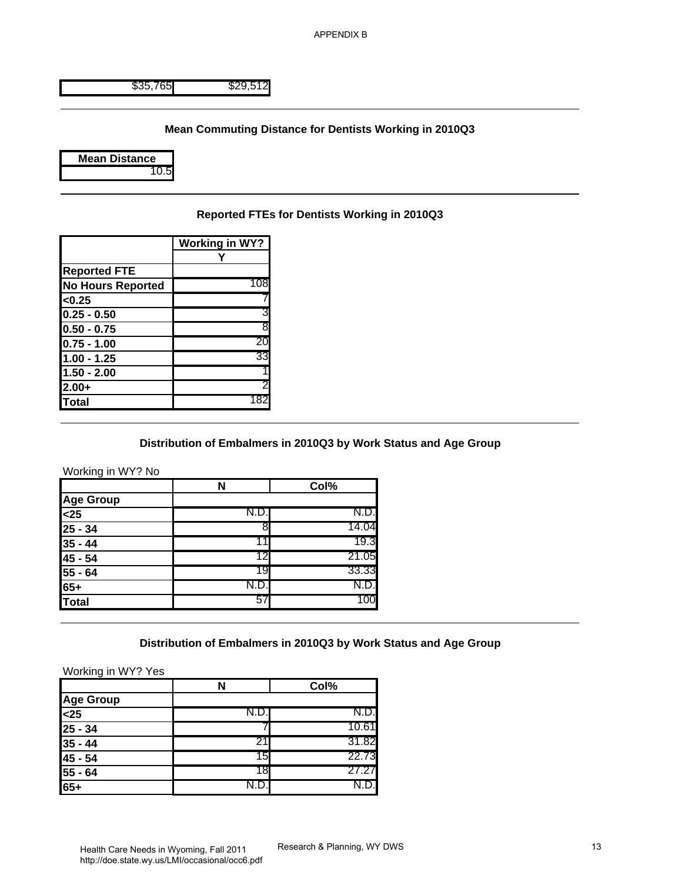### **Mean Commuting Distance for Dentists Working in 2010Q3**



## **Reported FTEs for Dentists Working in 2010Q3**

| <b>Working in WY?</b> |
|-----------------------|
|                       |
|                       |
| 10٤                   |
|                       |
| 3                     |
| 8                     |
| 20                    |
| 33                    |
|                       |
| 2                     |
| 182                   |
|                       |

### **Distribution of Embalmers in 2010Q3 by Work Status and Age Group**

| \$35,765                                                                                                                 | \$29,512                |                                                                  |  |
|--------------------------------------------------------------------------------------------------------------------------|-------------------------|------------------------------------------------------------------|--|
|                                                                                                                          |                         |                                                                  |  |
|                                                                                                                          |                         | <b>Mean Commuting Distance for Dentists Working in 2010Q3</b>    |  |
| <b>Mean Distance</b>                                                                                                     |                         |                                                                  |  |
| 10.5                                                                                                                     |                         |                                                                  |  |
|                                                                                                                          |                         |                                                                  |  |
|                                                                                                                          |                         | Reported FTEs for Dentists Working in 2010Q3                     |  |
|                                                                                                                          | <b>Working in WY?</b>   |                                                                  |  |
|                                                                                                                          | Y                       |                                                                  |  |
| <b>Reported FTE</b>                                                                                                      | 108                     |                                                                  |  |
| <b>No Hours Reported</b>                                                                                                 |                         |                                                                  |  |
| <0.25                                                                                                                    |                         |                                                                  |  |
| $0.25 - 0.50$                                                                                                            |                         |                                                                  |  |
| $0.50 - 0.75$                                                                                                            | 8                       |                                                                  |  |
| $0.75 - 1.00$                                                                                                            | 20                      |                                                                  |  |
| $1.00 - 1.25$                                                                                                            | 33                      |                                                                  |  |
|                                                                                                                          |                         |                                                                  |  |
|                                                                                                                          |                         |                                                                  |  |
|                                                                                                                          |                         |                                                                  |  |
| $1.50 - 2.00$<br>$2.00+$<br><b>Total</b>                                                                                 | 182                     | Distribution of Embalmers in 2010Q3 by Work Status and Age Group |  |
|                                                                                                                          | N                       | Col%                                                             |  |
|                                                                                                                          |                         |                                                                  |  |
|                                                                                                                          | N.D.                    | N.D.                                                             |  |
|                                                                                                                          | 8                       | 14.04                                                            |  |
|                                                                                                                          | 11                      | 19.3                                                             |  |
|                                                                                                                          | 12                      | 21.05                                                            |  |
|                                                                                                                          | 19                      | 33.33                                                            |  |
|                                                                                                                          | N.D.                    | N.D.                                                             |  |
|                                                                                                                          | 57                      | 100                                                              |  |
| Working in WY? No<br><b>Age Group</b><br>$25$<br>$25 - 34$<br>$35 - 44$<br>$45 - 54$<br>55 - 64<br>$65+$<br><b>Total</b> |                         | Distribution of Embalmers in 2010Q3 by Work Status and Age Group |  |
| Working in WY? Yes                                                                                                       |                         |                                                                  |  |
|                                                                                                                          | $\overline{\mathsf{N}}$ | Col%                                                             |  |
|                                                                                                                          |                         |                                                                  |  |
|                                                                                                                          | N.D.                    | N.D.                                                             |  |
|                                                                                                                          |                         | 10.61                                                            |  |
|                                                                                                                          | 21                      | 31.82                                                            |  |
|                                                                                                                          | 15                      | 22.73                                                            |  |
| <b>Age Group</b><br>$25$<br>$25 - 34$<br>$35 - 44$<br>45 - 54<br>55 - 64                                                 | 18                      | 27.27                                                            |  |

## **Distribution of Embalmers in 2010Q3 by Work Status and Age Group**

#### Working in WY? Yes

|                          |       | Col%  |
|--------------------------|-------|-------|
| <b>Age Group</b>         |       |       |
| $\overline{\text{<}}$ 25 | N.D.∙ | N.D.  |
| $25 - 34$                |       | 10.61 |
| $35 - 44$                |       | 31.82 |
| $45 - 54$                | 15    | 22.73 |
| 55 - 64                  | 18    | 27.27 |
| $65+$                    |       |       |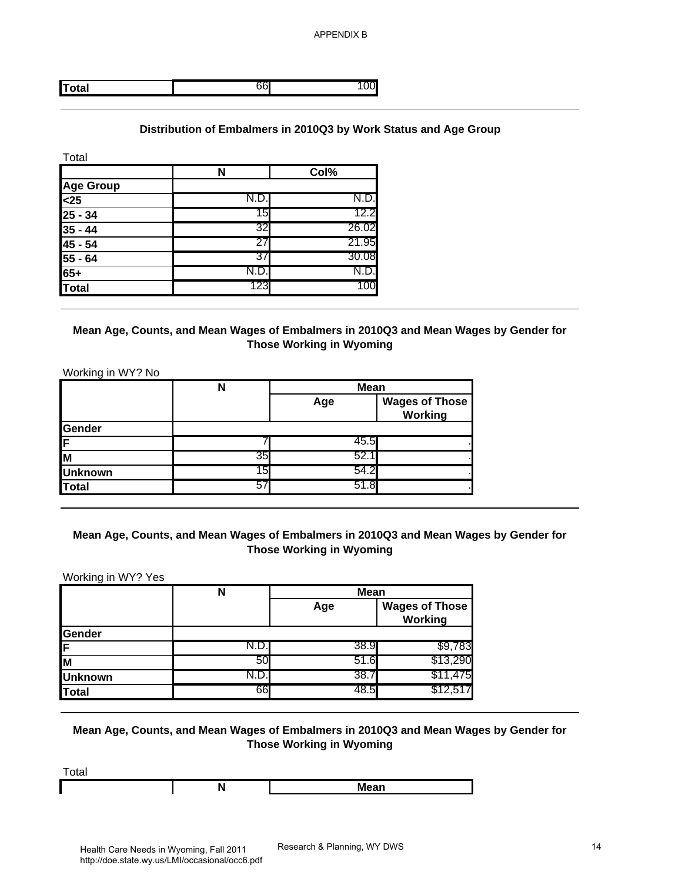## **Distribution of Embalmers in 2010Q3 by Work Status and Age Group**

| Total                                  |      |       |
|----------------------------------------|------|-------|
|                                        | N    | Col%  |
|                                        |      |       |
|                                        | N.D. | N.D.  |
|                                        | 15   | 12.2  |
| Age Group<br><25<br>25 - 34<br>35 - 44 | 32   | 26.02 |
| $45 - 54$                              | 27   | 21.95 |
| $\frac{55 - 64}{65+}$                  | 37   | 30.08 |
|                                        |      | N.D.  |
| <b>Total</b>                           | 123  | 100   |

## **Mean Age, Counts, and Mean Wages of Embalmers in 2010Q3 and Mean Wages by Gender for Those Working in Wyoming**

| <b>Total</b>                                                             | 66                                                                                   | 100                             |                       |
|--------------------------------------------------------------------------|--------------------------------------------------------------------------------------|---------------------------------|-----------------------|
|                                                                          |                                                                                      |                                 |                       |
|                                                                          | Distribution of Embalmers in 2010Q3 by Work Status and Age Group                     |                                 |                       |
|                                                                          |                                                                                      |                                 |                       |
| Total                                                                    |                                                                                      |                                 |                       |
|                                                                          | N                                                                                    | Col%                            |                       |
| <b>Age Group</b>                                                         | N.D.                                                                                 | N.D.                            |                       |
| $25$<br>$25 - 34$                                                        | 15                                                                                   | 12.2                            |                       |
| $35 - 44$                                                                | 32                                                                                   | 26.02                           |                       |
| 45 - 54                                                                  | 27                                                                                   | 21.95                           |                       |
| 55 - 64                                                                  | 37                                                                                   | 30.08                           |                       |
| $65+$                                                                    | N.D.                                                                                 | N.D.                            |                       |
| <b>Total</b>                                                             | 123                                                                                  | 100                             |                       |
|                                                                          | Mean Age, Counts, and Mean Wages of Embalmers in 2010Q3 and Mean Wages by Gender for |                                 |                       |
|                                                                          |                                                                                      | <b>Those Working in Wyoming</b> |                       |
|                                                                          |                                                                                      |                                 |                       |
| Working in WY? No                                                        |                                                                                      |                                 |                       |
|                                                                          |                                                                                      |                                 |                       |
|                                                                          | N                                                                                    | <b>Mean</b>                     |                       |
|                                                                          |                                                                                      | Age                             | <b>Wages of Those</b> |
|                                                                          |                                                                                      |                                 | <b>Working</b>        |
|                                                                          | ſ                                                                                    | 45.5                            |                       |
|                                                                          | 35                                                                                   | 52.1                            |                       |
|                                                                          | 15                                                                                   | 54.2                            |                       |
|                                                                          | 57                                                                                   | 51.8                            |                       |
|                                                                          |                                                                                      |                                 |                       |
|                                                                          |                                                                                      |                                 |                       |
|                                                                          | Mean Age, Counts, and Mean Wages of Embalmers in 2010Q3 and Mean Wages by Gender for |                                 |                       |
|                                                                          |                                                                                      | <b>Those Working in Wyoming</b> |                       |
|                                                                          |                                                                                      |                                 |                       |
| Gender<br>F<br>M<br><b>Unknown</b><br><b>Total</b><br>Working in WY? Yes | $\overline{\mathsf{N}}$                                                              | <b>Mean</b>                     |                       |
|                                                                          |                                                                                      | Age                             | <b>Wages of Those</b> |
|                                                                          |                                                                                      |                                 | <b>Working</b>        |
|                                                                          |                                                                                      |                                 |                       |
|                                                                          | N.D.                                                                                 | 38.9                            | \$9,783               |
| Gender<br>F<br>M                                                         | 50                                                                                   | 51.6                            | \$13,290              |
| <b>Unknown</b><br><b>Total</b>                                           | N.D.<br>66                                                                           | 38.7<br>48.5                    | \$11,475<br>\$12,517  |

## **Mean Age, Counts, and Mean Wages of Embalmers in 2010Q3 and Mean Wages by Gender for Those Working in Wyoming**

|                | N   | <b>Mean</b> |                                  |  |
|----------------|-----|-------------|----------------------------------|--|
|                |     | Age         | <b>Wages of Those</b><br>Working |  |
| Gender         |     |             |                                  |  |
| ΙF             | ש.ט | 38.9        | \$9,783                          |  |
| M              | 50  | 51.6        | \$13,290                         |  |
| <b>Unknown</b> |     | 38.7        | \$11,475                         |  |
| <b>Total</b>   | 66  | 48.5        | \$12,517                         |  |

## **Mean Age, Counts, and Mean Wages of Embalmers in 2010Q3 and Mean Wages by Gender for Those Working in Wyoming**

| Total |       |      |
|-------|-------|------|
|       | N<br> | Mean |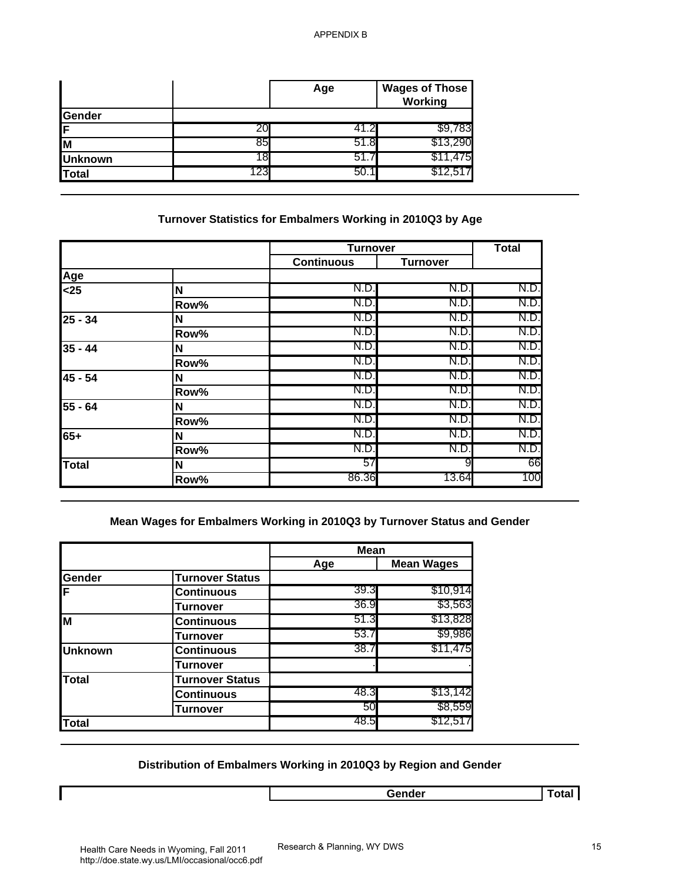|                |     | Age   | <b>Wages of Those</b><br>Working |
|----------------|-----|-------|----------------------------------|
| <b>Sender</b>  |     |       |                                  |
| IF             | 20  | 41.2I | \$9,783                          |
| Iм             | 85  | 51.8  | \$13,290                         |
| <b>Unknown</b> | 18  | 51.7  | \$11,475                         |
| Total          | 123 | 50.1  |                                  |

# **Turnover Statistics for Embalmers Working in 2010Q3 by Age**

| 20<br>85<br>18<br>123<br>Turnover Statistics for Embalmers Working in 2010Q3 by Age | 41.2<br>51.8<br>51.7<br>50.1<br><b>Turnover</b> | \$9,783<br>\$13,290<br>\$11,475<br>\$12,517 |              |
|-------------------------------------------------------------------------------------|-------------------------------------------------|---------------------------------------------|--------------|
|                                                                                     |                                                 |                                             |              |
|                                                                                     |                                                 |                                             |              |
|                                                                                     |                                                 |                                             |              |
|                                                                                     |                                                 |                                             |              |
|                                                                                     |                                                 |                                             |              |
|                                                                                     |                                                 |                                             | <b>Total</b> |
|                                                                                     | <b>Continuous</b>                               | <b>Turnover</b>                             |              |
|                                                                                     |                                                 |                                             |              |
| N                                                                                   | N.D.                                            | N.D.                                        | N.D.         |
| Row%                                                                                | N.D                                             | N.D.                                        | N.D.         |
| N                                                                                   | N.D.                                            | N.D.                                        | N.D.         |
| Row%                                                                                | N.D                                             | N.D.                                        | N.D.         |
| N                                                                                   | N.D.                                            | N.D.                                        | N.D.         |
| Row%                                                                                | N.D.                                            | N.D.                                        | N.D.         |
| N                                                                                   | N.D.                                            | N.D.                                        | N.D.         |
|                                                                                     | N.D.                                            | N.D.                                        | N.D.         |
| N                                                                                   | N.D                                             | N.D.                                        | N.D.         |
| Row%                                                                                | N.D.                                            | N.D.                                        | N.D.         |
| N                                                                                   | N.D.                                            | N.D.                                        | N.D.         |
| Row%                                                                                | N.D.                                            | N.D.                                        | N.D.         |
| N                                                                                   | 57                                              | 9                                           | 66           |
| Row%                                                                                |                                                 |                                             |              |
|                                                                                     | 86.36                                           | 13.64                                       | 100          |
| Mean Wages for Embalmers Working in 2010Q3 by Turnover Status and Gender            | <b>Mean</b>                                     |                                             |              |
|                                                                                     | Age                                             | <b>Mean Wages</b>                           |              |
| <b>Turnover Status</b>                                                              | 39.3                                            | \$10,914                                    |              |
| <b>Continuous</b>                                                                   | 36.9                                            |                                             |              |
| <b>Turnover</b>                                                                     | 51.3                                            | \$3,563<br>\$13,828                         |              |
| <b>Continuous</b>                                                                   | 53.7                                            | \$9,986                                     |              |
| <b>Turnover</b>                                                                     | 38.7                                            | \$11,475                                    |              |
| <b>Continuous</b>                                                                   |                                                 |                                             |              |
| <b>Turnover</b>                                                                     |                                                 |                                             |              |
| <b>Turnover Status</b>                                                              | 48.3                                            | \$13,142                                    |              |
| <b>Continuous</b><br>Turnover                                                       | 50                                              | \$8,559                                     |              |
|                                                                                     | Row%                                            |                                             |              |

## **Mean Wages for Embalmers Working in 2010Q3 by Turnover Status and Gender**

|                |                        | <b>Mean</b> |                   |
|----------------|------------------------|-------------|-------------------|
|                |                        | Age         | <b>Mean Wages</b> |
| Gender         | <b>Turnover Status</b> |             |                   |
| F              | <b>Continuous</b>      | 39.3        | \$10,914          |
|                | Turnover               | 36.9        | \$3,563           |
| M              | <b>Continuous</b>      | 51.3        | \$13,828          |
|                | <b>Turnover</b>        | 53.7        | \$9,986           |
| <b>Unknown</b> | <b>Continuous</b>      | 38.7        | \$11,475          |
|                | Turnover               |             |                   |
| <b>Total</b>   | <b>Turnover Status</b> |             |                   |
|                | <b>Continuous</b>      | 48.3        | \$13,142          |
|                | Turnover               | 50          | \$8,559           |
| <b>Total</b>   |                        | 48.5        | \$12,517          |

# **Distribution of Embalmers Working in 2010Q3 by Region and Gender**

| Gender |  |
|--------|--|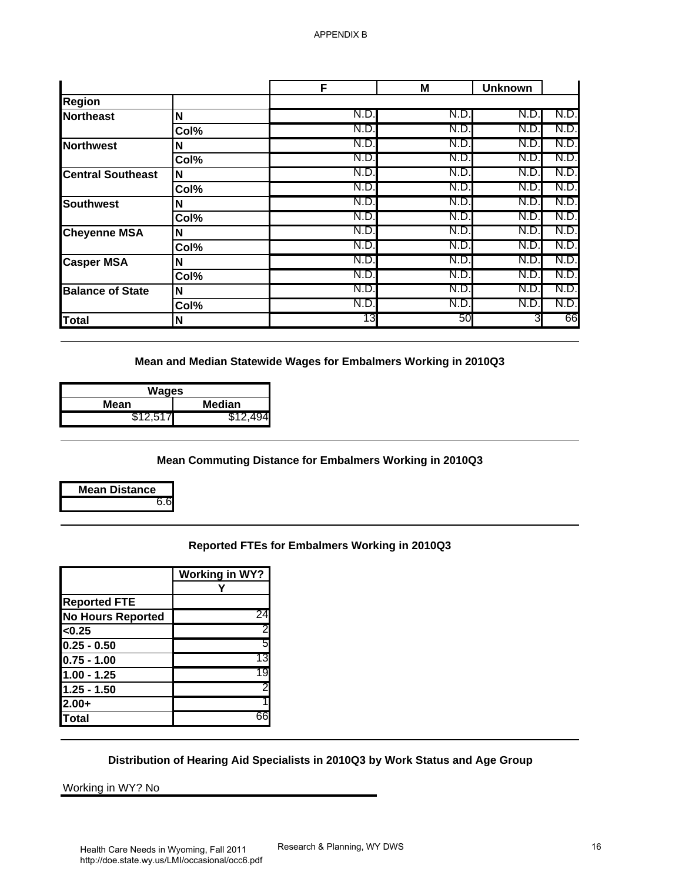| Region<br><b>Northeast</b>                                                                                   | N                                                                   |                                                                                                                                   |      |      |      |
|--------------------------------------------------------------------------------------------------------------|---------------------------------------------------------------------|-----------------------------------------------------------------------------------------------------------------------------------|------|------|------|
|                                                                                                              |                                                                     |                                                                                                                                   |      |      |      |
|                                                                                                              |                                                                     | N.D.                                                                                                                              | N.D. | N.D. | N.D  |
|                                                                                                              | Col%                                                                | N.D.                                                                                                                              | N.D. | N.D. | N.D. |
| <b>Northwest</b>                                                                                             | N                                                                   | N.D.                                                                                                                              | N.D. | N.D. | N.D. |
|                                                                                                              | Col%                                                                | N.D.                                                                                                                              | N.D. | N.D. | N.D. |
| <b>Central Southeast</b>                                                                                     | N                                                                   | N.D.                                                                                                                              | N.D. | N.D. | N.D. |
|                                                                                                              | Col%                                                                | N.D.                                                                                                                              | N.D. | N.D. | N.D. |
| <b>Southwest</b>                                                                                             | N                                                                   | N.D.                                                                                                                              | N.D. | N.D. | N.D. |
|                                                                                                              | Col%                                                                | N.D.                                                                                                                              | N.D. | N.D. | N.D. |
| <b>Cheyenne MSA</b>                                                                                          | N                                                                   | N.D.                                                                                                                              | N.D. | N.D. | N.D. |
|                                                                                                              | Col%                                                                | N.D.                                                                                                                              | N.D. | N.D. | N.D. |
| <b>Casper MSA</b>                                                                                            | N                                                                   | N.D.                                                                                                                              | N.D. | N.D. | N.D. |
|                                                                                                              | Col%                                                                | N.D.                                                                                                                              | N.D. | N.D. | N.D. |
| <b>Balance of State</b>                                                                                      | N                                                                   | N.D.                                                                                                                              | N.D. | N.D. | N.D. |
|                                                                                                              | Col%                                                                | N.D.                                                                                                                              | N.D. | N.D. | N.D. |
| <b>Total</b>                                                                                                 | N                                                                   | 13                                                                                                                                | 50   | 3    | 66   |
| <b>Wages</b><br><b>Mean</b><br>\$12,517                                                                      | <b>Median</b><br>\$12,494                                           | Mean and Median Statewide Wages for Embalmers Working in 2010Q3<br><b>Mean Commuting Distance for Embalmers Working in 2010Q3</b> |      |      |      |
| <b>Mean Distance</b><br>6.6                                                                                  |                                                                     |                                                                                                                                   |      |      |      |
| <b>Reported FTE</b><br><b>No Hours Reported</b><br>< 0.25<br>$0.25 - 0.50$<br>$0.75 - 1.00$<br>$1.00 - 1.25$ | <b>Working in WY?</b><br>Υ<br>24<br>$\overline{2}$<br>5<br>13<br>19 | Reported FTEs for Embalmers Working in 2010Q3                                                                                     |      |      |      |
| $1.25 - 1.50$                                                                                                | 2                                                                   |                                                                                                                                   |      |      |      |
| $2.00+$                                                                                                      |                                                                     |                                                                                                                                   |      |      |      |

| Wages                |  |  |  |  |
|----------------------|--|--|--|--|
| Median<br>Mean       |  |  |  |  |
| \$12,517<br>\$12.494 |  |  |  |  |

## **Mean Commuting Distance for Embalmers Working in 2010Q3**



## **Reported FTEs for Embalmers Working in 2010Q3**

|                          | Working in WY? |
|--------------------------|----------------|
|                          |                |
| <b>Reported FTE</b>      |                |
| <b>No Hours Reported</b> | 24             |
| < 0.25                   |                |
| 0.25 - 0.50              | 5              |
| $0.75 - 1.00$            | 13             |
| 1.00 - 1.25              | 19             |
| $1.25 - 1.50$            |                |
| $2.00+$                  |                |
| lTotal                   | 66             |

## **Distribution of Hearing Aid Specialists in 2010Q3 by Work Status and Age Group**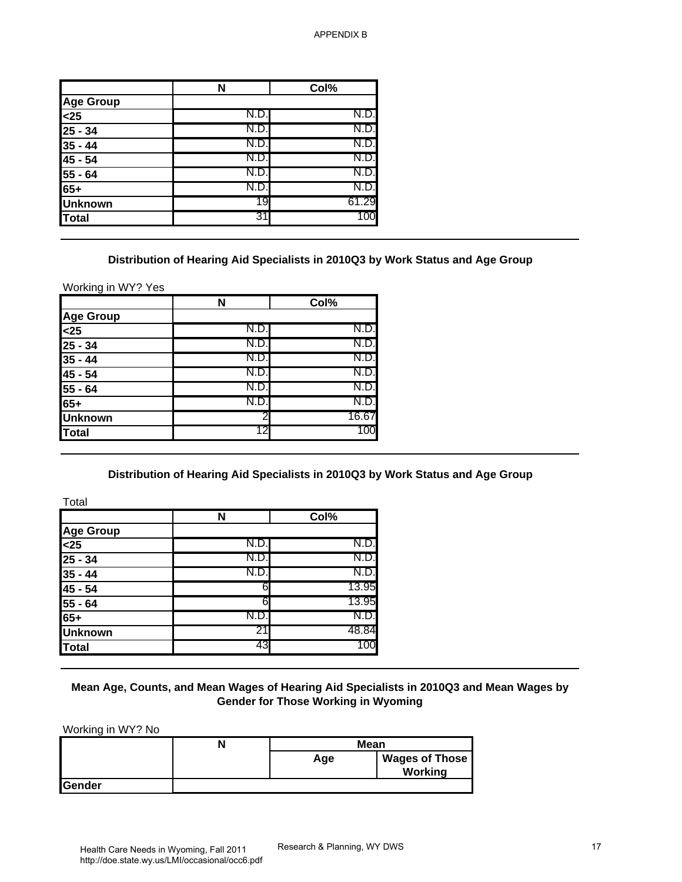|                                | N    | Col%  |
|--------------------------------|------|-------|
| <b>Age Group</b>               |      |       |
| $\overline{\leq}25$            | N.D. | N.D.  |
| $25 - 34$                      | N.D  | N.D.  |
|                                | N.D. | N.D.  |
| $\frac{1}{35 - 44}$<br>45 - 54 | N.D  | N.D.  |
| $55 - 64$                      | N.D  | N.D.  |
| $65+$                          | N.D. | N.D.  |
| <b>Unknown</b>                 | 19   | 61.29 |
| Total                          | 31   | 100   |

#### **Distribution of Hearing Aid Specialists in 2010Q3 by Work Status and Age Group**

| N    | Col%  |
|------|-------|
|      |       |
| N.D. | N.D.  |
| N.D  | N.D.  |
| N.D. | N.D.  |
| N.D  | N.D.  |
| N.D. | N.D.  |
| N.D. | N.D.  |
|      | 16.67 |
| 12   | 100   |
|      |       |

### **Distribution of Hearing Aid Specialists in 2010Q3 by Work Status and Age Group**

|                                                                                                                                                        | N                                                                                       | Col%                                       |                       |
|--------------------------------------------------------------------------------------------------------------------------------------------------------|-----------------------------------------------------------------------------------------|--------------------------------------------|-----------------------|
| <b>Age Group</b>                                                                                                                                       |                                                                                         |                                            |                       |
| $25$                                                                                                                                                   | N.D.                                                                                    | N.D.                                       |                       |
| $25 - 34$                                                                                                                                              | N.D.                                                                                    | N.D.                                       |                       |
| $35 - 44$                                                                                                                                              | N.D.                                                                                    | N.D.                                       |                       |
| 45 - 54                                                                                                                                                | N.D.                                                                                    | N.D.                                       |                       |
| 55 - 64                                                                                                                                                | N.D.                                                                                    | N.D.                                       |                       |
| $65+$                                                                                                                                                  | N.D.                                                                                    | N.D.                                       |                       |
| <b>Unknown</b>                                                                                                                                         | 19                                                                                      | 61.29                                      |                       |
| <b>Total</b>                                                                                                                                           | 31                                                                                      | 100                                        |                       |
| Working in WY? Yes                                                                                                                                     | Distribution of Hearing Aid Specialists in 2010Q3 by Work Status and Age Group          |                                            |                       |
|                                                                                                                                                        | N                                                                                       | Col%                                       |                       |
| <b>Age Group</b>                                                                                                                                       | N.D.                                                                                    | N.D.                                       |                       |
| $25$<br>$25 - 34$                                                                                                                                      | N.D.                                                                                    | N.D.                                       |                       |
|                                                                                                                                                        | N.D.                                                                                    | N.D.                                       |                       |
| $35 - 44$<br>$45 - 54$                                                                                                                                 | N.D.                                                                                    | N.D.                                       |                       |
| $\overline{55}$ - 64                                                                                                                                   | N.D.                                                                                    | N.D.                                       |                       |
| $65+$                                                                                                                                                  | N.D.                                                                                    | N.D.                                       |                       |
| <b>Unknown</b>                                                                                                                                         | 2                                                                                       | 16.67                                      |                       |
| <b>Total</b>                                                                                                                                           | 12                                                                                      | 100                                        |                       |
|                                                                                                                                                        |                                                                                         |                                            |                       |
|                                                                                                                                                        |                                                                                         |                                            |                       |
|                                                                                                                                                        | N                                                                                       | Col%                                       |                       |
|                                                                                                                                                        |                                                                                         |                                            |                       |
|                                                                                                                                                        | N.D.                                                                                    | N.D.                                       |                       |
|                                                                                                                                                        | N.D.                                                                                    | N.D                                        |                       |
|                                                                                                                                                        | N.D.                                                                                    | N.D.                                       |                       |
|                                                                                                                                                        | 6                                                                                       | 13.95                                      |                       |
|                                                                                                                                                        | 6                                                                                       | 13.95                                      |                       |
|                                                                                                                                                        | N.D.                                                                                    | N.D.                                       |                       |
|                                                                                                                                                        | 21                                                                                      | 48.84                                      |                       |
|                                                                                                                                                        | 43                                                                                      | 100                                        |                       |
|                                                                                                                                                        | Mean Age, Counts, and Mean Wages of Hearing Aid Specialists in 2010Q3 and Mean Wages by | <b>Gender for Those Working in Wyoming</b> |                       |
|                                                                                                                                                        | N                                                                                       | Mean                                       |                       |
|                                                                                                                                                        |                                                                                         | Age                                        | <b>Wages of Those</b> |
| Total<br>Age Group<br>$25$<br>$25 - 34$<br>$35 - 44$<br>45 - 54<br>$55 - 64$<br>$65+$<br><b>Unknown</b><br><b>Total</b><br>Working in WY? No<br>Gender |                                                                                         |                                            | <b>Working</b>        |

### **Mean Age, Counts, and Mean Wages of Hearing Aid Specialists in 2010Q3 and Mean Wages by Gender for Those Working in Wyoming**

|         | Mean |                                  |
|---------|------|----------------------------------|
|         | Age  | <b>Wages of Those</b><br>Working |
| lGender |      |                                  |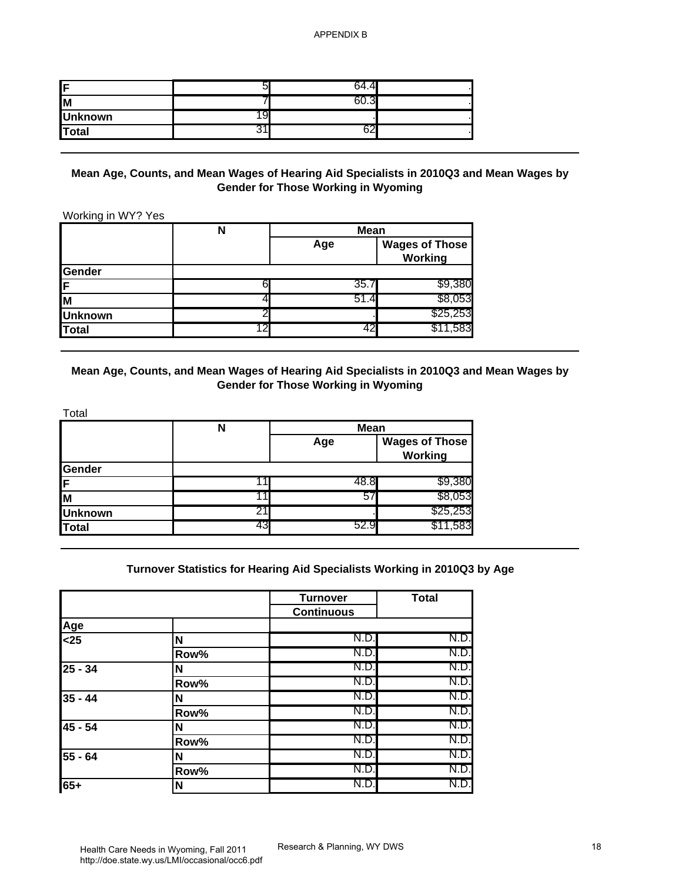| IF             | ∽ | л<br>៶ |  |
|----------------|---|--------|--|
| <b>IM</b>      |   |        |  |
| <b>Unknown</b> |   |        |  |
| <b>Total</b>   |   | - عد   |  |

### **Mean Age, Counts, and Mean Wages of Hearing Aid Specialists in 2010Q3 and Mean Wages by Gender for Those Working in Wyoming**

|                | N | <b>Mean</b> |                                  |  |
|----------------|---|-------------|----------------------------------|--|
|                |   | Age         | <b>Wages of Those</b><br>Working |  |
| <b>Gender</b>  |   |             |                                  |  |
| ſF             |   | 35.7        | \$9,380                          |  |
| ΙM             |   | 51.4        | \$8,053                          |  |
| <b>Unknown</b> |   |             | \$25,253                         |  |
| <b>Total</b>   |   |             | \$11,583<br>42                   |  |

## **Mean Age, Counts, and Mean Wages of Hearing Aid Specialists in 2010Q3 and Mean Wages by Gender for Those Working in Wyoming**

|                | N  | <b>Mean</b> |                                  |
|----------------|----|-------------|----------------------------------|
|                |    | Age         | <b>Wages of Those</b><br>Working |
| Gender         |    |             |                                  |
| lF             |    | 48.8        | \$9,380                          |
| lм             |    | 57          | \$8,053                          |
| <b>Unknown</b> | 21 |             | \$25,253                         |
| Total          | 43 | 52.9        | \$11,583                         |

### **Turnover Statistics for Hearing Aid Specialists Working in 2010Q3 by Age**

| F                                                           | 5                                                                                       | 64.4                                                             |                                  |
|-------------------------------------------------------------|-----------------------------------------------------------------------------------------|------------------------------------------------------------------|----------------------------------|
| $\overline{\mathsf{M}}$                                     | 7                                                                                       | 60.3                                                             |                                  |
| <b>Unknown</b>                                              | 19                                                                                      |                                                                  |                                  |
| <b>Total</b>                                                | 31                                                                                      | 62                                                               |                                  |
| Working in WY? Yes                                          | Mean Age, Counts, and Mean Wages of Hearing Aid Specialists in 2010Q3 and Mean Wages by | <b>Gender for Those Working in Wyoming</b>                       |                                  |
|                                                             | $\mathsf{N}$                                                                            | <b>Mean</b><br>Age                                               | <b>Wages of Those</b><br>Working |
| Gender                                                      |                                                                                         |                                                                  |                                  |
| F                                                           | 6                                                                                       | 35.7                                                             | \$9,380                          |
| M                                                           | 4                                                                                       | 51.4                                                             | \$8,053                          |
| <b>Unknown</b>                                              | 2                                                                                       |                                                                  | \$25,253                         |
| <b>Total</b>                                                | 12                                                                                      | 42                                                               | \$11,583                         |
|                                                             | $\mathsf{N}$                                                                            | <b>Gender for Those Working in Wyoming</b><br><b>Mean</b><br>Age | <b>Wages of Those</b>            |
|                                                             |                                                                                         |                                                                  | <b>Working</b>                   |
|                                                             | 11                                                                                      | 48.8                                                             | \$9,380                          |
|                                                             | 11                                                                                      | 57                                                               | \$8,053                          |
|                                                             | 21<br>43                                                                                | 52.9                                                             | \$25,253<br>\$11,583             |
| Total<br>Gender<br>F<br>M<br><b>Unknown</b><br><b>Total</b> | Turnover Statistics for Hearing Aid Specialists Working in 2010Q3 by Age                | <b>Turnover</b>                                                  | <b>Total</b>                     |
|                                                             |                                                                                         | <b>Continuous</b>                                                |                                  |
|                                                             |                                                                                         | N.D                                                              | N.D.                             |
|                                                             | N<br>Row%                                                                               | N.D.                                                             | N.D.                             |
|                                                             | N                                                                                       | N.D.                                                             | N.D.                             |
| Age<br>$25$<br>$25 - 34$                                    | Row%                                                                                    | N.D.                                                             | N.D.                             |
|                                                             | N                                                                                       | N.D.                                                             | N.D.                             |
|                                                             | Row%                                                                                    | N.D.                                                             | N.D.                             |
|                                                             | N                                                                                       | N.D.                                                             | N.D.                             |
|                                                             | Row%                                                                                    | N.D.                                                             | N.D.                             |
| $35 - 44$<br>45 - 54<br>55 - 64                             | N                                                                                       | N.D.                                                             | N.D.                             |
| $65+$                                                       | Row%<br>N                                                                               | N.D.<br>N.D.                                                     | N.D.<br>N.D.                     |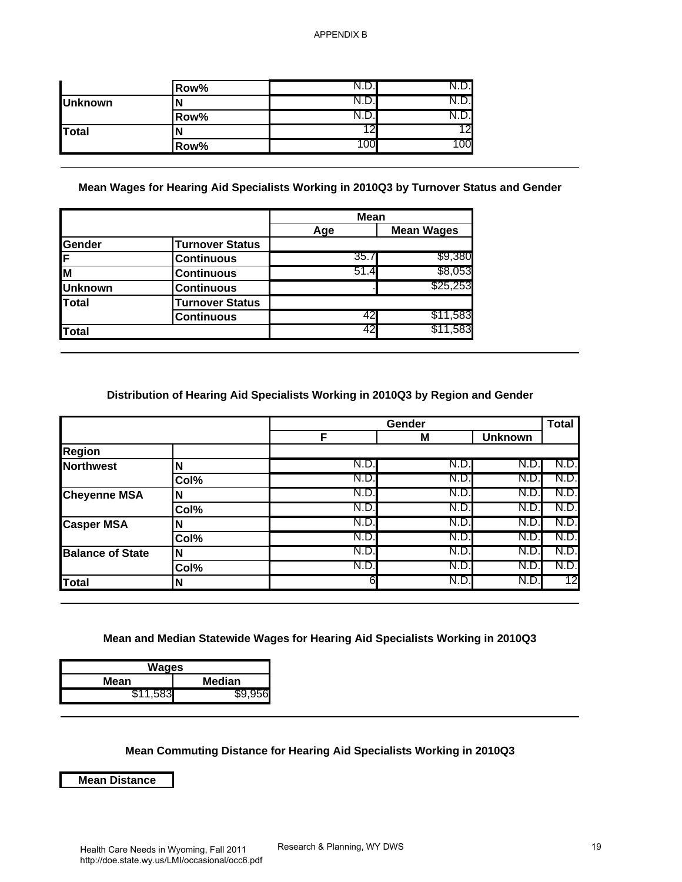|                | Row% |           |    |
|----------------|------|-----------|----|
| <b>Unknown</b> |      |           |    |
|                | Row% |           |    |
| Total          |      |           | 12 |
|                | Row% | <b>UU</b> | OO |

### **Mean Wages for Hearing Aid Specialists Working in 2010Q3 by Turnover Status and Gender**

|                |                        | <b>Mean</b> |                   |
|----------------|------------------------|-------------|-------------------|
|                |                        | Age         | <b>Mean Wages</b> |
| Gender         | <b>Turnover Status</b> |             |                   |
| F              | <b>Continuous</b>      | 35.7        | \$9,380           |
| M              | <b>Continuous</b>      | 51.4        | \$8,053           |
| <b>Unknown</b> | <b>Continuous</b>      |             | \$25,253          |
| Total          | <b>Turnover Status</b> |             |                   |
|                | <b>Continuous</b>      | 42          | \$11,583          |
| <b>Total</b>   |                        | 42          | \$11,583          |

### **Distribution of Hearing Aid Specialists Working in 2010Q3 by Region and Gender**

| N.D.<br>N.D.<br>Row%<br>N.D.<br>N.D.<br><b>Unknown</b><br>N<br>N.D.<br>N.D.<br>Row%<br>12<br>12<br><b>Total</b><br>N<br>100<br>100<br>Row%<br>Mean Wages for Hearing Aid Specialists Working in 2010Q3 by Turnover Status and Gender<br><b>Mean</b><br><b>Mean Wages</b><br>Age<br>Gender<br><b>Turnover Status</b><br>\$9,380<br>35.7<br>F<br><b>Continuous</b><br>51.4<br>\$8,053<br>M<br><b>Continuous</b><br>\$25,253<br><b>Unknown</b><br><b>Continuous</b><br><b>Total</b><br><b>Turnover Status</b><br>\$11,583<br>-42<br><b>Continuous</b><br>42<br>\$11,583<br><b>Total</b><br>Distribution of Hearing Aid Specialists Working in 2010Q3 by Region and Gender<br><b>Total</b><br>Gender<br>F<br><b>Unknown</b><br>M |
|------------------------------------------------------------------------------------------------------------------------------------------------------------------------------------------------------------------------------------------------------------------------------------------------------------------------------------------------------------------------------------------------------------------------------------------------------------------------------------------------------------------------------------------------------------------------------------------------------------------------------------------------------------------------------------------------------------------------------|
|                                                                                                                                                                                                                                                                                                                                                                                                                                                                                                                                                                                                                                                                                                                              |
|                                                                                                                                                                                                                                                                                                                                                                                                                                                                                                                                                                                                                                                                                                                              |
|                                                                                                                                                                                                                                                                                                                                                                                                                                                                                                                                                                                                                                                                                                                              |
|                                                                                                                                                                                                                                                                                                                                                                                                                                                                                                                                                                                                                                                                                                                              |
|                                                                                                                                                                                                                                                                                                                                                                                                                                                                                                                                                                                                                                                                                                                              |
|                                                                                                                                                                                                                                                                                                                                                                                                                                                                                                                                                                                                                                                                                                                              |
|                                                                                                                                                                                                                                                                                                                                                                                                                                                                                                                                                                                                                                                                                                                              |
| Region                                                                                                                                                                                                                                                                                                                                                                                                                                                                                                                                                                                                                                                                                                                       |
| N.D.<br>N.D.<br>N.D.<br>N.D.<br><b>Northwest</b><br>N                                                                                                                                                                                                                                                                                                                                                                                                                                                                                                                                                                                                                                                                        |
| N.D<br>N.D.<br>N.D.<br>N.D.<br>Col%                                                                                                                                                                                                                                                                                                                                                                                                                                                                                                                                                                                                                                                                                          |
| N.D.<br>N.D.<br>N.D.<br>N.D.<br><b>Cheyenne MSA</b><br>N                                                                                                                                                                                                                                                                                                                                                                                                                                                                                                                                                                                                                                                                     |
| N.D.<br>N.D.<br>N.D.<br>N.D<br>Col%                                                                                                                                                                                                                                                                                                                                                                                                                                                                                                                                                                                                                                                                                          |
| N.D.<br>N.D.<br>N.D.<br>N.D.<br>N<br><b>Casper MSA</b>                                                                                                                                                                                                                                                                                                                                                                                                                                                                                                                                                                                                                                                                       |
| N.D.<br>N.D.<br>N.D.<br>N.D.<br>Col%                                                                                                                                                                                                                                                                                                                                                                                                                                                                                                                                                                                                                                                                                         |
| N.D.<br>N.D.<br>N.D.<br>N.D.<br><b>Balance of State</b><br>N                                                                                                                                                                                                                                                                                                                                                                                                                                                                                                                                                                                                                                                                 |
| N.D.<br>N.D.<br>N.D.<br>N.D.<br>Col%                                                                                                                                                                                                                                                                                                                                                                                                                                                                                                                                                                                                                                                                                         |
| 6<br>N.D.<br>N.D.<br><b>Total</b><br>N                                                                                                                                                                                                                                                                                                                                                                                                                                                                                                                                                                                                                                                                                       |

### **Mean and Median Statewide Wages for Hearing Aid Specialists Working in 2010Q3**

| Wages    |        |
|----------|--------|
| Mean     | Median |
| \$11,583 | S9 956 |

### **Mean Commuting Distance for Hearing Aid Specialists Working in 2010Q3**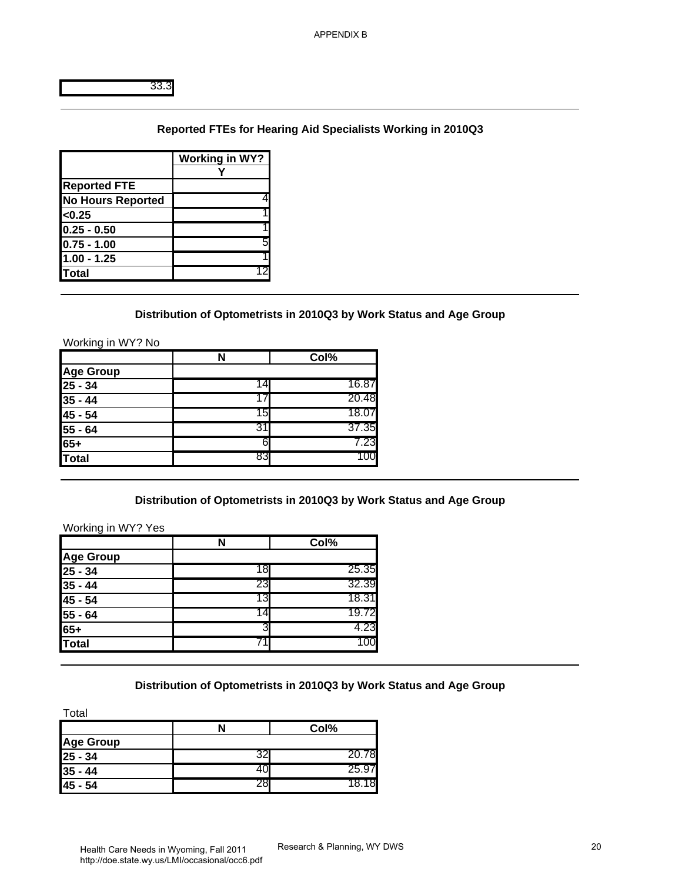# **Reported FTEs for Hearing Aid Specialists Working in 2010Q3**

|                          | <b>Working in WY?</b> |
|--------------------------|-----------------------|
|                          |                       |
| <b>Reported FTE</b>      |                       |
| <b>No Hours Reported</b> |                       |
| $0.25$                   |                       |
| $0.25 - 0.50$            |                       |
| $0.75 - 1.00$            | 5                     |
| $1.00 - 1.25$            |                       |
| <b>Total</b>             |                       |

#### **Distribution of Optometrists in 2010Q3 by Work Status and Age Group**

| 33.3<br><b>Reported FTE</b><br><b>No Hours Reported</b><br>< 0.25<br>$0.25 - 0.50$<br>$0.75 - 1.00$<br>$1.00 - 1.25$<br><b>Total</b><br>Working in WY? No<br>Age Group<br>25 - 34<br>$35 - 44$<br>45 - 54<br>$\overline{55}$ - 64<br>$65+$<br><b>Total</b> | <b>Working in WY?</b><br>Y<br>4<br>5<br>12<br>N<br>14<br>17<br>15<br>31<br>6 | Reported FTEs for Hearing Aid Specialists Working in 2010Q3<br>Distribution of Optometrists in 2010Q3 by Work Status and Age Group<br>Col%<br>16.87<br>20.48<br>18.07<br>37.35<br>7.23 |
|------------------------------------------------------------------------------------------------------------------------------------------------------------------------------------------------------------------------------------------------------------|------------------------------------------------------------------------------|----------------------------------------------------------------------------------------------------------------------------------------------------------------------------------------|
|                                                                                                                                                                                                                                                            |                                                                              |                                                                                                                                                                                        |
|                                                                                                                                                                                                                                                            |                                                                              |                                                                                                                                                                                        |
|                                                                                                                                                                                                                                                            |                                                                              |                                                                                                                                                                                        |
|                                                                                                                                                                                                                                                            |                                                                              |                                                                                                                                                                                        |
|                                                                                                                                                                                                                                                            |                                                                              |                                                                                                                                                                                        |
|                                                                                                                                                                                                                                                            |                                                                              |                                                                                                                                                                                        |
|                                                                                                                                                                                                                                                            |                                                                              |                                                                                                                                                                                        |
|                                                                                                                                                                                                                                                            |                                                                              |                                                                                                                                                                                        |
|                                                                                                                                                                                                                                                            |                                                                              |                                                                                                                                                                                        |
|                                                                                                                                                                                                                                                            |                                                                              |                                                                                                                                                                                        |
|                                                                                                                                                                                                                                                            |                                                                              |                                                                                                                                                                                        |
|                                                                                                                                                                                                                                                            |                                                                              |                                                                                                                                                                                        |
|                                                                                                                                                                                                                                                            |                                                                              |                                                                                                                                                                                        |
|                                                                                                                                                                                                                                                            |                                                                              |                                                                                                                                                                                        |
|                                                                                                                                                                                                                                                            |                                                                              |                                                                                                                                                                                        |
|                                                                                                                                                                                                                                                            |                                                                              |                                                                                                                                                                                        |
|                                                                                                                                                                                                                                                            |                                                                              |                                                                                                                                                                                        |
|                                                                                                                                                                                                                                                            |                                                                              |                                                                                                                                                                                        |
|                                                                                                                                                                                                                                                            |                                                                              |                                                                                                                                                                                        |
|                                                                                                                                                                                                                                                            |                                                                              |                                                                                                                                                                                        |
|                                                                                                                                                                                                                                                            |                                                                              |                                                                                                                                                                                        |
|                                                                                                                                                                                                                                                            |                                                                              |                                                                                                                                                                                        |
|                                                                                                                                                                                                                                                            | 83                                                                           | 100                                                                                                                                                                                    |
|                                                                                                                                                                                                                                                            |                                                                              | Distribution of Optometrists in 2010Q3 by Work Status and Age Group                                                                                                                    |
| Working in WY? Yes                                                                                                                                                                                                                                         |                                                                              |                                                                                                                                                                                        |
|                                                                                                                                                                                                                                                            | N                                                                            | Col%                                                                                                                                                                                   |
| <b>Age Group</b>                                                                                                                                                                                                                                           |                                                                              |                                                                                                                                                                                        |
| $25 - 34$                                                                                                                                                                                                                                                  | 18                                                                           | 25.35                                                                                                                                                                                  |
| $\frac{1}{35 - 44}$<br>45 - 54                                                                                                                                                                                                                             | 23                                                                           | 32.39                                                                                                                                                                                  |
|                                                                                                                                                                                                                                                            | 13                                                                           | 18.31                                                                                                                                                                                  |
| $55 - 64$                                                                                                                                                                                                                                                  | 14                                                                           | 19.72                                                                                                                                                                                  |
| $65+$                                                                                                                                                                                                                                                      | 3                                                                            | 4.23                                                                                                                                                                                   |
| <b>Total</b>                                                                                                                                                                                                                                               | 71                                                                           | 100                                                                                                                                                                                    |
|                                                                                                                                                                                                                                                            |                                                                              |                                                                                                                                                                                        |
|                                                                                                                                                                                                                                                            |                                                                              | Distribution of Optometrists in 2010Q3 by Work Status and Age Group                                                                                                                    |
|                                                                                                                                                                                                                                                            |                                                                              |                                                                                                                                                                                        |
| Total                                                                                                                                                                                                                                                      |                                                                              |                                                                                                                                                                                        |
|                                                                                                                                                                                                                                                            | N                                                                            | Col%                                                                                                                                                                                   |
| <b>Age Group</b>                                                                                                                                                                                                                                           |                                                                              |                                                                                                                                                                                        |
| $25 - 34$                                                                                                                                                                                                                                                  | 32                                                                           | 20.78                                                                                                                                                                                  |
| $35 - 44$                                                                                                                                                                                                                                                  | 40                                                                           | 25.97                                                                                                                                                                                  |
| $45 - 54$                                                                                                                                                                                                                                                  | 28                                                                           | 18.18                                                                                                                                                                                  |

### **Distribution of Optometrists in 2010Q3 by Work Status and Age Group**

|                  | N  | Col%  |
|------------------|----|-------|
| <b>Age Group</b> |    |       |
| $25 - 34$        | 18 | 25.35 |
| $35 - 44$        | 23 | 32.39 |
| $45 - 54$        | 13 | 18.31 |
| $55 - 64$        | 4  | 19.72 |
| 65+              |    | 4.23  |
| Total            |    | 00    |

#### **Distribution of Optometrists in 2010Q3 by Work Status and Age Group**

|                  | Col%  |
|------------------|-------|
| <b>Age Group</b> |       |
| $25 - 34$        | 78    |
| $35 - 44$        | 25.97 |
| 45 - 54          | 18    |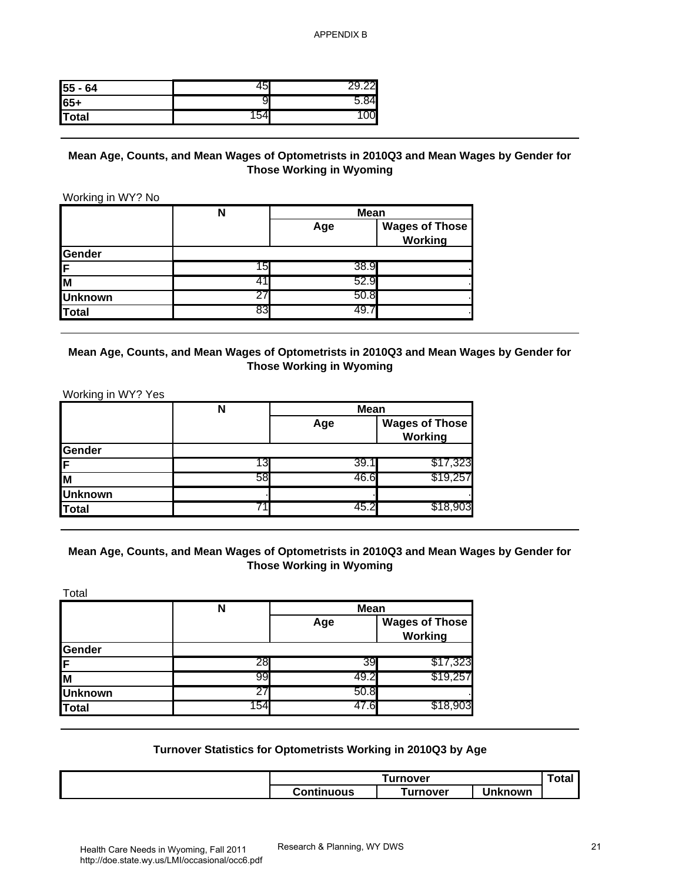| 55 - 64 | ς |  |
|---------|---|--|
| 65+     |   |  |
| Total   |   |  |

### **Mean Age, Counts, and Mean Wages of Optometrists in 2010Q3 and Mean Wages by Gender for Those Working in Wyoming**

| $55 - 64$                                          | 45                                                            | 29.22                                          |                                                                                         |              |
|----------------------------------------------------|---------------------------------------------------------------|------------------------------------------------|-----------------------------------------------------------------------------------------|--------------|
| $65+$                                              | 9                                                             | 5.84                                           |                                                                                         |              |
| <b>Total</b>                                       | 154                                                           | 100                                            |                                                                                         |              |
|                                                    |                                                               |                                                |                                                                                         |              |
| Working in WY? No                                  |                                                               | <b>Those Working in Wyoming</b>                | Mean Age, Counts, and Mean Wages of Optometrists in 2010Q3 and Mean Wages by Gender for |              |
|                                                    | $\overline{\mathsf{N}}$                                       | <b>Mean</b>                                    |                                                                                         |              |
|                                                    |                                                               | Age                                            | <b>Wages of Those</b><br><b>Working</b>                                                 |              |
| Gender                                             |                                                               |                                                |                                                                                         |              |
| F                                                  | 15                                                            | 38.9                                           |                                                                                         |              |
| $\overline{\mathsf{M}}$                            | 41                                                            | 52.9                                           |                                                                                         |              |
| <b>Unknown</b>                                     | 27                                                            | 50.8                                           |                                                                                         |              |
| <b>Total</b>                                       | 83                                                            | 49.7                                           |                                                                                         |              |
|                                                    |                                                               | Age                                            | <b>Wages of Those</b>                                                                   |              |
|                                                    |                                                               |                                                | <b>Working</b>                                                                          |              |
|                                                    | 13                                                            | 39.1                                           |                                                                                         |              |
|                                                    | 58                                                            | 46.6                                           | \$17,323<br>\$19,257                                                                    |              |
|                                                    |                                                               |                                                |                                                                                         |              |
| Gender<br>F<br>M<br><b>Unknown</b><br><b>Total</b> | 71                                                            | 45.2                                           | \$18,903                                                                                |              |
| Total                                              | N                                                             | <b>Those Working in Wyoming</b><br><b>Mean</b> | Mean Age, Counts, and Mean Wages of Optometrists in 2010Q3 and Mean Wages by Gender for |              |
|                                                    |                                                               | Age                                            | <b>Wages of Those</b>                                                                   |              |
|                                                    |                                                               |                                                | <b>Working</b>                                                                          |              |
|                                                    |                                                               |                                                |                                                                                         |              |
|                                                    | 28                                                            | 39                                             | \$17,323                                                                                |              |
|                                                    | 99                                                            | 49.2                                           | \$19,257                                                                                |              |
|                                                    | 27                                                            | 50.8                                           |                                                                                         |              |
|                                                    | 154                                                           | 47.6                                           | \$18,903                                                                                |              |
|                                                    | Turnover Statistics for Optometrists Working in 2010Q3 by Age |                                                |                                                                                         |              |
| Gender<br>F<br>M<br><b>Unknown</b><br><b>Total</b> |                                                               |                                                | <b>Turnover</b>                                                                         | <b>Total</b> |

|                | N  | <b>Mean</b> |                                  |
|----------------|----|-------------|----------------------------------|
|                |    | Age         | <b>Wages of Those</b><br>Working |
| Gender         |    |             |                                  |
| ΙF             | 13 | 39.1        | \$17,323                         |
| lм             | 58 | 46.6        | \$19,257                         |
| <b>Unknown</b> |    |             |                                  |
| Total          |    | 45.         | \$18,903                         |

## **Mean Age, Counts, and Mean Wages of Optometrists in 2010Q3 and Mean Wages by Gender for Those Working in Wyoming**

| Total          |     |             |                                  |
|----------------|-----|-------------|----------------------------------|
|                | N   | <b>Mean</b> |                                  |
|                |     | Age         | <b>Wages of Those</b><br>Working |
| Gender         |     |             |                                  |
| IF.            | 28  | 39          | \$17,323                         |
| lм             | 99  | 49.2        | \$19,257                         |
| <b>Unknown</b> | 27  | 50.8        |                                  |
| Total          | 154 | 47.6        | \$18,903                         |

#### **Turnover Statistics for Optometrists Working in 2010Q3 by Age**

| <b>Turnover</b>   |          | <b>v</b> tal    |  |
|-------------------|----------|-----------------|--|
| <b>Continuous</b> | Turnover | <b>'Inknown</b> |  |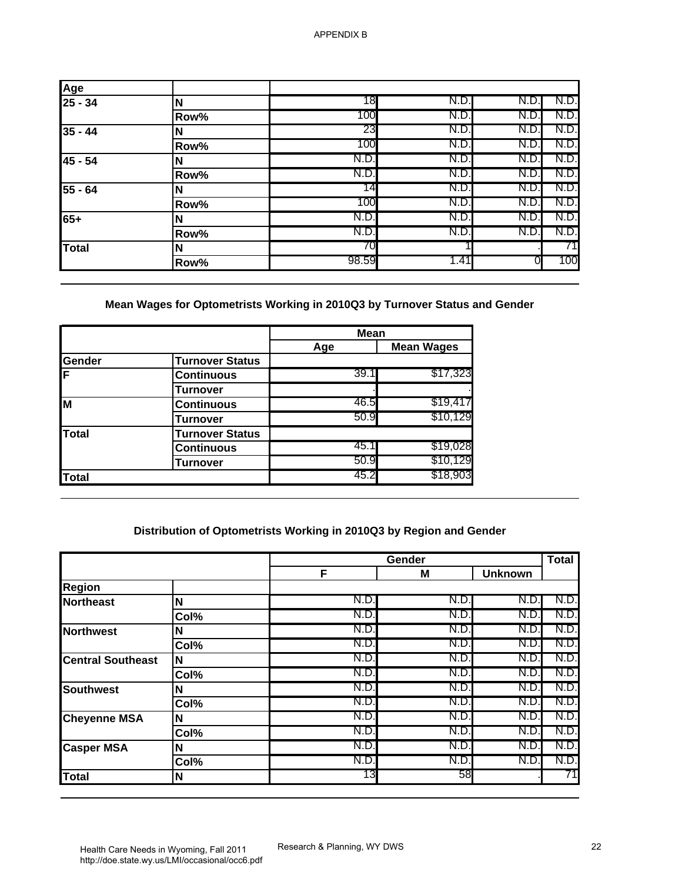| Age<br>25 - 34 | N    | 18    | N.D. | N.D  | N.D. |
|----------------|------|-------|------|------|------|
|                | Row% | 100   | N.D. | N.D. | N.D. |
| $35 - 44$      |      | 23    | N.D. | N.D. | N.D. |
|                | Row% | 100   | N.D. | N.D  | N.D. |
| 45 - 54        |      | N.D.  | N.D. | N.D  | N.D. |
|                | Row% | N.D.  | N.D. | N.D  | N.D. |
| $55 - 64$      |      | 14    | N.D. | N.D. | N.D. |
|                | Row% | 100   | N.D. | N.D  | N.D. |
| $65+$          |      | N.D.  | N.D. | N.D  | N.D. |
|                | Row% | N.D.  | N.D. | N.D. | N.D. |
| Total          |      | 70    |      |      |      |
|                | Row% | 98.59 | 1.41 | 0.   | 100  |

# **Mean Wages for Optometrists Working in 2010Q3 by Turnover Status and Gender**

|               |                        | <b>Mean</b> |                   |
|---------------|------------------------|-------------|-------------------|
|               |                        | Age         | <b>Mean Wages</b> |
| <b>Gender</b> | <b>Turnover Status</b> |             |                   |
| ΙF            | <b>Continuous</b>      | 39.1        | \$17,323          |
|               | Turnover               |             |                   |
| ĪМ            | <b>Continuous</b>      | 46.5        | \$19,417          |
|               | Turnover               | 50.9        | \$10,129          |
| Total         | <b>Turnover Status</b> |             |                   |
|               | <b>Continuous</b>      | 45.1        | \$19,028          |
|               | Turnover               | 50.9        | \$10,129          |
| Total         |                        | 45.2        | \$18,903          |

# **Distribution of Optometrists Working in 2010Q3 by Region and Gender**

| Age                                                                                                                                                               |                                                                     |             |                      |                |              |
|-------------------------------------------------------------------------------------------------------------------------------------------------------------------|---------------------------------------------------------------------|-------------|----------------------|----------------|--------------|
| $25 - 34$                                                                                                                                                         | N                                                                   | 18          | N.D.                 | N.D            | N.D          |
|                                                                                                                                                                   | Row%                                                                | 100         | N.D.                 | N.D.           | N.D          |
| $35 - 44$                                                                                                                                                         | N                                                                   | 23          | N.D.                 | N.D.           | N.D.         |
|                                                                                                                                                                   | Row%                                                                | 100         | N.D.                 | N.D.           | N.D.         |
| 45 - 54                                                                                                                                                           | N                                                                   | N.D.        | N.D.                 | N.D.           | N.D.         |
|                                                                                                                                                                   | Row%                                                                | N.D.        | N.D.                 | N.D.           | N.D.         |
| 55 - 64                                                                                                                                                           | N                                                                   | 14          | N.D.                 | N.D.           | N.D          |
|                                                                                                                                                                   | Row%                                                                | 100         | N.D.                 | N.D.           | N.D.         |
| $65+$                                                                                                                                                             | N                                                                   | N.D         | N.D.                 | N.D.           | N.D.         |
|                                                                                                                                                                   | Row%                                                                | N.D         | N.D.                 | N.D.           | N.D          |
| <b>Total</b>                                                                                                                                                      | N                                                                   | 70          |                      |                | 71           |
|                                                                                                                                                                   | Row%                                                                | 98.59       | 1.41                 | 0              | 100          |
|                                                                                                                                                                   |                                                                     | Mean<br>Age | <b>Mean Wages</b>    |                |              |
| Gender                                                                                                                                                            | <b>Turnover Status</b>                                              |             |                      |                |              |
| F                                                                                                                                                                 | <b>Continuous</b>                                                   | 39.1        | \$17,323             |                |              |
|                                                                                                                                                                   | <b>Turnover</b>                                                     | 46.5        |                      |                |              |
| M                                                                                                                                                                 | <b>Continuous</b>                                                   | 50.9        | \$19,417<br>\$10,129 |                |              |
|                                                                                                                                                                   | <b>Turnover</b>                                                     |             |                      |                |              |
| <b>Total</b>                                                                                                                                                      | <b>Turnover Status</b>                                              | 45.1        | \$19,028             |                |              |
|                                                                                                                                                                   | <b>Continuous</b>                                                   |             |                      |                |              |
|                                                                                                                                                                   |                                                                     |             |                      |                |              |
|                                                                                                                                                                   | <b>Turnover</b>                                                     | 50.9        | \$10,129             |                |              |
| <b>Total</b>                                                                                                                                                      |                                                                     | 45.2        | \$18,903             |                |              |
|                                                                                                                                                                   | Distribution of Optometrists Working in 2010Q3 by Region and Gender |             | Gender               |                | <b>Total</b> |
|                                                                                                                                                                   |                                                                     | F           | M                    | <b>Unknown</b> |              |
|                                                                                                                                                                   |                                                                     |             |                      |                |              |
|                                                                                                                                                                   | $\mathbf N$                                                         | N.D.        | N.D.                 | N.D.           | N.D          |
|                                                                                                                                                                   | Col%                                                                | N.D.        | N.D.                 | N.D.           | N.D.         |
|                                                                                                                                                                   | N                                                                   | N.D         | N.D.                 | N.D.           | N.D.         |
|                                                                                                                                                                   | $\overline{\text{Col}}\%$                                           | N.D.        | N.D.                 | N.D.           | N.D.         |
|                                                                                                                                                                   | N                                                                   | N.D.        | N.D.                 | N.D.           | N.D.         |
|                                                                                                                                                                   | Col%                                                                | N.D.        | N.D.                 | N.D.           | N.D.         |
|                                                                                                                                                                   | N                                                                   | N.D.        | N.D.                 | N.D.           | N.D.         |
|                                                                                                                                                                   | Col%                                                                | N.D.        | N.D.                 | N.D.           | N.D.         |
|                                                                                                                                                                   | N                                                                   | N.D.        | N.D.                 | N.D.           | N.D.         |
|                                                                                                                                                                   | Col%                                                                | N.D.<br>N.D | N.D.                 | N.D.           | N.D.         |
|                                                                                                                                                                   | $\mathbf N$                                                         | N.D.        | N.D.<br>N.D.         | N.D.<br>N.D.   | N.D.<br>N.D. |
| <b>Region</b><br><b>Northeast</b><br><b>Northwest</b><br><b>Central Southeast</b><br><b>Southwest</b><br><b>Cheyenne MSA</b><br><b>Casper MSA</b><br><b>Total</b> | Col%<br>N                                                           | 13          | 58                   |                | 71           |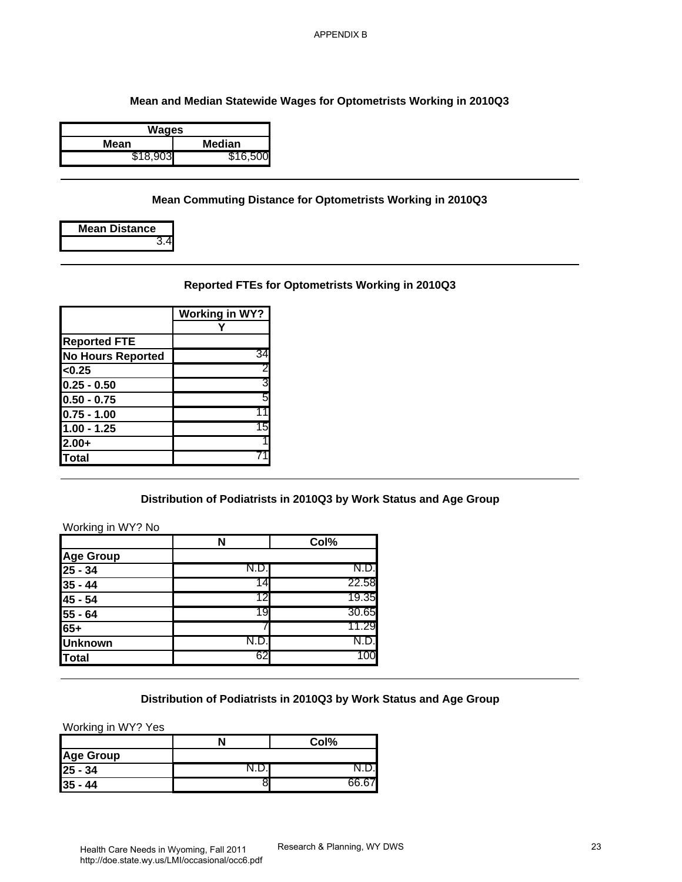### **Mean and Median Statewide Wages for Optometrists Working in 2010Q3**

| Wages    |          |  |  |
|----------|----------|--|--|
| Mean     | Median   |  |  |
| \$18,903 | \$16,500 |  |  |

### **Mean Commuting Distance for Optometrists Working in 2010Q3**

| <b>Mean Distance</b> |
|----------------------|
| 3.4                  |

# **Reported FTEs for Optometrists Working in 2010Q3**

|                          | <b>Working in WY?</b> |
|--------------------------|-----------------------|
|                          |                       |
| <b>Reported FTE</b>      |                       |
| <b>No Hours Reported</b> | 34                    |
| < 0.25                   | $\overline{c}$        |
| $0.25 - 0.50$            | 3                     |
| $0.50 - 0.75$            | 5                     |
| $0.75 - 1.00$            | 11                    |
| $1.00 - 1.25$            | 15                    |
| $2.00+$                  |                       |
| Total                    |                       |

## **Distribution of Podiatrists in 2010Q3 by Work Status and Age Group**

#### Working in WY? No

|                          |                                                                    | <b>APPENDIX B</b>           |    |
|--------------------------|--------------------------------------------------------------------|-----------------------------|----|
|                          |                                                                    |                             |    |
|                          |                                                                    |                             |    |
|                          | Mean and Median Statewide Wages for Optometrists Working in 2010Q3 |                             |    |
|                          | <b>Wages</b>                                                       |                             |    |
| <b>Mean</b>              | <b>Median</b>                                                      |                             |    |
| \$18,903                 | \$16,500                                                           |                             |    |
|                          | Mean Commuting Distance for Optometrists Working in 2010Q3         |                             |    |
| <b>Mean Distance</b>     |                                                                    |                             |    |
|                          | 3.4                                                                |                             |    |
|                          | Reported FTEs for Optometrists Working in 2010Q3                   |                             |    |
|                          | <b>Working in WY?</b>                                              |                             |    |
|                          | Y                                                                  |                             |    |
| <b>Reported FTE</b>      |                                                                    |                             |    |
| <b>No Hours Reported</b> | 34                                                                 |                             |    |
| <0.25                    | 2                                                                  |                             |    |
| $0.25 - 0.50$            | 3                                                                  |                             |    |
| $0.50 - 0.75$            | 5                                                                  |                             |    |
| $0.75 - 1.00$            | 11                                                                 |                             |    |
| $1.00 - 1.25$            | 15                                                                 |                             |    |
| $2.00+$                  |                                                                    |                             |    |
| <b>Total</b>             |                                                                    |                             |    |
|                          | Distribution of Podiatrists in 2010Q3 by Work Status and Age Group |                             |    |
| Working in WY? No        |                                                                    |                             |    |
|                          | N                                                                  | Col%                        |    |
| <b>Age Group</b>         |                                                                    |                             |    |
| $25 - 34$                | N.D.                                                               | N.D.                        |    |
| $35 - 44$                | 14                                                                 | 22.58                       |    |
| $45 - 54$                | 12                                                                 | 19.35                       |    |
| $55 - 64$                | 19                                                                 | 30.65                       |    |
| $65+$                    |                                                                    | 11.29                       |    |
| <b>Unknown</b>           | N.D.                                                               | N.D.                        |    |
| <b>Total</b>             | 62                                                                 | 100                         |    |
|                          |                                                                    |                             |    |
|                          | Distribution of Podiatrists in 2010Q3 by Work Status and Age Group |                             |    |
| Working in WY? Yes       |                                                                    |                             |    |
| <b>Age Group</b>         | N                                                                  | Col%                        |    |
| $25 - 34$                | N.D.                                                               | N.D.                        |    |
| $35 - 44$                | 8                                                                  | 66.67                       |    |
|                          |                                                                    |                             |    |
|                          |                                                                    |                             |    |
|                          |                                                                    |                             |    |
|                          |                                                                    |                             |    |
|                          | Health Care Needs in Wyoming Fall 2011                             | Research & Planning, WY DWS | 23 |

## **Distribution of Podiatrists in 2010Q3 by Work Status and Age Group**

|                  | Col% |
|------------------|------|
| <b>Age Group</b> |      |
| $25 - 34$        |      |
| $35 - 44$        |      |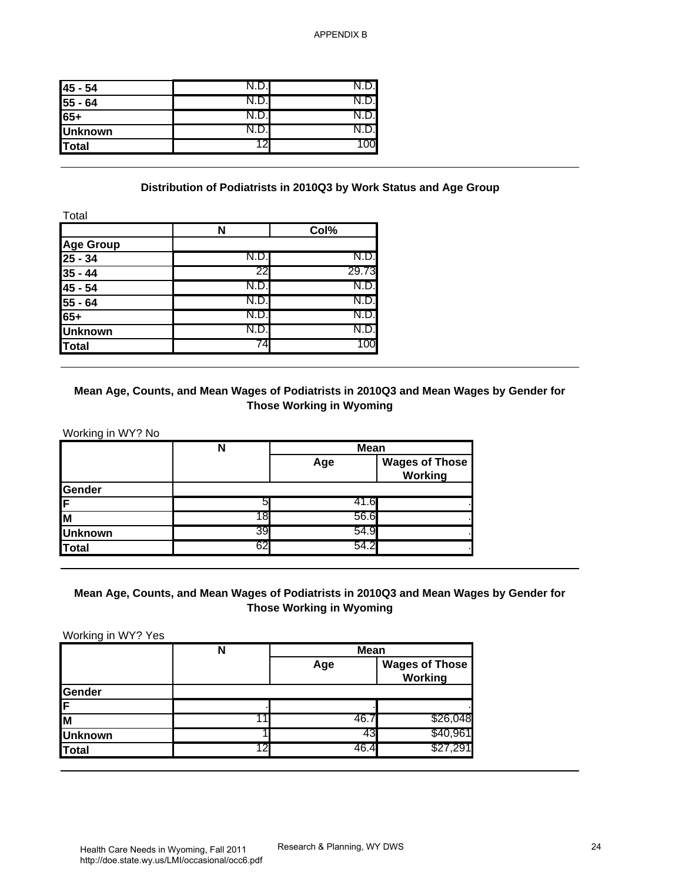| 45 - 54        | $\mathsf{N}.\mathsf{D}$ |    |
|----------------|-------------------------|----|
| $55 - 64$      |                         |    |
| 65+            | N.D.I                   |    |
| <b>Unknown</b> |                         |    |
| Total          |                         | )0 |

### **Distribution of Podiatrists in 2010Q3 by Work Status and Age Group**

|                  | N    | Col%  |
|------------------|------|-------|
| <b>Age Group</b> |      |       |
| $25 - 34$        | N.D. | N.D.  |
| $35 - 44$        | 22   | 29.73 |
| 45 - 54          | N.D. | N.D.  |
| 55 - 64          | N.D. | N.D.  |
| 65+              | N.D. | N.D.  |
| <b>Unknown</b>   | N.D. |       |
| Total            | 74   |       |

## **Mean Age, Counts, and Mean Wages of Podiatrists in 2010Q3 and Mean Wages by Gender for Those Working in Wyoming**

|                | N  | <b>Mean</b> |                                  |
|----------------|----|-------------|----------------------------------|
|                |    | Age         | <b>Wages of Those</b><br>Working |
| Gender         |    |             |                                  |
| İΕ             |    |             | 41.6                             |
| M              |    | 56.6        |                                  |
| <b>Unknown</b> | 39 | 54.9        |                                  |
| Total          | 62 | 54.2        |                                  |

## **Mean Age, Counts, and Mean Wages of Podiatrists in 2010Q3 and Mean Wages by Gender for Those Working in Wyoming**

| 45 - 54                                                                                                | N.D.                                                                                         | N.D.                                                         |                       |
|--------------------------------------------------------------------------------------------------------|----------------------------------------------------------------------------------------------|--------------------------------------------------------------|-----------------------|
| $55 - 64$                                                                                              | N.D.                                                                                         | N.D.                                                         |                       |
| $65+$                                                                                                  | N.D.                                                                                         | N.D.                                                         |                       |
| <b>Unknown</b>                                                                                         | N.D.                                                                                         | N.D.                                                         |                       |
| <b>Total</b>                                                                                           | 12                                                                                           | 100                                                          |                       |
| Total<br><b>Age Group</b><br>$25 - 34$<br>$35 - 44$<br>45 - 54<br>$55 - 64$<br>$65+$<br><b>Unknown</b> | N<br>N.D.<br>22<br>N.D.<br>N.D.<br>N.D.<br>N.D.                                              | Col%<br>N.D.<br>29.73<br>N.D.<br>N.D.<br>N.D.<br>N.D.<br>100 |                       |
| <b>Total</b>                                                                                           | 74<br>Mean Age, Counts, and Mean Wages of Podiatrists in 2010Q3 and Mean Wages by Gender for |                                                              |                       |
| Working in WY? No                                                                                      | N                                                                                            | <b>Those Working in Wyoming</b><br>Mean<br>Age               | <b>Wages of Those</b> |
|                                                                                                        |                                                                                              |                                                              | <b>Working</b>        |
|                                                                                                        | 5                                                                                            | 41.6                                                         |                       |
|                                                                                                        | 18                                                                                           | 56.6                                                         |                       |
|                                                                                                        | 39                                                                                           | 54.9                                                         |                       |
|                                                                                                        | 62                                                                                           | 54.2                                                         |                       |
| Gender<br>F<br>M<br><b>Unknown</b><br><b>Total</b><br>Working in WY? Yes                               | Mean Age, Counts, and Mean Wages of Podiatrists in 2010Q3 and Mean Wages by Gender for<br>N  | <b>Those Working in Wyoming</b><br><b>Mean</b><br>Age        | <b>Wages of Those</b> |
|                                                                                                        |                                                                                              |                                                              | <b>Working</b>        |
|                                                                                                        |                                                                                              |                                                              |                       |
|                                                                                                        | 11                                                                                           | 46.7                                                         | \$26,048              |
| Gender<br>M<br><b>Unknown</b><br><b>Total</b>                                                          | 12                                                                                           | 43<br>46.4                                                   | \$40,961<br>\$27,291  |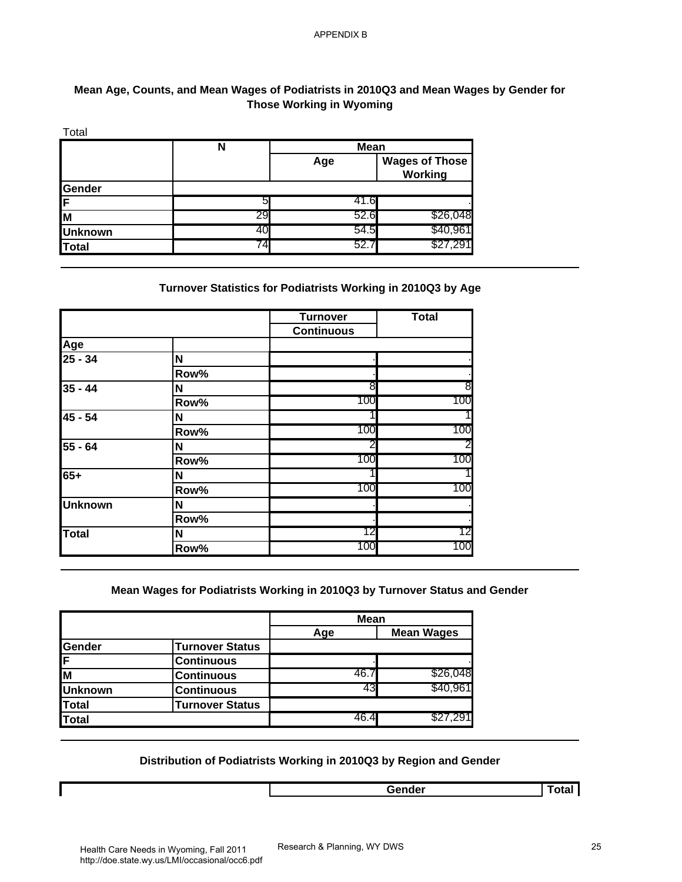## **Mean Age, Counts, and Mean Wages of Podiatrists in 2010Q3 and Mean Wages by Gender for Those Working in Wyoming**

| Total          |    |             |                                  |
|----------------|----|-------------|----------------------------------|
|                | N  | <b>Mean</b> |                                  |
|                |    | Age         | <b>Wages of Those</b><br>Working |
| Gender         |    |             |                                  |
| IF             | 5  | 41.6        |                                  |
| M              | 29 | 52.6        | \$26,048                         |
| <b>Unknown</b> | 40 | 54.5        | \$40,96                          |
| <b>Total</b>   | 74 | 52.7        | 1,29∘،                           |

## **Turnover Statistics for Podiatrists Working in 2010Q3 by Age**

|                                                                          | N<br>5<br>29<br>40                                                         | <b>Mean</b><br>Age<br>41.6 | <b>Wages of Those</b><br><b>Working</b> |
|--------------------------------------------------------------------------|----------------------------------------------------------------------------|----------------------------|-----------------------------------------|
| Gender<br>F<br>$\overline{\mathsf{M}}$<br><b>Unknown</b><br><b>Total</b> |                                                                            |                            |                                         |
|                                                                          |                                                                            |                            |                                         |
|                                                                          |                                                                            |                            |                                         |
|                                                                          |                                                                            |                            |                                         |
|                                                                          |                                                                            | 52.6                       | \$26,048                                |
|                                                                          | 74                                                                         | 54.5<br>52.7               | \$40,961<br>\$27,291                    |
|                                                                          | Turnover Statistics for Podiatrists Working in 2010Q3 by Age               |                            |                                         |
|                                                                          |                                                                            | <b>Turnover</b>            | <b>Total</b>                            |
|                                                                          |                                                                            | <b>Continuous</b>          |                                         |
| Age                                                                      |                                                                            |                            |                                         |
| $\sqrt{25 - 34}$                                                         | N                                                                          |                            |                                         |
| $35 - 44$                                                                | Row%<br>N                                                                  | 8                          | 8                                       |
|                                                                          | Row%                                                                       | 100                        | 100                                     |
| $45 - 54$                                                                | $\mathbf N$                                                                | 1                          |                                         |
|                                                                          | Row%                                                                       | 100                        | 100                                     |
| $55 - 64$                                                                | N                                                                          | 2                          |                                         |
|                                                                          | Row%                                                                       | 100                        | 100                                     |
| $65+$                                                                    | N                                                                          |                            |                                         |
|                                                                          | Row%                                                                       | 100                        | 100                                     |
| <b>Unknown</b>                                                           | N                                                                          |                            |                                         |
|                                                                          | Row%                                                                       |                            |                                         |
| <b>Total</b>                                                             | N                                                                          | 12                         |                                         |
|                                                                          | Row%                                                                       | 100                        | 100                                     |
|                                                                          | Mean Wages for Podiatrists Working in 2010Q3 by Turnover Status and Gender | <b>Mean</b>                |                                         |
|                                                                          |                                                                            |                            |                                         |
|                                                                          | <b>Turnover Status</b>                                                     | Age                        | <b>Mean Wages</b>                       |
|                                                                          | <b>Continuous</b>                                                          |                            |                                         |
|                                                                          | <b>Continuous</b>                                                          | 46.7                       | \$26,048                                |
| Gender<br>F<br>M<br><b>Unknown</b>                                       | <b>Continuous</b>                                                          | 43                         | \$40,961                                |
| <b>Total</b><br><b>Total</b>                                             | Turnover Status                                                            | 46.4                       | \$27,291                                |

### **Mean Wages for Podiatrists Working in 2010Q3 by Turnover Status and Gender**

|                |                        | <b>Mean</b> |                   |
|----------------|------------------------|-------------|-------------------|
|                |                        | Age         | <b>Mean Wages</b> |
| Gender         | <b>Turnover Status</b> |             |                   |
| [F             | <b>Continuous</b>      |             |                   |
| Īм             | <b>Continuous</b>      | 46.         | \$26,048          |
| <b>Unknown</b> | <b>Continuous</b>      |             | \$40,96           |
| <b>Total</b>   | <b>Turnover Status</b> |             |                   |
| Total          |                        | 46.4        | \$27,29           |

### **Distribution of Podiatrists Working in 2010Q3 by Region and Gender**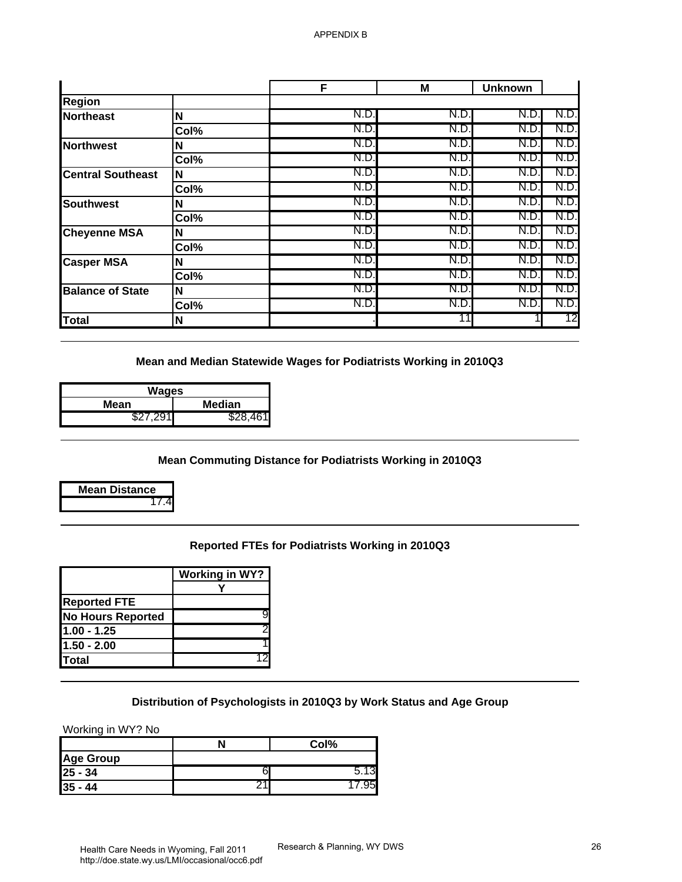| Mean and Median Statewide Wages for Podiatrists Working in 2010Q3<br>\$28,461 | N.D.<br>N.D.<br>N.D.<br>N.D<br>N.D.<br>N.D.<br>N.D.<br>N.D.<br>N.D<br>N.D.<br>N.D.<br>N.D.<br>N.D.<br>N.D | N.D.<br>N.D.<br>N.D.<br>N.D.<br>N.D.<br>N.D.<br>N.D.<br>N.D.<br>N.D.<br>N.D.<br>N.D.<br>N.D.<br>N.D.<br>N.D.<br>11 | N.D.<br>N.D<br>N.D.<br>N.D.<br>N.D.<br>N.D.<br>N.D.<br>N.D<br>N.D.<br>N.D.<br>N.D.<br>N.D.<br>N.D.<br>N.D. | N.D<br>N.D<br>N.D.<br>N.D<br>N.D.<br>N.D<br>N.D<br>N.D<br>N.D.<br>N.D<br>N.D.<br>N.D<br>N.D.<br>N.D.<br>12                               |
|-------------------------------------------------------------------------------|-----------------------------------------------------------------------------------------------------------|--------------------------------------------------------------------------------------------------------------------|------------------------------------------------------------------------------------------------------------|------------------------------------------------------------------------------------------------------------------------------------------|
|                                                                               |                                                                                                           |                                                                                                                    |                                                                                                            |                                                                                                                                          |
|                                                                               |                                                                                                           |                                                                                                                    |                                                                                                            |                                                                                                                                          |
|                                                                               |                                                                                                           |                                                                                                                    |                                                                                                            |                                                                                                                                          |
|                                                                               |                                                                                                           |                                                                                                                    |                                                                                                            |                                                                                                                                          |
|                                                                               |                                                                                                           |                                                                                                                    |                                                                                                            |                                                                                                                                          |
|                                                                               |                                                                                                           |                                                                                                                    |                                                                                                            |                                                                                                                                          |
|                                                                               |                                                                                                           |                                                                                                                    |                                                                                                            |                                                                                                                                          |
|                                                                               |                                                                                                           |                                                                                                                    |                                                                                                            |                                                                                                                                          |
|                                                                               |                                                                                                           |                                                                                                                    |                                                                                                            |                                                                                                                                          |
|                                                                               |                                                                                                           |                                                                                                                    |                                                                                                            |                                                                                                                                          |
|                                                                               |                                                                                                           |                                                                                                                    |                                                                                                            |                                                                                                                                          |
|                                                                               |                                                                                                           |                                                                                                                    |                                                                                                            |                                                                                                                                          |
|                                                                               |                                                                                                           |                                                                                                                    |                                                                                                            |                                                                                                                                          |
|                                                                               |                                                                                                           |                                                                                                                    |                                                                                                            |                                                                                                                                          |
|                                                                               |                                                                                                           |                                                                                                                    |                                                                                                            |                                                                                                                                          |
|                                                                               |                                                                                                           |                                                                                                                    |                                                                                                            |                                                                                                                                          |
|                                                                               |                                                                                                           |                                                                                                                    |                                                                                                            |                                                                                                                                          |
|                                                                               |                                                                                                           |                                                                                                                    |                                                                                                            |                                                                                                                                          |
| <b>Working in WY?</b>                                                         |                                                                                                           |                                                                                                                    |                                                                                                            |                                                                                                                                          |
|                                                                               |                                                                                                           |                                                                                                                    |                                                                                                            |                                                                                                                                          |
|                                                                               |                                                                                                           |                                                                                                                    |                                                                                                            |                                                                                                                                          |
|                                                                               |                                                                                                           |                                                                                                                    |                                                                                                            |                                                                                                                                          |
|                                                                               |                                                                                                           |                                                                                                                    |                                                                                                            |                                                                                                                                          |
|                                                                               |                                                                                                           |                                                                                                                    |                                                                                                            |                                                                                                                                          |
|                                                                               |                                                                                                           |                                                                                                                    |                                                                                                            |                                                                                                                                          |
|                                                                               |                                                                                                           |                                                                                                                    |                                                                                                            |                                                                                                                                          |
|                                                                               |                                                                                                           |                                                                                                                    |                                                                                                            |                                                                                                                                          |
|                                                                               |                                                                                                           |                                                                                                                    |                                                                                                            |                                                                                                                                          |
|                                                                               |                                                                                                           |                                                                                                                    | Reported FTEs for Podiatrists Working in 2010Q3                                                            | <b>Mean Commuting Distance for Podiatrists Working in 2010Q3</b><br>Distribution of Psychologists in 2010Q3 by Work Status and Age Group |

| Wages     |          |  |
|-----------|----------|--|
| Mean      | Median   |  |
| \$27.291∎ | \$28.461 |  |

# **Mean Commuting Distance for Podiatrists Working in 2010Q3**



## **Reported FTEs for Podiatrists Working in 2010Q3**

|                          | Working in WY? |
|--------------------------|----------------|
|                          |                |
| <b>Reported FTE</b>      |                |
| <b>No Hours Reported</b> |                |
| $1.00 - 1.25$            |                |
| 1.50 - 2.00              |                |
| <b>Total</b>             |                |

### **Distribution of Psychologists in 2010Q3 by Work Status and Age Group**

|                  | Col% |
|------------------|------|
| <b>Age Group</b> |      |
| $25 - 34$        |      |
| $35 - 44$        |      |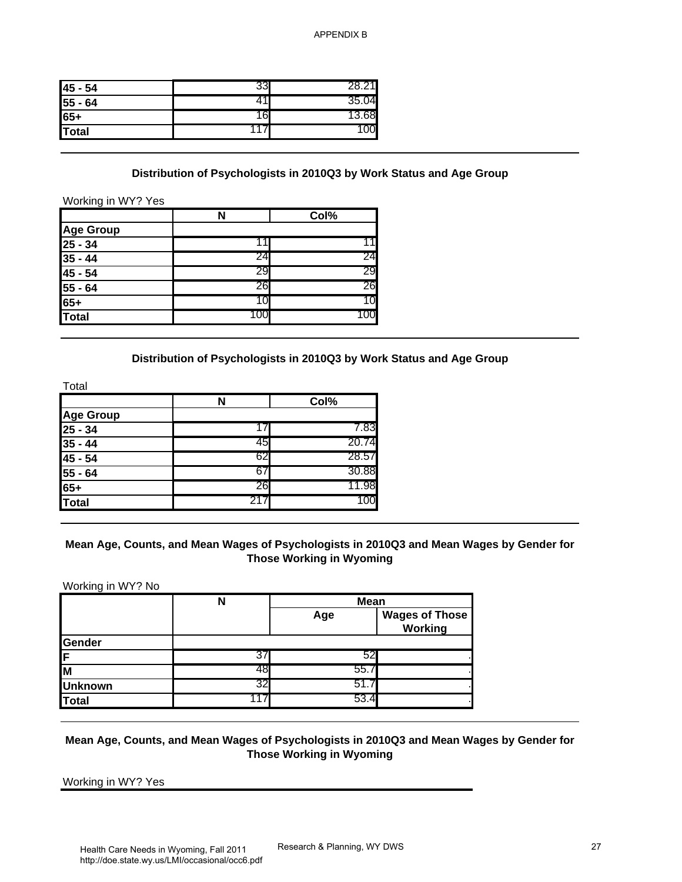| 45 - 54 | 33 | 1     |
|---------|----|-------|
| 55 - 64 |    | 35.04 |
| 65+     | 16 | 13.68 |
| Total   |    |       |

#### **Distribution of Psychologists in 2010Q3 by Work Status and Age Group**

|                                                           |     | Col% |
|-----------------------------------------------------------|-----|------|
| Age Group                                                 |     |      |
| $\frac{25 - 34}{35 - 44}$                                 |     |      |
|                                                           | 24  | 24   |
|                                                           | 29  | 29   |
|                                                           | 26  | 26   |
|                                                           | 10  |      |
| $\frac{1}{45 \cdot 54}$<br>$\frac{55 - 64}{65+}$<br>Total | 100 |      |

## **Distribution of Psychologists in 2010Q3 by Work Status and Age Group**

|                  | N   | Col%  |
|------------------|-----|-------|
| <b>Age Group</b> |     |       |
| $25 - 34$        |     | 7.83  |
| $35 - 44$        | 45  | 20.74 |
| 45 - 54          | 62  | 28.57 |
| 55 - 64          | 6   | 30.88 |
| 65+              | 26  | 11.98 |
| <b>Total</b>     | 217 | 100   |

### **Mean Age, Counts, and Mean Wages of Psychologists in 2010Q3 and Mean Wages by Gender for Those Working in Wyoming**

| 33<br>41<br>16<br>117<br>N<br>11<br>24<br>29<br>26<br>10 | 28.21<br>35.04<br>13.68<br>100<br>Col%<br>11<br>24<br>29<br>26 | Distribution of Psychologists in 2010Q3 by Work Status and Age Group |                                                                                                                                                                                                     |
|----------------------------------------------------------|----------------------------------------------------------------|----------------------------------------------------------------------|-----------------------------------------------------------------------------------------------------------------------------------------------------------------------------------------------------|
|                                                          |                                                                |                                                                      |                                                                                                                                                                                                     |
|                                                          |                                                                |                                                                      |                                                                                                                                                                                                     |
|                                                          |                                                                |                                                                      |                                                                                                                                                                                                     |
|                                                          |                                                                |                                                                      |                                                                                                                                                                                                     |
|                                                          |                                                                |                                                                      |                                                                                                                                                                                                     |
|                                                          |                                                                |                                                                      |                                                                                                                                                                                                     |
|                                                          |                                                                |                                                                      |                                                                                                                                                                                                     |
|                                                          |                                                                |                                                                      |                                                                                                                                                                                                     |
|                                                          |                                                                |                                                                      |                                                                                                                                                                                                     |
|                                                          |                                                                |                                                                      |                                                                                                                                                                                                     |
|                                                          |                                                                |                                                                      |                                                                                                                                                                                                     |
|                                                          | 10                                                             |                                                                      |                                                                                                                                                                                                     |
| 100                                                      | 100                                                            |                                                                      |                                                                                                                                                                                                     |
|                                                          |                                                                |                                                                      |                                                                                                                                                                                                     |
| N                                                        | Col%                                                           |                                                                      |                                                                                                                                                                                                     |
|                                                          |                                                                |                                                                      |                                                                                                                                                                                                     |
|                                                          |                                                                |                                                                      |                                                                                                                                                                                                     |
|                                                          |                                                                |                                                                      |                                                                                                                                                                                                     |
|                                                          |                                                                |                                                                      |                                                                                                                                                                                                     |
|                                                          |                                                                |                                                                      |                                                                                                                                                                                                     |
|                                                          |                                                                |                                                                      |                                                                                                                                                                                                     |
|                                                          |                                                                |                                                                      |                                                                                                                                                                                                     |
|                                                          |                                                                |                                                                      |                                                                                                                                                                                                     |
| N                                                        | <b>Mean</b>                                                    |                                                                      |                                                                                                                                                                                                     |
|                                                          | Age                                                            | <b>Wages of Those</b><br>Working                                     |                                                                                                                                                                                                     |
|                                                          |                                                                |                                                                      |                                                                                                                                                                                                     |
| 37                                                       | 52                                                             |                                                                      |                                                                                                                                                                                                     |
| 48                                                       | 55.7                                                           |                                                                      |                                                                                                                                                                                                     |
| 32<br>117                                                | 51.7<br>53.4                                                   |                                                                      |                                                                                                                                                                                                     |
|                                                          | 17<br>45<br>62<br>67<br>26<br>217                              | 7.83<br>20.74<br>28.57<br>30.88<br>11.98<br>100                      | Distribution of Psychologists in 2010Q3 by Work Status and Age Group<br>Mean Age, Counts, and Mean Wages of Psychologists in 2010Q3 and Mean Wages by Gender for<br><b>Those Working in Wyoming</b> |

## **Mean Age, Counts, and Mean Wages of Psychologists in 2010Q3 and Mean Wages by Gender for Those Working in Wyoming**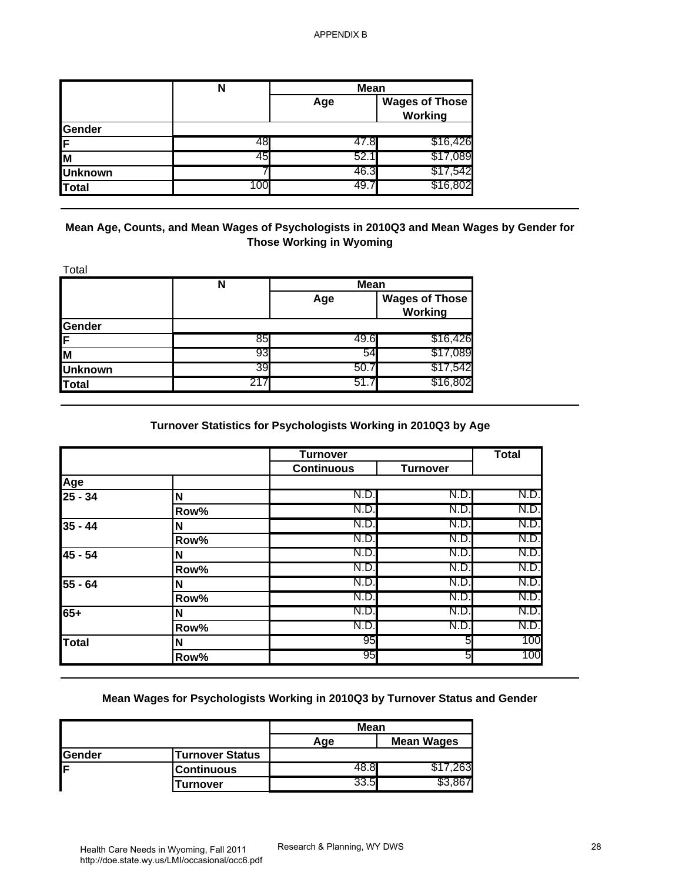|                | N   | <b>Mean</b> |                                  |  |
|----------------|-----|-------------|----------------------------------|--|
|                |     | Age         | <b>Wages of Those</b><br>Working |  |
| <b>Sender</b>  |     |             |                                  |  |
| IF             | 48  | 47.8        | \$16,426                         |  |
| IΜ             | 45  | 52.1        | \$17,089                         |  |
| <b>Unknown</b> |     | 46.3        | \$17,542                         |  |
| <b>Total</b>   | 100 | 49.,        | \$16,802                         |  |

|                | N   | <b>Mean</b> |                                  |
|----------------|-----|-------------|----------------------------------|
|                |     | Age         | <b>Wages of Those</b><br>Working |
| Gender         |     |             |                                  |
| IF             | 85  | 49.6        | \$16,426                         |
| M              | 93  | 54          | \$17,089                         |
| <b>Unknown</b> | 39  | 50.7        | \$17,542                         |
| <b>Total</b>   | 217 | 51.7        | \$16,802                         |

# **Turnover Statistics for Psychologists Working in 2010Q3 by Age**

| Gender<br>F<br>M<br><b>Unknown</b><br><b>Total</b><br>Mean Age, Counts, and Mean Wages of Psychologists in 2010Q3 and Mean Wages by Gender for | 48<br>45<br>100 | Age<br>47.8<br>52.1<br>46.3<br>49.7 | <b>Wages of Those</b><br><b>Working</b><br>\$16,426<br>\$17,089<br>\$17,542<br>\$16,802 |                                      |
|------------------------------------------------------------------------------------------------------------------------------------------------|-----------------|-------------------------------------|-----------------------------------------------------------------------------------------|--------------------------------------|
|                                                                                                                                                |                 |                                     |                                                                                         |                                      |
|                                                                                                                                                |                 |                                     |                                                                                         |                                      |
|                                                                                                                                                |                 |                                     |                                                                                         |                                      |
|                                                                                                                                                |                 |                                     |                                                                                         |                                      |
|                                                                                                                                                |                 |                                     |                                                                                         |                                      |
|                                                                                                                                                |                 |                                     |                                                                                         |                                      |
| Total                                                                                                                                          |                 | <b>Those Working in Wyoming</b>     |                                                                                         |                                      |
| N                                                                                                                                              |                 | <b>Mean</b>                         |                                                                                         |                                      |
|                                                                                                                                                |                 | Age                                 | <b>Wages of Those</b><br><b>Working</b>                                                 |                                      |
| Gender                                                                                                                                         | 85              | 49.6                                | \$16,426                                                                                |                                      |
| F                                                                                                                                              | 93              | 54                                  | \$17,089                                                                                |                                      |
| M<br><b>Unknown</b>                                                                                                                            | 39              | 50.7                                | \$17,542                                                                                |                                      |
| <b>Total</b>                                                                                                                                   | 217             | 51.7                                | \$16,802                                                                                |                                      |
|                                                                                                                                                |                 |                                     |                                                                                         |                                      |
|                                                                                                                                                |                 | <b>Turnover</b>                     | Turnover Statistics for Psychologists Working in 2010Q3 by Age                          | <b>Total</b>                         |
|                                                                                                                                                |                 | <b>Continuous</b>                   | <b>Turnover</b>                                                                         |                                      |
| N                                                                                                                                              |                 | N.D.                                | N.D.                                                                                    |                                      |
| Row%                                                                                                                                           |                 | N.D.                                | N.D.                                                                                    |                                      |
| N                                                                                                                                              |                 | N.D.                                | N.D.                                                                                    |                                      |
| Row%                                                                                                                                           |                 | N.D.                                | N.D.                                                                                    |                                      |
| N                                                                                                                                              |                 | N.D.                                | N.D.                                                                                    | N.D.<br>N.D.<br>N.D.<br>N.D.<br>N.D. |
| Row%                                                                                                                                           |                 | N.D.                                | N.D.                                                                                    | N.D.                                 |
| N                                                                                                                                              |                 | N.D.                                | N.D.                                                                                    | N.D.                                 |
| Row%                                                                                                                                           |                 | N.D.                                | N.D.                                                                                    | N.D.                                 |
| N                                                                                                                                              |                 | N.D<br>N.D.                         | N.D.<br>N.D.                                                                            | N.D.<br>N.D.                         |
| Age<br>$25 - 34$<br>$35 - 44$<br>$45 - 54$<br>55 - 64<br>$65+$<br>Row%<br><b>Total</b><br>N                                                    |                 | 95                                  | 5                                                                                       | 100                                  |

# **Mean Wages for Psychologists Working in 2010Q3 by Turnover Status and Gender**

|               |                        | Mean |                   |
|---------------|------------------------|------|-------------------|
|               |                        | Aqe  | <b>Mean Wages</b> |
| <b>Sender</b> | <b>Turnover Status</b> |      |                   |
| IF            | Continuous             |      | 63.               |
|               | Turnover               | 33.5 |                   |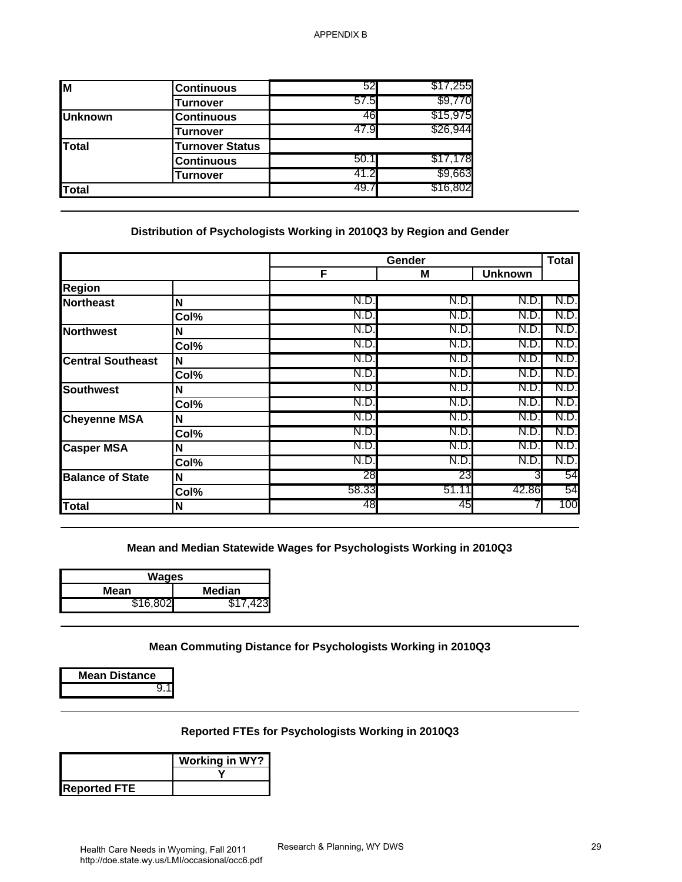| <b>Continuous</b>      | 52   | \$17,255 |
|------------------------|------|----------|
| <b>Turnover</b>        | 57.5 | \$9,770  |
| <b>Continuous</b>      | 46   | \$15,975 |
| Turnover               | 47.9 | \$26,944 |
| <b>Turnover Status</b> |      |          |
| <b>Continuous</b>      | 50.1 | \$17,178 |
| Turnover               | 41.2 | \$9,663  |
|                        | 49.7 | \$16,802 |
|                        |      |          |

#### **Distribution of Psychologists Working in 2010Q3 by Region and Gender**

| 57.5<br>\$9,770<br><b>Turnover</b><br>46<br>\$15,975<br><b>Unknown</b><br><b>Continuous</b><br>\$26,944<br>47.9<br><b>Turnover</b><br><b>Total</b><br><b>Turnover Status</b><br>50.1<br>\$17,178<br><b>Continuous</b><br>41.2<br>\$9,663<br><b>Turnover</b><br>\$16,802<br>49.7<br><b>Total</b><br>Distribution of Psychologists Working in 2010Q3 by Region and Gender<br><b>Total</b><br>Gender<br>F<br><b>Unknown</b><br>M<br><b>Region</b><br>N.D<br>N.D.<br>N.D<br>N.D<br><b>Northeast</b><br>N<br>N.D<br>N.D.<br>N.D<br>N.D.<br>Col%<br>N.D.<br>N.D.<br>N.D.<br>N.D.<br>N<br><b>Northwest</b><br>N.D<br>N.D.<br>N.D.<br>N.D.<br>Col%<br>N.D<br>N.D<br>N.D.<br>N.D.<br><b>Central Southeast</b><br>N<br>N.D<br>N.D.<br>N.D.<br>N.D.<br>Col%<br>N.D<br>N.D.<br>N.D.<br>N.D<br><b>Southwest</b><br>N<br>N.D<br>N.D<br>N.D.<br>N.D.<br>Col%<br>N.D<br>N.D.<br>N.D.<br>N.D.<br><b>Cheyenne MSA</b><br>N<br>N.D<br>N.D.<br>N.D.<br>N.D.<br>Col%<br>N.D.<br><u>N.D.</u><br>N.D.<br>N.D.<br><b>Casper MSA</b><br>Ν<br>N.D.<br>N.D.<br>N.D.<br>N.D.<br>Col%<br>28<br>23<br>3<br>54<br><b>Balance of State</b><br>N<br>58.33<br>51.11<br>42.86<br>54<br>Col%<br>48<br>45<br>100<br>N<br><b>Total</b><br>Mean and Median Statewide Wages for Psychologists Working in 2010Q3<br><b>Wages</b><br><b>Median</b><br><b>Mean</b><br>\$16,802<br>\$17,423<br>Mean Commuting Distance for Psychologists Working in 2010Q3<br><b>Mean Distance</b><br>9.1<br>Reported FTEs for Psychologists Working in 2010Q3<br><b>Working in WY?</b><br><b>Reported FTE</b> | $\overline{M}$ | <b>Continuous</b> | 52 | \$17,255 |  |
|----------------------------------------------------------------------------------------------------------------------------------------------------------------------------------------------------------------------------------------------------------------------------------------------------------------------------------------------------------------------------------------------------------------------------------------------------------------------------------------------------------------------------------------------------------------------------------------------------------------------------------------------------------------------------------------------------------------------------------------------------------------------------------------------------------------------------------------------------------------------------------------------------------------------------------------------------------------------------------------------------------------------------------------------------------------------------------------------------------------------------------------------------------------------------------------------------------------------------------------------------------------------------------------------------------------------------------------------------------------------------------------------------------------------------------------------------------------------------------------------------------------------------------------------------|----------------|-------------------|----|----------|--|
|                                                                                                                                                                                                                                                                                                                                                                                                                                                                                                                                                                                                                                                                                                                                                                                                                                                                                                                                                                                                                                                                                                                                                                                                                                                                                                                                                                                                                                                                                                                                                    |                |                   |    |          |  |
|                                                                                                                                                                                                                                                                                                                                                                                                                                                                                                                                                                                                                                                                                                                                                                                                                                                                                                                                                                                                                                                                                                                                                                                                                                                                                                                                                                                                                                                                                                                                                    |                |                   |    |          |  |
|                                                                                                                                                                                                                                                                                                                                                                                                                                                                                                                                                                                                                                                                                                                                                                                                                                                                                                                                                                                                                                                                                                                                                                                                                                                                                                                                                                                                                                                                                                                                                    |                |                   |    |          |  |
|                                                                                                                                                                                                                                                                                                                                                                                                                                                                                                                                                                                                                                                                                                                                                                                                                                                                                                                                                                                                                                                                                                                                                                                                                                                                                                                                                                                                                                                                                                                                                    |                |                   |    |          |  |
|                                                                                                                                                                                                                                                                                                                                                                                                                                                                                                                                                                                                                                                                                                                                                                                                                                                                                                                                                                                                                                                                                                                                                                                                                                                                                                                                                                                                                                                                                                                                                    |                |                   |    |          |  |
|                                                                                                                                                                                                                                                                                                                                                                                                                                                                                                                                                                                                                                                                                                                                                                                                                                                                                                                                                                                                                                                                                                                                                                                                                                                                                                                                                                                                                                                                                                                                                    |                |                   |    |          |  |
|                                                                                                                                                                                                                                                                                                                                                                                                                                                                                                                                                                                                                                                                                                                                                                                                                                                                                                                                                                                                                                                                                                                                                                                                                                                                                                                                                                                                                                                                                                                                                    |                |                   |    |          |  |
|                                                                                                                                                                                                                                                                                                                                                                                                                                                                                                                                                                                                                                                                                                                                                                                                                                                                                                                                                                                                                                                                                                                                                                                                                                                                                                                                                                                                                                                                                                                                                    |                |                   |    |          |  |
|                                                                                                                                                                                                                                                                                                                                                                                                                                                                                                                                                                                                                                                                                                                                                                                                                                                                                                                                                                                                                                                                                                                                                                                                                                                                                                                                                                                                                                                                                                                                                    |                |                   |    |          |  |
|                                                                                                                                                                                                                                                                                                                                                                                                                                                                                                                                                                                                                                                                                                                                                                                                                                                                                                                                                                                                                                                                                                                                                                                                                                                                                                                                                                                                                                                                                                                                                    |                |                   |    |          |  |
|                                                                                                                                                                                                                                                                                                                                                                                                                                                                                                                                                                                                                                                                                                                                                                                                                                                                                                                                                                                                                                                                                                                                                                                                                                                                                                                                                                                                                                                                                                                                                    |                |                   |    |          |  |
|                                                                                                                                                                                                                                                                                                                                                                                                                                                                                                                                                                                                                                                                                                                                                                                                                                                                                                                                                                                                                                                                                                                                                                                                                                                                                                                                                                                                                                                                                                                                                    |                |                   |    |          |  |
|                                                                                                                                                                                                                                                                                                                                                                                                                                                                                                                                                                                                                                                                                                                                                                                                                                                                                                                                                                                                                                                                                                                                                                                                                                                                                                                                                                                                                                                                                                                                                    |                |                   |    |          |  |
|                                                                                                                                                                                                                                                                                                                                                                                                                                                                                                                                                                                                                                                                                                                                                                                                                                                                                                                                                                                                                                                                                                                                                                                                                                                                                                                                                                                                                                                                                                                                                    |                |                   |    |          |  |
|                                                                                                                                                                                                                                                                                                                                                                                                                                                                                                                                                                                                                                                                                                                                                                                                                                                                                                                                                                                                                                                                                                                                                                                                                                                                                                                                                                                                                                                                                                                                                    |                |                   |    |          |  |
|                                                                                                                                                                                                                                                                                                                                                                                                                                                                                                                                                                                                                                                                                                                                                                                                                                                                                                                                                                                                                                                                                                                                                                                                                                                                                                                                                                                                                                                                                                                                                    |                |                   |    |          |  |
|                                                                                                                                                                                                                                                                                                                                                                                                                                                                                                                                                                                                                                                                                                                                                                                                                                                                                                                                                                                                                                                                                                                                                                                                                                                                                                                                                                                                                                                                                                                                                    |                |                   |    |          |  |
|                                                                                                                                                                                                                                                                                                                                                                                                                                                                                                                                                                                                                                                                                                                                                                                                                                                                                                                                                                                                                                                                                                                                                                                                                                                                                                                                                                                                                                                                                                                                                    |                |                   |    |          |  |
|                                                                                                                                                                                                                                                                                                                                                                                                                                                                                                                                                                                                                                                                                                                                                                                                                                                                                                                                                                                                                                                                                                                                                                                                                                                                                                                                                                                                                                                                                                                                                    |                |                   |    |          |  |
|                                                                                                                                                                                                                                                                                                                                                                                                                                                                                                                                                                                                                                                                                                                                                                                                                                                                                                                                                                                                                                                                                                                                                                                                                                                                                                                                                                                                                                                                                                                                                    |                |                   |    |          |  |
|                                                                                                                                                                                                                                                                                                                                                                                                                                                                                                                                                                                                                                                                                                                                                                                                                                                                                                                                                                                                                                                                                                                                                                                                                                                                                                                                                                                                                                                                                                                                                    |                |                   |    |          |  |
|                                                                                                                                                                                                                                                                                                                                                                                                                                                                                                                                                                                                                                                                                                                                                                                                                                                                                                                                                                                                                                                                                                                                                                                                                                                                                                                                                                                                                                                                                                                                                    |                |                   |    |          |  |
|                                                                                                                                                                                                                                                                                                                                                                                                                                                                                                                                                                                                                                                                                                                                                                                                                                                                                                                                                                                                                                                                                                                                                                                                                                                                                                                                                                                                                                                                                                                                                    |                |                   |    |          |  |
|                                                                                                                                                                                                                                                                                                                                                                                                                                                                                                                                                                                                                                                                                                                                                                                                                                                                                                                                                                                                                                                                                                                                                                                                                                                                                                                                                                                                                                                                                                                                                    |                |                   |    |          |  |
|                                                                                                                                                                                                                                                                                                                                                                                                                                                                                                                                                                                                                                                                                                                                                                                                                                                                                                                                                                                                                                                                                                                                                                                                                                                                                                                                                                                                                                                                                                                                                    |                |                   |    |          |  |
|                                                                                                                                                                                                                                                                                                                                                                                                                                                                                                                                                                                                                                                                                                                                                                                                                                                                                                                                                                                                                                                                                                                                                                                                                                                                                                                                                                                                                                                                                                                                                    |                |                   |    |          |  |
|                                                                                                                                                                                                                                                                                                                                                                                                                                                                                                                                                                                                                                                                                                                                                                                                                                                                                                                                                                                                                                                                                                                                                                                                                                                                                                                                                                                                                                                                                                                                                    |                |                   |    |          |  |
|                                                                                                                                                                                                                                                                                                                                                                                                                                                                                                                                                                                                                                                                                                                                                                                                                                                                                                                                                                                                                                                                                                                                                                                                                                                                                                                                                                                                                                                                                                                                                    |                |                   |    |          |  |

| Wages    |               |  |
|----------|---------------|--|
| Mean     | <b>Median</b> |  |
| \$16,802 | \$17,423      |  |

### **Reported FTEs for Psychologists Working in 2010Q3**

|                     | <b>Working in WY?</b> |
|---------------------|-----------------------|
| <b>Reported FTE</b> |                       |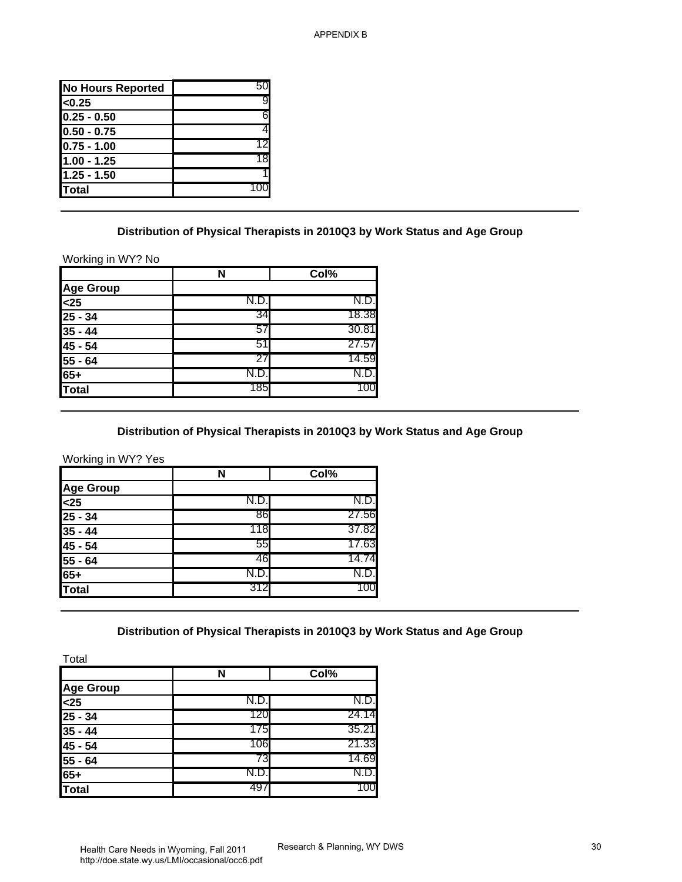| <b>No Hours Reported</b> |     |
|--------------------------|-----|
| < 0.25                   | 9   |
| $0.25 - 0.50$            | 6   |
| 10.50 - 0.75             |     |
| $ 0.75 - 1.00$           | 121 |
| 1.00 - 1.25              | 18  |
| $1.25 - 1.50$            |     |
| lTotal                   |     |
|                          |     |

#### **Distribution of Physical Therapists in 2010Q3 by Work Status and Age Group**

|                                                                      | N    | Col%  |
|----------------------------------------------------------------------|------|-------|
| <b>Age Group</b>                                                     |      |       |
|                                                                      | N.D. | N.D.  |
|                                                                      | 34   | 18.38 |
|                                                                      | 57   | 30.81 |
| $\frac{25}{25} - 34$<br>$\frac{25}{35} - 44$<br>$\frac{45}{55} - 64$ | 51   | 27.57 |
|                                                                      | 27   | 14.59 |
| $65+$                                                                | N.D. | N.D.I |
| <b>Total</b>                                                         | 1851 | 100   |

# **Distribution of Physical Therapists in 2010Q3 by Work Status and Age Group**

|                       | N    | Col%  |
|-----------------------|------|-------|
| Age Group             |      |       |
| $\overline{\text{<}}$ | N.D. | N.D.I |
| $25 - 34$             | 86   | 27.56 |
| $35 - 44$             | 118  | 37.82 |
| 45 - 54               | 55   | 17.63 |
| $55 - 64$             | 46   | 14.74 |
| $165 +$               | N.D. | N.D.I |
| Total                 | 312  | 100   |

## **Distribution of Physical Therapists in 2010Q3 by Work Status and Age Group**

| <b>No Hours Reported</b>                                                                                                                             | 50   |                                                                                   |  |
|------------------------------------------------------------------------------------------------------------------------------------------------------|------|-----------------------------------------------------------------------------------|--|
| < 0.25                                                                                                                                               | 9    |                                                                                   |  |
| $0.25 - 0.50$                                                                                                                                        | 6    |                                                                                   |  |
| $0.50 - 0.75$                                                                                                                                        | 4    |                                                                                   |  |
| $0.75 - 1.00$                                                                                                                                        | 12   |                                                                                   |  |
| $1.00 - 1.25$                                                                                                                                        | 18   |                                                                                   |  |
| $1.25 - 1.50$                                                                                                                                        |      |                                                                                   |  |
| <b>Total</b>                                                                                                                                         | 100  |                                                                                   |  |
|                                                                                                                                                      |      | Distribution of Physical Therapists in 2010Q3 by Work Status and Age Group        |  |
| Working in WY? No                                                                                                                                    |      |                                                                                   |  |
|                                                                                                                                                      | N    | Col%                                                                              |  |
| <b>Age Group</b>                                                                                                                                     |      |                                                                                   |  |
| $25$                                                                                                                                                 | N.D. | N.D                                                                               |  |
| $25 - 34$                                                                                                                                            | 34   | 18.38                                                                             |  |
| $35 - 44$                                                                                                                                            | 57   | 30.81                                                                             |  |
| $\overline{45}$ - 54                                                                                                                                 | 51   | 27.57                                                                             |  |
| $55 - 64$                                                                                                                                            | 27   | 14.59                                                                             |  |
| $65+$                                                                                                                                                | N.D. | N.D.                                                                              |  |
|                                                                                                                                                      |      |                                                                                   |  |
|                                                                                                                                                      | 185  | 100<br>Distribution of Physical Therapists in 2010Q3 by Work Status and Age Group |  |
|                                                                                                                                                      | N    | Col%                                                                              |  |
|                                                                                                                                                      |      |                                                                                   |  |
|                                                                                                                                                      | N.D. | N.D                                                                               |  |
|                                                                                                                                                      | 86   | 27.56                                                                             |  |
|                                                                                                                                                      | 118  | 37.82                                                                             |  |
|                                                                                                                                                      | 55   | 17.63                                                                             |  |
|                                                                                                                                                      | 46   | 14.74                                                                             |  |
|                                                                                                                                                      | N.D. | N.D.                                                                              |  |
|                                                                                                                                                      | 312  | 100                                                                               |  |
|                                                                                                                                                      |      | Distribution of Physical Therapists in 2010Q3 by Work Status and Age Group        |  |
| <b>Total</b><br>Working in WY? Yes<br><b>Age Group</b><br>$25$<br>$25 - 34$<br>$35 - 44$<br>$45 - 54$<br>$55 - 64$<br>$65+$<br><b>Total</b><br>Total |      |                                                                                   |  |
|                                                                                                                                                      | N    | Col%                                                                              |  |
|                                                                                                                                                      |      |                                                                                   |  |
|                                                                                                                                                      | N.D. | N.D.                                                                              |  |
|                                                                                                                                                      | 120  | 24.14                                                                             |  |
|                                                                                                                                                      | 175  | 35.21                                                                             |  |
|                                                                                                                                                      | 106  | 21.33                                                                             |  |
|                                                                                                                                                      | 73   | 14.69                                                                             |  |
| <b>Age Group</b><br>$25$<br>$25 - 34$<br>$35 - 44$<br>45 - 54<br>$55 - 64$<br>$65+$                                                                  | N.D. | N.D.<br>100                                                                       |  |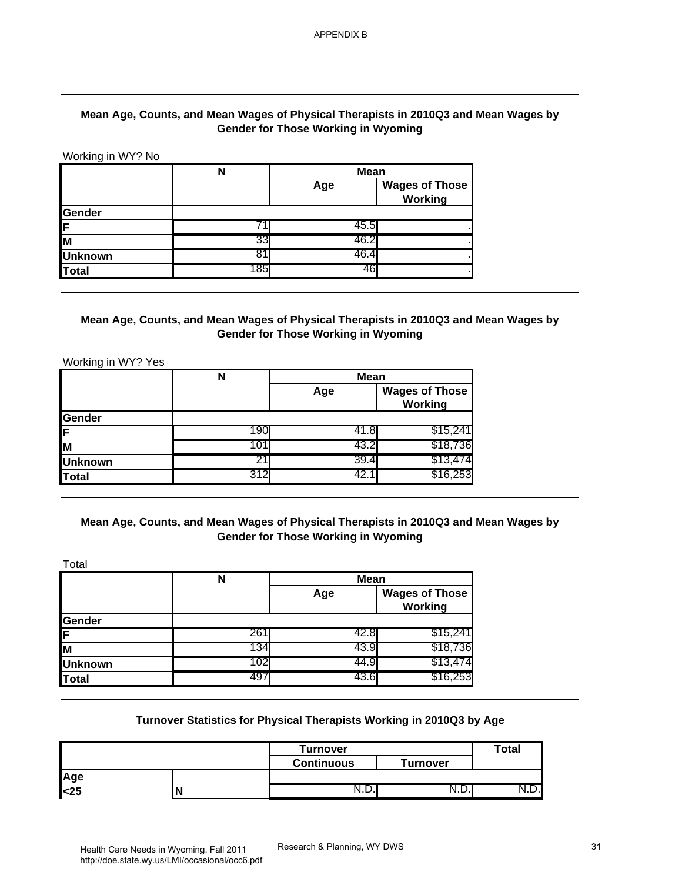### **Mean Age, Counts, and Mean Wages of Physical Therapists in 2010Q3 and Mean Wages by Gender for Those Working in Wyoming**

|                                                                       | Mean Age, Counts, and Mean Wages of Physical Therapists in 2010Q3 and Mean Wages by                            | <b>Gender for Those Working in Wyoming</b>                       |                                         |              |
|-----------------------------------------------------------------------|----------------------------------------------------------------------------------------------------------------|------------------------------------------------------------------|-----------------------------------------|--------------|
| Working in WY? No                                                     |                                                                                                                |                                                                  |                                         |              |
|                                                                       | N                                                                                                              | <b>Mean</b>                                                      | <b>Wages of Those</b>                   |              |
|                                                                       |                                                                                                                | Age                                                              | <b>Working</b>                          |              |
| Gender                                                                |                                                                                                                |                                                                  |                                         |              |
| F                                                                     | 71                                                                                                             | 45.5                                                             |                                         |              |
| M                                                                     | 33                                                                                                             | 46.2                                                             |                                         |              |
| <b>Unknown</b>                                                        | 81                                                                                                             | 46.4                                                             |                                         |              |
| <b>Total</b>                                                          | 185                                                                                                            | 46                                                               |                                         |              |
| Working in WY? Yes                                                    | N                                                                                                              | <b>Mean</b><br>Age                                               | <b>Wages of Those</b>                   |              |
|                                                                       |                                                                                                                |                                                                  | <b>Working</b>                          |              |
| Gender                                                                |                                                                                                                |                                                                  |                                         |              |
|                                                                       |                                                                                                                |                                                                  |                                         |              |
|                                                                       | 190                                                                                                            | 41.8                                                             | \$15,241                                |              |
|                                                                       | 101                                                                                                            | 43.2                                                             | \$18,736                                |              |
|                                                                       | 21                                                                                                             | 39.4                                                             | \$13,474                                |              |
|                                                                       | 312                                                                                                            | 42.1                                                             | \$16,253                                |              |
|                                                                       | Mean Age, Counts, and Mean Wages of Physical Therapists in 2010Q3 and Mean Wages by<br>$\overline{\mathsf{N}}$ | <b>Gender for Those Working in Wyoming</b><br><b>Mean</b><br>Age | <b>Wages of Those</b><br><b>Working</b> |              |
|                                                                       |                                                                                                                |                                                                  |                                         |              |
|                                                                       | 261<br>134                                                                                                     | 42.8<br>43.9                                                     | \$15,241<br>\$18,736                    |              |
|                                                                       | 102                                                                                                            | 44.9                                                             | \$13,474                                |              |
| F<br>M<br><b>Unknown</b><br><b>Total</b><br>Total<br>Gender<br>F<br>M |                                                                                                                |                                                                  |                                         |              |
| <b>Unknown</b><br><b>Total</b>                                        | 497                                                                                                            | 43.6                                                             | \$16,253                                |              |
|                                                                       | Turnover Statistics for Physical Therapists Working in 2010Q3 by Age                                           | <b>Turnover</b>                                                  |                                         | <b>Total</b> |
| Age                                                                   |                                                                                                                | <b>Continuous</b>                                                | <b>Turnover</b>                         |              |

### **Mean Age, Counts, and Mean Wages of Physical Therapists in 2010Q3 and Mean Wages by Gender for Those Working in Wyoming**

|                | N   | <b>Mean</b> |                                  |  |
|----------------|-----|-------------|----------------------------------|--|
|                |     | Age         | <b>Wages of Those</b><br>Working |  |
| <b>Gender</b>  |     |             |                                  |  |
| IF.            | 190 | 41.8        | \$15,241                         |  |
| lм             |     | 43.2        | \$18,736                         |  |
| <b>Unknown</b> | 21  | 39.4        | \$13,474                         |  |
| Total          | 312 | 42.1        | \$16,253                         |  |

## **Mean Age, Counts, and Mean Wages of Physical Therapists in 2010Q3 and Mean Wages by Gender for Those Working in Wyoming**

|                | N   | <b>Mean</b> |                                  |  |
|----------------|-----|-------------|----------------------------------|--|
|                |     | Age         | <b>Wages of Those</b><br>Working |  |
| <b>Gender</b>  |     |             |                                  |  |
| IF.            | 261 | 42.8        | \$15,241                         |  |
| lм             | 134 | 43.9        | \$18,736                         |  |
| <b>Unknown</b> | 102 | 44.9        | \$13,474                         |  |
| <b>Total</b>   | 497 | 43.6        | \$16,253                         |  |

#### **Turnover Statistics for Physical Therapists Working in 2010Q3 by Age**

|      |   | <b>Turnover</b>   |                 | <b>Total</b> |
|------|---|-------------------|-----------------|--------------|
|      |   | <b>Continuous</b> | <b>Turnover</b> |              |
| Age  |   |                   |                 |              |
| $25$ | N | N.D.I             | ∣ ,∟.           | IN.レ.        |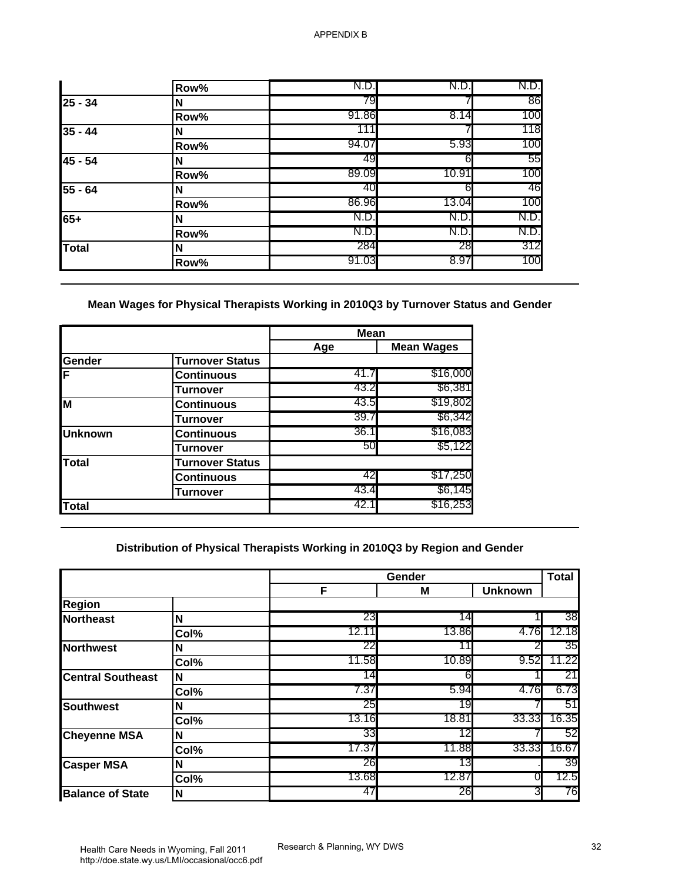|           | Row% | N.D.  | N.D.  | N.D. |
|-----------|------|-------|-------|------|
| $25 - 34$ | N    | 79    |       | 86   |
|           | Row% | 91.86 | 8.14  | 100  |
| $35 - 44$ | N    | 111   |       | 118  |
|           | Row% | 94.07 | 5.93  | 100  |
| 45 - 54   | N    | 49    | 61    | 55   |
|           | Row% | 89.09 | 10.91 | 100  |
| $55 - 64$ | N    | 40    | 61    | 46   |
|           | Row% | 86.96 | 13.04 | 100  |
| $65+$     | N    | N.D.  | N.D   | N.D. |
|           | Row% | N.D.  | N.D.  | N.D. |
| Total     | N    | 284   | 28    | 312  |
|           | Row% | 91.03 | 8.97  | 100  |

# **Mean Wages for Physical Therapists Working in 2010Q3 by Turnover Status and Gender**

|                |                        | <b>Mean</b> |                   |
|----------------|------------------------|-------------|-------------------|
|                |                        | Age         | <b>Mean Wages</b> |
| Gender         | <b>Turnover Status</b> |             |                   |
| ΙF             | <b>Continuous</b>      | 41.7        | \$16,000          |
|                | <b>Turnover</b>        | 43.2        | \$6,381           |
| M              | <b>Continuous</b>      | 43.5        | \$19,802          |
|                | Turnover               | 39.7        | \$6,342           |
| <b>Unknown</b> | <b>Continuous</b>      | 36.1        | \$16,083          |
|                | Turnover               | 50          | \$5,122           |
| Total          | <b>Turnover Status</b> |             |                   |
|                | <b>Continuous</b>      | 42          | \$17,250          |
|                | <b>Turnover</b>        | 43.4        | \$6,145           |
| Total          |                        | 42.1        | \$16,253          |

# **Distribution of Physical Therapists Working in 2010Q3 by Region and Gender**

|                                                                                                                                                                              | Row%                                                                               | N.D.               | N.D.              | N.D.           |                                  |
|------------------------------------------------------------------------------------------------------------------------------------------------------------------------------|------------------------------------------------------------------------------------|--------------------|-------------------|----------------|----------------------------------|
| $25 - 34$                                                                                                                                                                    | N                                                                                  | 79                 |                   | 86             |                                  |
|                                                                                                                                                                              | Row%                                                                               | 91.86              | 8.14              | 100            |                                  |
| $35 - 44$                                                                                                                                                                    | N                                                                                  | 111                |                   | 118            |                                  |
|                                                                                                                                                                              | Row%                                                                               | 94.07              | 5.93              | 100            |                                  |
| 45 - 54                                                                                                                                                                      | N                                                                                  | 49                 | 6                 | 55             |                                  |
|                                                                                                                                                                              | Row%                                                                               | 89.09              | 10.91             | 100            |                                  |
| 55 - 64                                                                                                                                                                      | N                                                                                  | 40                 | 6                 | 46             |                                  |
|                                                                                                                                                                              | Row%                                                                               | 86.96              | 13.04             | 100            |                                  |
| $65+$                                                                                                                                                                        | N                                                                                  | N.D.               | N.D.              | N.D.           |                                  |
|                                                                                                                                                                              | Row%                                                                               | N.D.               | N.D.              | N.D.           |                                  |
| <b>Total</b>                                                                                                                                                                 | N                                                                                  | 284                | 28                | 312            |                                  |
|                                                                                                                                                                              | Row%                                                                               | 91.03              | 8.97              | 100            |                                  |
|                                                                                                                                                                              | Mean Wages for Physical Therapists Working in 2010Q3 by Turnover Status and Gender | <b>Mean</b><br>Age | <b>Mean Wages</b> |                |                                  |
| Gender                                                                                                                                                                       | <b>Turnover Status</b>                                                             |                    |                   |                |                                  |
| F                                                                                                                                                                            | <b>Continuous</b>                                                                  | 41.7               | \$16,000          |                |                                  |
|                                                                                                                                                                              | <b>Turnover</b>                                                                    | 43.2               | \$6,381           |                |                                  |
| M                                                                                                                                                                            | <b>Continuous</b>                                                                  | 43.5               | \$19,802          |                |                                  |
|                                                                                                                                                                              | <b>Turnover</b>                                                                    | 39.7               | \$6,342           |                |                                  |
| <b>Unknown</b>                                                                                                                                                               | <b>Continuous</b>                                                                  | 36.1               | \$16,083          |                |                                  |
|                                                                                                                                                                              | <b>Turnover</b>                                                                    | 50                 | \$5,122           |                |                                  |
| <b>Total</b>                                                                                                                                                                 | <b>Turnover Status</b>                                                             |                    |                   |                |                                  |
|                                                                                                                                                                              | <b>Continuous</b>                                                                  | 42                 | \$17,250          |                |                                  |
|                                                                                                                                                                              | <b>Turnover</b>                                                                    | 43.4               | \$6,145           |                |                                  |
| <b>Total</b>                                                                                                                                                                 |                                                                                    | 42.1               | \$16,253          |                |                                  |
|                                                                                                                                                                              |                                                                                    |                    |                   |                |                                  |
|                                                                                                                                                                              | Distribution of Physical Therapists Working in 2010Q3 by Region and Gender         |                    | Gender            |                | <b>Total</b>                     |
|                                                                                                                                                                              |                                                                                    | F                  | M                 | <b>Unknown</b> |                                  |
|                                                                                                                                                                              |                                                                                    |                    |                   |                |                                  |
|                                                                                                                                                                              | N                                                                                  | 23                 | 14                |                |                                  |
|                                                                                                                                                                              | Col%                                                                               | 12.11              | 13.86             | 4.76           |                                  |
|                                                                                                                                                                              | N                                                                                  | 22                 | 11                |                |                                  |
|                                                                                                                                                                              | Col%                                                                               | 11.58              | 10.89             | 9.52           |                                  |
|                                                                                                                                                                              | N                                                                                  | 14                 | 6                 |                | 38<br>12.18<br>35<br>11.22<br>21 |
|                                                                                                                                                                              | Col%                                                                               | 7.37               | 5.94              | 4.76           | 6.73                             |
|                                                                                                                                                                              | N                                                                                  | 25                 | 19                |                | 51                               |
|                                                                                                                                                                              | Col%                                                                               | 13.16              | 18.81             | 33.33          | 16.35                            |
|                                                                                                                                                                              | N                                                                                  | 33                 | 12                |                | 52                               |
|                                                                                                                                                                              | Col%                                                                               | 17.37              | 11.88             | 33.33          |                                  |
|                                                                                                                                                                              | N                                                                                  | 26                 | 13                |                | 16.67<br>39                      |
| <b>Region</b><br><b>Northeast</b><br><b>Northwest</b><br><b>Central Southeast</b><br><b>Southwest</b><br><b>Cheyenne MSA</b><br><b>Casper MSA</b><br><b>Balance of State</b> | Col%<br>N                                                                          | 13.68<br>47        | 12.87<br>26       | 0<br>3         | 12.5<br>76                       |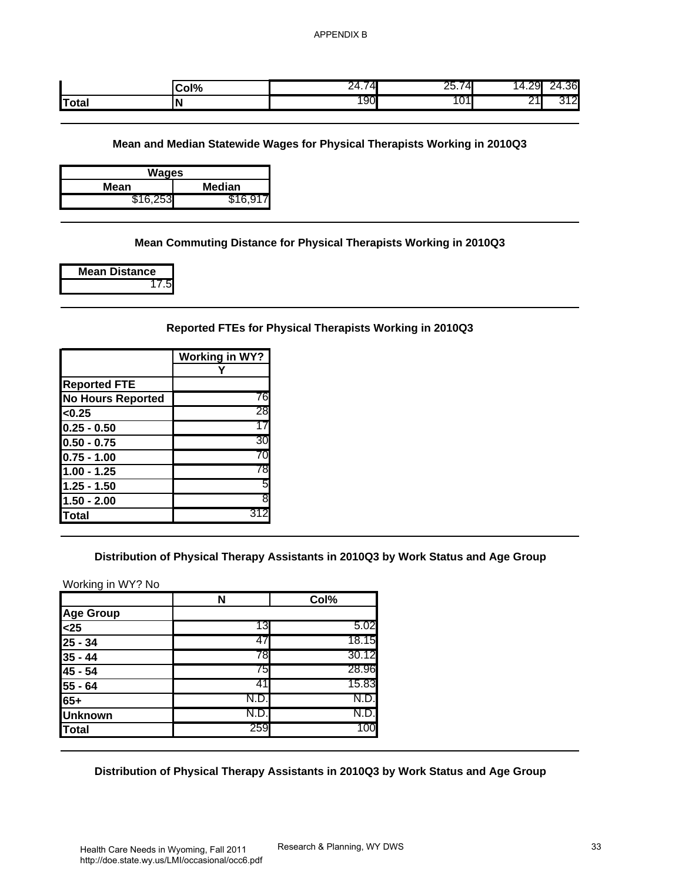|              | Col% | ΔІ<br>24.7<br>¬ப | $\sqrt{ }$<br>∠∪.≀<br>ᅮ. | $\Delta$<br>─⊤.∠∪ | .36              |
|--------------|------|------------------|--------------------------|-------------------|------------------|
| <b>Total</b> |      | 190              | <b>U1</b>                | יי<br>-           | $\sim$<br>ີ<br>. |

| Wages    |          |  |  |  |
|----------|----------|--|--|--|
| Mean     | Median   |  |  |  |
| \$16,253 | \$16.917 |  |  |  |

## **Mean Commuting Distance for Physical Therapists Working in 2010Q3**

| <b>Mean Distance</b> |
|----------------------|
|                      |

### **Reported FTEs for Physical Therapists Working in 2010Q3**

|                          | <b>Working in WY?</b> |
|--------------------------|-----------------------|
|                          |                       |
| <b>Reported FTE</b>      |                       |
| <b>No Hours Reported</b> | 76                    |
| < 0.25                   | 28                    |
| $0.25 - 0.50$            | 17                    |
| $0.50 - 0.75$            | 30                    |
| $0.75 - 1.00$            | 70                    |
| $1.00 - 1.25$            | 78                    |
| $1.25 - 1.50$            | 5                     |
| $1.50 - 2.00$            | 8                     |
| Total                    | 31.                   |

## **Distribution of Physical Therapy Assistants in 2010Q3 by Work Status and Age Group**

| Col%                  | 24.74                                          | 25.74 | 14.29<br>24.36                                                                                                                                                                                                                                                                                  |
|-----------------------|------------------------------------------------|-------|-------------------------------------------------------------------------------------------------------------------------------------------------------------------------------------------------------------------------------------------------------------------------------------------------|
| N                     | 190                                            | 101   | 21<br>312                                                                                                                                                                                                                                                                                       |
|                       |                                                |       |                                                                                                                                                                                                                                                                                                 |
|                       |                                                |       |                                                                                                                                                                                                                                                                                                 |
|                       |                                                |       |                                                                                                                                                                                                                                                                                                 |
|                       |                                                |       |                                                                                                                                                                                                                                                                                                 |
| \$16,917              |                                                |       |                                                                                                                                                                                                                                                                                                 |
|                       |                                                |       |                                                                                                                                                                                                                                                                                                 |
|                       |                                                |       |                                                                                                                                                                                                                                                                                                 |
|                       |                                                |       |                                                                                                                                                                                                                                                                                                 |
|                       |                                                |       |                                                                                                                                                                                                                                                                                                 |
|                       |                                                |       |                                                                                                                                                                                                                                                                                                 |
|                       |                                                |       |                                                                                                                                                                                                                                                                                                 |
|                       |                                                |       |                                                                                                                                                                                                                                                                                                 |
| <b>Working in WY?</b> |                                                |       |                                                                                                                                                                                                                                                                                                 |
|                       |                                                |       |                                                                                                                                                                                                                                                                                                 |
|                       |                                                |       |                                                                                                                                                                                                                                                                                                 |
|                       |                                                |       |                                                                                                                                                                                                                                                                                                 |
| 17                    |                                                |       |                                                                                                                                                                                                                                                                                                 |
| 30                    |                                                |       |                                                                                                                                                                                                                                                                                                 |
| 70                    |                                                |       |                                                                                                                                                                                                                                                                                                 |
| 78                    |                                                |       |                                                                                                                                                                                                                                                                                                 |
| 5                     |                                                |       |                                                                                                                                                                                                                                                                                                 |
| 8                     |                                                |       |                                                                                                                                                                                                                                                                                                 |
| 312                   |                                                |       |                                                                                                                                                                                                                                                                                                 |
|                       |                                                |       |                                                                                                                                                                                                                                                                                                 |
|                       |                                                |       |                                                                                                                                                                                                                                                                                                 |
|                       |                                                |       |                                                                                                                                                                                                                                                                                                 |
| N                     | Col%                                           |       |                                                                                                                                                                                                                                                                                                 |
| 13                    | 5.02                                           |       |                                                                                                                                                                                                                                                                                                 |
|                       | 18.15                                          |       |                                                                                                                                                                                                                                                                                                 |
|                       |                                                |       |                                                                                                                                                                                                                                                                                                 |
| 47                    |                                                |       |                                                                                                                                                                                                                                                                                                 |
| 78                    | 30.12                                          |       |                                                                                                                                                                                                                                                                                                 |
| 75                    | 28.96                                          |       |                                                                                                                                                                                                                                                                                                 |
| 41                    | 15.83                                          |       |                                                                                                                                                                                                                                                                                                 |
| N.D.<br>N.D.          | N.D.<br>N.D.                                   |       |                                                                                                                                                                                                                                                                                                 |
|                       | <b>Wages</b><br><b>Median</b><br>Υ<br>76<br>28 |       | Mean and Median Statewide Wages for Physical Therapists Working in 2010Q3<br>Mean Commuting Distance for Physical Therapists Working in 2010Q3<br>Reported FTEs for Physical Therapists Working in 2010Q3<br>Distribution of Physical Therapy Assistants in 2010Q3 by Work Status and Age Group |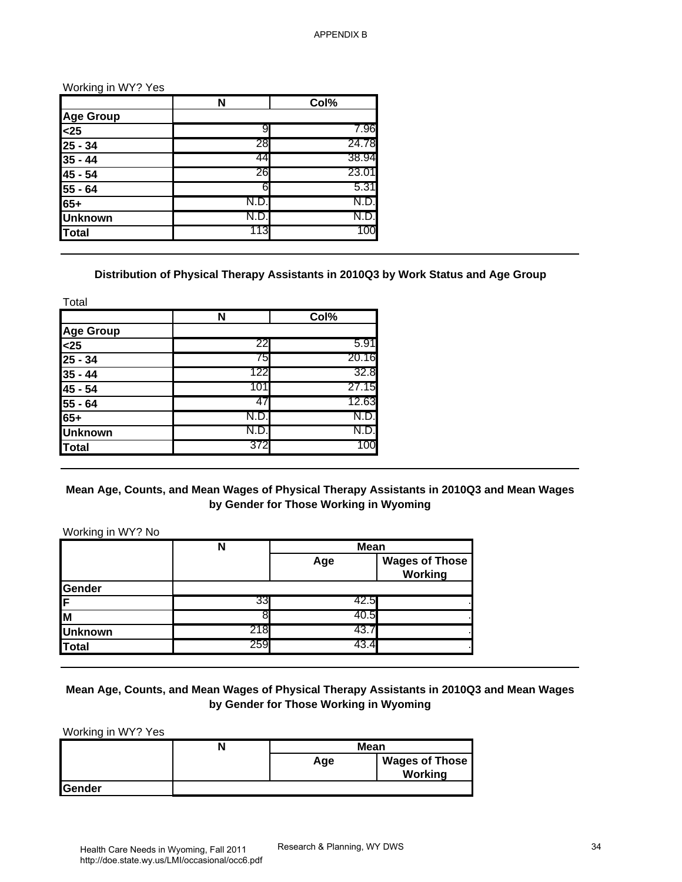|                | N   | Col%  |
|----------------|-----|-------|
| Age Group      |     |       |
| $25$           | 9   | 7.96  |
| $25 - 34$      | 28  | 24.78 |
| $35 - 44$      | 44  | 38.94 |
| 45 - 54        | 26  | 23.01 |
| 55 - 64        | հ   | 5.31  |
| $65+$          |     | N.D.  |
| <b>Unknown</b> | N.D | N.D.  |
| <b>Total</b>   | 113 | 100   |

### **Distribution of Physical Therapy Assistants in 2010Q3 by Work Status and Age Group**

| Total            |      |       |
|------------------|------|-------|
|                  | N    | Col%  |
| <b>Age Group</b> |      |       |
| $25$             | 22   | 5.91  |
| $25 - 34$        | 75   | 20.16 |
| $35 - 44$        | 122  | 32.8  |
| 45 - 54          | 101  | 27.15 |
| 55 - 64          | 47   | 12.63 |
| $65+$            | N.D. | N.D.  |
| <b>Unknown</b>   | N.D. | N.D.  |
| <b>Total</b>     | 372  | 100   |

### **Mean Age, Counts, and Mean Wages of Physical Therapy Assistants in 2010Q3 and Mean Wages by Gender for Those Working in Wyoming**

|                                                                                               | N                                                                                             | Col%                                                  |                       |  |
|-----------------------------------------------------------------------------------------------|-----------------------------------------------------------------------------------------------|-------------------------------------------------------|-----------------------|--|
| <b>Age Group</b>                                                                              |                                                                                               |                                                       |                       |  |
| $25$                                                                                          | 9                                                                                             | 7.96                                                  |                       |  |
| $25 - 34$                                                                                     | 28                                                                                            | 24.78                                                 |                       |  |
| $35 - 44$                                                                                     | 44                                                                                            | 38.94                                                 |                       |  |
| 45 - 54                                                                                       | 26                                                                                            | 23.01                                                 |                       |  |
| 55 - 64                                                                                       | 6                                                                                             | 5.31                                                  |                       |  |
| $65+$                                                                                         | N.D.                                                                                          | N.D.                                                  |                       |  |
| <b>Unknown</b>                                                                                | N.D.                                                                                          | N.D.                                                  |                       |  |
| <b>Total</b>                                                                                  | 113                                                                                           | 100                                                   |                       |  |
|                                                                                               |                                                                                               |                                                       |                       |  |
| Total                                                                                         | Distribution of Physical Therapy Assistants in 2010Q3 by Work Status and Age Group            |                                                       |                       |  |
|                                                                                               | N                                                                                             | Col%                                                  |                       |  |
| <b>Age Group</b>                                                                              | 22                                                                                            | 5.91                                                  |                       |  |
| $25$<br>$25 - 34$                                                                             | 75                                                                                            | 20.16                                                 |                       |  |
|                                                                                               | 122                                                                                           | 32.8                                                  |                       |  |
|                                                                                               |                                                                                               |                                                       |                       |  |
|                                                                                               |                                                                                               |                                                       |                       |  |
|                                                                                               | 101                                                                                           | 27.15                                                 |                       |  |
|                                                                                               | 47                                                                                            | 12.63                                                 |                       |  |
|                                                                                               | N.D.                                                                                          | N.D.                                                  |                       |  |
|                                                                                               | N.D.                                                                                          | N.D.                                                  |                       |  |
| $35 - 44$<br>45 - 54<br>55 - 64<br>$65+$<br><b>Unknown</b><br><b>Total</b>                    | 372                                                                                           | 100                                                   |                       |  |
|                                                                                               | Mean Age, Counts, and Mean Wages of Physical Therapy Assistants in 2010Q3 and Mean Wages<br>N | by Gender for Those Working in Wyoming<br><b>Mean</b> |                       |  |
|                                                                                               |                                                                                               | Age                                                   | <b>Wages of Those</b> |  |
|                                                                                               |                                                                                               |                                                       | <b>Working</b>        |  |
|                                                                                               |                                                                                               |                                                       |                       |  |
|                                                                                               | 33                                                                                            | 42.5                                                  |                       |  |
|                                                                                               | 8                                                                                             | 40.5                                                  |                       |  |
| Working in WY? No<br>Gender<br>F<br>$\overline{\mathsf{M}}$<br><b>Unknown</b><br><b>Total</b> | 218<br>259                                                                                    | 43.7<br>43.4                                          |                       |  |

## **Mean Age, Counts, and Mean Wages of Physical Therapy Assistants in 2010Q3 and Mean Wages by Gender for Those Working in Wyoming**

|         | N | <b>Mean</b>                  |         |
|---------|---|------------------------------|---------|
|         |   | <b>Wages of Those</b><br>Age |         |
|         |   |                              | Working |
| lGender |   |                              |         |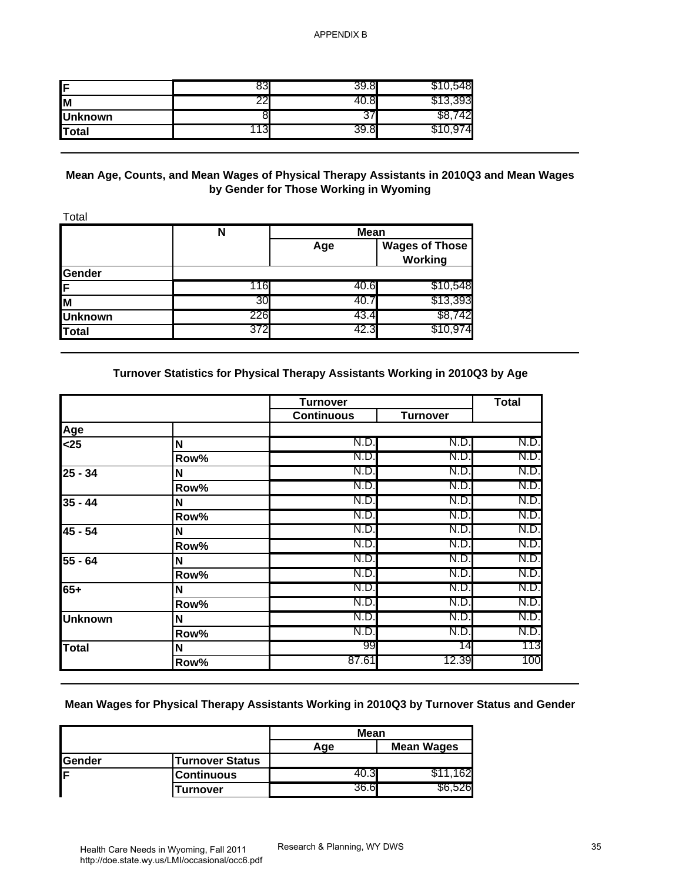| IF             |   | Ġ   |
|----------------|---|-----|
| Iм             |   |     |
| <b>Unknown</b> | ິ |     |
| Total          |   | ΄4ι |

### **Mean Age, Counts, and Mean Wages of Physical Therapy Assistants in 2010Q3 and Mean Wages by Gender for Those Working in Wyoming**

|                | N   | <b>Mean</b> |                                  |
|----------------|-----|-------------|----------------------------------|
|                |     | Age         | <b>Wages of Those</b><br>Working |
| Gender         |     |             |                                  |
| ίF             | 116 | 40.6        | \$10,548                         |
| lм             | 30  | 40.7        | \$13,393                         |
| <b>Unknown</b> | 226 | 43.4        | \$8,742                          |
| Total          | 372 | 42.3        | \$10,974                         |

## **Turnover Statistics for Physical Therapy Assistants Working in 2010Q3 by Age**

| F                                                                            | 83                                                                                         | 39.8                                   | \$10,548              |              |
|------------------------------------------------------------------------------|--------------------------------------------------------------------------------------------|----------------------------------------|-----------------------|--------------|
| $\overline{\mathsf{M}}$                                                      | 22                                                                                         | 40.8                                   | \$13,393              |              |
| <b>Unknown</b>                                                               | 8                                                                                          | 37                                     | \$8,742               |              |
| <b>Total</b>                                                                 | 113                                                                                        | 39.8                                   | \$10,974              |              |
|                                                                              |                                                                                            |                                        |                       |              |
| Total                                                                        | Mean Age, Counts, and Mean Wages of Physical Therapy Assistants in 2010Q3 and Mean Wages   | by Gender for Those Working in Wyoming |                       |              |
|                                                                              | N                                                                                          | <b>Mean</b>                            |                       |              |
|                                                                              |                                                                                            | Age                                    | <b>Wages of Those</b> |              |
|                                                                              |                                                                                            |                                        | Working               |              |
| Gender<br>F                                                                  | 116                                                                                        | 40.6                                   | \$10,548              |              |
| M                                                                            | 30                                                                                         | 40.7                                   | \$13,393              |              |
| <b>Unknown</b>                                                               | 226                                                                                        | 43.4                                   | \$8,742               |              |
| <b>Total</b>                                                                 | 372                                                                                        | 42.3                                   | \$10,974              |              |
|                                                                              |                                                                                            |                                        |                       |              |
| Age                                                                          |                                                                                            | <b>Turnover</b><br><b>Continuous</b>   | <b>Turnover</b>       | <b>Total</b> |
| $25$                                                                         | N                                                                                          | N.D.                                   | N.D.                  | N.D.         |
|                                                                              | Row%                                                                                       | N.D.                                   | N.D.                  | N.D.         |
| $25 - 34$                                                                    | N                                                                                          | N.D                                    | N.D.                  | N.D.         |
|                                                                              | Row%                                                                                       | N.D.                                   | N.D.                  | N.D.         |
|                                                                              |                                                                                            | N.D.                                   | N.D.                  | N.D.         |
|                                                                              | N                                                                                          |                                        |                       |              |
|                                                                              | Row%                                                                                       | N.D.                                   | N.D.                  | N.D.         |
|                                                                              | $\boldsymbol{\mathsf{N}}$                                                                  | N.D.                                   | N.D.                  | N.D.         |
|                                                                              | Row%                                                                                       | N.D.                                   | N.D.                  | N.D.         |
|                                                                              | N                                                                                          | N.D                                    | N.D.                  | N.D.         |
|                                                                              | Row%                                                                                       | N.D.<br>N.D.                           | N.D.<br>N.D.          | N.D.<br>N.D. |
|                                                                              | N                                                                                          | N.D.                                   | N.D.                  | N.D.         |
|                                                                              | Row%<br>N                                                                                  | N.D.                                   | N.D.                  | N.D.         |
|                                                                              | Row%                                                                                       | N.D.                                   | N.D.                  | N.D.         |
|                                                                              | N                                                                                          | 99                                     | 14                    |              |
|                                                                              | Row%                                                                                       | 87.61                                  | 12.39                 | 113<br>100   |
|                                                                              |                                                                                            |                                        |                       |              |
| $35 - 44$<br>$45 - 54$<br>55 - 64<br>$65+$<br><b>Unknown</b><br><b>Total</b> | Mean Wages for Physical Therapy Assistants Working in 2010Q3 by Turnover Status and Gender |                                        |                       |              |
|                                                                              |                                                                                            | Mean<br>Age                            | <b>Mean Wages</b>     |              |
| Gender                                                                       | <b>Turnover Status</b>                                                                     |                                        |                       |              |
| F                                                                            | <b>Continuous</b>                                                                          | 40.3<br>36.6                           | \$11,162<br>\$6,526   |              |

### **Mean Wages for Physical Therapy Assistants Working in 2010Q3 by Turnover Status and Gender**

|         |                        | Mean |            |
|---------|------------------------|------|------------|
|         |                        | Aqe  | Mean Wages |
| lGender | <b>Turnover Status</b> |      |            |
| Е       | <b>Continuous</b>      |      | 62         |
|         | Turnover               | 36.6 | 261        |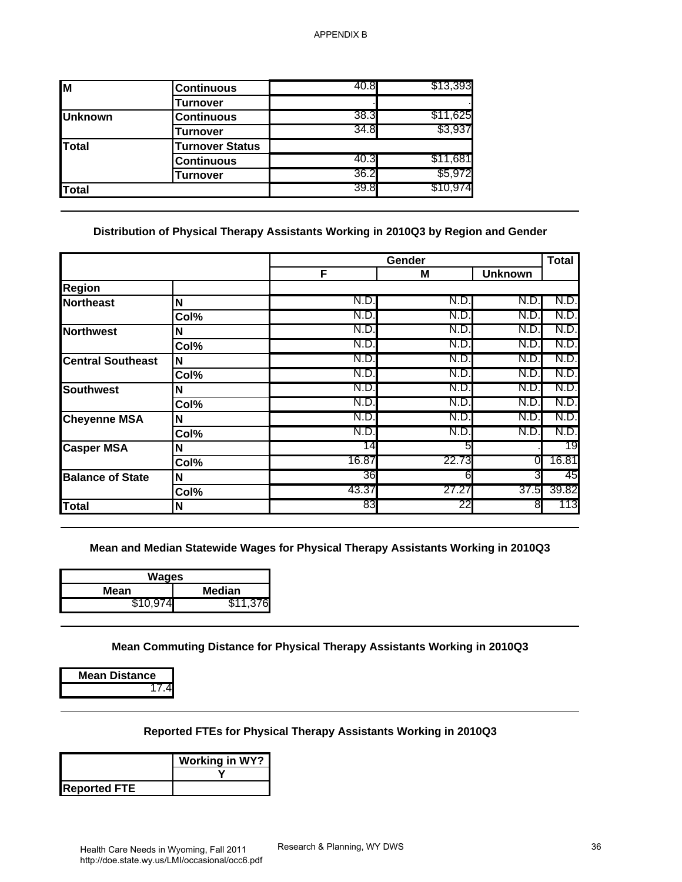| \$11,625 |
|----------|
|          |
| \$3,937  |
|          |
| \$11,681 |
| \$5,972  |
| \$10,974 |
|          |

### **Distribution of Physical Therapy Assistants Working in 2010Q3 by Region and Gender**

| $\overline{M}$              | <b>Continuous</b>                                                                                                              | 40.8  | \$13,393    |                |              |
|-----------------------------|--------------------------------------------------------------------------------------------------------------------------------|-------|-------------|----------------|--------------|
|                             | <b>Turnover</b>                                                                                                                |       |             |                |              |
| <b>Unknown</b>              | <b>Continuous</b>                                                                                                              | 38.3  | \$11,625    |                |              |
|                             | <b>Turnover</b>                                                                                                                | 34.8  | \$3,937     |                |              |
| <b>Total</b>                | <b>Turnover Status</b>                                                                                                         |       |             |                |              |
|                             | <b>Continuous</b>                                                                                                              | 40.3  | \$11,681    |                |              |
|                             | <b>Turnover</b>                                                                                                                | 36.2  | \$5,972     |                |              |
| <b>Total</b>                |                                                                                                                                | 39.8  | \$10,974    |                |              |
|                             | Distribution of Physical Therapy Assistants Working in 2010Q3 by Region and Gender                                             |       |             |                |              |
|                             |                                                                                                                                | F     | Gender<br>M | <b>Unknown</b> | <b>Total</b> |
| <b>Region</b>               |                                                                                                                                |       |             |                |              |
| <b>Northeast</b>            | N                                                                                                                              | N.D   | N.D.        | N.D            | N.D.         |
|                             | Col%                                                                                                                           | N.D   | N.D.        | N.D.           | N.D          |
| <b>Northwest</b>            | N                                                                                                                              | N.D.  | N.D.        | N.D.           | N.D.         |
|                             | Col%                                                                                                                           | N.D   | N.D.        | N.D.           | N.D.         |
| <b>Central Southeast</b>    | N                                                                                                                              | N.D   | N.D.        | N.D.           | N.D          |
|                             | Col%                                                                                                                           | N.D.  | N.D.        | N.D.           | N.D.         |
| <b>Southwest</b>            | N                                                                                                                              | N.D   | N.D.        | N.D.           | N.D          |
|                             | Col%                                                                                                                           | N.D   | N.D.        | N.D.           | N.D          |
| <b>Cheyenne MSA</b>         | N                                                                                                                              | N.D.  | N.D.        | N.D.           | N.D.         |
|                             | Col%                                                                                                                           | N.D   | N.D.        | N.D.           | N.D          |
| <b>Casper MSA</b>           | Ν                                                                                                                              | 14    | 5           |                | 19           |
|                             | Col%                                                                                                                           | 16.87 | 22.73       | 0              | 16.81        |
| <b>Balance of State</b>     | N                                                                                                                              | 36    | 6           | 3              | 45           |
|                             | Col%                                                                                                                           | 43.37 | 27.27       | 37.5           | 39.82        |
| <b>Total</b>                | N                                                                                                                              | 83    | 22          | 8              | 113          |
| Mean<br>\$10,974            | Mean and Median Statewide Wages for Physical Therapy Assistants Working in 2010Q3<br><b>Wages</b><br><b>Median</b><br>\$11,376 |       |             |                |              |
| <b>Mean Distance</b>        | Mean Commuting Distance for Physical Therapy Assistants Working in 2010Q3                                                      |       |             |                |              |
| 17.4<br><b>Reported FTE</b> | Reported FTEs for Physical Therapy Assistants Working in 2010Q3<br><b>Working in WY?</b>                                       |       |             |                |              |

| Wages    |          |  |  |  |
|----------|----------|--|--|--|
| Mean     | Median   |  |  |  |
| \$10.974 | \$11,376 |  |  |  |

### **Reported FTEs for Physical Therapy Assistants Working in 2010Q3**

|                     | <b>Working in WY?</b> |  |
|---------------------|-----------------------|--|
| <b>Reported FTE</b> |                       |  |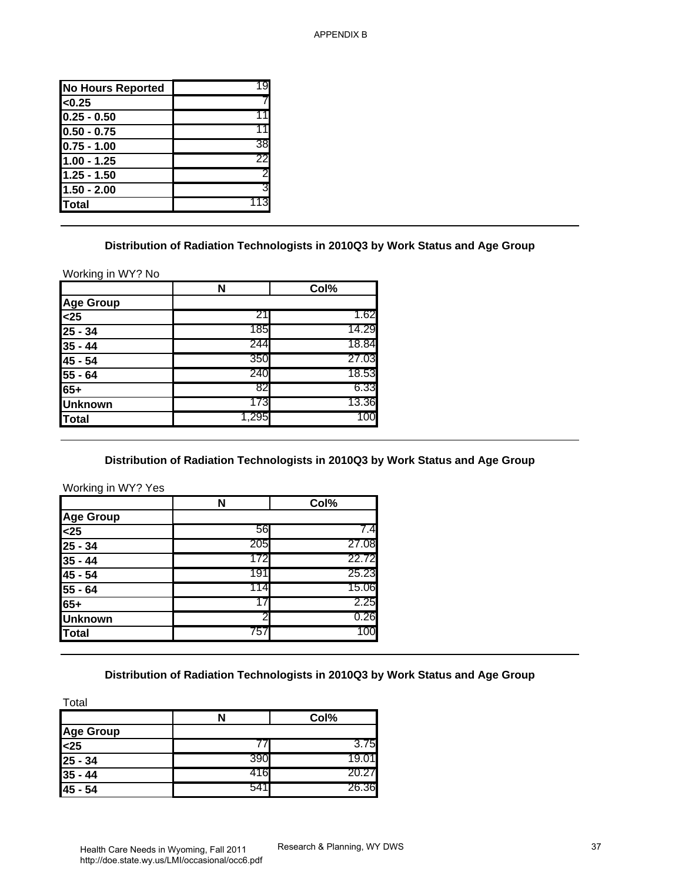| <b>No Hours Reported</b> |    |
|--------------------------|----|
| < 0.25                   |    |
| $0.25 - 0.50$            |    |
| $ 0.50 - 0.75$           |    |
| $0.75 - 1.00$            | 38 |
| 1.00 - 1.25              | 22 |
| $1.25 - 1.50$            | 2  |
| $1.50 - 2.00$            | ვ  |
| Total                    |    |
|                          |    |

#### **Distribution of Radiation Technologists in 2010Q3 by Work Status and Age Group**

|                          | N     | Col%  |
|--------------------------|-------|-------|
| <b>Age Group</b>         |       |       |
| $\overline{\text{<}}$ 25 | 21    | 1.62  |
| $25 - 34$                | 185   | 14.29 |
| $35 - 44$                | 244   | 18.84 |
| $45 - 54$                | 350   | 27.03 |
| $55 - 64$                | 240   | 18.53 |
| $65+$                    | 82    | 6.33  |
| <b>Unknown</b>           | 173   | 13.36 |
| Total                    | 1,295 | 100   |

#### **Distribution of Radiation Technologists in 2010Q3 by Work Status and Age Group**

| <b>No Hours Reported</b>                                                                                                                    | 19         |                                                                                |  |
|---------------------------------------------------------------------------------------------------------------------------------------------|------------|--------------------------------------------------------------------------------|--|
| < 0.25                                                                                                                                      |            |                                                                                |  |
| $0.25 - 0.50$                                                                                                                               | 11         |                                                                                |  |
| $0.50 - 0.75$                                                                                                                               | 11         |                                                                                |  |
| $0.75 - 1.00$                                                                                                                               | 38         |                                                                                |  |
| $1.00 - 1.25$                                                                                                                               | 22         |                                                                                |  |
| $1.25 - 1.50$                                                                                                                               | 2          |                                                                                |  |
| $1.50 - 2.00$                                                                                                                               | 3          |                                                                                |  |
| <b>Total</b>                                                                                                                                | 113        |                                                                                |  |
|                                                                                                                                             |            | Distribution of Radiation Technologists in 2010Q3 by Work Status and Age Group |  |
| Working in WY? No                                                                                                                           |            |                                                                                |  |
|                                                                                                                                             | N          | Col%                                                                           |  |
| <b>Age Group</b>                                                                                                                            |            |                                                                                |  |
| $25$                                                                                                                                        | 21         | 1.62                                                                           |  |
| $25 - 34$                                                                                                                                   | 185        | 14.29                                                                          |  |
| $35 - 44$                                                                                                                                   | 244        | 18.84                                                                          |  |
|                                                                                                                                             | 350        | 27.03                                                                          |  |
|                                                                                                                                             |            |                                                                                |  |
|                                                                                                                                             | 240        | 18.53                                                                          |  |
|                                                                                                                                             | 82         | 6.33                                                                           |  |
|                                                                                                                                             | 173        | 13.36                                                                          |  |
| 45 - 54<br>$55 - 64$<br>$65+$<br><b>Unknown</b><br><b>Total</b>                                                                             | 1,295      | 100                                                                            |  |
|                                                                                                                                             |            | Distribution of Radiation Technologists in 2010Q3 by Work Status and Age Group |  |
|                                                                                                                                             | Ñ          | Col%                                                                           |  |
|                                                                                                                                             |            |                                                                                |  |
|                                                                                                                                             | 56         | 7.4                                                                            |  |
|                                                                                                                                             | 205        | 27.08                                                                          |  |
|                                                                                                                                             | 172        | 22.72                                                                          |  |
|                                                                                                                                             | 191        | 25.23                                                                          |  |
|                                                                                                                                             | 114        | 15.06                                                                          |  |
|                                                                                                                                             | 17         | 2.25                                                                           |  |
|                                                                                                                                             | 2          | 0.26                                                                           |  |
|                                                                                                                                             | 757        | 100                                                                            |  |
| Working in WY? Yes<br><b>Age Group</b><br>$25$<br>$25 - 34$<br>$35 - 44$<br>45 - 54<br>$55 - 64$<br>$65+$<br><b>Unknown</b><br><b>Total</b> |            | Distribution of Radiation Technologists in 2010Q3 by Work Status and Age Group |  |
| Total                                                                                                                                       |            |                                                                                |  |
|                                                                                                                                             | N          | Col%                                                                           |  |
| <b>Age Group</b>                                                                                                                            |            |                                                                                |  |
| $25$                                                                                                                                        | 77         | 3.75                                                                           |  |
|                                                                                                                                             | 390        | 19.01                                                                          |  |
| $25 - 34$<br>$35 - 44$<br>45 - 54                                                                                                           | 416<br>541 | 20.27<br>26.36                                                                 |  |

## **Distribution of Radiation Technologists in 2010Q3 by Work Status and Age Group**

|                  | N    | Col%  |
|------------------|------|-------|
| <b>Age Group</b> |      |       |
| $25$             |      | 3.75  |
| $25 - 34$        | 390  | 19.01 |
| $35 - 44$        | 416  | 20.27 |
| 45 - 54          | 541I | 26.36 |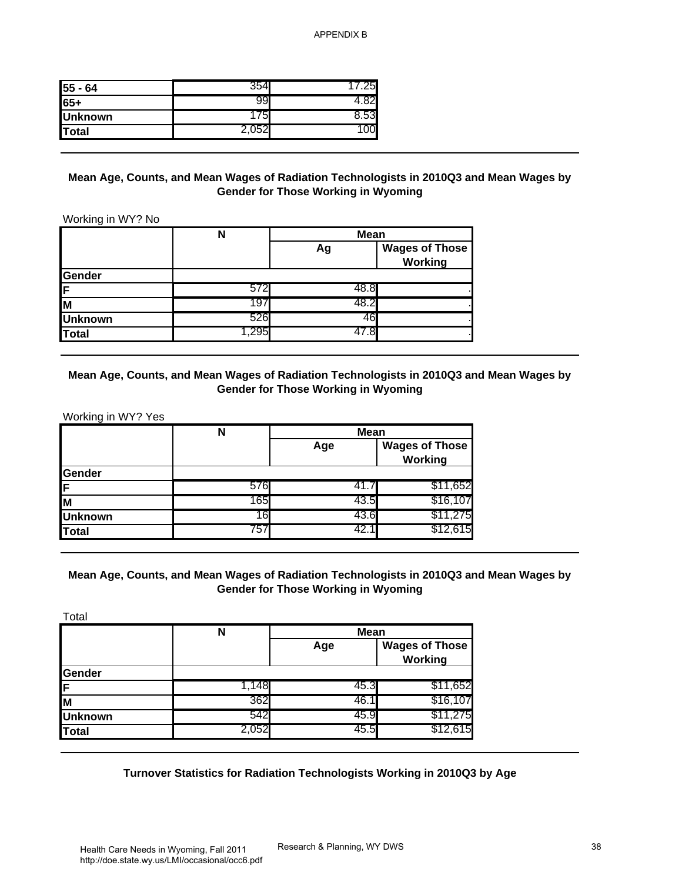| $55 - 64$      |    | 5   |
|----------------|----|-----|
| 65+            | 19 |     |
| <b>Unknown</b> | 5  | .53 |
| Total          |    |     |

#### **Mean Age, Counts, and Mean Wages of Radiation Technologists in 2010Q3 and Mean Wages by Gender for Those Working in Wyoming**

|                | N    |      | <b>Mean</b>                      |
|----------------|------|------|----------------------------------|
|                |      | Ag   | <b>Wages of Those</b><br>Working |
| Gender         |      |      |                                  |
| IF.            | 572  | 48.8 |                                  |
| lм             | 197  | 48.2 |                                  |
| <b>Unknown</b> | 526  | 46   |                                  |
| Total          | ,295 |      |                                  |

#### **Mean Age, Counts, and Mean Wages of Radiation Technologists in 2010Q3 and Mean Wages by Gender for Those Working in Wyoming**

|                | N   |      | <b>Mean</b>                      |
|----------------|-----|------|----------------------------------|
|                |     | Age  | <b>Wages of Those</b><br>Working |
| Gender         |     |      |                                  |
| ΙF             | 576 | 41.7 | \$11,652                         |
| lм             | 165 | 43.5 | \$16,107                         |
| <b>Unknown</b> | 16  | 43.6 | \$11,275                         |
| Total          | 757 | 42.1 | \$12,615                         |

#### **Mean Age, Counts, and Mean Wages of Radiation Technologists in 2010Q3 and Mean Wages by Gender for Those Working in Wyoming**

| 55 - 64                                                                           | 354                                                                                          | 17.25                                                     |                                         |
|-----------------------------------------------------------------------------------|----------------------------------------------------------------------------------------------|-----------------------------------------------------------|-----------------------------------------|
| $65+$                                                                             | 99                                                                                           | 4.82                                                      |                                         |
| <b>Unknown</b>                                                                    | 175                                                                                          | 8.53                                                      |                                         |
| <b>Total</b>                                                                      | 2,052                                                                                        | 100                                                       |                                         |
|                                                                                   | Mean Age, Counts, and Mean Wages of Radiation Technologists in 2010Q3 and Mean Wages by      |                                                           |                                         |
| Working in WY? No                                                                 |                                                                                              | <b>Gender for Those Working in Wyoming</b>                |                                         |
|                                                                                   | N                                                                                            | <b>Mean</b>                                               |                                         |
|                                                                                   |                                                                                              | Ag                                                        | <b>Wages of Those</b><br><b>Working</b> |
| Gender                                                                            |                                                                                              |                                                           |                                         |
| F                                                                                 | 572                                                                                          | 48.8                                                      |                                         |
| M                                                                                 | 197                                                                                          | 48.2                                                      |                                         |
| <b>Unknown</b>                                                                    | 526                                                                                          | 46                                                        |                                         |
| <b>Total</b>                                                                      | 1,295                                                                                        | 47.8                                                      |                                         |
|                                                                                   | Mean Age, Counts, and Mean Wages of Radiation Technologists in 2010Q3 and Mean Wages by      | <b>Gender for Those Working in Wyoming</b>                |                                         |
|                                                                                   | N                                                                                            | <b>Mean</b><br>Age                                        | <b>Wages of Those</b>                   |
|                                                                                   |                                                                                              |                                                           | Working                                 |
|                                                                                   | 576                                                                                          | 41.7                                                      | \$11,652                                |
|                                                                                   | 165                                                                                          | 43.5                                                      | \$16,107                                |
|                                                                                   | 16                                                                                           | 43.6                                                      | \$11,275                                |
|                                                                                   | 757                                                                                          | 42.1                                                      | \$12,615                                |
| Working in WY? Yes<br>Gender<br>F<br>M<br><b>Unknown</b><br><b>Total</b><br>Total | Mean Age, Counts, and Mean Wages of Radiation Technologists in 2010Q3 and Mean Wages by<br>N | <b>Gender for Those Working in Wyoming</b><br><b>Mean</b> |                                         |
|                                                                                   |                                                                                              | Age                                                       | <b>Wages of Those</b><br><b>Working</b> |
|                                                                                   |                                                                                              |                                                           |                                         |
|                                                                                   | 1,148                                                                                        | 45.3                                                      | \$11,652                                |
|                                                                                   | 362                                                                                          | 46.1                                                      | \$16,107                                |
| Gender<br>F<br>M<br><b>Unknown</b><br><b>Total</b>                                | 542<br>2,052                                                                                 | 45.9<br>45.5                                              | \$11,275<br>\$12,615                    |

#### **Turnover Statistics for Radiation Technologists Working in 2010Q3 by Age**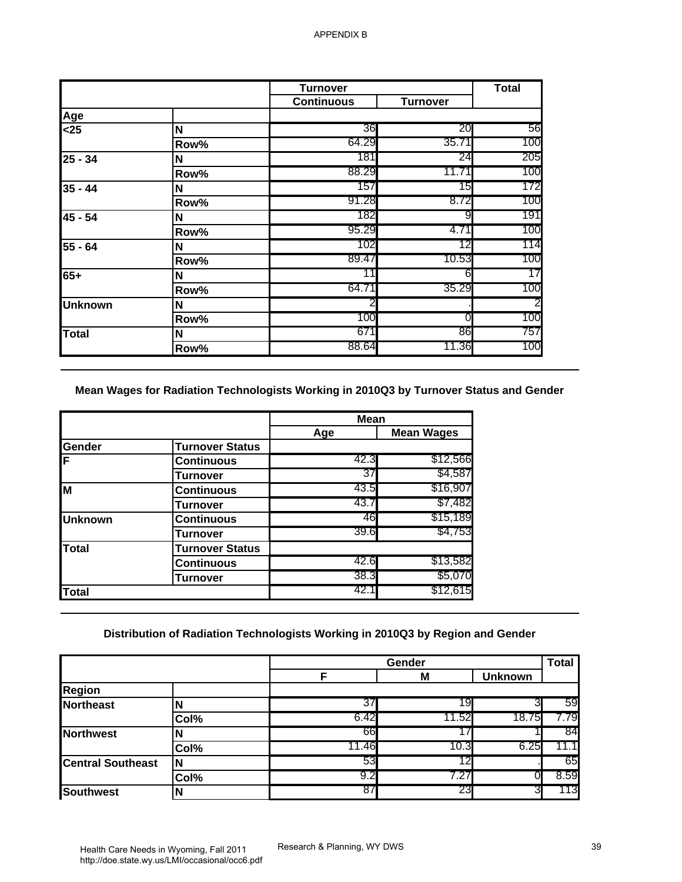|                                                                                      |                                                                                | <b>Turnover</b>   |                                                                                        | <b>Total</b>   |
|--------------------------------------------------------------------------------------|--------------------------------------------------------------------------------|-------------------|----------------------------------------------------------------------------------------|----------------|
|                                                                                      |                                                                                | <b>Continuous</b> | <b>Turnover</b>                                                                        |                |
| Age                                                                                  |                                                                                |                   |                                                                                        |                |
| $25$                                                                                 | N                                                                              | 36                | 20                                                                                     | 56             |
|                                                                                      | Row%                                                                           | 64.29             | 35.71                                                                                  | 100            |
| $25 - 34$                                                                            | N                                                                              | 181               | 24                                                                                     | 205            |
|                                                                                      | Row%                                                                           | 88.29             | 11.71                                                                                  | 100            |
| $35 - 44$                                                                            | N                                                                              | 157               | 15                                                                                     | 172            |
|                                                                                      | Row%                                                                           | 91.28             | 8.72                                                                                   | 100            |
| 45 - 54                                                                              | N                                                                              | 182               | 9                                                                                      | 191            |
|                                                                                      | Row%                                                                           | 95.29             | 4.71                                                                                   | 100            |
| 55 - 64                                                                              | N                                                                              | 102               | 12                                                                                     | 114            |
|                                                                                      | Row%                                                                           | 89.47             | 10.53                                                                                  | 100            |
| $65+$                                                                                | N                                                                              | 11                | 6                                                                                      | 17             |
|                                                                                      | Row%                                                                           | 64.71             | 35.29                                                                                  | 100            |
| <b>Unknown</b>                                                                       | N                                                                              |                   |                                                                                        |                |
|                                                                                      | Row%                                                                           | 100               | 0                                                                                      | 100            |
| <b>Total</b>                                                                         | N                                                                              | 671               | 86                                                                                     | 757            |
|                                                                                      | Row%                                                                           | 88.64             | 11.36                                                                                  | 100            |
|                                                                                      |                                                                                | <b>Mean</b>       | Mean Wages for Radiation Technologists Working in 2010Q3 by Turnover Status and Gender |                |
|                                                                                      |                                                                                |                   |                                                                                        |                |
|                                                                                      |                                                                                |                   |                                                                                        |                |
|                                                                                      |                                                                                | Age               | <b>Mean Wages</b>                                                                      |                |
|                                                                                      | <b>Turnover Status</b><br><b>Continuous</b>                                    | 42.3              | \$12,566                                                                               |                |
|                                                                                      | <b>Turnover</b>                                                                | 37                | \$4,587                                                                                |                |
|                                                                                      | <b>Continuous</b>                                                              | 43.5              | \$16,907                                                                               |                |
|                                                                                      | <b>Turnover</b>                                                                | 43.7              | \$7,482                                                                                |                |
|                                                                                      | <b>Continuous</b>                                                              | 46                | \$15,189                                                                               |                |
|                                                                                      | Turnover                                                                       | 39.6              | \$4,753                                                                                |                |
|                                                                                      | <b>Turnover Status</b>                                                         |                   |                                                                                        |                |
|                                                                                      | <b>Continuous</b>                                                              | 42.6              | \$13,582                                                                               |                |
|                                                                                      | <b>Turnover</b>                                                                | 38.3              | \$5,070                                                                                |                |
|                                                                                      |                                                                                | 42.1              | \$12,615                                                                               |                |
| Gender<br>F<br>M<br><b>Unknown</b><br><b>Total</b><br><b>Total</b>                   | Distribution of Radiation Technologists Working in 2010Q3 by Region and Gender |                   |                                                                                        |                |
|                                                                                      |                                                                                |                   | Gender                                                                                 |                |
|                                                                                      |                                                                                | F                 | M                                                                                      | <b>Unknown</b> |
| <b>Region</b>                                                                        |                                                                                |                   |                                                                                        |                |
|                                                                                      | N                                                                              | 37                | 19                                                                                     | 3              |
|                                                                                      | Col%                                                                           | 6.42              | 11.52                                                                                  | 18.75          |
|                                                                                      | N                                                                              | 66                | 17                                                                                     |                |
|                                                                                      | Col%                                                                           | 11.46             | 10.3                                                                                   | 6.25           |
|                                                                                      | N                                                                              | 53                | 12                                                                                     |                |
| <b>Northeast</b><br><b>Northwest</b><br><b>Central Southeast</b><br><b>Southwest</b> | Col%<br>$\mathsf{N}$                                                           | 9.2<br>87         | 7.27<br>23                                                                             | 0<br>3         |

|                |                        | <b>Mean</b> |                   |
|----------------|------------------------|-------------|-------------------|
|                |                        | Age         | <b>Mean Wages</b> |
| <b>Gender</b>  | <b>Turnover Status</b> |             |                   |
| ΙF             | <b>Continuous</b>      | 42.3        | \$12,566          |
|                | Turnover               | 37          | \$4,587           |
| ĪМ             | <b>Continuous</b>      | 43.5        | \$16,907          |
|                | Turnover               | 43.7        | \$7,482           |
| <b>Unknown</b> | <b>Continuous</b>      | 46          | \$15,189          |
|                | Turnover               | 39.6        | \$4,753           |
| <b>Total</b>   | <b>Turnover Status</b> |             |                   |
|                | <b>Continuous</b>      | 42.6        | \$13,582          |
|                | Turnover               | 38.3        | \$5,070           |
| <b>Total</b>   |                        | 42.1        | \$12,615          |

## **Distribution of Radiation Technologists Working in 2010Q3 by Region and Gender**

|                          |      |       | Gender |                | <b>Total</b> |
|--------------------------|------|-------|--------|----------------|--------------|
|                          |      | F     | M      | <b>Unknown</b> |              |
| <b>Region</b>            |      |       |        |                |              |
| <b>Northeast</b>         |      | 37    | 19     |                | 59           |
|                          | Col% | 6.42  | 11.52  | 18.75          | 779          |
| <b>Northwest</b>         |      | 66    |        |                | 84           |
|                          | Col% | 11.46 | 10.3   | 6.25           | 11.1         |
| <b>Central Southeast</b> |      | 53    | 12     |                | 65           |
|                          | Col% | 9.2   | 7.27   |                | 8.59         |
| <b>Southwest</b>         |      | 87    | 23     | ົ              | 113          |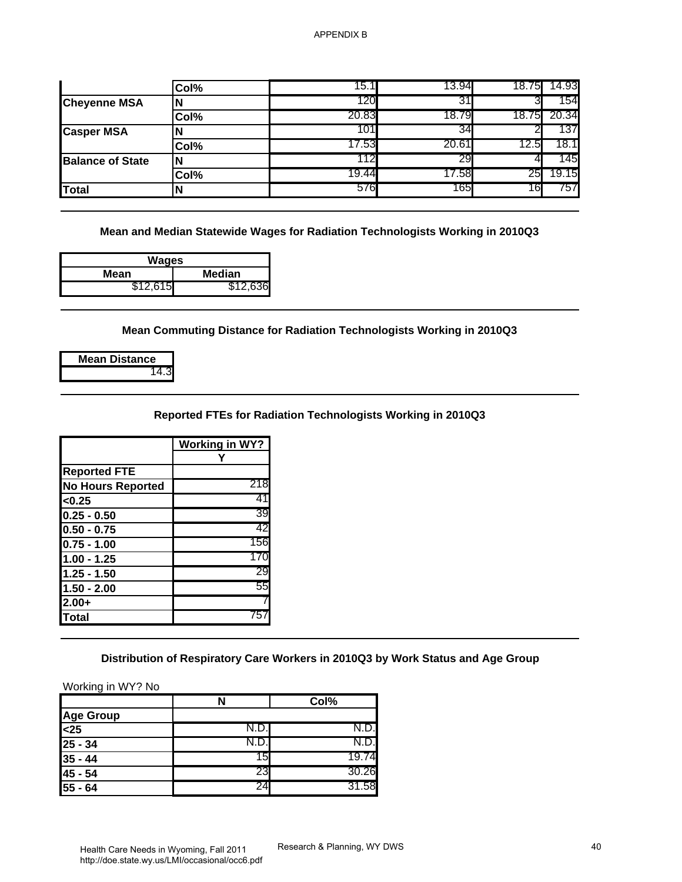|                                                                                                                                                                                           | Col%                  | 15.1                                                                            | 13.94 | 18.75<br>14.93        |
|-------------------------------------------------------------------------------------------------------------------------------------------------------------------------------------------|-----------------------|---------------------------------------------------------------------------------|-------|-----------------------|
| <b>Cheyenne MSA</b>                                                                                                                                                                       | N                     | 120                                                                             | 31    | 154<br>3              |
|                                                                                                                                                                                           | Col%                  | 20.83                                                                           | 18.79 | 18.75<br>20.34        |
| <b>Casper MSA</b>                                                                                                                                                                         | N                     | 101                                                                             | 34    | 137<br>$\overline{2}$ |
|                                                                                                                                                                                           | Col%                  | 17.53                                                                           | 20.61 | 18.1<br>12.5          |
| <b>Balance of State</b>                                                                                                                                                                   | N                     | 112                                                                             | 29    | 145<br>41             |
|                                                                                                                                                                                           | Col%                  | 19.44                                                                           | 17.58 | 19.15<br>25           |
| <b>Total</b>                                                                                                                                                                              | N                     | 576                                                                             | 165   | 16<br>757             |
|                                                                                                                                                                                           |                       |                                                                                 |       |                       |
| <b>Wages</b>                                                                                                                                                                              |                       | Mean and Median Statewide Wages for Radiation Technologists Working in 2010Q3   |       |                       |
| <b>Mean</b>                                                                                                                                                                               | <b>Median</b>         |                                                                                 |       |                       |
| \$12,615                                                                                                                                                                                  | \$12,636              |                                                                                 |       |                       |
|                                                                                                                                                                                           |                       |                                                                                 |       |                       |
| <b>Mean Distance</b>                                                                                                                                                                      |                       | Mean Commuting Distance for Radiation Technologists Working in 2010Q3           |       |                       |
| 14.3                                                                                                                                                                                      |                       |                                                                                 |       |                       |
|                                                                                                                                                                                           |                       |                                                                                 |       |                       |
|                                                                                                                                                                                           |                       |                                                                                 |       |                       |
|                                                                                                                                                                                           | <b>Working in WY?</b> | Reported FTEs for Radiation Technologists Working in 2010Q3                     |       |                       |
|                                                                                                                                                                                           | Y                     |                                                                                 |       |                       |
|                                                                                                                                                                                           |                       |                                                                                 |       |                       |
|                                                                                                                                                                                           | 218                   |                                                                                 |       |                       |
|                                                                                                                                                                                           | 41                    |                                                                                 |       |                       |
|                                                                                                                                                                                           | 39                    |                                                                                 |       |                       |
|                                                                                                                                                                                           | 42                    |                                                                                 |       |                       |
|                                                                                                                                                                                           | 156                   |                                                                                 |       |                       |
|                                                                                                                                                                                           | 170                   |                                                                                 |       |                       |
|                                                                                                                                                                                           | 29                    |                                                                                 |       |                       |
|                                                                                                                                                                                           | 55                    |                                                                                 |       |                       |
|                                                                                                                                                                                           |                       |                                                                                 |       |                       |
| <b>Reported FTE</b><br><b>No Hours Reported</b><br><0.25<br>$0.25 - 0.50$<br>$0.50 - 0.75$<br>$0.75 - 1.00$<br>$1.00 - 1.25$<br>$1.25 - 1.50$<br>$1.50 - 2.00$<br>$2.00+$<br><b>Total</b> | 757                   |                                                                                 |       |                       |
| Working in WY? No                                                                                                                                                                         |                       | Distribution of Respiratory Care Workers in 2010Q3 by Work Status and Age Group |       |                       |
|                                                                                                                                                                                           | N                     | Col%                                                                            |       |                       |
|                                                                                                                                                                                           |                       |                                                                                 |       |                       |
|                                                                                                                                                                                           | N.D.                  | N.D                                                                             |       |                       |
|                                                                                                                                                                                           | N.D.                  | N.D                                                                             |       |                       |
|                                                                                                                                                                                           | 15                    | 19.74                                                                           |       |                       |
| <b>Age Group</b><br>$25$<br>$25 - 34$<br>$35 - 44$<br>45 - 54                                                                                                                             | 23                    | 30.26<br>31.58                                                                  |       |                       |

| Wages                 |          |  |  |
|-----------------------|----------|--|--|
| <b>Median</b><br>Mean |          |  |  |
| \$12.615              | \$12.636 |  |  |

|  | <b>Mean Distance</b> |
|--|----------------------|
|  |                      |

#### **Reported FTEs for Radiation Technologists Working in 2010Q3**

|                          | <b>Working in WY?</b> |
|--------------------------|-----------------------|
|                          |                       |
|                          |                       |
| <b>Reported FTE</b>      |                       |
| <b>No Hours Reported</b> | 218                   |
| < 0.25                   | 41                    |
| $0.25 - 0.50$            | 39                    |
| $0.50 - 0.75$            | 42                    |
| $0.75 - 1.00$            | 156                   |
| $1.00 - 1.25$            | 170                   |
| $1.25 - 1.50$            | 29                    |
| $1.50 - 2.00$            | 55                    |
| $2.00+$                  |                       |
| <b>Total</b>             | 757                   |
|                          |                       |

|                  |     | Col%  |
|------------------|-----|-------|
| <b>Age Group</b> |     |       |
| $25$             |     |       |
| $25 - 34$        |     |       |
| $35 - 44$        | 151 | 19.74 |
| $45 - 54$        | 231 | 30.26 |
| $55 - 64$        | 24  | 31.58 |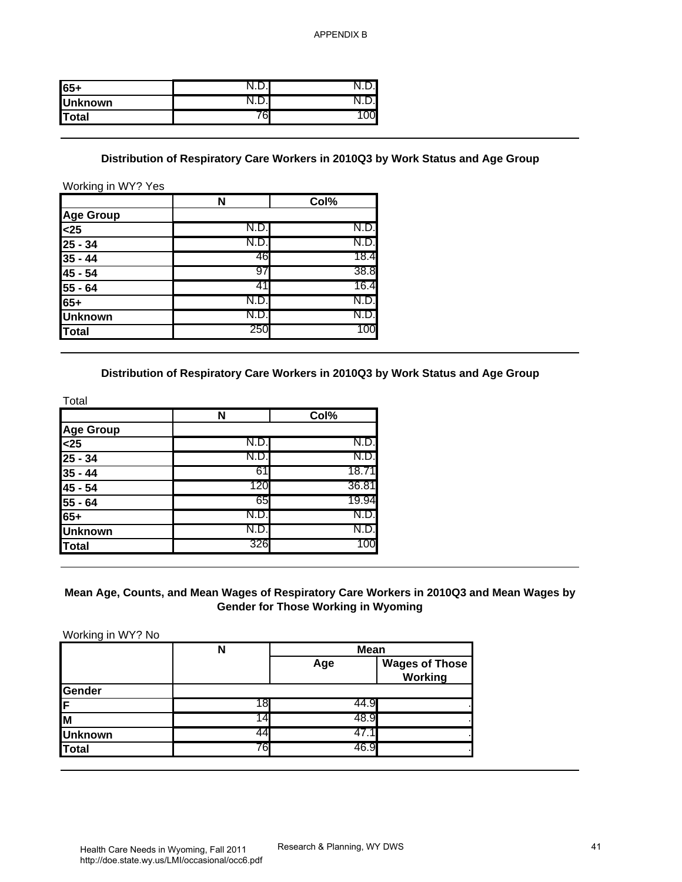| 65+            |   |  |
|----------------|---|--|
| <b>Unknown</b> |   |  |
| <b>ITotal</b>  | ı |  |

#### **Distribution of Respiratory Care Workers in 2010Q3 by Work Status and Age Group**

|                                                                                           | N    | Col% |
|-------------------------------------------------------------------------------------------|------|------|
| <b>Age Group</b>                                                                          |      |      |
|                                                                                           | N.D. | N.D. |
| $\frac{25}{35} - 34$<br>$\frac{35}{45} - 44$<br>$\frac{45}{55} - 64$<br>$\frac{55}{65} +$ | N.D. | N.D. |
|                                                                                           | 46   | 18.4 |
|                                                                                           | 97   | 38.8 |
|                                                                                           |      | 16.4 |
|                                                                                           | N.D  | N.D. |
| <b>Unknown</b>                                                                            | N.D. | N.D. |
| Total                                                                                     | 250  | 100  |

#### **Distribution of Respiratory Care Workers in 2010Q3 by Work Status and Age Group**

| Total                                                                                 |      |       |
|---------------------------------------------------------------------------------------|------|-------|
|                                                                                       | N    | Col%  |
| <b>Age Group</b>                                                                      |      |       |
|                                                                                       | N.D. | N.D.  |
|                                                                                       | N.D. | N.D.  |
|                                                                                       | 61   | 18.71 |
|                                                                                       | 120  | 36.81 |
| $\frac{$25}{$25 - 34}$$<br>$\frac{25 - 34}{$35 - 44}$$<br>$\frac{45 - 54}{$55 - 64}$$ | 65   | 19.94 |
| $65+$                                                                                 | N.D. | N.D.  |
| <b>Unknown</b>                                                                        | N.D. | N.D.  |
| Total                                                                                 | 326  | 100   |

#### **Mean Age, Counts, and Mean Wages of Respiratory Care Workers in 2010Q3 and Mean Wages by Gender for Those Working in Wyoming**

| $65+$                                                                                                                                                                                                                    | N.D.                                                                            | N.D.                                       |                                  |
|--------------------------------------------------------------------------------------------------------------------------------------------------------------------------------------------------------------------------|---------------------------------------------------------------------------------|--------------------------------------------|----------------------------------|
| <b>Unknown</b>                                                                                                                                                                                                           | N.D.                                                                            | N.D.                                       |                                  |
| <b>Total</b>                                                                                                                                                                                                             | 76                                                                              | 100                                        |                                  |
|                                                                                                                                                                                                                          |                                                                                 |                                            |                                  |
| Working in WY? Yes                                                                                                                                                                                                       | Distribution of Respiratory Care Workers in 2010Q3 by Work Status and Age Group |                                            |                                  |
|                                                                                                                                                                                                                          | N                                                                               | Col%                                       |                                  |
| <b>Age Group</b>                                                                                                                                                                                                         |                                                                                 |                                            |                                  |
| $25$                                                                                                                                                                                                                     | N.D.                                                                            | N.D.                                       |                                  |
| $25 - 34$                                                                                                                                                                                                                | N.D.                                                                            | N.D.                                       |                                  |
| $35 - 44$                                                                                                                                                                                                                | 46                                                                              | 18.4                                       |                                  |
| 45 - 54                                                                                                                                                                                                                  | 97                                                                              | 38.8                                       |                                  |
| 55 - 64                                                                                                                                                                                                                  | -41                                                                             | 16.4                                       |                                  |
| $65+$                                                                                                                                                                                                                    | N.D.                                                                            | N.D.                                       |                                  |
| <b>Unknown</b>                                                                                                                                                                                                           | N.D.                                                                            | N.D.                                       |                                  |
| <b>Total</b>                                                                                                                                                                                                             | 250                                                                             | 100                                        |                                  |
|                                                                                                                                                                                                                          | Distribution of Respiratory Care Workers in 2010Q3 by Work Status and Age Group |                                            |                                  |
|                                                                                                                                                                                                                          |                                                                                 |                                            |                                  |
|                                                                                                                                                                                                                          | N                                                                               | Col%                                       |                                  |
|                                                                                                                                                                                                                          |                                                                                 |                                            |                                  |
|                                                                                                                                                                                                                          | N.D.                                                                            | N.D.                                       |                                  |
|                                                                                                                                                                                                                          | N.D.                                                                            | N.D.                                       |                                  |
|                                                                                                                                                                                                                          | 61                                                                              | 18.71                                      |                                  |
|                                                                                                                                                                                                                          | 120                                                                             | 36.81                                      |                                  |
|                                                                                                                                                                                                                          | 65                                                                              | 19.94                                      |                                  |
|                                                                                                                                                                                                                          | N.D.                                                                            | N.D.                                       |                                  |
|                                                                                                                                                                                                                          | N.D.                                                                            | N.D.                                       |                                  |
|                                                                                                                                                                                                                          | 326                                                                             | 100                                        |                                  |
| Total<br><b>Age Group</b><br>$25$<br>$25 - 34$<br>$35 - 44$<br>45 - 54<br>55 - 64<br>$65+$<br><b>Unknown</b><br><b>Total</b><br>Mean Age, Counts, and Mean Wages of Respiratory Care Workers in 2010Q3 and Mean Wages by |                                                                                 | <b>Gender for Those Working in Wyoming</b> |                                  |
| Working in WY? No                                                                                                                                                                                                        |                                                                                 |                                            |                                  |
|                                                                                                                                                                                                                          | $\mathsf{N}$                                                                    | <b>Mean</b>                                |                                  |
|                                                                                                                                                                                                                          |                                                                                 | Age                                        | <b>Wages of Those</b><br>Working |
|                                                                                                                                                                                                                          |                                                                                 |                                            |                                  |
|                                                                                                                                                                                                                          | 18                                                                              | 44.9                                       |                                  |
|                                                                                                                                                                                                                          | 14                                                                              | 48.9                                       |                                  |
| Gender<br>F<br>M<br><b>Unknown</b><br><b>Total</b>                                                                                                                                                                       | 44<br>76                                                                        | 47.1<br>46.9                               |                                  |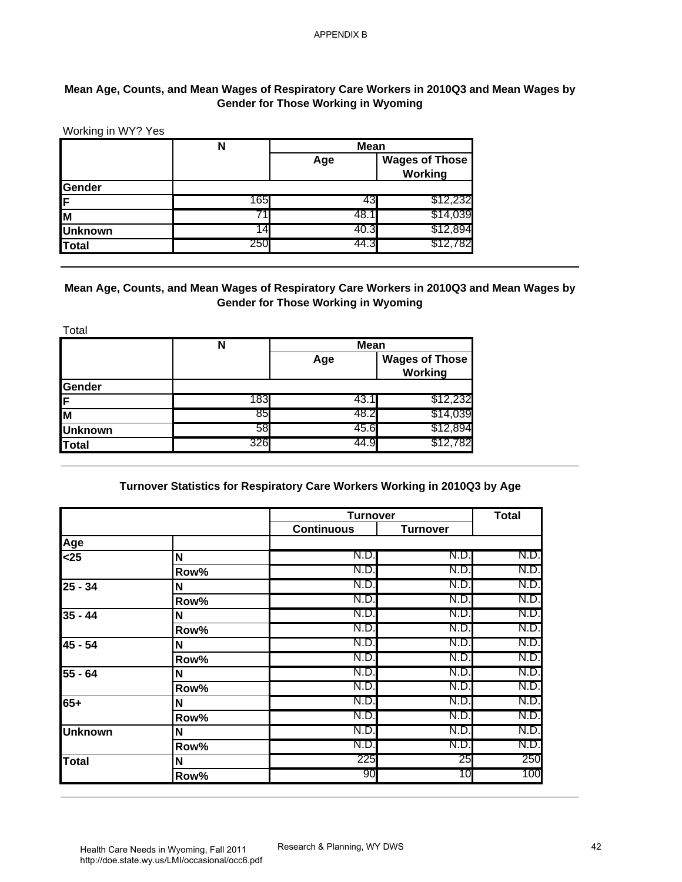## **Mean Age, Counts, and Mean Wages of Respiratory Care Workers in 2010Q3 and Mean Wages by Gender for Those Working in Wyoming**

|                | N   | <b>Mean</b> |                                  |  |
|----------------|-----|-------------|----------------------------------|--|
|                |     | Age         | <b>Wages of Those</b><br>Working |  |
| Gender         |     |             |                                  |  |
| ΙF             | 165 |             | \$12,232                         |  |
| lм             |     | 48.1        | \$14,039                         |  |
| <b>Unknown</b> | 14  | 40.3        | \$12,894                         |  |
| Total          | 250 | 44.3        | \$12,782                         |  |

#### **Mean Age, Counts, and Mean Wages of Respiratory Care Workers in 2010Q3 and Mean Wages by Gender for Those Working in Wyoming**

| Total          |     |             |                                  |
|----------------|-----|-------------|----------------------------------|
|                | N   | <b>Mean</b> |                                  |
|                |     | Age         | <b>Wages of Those</b><br>Working |
| Gender         |     |             |                                  |
| ΙF             | 183 | 43.1        | \$12,232                         |
| lм             | 85  | 48.2        | \$14,039                         |
| <b>Unknown</b> | 58  | 45.6        | \$12,894                         |
| Total          | 326 | 44.9        | \$12,782                         |

## **Turnover Statistics for Respiratory Care Workers Working in 2010Q3 by Age**

| Working in WY? Yes                                                                   |                                                                                          |                                            |                                         |              |
|--------------------------------------------------------------------------------------|------------------------------------------------------------------------------------------|--------------------------------------------|-----------------------------------------|--------------|
|                                                                                      | N                                                                                        | <b>Mean</b>                                |                                         |              |
|                                                                                      |                                                                                          | Age                                        | <b>Wages of Those</b><br><b>Working</b> |              |
| Gender                                                                               |                                                                                          |                                            |                                         |              |
| F                                                                                    | 165<br>71                                                                                | 43<br>48.1                                 | \$12,232<br>\$14,039                    |              |
| M                                                                                    | 14                                                                                       | 40.3                                       | \$12,894                                |              |
| <b>Unknown</b><br><b>Total</b>                                                       | 250                                                                                      | 44.3                                       | \$12,782                                |              |
|                                                                                      |                                                                                          |                                            |                                         |              |
|                                                                                      | Mean Age, Counts, and Mean Wages of Respiratory Care Workers in 2010Q3 and Mean Wages by | <b>Gender for Those Working in Wyoming</b> |                                         |              |
| Total                                                                                |                                                                                          |                                            |                                         |              |
|                                                                                      | $\overline{\mathsf{N}}$                                                                  | <b>Mean</b>                                |                                         |              |
|                                                                                      |                                                                                          | Age                                        | <b>Wages of Those</b><br>Working        |              |
| Gender<br>F                                                                          | 183                                                                                      | 43.1                                       | \$12,232                                |              |
| M                                                                                    | 85                                                                                       | 48.2                                       | \$14,039                                |              |
|                                                                                      |                                                                                          |                                            |                                         |              |
|                                                                                      |                                                                                          |                                            |                                         |              |
|                                                                                      | 58<br>326                                                                                | 45.6<br>44.9                               | \$12,894<br>\$12,782                    |              |
| <b>Unknown</b><br><b>Total</b>                                                       | Turnover Statistics for Respiratory Care Workers Working in 2010Q3 by Age                |                                            |                                         |              |
|                                                                                      |                                                                                          | <b>Turnover</b>                            | <b>Turnover</b>                         | <b>Total</b> |
|                                                                                      |                                                                                          | <b>Continuous</b>                          |                                         |              |
|                                                                                      | N                                                                                        | N.D.                                       | N.D.                                    | N.D.         |
|                                                                                      | Row%                                                                                     | N.D.                                       | N.D.                                    | N.D.         |
|                                                                                      | N                                                                                        | N.D.                                       | N.D.                                    | N.D.         |
|                                                                                      | Row%                                                                                     | N.D                                        | N.D.                                    | N.D.         |
|                                                                                      | Ν                                                                                        | N.D.                                       | N.D.                                    | N.D.         |
|                                                                                      | Row%                                                                                     | N.D.                                       | N.D.                                    | N.D.         |
|                                                                                      | N                                                                                        | N.D.                                       | N.D.                                    | N.D.         |
|                                                                                      | Row%                                                                                     | N.D.                                       | N.D.                                    |              |
|                                                                                      | N                                                                                        | N.D.                                       | N.D.                                    | N.D.<br>N.D. |
|                                                                                      | Row%                                                                                     | N.D.                                       | N.D.                                    | N.D.         |
|                                                                                      | N                                                                                        | N.D.                                       | N.D.                                    | N.D.         |
|                                                                                      | Row%                                                                                     | N.D.                                       | N.D.                                    |              |
|                                                                                      | N                                                                                        | N.D.                                       | N.D.                                    | N.D.<br>N.D. |
| Age<br>$25$<br>$25 - 34$<br>$35 - 44$<br>45 - 54<br>55 - 64<br>65+<br><b>Unknown</b> | Row%                                                                                     | N.D.                                       | N.D.                                    | N.D.         |
| <b>Total</b>                                                                         | N                                                                                        | 225<br>90                                  | 25<br>10                                | 250<br>100   |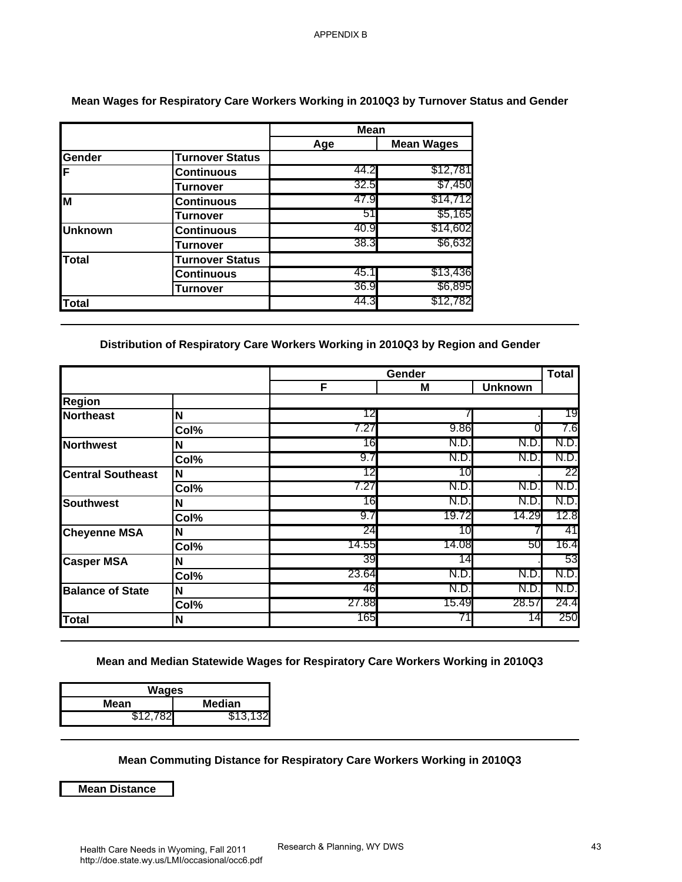|                |                        | <b>Mean</b> |                   |
|----------------|------------------------|-------------|-------------------|
|                |                        | Age         | <b>Mean Wages</b> |
| Gender         | <b>Turnover Status</b> |             |                   |
| IF             | <b>Continuous</b>      | 44.2        | \$12,781          |
|                | <b>Turnover</b>        | 32.5        | \$7,450           |
| İм             | <b>Continuous</b>      | 47.9        | \$14,712          |
|                | Turnover               | 51          | \$5,165           |
| <b>Unknown</b> | <b>Continuous</b>      | 40.9        | \$14,602          |
|                | Turnover               | 38.3        | \$6,632           |
| <b>Total</b>   | <b>Turnover Status</b> |             |                   |
|                | Continuous             | 45.1        | \$13,436          |
|                | Turnover               | 36.9        | \$6,895           |
| Total          |                        | 44.3        | \$12,782          |

#### **Mean Wages for Respiratory Care Workers Working in 2010Q3 by Turnover Status and Gender**

#### **Distribution of Respiratory Care Workers Working in 2010Q3 by Region and Gender**

| <b>Turnover Status</b><br><b>Continuous</b><br><b>Turnover</b><br><b>Continuous</b><br><b>Turnover</b><br><b>Continuous</b><br><b>Turnover</b><br><b>Turnover Status</b><br><b>Continuous</b><br><b>Turnover</b><br>Col% | Age<br>44.2<br>32.5<br>47.9<br>51<br>40.9<br>38.3<br>45.1<br>36.9<br>44.3<br>Distribution of Respiratory Care Workers Working in 2010Q3 by Region and Gender<br>F | <b>Mean Wages</b><br>\$12,781<br>\$7,450<br>\$14,712<br>\$5,165<br>\$14,602<br>\$6,632<br>\$13,436<br>\$6,895<br>\$12,782<br>Gender<br>M |                     | <b>Total</b>                                                                                       |
|--------------------------------------------------------------------------------------------------------------------------------------------------------------------------------------------------------------------------|-------------------------------------------------------------------------------------------------------------------------------------------------------------------|------------------------------------------------------------------------------------------------------------------------------------------|---------------------|----------------------------------------------------------------------------------------------------|
|                                                                                                                                                                                                                          |                                                                                                                                                                   |                                                                                                                                          |                     |                                                                                                    |
|                                                                                                                                                                                                                          |                                                                                                                                                                   |                                                                                                                                          |                     |                                                                                                    |
|                                                                                                                                                                                                                          |                                                                                                                                                                   |                                                                                                                                          |                     |                                                                                                    |
|                                                                                                                                                                                                                          |                                                                                                                                                                   |                                                                                                                                          |                     |                                                                                                    |
|                                                                                                                                                                                                                          |                                                                                                                                                                   |                                                                                                                                          |                     |                                                                                                    |
|                                                                                                                                                                                                                          |                                                                                                                                                                   |                                                                                                                                          |                     |                                                                                                    |
|                                                                                                                                                                                                                          |                                                                                                                                                                   |                                                                                                                                          |                     |                                                                                                    |
|                                                                                                                                                                                                                          |                                                                                                                                                                   |                                                                                                                                          |                     |                                                                                                    |
|                                                                                                                                                                                                                          |                                                                                                                                                                   |                                                                                                                                          |                     |                                                                                                    |
|                                                                                                                                                                                                                          |                                                                                                                                                                   |                                                                                                                                          |                     |                                                                                                    |
|                                                                                                                                                                                                                          |                                                                                                                                                                   |                                                                                                                                          |                     |                                                                                                    |
|                                                                                                                                                                                                                          |                                                                                                                                                                   |                                                                                                                                          | <b>Unknown</b>      |                                                                                                    |
|                                                                                                                                                                                                                          |                                                                                                                                                                   |                                                                                                                                          |                     |                                                                                                    |
|                                                                                                                                                                                                                          | 12<br>7.27                                                                                                                                                        | 9.86                                                                                                                                     |                     | 19                                                                                                 |
|                                                                                                                                                                                                                          | 16                                                                                                                                                                | N.D.                                                                                                                                     | 0<br>N.D.           | 7.6<br>N.D                                                                                         |
| Col%                                                                                                                                                                                                                     | 9.7                                                                                                                                                               | N.D.                                                                                                                                     | N.D                 | N.D                                                                                                |
|                                                                                                                                                                                                                          | 12                                                                                                                                                                | 10                                                                                                                                       |                     | 22                                                                                                 |
| Col%                                                                                                                                                                                                                     | 7.27                                                                                                                                                              | N.D.                                                                                                                                     | N.D.                | N.D.                                                                                               |
|                                                                                                                                                                                                                          | 16                                                                                                                                                                | N.D.                                                                                                                                     | N.D.                | N.D.                                                                                               |
| Col%                                                                                                                                                                                                                     | 9.7                                                                                                                                                               | 19.72                                                                                                                                    | 14.29               | 12.8                                                                                               |
|                                                                                                                                                                                                                          | 24                                                                                                                                                                | 10                                                                                                                                       |                     | 41                                                                                                 |
| Col%                                                                                                                                                                                                                     |                                                                                                                                                                   |                                                                                                                                          |                     | 16.4                                                                                               |
|                                                                                                                                                                                                                          |                                                                                                                                                                   |                                                                                                                                          |                     | 53                                                                                                 |
| Col%                                                                                                                                                                                                                     |                                                                                                                                                                   |                                                                                                                                          |                     | N.D.                                                                                               |
|                                                                                                                                                                                                                          |                                                                                                                                                                   |                                                                                                                                          |                     | N.D.<br>24.4                                                                                       |
|                                                                                                                                                                                                                          |                                                                                                                                                                   |                                                                                                                                          |                     | 250                                                                                                |
| Col%                                                                                                                                                                                                                     | 46<br>27.88<br>165                                                                                                                                                | N.D.<br>15.49<br>71                                                                                                                      | N.D.<br>28.57<br>14 |                                                                                                    |
|                                                                                                                                                                                                                          |                                                                                                                                                                   |                                                                                                                                          |                     |                                                                                                    |
|                                                                                                                                                                                                                          |                                                                                                                                                                   |                                                                                                                                          |                     |                                                                                                    |
| <b>Median</b><br>\$13,132                                                                                                                                                                                                |                                                                                                                                                                   |                                                                                                                                          |                     |                                                                                                    |
|                                                                                                                                                                                                                          |                                                                                                                                                                   | 14.55<br>39<br>23.64                                                                                                                     | 14.08<br>14<br>N.D. | 71<br>50<br>N.D.<br>Mean and Median Statewide Wages for Respiratory Care Workers Working in 2010Q3 |

#### **Mean and Median Statewide Wages for Respiratory Care Workers Working in 2010Q3**

| Wages          |          |  |  |
|----------------|----------|--|--|
| Median<br>Mean |          |  |  |
| \$12.782       | \$13,132 |  |  |

#### **Mean Commuting Distance for Respiratory Care Workers Working in 2010Q3**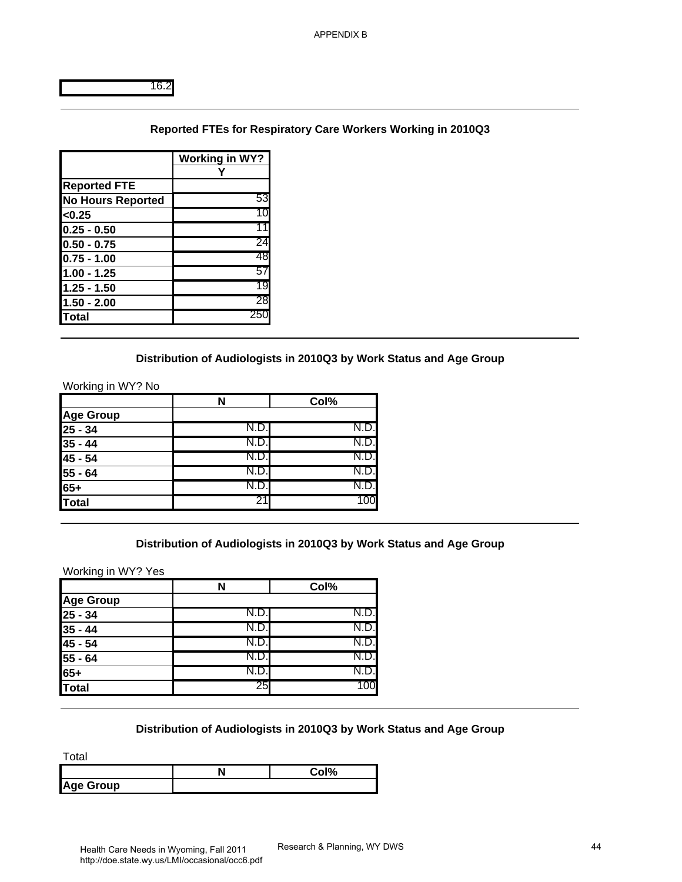#### **Reported FTEs for Respiratory Care Workers Working in 2010Q3**

|                          | Working in WY? |
|--------------------------|----------------|
|                          |                |
| <b>Reported FTE</b>      |                |
| <b>No Hours Reported</b> | 53             |
| < 0.25                   | 10             |
| $0.25 - 0.50$            |                |
| $0.50 - 0.75$            | 24             |
| 0.75 - 1.00              | 48             |
| 1.00 - 1.25              | 57             |
| 1.25 - 1.50              | 19             |
| $1.50 - 2.00$            | 28             |
| lTotal                   | 250            |

#### **Distribution of Audiologists in 2010Q3 by Work Status and Age Group**

|                       |      | Col% |
|-----------------------|------|------|
| <b>Age Group</b>      |      |      |
| $25 - 34$             | N.D. |      |
| $35 - 44$             | N.D. |      |
| $45 - 54$             | N.D. |      |
|                       | N.D  |      |
| $\frac{55 - 64}{65+}$ | IN.L |      |
| Total                 |      |      |

#### **Distribution of Audiologists in 2010Q3 by Work Status and Age Group**

| Reported FTEs for Respiratory Care Workers Working in 2010Q3        |                                                                                       |      |                                                                                                     |
|---------------------------------------------------------------------|---------------------------------------------------------------------------------------|------|-----------------------------------------------------------------------------------------------------|
|                                                                     |                                                                                       |      |                                                                                                     |
|                                                                     |                                                                                       |      |                                                                                                     |
|                                                                     |                                                                                       |      |                                                                                                     |
| <b>Working in WY?</b><br>Υ                                          |                                                                                       |      |                                                                                                     |
|                                                                     |                                                                                       |      |                                                                                                     |
| 53                                                                  |                                                                                       |      |                                                                                                     |
|                                                                     |                                                                                       |      |                                                                                                     |
|                                                                     |                                                                                       |      |                                                                                                     |
|                                                                     |                                                                                       |      |                                                                                                     |
|                                                                     |                                                                                       |      |                                                                                                     |
|                                                                     |                                                                                       |      |                                                                                                     |
|                                                                     |                                                                                       |      |                                                                                                     |
|                                                                     |                                                                                       |      |                                                                                                     |
|                                                                     |                                                                                       |      |                                                                                                     |
| N                                                                   | Col%                                                                                  |      |                                                                                                     |
|                                                                     |                                                                                       |      |                                                                                                     |
|                                                                     |                                                                                       |      |                                                                                                     |
|                                                                     |                                                                                       |      |                                                                                                     |
|                                                                     |                                                                                       |      |                                                                                                     |
|                                                                     |                                                                                       |      |                                                                                                     |
| 21                                                                  | 100                                                                                   |      |                                                                                                     |
|                                                                     |                                                                                       |      |                                                                                                     |
|                                                                     |                                                                                       |      |                                                                                                     |
| Distribution of Audiologists in 2010Q3 by Work Status and Age Group |                                                                                       |      |                                                                                                     |
| N                                                                   | Col%                                                                                  |      |                                                                                                     |
| N.D.                                                                | N.D.                                                                                  |      |                                                                                                     |
| N.D.                                                                | N.D.                                                                                  |      |                                                                                                     |
| N.D.                                                                | N.D.                                                                                  |      |                                                                                                     |
| N.D.                                                                | N.D.                                                                                  |      |                                                                                                     |
| N.D.                                                                | N.D.                                                                                  |      |                                                                                                     |
|                                                                     | 10<br>11<br>24<br>48<br>57<br>19<br>28<br>250<br>N.D.<br>N.D.<br>N.D.<br>N.D.<br>N.D. | N.D. | Distribution of Audiologists in 2010Q3 by Work Status and Age Group<br>N.D.<br>N.D.<br>N.D.<br>N.D. |

#### **Distribution of Audiologists in 2010Q3 by Work Status and Age Group**

|                  | $\sim$ 10 $'$ |
|------------------|---------------|
| <b>Age Group</b> |               |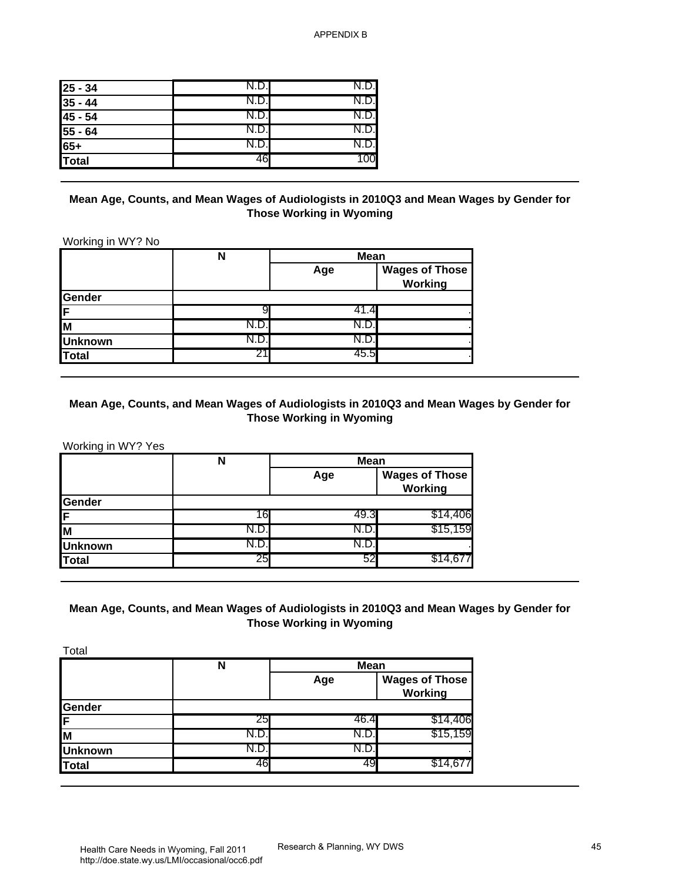| $\frac{25 - 34}{35 - 44}$<br>45 - 54 | N.D.  |  |
|--------------------------------------|-------|--|
|                                      | N.D.  |  |
|                                      | N.D.I |  |
| $55 - 64$                            | N.D.I |  |
| $65+$                                | N.D.  |  |
| Total                                | 46    |  |

#### **Mean Age, Counts, and Mean Wages of Audiologists in 2010Q3 and Mean Wages by Gender for Those Working in Wyoming**

|                | N    | Mean  |                                  |
|----------------|------|-------|----------------------------------|
|                |      | Age   | <b>Wages of Those</b><br>Working |
| <b>Gender</b>  |      |       |                                  |
| IF.            |      |       |                                  |
| lм             | N.D. | N.D.  |                                  |
| <b>Unknown</b> |      | N.D   |                                  |
| Total          |      | 45.5I |                                  |

#### **Mean Age, Counts, and Mean Wages of Audiologists in 2010Q3 and Mean Wages by Gender for Those Working in Wyoming**

|                | N    | <b>Mean</b> |                                  |  |
|----------------|------|-------------|----------------------------------|--|
|                |      | Age         | <b>Wages of Those</b><br>Working |  |
| <b>Gender</b>  |      |             |                                  |  |
| ΙF             | 16   | 49.3        | \$14,706                         |  |
| lм             | N.D. | N.D         | \$15,159                         |  |
| <b>Unknown</b> | N.D. | IN.D.       |                                  |  |
| Total          | 25   | 52          |                                  |  |

## **Mean Age, Counts, and Mean Wages of Audiologists in 2010Q3 and Mean Wages by Gender for Those Working in Wyoming**

| $25 - 34$                                                                                                                             | N.D.                                                                                          | N.D.                                           |                                         |
|---------------------------------------------------------------------------------------------------------------------------------------|-----------------------------------------------------------------------------------------------|------------------------------------------------|-----------------------------------------|
| $35 - 44$                                                                                                                             | N.D.                                                                                          | N.D.                                           |                                         |
| $45 - 54$                                                                                                                             | N.D.                                                                                          | N.D.                                           |                                         |
| $55 - 64$                                                                                                                             | N.D.                                                                                          | N.D.                                           |                                         |
| $65+$                                                                                                                                 | N.D.                                                                                          | N.D.                                           |                                         |
| <b>Total</b>                                                                                                                          | 46                                                                                            | 100                                            |                                         |
| Working in WY? No<br>Gender                                                                                                           | N                                                                                             | <b>Those Working in Wyoming</b><br>Mean<br>Age | <b>Wages of Those</b><br><b>Working</b> |
| F                                                                                                                                     | 9                                                                                             | 41.4                                           |                                         |
|                                                                                                                                       | N.D.                                                                                          | N.D                                            |                                         |
|                                                                                                                                       | N.D.                                                                                          | N.D.                                           |                                         |
|                                                                                                                                       |                                                                                               |                                                |                                         |
|                                                                                                                                       | 21<br>Mean Age, Counts, and Mean Wages of Audiologists in 2010Q3 and Mean Wages by Gender for | 45.5<br><b>Those Working in Wyoming</b>        |                                         |
|                                                                                                                                       | N                                                                                             | <b>Mean</b><br>Age                             | <b>Wages of Those</b>                   |
|                                                                                                                                       |                                                                                               |                                                | <b>Working</b>                          |
|                                                                                                                                       |                                                                                               |                                                |                                         |
|                                                                                                                                       | 16                                                                                            | 49.3                                           | \$14,406                                |
|                                                                                                                                       | N.D.                                                                                          | N.D.                                           | \$15,159                                |
|                                                                                                                                       | N.D.<br>25                                                                                    | N.D<br>52                                      | \$14,67                                 |
| $\overline{\mathsf{M}}$<br><b>Unknown</b><br><b>Total</b><br>Working in WY? Yes<br>Gender<br>F<br>M<br><b>Unknown</b><br><b>Total</b> | Mean Age, Counts, and Mean Wages of Audiologists in 2010Q3 and Mean Wages by Gender for       | <b>Those Working in Wyoming</b>                |                                         |
| Total                                                                                                                                 |                                                                                               |                                                |                                         |
|                                                                                                                                       | $\overline{\mathsf{N}}$                                                                       | <b>Mean</b>                                    |                                         |
|                                                                                                                                       |                                                                                               | Age                                            | <b>Wages of Those</b><br>Working        |
|                                                                                                                                       |                                                                                               |                                                |                                         |
|                                                                                                                                       | 25                                                                                            | 46.4                                           | \$14,406                                |
|                                                                                                                                       | N.D.                                                                                          | N.D.                                           | \$15,159                                |
| Gender<br>F<br>M<br><b>Unknown</b><br><b>Total</b>                                                                                    | N.D.<br>46                                                                                    | N.D<br>49                                      | \$14,677                                |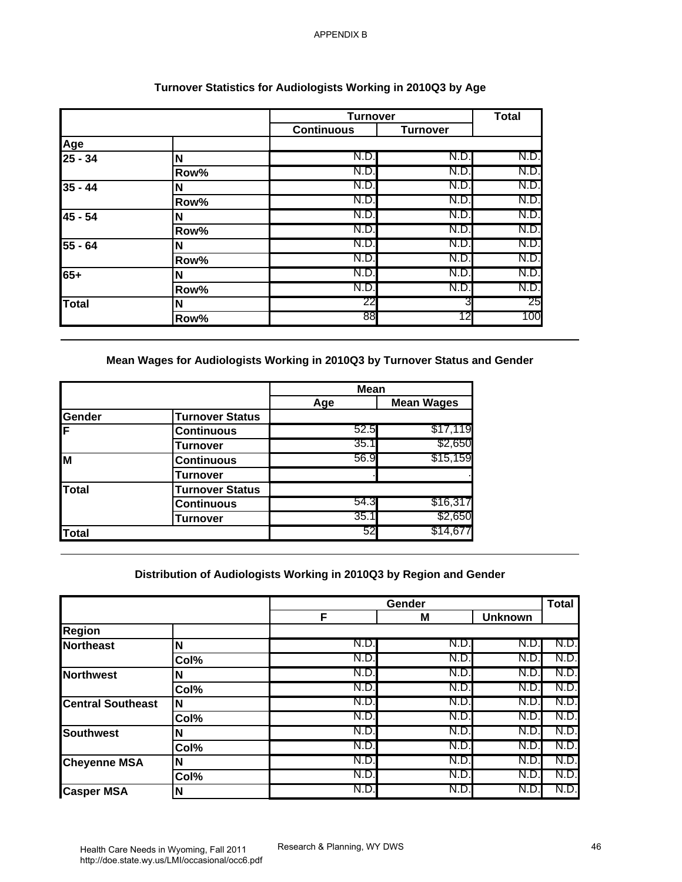|              |      | <b>Turnover</b>   |                 | <b>Total</b> |
|--------------|------|-------------------|-----------------|--------------|
|              |      | <b>Continuous</b> | <b>Turnover</b> |              |
| <u>Age</u>   |      |                   |                 |              |
| $25 - 34$    | N    | N.D.              | N.D.            | N.D.         |
|              | Row% | N.D.              | N.D             | N.D.         |
| $35 - 44$    | N    | N.D.              | N.D             | N.D.         |
|              | Row% | N.D.              | N.D             | N.D.         |
| 45 - 54      | N    | N.D.              | N.D             | N.D.         |
|              | Row% | N.D.              | N.D             | N.D.         |
| $55 - 64$    | N    | N.D.              | N.D             | N.D.         |
|              | Row% | N.D.              | N.D             | N.D.         |
| $65+$        | N    | N.D.              | N.D             | N.D.         |
|              | Row% | N.D.              | N.D.            | N.D.         |
| <b>Total</b> | N    | 22                |                 | 25           |
|              | Row% | 88                | 12              | 100          |

## **Turnover Statistics for Audiologists Working in 2010Q3 by Age**

|        |                        | <b>Mean</b> |                   |
|--------|------------------------|-------------|-------------------|
|        |                        | Age         | <b>Mean Wages</b> |
| Gender | <b>Turnover Status</b> |             |                   |
| ΙF     | <b>Continuous</b>      | 52.5        | \$17,119          |
|        | <b>Turnover</b>        | 35.1        | \$2,650           |
| M      | <b>Continuous</b>      | 56.9        | \$15,159          |
|        | <b>Turnover</b>        |             |                   |
| Total  | <b>Turnover Status</b> |             |                   |
|        | <b>Continuous</b>      | 54.3        | \$16,317          |
|        | Turnover               | 35.1        | \$2,650           |
| Total  |                        | 52          | \$14,677          |

## **Distribution of Audiologists Working in 2010Q3 by Region and Gender**

|                                                                                                                              |                        | <b>Turnover</b>                                                     |                   | <b>Total</b>   |                                                                                           |
|------------------------------------------------------------------------------------------------------------------------------|------------------------|---------------------------------------------------------------------|-------------------|----------------|-------------------------------------------------------------------------------------------|
|                                                                                                                              |                        | <b>Continuous</b>                                                   | <b>Turnover</b>   |                |                                                                                           |
| Age                                                                                                                          |                        |                                                                     |                   |                |                                                                                           |
| $25 - 34$                                                                                                                    | N                      | N.D.<br>N.D.                                                        | N.D.              | N.D.           |                                                                                           |
|                                                                                                                              | Row%                   | N.D.                                                                | N.D.              | N.D.           |                                                                                           |
| $35 - 44$                                                                                                                    | N                      | N.D.                                                                | N.D.<br>N.D.      | N.D.<br>N.D.   |                                                                                           |
| 45 - 54                                                                                                                      | Row%<br>N              | N.D.                                                                | N.D.              | N.D.           |                                                                                           |
|                                                                                                                              | Row%                   | N.D.                                                                | N.D.              | N.D.           |                                                                                           |
| $55 - 64$                                                                                                                    | N                      | N.D                                                                 | N.D.              | N.D.           |                                                                                           |
|                                                                                                                              | Row%                   | N.D.                                                                | N.D.              | N.D.           |                                                                                           |
| $65+$                                                                                                                        | N                      | N.D.                                                                | N.D.              | N.D.           |                                                                                           |
|                                                                                                                              | Row%                   | N.D.                                                                | N.D.              | N.D.           |                                                                                           |
| <b>Total</b>                                                                                                                 | N                      | 22                                                                  | 3                 | 25             |                                                                                           |
|                                                                                                                              | Row%                   | 88                                                                  | 12                | 100            |                                                                                           |
| Gender                                                                                                                       | <b>Turnover Status</b> |                                                                     |                   |                |                                                                                           |
|                                                                                                                              |                        | <b>Mean</b>                                                         |                   |                |                                                                                           |
|                                                                                                                              |                        | Age                                                                 | <b>Mean Wages</b> |                |                                                                                           |
| F                                                                                                                            | <b>Continuous</b>      | 52.5                                                                | \$17,119          |                |                                                                                           |
|                                                                                                                              | <b>Turnover</b>        | 35.1                                                                | \$2,650           |                |                                                                                           |
|                                                                                                                              | <b>Continuous</b>      | 56.9                                                                | \$15,159          |                |                                                                                           |
| M                                                                                                                            |                        |                                                                     |                   |                |                                                                                           |
|                                                                                                                              | <b>Turnover</b>        |                                                                     |                   |                |                                                                                           |
|                                                                                                                              | <b>Turnover Status</b> |                                                                     |                   |                |                                                                                           |
|                                                                                                                              | <b>Continuous</b>      | 54.3                                                                | \$16,317          |                |                                                                                           |
|                                                                                                                              | <b>Turnover</b>        | 35.1                                                                | \$2,650           |                |                                                                                           |
|                                                                                                                              |                        | 52                                                                  | \$14,677          |                |                                                                                           |
| <b>Total</b><br><b>Total</b>                                                                                                 |                        | Distribution of Audiologists Working in 2010Q3 by Region and Gender |                   |                |                                                                                           |
|                                                                                                                              |                        | F                                                                   | Gender<br>M       | <b>Unknown</b> |                                                                                           |
|                                                                                                                              |                        |                                                                     |                   |                |                                                                                           |
|                                                                                                                              | N                      | N.D.                                                                | N.D.              | N.D.           |                                                                                           |
|                                                                                                                              | Col%                   | N.D.                                                                | N.D.              | N.D.           |                                                                                           |
|                                                                                                                              | N                      | N.D.                                                                | N.D.              | N.D.           |                                                                                           |
|                                                                                                                              | Col%                   | N.D.                                                                | N.D.              | N.D.           |                                                                                           |
|                                                                                                                              | N                      | N.D.                                                                | N.D.              | N.D.           |                                                                                           |
|                                                                                                                              | Col%                   | N.D.                                                                | N.D.              | N.D.           |                                                                                           |
|                                                                                                                              | N                      | N.D.                                                                | N.D.              | N.D.           |                                                                                           |
|                                                                                                                              | Col%                   | N.D                                                                 | N.D.              | N.D.           |                                                                                           |
| <b>Region</b><br><b>Northeast</b><br><b>Northwest</b><br><b>Central Southeast</b><br><b>Southwest</b><br><b>Cheyenne MSA</b> | N<br>Col%              | N.D.<br>N.D.                                                        | N.D.<br>N.D.      | N.D.<br>N.D.   | <b>Total</b><br>N.D<br>N.D.<br>N.D<br>N.D.<br>N.D.<br>N.D<br>N.D.<br>N.D.<br>N.D.<br>N.D. |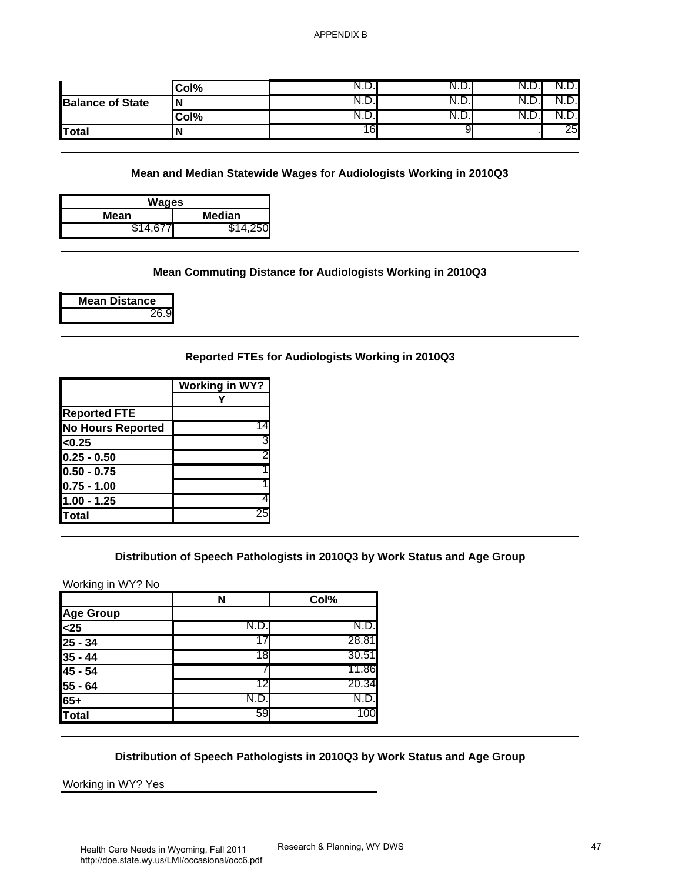|                              | Col%                                                                               | N.D.                                             | N.D. | N.D. | N.D. |
|------------------------------|------------------------------------------------------------------------------------|--------------------------------------------------|------|------|------|
| <b>Balance of State</b>      | N                                                                                  | N.D.                                             | N.D. | N.D. | N.D. |
|                              | $\overline{\text{Col}}\%$                                                          | N.D.                                             | N.D. | N.D. | N.D. |
| <b>Total</b>                 | N                                                                                  | 16                                               | 9    |      | 25   |
|                              |                                                                                    |                                                  |      |      |      |
|                              | Mean and Median Statewide Wages for Audiologists Working in 2010Q3<br><b>Wages</b> |                                                  |      |      |      |
| <b>Mean</b><br>\$14,677      | <b>Median</b><br>\$14,250                                                          |                                                  |      |      |      |
|                              | Mean Commuting Distance for Audiologists Working in 2010Q3                         |                                                  |      |      |      |
| <b>Mean Distance</b><br>26.9 |                                                                                    |                                                  |      |      |      |
|                              |                                                                                    | Reported FTEs for Audiologists Working in 2010Q3 |      |      |      |
|                              | <b>Working in WY?</b>                                                              |                                                  |      |      |      |
|                              | Υ                                                                                  |                                                  |      |      |      |
| <b>Reported FTE</b>          | 14                                                                                 |                                                  |      |      |      |
| <b>No Hours Reported</b>     |                                                                                    |                                                  |      |      |      |
| < 0.25                       | 3                                                                                  |                                                  |      |      |      |
| $0.25 - 0.50$                |                                                                                    |                                                  |      |      |      |
| $0.50 - 0.75$                |                                                                                    |                                                  |      |      |      |
| $0.75 - 1.00$                |                                                                                    |                                                  |      |      |      |
| $1.00 - 1.25$                |                                                                                    |                                                  |      |      |      |
| <b>Total</b>                 | 25                                                                                 |                                                  |      |      |      |
| Working in WY? No            | Distribution of Speech Pathologists in 2010Q3 by Work Status and Age Group         |                                                  |      |      |      |
| <b>Age Group</b>             | N                                                                                  | Col%                                             |      |      |      |
| $25$                         | N.D.                                                                               | N.D.                                             |      |      |      |
| $25 - 34$                    | 17                                                                                 | 28.81                                            |      |      |      |
| $35 - 44$                    | 18                                                                                 | 30.51                                            |      |      |      |
| 45 - 54                      | $\prime$                                                                           | 11.86                                            |      |      |      |
| 55 - 64                      | 12                                                                                 | 20.34                                            |      |      |      |
| $65+$                        | N.D.                                                                               | N.D.                                             |      |      |      |
|                              | 59                                                                                 | 100                                              |      |      |      |
| <b>Total</b>                 |                                                                                    |                                                  |      |      |      |
|                              | Distribution of Speech Pathologists in 2010Q3 by Work Status and Age Group         |                                                  |      |      |      |

#### **Mean and Median Statewide Wages for Audiologists Working in 2010Q3**

| Wages          |       |  |  |  |
|----------------|-------|--|--|--|
| Median<br>Mean |       |  |  |  |
| \$14,677       | 4,250 |  |  |  |

#### **Mean Commuting Distance for Audiologists Working in 2010Q3**

|  | Mean Distance |
|--|---------------|
|  | 26.9          |

#### **Reported FTEs for Audiologists Working in 2010Q3**

|                          | <b>Working in WY?</b> |
|--------------------------|-----------------------|
|                          |                       |
| <b>Reported FTE</b>      |                       |
| <b>No Hours Reported</b> |                       |
| < 0.25                   | 3                     |
| $0.25 - 0.50$            | 2                     |
| $0.50 - 0.75$            |                       |
| $0.75 - 1.00$            |                       |
| $1.00 - 1.25$            |                       |
| <b>Total</b>             | 25                    |

#### **Distribution of Speech Pathologists in 2010Q3 by Work Status and Age Group**

| Working in WY? No |  |  |
|-------------------|--|--|
|                   |  |  |

|              | N    | Col%  |
|--------------|------|-------|
| Age Group    |      |       |
| $25$         | N.D  | N.D.  |
| $25 - 34$    |      | 28.81 |
| $35 - 44$    | 18   | 30.51 |
| 45 - 54      |      | 11.86 |
| $55 - 64$    | 12   | 20.34 |
| $65+$        | IN.D | N.D.  |
| <b>Total</b> | 59   |       |

#### **Distribution of Speech Pathologists in 2010Q3 by Work Status and Age Group**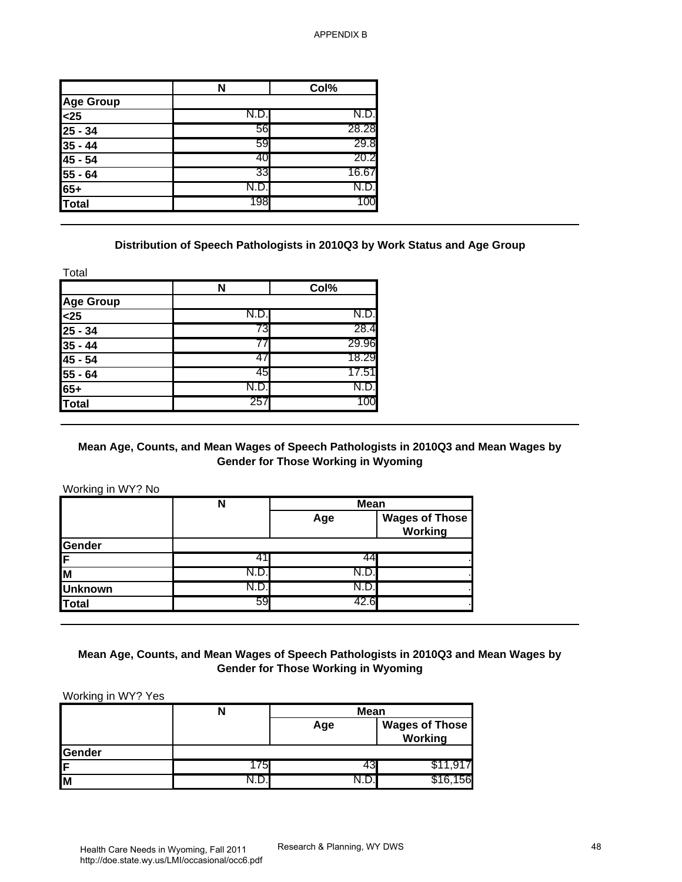|                  | N    | Col%  |
|------------------|------|-------|
| <b>Age Group</b> |      |       |
| $25$             | N.D. | N.D.  |
| $25 - 34$        | 56   | 28.28 |
| $35 - 44$        | 59   | 29.8  |
| 45 - 54          | 40   | 20.2  |
| 55 - 64          | 33   | 16.67 |
| 65+              | N.D. | N.D.  |
| <b>Total</b>     | 198  | 100   |

#### **Distribution of Speech Pathologists in 2010Q3 by Work Status and Age Group**

| N    | Col%  |
|------|-------|
|      |       |
| N.D. | N.D.  |
| 73   | 28.4  |
|      | 29.96 |
|      | 18.29 |
| 45   | 17.51 |
| ש.∨  | N.D.  |
| 257  | 100   |
|      |       |

#### **Mean Age, Counts, and Mean Wages of Speech Pathologists in 2010Q3 and Mean Wages by Gender for Those Working in Wyoming**

|                                                                                                                                              | N                                                                                          | Col%                                              |                                         |
|----------------------------------------------------------------------------------------------------------------------------------------------|--------------------------------------------------------------------------------------------|---------------------------------------------------|-----------------------------------------|
| <b>Age Group</b>                                                                                                                             |                                                                                            |                                                   |                                         |
| $25$                                                                                                                                         | N.D.                                                                                       | N.D.                                              |                                         |
| $25 - 34$                                                                                                                                    | 56                                                                                         | 28.28                                             |                                         |
| $35 - 44$                                                                                                                                    | 59                                                                                         | 29.8                                              |                                         |
| $45 - 54$                                                                                                                                    | 40                                                                                         | 20.2                                              |                                         |
| $55 - 64$                                                                                                                                    | 33                                                                                         | 16.67                                             |                                         |
| $65+$                                                                                                                                        | N.D.                                                                                       | N.D.                                              |                                         |
| <b>Total</b>                                                                                                                                 | 198                                                                                        | 100                                               |                                         |
|                                                                                                                                              | Distribution of Speech Pathologists in 2010Q3 by Work Status and Age Group                 |                                                   |                                         |
| Total                                                                                                                                        | ${\bf N}$                                                                                  | Col%                                              |                                         |
| Age Group                                                                                                                                    |                                                                                            |                                                   |                                         |
| $25$                                                                                                                                         | N.D.                                                                                       | N.D.                                              |                                         |
| $25 - 34$                                                                                                                                    | 73                                                                                         | 28.4                                              |                                         |
| $35 - 44$                                                                                                                                    | 77                                                                                         | 29.96                                             |                                         |
|                                                                                                                                              | 47                                                                                         | 18.29                                             |                                         |
|                                                                                                                                              |                                                                                            |                                                   |                                         |
|                                                                                                                                              | 45                                                                                         | 17.51                                             |                                         |
|                                                                                                                                              | N.D.                                                                                       | N.D.                                              |                                         |
|                                                                                                                                              | 257<br>Mean Age, Counts, and Mean Wages of Speech Pathologists in 2010Q3 and Mean Wages by | 100<br><b>Gender for Those Working in Wyoming</b> |                                         |
|                                                                                                                                              | $\mathsf{N}$                                                                               | <b>Mean</b><br>Age                                | <b>Wages of Those</b>                   |
|                                                                                                                                              |                                                                                            |                                                   | Working                                 |
|                                                                                                                                              | 41                                                                                         | 44                                                |                                         |
|                                                                                                                                              | N.D.                                                                                       | N.D.                                              |                                         |
|                                                                                                                                              | N.D.                                                                                       | N.D.                                              |                                         |
|                                                                                                                                              | 59                                                                                         | 42.6                                              |                                         |
|                                                                                                                                              | Mean Age, Counts, and Mean Wages of Speech Pathologists in 2010Q3 and Mean Wages by        | <b>Gender for Those Working in Wyoming</b>        |                                         |
| 45 - 54<br>55 - 64<br>$65+$<br><b>Total</b><br>Working in WY? No<br>Gender<br>F<br>M<br><b>Unknown</b><br><b>Total</b><br>Working in WY? Yes |                                                                                            |                                                   |                                         |
|                                                                                                                                              | $\mathsf{N}$                                                                               | <b>Mean</b><br>Age                                | <b>Wages of Those</b><br><b>Working</b> |
| Gender                                                                                                                                       |                                                                                            |                                                   |                                         |
| F<br>M                                                                                                                                       | 175<br>N.D.                                                                                | 43<br>N.D.                                        | \$11,917<br>\$16,156                    |

#### **Mean Age, Counts, and Mean Wages of Speech Pathologists in 2010Q3 and Mean Wages by Gender for Those Working in Wyoming**

|        |    | <b>Mean</b> |                                  |
|--------|----|-------------|----------------------------------|
|        |    | Age         | <b>Wages of Those</b><br>Working |
| Gender |    |             |                                  |
| IF.    | 75 |             |                                  |
| Iм     |    |             | 56<br>\$16.                      |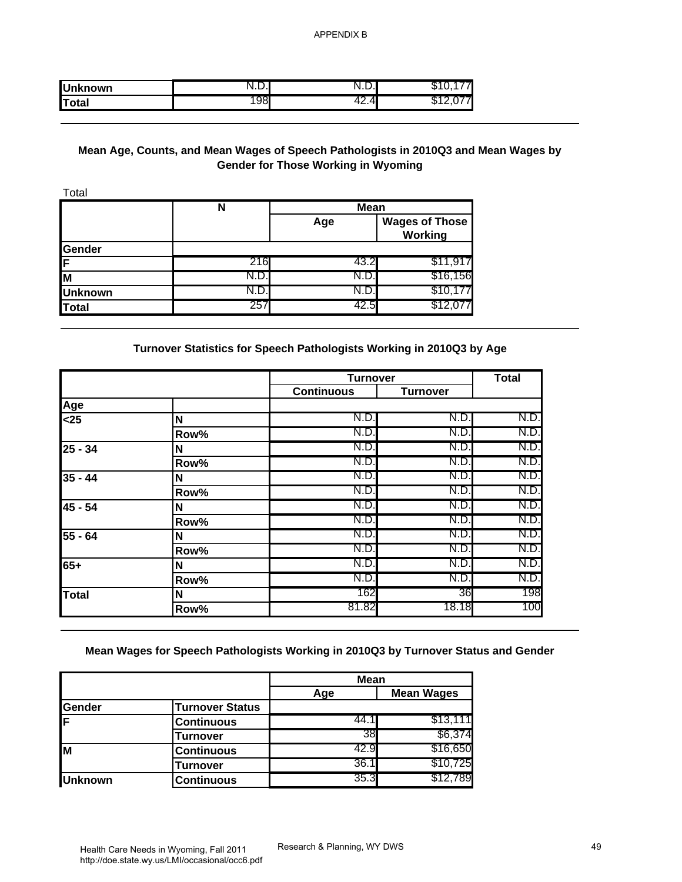| <b>Unknown</b> | יי<br>•. ⊷ |        |  |
|----------------|------------|--------|--|
| Total          | ୰୦         | 4<br>. |  |

## **Mean Age, Counts, and Mean Wages of Speech Pathologists in 2010Q3 and Mean Wages by Gender for Those Working in Wyoming**

| Total          |     |             |                                  |
|----------------|-----|-------------|----------------------------------|
|                | N   | <b>Mean</b> |                                  |
|                |     | Age         | <b>Wages of Those</b><br>Working |
| Gender         |     |             |                                  |
| 1F             | 216 | 43.2        | \$11,917                         |
| M              | N.D | N.D.        | \$16,156                         |
| <b>Unknown</b> | N.D | N.D.        | \$10,1                           |
| <b>Total</b>   | 257 | 42.5        |                                  |

#### **Turnover Statistics for Speech Pathologists Working in 2010Q3 by Age**

| <b>Unknown</b>                                               | N.D.                                                                                       | N.D.                                       | \$10,177                                |            |
|--------------------------------------------------------------|--------------------------------------------------------------------------------------------|--------------------------------------------|-----------------------------------------|------------|
| <b>Total</b>                                                 | 198                                                                                        | 42.4                                       | \$12,077                                |            |
|                                                              |                                                                                            |                                            |                                         |            |
|                                                              | Mean Age, Counts, and Mean Wages of Speech Pathologists in 2010Q3 and Mean Wages by        | <b>Gender for Those Working in Wyoming</b> |                                         |            |
| Total                                                        |                                                                                            |                                            |                                         |            |
|                                                              | N                                                                                          | <b>Mean</b><br>Age                         | <b>Wages of Those</b><br><b>Working</b> |            |
| Gender<br>F                                                  | 216                                                                                        | 43.2                                       | \$11,917                                |            |
| M                                                            | N.D.                                                                                       | N.D                                        | \$16,156                                |            |
| <b>Unknown</b>                                               | N.D.                                                                                       | N.D.                                       | \$10,177                                |            |
| <b>Total</b>                                                 | 257                                                                                        | 42.5                                       | \$12,077                                |            |
|                                                              |                                                                                            |                                            |                                         |            |
|                                                              | Turnover Statistics for Speech Pathologists Working in 2010Q3 by Age                       | <b>Turnover</b><br><b>Continuous</b>       |                                         | Total      |
| Age                                                          |                                                                                            |                                            | <b>Turnover</b>                         |            |
| $25$                                                         | N                                                                                          | N.D                                        | N.D.                                    | N.D.       |
|                                                              | Row%                                                                                       | N.D                                        | N.D.                                    | N.D.       |
| $25 - 34$                                                    | N                                                                                          | N.D.                                       | N.D.                                    | N.D.       |
|                                                              | Row%                                                                                       | N.D.                                       | N.D.                                    | N.D.       |
|                                                              | N                                                                                          | N.D.                                       | N.D.                                    | N.D.       |
|                                                              | Row%                                                                                       | N.D.                                       | N.D.                                    | N.D.       |
|                                                              |                                                                                            |                                            |                                         | N.D.       |
|                                                              | N                                                                                          | N.D                                        | N.D.                                    |            |
|                                                              | Row%                                                                                       | N.D.                                       | N.D.                                    | N.D.       |
|                                                              | N                                                                                          | N.D.                                       | N.D.                                    | N.D        |
|                                                              | Row%                                                                                       | N.D.                                       | N.D.                                    | N.D.       |
|                                                              | N                                                                                          | N.D.                                       | N.D.                                    | N.D.       |
|                                                              | Row%                                                                                       | N.D.                                       | N.D.                                    | N.D.       |
|                                                              | N                                                                                          | 162<br>81.82                               | 36<br>18.18                             | 198<br>100 |
| $35 - 44$<br>$45 - 54$<br>$55 - 64$<br>$65+$<br><b>Total</b> | Row%<br>Mean Wages for Speech Pathologists Working in 2010Q3 by Turnover Status and Gender |                                            |                                         |            |
|                                                              |                                                                                            |                                            |                                         |            |
|                                                              |                                                                                            | Mean                                       | <b>Mean Wages</b>                       |            |
|                                                              | <b>Turnover Status</b>                                                                     | Age                                        |                                         |            |
|                                                              | <b>Continuous</b>                                                                          | 44.1                                       | \$13,111                                |            |
|                                                              | <b>Turnover</b>                                                                            | 38                                         | \$6,374                                 |            |
|                                                              | <b>Continuous</b>                                                                          | 42.9                                       | \$16,650                                |            |
| Gender<br>M<br><b>Unknown</b>                                | <b>Turnover</b><br><b>Continuous</b>                                                       | 36.1<br>35.3                               | \$10,725<br>\$12,789                    |            |

## **Mean Wages for Speech Pathologists Working in 2010Q3 by Turnover Status and Gender**

|                |                        | <b>Mean</b> |                   |
|----------------|------------------------|-------------|-------------------|
|                |                        | Age         | <b>Mean Wages</b> |
| Gender         | <b>Turnover Status</b> |             |                   |
| lε             | <b>Continuous</b>      | 44.1I       | \$13,111          |
|                | <b>Turnover</b>        | 38          | \$6,374           |
| M              | <b>Continuous</b>      | 42.9        | \$16,650          |
|                | <b>Turnover</b>        | 36.1        | \$10,725          |
| <b>Unknown</b> | <b>Continuous</b>      | 35.3        | \$12,789          |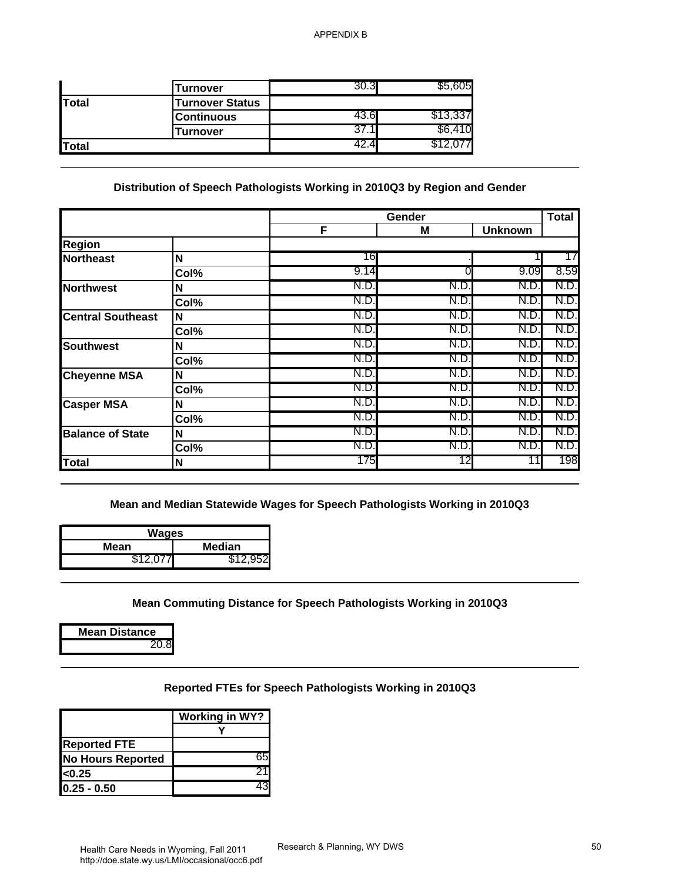|              | Turnover               |   | nus.     |
|--------------|------------------------|---|----------|
| <b>Total</b> | <b>Turnover Status</b> |   |          |
|              | <b>Continuous</b>      |   | \$13,337 |
|              | Turnover               |   | 10.      |
| <b>Total</b> |                        | 4 |          |

#### **Distribution of Speech Pathologists Working in 2010Q3 by Region and Gender**

|                                                          | <b>Turnover</b>                                                                                                                                                             | 30.3        | \$5,605  |                |              |
|----------------------------------------------------------|-----------------------------------------------------------------------------------------------------------------------------------------------------------------------------|-------------|----------|----------------|--------------|
| <b>Total</b>                                             | <b>Turnover Status</b>                                                                                                                                                      |             |          |                |              |
|                                                          | <b>Continuous</b>                                                                                                                                                           | 43.6        | \$13,337 |                |              |
|                                                          | <b>Turnover</b>                                                                                                                                                             | 37.1        | \$6,410  |                |              |
| Total                                                    |                                                                                                                                                                             | 42.4        | \$12,077 |                |              |
|                                                          | Distribution of Speech Pathologists Working in 2010Q3 by Region and Gender                                                                                                  |             |          |                |              |
|                                                          |                                                                                                                                                                             | Gender<br>F | M        | <b>Unknown</b> | <b>Total</b> |
| <b>Region</b>                                            |                                                                                                                                                                             |             |          |                |              |
| <b>Northeast</b>                                         | N                                                                                                                                                                           | 16          |          |                | 17           |
|                                                          | Col%                                                                                                                                                                        | 9.14        | 0        | 9.09           | 8.59         |
| <b>Northwest</b>                                         | N                                                                                                                                                                           | N.D.        | N.D.     | N.D.           | N.D          |
|                                                          | Col%                                                                                                                                                                        | N.D.        | N.D.     | N.D.           | N.D.         |
| <b>Central Southeast</b>                                 | N                                                                                                                                                                           | N.D.        | N.D.     | N.D.           | N.D          |
|                                                          | Col%                                                                                                                                                                        | N.D         | N.D.     | N.D.           | N.D.         |
| <b>Southwest</b>                                         | N                                                                                                                                                                           | N.D.        | N.D.     | N.D.           | N.D.         |
|                                                          | Col%                                                                                                                                                                        | N.D         | N.D.     | N.D.           | N.D          |
| <b>Cheyenne MSA</b>                                      | N                                                                                                                                                                           | N.D.        | N.D.     | N.D.           | N.D          |
|                                                          | Col%                                                                                                                                                                        | N.D.        | N.D.     | N.D            | N.D          |
| <b>Casper MSA</b>                                        | N                                                                                                                                                                           | N.D.        | N.D.     | N.D.           | N.D.         |
|                                                          | Col%                                                                                                                                                                        | N.D.        | N.D.     | N.D.           | N.D.         |
| <b>Balance of State</b>                                  | N                                                                                                                                                                           | N.D         | N.D.     | N.D.           | N.D.         |
|                                                          | Col%                                                                                                                                                                        | N.D.        | N.D.     | N.D.           | N.D.         |
| <b>Total</b>                                             | N                                                                                                                                                                           | 175         | 12       | 11             | 198          |
| <b>Wages</b><br>Mean<br>\$12,077<br><b>Mean Distance</b> | Mean and Median Statewide Wages for Speech Pathologists Working in 2010Q3<br><b>Median</b><br>\$12,952<br>Mean Commuting Distance for Speech Pathologists Working in 2010Q3 |             |          |                |              |
| 20.8<br><b>Reported FTE</b>                              | Reported FTEs for Speech Pathologists Working in 2010Q3<br><b>Working in WY?</b><br>Y<br>65<br><b>No Hours Reported</b>                                                     |             |          |                |              |

| Wages                |  |  |  |  |
|----------------------|--|--|--|--|
| Median               |  |  |  |  |
| \$12.077<br>\$12,952 |  |  |  |  |
|                      |  |  |  |  |

#### **Mean Commuting Distance for Speech Pathologists Working in 2010Q3**

#### **Reported FTEs for Speech Pathologists Working in 2010Q3**

|                          | <b>Working in WY?</b> |
|--------------------------|-----------------------|
|                          |                       |
| <b>Reported FTE</b>      |                       |
| <b>No Hours Reported</b> |                       |
| <sub>0.25</sub>          |                       |
| 10.25 - 0.50             |                       |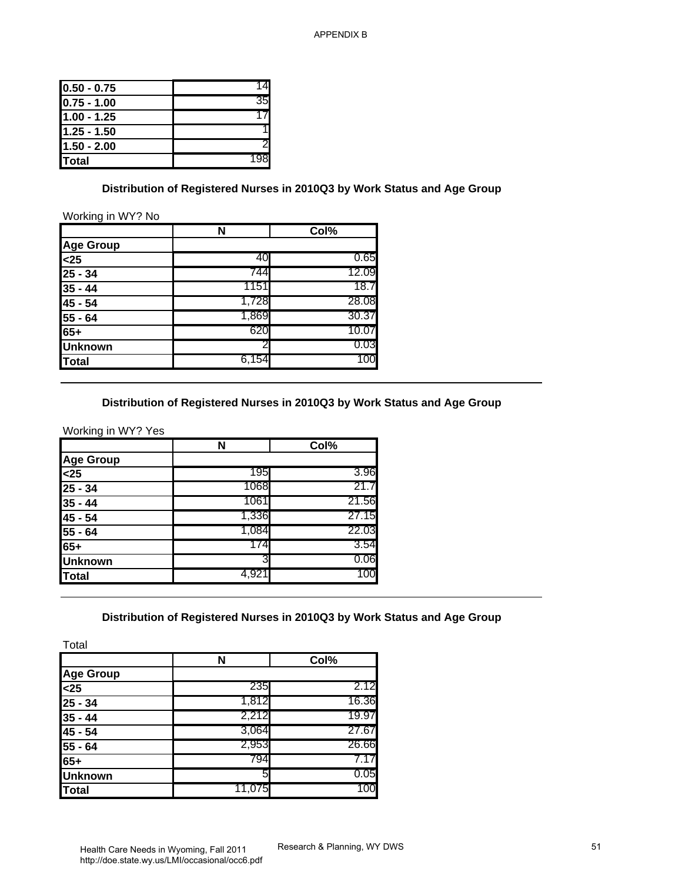| $0.50 - 0.75$ |     |
|---------------|-----|
| $0.75 - 1.00$ | 35  |
| 1.00 - 1.25   |     |
| $1.25 - 1.50$ |     |
| $1.50 - 2.00$ |     |
| <b>Total</b>  | 198 |

#### **Distribution of Registered Nurses in 2010Q3 by Work Status and Age Group**

#### Working in WY? No

|                                                                 | N     | Col%  |
|-----------------------------------------------------------------|-------|-------|
| <b>Age Group</b>                                                |       |       |
|                                                                 | 40    | 0.65  |
|                                                                 | 744   | 12.09 |
| $\frac{25}{25}$<br>$\frac{25}{25}$ - 34<br>$\frac{35}{35}$ - 44 | 1151  | 18.7  |
| $\frac{45 - 54}{55 - 64}$                                       | 1,728 | 28.08 |
|                                                                 | 1,869 | 30.37 |
| $65+$                                                           | 620   | 10.07 |
| <b>Unknown</b>                                                  | 2     | 0.03  |
| Total                                                           | 6,154 | 100   |

#### **Distribution of Registered Nurses in 2010Q3 by Work Status and Age Group**

| $0.50 - 0.75$                                                                                                                                            | 14                                                                       |             |  |
|----------------------------------------------------------------------------------------------------------------------------------------------------------|--------------------------------------------------------------------------|-------------|--|
| $0.75 - 1.00$                                                                                                                                            | 35                                                                       |             |  |
| $1.00 - 1.25$                                                                                                                                            | 17                                                                       |             |  |
| $1.25 - 1.50$                                                                                                                                            | 1                                                                        |             |  |
| $1.50 - 2.00$                                                                                                                                            | 2                                                                        |             |  |
| <b>Total</b>                                                                                                                                             | 198                                                                      |             |  |
| Working in WY? No                                                                                                                                        | Distribution of Registered Nurses in 2010Q3 by Work Status and Age Group |             |  |
|                                                                                                                                                          | N                                                                        | Col%        |  |
|                                                                                                                                                          |                                                                          |             |  |
| Age Group<br><25                                                                                                                                         | 40                                                                       | 0.65        |  |
| $25 - 34$                                                                                                                                                | 744                                                                      | 12.09       |  |
| $35 - 44$                                                                                                                                                | 1151                                                                     | 18.7        |  |
| $\sqrt{45 - 54}$                                                                                                                                         | 1,728                                                                    | 28.08       |  |
| $55 - 64$                                                                                                                                                | 1,869                                                                    | 30.37       |  |
|                                                                                                                                                          | 620                                                                      | 10.07       |  |
| 65+<br>Unknown                                                                                                                                           | 2                                                                        | 0.03        |  |
| <b>Total</b>                                                                                                                                             | 6,154                                                                    | 100         |  |
|                                                                                                                                                          | Distribution of Registered Nurses in 2010Q3 by Work Status and Age Group |             |  |
|                                                                                                                                                          | N                                                                        | Col%        |  |
|                                                                                                                                                          | 195                                                                      | 3.96        |  |
|                                                                                                                                                          | 1068                                                                     | 21.7        |  |
|                                                                                                                                                          | 1061                                                                     | 21.56       |  |
|                                                                                                                                                          | 1,336                                                                    | 27.15       |  |
|                                                                                                                                                          | 1,084                                                                    | 22.03       |  |
|                                                                                                                                                          | 174                                                                      | 3.54        |  |
|                                                                                                                                                          | 3                                                                        | 0.06        |  |
|                                                                                                                                                          | 4,921                                                                    | 100         |  |
| Working in WY? Yes<br><b>Age Group</b><br>$25$<br>$25 - 34$<br>$35 - 44$<br>$45 - 54$<br>$\frac{18}{55 - 64}$<br>65+<br>Unknown<br><b>Total</b><br>Total | Distribution of Registered Nurses in 2010Q3 by Work Status and Age Group |             |  |
|                                                                                                                                                          | $\overline{\mathsf{N}}$                                                  | Col%        |  |
|                                                                                                                                                          |                                                                          |             |  |
|                                                                                                                                                          | 235                                                                      | 2.12        |  |
|                                                                                                                                                          | 1,812                                                                    | 16.36       |  |
|                                                                                                                                                          | 2,212                                                                    | 19.97       |  |
|                                                                                                                                                          | 3,064                                                                    | 27.67       |  |
|                                                                                                                                                          | 2,953                                                                    | 26.66       |  |
|                                                                                                                                                          | 794                                                                      | 7.17        |  |
| <b>Age Group</b><br>$25$<br>$25 - 34$<br>$35 - 44$<br>$\sqrt{45 - 54}$<br>$55 - 64$<br>$65+$<br><b>Unknown</b><br><b>Total</b>                           | 5<br>11,075                                                              | 0.05<br>100 |  |

#### **Distribution of Registered Nurses in 2010Q3 by Work Status and Age Group**

|                  | N      | Col%  |
|------------------|--------|-------|
| <b>Age Group</b> |        |       |
| $25$             | 235    | 2.12  |
| $25 - 34$        | 1,812  | 16.36 |
| $35 - 44$        | 2,212  | 19.97 |
| 45 - 54          | 3,064  | 27.67 |
| 55 - 64          | 2,953  | 26.66 |
| 65+              | 794    |       |
| <b>Unknown</b>   | 5      | 0.05  |
| Total            | 11,075 | 100   |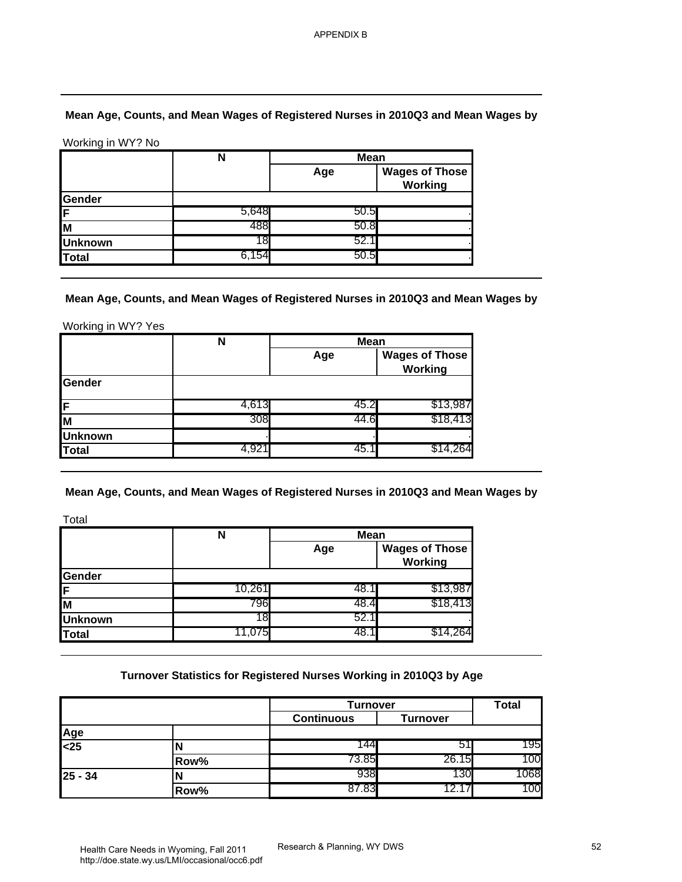## **Mean Age, Counts, and Mean Wages of Registered Nurses in 2010Q3 and Mean Wages by**

|                | <b>Mean</b><br>N |      |                                  |
|----------------|------------------|------|----------------------------------|
|                |                  | Age  | <b>Wages of Those</b><br>Working |
| Gender         |                  |      |                                  |
| IF             | 5,648            | 50.5 |                                  |
| lм             | 488              | 50.8 |                                  |
| <b>Unknown</b> | 18.              | 52.7 |                                  |
| Total          | 6.154            | 50.5 |                                  |

|                | N     | <b>Mean</b> |                                  |  |
|----------------|-------|-------------|----------------------------------|--|
|                |       | Age         | <b>Wages of Those</b><br>Working |  |
| Gender         |       |             |                                  |  |
| İΕ             | 4,613 | 45.2        | \$13,987                         |  |
| lм             | 308   | 44.6        | \$18,413                         |  |
| <b>Unknown</b> |       |             |                                  |  |
| Total          |       | 45.         |                                  |  |

|                | N      | <b>Mean</b> |                                  |  |
|----------------|--------|-------------|----------------------------------|--|
|                |        | Age         | <b>Wages of Those</b><br>Working |  |
| Gender         |        |             |                                  |  |
| IF             | 10.261 | 48.1        | \$13,987                         |  |
| lм             | 796    | 48.4        | \$18,413                         |  |
| <b>Unknown</b> | 18.    | 52.1        |                                  |  |
| Total          | 11.075 | 48          |                                  |  |

#### **Turnover Statistics for Registered Nurses Working in 2010Q3 by Age**

|                                                                                                                   | Mean Age, Counts, and Mean Wages of Registered Nurses in 2010Q3 and Mean Wages by |                    |                                         |              |
|-------------------------------------------------------------------------------------------------------------------|-----------------------------------------------------------------------------------|--------------------|-----------------------------------------|--------------|
| Working in WY? No                                                                                                 |                                                                                   |                    |                                         |              |
|                                                                                                                   | $\overline{\mathsf{N}}$                                                           | <b>Mean</b>        |                                         |              |
|                                                                                                                   |                                                                                   | Age                | <b>Wages of Those</b><br><b>Working</b> |              |
| Gender                                                                                                            |                                                                                   |                    |                                         |              |
| F                                                                                                                 | 5,648                                                                             | 50.5               |                                         |              |
| M                                                                                                                 | 488                                                                               | 50.8               |                                         |              |
| <b>Unknown</b>                                                                                                    | 18                                                                                | 52.1               |                                         |              |
| <b>Total</b>                                                                                                      | 6,154                                                                             | 50.5               |                                         |              |
| Working in WY? Yes                                                                                                | N                                                                                 | <b>Mean</b><br>Age | <b>Wages of Those</b><br><b>Working</b> |              |
|                                                                                                                   |                                                                                   |                    |                                         |              |
|                                                                                                                   |                                                                                   |                    |                                         |              |
|                                                                                                                   |                                                                                   |                    |                                         |              |
|                                                                                                                   | 4,613                                                                             | 45.2               | \$13,987                                |              |
|                                                                                                                   | 308                                                                               | 44.6               | \$18,413                                |              |
|                                                                                                                   | 4,921                                                                             | 45.1               | \$14,264                                |              |
|                                                                                                                   |                                                                                   |                    |                                         |              |
|                                                                                                                   | Mean Age, Counts, and Mean Wages of Registered Nurses in 2010Q3 and Mean Wages by |                    |                                         |              |
|                                                                                                                   |                                                                                   |                    |                                         |              |
|                                                                                                                   | N                                                                                 | Mean               |                                         |              |
|                                                                                                                   |                                                                                   | Age                | <b>Wages of Those</b><br><b>Working</b> |              |
|                                                                                                                   |                                                                                   |                    |                                         |              |
|                                                                                                                   | 10,261                                                                            | 48.1               | \$13,987                                |              |
|                                                                                                                   | 796                                                                               | 48.4               | \$18,413                                |              |
|                                                                                                                   | 18<br>11,075                                                                      | 52.1<br>48.1       | \$14,264                                |              |
| Gender<br>F<br>M<br><b>Unknown</b><br><b>Total</b><br>Total<br>Gender<br>F<br>M<br><b>Unknown</b><br><b>Total</b> | Turnover Statistics for Registered Nurses Working in 2010Q3 by Age                |                    |                                         |              |
|                                                                                                                   |                                                                                   | Turnover           |                                         | <b>Total</b> |
|                                                                                                                   |                                                                                   | Continuous         | <b>Turnover</b>                         |              |
| Age                                                                                                               |                                                                                   |                    |                                         |              |
|                                                                                                                   | N                                                                                 | 144                | 51                                      | 195          |
| $25$<br>$25 - 34$                                                                                                 | Row%<br>N                                                                         | 73.85<br>938       | 26.15<br>130                            | 100<br>1068  |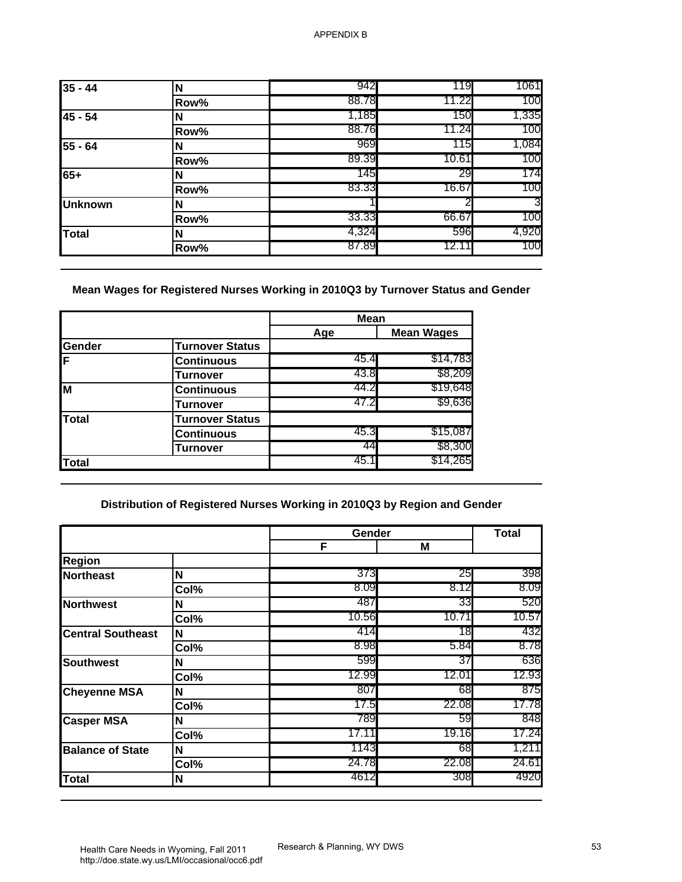| $35 - 44$      | N    | 942   | 119   | 1061  |
|----------------|------|-------|-------|-------|
|                | Row% | 88.78 | 11.22 | 100   |
| 45 - 54        | N    | 1,185 | 150   | 1,335 |
|                | Row% | 88.76 | 11.24 | 100   |
| 55 - 64        | N    | 969   | 115   | 1,084 |
|                | Row% | 89.39 | 10.61 | 100   |
| 65+            | N    | 145   | 29    | 174   |
|                | Row% | 83.33 | 16.67 | 100   |
| <b>Unknown</b> | N    |       |       | 3     |
|                | Row% | 33.33 | 66.67 | 100   |
| Total          | N    | 4,324 | 596   | 4,920 |
|                | Row% | 87.89 | 12.11 | 100   |

|        |                        | <b>Mean</b> |                   |
|--------|------------------------|-------------|-------------------|
|        |                        | Age         | <b>Mean Wages</b> |
| Gender | <b>Turnover Status</b> |             |                   |
| F      | <b>Continuous</b>      | 45.4        | \$14,783          |
|        | <b>Turnover</b>        | 43.8        | \$8,209           |
| M      | <b>Continuous</b>      | 44.2        | \$19,648          |
|        | Turnover               | 47.2        | \$9,636           |
| Total  | <b>Turnover Status</b> |             |                   |
|        | <b>Continuous</b>      | 45.3        | \$15,087          |
|        | Turnover               | 44          | \$8,300           |
| Total  |                        | 45.1        | \$14,265          |

## **Distribution of Registered Nurses Working in 2010Q3 by Region and Gender**

| $35 - 44$                                                                                                              | N                                                                        | 942                | 119               | 1061                        |
|------------------------------------------------------------------------------------------------------------------------|--------------------------------------------------------------------------|--------------------|-------------------|-----------------------------|
|                                                                                                                        | Row%                                                                     | 88.78              | 11.22             | 100                         |
| 45 - 54                                                                                                                | N                                                                        | 1,185              | 150               | 1,335                       |
|                                                                                                                        | Row%                                                                     | 88.76              | 11.24             | 100                         |
| 55 - 64                                                                                                                | N                                                                        | 969                | 115               | 1,084                       |
|                                                                                                                        | Row%                                                                     | 89.39              | 10.61             | 100                         |
| $65+$                                                                                                                  | N                                                                        | 145                | 29                | 174                         |
|                                                                                                                        | Row%                                                                     | 83.33              | 16.67             | 100                         |
| <b>Unknown</b>                                                                                                         | N                                                                        |                    | 2                 |                             |
|                                                                                                                        | Row%                                                                     | 33.33              | 66.67             | 100                         |
| <b>Total</b>                                                                                                           | N                                                                        | 4,324              | 596               | 4,920                       |
|                                                                                                                        | Row%                                                                     | 87.89              | 12.11             | 100                         |
|                                                                                                                        |                                                                          | <b>Mean</b><br>Age | <b>Mean Wages</b> |                             |
| Gender                                                                                                                 | <b>Turnover Status</b>                                                   |                    |                   |                             |
| F                                                                                                                      | <b>Continuous</b>                                                        | 45.4               | \$14,783          |                             |
|                                                                                                                        | <b>Turnover</b>                                                          | 43.8               | \$8,209           |                             |
|                                                                                                                        |                                                                          |                    | \$19,648          |                             |
|                                                                                                                        |                                                                          | 44.2               |                   |                             |
|                                                                                                                        | <b>Continuous</b>                                                        | 47.2               | \$9,636           |                             |
|                                                                                                                        | <b>Turnover</b>                                                          |                    |                   |                             |
|                                                                                                                        | <b>Turnover Status</b>                                                   | 45.3               | \$15,087          |                             |
|                                                                                                                        | <b>Continuous</b><br>Turnover                                            | 44                 | \$8,300           |                             |
|                                                                                                                        |                                                                          | 45.1               | \$14,265          |                             |
|                                                                                                                        | Distribution of Registered Nurses Working in 2010Q3 by Region and Gender | Gender             |                   | <b>Total</b>                |
|                                                                                                                        |                                                                          | F                  | M                 |                             |
|                                                                                                                        |                                                                          |                    |                   |                             |
|                                                                                                                        | $\boldsymbol{\mathsf{N}}$                                                | 373                | 25                | 398                         |
|                                                                                                                        | Col%                                                                     | 8.09               | 8.12              | 8.09                        |
|                                                                                                                        | N                                                                        | 487                | 33                |                             |
|                                                                                                                        | Col%                                                                     | 10.56<br>414       | 10.71<br>18       |                             |
| M<br><b>Total</b><br><b>Total</b><br><b>Region</b><br><b>Northeast</b><br><b>Northwest</b><br><b>Central Southeast</b> | N                                                                        | 8.98               | 5.84              | 520<br>10.57<br>432<br>8.78 |
|                                                                                                                        | Col%                                                                     | 599                | 37                | 636                         |
|                                                                                                                        | N                                                                        | 12.99              | 12.01             | 12.93                       |
|                                                                                                                        | Col%<br>N                                                                | 807                | 68                | 875                         |
|                                                                                                                        | Col%                                                                     | 17.5               | 22.08             | 17.78                       |
|                                                                                                                        | N                                                                        | 789                | 59                | 848                         |
|                                                                                                                        | Col%                                                                     | 17.11              | 19.16             | 17.24                       |
|                                                                                                                        | N                                                                        | 1143               | 68                | 1,211                       |
| <b>Southwest</b><br><b>Cheyenne MSA</b><br><b>Casper MSA</b><br><b>Balance of State</b>                                | Col%                                                                     | 24.78              | 22.08             | 24.61                       |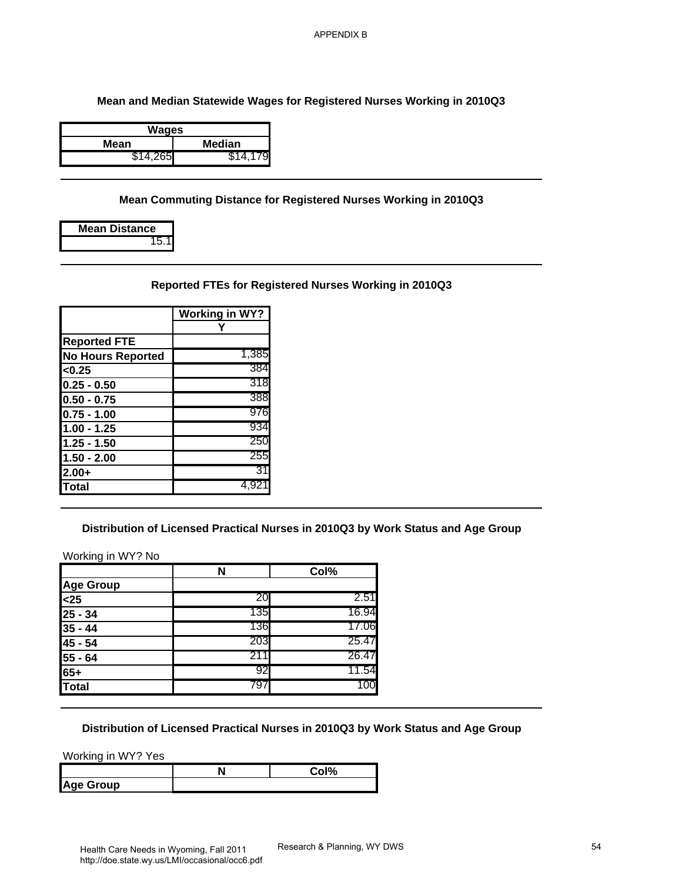| Wages    |          |  |
|----------|----------|--|
| Mean     | Median   |  |
| \$14,265 | \$14.179 |  |

#### **Mean Commuting Distance for Registered Nurses Working in 2010Q3**

| <b>Mean Distance</b> |
|----------------------|
| 15.1                 |

#### **Reported FTEs for Registered Nurses Working in 2010Q3**

|                          | <b>Working in WY?</b> |
|--------------------------|-----------------------|
|                          |                       |
| <b>Reported FTE</b>      |                       |
| <b>No Hours Reported</b> | 1,385                 |
| < 0.25                   | 384                   |
| $0.25 - 0.50$            | 318                   |
| $0.50 - 0.75$            | 388                   |
| $0.75 - 1.00$            | 976                   |
| $1.00 - 1.25$            | 934                   |
| $1.25 - 1.50$            | 250                   |
| $1.50 - 2.00$            | 255                   |
| $2.00+$                  | 31                    |
| <b>Total</b>             | 4.921                 |

#### **Distribution of Licensed Practical Nurses in 2010Q3 by Work Status and Age Group**

| <b>Median</b><br>\$14,265<br>\$14,179 |                                 |      |                                                                                                                                                                                                              |
|---------------------------------------|---------------------------------|------|--------------------------------------------------------------------------------------------------------------------------------------------------------------------------------------------------------------|
|                                       |                                 |      |                                                                                                                                                                                                              |
|                                       |                                 |      |                                                                                                                                                                                                              |
| 15.1                                  |                                 |      |                                                                                                                                                                                                              |
|                                       |                                 |      |                                                                                                                                                                                                              |
|                                       |                                 |      |                                                                                                                                                                                                              |
|                                       |                                 |      |                                                                                                                                                                                                              |
|                                       |                                 |      |                                                                                                                                                                                                              |
| 1,385                                 |                                 |      |                                                                                                                                                                                                              |
| 384                                   |                                 |      |                                                                                                                                                                                                              |
| 318                                   |                                 |      |                                                                                                                                                                                                              |
| 388                                   |                                 |      |                                                                                                                                                                                                              |
| 976                                   |                                 |      |                                                                                                                                                                                                              |
| 934                                   |                                 |      |                                                                                                                                                                                                              |
| 250                                   |                                 |      |                                                                                                                                                                                                              |
| 255                                   |                                 |      |                                                                                                                                                                                                              |
| 31                                    |                                 |      |                                                                                                                                                                                                              |
| 4,921                                 |                                 |      |                                                                                                                                                                                                              |
|                                       |                                 |      |                                                                                                                                                                                                              |
|                                       |                                 |      |                                                                                                                                                                                                              |
|                                       |                                 |      |                                                                                                                                                                                                              |
| 20                                    | 2.51                            |      |                                                                                                                                                                                                              |
|                                       |                                 |      |                                                                                                                                                                                                              |
| 135                                   | 16.94                           |      |                                                                                                                                                                                                              |
| 136                                   | 17.06                           |      |                                                                                                                                                                                                              |
| 203                                   | 25.47                           |      |                                                                                                                                                                                                              |
| 211                                   | 26.47                           |      |                                                                                                                                                                                                              |
| 92                                    | 11.54                           |      |                                                                                                                                                                                                              |
| <b>No Hours Reported</b>              | <b>Working in WY?</b><br>Υ<br>N | Col% | Mean Commuting Distance for Registered Nurses Working in 2010Q3<br>Reported FTEs for Registered Nurses Working in 2010Q3<br>Distribution of Licensed Practical Nurses in 2010Q3 by Work Status and Age Group |

#### **Distribution of Licensed Practical Nurses in 2010Q3 by Work Status and Age Group**

|              | $\sim$ 10/ |
|--------------|------------|
| Age<br>Group |            |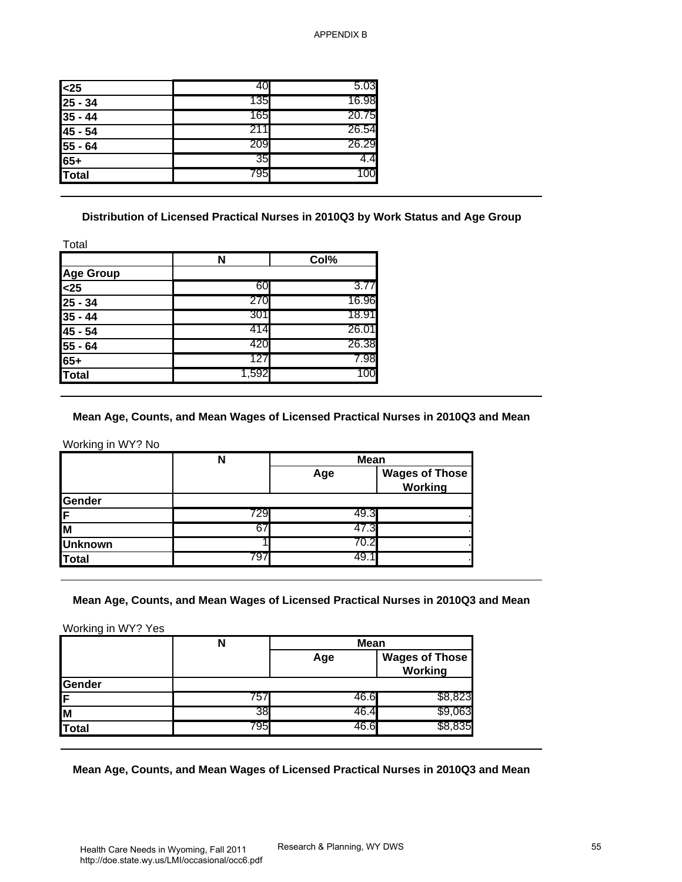| 40   | 5.03  |
|------|-------|
| 135  | 16.98 |
| 165  | 20.75 |
| 211  | 26.54 |
| 209  | 26.29 |
| 35   | 4.4   |
| 7951 | 100   |
|      |       |

#### **Distribution of Licensed Practical Nurses in 2010Q3 by Work Status and Age Group**

|                  | N     | Col%  |
|------------------|-------|-------|
| <b>Age Group</b> |       |       |
| $25$             | 60    | 3.77  |
| 25 - 34          | 270   | 16.96 |
| $35 - 44$        | 301   | 18.91 |
| 45 - 54          | 414   | 26.01 |
| 55 - 64          | 420   | 26.38 |
| $65+$            | 127   | 7.98  |
| <b>Total</b>     | 1,592 | 100   |

#### **Mean Age, Counts, and Mean Wages of Licensed Practical Nurses in 2010Q3 and Mean**

| $25$                                                                                                        | 40                                                                                        | 5.03               |                                         |
|-------------------------------------------------------------------------------------------------------------|-------------------------------------------------------------------------------------------|--------------------|-----------------------------------------|
| $25 - 34$                                                                                                   | 135<br>165                                                                                | 16.98<br>20.75     |                                         |
| $35 - 44$                                                                                                   | 211                                                                                       | 26.54              |                                         |
| 45 - 54                                                                                                     | 209                                                                                       | 26.29              |                                         |
| 55 - 64<br>$65+$                                                                                            | 35                                                                                        | 4.4                |                                         |
| <b>Total</b>                                                                                                | 795                                                                                       | 100                |                                         |
|                                                                                                             | Distribution of Licensed Practical Nurses in 2010Q3 by Work Status and Age Group          |                    |                                         |
| Total                                                                                                       |                                                                                           |                    |                                         |
|                                                                                                             | N                                                                                         | Col%               |                                         |
| <b>Age Group</b>                                                                                            |                                                                                           |                    |                                         |
| $25$                                                                                                        | 60                                                                                        | 3.77               |                                         |
| $25 - 34$                                                                                                   | 270                                                                                       | 16.96              |                                         |
| $35 - 44$                                                                                                   | 301                                                                                       | 18.91              |                                         |
| $45 - 54$                                                                                                   | 414                                                                                       | 26.01              |                                         |
|                                                                                                             | 420                                                                                       | 26.38              |                                         |
|                                                                                                             |                                                                                           |                    |                                         |
|                                                                                                             | 127                                                                                       | 7.98               |                                         |
|                                                                                                             | 1,592<br>Mean Age, Counts, and Mean Wages of Licensed Practical Nurses in 2010Q3 and Mean | 100                |                                         |
|                                                                                                             | N                                                                                         | <b>Mean</b><br>Age | <b>Wages of Those</b>                   |
|                                                                                                             |                                                                                           |                    | <b>Working</b>                          |
|                                                                                                             |                                                                                           |                    |                                         |
|                                                                                                             | 729                                                                                       | 49.3               |                                         |
|                                                                                                             | 67<br>1                                                                                   | 47.3               |                                         |
|                                                                                                             | 797                                                                                       | 70.2<br>49.1       |                                         |
| 55 - 64<br>$65+$<br><b>Total</b><br>Working in WY? No<br>Gender<br>F<br>M<br><b>Unknown</b><br><b>Total</b> |                                                                                           |                    |                                         |
| Working in WY? Yes                                                                                          | Mean Age, Counts, and Mean Wages of Licensed Practical Nurses in 2010Q3 and Mean          |                    |                                         |
|                                                                                                             | N                                                                                         | <b>Mean</b>        |                                         |
|                                                                                                             |                                                                                           | Age                | <b>Wages of Those</b><br><b>Working</b> |
| Gender                                                                                                      |                                                                                           |                    |                                         |
|                                                                                                             | 757                                                                                       | 46.6               | \$8,823                                 |
| F<br>M<br><b>Total</b>                                                                                      | 38<br>795                                                                                 | 46.4<br>46.6       | \$9,063<br>\$8,835                      |

#### **Mean Age, Counts, and Mean Wages of Licensed Practical Nurses in 2010Q3 and Mean**

|        | N   | <b>Mean</b> |                                  |
|--------|-----|-------------|----------------------------------|
|        |     | Age         | <b>Wages of Those</b><br>Working |
| Gender |     |             |                                  |
| 1F     | 757 | 46.6I       | \$8,823                          |
| ΙM     | 38  | 46.4        | \$9,063                          |
| Total  | 795 |             | 835                              |

#### **Mean Age, Counts, and Mean Wages of Licensed Practical Nurses in 2010Q3 and Mean**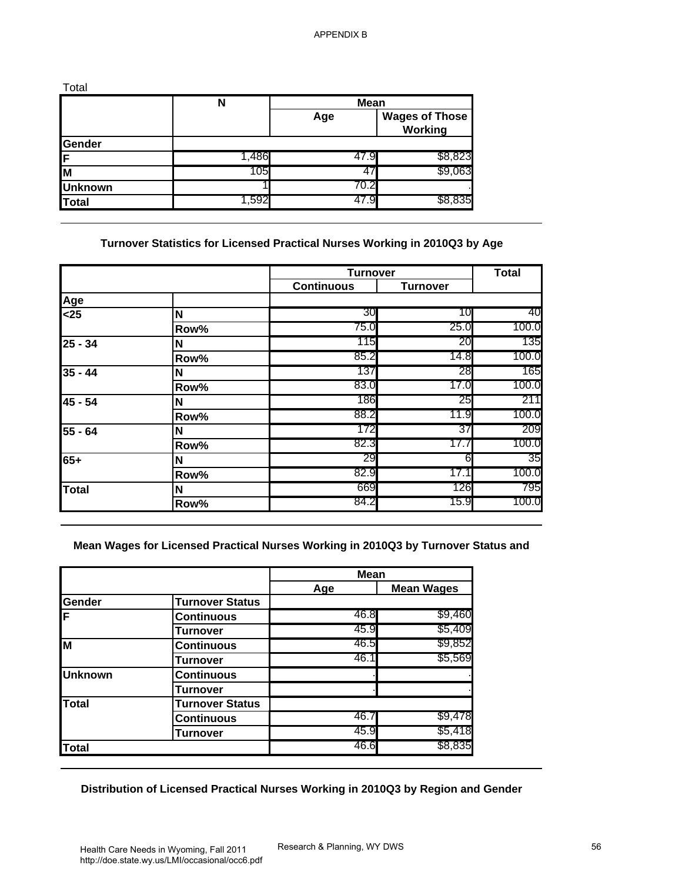| Total          |       |             |                                  |
|----------------|-------|-------------|----------------------------------|
|                | N     | <b>Mean</b> |                                  |
|                |       | Age         | <b>Wages of Those</b><br>Working |
| Gender         |       |             |                                  |
| ΙF             | 1,486 | 47.9        | \$8,823                          |
| M              | 105   | 47          | \$9,063                          |
| <b>Unknown</b> |       | 70.2        |                                  |
| <b>Total</b>   | 1,592 | 47.9        | \$8,835                          |

## **Turnover Statistics for Licensed Practical Nurses Working in 2010Q3 by Age**

|                                                    | $\mathbf N$                                                                       | <b>Mean</b>       |                                         |              |
|----------------------------------------------------|-----------------------------------------------------------------------------------|-------------------|-----------------------------------------|--------------|
|                                                    |                                                                                   | Age               | <b>Wages of Those</b><br><b>Working</b> |              |
| Gender                                             |                                                                                   |                   |                                         |              |
| F                                                  | 1,486<br>105                                                                      | 47.9<br>47        | \$8,823<br>\$9,063                      |              |
| M                                                  |                                                                                   | 70.2              |                                         |              |
| <b>Unknown</b><br><b>Total</b>                     | 1,592                                                                             | 47.9              | \$8,835                                 |              |
|                                                    |                                                                                   |                   |                                         |              |
|                                                    | Turnover Statistics for Licensed Practical Nurses Working in 2010Q3 by Age        | <b>Turnover</b>   |                                         | <b>Total</b> |
|                                                    |                                                                                   | <b>Continuous</b> | <b>Turnover</b>                         |              |
| Age                                                |                                                                                   |                   |                                         |              |
| $25$                                               | N                                                                                 | 30                | 10                                      | 40           |
|                                                    | Row%                                                                              | 75.0              | 25.0                                    | 100.0<br>135 |
| $25 - 34$                                          | N                                                                                 | 115<br>85.2       | 20<br>14.8                              | 100.0        |
|                                                    | Row%                                                                              | 137               | 28                                      | 165          |
| $35 - 44$                                          | N<br>Row%                                                                         | 83.0              | 17.0                                    | 100.0        |
| 45 - 54                                            | N                                                                                 | 186               | 25                                      | 211          |
|                                                    | Row%                                                                              | 88.2              | 11.9                                    | 100.0        |
| $\overline{55}$ - 64                               | N                                                                                 | 172               | 37                                      | 209          |
|                                                    |                                                                                   |                   |                                         |              |
|                                                    |                                                                                   | 82.3              | 17.7                                    | 100.0        |
|                                                    | Row%                                                                              | 29                | 6                                       | 35           |
|                                                    | N<br>Row%                                                                         | 82.9              | 17.1                                    | 100.0        |
|                                                    | N                                                                                 | 669               | 126                                     | 795          |
|                                                    | Row%                                                                              | 84.2              | 15.9                                    | 100.0        |
| $65+$<br><b>Total</b>                              | Mean Wages for Licensed Practical Nurses Working in 2010Q3 by Turnover Status and | <b>Mean</b>       |                                         |              |
|                                                    |                                                                                   | Age               | <b>Mean Wages</b>                       |              |
|                                                    | <b>Turnover Status</b>                                                            | 46.8              | \$9,460                                 |              |
|                                                    | <b>Continuous</b>                                                                 | 45.9              | \$5,409                                 |              |
|                                                    | <b>Turnover</b><br><b>Continuous</b>                                              | 46.5              | \$9,852                                 |              |
|                                                    | <b>Turnover</b>                                                                   | 46.1              | \$5,569                                 |              |
|                                                    | <b>Continuous</b>                                                                 |                   |                                         |              |
|                                                    | <b>Turnover</b>                                                                   |                   |                                         |              |
|                                                    | <b>Turnover Status</b>                                                            |                   |                                         |              |
| Gender<br>F<br>M<br><b>Unknown</b><br><b>Total</b> | <b>Continuous</b>                                                                 | 46.7              | \$9,478                                 |              |
| <b>Total</b>                                       | <b>Turnover</b>                                                                   | 45.9<br>46.6      | \$5,418<br>\$8,835                      |              |

#### **Mean Wages for Licensed Practical Nurses Working in 2010Q3 by Turnover Status and**

|                |                        | <b>Mean</b> |                   |
|----------------|------------------------|-------------|-------------------|
|                |                        | Age         | <b>Mean Wages</b> |
| Gender         | <b>Turnover Status</b> |             |                   |
| İΕ             | Continuous             | 46.8        | \$9,460           |
|                | Turnover               | 45.9        | \$5,409           |
| lм             | Continuous             | 46.5        | \$9,852           |
|                | Turnover               | 46.1        | \$5,569           |
| <b>Unknown</b> | <b>Continuous</b>      |             |                   |
|                | <b>Turnover</b>        |             |                   |
| <b>Total</b>   | <b>Turnover Status</b> |             |                   |
|                | <b>Continuous</b>      | 46.7        | \$9,478           |
|                | <b>Turnover</b>        | 45.9        | \$5,418           |
| <b>Total</b>   |                        | 46.6        | \$8,835           |

## **Distribution of Licensed Practical Nurses Working in 2010Q3 by Region and Gender**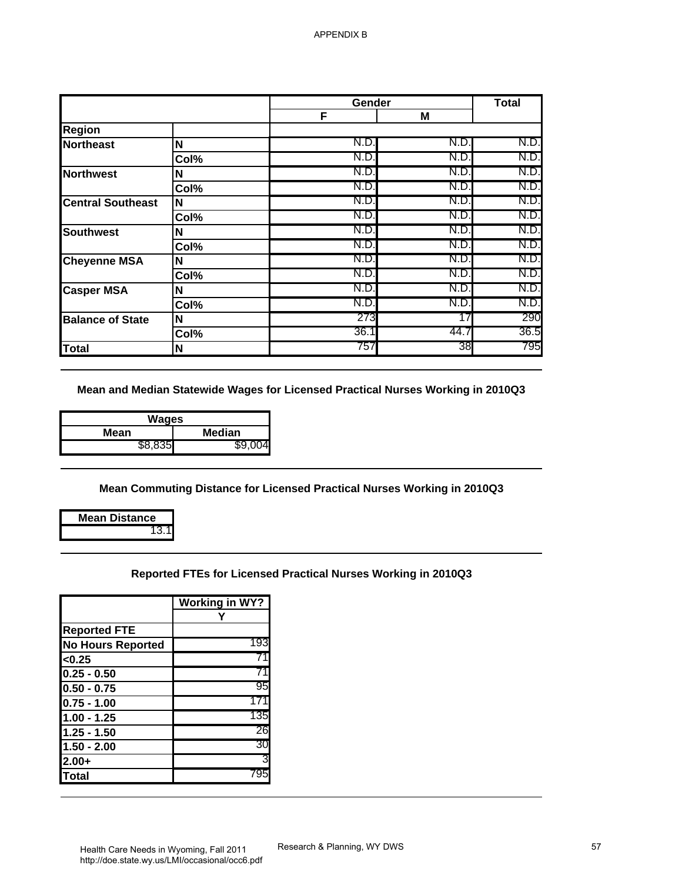|                                                 |                          | Gender                                                                          |              | <b>Total</b> |
|-------------------------------------------------|--------------------------|---------------------------------------------------------------------------------|--------------|--------------|
|                                                 |                          | F                                                                               | M            |              |
| Region                                          |                          |                                                                                 |              |              |
| <b>Northeast</b>                                | N                        | N.D.<br>N.D.                                                                    | N.D.<br>N.D. | N.D.<br>N.D. |
|                                                 | Col%                     | N.D.                                                                            | N.D.         | N.D.         |
| <b>Northwest</b>                                | N<br>Col%                | N.D.                                                                            | N.D.         | N.D.         |
| <b>Central Southeast</b>                        | N                        | N.D.                                                                            | N.D.         | N.D.         |
|                                                 | Col%                     | N.D.                                                                            | N.D.         | N.D.         |
| <b>Southwest</b>                                | N                        | N.D.                                                                            | N.D.         | N.D.         |
|                                                 | Col%                     | N.D                                                                             | N.D.         | N.D.         |
| <b>Cheyenne MSA</b>                             | N                        | N.D.                                                                            | N.D.         | N.D.         |
|                                                 | Col%                     | N.D.                                                                            | N.D.         | N.D.         |
| <b>Casper MSA</b>                               | N                        | N.D.                                                                            | N.D.         | N.D.         |
|                                                 | $\overline{\text{Col%}}$ | N.D.                                                                            | N.D.         | N.D.         |
| <b>Balance of State</b>                         | N                        | 273                                                                             | 17           | 290          |
|                                                 | Col%                     | 36.1                                                                            | 44.7         | 36.5         |
| <b>Total</b>                                    | N                        | 757                                                                             | 38           | 795          |
| <b>Wages</b><br><b>Mean</b><br>\$8,835          | <b>Median</b><br>\$9,004 | Mean and Median Statewide Wages for Licensed Practical Nurses Working in 2010Q3 |              |              |
|                                                 |                          | Mean Commuting Distance for Licensed Practical Nurses Working in 2010Q3         |              |              |
| <b>Mean Distance</b><br>13.1                    |                          |                                                                                 |              |              |
|                                                 |                          | Reported FTEs for Licensed Practical Nurses Working in 2010Q3                   |              |              |
|                                                 | <b>Working in WY?</b>    |                                                                                 |              |              |
|                                                 | Υ                        |                                                                                 |              |              |
| <b>Reported FTE</b>                             |                          |                                                                                 |              |              |
| <b>No Hours Reported</b>                        | 193                      |                                                                                 |              |              |
| <0.25                                           | 71                       |                                                                                 |              |              |
|                                                 | 71                       |                                                                                 |              |              |
| $0.25 - 0.50$<br>$0.50 - 0.75$                  | 95                       |                                                                                 |              |              |
| $0.75 - 1.00$                                   | 171                      |                                                                                 |              |              |
|                                                 | 135                      |                                                                                 |              |              |
|                                                 | 26                       |                                                                                 |              |              |
| $1.00 - 1.25$<br>$1.25 - 1.50$<br>$1.50 - 2.00$ | 30                       |                                                                                 |              |              |
| $2.00+$<br><b>Total</b>                         | 795                      |                                                                                 |              |              |

| Wages   |        |
|---------|--------|
| Mean    | Median |
| \$8.835 |        |

#### **Reported FTEs for Licensed Practical Nurses Working in 2010Q3**

|                          | <b>Working in WY?</b> |
|--------------------------|-----------------------|
|                          |                       |
| <b>Reported FTE</b>      |                       |
| <b>No Hours Reported</b> | 193                   |
| < 0.25                   |                       |
| $0.25 - 0.50$            |                       |
| $0.50 - 0.75$            | 95                    |
| $0.75 - 1.00$            | 17.                   |
| $1.00 - 1.25$            | 135                   |
| 1.25 - 1.50              | 26                    |
| $1.50 - 2.00$            | 30                    |
| $2.00+$                  | 3                     |
| <b>ITotal</b>            | 795                   |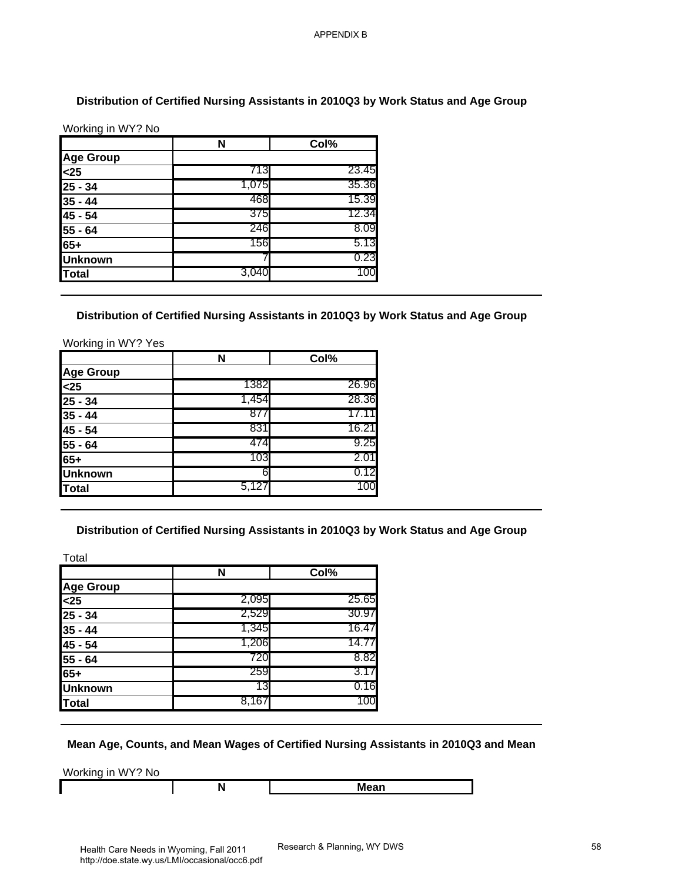#### **Distribution of Certified Nursing Assistants in 2010Q3 by Work Status and Age Group**

|                | N     | Col%  |
|----------------|-------|-------|
| Age Group      |       |       |
| $25$           | 713   | 23.45 |
| $25 - 34$      | 1,075 | 35.36 |
| $35 - 44$      | 468   | 15.39 |
| 45 - 54        | 375   | 12.34 |
| $55 - 64$      | 246   | 8.09  |
| 65+            | 156   | 5.13  |
| <b>Unknown</b> |       | 0.23  |
| <b>Total</b>   | 3,040 | 100   |

#### **Distribution of Certified Nursing Assistants in 2010Q3 by Work Status and Age Group**

|                  | N     | Col%  |
|------------------|-------|-------|
| <b>Age Group</b> |       |       |
| $25$             | 1382  | 26.96 |
| 25 - 34          | 1,454 | 28.36 |
| $35 - 44$        | 877   | 17.11 |
| 45 - 54          | 831   | 16.21 |
| 55 - 64          | 474   | 9.25  |
| 65+              | 103   | 2.01  |
| <b>Unknown</b>   | 6     | 0.12  |
| <b>Total</b>     | 5,127 | 100   |

#### **Distribution of Certified Nursing Assistants in 2010Q3 by Work Status and Age Group**

|                                                                                                         | N                                                                                        | Col%          |
|---------------------------------------------------------------------------------------------------------|------------------------------------------------------------------------------------------|---------------|
| <b>Age Group</b>                                                                                        |                                                                                          |               |
| $\overline{25}$                                                                                         | 713                                                                                      | 23.45         |
| $25 - 34$                                                                                               | 1,075                                                                                    | 35.36         |
| $35 - 44$                                                                                               | 468                                                                                      | 15.39         |
| 45 - 54                                                                                                 | 375                                                                                      | 12.34         |
| $55 - 64$                                                                                               | 246                                                                                      | 8.09          |
| $65+$                                                                                                   | 156                                                                                      | 5.13          |
| <b>Unknown</b>                                                                                          | 7                                                                                        | 0.23          |
| <b>Total</b>                                                                                            | 3,040                                                                                    | 100           |
| Working in WY? Yes                                                                                      | N                                                                                        | Col%          |
| Age Group<br><25                                                                                        | 1382                                                                                     | 26.96         |
|                                                                                                         |                                                                                          |               |
|                                                                                                         |                                                                                          |               |
|                                                                                                         | 1,454                                                                                    | 28.36         |
|                                                                                                         | 877                                                                                      | 17.11         |
|                                                                                                         | 831<br>474                                                                               | 16.21<br>9.25 |
|                                                                                                         | 103                                                                                      | 2.01          |
|                                                                                                         | 6                                                                                        | 0.12          |
|                                                                                                         | 5,127                                                                                    | 100           |
| 25 - 34<br>$35 - 44$<br>$45 - 54$<br>$55 - 64$<br>$65+$<br><b>Unknown</b><br><b>Total</b><br>Total      | Distribution of Certified Nursing Assistants in 2010Q3 by Work Status and Age Group<br>N | Col%          |
|                                                                                                         |                                                                                          |               |
|                                                                                                         | 2,095                                                                                    | 25.65         |
|                                                                                                         | 2,529                                                                                    | 30.97         |
|                                                                                                         | 1,345                                                                                    | 16.47         |
|                                                                                                         | 1,206                                                                                    | 14.77         |
|                                                                                                         | 720                                                                                      | 8.82          |
| <b>Age Group</b><br>$25$<br>$25 - 34$<br>$35 - 44$<br>$45 - 54$<br>$55 - 64$<br>$65+$<br><b>Unknown</b> | 259<br>13                                                                                | 3.17<br>0.16  |

#### **Mean Age, Counts, and Mean Wages of Certified Nursing Assistants in 2010Q3 and Mean**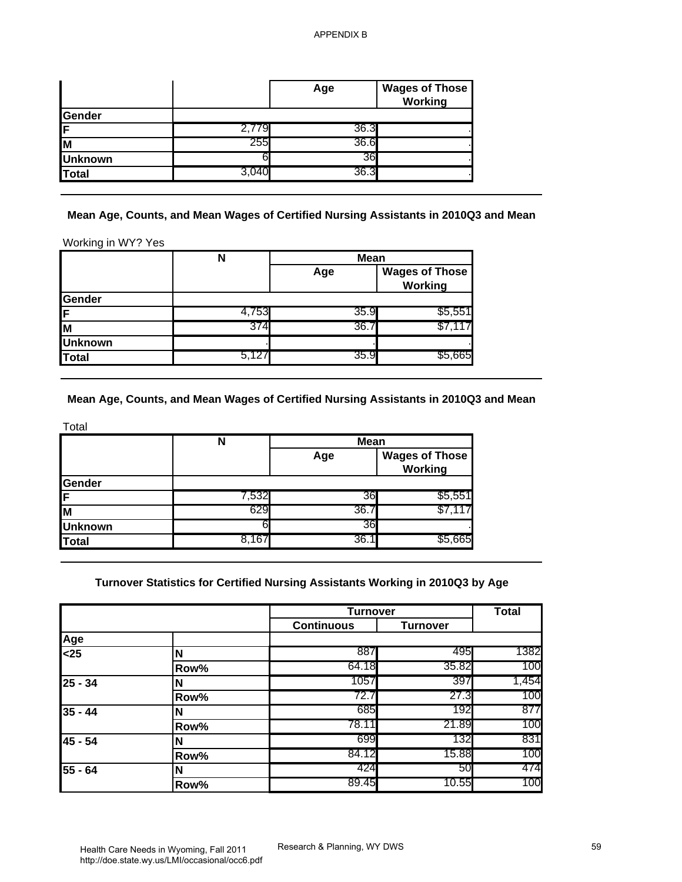|                |     | Age  | <b>Wages of Those</b><br>Working |
|----------------|-----|------|----------------------------------|
| Gender         |     |      |                                  |
| IF             |     | 36.3 |                                  |
| lм             | 255 | 36.6 |                                  |
| <b>Unknown</b> |     | 36   |                                  |
| Total          |     | 36.3 |                                  |

|                | N     | <b>Mean</b> |                                  |
|----------------|-------|-------------|----------------------------------|
|                |       | Age         | <b>Wages of Those</b><br>Working |
| Gender         |       |             |                                  |
| 1F.            | 4,753 | 35.9        | \$5,551                          |
| lм             | 374   | 36.7        |                                  |
| <b>Unknown</b> |       |             |                                  |
| Total          | 5,127 | 35.9        | \$5.665                          |

|                | N     | <b>Mean</b> |                                  |
|----------------|-------|-------------|----------------------------------|
|                |       | Age         | <b>Wages of Those</b><br>Working |
| Gender         |       |             |                                  |
| İΕ             | 7,532 | 36          | \$5,551                          |
| lм             | 629   | 36.         |                                  |
| <b>Unknown</b> |       | 36I         |                                  |
| Total          | 8.167 | 36.         | \$5,665                          |

|                                                             |                                                                                                     | Age               | <b>Wages of Those</b><br>Working        |              |
|-------------------------------------------------------------|-----------------------------------------------------------------------------------------------------|-------------------|-----------------------------------------|--------------|
| Gender                                                      |                                                                                                     |                   |                                         |              |
| F                                                           | 2,779                                                                                               | 36.3              |                                         |              |
| İМ                                                          | 255                                                                                                 | 36.6              |                                         |              |
| <b>Unknown</b>                                              | 6                                                                                                   | 36                |                                         |              |
| <b>Total</b>                                                | 3,040                                                                                               | 36.3              |                                         |              |
| Working in WY? Yes                                          | Mean Age, Counts, and Mean Wages of Certified Nursing Assistants in 2010Q3 and Mean<br>$\mathsf{N}$ | <b>Mean</b>       |                                         |              |
|                                                             |                                                                                                     | Age               | <b>Wages of Those</b><br><b>Working</b> |              |
| Gender                                                      |                                                                                                     |                   |                                         |              |
| F                                                           | 4,753                                                                                               | 35.9              | \$5,551                                 |              |
| M                                                           | 374                                                                                                 | 36.7              | \$7,117                                 |              |
| <b>Unknown</b>                                              | 5,127                                                                                               | 35.9              |                                         |              |
| <b>Total</b>                                                |                                                                                                     |                   | \$5,665                                 |              |
|                                                             | Mean Age, Counts, and Mean Wages of Certified Nursing Assistants in 2010Q3 and Mean<br>$\mathsf{N}$ | <b>Mean</b>       |                                         |              |
|                                                             |                                                                                                     | Age               | <b>Wages of Those</b><br><b>Working</b> |              |
|                                                             |                                                                                                     | 36                |                                         |              |
|                                                             | 7,532<br>629                                                                                        | 36.7              | \$5,551<br>\$7,117                      |              |
|                                                             | 6                                                                                                   | 36                |                                         |              |
|                                                             | 8,167                                                                                               | 36.1              | \$5,665                                 |              |
| Total<br>Gender<br>F<br>M<br><b>Unknown</b><br><b>Total</b> | Turnover Statistics for Certified Nursing Assistants Working in 2010Q3 by Age                       | <b>Turnover</b>   |                                         | <b>Total</b> |
|                                                             |                                                                                                     | <b>Continuous</b> | <b>Turnover</b>                         |              |
|                                                             | N                                                                                                   | 887               | 495                                     | 1382         |
|                                                             | Row%                                                                                                | 64.18             | 35.82                                   | 100          |
|                                                             | N                                                                                                   | 1057              | 397                                     | 1,454        |
|                                                             | Row%                                                                                                | 72.7              | 27.3                                    | 100          |
|                                                             | N                                                                                                   | 685               | 192                                     | 877          |
|                                                             | Row%                                                                                                | 78.11             | 21.89                                   | 100          |
|                                                             | N                                                                                                   | 699               | 132                                     | 831          |
|                                                             | Row%                                                                                                | 84.12             | 15.88                                   | 100          |
| Age<br>$25$<br>$25 - 34$<br>$35 - 44$<br>45 - 54<br>55 - 64 | N<br>Row%                                                                                           | 424<br>89.45      | 50<br>10.55                             | 474<br>100   |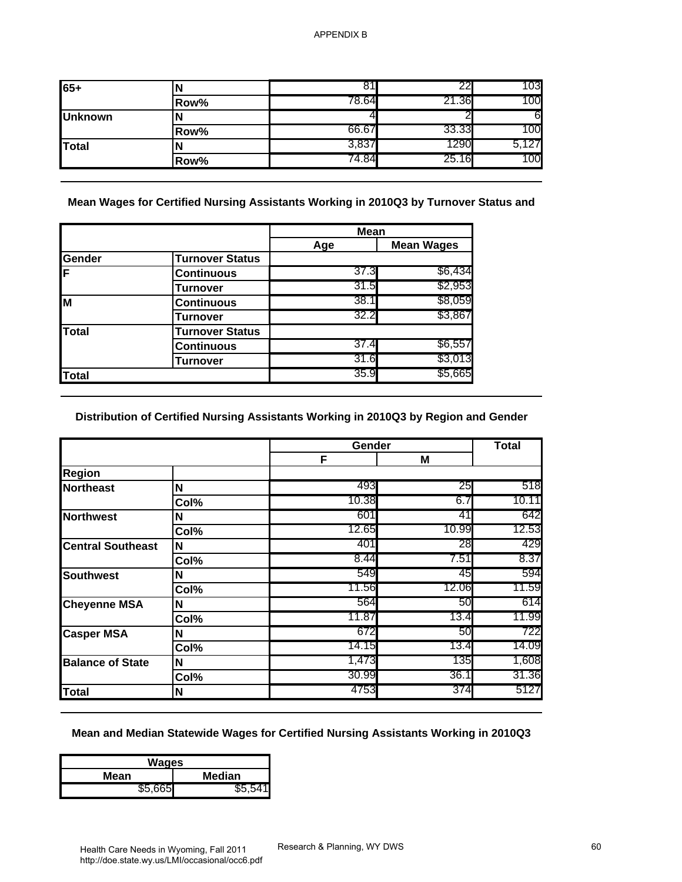| $165+$         |      |       | הה    | 103   |
|----------------|------|-------|-------|-------|
|                | Row% | 78.64 | 21.36 | 100   |
| <b>Unknown</b> |      |       |       | 6     |
|                | Row% | 66.67 | 33.33 | 100   |
| <b>Total</b>   |      | 3,837 | 1290  | 5,127 |
|                | Row% | 44.84 | 25.16 | 100   |

|        |                        | <b>Mean</b> |                   |
|--------|------------------------|-------------|-------------------|
|        |                        | Age         | <b>Mean Wages</b> |
| Gender | <b>Turnover Status</b> |             |                   |
| ΙF     | <b>Continuous</b>      | 37.3        | \$6,434           |
|        | Turnover               | 31.5        | \$2,953           |
| M      | <b>Continuous</b>      | 38.1        | \$8,059           |
|        | Turnover               | 32.2        | \$3,867           |
| Total  | <b>Turnover Status</b> |             |                   |
|        | <b>Continuous</b>      | 37.4        | \$6,557           |
|        | Turnover               | 31.6        | \$3,013           |
| Total  |                        | 35.9        | \$5,665           |

## **Distribution of Certified Nursing Assistants Working in 2010Q3 by Region and Gender**

| $65 +$<br><b>Unknown</b><br><b>Total</b>                                                                                                                                                     | N<br>Row%<br>N<br>Row%<br>N<br>Row%                                                  | 81<br>78.64<br>4 | 22<br>21.36       | 103                                                         |
|----------------------------------------------------------------------------------------------------------------------------------------------------------------------------------------------|--------------------------------------------------------------------------------------|------------------|-------------------|-------------------------------------------------------------|
|                                                                                                                                                                                              |                                                                                      |                  |                   | 100                                                         |
|                                                                                                                                                                                              |                                                                                      |                  | 2                 | 6                                                           |
|                                                                                                                                                                                              |                                                                                      | 66.67            | 33.33             | 100                                                         |
|                                                                                                                                                                                              |                                                                                      | 3,837            | 1290              | 5,127                                                       |
|                                                                                                                                                                                              |                                                                                      | 74.84            | 25.16             | 100                                                         |
|                                                                                                                                                                                              | Mean Wages for Certified Nursing Assistants Working in 2010Q3 by Turnover Status and | <b>Mean</b>      |                   |                                                             |
|                                                                                                                                                                                              |                                                                                      | Age              | <b>Mean Wages</b> |                                                             |
| Gender                                                                                                                                                                                       | <b>Turnover Status</b>                                                               |                  |                   |                                                             |
|                                                                                                                                                                                              | <b>Continuous</b>                                                                    | 37.3             | \$6,434           |                                                             |
|                                                                                                                                                                                              | <b>Turnover</b>                                                                      | 31.5             | \$2,953           |                                                             |
|                                                                                                                                                                                              | <b>Continuous</b>                                                                    | 38.1             | \$8,059           |                                                             |
|                                                                                                                                                                                              | <b>Turnover</b>                                                                      | 32.2             | \$3,867           |                                                             |
| <b>Total</b>                                                                                                                                                                                 | <b>Turnover Status</b>                                                               |                  |                   |                                                             |
|                                                                                                                                                                                              | <b>Continuous</b>                                                                    | 37.4             | \$6,557           |                                                             |
|                                                                                                                                                                                              | <b>Turnover</b>                                                                      | 31.6             | \$3,013           |                                                             |
|                                                                                                                                                                                              |                                                                                      | 35.9             |                   |                                                             |
|                                                                                                                                                                                              | Distribution of Certified Nursing Assistants Working in 2010Q3 by Region and Gender  | Gender           | \$5,665           | <b>Total</b>                                                |
|                                                                                                                                                                                              |                                                                                      | F                | M                 |                                                             |
|                                                                                                                                                                                              | N                                                                                    | 493              | 25                | 518                                                         |
|                                                                                                                                                                                              | Col%                                                                                 | 10.38            | 6.7               |                                                             |
|                                                                                                                                                                                              | N                                                                                    | 601              | 41                |                                                             |
|                                                                                                                                                                                              | Col%                                                                                 | 12.65            | 10.99             |                                                             |
|                                                                                                                                                                                              | N                                                                                    | 401              | 28                |                                                             |
|                                                                                                                                                                                              | Col%                                                                                 | 8.44             | 7.51              |                                                             |
|                                                                                                                                                                                              | N                                                                                    | 549              | 45                |                                                             |
|                                                                                                                                                                                              | Col%                                                                                 | 11.56            | 12.06             |                                                             |
|                                                                                                                                                                                              | N                                                                                    | 564              | 50                | 10.11<br>642<br>12.53<br>429<br>8.37<br>594<br>11.59<br>614 |
|                                                                                                                                                                                              | Col%                                                                                 | 11.87            | 13.4              |                                                             |
|                                                                                                                                                                                              | N                                                                                    | 672              | 50                |                                                             |
|                                                                                                                                                                                              | Col%                                                                                 | 14.15            | 13.4              |                                                             |
| <b>Total</b><br><b>Region</b><br><b>Northeast</b><br><b>Northwest</b><br><b>Central Southeast</b><br><b>Southwest</b><br><b>Cheyenne MSA</b><br><b>Casper MSA</b><br><b>Balance of State</b> | N                                                                                    | 1,473            | 135               |                                                             |
| <b>Total</b>                                                                                                                                                                                 | Col%<br>N                                                                            | 30.99<br>4753    | 36.1<br>374       | 11.99<br>722<br>14.09<br>1,608<br>31.36<br>5127             |

#### **Mean and Median Statewide Wages for Certified Nursing Assistants Working in 2010Q3**

| Wages                 |         |  |
|-----------------------|---------|--|
| <b>Median</b><br>Mean |         |  |
| \$5,665               | \$5.541 |  |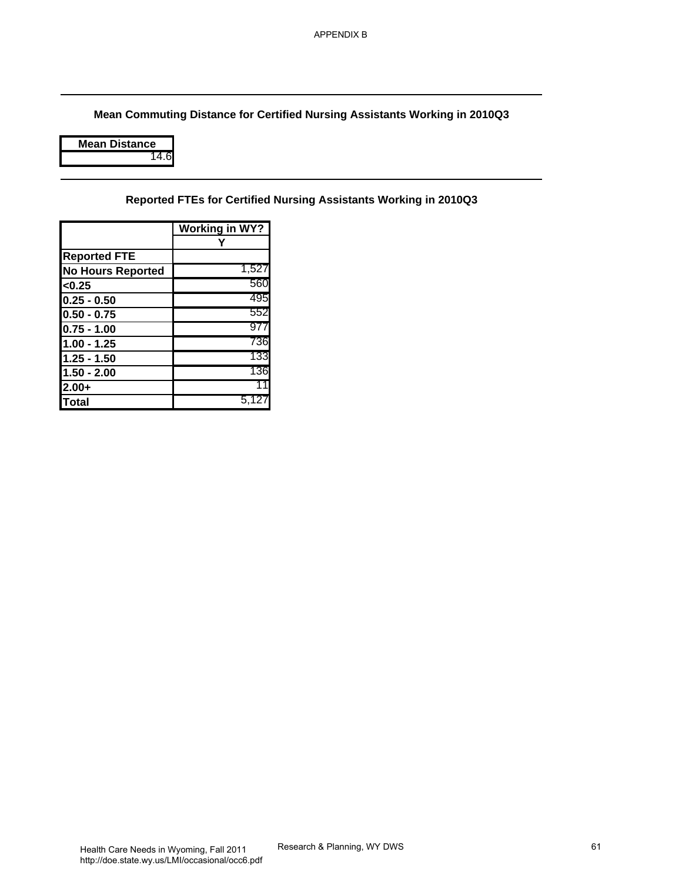**Mean Commuting Distance for Certified Nursing Assistants Working in 2010Q3** APPENDIX B<br>Research & Planning, WY DWS<br>Nursing Assistants Working in 2010Q3<br>Research & Planning, WY DWS

| <b>/lean Distance</b> |
|-----------------------|
|                       |

**Reported FTEs for Certified Nursing Assistants Working in 2010Q3**

|                          | Working in WY? |
|--------------------------|----------------|
|                          |                |
| <b>Reported FTE</b>      |                |
| <b>No Hours Reported</b> | 1,527          |
| < 0.25                   | 560            |
| $0.25 - 0.50$            | 495            |
| $0.50 - 0.75$            | 552            |
| $0.75 - 1.00$            | 977            |
| $1.00 - 1.25$            | 736            |
| $1.25 - 1.50$            | 133            |
| $1.50 - 2.00$            | 136            |
| $2.00+$                  | 11             |
| Total                    | 5,12           |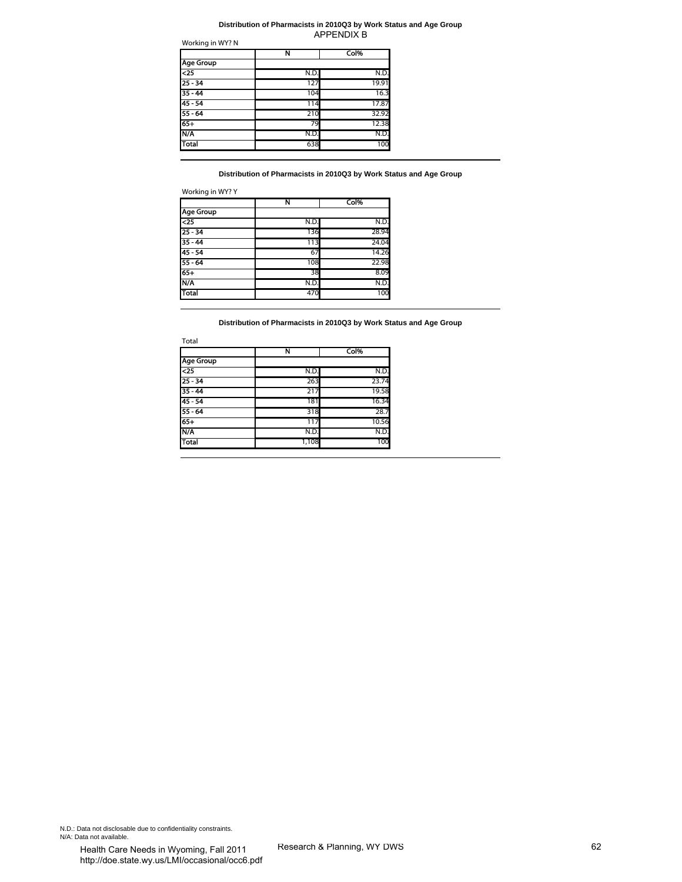#### Working in WY? N **Distribution of Pharmacists in 2010Q3 by Work Status and Age Group**

|                  | Ν    | Col%  |
|------------------|------|-------|
| <b>Age Group</b> |      |       |
| $\overline{25}$  | N.D. | N.D.  |
| $25 - 34$        | 127  | 19.91 |
| $35 - 44$        | 104  | 16.3  |
| $45 - 54$        | 114  | 17.87 |
| $55 - 64$        | 210  | 32.92 |
| $65+$            | 79   | 12.38 |
| N/A              | N.D  | N.D.  |
| <b>Total</b>     | 638  | 100   |

| Working in WY? Y |  |  |  |
|------------------|--|--|--|
|------------------|--|--|--|

|                  | Ν    | Col%  |
|------------------|------|-------|
| <b>Age Group</b> |      |       |
| $\overline{25}$  | N.D. | N.D.  |
| $25 - 34$        | 136  | 28.94 |
| $35 - 44$        | 113  | 24.04 |
| $45 - 54$        | 67   | 14.26 |
| $55 - 64$        | 108  | 22.98 |
| $65+$            | 38   | 8.09  |
| N/A              | N.D. | N.D.  |
| Total            | 470  | 100   |

|                                      |                                                                         | <b>APPENDIX B</b>           |  |
|--------------------------------------|-------------------------------------------------------------------------|-----------------------------|--|
| Working in WY? N                     | N                                                                       | Col%                        |  |
| <b>Age Group</b>                     |                                                                         |                             |  |
| $\overline{25}$                      | N.D.                                                                    | N.D.                        |  |
| $25 - 34$                            | 127                                                                     | 19.91                       |  |
| $35 - 44$                            | 104                                                                     | 16.3                        |  |
| $45 - 54$                            | 114                                                                     | 17.87                       |  |
| $55 - 64$                            | 210                                                                     | 32.92                       |  |
| $65+$                                | 79                                                                      | 12.38                       |  |
| <b>N/A</b>                           | N.D.                                                                    | N.D.                        |  |
| Total                                | 638                                                                     | 100                         |  |
| Working in WY? Y<br><b>Age Group</b> | Distribution of Pharmacists in 2010Q3 by Work Status and Age Group<br>N | Col%                        |  |
| $25$                                 | N.D.                                                                    | N.D.                        |  |
| $25 - 34$                            | 136                                                                     | 28.94                       |  |
| $35 - 44$                            | 113                                                                     | 24.04                       |  |
| $45 - 54$                            | 67                                                                      | 14.26                       |  |
| $55 - 64$                            | 108                                                                     | 22.98                       |  |
| $65+$                                | 38                                                                      | 8.09                        |  |
| N/A                                  | N.D.                                                                    | N.D.                        |  |
| <b>Total</b>                         | 470                                                                     | 100                         |  |
| Total<br><b>Age Group</b>            | Ν                                                                       | Col%                        |  |
| $\overline{25}$                      | N.D.                                                                    | N.D.                        |  |
| $25 - 34$                            | 263                                                                     | 23.74                       |  |
| $35 - 44$                            | 217                                                                     | 19.58                       |  |
| $45 - 54$                            | 181                                                                     | 16.34                       |  |
| $55 - 64$                            | 318                                                                     | 28.7                        |  |
| $65+$                                | 117                                                                     | 10.56                       |  |
| N/A                                  | N.D.                                                                    | N.D.                        |  |
| Total                                | 1,108                                                                   | 100                         |  |
|                                      |                                                                         |                             |  |
|                                      |                                                                         |                             |  |
| ntiality constraints.                |                                                                         | Research & Planning, WY DWS |  |
| oming Fall 2011                      |                                                                         |                             |  |

N.D.: Data not disclosable due to confidentiality constraints. N/A: Data not available.<br>
Health Care Needs in Wyoming, Eall 2011 Research & Planning, WY DWS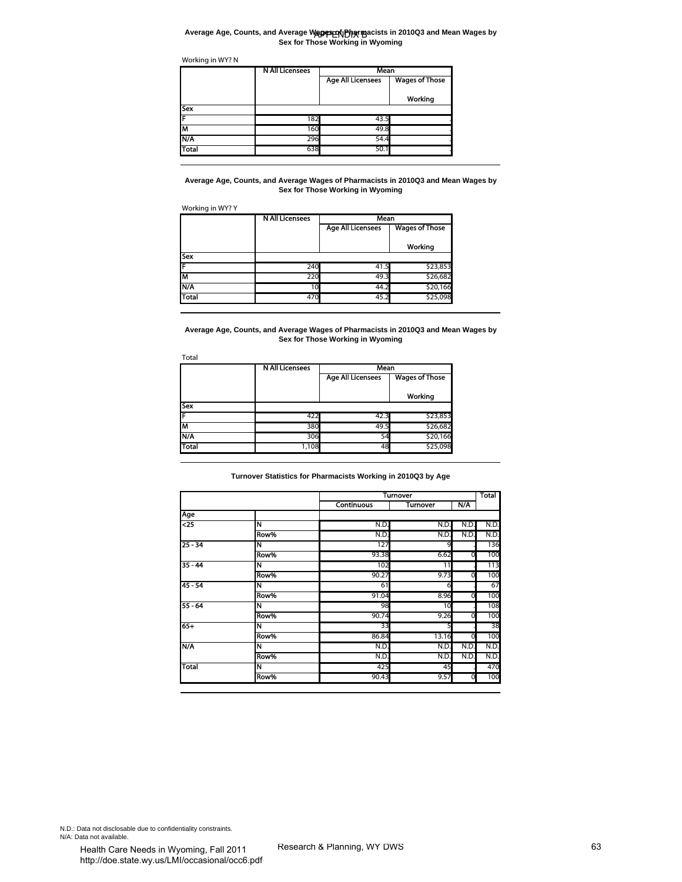#### **Average Age, Counts, and Average Wages of Pharmacists in 2010Q3 and Mean Wages by Sex for Those Working in Wyoming**

|              | <b>N All Licensees</b> | Mean                     |                       |  |
|--------------|------------------------|--------------------------|-----------------------|--|
|              |                        | <b>Age All Licensees</b> | <b>Wages of Those</b> |  |
|              |                        |                          | Working               |  |
| Sex          |                        |                          |                       |  |
|              | 182                    | 43.5                     |                       |  |
| M            | 160                    | 49.8                     |                       |  |
| N/A          | 296                    | 54.4                     |                       |  |
| <b>Total</b> | 638                    | 50.1                     |                       |  |

|              | <b>NAILICENSES</b> | Mean                     |                       |  |
|--------------|--------------------|--------------------------|-----------------------|--|
|              |                    | <b>Age All Licensees</b> | <b>Wages of Those</b> |  |
|              |                    |                          | Working               |  |
| <b>Sex</b>   |                    |                          |                       |  |
|              | 240                | 41.5                     | \$23,853              |  |
| Гм           | 220                | 49.3                     | \$26,682              |  |
| <b>N/A</b>   | 10                 | 44.2                     | \$20,166              |  |
| <b>Total</b> | 470                | 45.2                     | \$25,098              |  |

| Total        |                        |                          |                       |
|--------------|------------------------|--------------------------|-----------------------|
|              | <b>N All Licensees</b> | Mean                     |                       |
|              |                        | <b>Age All Licensees</b> | <b>Wages of Those</b> |
|              |                        |                          | Working               |
| Sex          |                        |                          |                       |
|              | 422                    | 42.3                     | \$23,853              |
| М            | 380                    | 49.5                     | \$26,682              |
| N/A          | 306                    | 54                       | \$20,166              |
| <b>Total</b> | 1,108                  | 48                       | \$25,098              |

|                                                                                                 | <b>N All Licensees</b>                                                                                      | Mean                                     |                             |      |             |
|-------------------------------------------------------------------------------------------------|-------------------------------------------------------------------------------------------------------------|------------------------------------------|-----------------------------|------|-------------|
|                                                                                                 |                                                                                                             | <b>Age All Licensees</b>                 | <b>Wages of Those</b>       |      |             |
|                                                                                                 |                                                                                                             |                                          | Working                     |      |             |
| Sex                                                                                             |                                                                                                             |                                          |                             |      |             |
| F                                                                                               | 182                                                                                                         | 43.5                                     |                             |      |             |
| M                                                                                               | 160                                                                                                         | 49.8                                     |                             |      |             |
| <b>N/A</b>                                                                                      | 296                                                                                                         | 54.4                                     |                             |      |             |
| Total                                                                                           | 638                                                                                                         | 50.1                                     |                             |      |             |
| Working in WY? Y                                                                                | Average Age, Counts, and Average Wages of Pharmacists in 2010Q3 and Mean Wages by<br><b>N All Licensees</b> | Sex for Those Working in Wyoming<br>Mean |                             |      |             |
|                                                                                                 |                                                                                                             | <b>Age All Licensees</b>                 | <b>Wages of Those</b>       |      |             |
|                                                                                                 |                                                                                                             |                                          |                             |      |             |
|                                                                                                 |                                                                                                             |                                          | Working                     |      |             |
| Sex                                                                                             |                                                                                                             |                                          |                             |      |             |
| F                                                                                               | 240                                                                                                         | 41.5                                     | \$23,853                    |      |             |
| M                                                                                               | 220                                                                                                         | 49.3                                     | \$26,682                    |      |             |
| N/A                                                                                             | 10                                                                                                          | 44.2                                     | \$20,166                    |      |             |
| <b>Total</b>                                                                                    | 470                                                                                                         | 45.2                                     | \$25,098                    |      |             |
| Total                                                                                           | <b>N All Licensees</b>                                                                                      | Mean<br><b>Age All Licensees</b>         | <b>Wages of Those</b>       |      |             |
|                                                                                                 |                                                                                                             |                                          | Working                     |      |             |
| Sex                                                                                             |                                                                                                             |                                          |                             |      |             |
| F                                                                                               | 422                                                                                                         | 42.3                                     | \$23,853                    |      |             |
| M                                                                                               | 380                                                                                                         | 49.5                                     | \$26,682<br>\$20,166        |      |             |
|                                                                                                 | 306                                                                                                         | 54                                       |                             |      |             |
|                                                                                                 |                                                                                                             |                                          |                             |      |             |
|                                                                                                 | 1,108                                                                                                       | 48                                       | \$25,098                    |      |             |
|                                                                                                 | Turnover Statistics for Pharmacists Working in 2010Q3 by Age                                                | <b>Continuous</b>                        | <b>Turnover</b><br>Turnover | N/A  | Total       |
|                                                                                                 |                                                                                                             |                                          |                             |      |             |
|                                                                                                 | N                                                                                                           | N.D.                                     | N.D.                        | N.D. | N.D.        |
|                                                                                                 | Row%                                                                                                        | N.D.                                     | N.D.                        | N.D. | N.D.        |
|                                                                                                 | N                                                                                                           | 127                                      | 9                           |      | 136         |
|                                                                                                 | Row%<br>N                                                                                                   | 93.38                                    | 6.62                        | 0    | 100         |
|                                                                                                 | Row%                                                                                                        | 102<br>90.27                             | 11<br>9.73                  | 0    | 113<br>100  |
|                                                                                                 | N                                                                                                           | 61                                       | 6                           |      | 67          |
|                                                                                                 | Row%                                                                                                        | 91.04                                    | 8.96                        | 0    | 100         |
| N/A<br>Total<br>Age<br>$\overline{\text{}}$<br>$25 - 34$<br>$35 - 44$<br>$45 - 54$<br>$55 - 64$ | N                                                                                                           | 98                                       | 10                          |      | 108         |
|                                                                                                 | Row%                                                                                                        | 90.74                                    | 9.26                        | 0    | 100         |
|                                                                                                 | N                                                                                                           | 33                                       |                             |      | 38          |
|                                                                                                 | Row%                                                                                                        | 86.84                                    | 13.16                       | 0    | 100         |
| $65+$<br>ΚŅ                                                                                     | N                                                                                                           | N.D.                                     | N.D.                        | N.D. | N.D.        |
| Total                                                                                           | Row%<br>N                                                                                                   | N.D.<br>425                              | N.D.<br>45                  | N.D. | N.D.<br>470 |

N.D.: Data not disclosable due to confidentiality constraints. N/A: Data not available.<br>
Health Care Needs in Wyoming, Fall 2011 Research & Planning, WY DWS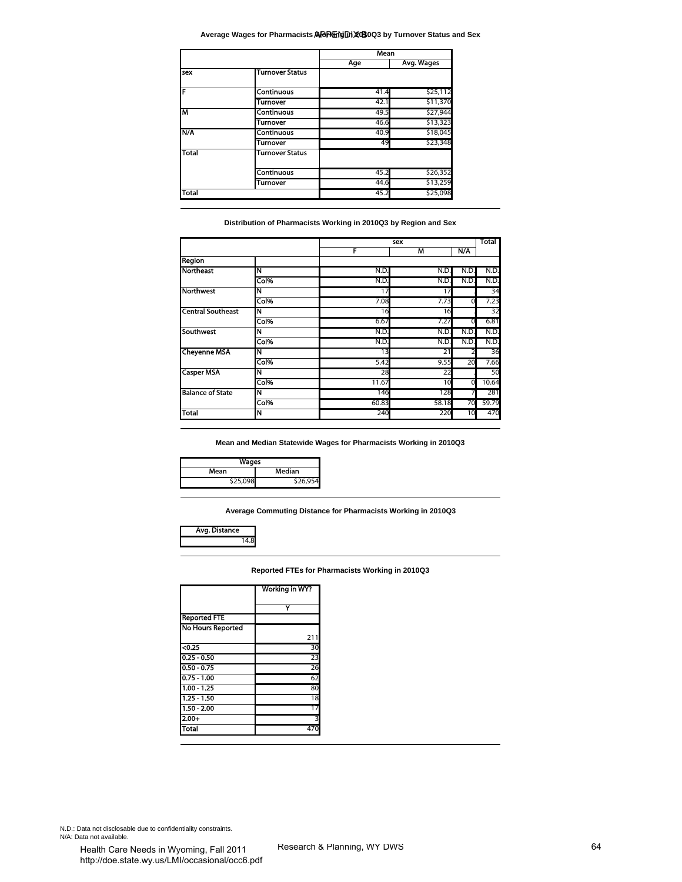#### Average Wages for Pharmacists ADPN町MJXGB0Q3 by Turnover Status and Sex

|              |                        | Mean |            |
|--------------|------------------------|------|------------|
|              |                        | Age  | Avg. Wages |
| sex          | <b>Turnover Status</b> |      |            |
| F            | <b>Continuous</b>      | 41.4 | \$25,112   |
|              | Turnover               | 42.1 | \$11,370   |
| M            | <b>Continuous</b>      | 49.5 | \$27,944   |
|              | Turnover               | 46.6 | \$13,323   |
| N/A          | <b>Continuous</b>      | 40.9 | \$18,045   |
|              | Turnover               | 49   | \$23,348   |
| <b>Total</b> | <b>Turnover Status</b> |      |            |
|              | <b>Continuous</b>      | 45.2 | \$26,352   |
|              | Turnover               | 44.6 | \$13,259   |
| Total        |                        | 45.2 | \$25,098   |

| sex                                                                                                                           |                                                                                              |          |            |      |       |
|-------------------------------------------------------------------------------------------------------------------------------|----------------------------------------------------------------------------------------------|----------|------------|------|-------|
|                                                                                                                               |                                                                                              | Age      | Avg. Wages |      |       |
|                                                                                                                               | <b>Turnover Status</b>                                                                       |          |            |      |       |
| F                                                                                                                             | Continuous                                                                                   | 41.4     | \$25,112   |      |       |
|                                                                                                                               | Turnover                                                                                     | 42.1     | \$11,370   |      |       |
| M                                                                                                                             | Continuous                                                                                   | 49.5     | \$27,944   |      |       |
|                                                                                                                               | Turnover                                                                                     | 46.6     | \$13,323   |      |       |
| N/A                                                                                                                           | Continuous                                                                                   | 40.9     | \$18,045   |      |       |
|                                                                                                                               | Turnover                                                                                     | 49       | \$23,348   |      |       |
| Total                                                                                                                         | <b>Turnover Status</b>                                                                       |          |            |      |       |
|                                                                                                                               |                                                                                              |          |            |      |       |
|                                                                                                                               | <b>Continuous</b>                                                                            | 45.2     | \$26,352   |      |       |
|                                                                                                                               | <b>Turnover</b>                                                                              | 44.6     | \$13,259   |      |       |
| Total                                                                                                                         |                                                                                              | 45.2     | \$25,098   |      |       |
|                                                                                                                               | Distribution of Pharmacists Working in 2010Q3 by Region and Sex                              | sex<br>F | M          | N/A  | Total |
| <b>Region</b>                                                                                                                 |                                                                                              |          |            |      |       |
| <b>Northeast</b>                                                                                                              | N                                                                                            | N.D.     | N.D.       | N.D. | N.D.  |
|                                                                                                                               | Col%                                                                                         | N.D.     | N.D.       | N.D  | N.D.  |
| <b>Northwest</b>                                                                                                              | N                                                                                            | 17       | 17         |      | 34    |
|                                                                                                                               | Col%                                                                                         | 7.08     | 7.73       | 0    | 7.23  |
| <b>Central Southeast</b>                                                                                                      | N                                                                                            | 16       | 16         |      | 32    |
|                                                                                                                               | Col%                                                                                         | 6.67     | 7.27       | 0    | 6.81  |
| Southwest                                                                                                                     | N                                                                                            | N.D.     | N.D.       | N.D. | N.D.  |
|                                                                                                                               | Col%                                                                                         | N.D.     | N.D.       | N.D. | N.D.  |
|                                                                                                                               | N                                                                                            | 13       | 21         | 2    | 36    |
|                                                                                                                               |                                                                                              |          | 9.55       | 20   | 7.66  |
|                                                                                                                               | Col%                                                                                         | 5.42     |            |      | 50    |
|                                                                                                                               | N                                                                                            | 28       | 22         |      |       |
|                                                                                                                               | Col%                                                                                         | 11.67    | 10         | 0    | 10.64 |
|                                                                                                                               | N                                                                                            | 146      | 128        | 7    | 281   |
|                                                                                                                               | Col%                                                                                         | 60.83    | 58.18      | 70   | 59.79 |
| Wages<br>Mean<br>\$25,098                                                                                                     | N<br>Mean and Median Statewide Wages for Pharmacists Working in 2010Q3<br>Median<br>\$26,954 | 240      | 220        | 10   | 470   |
| Avg. Distance<br>14.8                                                                                                         | Average Commuting Distance for Pharmacists Working in 2010Q3                                 |          |            |      |       |
| <b>Cheyenne MSA</b><br><b>Casper MSA</b><br><b>Balance of State</b><br><b>Total</b>                                           | Reported FTEs for Pharmacists Working in 2010Q3                                              |          |            |      |       |
|                                                                                                                               | Working in WY?                                                                               |          |            |      |       |
|                                                                                                                               |                                                                                              |          |            |      |       |
|                                                                                                                               | Y                                                                                            |          |            |      |       |
|                                                                                                                               |                                                                                              |          |            |      |       |
|                                                                                                                               | 211                                                                                          |          |            |      |       |
|                                                                                                                               | 30                                                                                           |          |            |      |       |
|                                                                                                                               |                                                                                              |          |            |      |       |
|                                                                                                                               | 23                                                                                           |          |            |      |       |
|                                                                                                                               | 26                                                                                           |          |            |      |       |
|                                                                                                                               | 62                                                                                           |          |            |      |       |
| <b>Reported FTE</b><br><b>No Hours Reported</b><br>$0.25$<br>$0.25 - 0.50$<br>$0.50 - 0.75$<br>$0.75 - 1.00$<br>$1.00 - 1.25$ | 80                                                                                           |          |            |      |       |
|                                                                                                                               | 18                                                                                           |          |            |      |       |
| $1.25 - 1.50$<br>$1.50 - 2.00$                                                                                                | 17                                                                                           |          |            |      |       |
| $2.00+$<br><b>Total</b>                                                                                                       | 3<br>470                                                                                     |          |            |      |       |

| Wages          |        |  |  |
|----------------|--------|--|--|
| Median<br>Mean |        |  |  |
| \$25,098       | 26,954 |  |  |



|                          | Working in WY? |
|--------------------------|----------------|
|                          |                |
| <b>Reported FTE</b>      |                |
| <b>No Hours Reported</b> |                |
|                          | 211            |
| $0.25$                   | 30             |
| $0.25 - 0.50$            | 23             |
| $0.50 - 0.75$            | 26             |
| $0.75 - 1.00$            | 62             |
| $1.00 - 1.25$            | 80             |
| $1.25 - 1.50$            | 18             |
| $1.50 - 2.00$            | 17             |
| $2.00 +$                 | 3              |
| Total                    | 47             |

N.D.: Data not disclosable due to confidentiality constraints. N/A: Data not available.<br>
Health Care Needs in Wyoming, Fall 2011 Research & Planning, WY DWS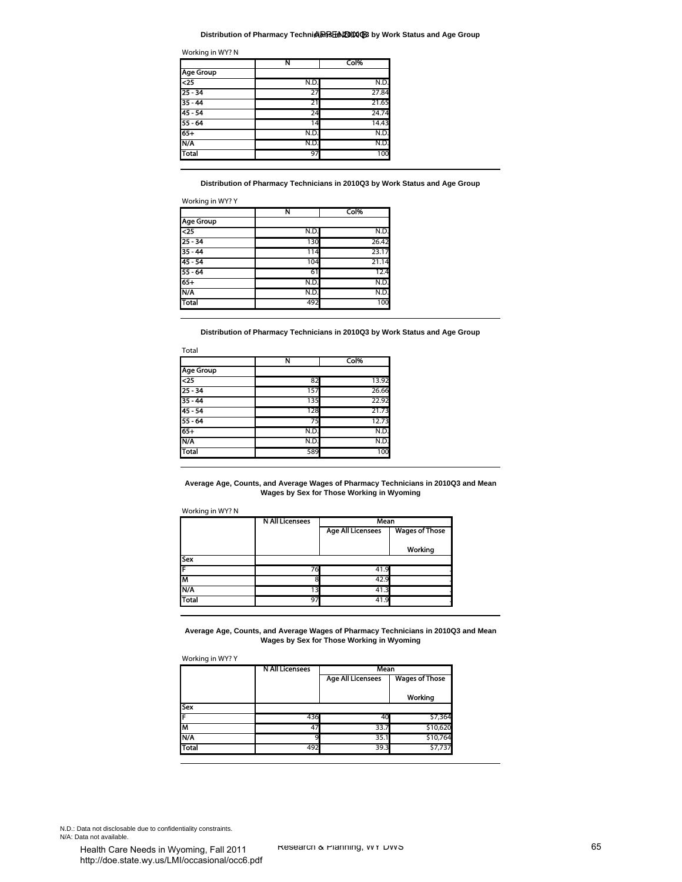#### **Distribution of Pharmacy Technicians in 2010Q3 by Work Status and Age Group**

| Working in WY? N |  |  |
|------------------|--|--|
|                  |  |  |

|                  | N    | Col%  |
|------------------|------|-------|
| <b>Age Group</b> |      |       |
| $25$             | N.D. | N.D.  |
| $25 - 34$        | 27   | 27.84 |
| $35 - 44$        | 21   | 21.65 |
| $45 - 54$        | 24   | 24.74 |
| $55 - 64$        | 14   | 14.43 |
| $65+$            | N.D. | N.D.  |
| N/A              | N.D. | N.D.  |
| <b>Total</b>     | 97   | 100   |

|                  | N    | Col%  |
|------------------|------|-------|
| <b>Age Group</b> |      |       |
| $\overline{25}$  | N.D. | N.D.  |
| $25 - 34$        | 130  | 26.42 |
| $35 - 44$        | 114  | 23.17 |
| $45 - 54$        | 104  | 21.14 |
| $55 - 64$        | 61   | 12.4  |
| $65+$            | N.D. | N.D.  |
| N/A              | N.D. | N.D.  |
| <b>Total</b>     | 492  | 100   |

|                  | N    | Col%  |
|------------------|------|-------|
| <b>Age Group</b> |      |       |
| $25$             | 82   | 13.92 |
| $25 - 34$        | 157  | 26.66 |
| $35 - 44$        | 135  | 22.92 |
| $45 - 54$        | 128  | 21.73 |
| $55 - 64$        | 75   | 12.73 |
| $65 +$           | N.D. | N.D.  |
| N/A              | N.D. | N.D.  |
| <b>Total</b>     | 589  | 100   |

|                                                                                                                                                       | Ν                                                                                                    | Col%                                              |                                  |  |
|-------------------------------------------------------------------------------------------------------------------------------------------------------|------------------------------------------------------------------------------------------------------|---------------------------------------------------|----------------------------------|--|
| <b>Age Group</b>                                                                                                                                      |                                                                                                      |                                                   |                                  |  |
| $\overline{25}$                                                                                                                                       | N.D                                                                                                  | N.D.                                              |                                  |  |
| $25 - 34$                                                                                                                                             | 27                                                                                                   | 27.84                                             |                                  |  |
| $35 - 44$                                                                                                                                             | 21                                                                                                   | 21.65                                             |                                  |  |
| $45 - 54$<br>$55 - 64$                                                                                                                                | 24<br>14                                                                                             | 24.74<br>14.43                                    |                                  |  |
| $65+$                                                                                                                                                 | N.D.                                                                                                 | N.D.                                              |                                  |  |
| N/A                                                                                                                                                   | N.D.                                                                                                 | N.D.                                              |                                  |  |
| <b>Total</b>                                                                                                                                          | 97                                                                                                   | 100                                               |                                  |  |
| Working in WY? Y<br>Age Group                                                                                                                         | Distribution of Pharmacy Technicians in 2010Q3 by Work Status and Age Group<br>Ν                     | Col%                                              |                                  |  |
| 4                                                                                                                                                     | N.D.                                                                                                 | N.D.                                              |                                  |  |
| $25 - 34$                                                                                                                                             | 130                                                                                                  | 26.42                                             |                                  |  |
| $35 - 44$                                                                                                                                             | 114                                                                                                  | 23.17                                             |                                  |  |
| $45 - 54$<br>$55 - 64$                                                                                                                                | 104<br>61                                                                                            | 21.14<br>12.4                                     |                                  |  |
| $65+$                                                                                                                                                 | N.D.                                                                                                 | N.D.                                              |                                  |  |
| N/A                                                                                                                                                   | N.D.                                                                                                 | N.D.                                              |                                  |  |
| Total                                                                                                                                                 | 492                                                                                                  | 100                                               |                                  |  |
| Total<br><b>Age Group</b>                                                                                                                             | N                                                                                                    | Col%                                              |                                  |  |
| $25$                                                                                                                                                  | 82                                                                                                   | 13.92                                             |                                  |  |
|                                                                                                                                                       | 157                                                                                                  | 26.66                                             |                                  |  |
|                                                                                                                                                       |                                                                                                      | 22.92                                             |                                  |  |
|                                                                                                                                                       | 135                                                                                                  |                                                   |                                  |  |
|                                                                                                                                                       | 128                                                                                                  | 21.73                                             |                                  |  |
|                                                                                                                                                       | 75                                                                                                   | 12.73                                             |                                  |  |
|                                                                                                                                                       | N.D.                                                                                                 | N.D.                                              |                                  |  |
|                                                                                                                                                       | N.D.<br>589                                                                                          | N.D.<br>100                                       |                                  |  |
|                                                                                                                                                       | Average Age, Counts, and Average Wages of Pharmacy Technicians in 2010Q3 and Mean                    | Wages by Sex for Those Working in Wyoming         |                                  |  |
|                                                                                                                                                       | <b>N All Licensees</b>                                                                               | Mean                                              |                                  |  |
|                                                                                                                                                       |                                                                                                      | Age All Licensees                                 | <b>Wages of Those</b><br>Working |  |
|                                                                                                                                                       |                                                                                                      |                                                   |                                  |  |
|                                                                                                                                                       | 76                                                                                                   | 41.9                                              |                                  |  |
|                                                                                                                                                       | 8                                                                                                    | 42.9                                              |                                  |  |
|                                                                                                                                                       | 13                                                                                                   | 41.3                                              |                                  |  |
|                                                                                                                                                       | 97                                                                                                   | 41.9                                              |                                  |  |
| $25 - 34$<br>$35 - 44$<br>$45 - 54$<br>55 - 64<br>65+<br>N/A<br>Total<br>Working in WY? N<br><b>Sex</b><br>F<br>M<br>N/A<br>Total<br>Working in WY? Y | Average Age, Counts, and Average Wages of Pharmacy Technicians in 2010Q3 and Mean<br>N All Licensees | Wages by Sex for Those Working in Wyoming<br>Mean |                                  |  |
|                                                                                                                                                       |                                                                                                      | <b>Age All Licensees</b>                          | <b>Wages of Those</b>            |  |
|                                                                                                                                                       |                                                                                                      |                                                   |                                  |  |
|                                                                                                                                                       |                                                                                                      |                                                   | Working                          |  |
|                                                                                                                                                       |                                                                                                      |                                                   |                                  |  |
|                                                                                                                                                       | 436                                                                                                  | 40                                                | \$7,364                          |  |
| <b>Sex</b><br>F<br>M                                                                                                                                  | 47                                                                                                   | 33.7                                              | \$10,620                         |  |
| N/A<br><b>Total</b>                                                                                                                                   | 9<br>492                                                                                             | 35.1<br>39.3                                      | \$10,764<br>\$7,737              |  |

| Working in WY? Y |                        |                          |                       |  |  |
|------------------|------------------------|--------------------------|-----------------------|--|--|
|                  | <b>N All Licensees</b> | Mean                     |                       |  |  |
|                  |                        | <b>Age All Licensees</b> | <b>Wages of Those</b> |  |  |
|                  |                        |                          | Working               |  |  |
| Sex              |                        |                          |                       |  |  |
|                  | 436                    | 4 <sup>c</sup>           | \$7,364               |  |  |
| M                | -47                    | 33.7                     | \$10,620              |  |  |
| N/A              |                        | 35.1                     | \$10,764              |  |  |
| Total            | 492                    | 39.3                     | \$7,737               |  |  |

N.D.: Data not disclosable due to confidentiality constraints. N/A: Data not available.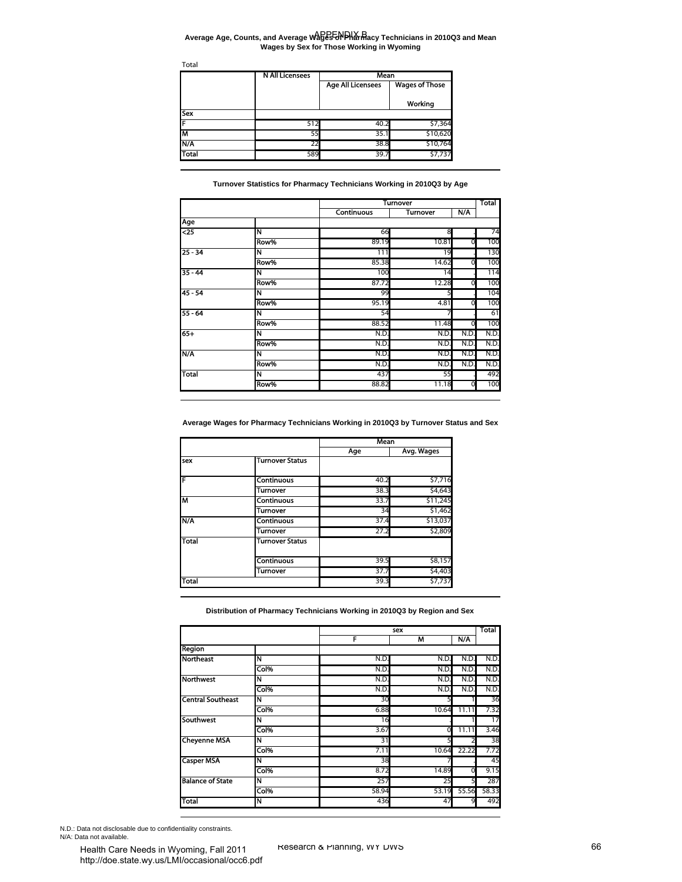#### Average Age, Counts, and Average Wages To Pharmacy Technicians in 2010Q3 and Mean **Wages by Sex for Those Working in Wyoming**

|            | <b>N All Licensees</b> | Mean                     |                       |  |
|------------|------------------------|--------------------------|-----------------------|--|
|            |                        | <b>Age All Licensees</b> | <b>Wages of Those</b> |  |
|            |                        |                          | Working               |  |
| <b>Sex</b> |                        |                          |                       |  |
|            | 512                    | 40.2                     | \$7,364               |  |
| Iм         | 55                     | 35.1                     | \$10,620              |  |
| N/A        | 22                     | 38.8                     | \$10,764              |  |
| Total      | 589                    | 39.7                     | \$7,737               |  |

| Total                                                                                                | <b>N All Licensees</b>                                                                      | Mean                     |                                    |            |              |
|------------------------------------------------------------------------------------------------------|---------------------------------------------------------------------------------------------|--------------------------|------------------------------------|------------|--------------|
|                                                                                                      |                                                                                             | <b>Age All Licensees</b> | <b>Wages of Those</b>              |            |              |
| Sex                                                                                                  |                                                                                             |                          | Working                            |            |              |
| F                                                                                                    | 512                                                                                         | 40.2                     | \$7,364                            |            |              |
| M                                                                                                    | 55                                                                                          | 35.1                     | \$10,620                           |            |              |
| N/A<br>Total                                                                                         | 22                                                                                          | 38.8                     | \$10,764                           |            |              |
|                                                                                                      | 589<br>Turnover Statistics for Pharmacy Technicians Working in 2010Q3 by Age                | 39.7                     | \$7,737                            |            |              |
|                                                                                                      |                                                                                             | Continuous               | <b>Turnover</b><br><b>Turnover</b> | N/A        | Total        |
| Age                                                                                                  |                                                                                             |                          |                                    |            |              |
| $\overline{25}$                                                                                      | N                                                                                           | 66                       | 8                                  |            | 74           |
|                                                                                                      | Row%                                                                                        | 89.19                    | 10.81                              | 0          | 100          |
| $25 - 34$                                                                                            | N                                                                                           | 111                      | 19                                 |            | 130          |
|                                                                                                      | Row%                                                                                        | 85.38                    | 14.62                              | 0          | 100          |
| $35 - 44$                                                                                            | N<br>Row%                                                                                   | 100<br>87.72             | 14<br>12.28                        | 0          | 114<br>100   |
| $45 - 54$                                                                                            | N                                                                                           | 99                       |                                    |            | 104          |
|                                                                                                      | Row%                                                                                        | 95.19                    | 4.81                               | ō          | 100          |
| $55 - 64$                                                                                            | N                                                                                           | 54                       |                                    |            | 61           |
|                                                                                                      | Row%                                                                                        | 88.52                    | 11.48                              | 0          | 100          |
| $65+$                                                                                                | N                                                                                           | N.D                      | N.D.                               | N.D        | N.D.         |
|                                                                                                      | Row%                                                                                        | N.D                      | N.D.                               | N.D        | N.D.         |
| N/A                                                                                                  | N                                                                                           | N.D                      | N.D.                               | N.D        | N.D.         |
|                                                                                                      | Row%                                                                                        | N.D                      | N.D.                               | N.D        | N.D.         |
|                                                                                                      | N                                                                                           | 437<br>88.82             | 55<br>11.18                        | 0          | 492<br>100   |
|                                                                                                      | Row%<br>Average Wages for Pharmacy Technicians Working in 2010Q3 by Turnover Status and Sex |                          |                                    |            |              |
|                                                                                                      | Turnover Status                                                                             | Mean<br>Age              | Avg. Wages                         |            |              |
|                                                                                                      |                                                                                             |                          |                                    |            |              |
|                                                                                                      | Continuous                                                                                  | 40.2                     | \$7,716                            |            |              |
|                                                                                                      | Turnover<br>Continuous                                                                      | 38.3<br>33.7             | \$4,643<br>\$11,245                |            |              |
|                                                                                                      | Turnover                                                                                    | 34                       | \$1,462                            |            |              |
|                                                                                                      | Continuous                                                                                  | 37.4                     | \$13,037                           |            |              |
|                                                                                                      | <b>Turnover</b>                                                                             | 27.2                     | \$2,809                            |            |              |
|                                                                                                      | Turnover Status                                                                             |                          |                                    |            |              |
|                                                                                                      | Continuous                                                                                  | 39.5                     | \$8,157                            |            |              |
|                                                                                                      | Turnover                                                                                    | 37.7                     | \$4,403                            |            |              |
| <b>Total</b><br>sex<br>F<br>м<br>N/A<br><b>Total</b><br>Total                                        |                                                                                             | 39.3                     | \$7,737                            |            |              |
|                                                                                                      | Distribution of Pharmacy Technicians Working in 2010Q3 by Region and Sex                    |                          |                                    |            |              |
|                                                                                                      |                                                                                             | F                        | sex<br>M                           | N/A        | Total        |
| Region                                                                                               |                                                                                             |                          |                                    |            |              |
|                                                                                                      | N                                                                                           | N.D.                     | N.D.                               | N.D.       | N.D.         |
|                                                                                                      | Col%                                                                                        | N.D.                     | N.D.                               | N.D.       | N.D.         |
|                                                                                                      | N                                                                                           | N.D.                     | N.D.                               | N.D.       | N.D.         |
|                                                                                                      | Col%                                                                                        | N.D.                     | N.D.                               | N.D.       | N.D.         |
|                                                                                                      | N                                                                                           | 30                       |                                    |            | 36           |
|                                                                                                      | Col%                                                                                        | 6.88                     | 10.64                              | 11.11      | 7.32         |
|                                                                                                      | N                                                                                           | 16                       |                                    |            | 17           |
| <b>Northeast</b><br><b>Northwest</b><br><b>Central Southeast</b><br>Southwest<br><b>Cheyenne MSA</b> | Col%<br>N                                                                                   | 3.67<br>31               | 0                                  | 11.11      | 3.46<br>38   |
|                                                                                                      | Col%                                                                                        | 7.11                     | 10.64                              | 22.22      | 7.72         |
| <b>Casper MSA</b>                                                                                    | N                                                                                           | 38                       |                                    |            | 45           |
|                                                                                                      | Col%                                                                                        | 8.72                     | 14.89                              | 0          | 9.15         |
| <b>Balance of State</b>                                                                              | N                                                                                           | 257                      | 25                                 | 5          | 287          |
| Total                                                                                                | Col%<br>N                                                                                   | 58.94<br>436             | 53.19<br>47                        | 55.56<br>9 | 58.33<br>492 |

|       |                        | Mean |            |  |
|-------|------------------------|------|------------|--|
|       |                        | Age  | Avg. Wages |  |
| sex   | <b>Turnover Status</b> |      |            |  |
| F     | <b>Continuous</b>      | 40.2 | \$7,716    |  |
|       | Turnover               | 38.3 | \$4,643    |  |
| M     | <b>Continuous</b>      | 33.7 | \$11,245   |  |
|       | <b>Turnover</b>        | 34   | \$1,462    |  |
| N/A   | <b>Continuous</b>      | 37.4 | \$13,037   |  |
|       | Turnover               | 27.2 | \$2,809    |  |
| Total | <b>Turnover Status</b> |      |            |  |
|       | <b>Continuous</b>      | 39.5 | \$8,157    |  |
|       | Turnover               | 37.7 | \$4,403    |  |
| Total |                        | 39.3 | \$7,737    |  |

|                          |      | sex   |       |       | Total |
|--------------------------|------|-------|-------|-------|-------|
|                          |      | F     | М     | N/A   |       |
| Region                   |      |       |       |       |       |
| Northeast                | N    | N.D.  | N.D.  | N.D   | N.D.  |
|                          | Col% | N.D.  | N.D.  | N.D   | N.D.  |
| <b>Northwest</b>         | N    | N.D.  | N.D.  | N.D.  | N.D.  |
|                          | Col% | N.D.  | N.D.  | N.D.  | N.D.  |
| <b>Central Southeast</b> | N    | 30    | 5     |       | 36    |
|                          | Col% | 6.88  | 10.64 | 11.11 | 7.32  |
| Southwest                | N    | 16    |       |       | 17    |
|                          | Col% | 3.67  | 0     | 11.11 | 3.46  |
| <b>Cheyenne MSA</b>      | N    | 31    | 5     |       | 38    |
|                          | Col% | 7.11  | 10.64 | 22.22 | 7.72  |
| <b>Casper MSA</b>        | Ñ    | 38    |       |       | 45    |
|                          | Col% | 8.72  | 14.89 | 0     | 9.15  |
| <b>Balance of State</b>  | N    | 257   | 25    | 5     | 287   |
|                          | Col% | 58.94 | 53.19 | 55.56 | 58.33 |
| Total                    | N    | 436   | 47    | 9     | 492   |

N.D.: Data not disclosable due to confidentiality constraints.

N/A: Data not available.

Health Care Needs in Wyoming, Fall 2011 http://doe.state.wy.us/LMI/occasional/occ6.pdf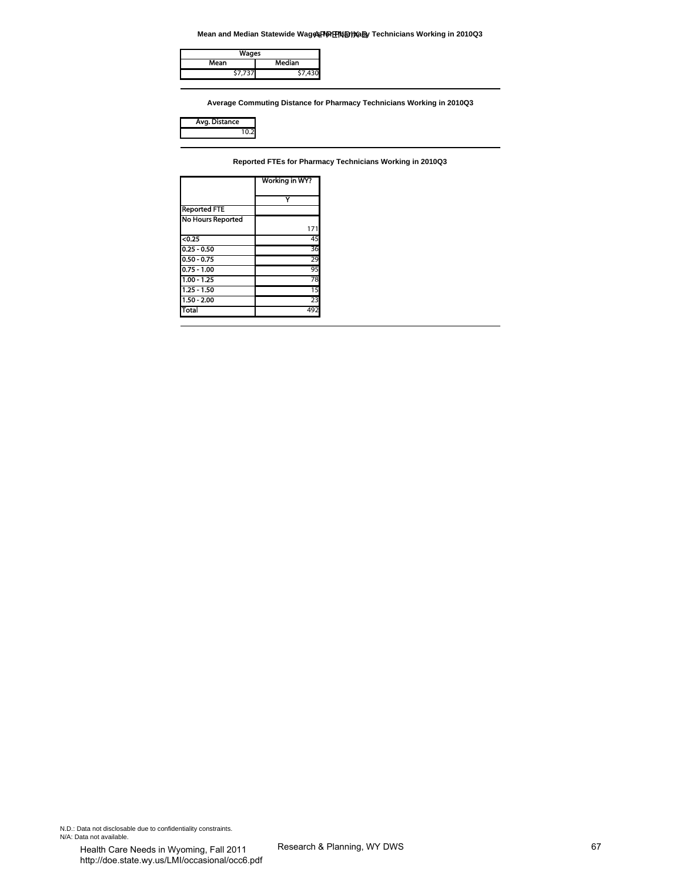**Mean and Median Statewide Wages Por Pharmacy Technicians Working in 2010Q3** 

| Wages   |        |
|---------|--------|
| Mean    | Median |
| \$7,737 |        |

| <b>istance</b><br>4. L.H |  |
|--------------------------|--|
|                          |  |

|                                | Mean and Median Statewide Wages PO ENDIXaBy Technicians Working in 2010Q3 |
|--------------------------------|---------------------------------------------------------------------------|
| <b>Wages</b>                   |                                                                           |
| Mean                           | Median                                                                    |
| \$7,737                        | \$7,430                                                                   |
|                                |                                                                           |
|                                | Average Commuting Distance for Pharmacy Technicians Working in 2010Q3     |
|                                |                                                                           |
| Avg. Distance                  |                                                                           |
| 10.2                           |                                                                           |
|                                |                                                                           |
|                                | Reported FTEs for Pharmacy Technicians Working in 2010Q3                  |
|                                |                                                                           |
|                                | Working in WY?                                                            |
|                                |                                                                           |
| <b>Reported FTE</b>            | Y                                                                         |
| No Hours Reported              |                                                                           |
|                                | 171                                                                       |
| < 0.25                         | 45                                                                        |
| $0.25 - 0.50$                  | 36                                                                        |
| $0.50 - 0.75$<br>$0.75 - 1.00$ | 29<br>95                                                                  |
| $1.00 - 1.25$                  | 78                                                                        |
| $1.25 - 1.50$                  | 15                                                                        |
| $1.50 - 2.00$                  | 23                                                                        |
| <b>Total</b>                   | 492                                                                       |
|                                |                                                                           |
|                                |                                                                           |
|                                |                                                                           |
|                                |                                                                           |
|                                |                                                                           |
|                                |                                                                           |
|                                |                                                                           |
|                                |                                                                           |
|                                |                                                                           |
|                                |                                                                           |
|                                |                                                                           |
|                                |                                                                           |
|                                |                                                                           |
|                                |                                                                           |
|                                |                                                                           |
|                                |                                                                           |
|                                |                                                                           |
|                                |                                                                           |
|                                |                                                                           |
|                                |                                                                           |
|                                |                                                                           |
|                                |                                                                           |
|                                |                                                                           |
|                                |                                                                           |
|                                |                                                                           |
|                                |                                                                           |
|                                |                                                                           |
|                                |                                                                           |
|                                |                                                                           |
|                                |                                                                           |
|                                |                                                                           |
|                                |                                                                           |
|                                |                                                                           |
|                                |                                                                           |
|                                |                                                                           |
|                                |                                                                           |
|                                |                                                                           |
|                                |                                                                           |
|                                |                                                                           |
|                                |                                                                           |
|                                |                                                                           |
|                                |                                                                           |
| ntiality constraints.          |                                                                           |
|                                |                                                                           |
| oming Fall 2011                | Research & Planning, WY DWS                                               |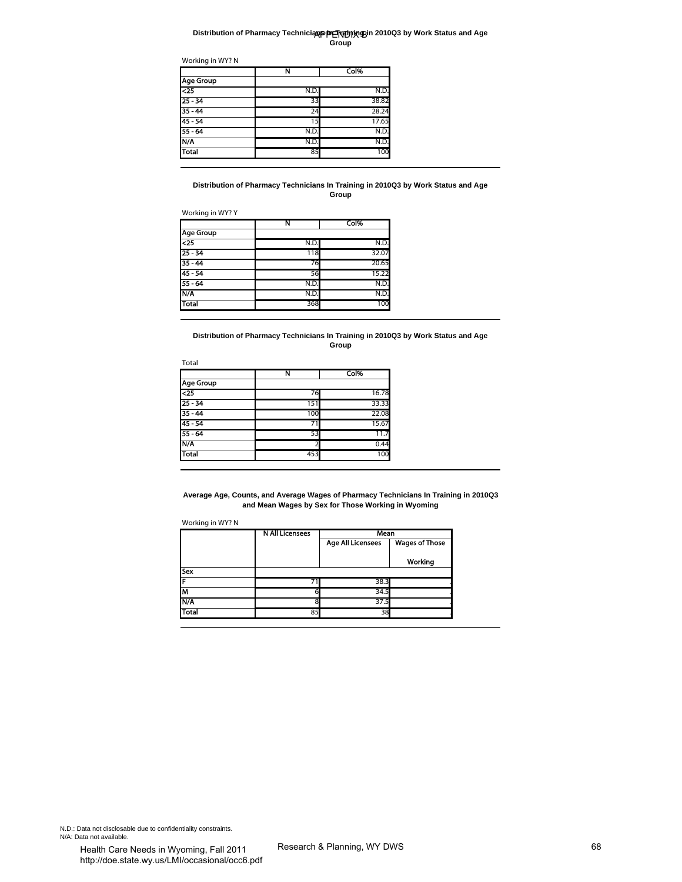#### **Distribution of Pharmacy Technicians In Training in 2010Q3 by Work Status and Age Group**

|                  | N    | Col%  |
|------------------|------|-------|
| <b>Age Group</b> |      |       |
| $\overline{25}$  | N.D. | N.D.  |
| $25 - 34$        | 33   | 38.82 |
| $35 - 44$        | 24   | 28.24 |
| 45 - 54          | 15   | 17.65 |
| $55 - 64$        | N.D. | N.D.  |
| N/A              | N.D. | N.D.  |
| Total            | 85   | 100   |
|                  |      |       |

#### **Distribution of Pharmacy Technicians In Training in 2010Q3 by Work Status and Age Group**

|                  | N    | Col%  |
|------------------|------|-------|
| <b>Age Group</b> |      |       |
| $\overline{25}$  | N.D. | N.D.  |
| $25 - 34$        | 118  | 32.07 |
| $35 - 44$        | 76   | 20.65 |
| $45 - 54$        | 56   | 15.22 |
| $55 - 64$        | N.D. | N.D.  |
| N/A              | N.D. | N.D.  |
| <b>Total</b>     | 368  | 100   |

| Total |       |  |  |  |
|-------|-------|--|--|--|
| N     | Col%  |  |  |  |
|       |       |  |  |  |
| 76    | 16.78 |  |  |  |
| 151   | 33.33 |  |  |  |
| 100   | 22.08 |  |  |  |
|       | 15.67 |  |  |  |
| 53    | 11.7  |  |  |  |
|       | 0.44  |  |  |  |
| 453   | 100   |  |  |  |
|       |       |  |  |  |

| <b>Age Group</b><br>$\overline{25}$<br>25 - 34<br>$35 - 44$<br>$45 - 54$<br>55 - 64<br>N/A<br>Total |                                                                                                                                                               | Col%                     |                       |  |
|-----------------------------------------------------------------------------------------------------|---------------------------------------------------------------------------------------------------------------------------------------------------------------|--------------------------|-----------------------|--|
|                                                                                                     | N.D.                                                                                                                                                          | N.D.                     |                       |  |
|                                                                                                     | 33                                                                                                                                                            | 38.82                    |                       |  |
|                                                                                                     | 24                                                                                                                                                            | 28.24                    |                       |  |
|                                                                                                     | 15                                                                                                                                                            | 17.65                    |                       |  |
|                                                                                                     | N.D                                                                                                                                                           | N.D.                     |                       |  |
|                                                                                                     | N.D.                                                                                                                                                          | N.D.<br>100              |                       |  |
|                                                                                                     | 85                                                                                                                                                            |                          |                       |  |
| Working in WY? Y                                                                                    | Distribution of Pharmacy Technicians In Training in 2010Q3 by Work Status and Age                                                                             | Group                    |                       |  |
| <b>Age Group</b>                                                                                    | N                                                                                                                                                             | Col%                     |                       |  |
| $\overline{25}$                                                                                     | N.D.                                                                                                                                                          | N.D                      |                       |  |
| $25 - 34$                                                                                           | 118                                                                                                                                                           | 32.07                    |                       |  |
| $35 - 44$                                                                                           | 76                                                                                                                                                            | 20.65                    |                       |  |
| $45 - 54$                                                                                           | 56                                                                                                                                                            | 15.22                    |                       |  |
| 55 - 64                                                                                             | N.D                                                                                                                                                           | N.D.                     |                       |  |
| N/A<br><b>Total</b>                                                                                 | N.D<br>368                                                                                                                                                    | N.D.<br>100              |                       |  |
|                                                                                                     |                                                                                                                                                               |                          |                       |  |
|                                                                                                     | Distribution of Pharmacy Technicians In Training in 2010Q3 by Work Status and Age                                                                             | Group                    |                       |  |
| Total                                                                                               | Ν                                                                                                                                                             | Col%                     |                       |  |
| <b>Age Group</b>                                                                                    |                                                                                                                                                               |                          |                       |  |
| <25                                                                                                 | 76                                                                                                                                                            | 16.78                    |                       |  |
| $25 - 34$                                                                                           | 151                                                                                                                                                           | 33.33                    |                       |  |
| $35 - 44$                                                                                           | 100                                                                                                                                                           | 22.08                    |                       |  |
| $45 - 54$                                                                                           | 71                                                                                                                                                            | 15.67                    |                       |  |
| 55 - 64<br>N/A                                                                                      | 53<br>2                                                                                                                                                       | 11.7<br>0.44             |                       |  |
| <b>Total</b>                                                                                        | 453                                                                                                                                                           | 100                      |                       |  |
| Working in WY? N                                                                                    | Average Age, Counts, and Average Wages of Pharmacy Technicians In Training in 2010Q3<br>and Mean Wages by Sex for Those Working in Wyoming<br>N All Licensees | mean                     |                       |  |
|                                                                                                     |                                                                                                                                                               | <b>Age All Licensees</b> | <b>Wages of Those</b> |  |
|                                                                                                     |                                                                                                                                                               |                          |                       |  |
|                                                                                                     |                                                                                                                                                               |                          | Working               |  |
| Sex<br>F                                                                                            | 71                                                                                                                                                            | 38.3                     |                       |  |
|                                                                                                     | 6                                                                                                                                                             | 34.5                     |                       |  |
|                                                                                                     | 8                                                                                                                                                             | 37.5                     |                       |  |
| M                                                                                                   | 85                                                                                                                                                            | 38                       |                       |  |
| N/A<br>Total                                                                                        |                                                                                                                                                               |                          |                       |  |

N.D.: Data not disclosable due to confidentiality constraints. N/A: Data not available.<br>
Health Care Needs in Wyoming, Fall 2011 Research & Planning, WY DWS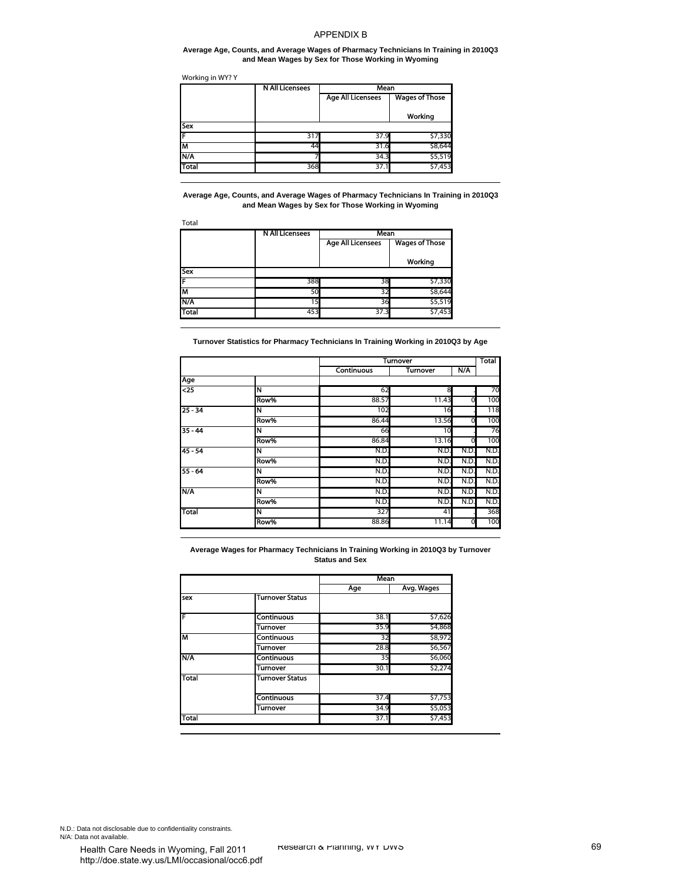#### **Average Age, Counts, and Average Wages of Pharmacy Technicians In Training in 2010Q3 and Mean Wages by Sex for Those Working in Wyoming**

|              | <b>N All Licensees</b> | Mean                     |                       |  |
|--------------|------------------------|--------------------------|-----------------------|--|
|              |                        | <b>Age All Licensees</b> | <b>Wages of Those</b> |  |
|              |                        |                          | Working               |  |
| Sex          |                        |                          |                       |  |
| ſF           | 317                    | 37.9                     | \$7,330               |  |
| М            | 44                     | 31.6                     | \$8,644               |  |
| <b>N/A</b>   |                        | 34.3                     | \$5,519               |  |
| <b>Total</b> | 368                    | 37.1                     | \$7,453               |  |

|              | <b>N All Licensees</b> | Mean                     |                       |
|--------------|------------------------|--------------------------|-----------------------|
|              |                        | <b>Age All Licensees</b> | <b>Wages of Those</b> |
|              |                        |                          | Working               |
| <b>Sex</b>   |                        |                          |                       |
|              | 388                    | 38                       | \$7,330               |
| lΜ           | 50                     | 32                       | \$8,644               |
| <b>IN/A</b>  | 15                     | 36                       | \$5,519               |
| <b>Total</b> | 453                    | 37.3                     | \$7,453               |

|                                  | Working in WY? Y                                                                                                                           |                                      |                                    |      |            |
|----------------------------------|--------------------------------------------------------------------------------------------------------------------------------------------|--------------------------------------|------------------------------------|------|------------|
|                                  | <b>N All Licensees</b>                                                                                                                     | Mean<br><b>Age All Licensees</b>     | <b>Wages of Those</b>              |      |            |
|                                  |                                                                                                                                            |                                      |                                    |      |            |
|                                  |                                                                                                                                            |                                      | Working                            |      |            |
| Sex                              |                                                                                                                                            | 37.9                                 |                                    |      |            |
|                                  | 317<br>44                                                                                                                                  | 31.6                                 | \$7,330<br>\$8,644                 |      |            |
| N/A                              |                                                                                                                                            | 34.3                                 | \$5,519                            |      |            |
| Total                            | 368                                                                                                                                        | 37.1                                 | \$7,453                            |      |            |
| Total                            | Average Age, Counts, and Average Wages of Pharmacy Technicians In Training in 2010Q3<br>and Mean Wages by Sex for Those Working in Wyoming |                                      |                                    |      |            |
|                                  | <b>N All Licensees</b>                                                                                                                     | Mean                                 |                                    |      |            |
|                                  |                                                                                                                                            | <b>Age All Licensees</b>             | <b>Wages of Those</b>              |      |            |
| Sex                              |                                                                                                                                            |                                      | Working                            |      |            |
|                                  | 388                                                                                                                                        | 38                                   | \$7,330                            |      |            |
|                                  | 50                                                                                                                                         | 32                                   | \$8,644                            |      |            |
| N/A                              | 15                                                                                                                                         | 36                                   | \$5,519                            |      |            |
| <b>Total</b>                     | 453                                                                                                                                        | 37.3                                 | \$7,453                            |      |            |
|                                  | Turnover Statistics for Pharmacy Technicians In Training Working in 2010Q3 by Age                                                          |                                      |                                    |      |            |
|                                  |                                                                                                                                            | Continuous                           | <b>Turnover</b><br><b>Turnover</b> | N/A  | Total      |
| Age                              |                                                                                                                                            |                                      |                                    |      |            |
| $\overline{25}$                  | N                                                                                                                                          | 62                                   | 8                                  |      | 70         |
|                                  | Row%                                                                                                                                       | 88.57                                | 11.43                              | C    | 100        |
| 25 - 34                          | N<br>Row%                                                                                                                                  | 102<br>86.44                         | 16<br>13.56                        | 0    | 118<br>100 |
| $35 - 44$                        | N                                                                                                                                          | 66                                   | 10                                 |      | 76         |
|                                  | Row%                                                                                                                                       | 86.84                                | 13.16                              | 0    | 100        |
| $45 - 54$                        | N                                                                                                                                          | N.D                                  | N.D.                               | N.D  | N.D.       |
|                                  | Row%                                                                                                                                       | N.D.                                 | N.D.                               | N.D. | N.D.       |
|                                  | N                                                                                                                                          | N.D.                                 | N.D.                               | N.D  | N.D.       |
|                                  |                                                                                                                                            |                                      |                                    | N.D  | N.D.       |
|                                  | Row%                                                                                                                                       | N.D.                                 | N.D.                               |      |            |
|                                  | N                                                                                                                                          | N.D.                                 | N.D.                               | N.D  | N.D.       |
|                                  | Row%                                                                                                                                       | N.D.                                 | N.D.                               | N.D  | N.D.       |
|                                  | N<br>Row%                                                                                                                                  | 327<br>88.86                         | 41<br>11.14                        | 0    | 368<br>100 |
| $55 - 64$<br><b>N/A</b><br>Total | Average Wages for Pharmacy Technicians In Training Working in 2010Q3 by Turnover                                                           | <b>Status and Sex</b><br>Mean<br>Age | Avg. Wages                         |      |            |
|                                  | Turnover Status                                                                                                                            |                                      |                                    |      |            |
|                                  |                                                                                                                                            |                                      |                                    |      |            |
|                                  | Continuous                                                                                                                                 | 38.1                                 | \$7,626                            |      |            |
|                                  | Turnover                                                                                                                                   | 35.9                                 | \$4,868                            |      |            |
|                                  | <b>Continuous</b>                                                                                                                          | 32                                   | \$8,972                            |      |            |
|                                  | Turnover<br>Continuous                                                                                                                     | 28.8<br>35                           | \$6,567<br>\$6,060                 |      |            |
|                                  | Turnover                                                                                                                                   | 30.1                                 | \$2,274                            |      |            |
| sex<br>F<br>М<br>N/A<br>Total    | Turnover Status                                                                                                                            |                                      |                                    |      |            |
|                                  | Continuous                                                                                                                                 | 37.4                                 | \$7,753                            |      |            |
| <b>Total</b>                     | <b>Turnover</b>                                                                                                                            | 34.9<br>37.1                         | \$5,053<br>\$7,453                 |      |            |

|              |                        | <b>Mean</b> |            |
|--------------|------------------------|-------------|------------|
|              |                        | Age         | Avg. Wages |
| sex          | <b>Turnover Status</b> |             |            |
| ΙF           | Continuous             | 38.1        | \$7,626    |
|              | Turnover               | 35.9        | \$4,868    |
| M            | Continuous             | 32          | \$8,972    |
|              | Turnover               | 28.8        | \$6,567    |
| <b>N/A</b>   | <b>Continuous</b>      | 35          | \$6,060    |
|              | Turnover               | 30.1        | \$2,274    |
| <b>Total</b> | <b>Turnover Status</b> |             |            |
|              | <b>Continuous</b>      | 37.4        | \$7,753    |
|              | Turnover               | 34.9        | \$5,053    |
| <b>Total</b> |                        | 37.1        | \$7,453    |

N.D.: Data not disclosable due to confidentiality constraints. N/A: Data not available.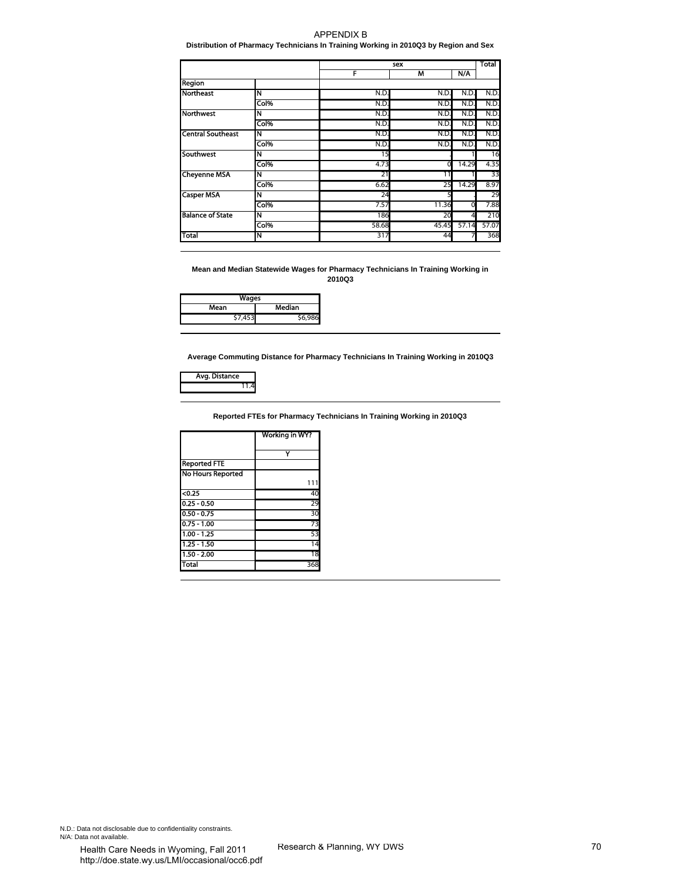# **Distribution of Pharmacy Technicians In Training Working in 2010Q3 by Region and Sex**

|                                |                                                                      | sex                         |              |              | <b>Total</b> |
|--------------------------------|----------------------------------------------------------------------|-----------------------------|--------------|--------------|--------------|
| Region                         |                                                                      | F                           | M            | N/A          |              |
| <b>Northeast</b>               | N                                                                    | N.D.                        | N.D.         | N.D.         | N.D.         |
|                                | Col%                                                                 | N.D.                        | N.D.         | N.D.         | N.D.         |
| Northwest                      | N                                                                    | N.D.                        | N.D.         | N.D.         | N.D.         |
| <b>Central Southeast</b>       | Col%<br>N                                                            | N.D.<br>N.D.                | N.D.<br>N.D. | N.D.<br>N.D. | N.D.<br>N.D. |
|                                | Col%                                                                 | N.D.                        | N.D.         | N.D.         | N.D.         |
| <b>Southwest</b>               | N                                                                    | 15                          |              |              | 16           |
|                                | Col%                                                                 | 4.73                        | 0            | 14.29        | 4.35         |
| <b>Cheyenne MSA</b>            | N                                                                    | 21                          | 11           |              | 33           |
| <b>Casper MSA</b>              | Col%<br>N                                                            | 6.62<br>24                  | 25<br>5      | 14.29        | 8.97<br>29   |
|                                | Col%                                                                 | 7.57                        | 11.36        | 0            | 7.88         |
| <b>Balance of State</b>        | Ν                                                                    | 186                         | 20           | 4            | 210          |
|                                | Col%                                                                 | 58.68                       | 45.45        | 57.14        | 57.07        |
| Total                          | N                                                                    | 317                         | 44           | 7            | 368          |
| Mean<br>\$7,453                | Wages<br><b>Median</b><br>\$6,986                                    |                             |              |              |              |
| Avg. Distance<br>11.4          |                                                                      |                             |              |              |              |
|                                | Reported FTEs for Pharmacy Technicians In Training Working in 2010Q3 |                             |              |              |              |
|                                | Working in WY?                                                       |                             |              |              |              |
|                                |                                                                      |                             |              |              |              |
| <b>Reported FTE</b>            | Y                                                                    |                             |              |              |              |
| <b>No Hours Reported</b>       |                                                                      |                             |              |              |              |
|                                | 111                                                                  |                             |              |              |              |
| $0.25$                         | 40                                                                   |                             |              |              |              |
| $0.25 - 0.50$<br>$0.50 - 0.75$ | 29<br>30                                                             |                             |              |              |              |
| $0.75 - 1.00$                  | 73                                                                   |                             |              |              |              |
| 1.00 - 1.25                    | 53                                                                   |                             |              |              |              |
| $1.25 - 1.50$                  | 14                                                                   |                             |              |              |              |
| $1.50 - 2.00$                  | $\overline{18}$                                                      |                             |              |              |              |
| <b>Total</b>                   | 368                                                                  |                             |              |              |              |
|                                |                                                                      |                             |              |              |              |
|                                |                                                                      |                             |              |              |              |
|                                |                                                                      |                             |              |              |              |
|                                |                                                                      |                             |              |              |              |
|                                |                                                                      |                             |              |              |              |
|                                |                                                                      |                             |              |              |              |
|                                |                                                                      |                             |              |              |              |
|                                |                                                                      |                             |              |              |              |
|                                |                                                                      |                             |              |              |              |
|                                |                                                                      |                             |              |              |              |
|                                |                                                                      |                             |              |              |              |
|                                |                                                                      |                             |              |              |              |
|                                |                                                                      |                             |              |              |              |
|                                |                                                                      |                             |              |              |              |
|                                |                                                                      |                             |              |              |              |
|                                |                                                                      |                             |              |              |              |
|                                |                                                                      |                             |              |              |              |
|                                |                                                                      |                             |              |              |              |
| entiality constraints.         |                                                                      |                             |              |              |              |
|                                |                                                                      | Research & Planning, WY DWS |              |              |              |
| voming Fall 2011               |                                                                      |                             |              |              |              |

| Wages |               |  |
|-------|---------------|--|
| Mean  | <b>Median</b> |  |
| 7,453 | 58032         |  |



|                          | Working in WY? |
|--------------------------|----------------|
|                          |                |
| <b>Reported FTE</b>      |                |
| <b>No Hours Reported</b> |                |
|                          |                |
| $\sqrt{0.25}$            | 40             |
| $0.25 - 0.50$            | 29             |
| $0.50 - 0.75$            | 30             |
| $0.75 - 1.00$            | 73             |
| $1.00 - 1.25$            | 53             |
| $1.25 - 1.50$            | 14             |
| $1.50 - 2.00$            | 18             |
| Total                    | 368            |

N.D.: Data not disclosable due to confidentiality constraints. N/A: Data not available.<br>
Health Care Needs in Wyoming, Fall 2011 Research & Planning, WY DWS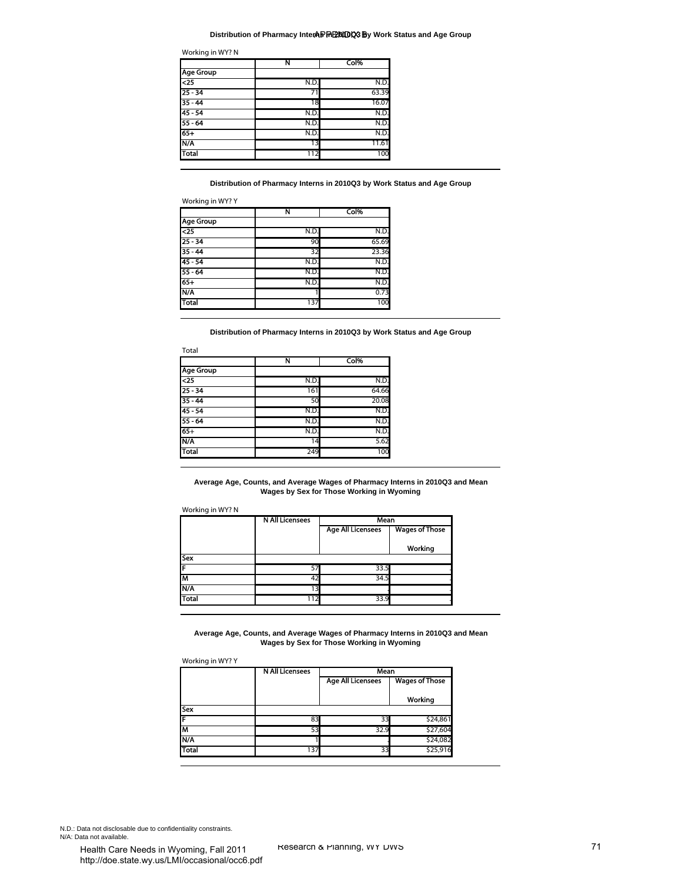#### **Distribution of Pharmacy InterAP PENTOCS By Work Status and Age Group**

| Working in WY? N |      |       |  |  |
|------------------|------|-------|--|--|
|                  | N    | Col%  |  |  |
| <b>Age Group</b> |      |       |  |  |
| $\overline{c}$   | N.D. | N.D.  |  |  |
| $25 - 34$        | 71   | 63.39 |  |  |
| $35 - 44$        | 18   | 16.07 |  |  |
| $45 - 54$        | N.D. | N.D.  |  |  |
| $55 - 64$        | N.D. | N.D.  |  |  |
| $65+$            | N.D. | N.D.  |  |  |
| N/A              | 13   | 11.61 |  |  |
| Total            | 112  | 100   |  |  |

|                  | Ν    | Col%  |
|------------------|------|-------|
| <b>Age Group</b> |      |       |
| $\overline{25}$  | N.D. | N.D.  |
| $25 - 34$        | 90   | 65.69 |
| $35 - 44$        | 32   | 23.36 |
| $45 - 54$        | N.D. | N.D.  |
| $55 - 64$        | N.D. | N.D.  |
| $65+$            | N.D. | N.D.  |
| N/A              |      | 0.73  |
| <b>Total</b>     | 137  | 100   |

|                  | N    | Col%  |  |
|------------------|------|-------|--|
| <b>Age Group</b> |      |       |  |
| $\overline{25}$  | N.D. | N.D.  |  |
| $25 - 34$        | 161  | 64.66 |  |
| $35 - 44$        | 50   | 20.08 |  |
| $45 - 54$        | N.D. | N.D.  |  |
| $55 - 64$        | N.D. | N.D.  |  |
| $65+$            | N.D. | N.D.  |  |
| N/A              | 14   | 5.62  |  |
| <b>Total</b>     | 249  | 100   |  |

#### Working in WY? N

|              | N All Licensees | Mean                     |                       |  |
|--------------|-----------------|--------------------------|-----------------------|--|
|              |                 | <b>Age All Licensees</b> | <b>Wages of Those</b> |  |
|              |                 |                          | Working               |  |
| Sex          |                 |                          |                       |  |
| ſF           | 57              | 33.5                     |                       |  |
| ĪМ           | 42              | 34.5                     |                       |  |
| N/A          | 13.             |                          |                       |  |
| <b>Total</b> | ר 1             | 33.9                     |                       |  |

#### Working in WY? Y

| <b>Age Group</b><br>4<br>$25 - 34$<br>$35 - 44$<br>$45 - 54$<br>55 - 64<br>$65+$<br>N/A<br><b>Total</b><br>Working in WY? Y<br>Age Group<br>$\overline{25}$<br>$25 - 34$<br>$35 - 44$<br>$45 - 54$<br>$55 - 64$<br>$65+$<br>N/A<br>Total | N.D<br>71<br>18<br>N.D.<br>N.D.<br>N.D.<br>13<br>112<br>Ν<br>N.D.<br>90<br>32<br>N.D.<br>N.D.<br>N.D.<br>ı<br>137 | N.D.<br>63.39<br>16.07<br>N.D.<br>N.D.<br>N.D.<br>11.61<br>100<br>Distribution of Pharmacy Interns in 2010Q3 by Work Status and Age Group<br>Col%<br>N.D.<br>65.69<br>23.36<br>N.D.<br>N.D.<br>N.D.<br>0.73 |                                  |
|------------------------------------------------------------------------------------------------------------------------------------------------------------------------------------------------------------------------------------------|-------------------------------------------------------------------------------------------------------------------|-------------------------------------------------------------------------------------------------------------------------------------------------------------------------------------------------------------|----------------------------------|
|                                                                                                                                                                                                                                          |                                                                                                                   |                                                                                                                                                                                                             |                                  |
|                                                                                                                                                                                                                                          |                                                                                                                   |                                                                                                                                                                                                             |                                  |
|                                                                                                                                                                                                                                          |                                                                                                                   |                                                                                                                                                                                                             |                                  |
|                                                                                                                                                                                                                                          |                                                                                                                   |                                                                                                                                                                                                             |                                  |
|                                                                                                                                                                                                                                          |                                                                                                                   |                                                                                                                                                                                                             |                                  |
|                                                                                                                                                                                                                                          |                                                                                                                   |                                                                                                                                                                                                             |                                  |
|                                                                                                                                                                                                                                          |                                                                                                                   |                                                                                                                                                                                                             |                                  |
|                                                                                                                                                                                                                                          |                                                                                                                   |                                                                                                                                                                                                             |                                  |
|                                                                                                                                                                                                                                          |                                                                                                                   |                                                                                                                                                                                                             |                                  |
|                                                                                                                                                                                                                                          |                                                                                                                   |                                                                                                                                                                                                             |                                  |
|                                                                                                                                                                                                                                          |                                                                                                                   |                                                                                                                                                                                                             |                                  |
|                                                                                                                                                                                                                                          |                                                                                                                   |                                                                                                                                                                                                             |                                  |
|                                                                                                                                                                                                                                          |                                                                                                                   |                                                                                                                                                                                                             |                                  |
|                                                                                                                                                                                                                                          |                                                                                                                   |                                                                                                                                                                                                             |                                  |
|                                                                                                                                                                                                                                          |                                                                                                                   | 100                                                                                                                                                                                                         |                                  |
| Total                                                                                                                                                                                                                                    |                                                                                                                   | Distribution of Pharmacy Interns in 2010Q3 by Work Status and Age Group                                                                                                                                     |                                  |
|                                                                                                                                                                                                                                          | Ν                                                                                                                 | Col%                                                                                                                                                                                                        |                                  |
| <b>Age Group</b><br>$\overline{25}$                                                                                                                                                                                                      | N.D.                                                                                                              | N.D.                                                                                                                                                                                                        |                                  |
| $25 - 34$                                                                                                                                                                                                                                | 161                                                                                                               | 64.66                                                                                                                                                                                                       |                                  |
| $35 - 44$                                                                                                                                                                                                                                | 50                                                                                                                | 20.08                                                                                                                                                                                                       |                                  |
| $45 - 54$                                                                                                                                                                                                                                | N.D.                                                                                                              | N.D.                                                                                                                                                                                                        |                                  |
| $55 - 64$                                                                                                                                                                                                                                | N.D.                                                                                                              | N.D.                                                                                                                                                                                                        |                                  |
| $65+$                                                                                                                                                                                                                                    | N.D.                                                                                                              | N.D.                                                                                                                                                                                                        |                                  |
| N/A                                                                                                                                                                                                                                      | 14                                                                                                                | 5.62                                                                                                                                                                                                        |                                  |
| <b>Total</b>                                                                                                                                                                                                                             | 249                                                                                                               | 100                                                                                                                                                                                                         |                                  |
| Average Age, Counts, and Average Wages of Pharmacy Interns in 2010Q3 and Mean<br>Working in WY? N                                                                                                                                        | N All Licensees                                                                                                   | Wages by Sex for Those Working in Wyoming<br>Mean                                                                                                                                                           |                                  |
|                                                                                                                                                                                                                                          |                                                                                                                   | <b>Age All Licensees</b>                                                                                                                                                                                    | <b>Wages of Those</b><br>Working |
|                                                                                                                                                                                                                                          |                                                                                                                   |                                                                                                                                                                                                             |                                  |
|                                                                                                                                                                                                                                          | 57                                                                                                                | 33.5                                                                                                                                                                                                        |                                  |
|                                                                                                                                                                                                                                          | 42                                                                                                                | 34.5                                                                                                                                                                                                        |                                  |
|                                                                                                                                                                                                                                          |                                                                                                                   |                                                                                                                                                                                                             |                                  |
| Average Age, Counts, and Average Wages of Pharmacy Interns in 2010Q3 and Mean                                                                                                                                                            | 13<br>112                                                                                                         | 33.9<br>Wages by Sex for Those Working in Wyoming                                                                                                                                                           |                                  |
| Sex<br>F<br>M<br>N/A<br><b>Total</b><br>Working in WY? Y                                                                                                                                                                                 | <b>N All Licensees</b>                                                                                            | Mean                                                                                                                                                                                                        |                                  |
|                                                                                                                                                                                                                                          |                                                                                                                   | <b>Age All Licensees</b>                                                                                                                                                                                    | <b>Wages of Those</b>            |
|                                                                                                                                                                                                                                          |                                                                                                                   |                                                                                                                                                                                                             |                                  |
|                                                                                                                                                                                                                                          |                                                                                                                   |                                                                                                                                                                                                             | Working                          |
|                                                                                                                                                                                                                                          | 83                                                                                                                | 33                                                                                                                                                                                                          |                                  |
|                                                                                                                                                                                                                                          | 53                                                                                                                | 32.9                                                                                                                                                                                                        | \$24,861<br>\$27,604             |
| Sex<br>F<br>М<br>N/A                                                                                                                                                                                                                     | 1                                                                                                                 |                                                                                                                                                                                                             | \$24,082                         |

N.D.: Data not disclosable due to confidentiality constraints. N/A: Data not available.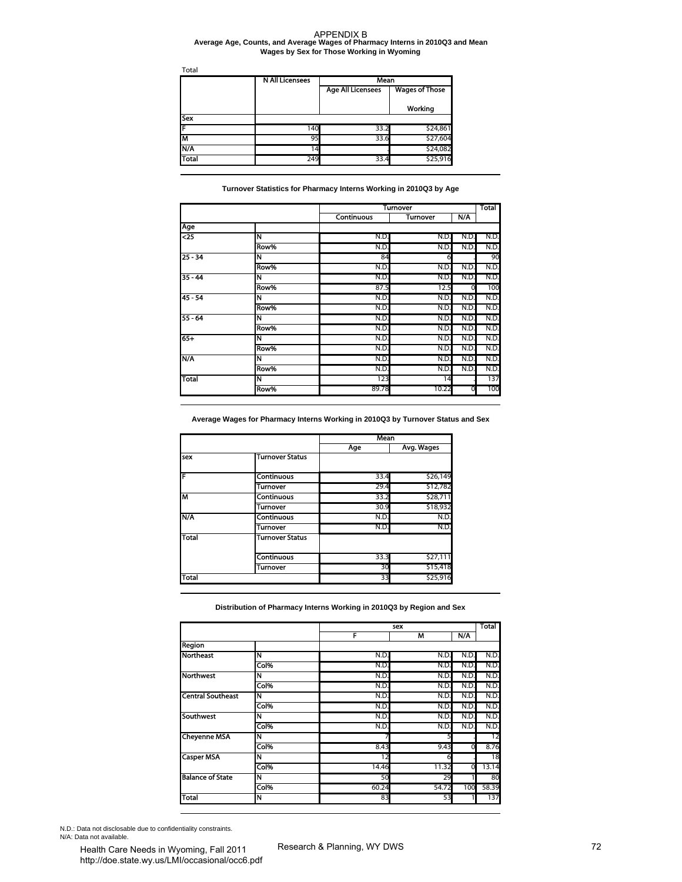#### **Average Age, Counts, and Average Wages of Pharmacy Interns in 2010Q3 and Mean Wages by Sex for Those Working in Wyoming**

| Total        |                        |                          |                       |  |  |  |
|--------------|------------------------|--------------------------|-----------------------|--|--|--|
|              | <b>N All Licensees</b> | Mean                     |                       |  |  |  |
|              |                        | <b>Age All Licensees</b> | <b>Wages of Those</b> |  |  |  |
|              |                        |                          | Working               |  |  |  |
| <b>Sex</b>   |                        |                          |                       |  |  |  |
| F            | 140                    | 33.2                     | \$24,861              |  |  |  |
| lм           | 95                     | 33.6                     | \$27,604              |  |  |  |
| N/A          | $\cdot$ <sub>4</sub>   |                          | \$24,082              |  |  |  |
| <b>Total</b> | 249                    | 33.4                     | \$25,916              |  |  |  |

#### **Turnover Statistics for Pharmacy Interns Working in 2010Q3 by Age**

| Total                                                                                                                 | <b>N All Licensees</b>                                                                  | Mean                     |                                    |              |              |
|-----------------------------------------------------------------------------------------------------------------------|-----------------------------------------------------------------------------------------|--------------------------|------------------------------------|--------------|--------------|
|                                                                                                                       |                                                                                         | <b>Age All Licensees</b> | <b>Wages of Those</b>              |              |              |
|                                                                                                                       |                                                                                         |                          | Working                            |              |              |
| Sex                                                                                                                   |                                                                                         |                          |                                    |              |              |
| F                                                                                                                     | 140                                                                                     | 33.2                     | \$24,861                           |              |              |
| M<br>N/A                                                                                                              | 95<br>14                                                                                | 33.6                     | \$27,604<br>\$24,082               |              |              |
| Total                                                                                                                 | 249                                                                                     | 33.4                     | \$25,916                           |              |              |
|                                                                                                                       | Turnover Statistics for Pharmacy Interns Working in 2010Q3 by Age                       |                          |                                    |              |              |
|                                                                                                                       |                                                                                         | Continuous               | <b>Turnover</b><br><b>Turnover</b> | N/A          | Total        |
| Age                                                                                                                   |                                                                                         |                          |                                    |              |              |
| $\overline{25}$                                                                                                       | N                                                                                       | N.D                      | N.D.                               | N.D          | N.D.         |
|                                                                                                                       | Row%                                                                                    | N.D                      | N.D.                               | N.D          | N.D.         |
| $25 - 34$                                                                                                             | Ñ<br>Row%                                                                               | 84                       | 6                                  |              | 90           |
| $35 - 44$                                                                                                             | N                                                                                       | N.D.<br>N.D.             | N.D.<br>N.D.                       | N.D.<br>N.D. | N.D.<br>N.D. |
|                                                                                                                       | Row%                                                                                    | 87.5                     | 12.5                               | 0            | 100          |
| $45 - 54$                                                                                                             | N                                                                                       | N.D.                     | N.D.                               | N.D.         | N.D.         |
|                                                                                                                       | Row%                                                                                    | N.D.                     | N.D.                               | N.D.         | N.D.         |
| $55 - 64$                                                                                                             | N                                                                                       | N.D.                     | N.D.                               | N.D          | N.D.         |
|                                                                                                                       | Row%                                                                                    | N.D.                     | N.D.                               | N.D.         | N.D.         |
|                                                                                                                       | N                                                                                       | N.D.                     | N.D.                               | N.D.         | N.D.         |
| $65+$<br>N/A                                                                                                          | Row%                                                                                    | N.D.                     | N.D.                               | N.D.         | N.D.         |
|                                                                                                                       | N<br>Row%                                                                               | N.D.<br>N.D.             | N.D.                               | N.D          | N.D.<br>N.D. |
|                                                                                                                       | Ñ                                                                                       | 123                      | N.D.<br>14                         | N.D.         | 137          |
|                                                                                                                       |                                                                                         |                          |                                    |              |              |
| Total                                                                                                                 | Row%<br>Average Wages for Pharmacy Interns Working in 2010Q3 by Turnover Status and Sex | 89.78<br><b>Mean</b>     | 10.22                              | 0            | 100          |
|                                                                                                                       | Turnover Status                                                                         | Age                      | Avg. Wages                         |              |              |
|                                                                                                                       | <b>Continuous</b>                                                                       | 33.4                     | \$26,149                           |              |              |
|                                                                                                                       | <b>Turnover</b>                                                                         | 29.4                     | \$12,782                           |              |              |
|                                                                                                                       | Continuous                                                                              | 33.2                     | \$28,711                           |              |              |
|                                                                                                                       | Turnover                                                                                | 30.9                     | \$18,932                           |              |              |
|                                                                                                                       | Continuous                                                                              | N.D.                     | N.D.                               |              |              |
|                                                                                                                       | Turnover<br><b>Turnover Status</b>                                                      | N.D.                     | N.D.                               |              |              |
|                                                                                                                       |                                                                                         |                          |                                    |              |              |
| sex<br>F<br>M<br>N/A<br><b>Total</b>                                                                                  | Continuous                                                                              | 33.3<br>30               | \$27,111                           |              |              |
|                                                                                                                       | Turnover                                                                                | 33                       | \$15,418<br>\$25,916               |              |              |
| <b>Total</b>                                                                                                          | Distribution of Pharmacy Interns Working in 2010Q3 by Region and Sex                    |                          | sex                                |              | Total        |
|                                                                                                                       |                                                                                         | F                        | M                                  | N/A          |              |
|                                                                                                                       |                                                                                         |                          |                                    |              |              |
|                                                                                                                       | N<br>Col%                                                                               | N.D.<br>N.D.             | N.D.<br>N.D.                       | N.D.<br>N.D. | N.D.<br>N.D. |
|                                                                                                                       | N                                                                                       | N.D.                     | N.D.                               | N.D.         | N.D.         |
|                                                                                                                       | Col%                                                                                    | N.D.                     | N.D.                               | N.D.         | N.D.         |
|                                                                                                                       | N                                                                                       | N.D.                     | N.D.                               | N.D.         | N.D.         |
|                                                                                                                       | Col%                                                                                    | N.D.                     | N.D.                               | N.D.         | N.D.         |
|                                                                                                                       | N                                                                                       | N.D.                     | N.D.                               | N.D.         | N.D.         |
|                                                                                                                       | Col%                                                                                    | N.D.                     | N.D.                               | N.D.         | N.D.         |
| Region<br><b>Northeast</b><br><b>Northwest</b><br><b>Central Southeast</b><br><b>Southwest</b><br><b>Cheyenne MSA</b> | N                                                                                       | 7                        | 5                                  |              | 12           |
|                                                                                                                       | Col%                                                                                    | 8.43                     | 9.43                               | 0            | 8.76         |
| <b>Casper MSA</b>                                                                                                     | N<br>Col%                                                                               | 12<br>14.46              | 6<br>11.32                         | 0            | 18<br>13.14  |
|                                                                                                                       | Ñ                                                                                       | 50                       | 29                                 |              | 80           |
| <b>Balance of State</b>                                                                                               | Col%                                                                                    | 60.24                    | 54.72                              | 100          | 58.39        |

|              |                        | Mean |            |
|--------------|------------------------|------|------------|
|              |                        | Age  | Avg. Wages |
| sex          | <b>Turnover Status</b> |      |            |
| F            | <b>Continuous</b>      | 33.4 | \$26,149   |
|              | Turnover               | 29.4 | \$12,782   |
| M            | <b>Continuous</b>      | 33.2 | \$28,711   |
|              | Turnover               | 30.9 | \$18,932   |
| <b>N/A</b>   | <b>Continuous</b>      | N.D. | N.D.       |
|              | Turnover               | N.D. | N.D.       |
| <b>Total</b> | <b>Turnover Status</b> |      |            |
|              | <b>Continuous</b>      | 33.3 | \$27,111   |
|              | Turnover               | 30   | \$15,418   |
| <b>Total</b> |                        | 33   | \$25,916   |

|                          |      | sex   |       |      | Total |
|--------------------------|------|-------|-------|------|-------|
|                          |      | F     | м     | N/A  |       |
| Region                   |      |       |       |      |       |
| <b>Northeast</b>         | Ñ    | N.D.  | N.D.  | N.D. | N.D.  |
|                          | Col% | N.D.  | N.D.  | N.D. | N.D.  |
| <b>Northwest</b>         | Ñ    | N.D.  | N.D.  | N.D. | N.D.  |
|                          | Col% | N.D.  | N.D.  | N.D  | N.D.  |
| <b>Central Southeast</b> | N    | N.D.  | N.D.  | N.D  | N.D.  |
|                          | Col% | N.D   | N.D.  | N.D  | N.D.  |
| <b>Southwest</b>         | N    | N.D   | N.D.  | N.D  | N.D.  |
|                          | Col% | N.D   | N.D.  | N.D  | N.D.  |
| <b>Cheyenne MSA</b>      | Ñ    |       | 5     |      | 12    |
|                          | Col% | 8.43  | 9.43  | 0    | 8.76  |
| <b>Casper MSA</b>        | N    | 12    | 6     |      | 18    |
|                          | Col% | 14.46 | 11.32 | 0    | 13.14 |
| <b>Balance of State</b>  | N    | 50    | 29    |      | 80    |
|                          | Col% | 60.24 | 54.72 | 100  | 58.39 |
| Total                    | N    | 83    | 53    |      | 137   |

N.D.: Data not disclosable due to confidentiality constraints. N/A: Data not available.<br>
Health Care Needs in Wyoming, Fall 2011 Research & Planning, WY DWS

Health Care Needs in Wyoming, Fall 2011 http://doe.state.wy.us/LMI/occasional/occ6.pdf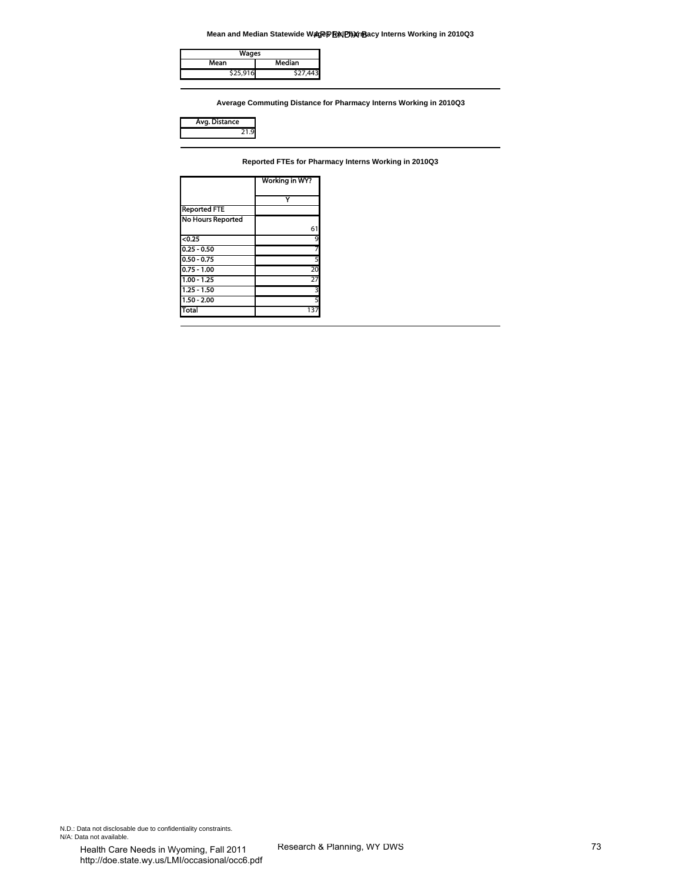**Mean and Median Statewide Wagep FRIN Pharmacy Interns Working in 2010Q3** 

| Wages    |          |
|----------|----------|
| Mean     | Median   |
| \$25,916 | \$27,443 |

| ıce<br>stan |  |
|-------------|--|
|             |  |

|                                | Mean and Median Statewide WagePENDharmBacy Interns Working in 2010Q3 |    |
|--------------------------------|----------------------------------------------------------------------|----|
| Wages                          |                                                                      |    |
| Mean                           | Median                                                               |    |
| \$25,916                       | \$27,443                                                             |    |
|                                |                                                                      |    |
|                                | Average Commuting Distance for Pharmacy Interns Working in 2010Q3    |    |
|                                |                                                                      |    |
| Avg. Distance<br>21.9          |                                                                      |    |
|                                |                                                                      |    |
|                                |                                                                      |    |
|                                | Reported FTEs for Pharmacy Interns Working in 2010Q3                 |    |
|                                | Working in WY?                                                       |    |
|                                |                                                                      |    |
| <b>Reported FTE</b>            | Y                                                                    |    |
| <b>No Hours Reported</b>       |                                                                      |    |
|                                | 61                                                                   |    |
| < 0.25                         | 9                                                                    |    |
| $0.25 - 0.50$<br>$0.50 - 0.75$ | 7<br>5                                                               |    |
| $0.75 - 1.00$                  | 20                                                                   |    |
| $1.00 - 1.25$                  | 27                                                                   |    |
| $1.25 - 1.50$                  | 3                                                                    |    |
| $1.50 - 2.00$<br><b>Total</b>  | 5<br>137                                                             |    |
|                                |                                                                      |    |
|                                |                                                                      |    |
|                                |                                                                      |    |
|                                |                                                                      |    |
|                                |                                                                      |    |
|                                |                                                                      |    |
|                                |                                                                      |    |
|                                |                                                                      |    |
|                                |                                                                      |    |
|                                |                                                                      |    |
|                                |                                                                      |    |
|                                |                                                                      |    |
|                                |                                                                      |    |
|                                |                                                                      |    |
|                                |                                                                      |    |
|                                |                                                                      |    |
|                                |                                                                      |    |
|                                |                                                                      |    |
|                                |                                                                      |    |
|                                |                                                                      |    |
|                                |                                                                      |    |
|                                |                                                                      |    |
|                                |                                                                      |    |
|                                |                                                                      |    |
|                                |                                                                      |    |
|                                |                                                                      |    |
|                                |                                                                      |    |
|                                |                                                                      |    |
|                                |                                                                      |    |
|                                |                                                                      |    |
|                                |                                                                      |    |
|                                |                                                                      |    |
|                                |                                                                      |    |
|                                |                                                                      |    |
|                                |                                                                      |    |
|                                |                                                                      |    |
|                                |                                                                      |    |
|                                |                                                                      |    |
|                                |                                                                      |    |
|                                |                                                                      |    |
|                                |                                                                      |    |
| ntiality constraints.          |                                                                      |    |
|                                |                                                                      |    |
| oming Fall 2011                | Research & Planning, WY DWS                                          | 73 |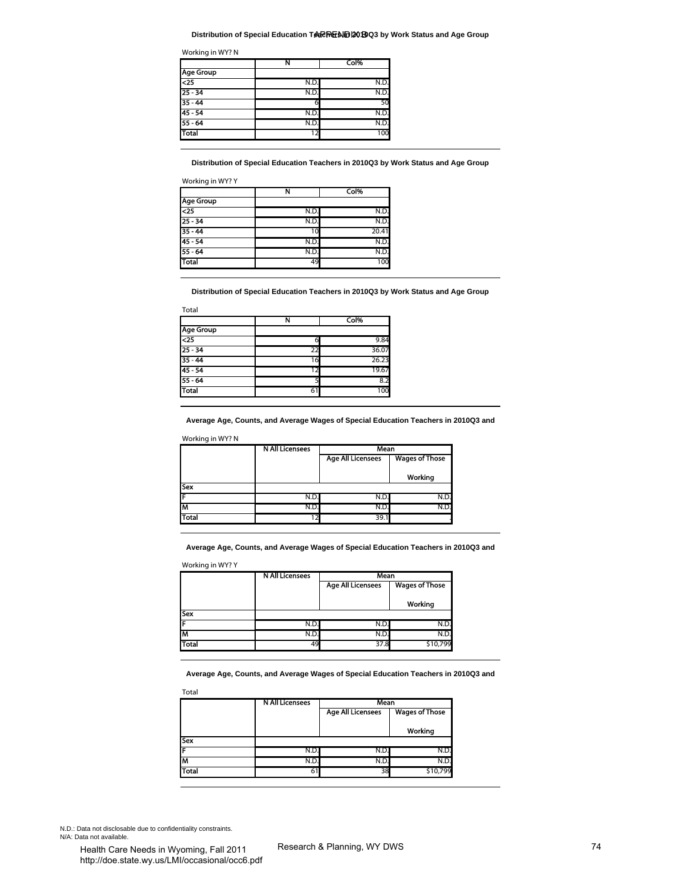#### **Distribution of Special Education TeaPREND 201903 by Work Status and Age Group**

|                 | N               | Col% |
|-----------------|-----------------|------|
| Age Group       |                 |      |
| $\overline{25}$ | N.D.            | N.D. |
| $25 - 34$       | N.D             | N.D. |
| $35 - 44$       | 6               | 50   |
| $45 - 54$       | N.D.            | N.D. |
| $55 - 64$       | N.D.            | N.D. |
| Total           | $1\overline{2}$ | 100  |

|                  | N    | Col%  |
|------------------|------|-------|
| <b>Age Group</b> |      |       |
| $\overline{25}$  | N.D. | N.D.  |
| $25 - 34$        | N.D. | N.D.  |
| $35 - 44$        | 10   | 20.41 |
| $45 - 54$        | N.D. | N.D.  |
| $55 - 64$        | N.D. | N.D.  |
| <b>Total</b>     | 49   | 100   |

| Total            |     |       |
|------------------|-----|-------|
|                  | N   | Col%  |
| <b>Age Group</b> |     |       |
| $25$             |     | 9.84  |
| $25 - 34$        | 22  | 36.07 |
| $35 - 44$        | 16  | 26.23 |
| $45 - 54$        | 1 ว | 19.67 |
| $55 - 64$        |     | 8.2   |
| <b>Total</b>     | 61  | 100   |

|              | <b>NAILICensees</b> | Mean                                              |         |  |  |
|--------------|---------------------|---------------------------------------------------|---------|--|--|
|              |                     | <b>Age All Licensees</b><br><b>Wages of Those</b> |         |  |  |
|              |                     |                                                   |         |  |  |
|              |                     |                                                   | Working |  |  |
| <b>Sex</b>   |                     |                                                   |         |  |  |
|              | N.D.                | N.D                                               | N.D     |  |  |
| lΜ           | N.D.                | N.D.                                              | N.D     |  |  |
| <b>Total</b> |                     | 39.                                               |         |  |  |

|              | <b>N All Licensees</b> | Mean                     |                       |  |
|--------------|------------------------|--------------------------|-----------------------|--|
|              |                        | <b>Age All Licensees</b> | <b>Wages of Those</b> |  |
|              |                        |                          | Working               |  |
| <b>Sex</b>   |                        |                          |                       |  |
| IF           | N.D.                   | N.D.                     | N.D.                  |  |
| M            | N.D.                   | N.D.                     | N.D.                  |  |
| <b>Total</b> | 49                     | 37.8                     | \$10,799              |  |

| Col%<br><b>Age Group</b><br>$\overline{c}$<br>N.D<br>N.D.<br>$25 - 34$<br>N.D.<br>N.D.<br>$35 - 44$<br>50<br>6<br>45 - 54<br>N.D.<br>N.D.<br>$55 - 64$<br>N.D<br>N.D.<br><b>Total</b><br>12<br>100<br>Distribution of Special Education Teachers in 2010Q3 by Work Status and Age Group<br>Working in WY? Y<br>N<br>Col%<br><b>Age Group</b><br>N.D.<br><25<br>N.D.<br>25 - 34<br>N.D.<br>N.D.<br>35 - 44<br>10<br>20.41<br>45 - 54<br>N.D.<br>N.D.<br>$55 - 64$<br>N.D.<br>N.D<br>Total<br>49<br>100<br>Distribution of Special Education Teachers in 2010Q3 by Work Status and Age Group<br>Total<br>Col%<br>N<br>Age Group<br><25<br>9.84<br>6<br>$25 - 34$<br>36.07<br>22<br>35 - 44<br>16<br>26.23<br>45 - 54<br>19.67<br>12<br>$55 - 64$<br>8.2<br>5<br><b>Total</b><br>100<br>61<br>Average Age, Counts, and Average Wages of Special Education Teachers in 2010Q3 and<br>Working in WY? N<br>Mean<br><b>N All Licensees</b><br><b>Age All Licensees</b><br><b>Wages of Those</b><br>Working<br>Sex<br>N.D.<br>N.D.<br>N.D.<br>F<br>ıм<br>N.D<br>N.D<br>N.D<br>Total<br>39.1<br>12<br>Average Age, Counts, and Average Wages of Special Education Teachers in 2010Q3 and<br>Working in WY? Y<br><b>N All Licensees</b><br>Mean<br><b>Age All Licensees</b><br><b>Wages of Those</b><br>Working<br>Sex<br>N.D.<br>N.D.<br>N.D.<br>F<br>N.D.<br>N.D.<br>N.D.<br>M<br>Total<br>49<br>\$10,799<br>37.8 | Ν |                                                                                    |  |
|-----------------------------------------------------------------------------------------------------------------------------------------------------------------------------------------------------------------------------------------------------------------------------------------------------------------------------------------------------------------------------------------------------------------------------------------------------------------------------------------------------------------------------------------------------------------------------------------------------------------------------------------------------------------------------------------------------------------------------------------------------------------------------------------------------------------------------------------------------------------------------------------------------------------------------------------------------------------------------------------------------------------------------------------------------------------------------------------------------------------------------------------------------------------------------------------------------------------------------------------------------------------------------------------------------------------------------------------------------------------------------------------------------------|---|------------------------------------------------------------------------------------|--|
|                                                                                                                                                                                                                                                                                                                                                                                                                                                                                                                                                                                                                                                                                                                                                                                                                                                                                                                                                                                                                                                                                                                                                                                                                                                                                                                                                                                                           |   |                                                                                    |  |
|                                                                                                                                                                                                                                                                                                                                                                                                                                                                                                                                                                                                                                                                                                                                                                                                                                                                                                                                                                                                                                                                                                                                                                                                                                                                                                                                                                                                           |   |                                                                                    |  |
|                                                                                                                                                                                                                                                                                                                                                                                                                                                                                                                                                                                                                                                                                                                                                                                                                                                                                                                                                                                                                                                                                                                                                                                                                                                                                                                                                                                                           |   |                                                                                    |  |
|                                                                                                                                                                                                                                                                                                                                                                                                                                                                                                                                                                                                                                                                                                                                                                                                                                                                                                                                                                                                                                                                                                                                                                                                                                                                                                                                                                                                           |   |                                                                                    |  |
|                                                                                                                                                                                                                                                                                                                                                                                                                                                                                                                                                                                                                                                                                                                                                                                                                                                                                                                                                                                                                                                                                                                                                                                                                                                                                                                                                                                                           |   |                                                                                    |  |
|                                                                                                                                                                                                                                                                                                                                                                                                                                                                                                                                                                                                                                                                                                                                                                                                                                                                                                                                                                                                                                                                                                                                                                                                                                                                                                                                                                                                           |   |                                                                                    |  |
|                                                                                                                                                                                                                                                                                                                                                                                                                                                                                                                                                                                                                                                                                                                                                                                                                                                                                                                                                                                                                                                                                                                                                                                                                                                                                                                                                                                                           |   |                                                                                    |  |
|                                                                                                                                                                                                                                                                                                                                                                                                                                                                                                                                                                                                                                                                                                                                                                                                                                                                                                                                                                                                                                                                                                                                                                                                                                                                                                                                                                                                           |   |                                                                                    |  |
|                                                                                                                                                                                                                                                                                                                                                                                                                                                                                                                                                                                                                                                                                                                                                                                                                                                                                                                                                                                                                                                                                                                                                                                                                                                                                                                                                                                                           |   |                                                                                    |  |
|                                                                                                                                                                                                                                                                                                                                                                                                                                                                                                                                                                                                                                                                                                                                                                                                                                                                                                                                                                                                                                                                                                                                                                                                                                                                                                                                                                                                           |   |                                                                                    |  |
|                                                                                                                                                                                                                                                                                                                                                                                                                                                                                                                                                                                                                                                                                                                                                                                                                                                                                                                                                                                                                                                                                                                                                                                                                                                                                                                                                                                                           |   |                                                                                    |  |
|                                                                                                                                                                                                                                                                                                                                                                                                                                                                                                                                                                                                                                                                                                                                                                                                                                                                                                                                                                                                                                                                                                                                                                                                                                                                                                                                                                                                           |   |                                                                                    |  |
|                                                                                                                                                                                                                                                                                                                                                                                                                                                                                                                                                                                                                                                                                                                                                                                                                                                                                                                                                                                                                                                                                                                                                                                                                                                                                                                                                                                                           |   |                                                                                    |  |
|                                                                                                                                                                                                                                                                                                                                                                                                                                                                                                                                                                                                                                                                                                                                                                                                                                                                                                                                                                                                                                                                                                                                                                                                                                                                                                                                                                                                           |   |                                                                                    |  |
|                                                                                                                                                                                                                                                                                                                                                                                                                                                                                                                                                                                                                                                                                                                                                                                                                                                                                                                                                                                                                                                                                                                                                                                                                                                                                                                                                                                                           |   |                                                                                    |  |
|                                                                                                                                                                                                                                                                                                                                                                                                                                                                                                                                                                                                                                                                                                                                                                                                                                                                                                                                                                                                                                                                                                                                                                                                                                                                                                                                                                                                           |   |                                                                                    |  |
|                                                                                                                                                                                                                                                                                                                                                                                                                                                                                                                                                                                                                                                                                                                                                                                                                                                                                                                                                                                                                                                                                                                                                                                                                                                                                                                                                                                                           |   |                                                                                    |  |
|                                                                                                                                                                                                                                                                                                                                                                                                                                                                                                                                                                                                                                                                                                                                                                                                                                                                                                                                                                                                                                                                                                                                                                                                                                                                                                                                                                                                           |   |                                                                                    |  |
|                                                                                                                                                                                                                                                                                                                                                                                                                                                                                                                                                                                                                                                                                                                                                                                                                                                                                                                                                                                                                                                                                                                                                                                                                                                                                                                                                                                                           |   |                                                                                    |  |
|                                                                                                                                                                                                                                                                                                                                                                                                                                                                                                                                                                                                                                                                                                                                                                                                                                                                                                                                                                                                                                                                                                                                                                                                                                                                                                                                                                                                           |   |                                                                                    |  |
|                                                                                                                                                                                                                                                                                                                                                                                                                                                                                                                                                                                                                                                                                                                                                                                                                                                                                                                                                                                                                                                                                                                                                                                                                                                                                                                                                                                                           |   |                                                                                    |  |
|                                                                                                                                                                                                                                                                                                                                                                                                                                                                                                                                                                                                                                                                                                                                                                                                                                                                                                                                                                                                                                                                                                                                                                                                                                                                                                                                                                                                           |   |                                                                                    |  |
|                                                                                                                                                                                                                                                                                                                                                                                                                                                                                                                                                                                                                                                                                                                                                                                                                                                                                                                                                                                                                                                                                                                                                                                                                                                                                                                                                                                                           |   |                                                                                    |  |
|                                                                                                                                                                                                                                                                                                                                                                                                                                                                                                                                                                                                                                                                                                                                                                                                                                                                                                                                                                                                                                                                                                                                                                                                                                                                                                                                                                                                           |   |                                                                                    |  |
|                                                                                                                                                                                                                                                                                                                                                                                                                                                                                                                                                                                                                                                                                                                                                                                                                                                                                                                                                                                                                                                                                                                                                                                                                                                                                                                                                                                                           |   |                                                                                    |  |
|                                                                                                                                                                                                                                                                                                                                                                                                                                                                                                                                                                                                                                                                                                                                                                                                                                                                                                                                                                                                                                                                                                                                                                                                                                                                                                                                                                                                           |   |                                                                                    |  |
|                                                                                                                                                                                                                                                                                                                                                                                                                                                                                                                                                                                                                                                                                                                                                                                                                                                                                                                                                                                                                                                                                                                                                                                                                                                                                                                                                                                                           |   |                                                                                    |  |
|                                                                                                                                                                                                                                                                                                                                                                                                                                                                                                                                                                                                                                                                                                                                                                                                                                                                                                                                                                                                                                                                                                                                                                                                                                                                                                                                                                                                           |   |                                                                                    |  |
|                                                                                                                                                                                                                                                                                                                                                                                                                                                                                                                                                                                                                                                                                                                                                                                                                                                                                                                                                                                                                                                                                                                                                                                                                                                                                                                                                                                                           |   |                                                                                    |  |
|                                                                                                                                                                                                                                                                                                                                                                                                                                                                                                                                                                                                                                                                                                                                                                                                                                                                                                                                                                                                                                                                                                                                                                                                                                                                                                                                                                                                           |   |                                                                                    |  |
|                                                                                                                                                                                                                                                                                                                                                                                                                                                                                                                                                                                                                                                                                                                                                                                                                                                                                                                                                                                                                                                                                                                                                                                                                                                                                                                                                                                                           |   |                                                                                    |  |
|                                                                                                                                                                                                                                                                                                                                                                                                                                                                                                                                                                                                                                                                                                                                                                                                                                                                                                                                                                                                                                                                                                                                                                                                                                                                                                                                                                                                           |   |                                                                                    |  |
|                                                                                                                                                                                                                                                                                                                                                                                                                                                                                                                                                                                                                                                                                                                                                                                                                                                                                                                                                                                                                                                                                                                                                                                                                                                                                                                                                                                                           |   |                                                                                    |  |
|                                                                                                                                                                                                                                                                                                                                                                                                                                                                                                                                                                                                                                                                                                                                                                                                                                                                                                                                                                                                                                                                                                                                                                                                                                                                                                                                                                                                           |   |                                                                                    |  |
|                                                                                                                                                                                                                                                                                                                                                                                                                                                                                                                                                                                                                                                                                                                                                                                                                                                                                                                                                                                                                                                                                                                                                                                                                                                                                                                                                                                                           |   |                                                                                    |  |
|                                                                                                                                                                                                                                                                                                                                                                                                                                                                                                                                                                                                                                                                                                                                                                                                                                                                                                                                                                                                                                                                                                                                                                                                                                                                                                                                                                                                           |   |                                                                                    |  |
|                                                                                                                                                                                                                                                                                                                                                                                                                                                                                                                                                                                                                                                                                                                                                                                                                                                                                                                                                                                                                                                                                                                                                                                                                                                                                                                                                                                                           |   |                                                                                    |  |
|                                                                                                                                                                                                                                                                                                                                                                                                                                                                                                                                                                                                                                                                                                                                                                                                                                                                                                                                                                                                                                                                                                                                                                                                                                                                                                                                                                                                           |   |                                                                                    |  |
|                                                                                                                                                                                                                                                                                                                                                                                                                                                                                                                                                                                                                                                                                                                                                                                                                                                                                                                                                                                                                                                                                                                                                                                                                                                                                                                                                                                                           |   |                                                                                    |  |
|                                                                                                                                                                                                                                                                                                                                                                                                                                                                                                                                                                                                                                                                                                                                                                                                                                                                                                                                                                                                                                                                                                                                                                                                                                                                                                                                                                                                           |   | Average Age, Counts, and Average Wages of Special Education Teachers in 2010Q3 and |  |
| Total                                                                                                                                                                                                                                                                                                                                                                                                                                                                                                                                                                                                                                                                                                                                                                                                                                                                                                                                                                                                                                                                                                                                                                                                                                                                                                                                                                                                     |   |                                                                                    |  |
| <b>N All Licensees</b><br>Mean<br><b>Wages of Those</b><br><b>Age All Licensees</b>                                                                                                                                                                                                                                                                                                                                                                                                                                                                                                                                                                                                                                                                                                                                                                                                                                                                                                                                                                                                                                                                                                                                                                                                                                                                                                                       |   |                                                                                    |  |
|                                                                                                                                                                                                                                                                                                                                                                                                                                                                                                                                                                                                                                                                                                                                                                                                                                                                                                                                                                                                                                                                                                                                                                                                                                                                                                                                                                                                           |   |                                                                                    |  |
| Working                                                                                                                                                                                                                                                                                                                                                                                                                                                                                                                                                                                                                                                                                                                                                                                                                                                                                                                                                                                                                                                                                                                                                                                                                                                                                                                                                                                                   |   |                                                                                    |  |
| N.D.<br>N.D.<br>N.D.                                                                                                                                                                                                                                                                                                                                                                                                                                                                                                                                                                                                                                                                                                                                                                                                                                                                                                                                                                                                                                                                                                                                                                                                                                                                                                                                                                                      |   |                                                                                    |  |
| Sex<br>F<br>M<br>N.D.<br>N.D.<br>N.D.                                                                                                                                                                                                                                                                                                                                                                                                                                                                                                                                                                                                                                                                                                                                                                                                                                                                                                                                                                                                                                                                                                                                                                                                                                                                                                                                                                     |   |                                                                                    |  |

N.D.: Data not disclosable due to confidentiality constraints. N/A: Data not available.<br>
Health Care Needs in Wyoming, Fall 2011 Research & Planning, WY DWS

Health Care Needs in Wyoming, Fall 2011 http://doe.state.wy.us/LMI/occasional/occ6.pdf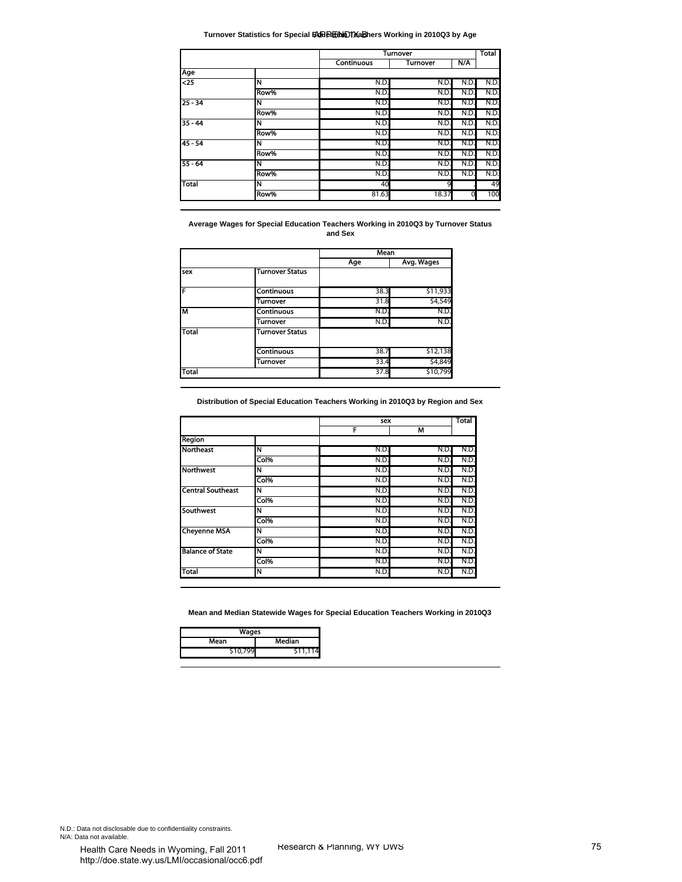**Turnover Statistics for Special Education Teachers Working in 2010Q3 by Age**

| Age<br>$\overline{25}$<br>$25 - 34$                                                                                                                                           |                         | <b>Continuous</b>                                                                            |                 |      |
|-------------------------------------------------------------------------------------------------------------------------------------------------------------------------------|-------------------------|----------------------------------------------------------------------------------------------|-----------------|------|
|                                                                                                                                                                               |                         |                                                                                              | <b>Turnover</b> | N/A  |
|                                                                                                                                                                               |                         |                                                                                              |                 |      |
|                                                                                                                                                                               | N                       | N.D.                                                                                         | N.D.            | N.D. |
|                                                                                                                                                                               | Row%                    | N.D                                                                                          | N.D.            | N.D  |
|                                                                                                                                                                               | $\overline{\mathbf{N}}$ | N.D                                                                                          | N.D.            | N.D. |
|                                                                                                                                                                               | Row%                    | N.D                                                                                          | N.D.            | N.D. |
| $35 - 44$                                                                                                                                                                     | N                       | N.D                                                                                          | N.D.            | N.D  |
|                                                                                                                                                                               | Row%                    | N.D                                                                                          | N.D.            | N.D  |
| $45 - 54$                                                                                                                                                                     | N                       | N.D                                                                                          | N.D.            | N.D  |
|                                                                                                                                                                               | Row%                    | N.D.                                                                                         | N.D.            | N.D. |
| $55 - 64$                                                                                                                                                                     | N                       | N.D.                                                                                         | N.D.            | N.D  |
|                                                                                                                                                                               | Row%                    | N.D.                                                                                         | N.D.            | N.D. |
| Total                                                                                                                                                                         | N                       | 40                                                                                           |                 |      |
|                                                                                                                                                                               | Row%                    | 81.63                                                                                        | 18.37           | 0    |
|                                                                                                                                                                               |                         | Average Wages for Special Education Teachers Working in 2010Q3 by Turnover Status<br>and Sex |                 |      |
|                                                                                                                                                                               |                         | Mean                                                                                         |                 |      |
| sex                                                                                                                                                                           | <b>Turnover Status</b>  | Age                                                                                          | Avg. Wages      |      |
|                                                                                                                                                                               |                         |                                                                                              |                 |      |
|                                                                                                                                                                               | <b>Continuous</b>       | 38.3                                                                                         | \$11,933        |      |
|                                                                                                                                                                               | <b>Turnover</b>         | 31.8                                                                                         | \$4,549         |      |
|                                                                                                                                                                               | <b>Continuous</b>       | N.D.                                                                                         | N.D.            |      |
|                                                                                                                                                                               | Turnover                | N.D.                                                                                         | N.D.            |      |
| Total                                                                                                                                                                         | Turnover Status         |                                                                                              |                 |      |
|                                                                                                                                                                               |                         |                                                                                              |                 |      |
|                                                                                                                                                                               | Continuous              | 38.7                                                                                         | \$12,138        |      |
|                                                                                                                                                                               | <b>Turnover</b>         | 33.4                                                                                         | \$4,849         |      |
|                                                                                                                                                                               |                         |                                                                                              |                 |      |
| <b>Total</b>                                                                                                                                                                  |                         | 37.8                                                                                         | \$10,799        |      |
|                                                                                                                                                                               |                         |                                                                                              | М               |      |
|                                                                                                                                                                               |                         | F                                                                                            |                 |      |
|                                                                                                                                                                               | N                       | N.D.                                                                                         | N.D.            | N.D. |
|                                                                                                                                                                               | Col%                    | N.D.                                                                                         | N.D.            | N.D. |
|                                                                                                                                                                               | $\overline{\mathsf{N}}$ | N.D.                                                                                         | N.D.            | N.D. |
|                                                                                                                                                                               | Col%                    | N.D                                                                                          | N.D.            | N.D  |
|                                                                                                                                                                               | $\overline{\mathbf{N}}$ | N.D.                                                                                         | N.D.            | N.D. |
|                                                                                                                                                                               | Col%                    | N.D.                                                                                         | N.D.            | N.D. |
|                                                                                                                                                                               | N                       | N.D.                                                                                         | N.D.            | N.D  |
|                                                                                                                                                                               | Col%                    | N.D.                                                                                         | N.D.            | N.D. |
|                                                                                                                                                                               | Ν                       |                                                                                              |                 |      |
|                                                                                                                                                                               |                         | N.D.                                                                                         | N.D.            | N.D. |
|                                                                                                                                                                               | Col%                    | N.D.                                                                                         | N.D.            | N.D. |
|                                                                                                                                                                               | N                       | N.D.                                                                                         | N.D.            | N.D  |
|                                                                                                                                                                               | Col%                    | N.D.                                                                                         | N.D.            | N.D. |
|                                                                                                                                                                               | N                       | N.D.                                                                                         | N.D.            | N.D. |
|                                                                                                                                                                               | <b>Wages</b>            | Mean and Median Statewide Wages for Special Education Teachers Working in 2010Q3             |                 |      |
| <b>Region</b><br>Northeast<br><b>Northwest</b><br><b>Central Southeast</b><br>Southwest<br><b>Cheyenne MSA</b><br><b>Balance of State</b><br><b>Total</b><br>Mean<br>\$10,799 | Median<br>\$11,114      |                                                                                              |                 |      |

|              |                        | Mean |            |
|--------------|------------------------|------|------------|
|              |                        | Age  | Avg. Wages |
| <b>Isex</b>  | <b>Turnover Status</b> |      |            |
| ΙF           | <b>Continuous</b>      | 38.3 | \$11,933   |
|              | Turnover               | 31.8 | \$4,549    |
| IМ           | <b>Continuous</b>      | N.D. | N.D.       |
|              | Turnover               | N.D. | N.D.       |
| <b>Total</b> | <b>Turnover Status</b> |      |            |
|              | <b>Continuous</b>      | 38.7 | \$12,138   |
|              | Turnover               | 33.4 | \$4,849    |
| <b>Total</b> |                        | 37.8 | \$10,799   |

|                          |      | sex  |      | <b>Total</b> |
|--------------------------|------|------|------|--------------|
|                          |      | F    | М    |              |
| Region                   |      |      |      |              |
| Northeast                | N    | N.D  | N.D. | N.D.         |
|                          | Col% | N.D  | N.D. | N.D.         |
| <b>Northwest</b>         | N    | N.D  | N.D. | N.D.         |
|                          | Col% | N.D  | N.D. | N.D.         |
| <b>Central Southeast</b> | N    | N.D. | N.D. | N.D.         |
|                          | Col% | N.D. | N.D. | N.D.         |
| <b>Southwest</b>         | N    | N.D  | N.D. | N.D.         |
|                          | Col% | N.D. | N.D. | N.D.         |
| <b>Cheyenne MSA</b>      | N    | N.D  | N.D. | N.D.         |
|                          | Col% | N.D. | N.D. | N.D.         |
| <b>Balance of State</b>  | N    | N.D. | N.D. | N.D.         |
|                          | Col% | N.D. | N.D. | N.D.         |
| <b>Total</b>             | N    | N.D. | N.D. | N.D.         |

| Wages    |          |
|----------|----------|
| Mean     | Median   |
| \$10,799 | \$11,114 |

N.D.: Data not disclosable due to confidentiality constraints. N/A: Data not available.<br>
Health Care Needs in Wyoming, Fall 2011 Research & Planning, WY DWS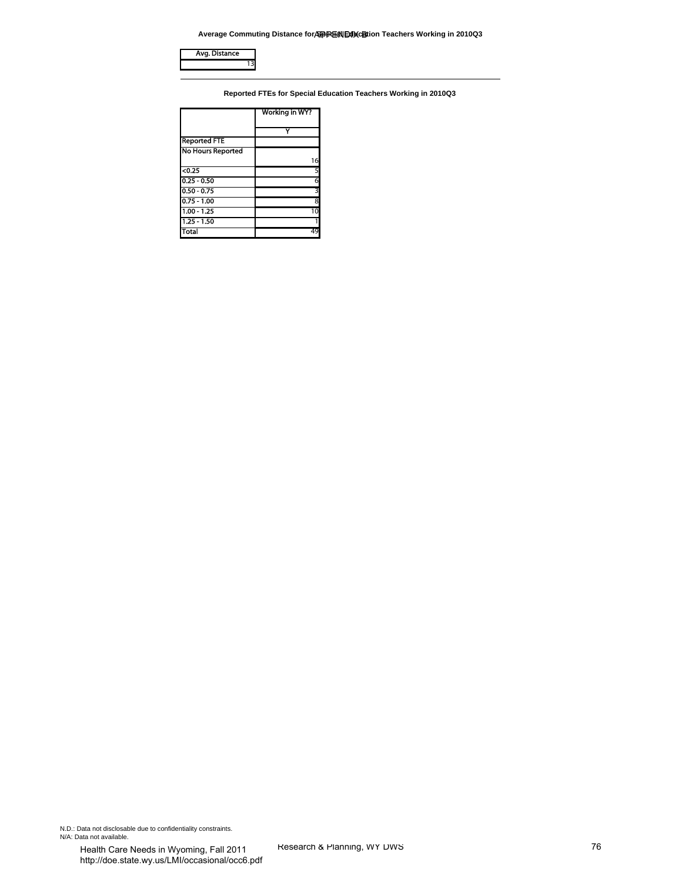**Average Commuting Distance for Special Education Teachers Working in 2010Q3**

|                                                 | Average Commuting Distance for SPIP REN EXPORTED Teachers Working in 2010Q3 |  |
|-------------------------------------------------|-----------------------------------------------------------------------------|--|
| Avg. Distance<br>13                             |                                                                             |  |
|                                                 |                                                                             |  |
|                                                 | Reported FTEs for Special Education Teachers Working in 2010Q3              |  |
|                                                 | Working in WY?                                                              |  |
|                                                 | Y                                                                           |  |
| <b>Reported FTE</b><br><b>No Hours Reported</b> |                                                                             |  |
|                                                 | 16                                                                          |  |
| $0.25$<br>$0.25 - 0.50$                         | 5<br>6                                                                      |  |
| $0.50 - 0.75$<br>$0.75 - 1.00$                  | 3<br>$\overline{\mathbf{8}}$                                                |  |
| $1.00 - 1.25$                                   | 10                                                                          |  |
| $1.25 - 1.50$<br><b>Total</b>                   | 1<br>49                                                                     |  |
|                                                 |                                                                             |  |
|                                                 |                                                                             |  |
|                                                 |                                                                             |  |
|                                                 |                                                                             |  |
|                                                 |                                                                             |  |
|                                                 |                                                                             |  |
|                                                 |                                                                             |  |
|                                                 |                                                                             |  |
|                                                 |                                                                             |  |
|                                                 |                                                                             |  |
|                                                 |                                                                             |  |
|                                                 |                                                                             |  |
|                                                 |                                                                             |  |
|                                                 |                                                                             |  |
|                                                 |                                                                             |  |
|                                                 |                                                                             |  |
|                                                 |                                                                             |  |
|                                                 |                                                                             |  |
|                                                 |                                                                             |  |
|                                                 |                                                                             |  |
|                                                 |                                                                             |  |
|                                                 |                                                                             |  |
|                                                 |                                                                             |  |
|                                                 |                                                                             |  |
|                                                 |                                                                             |  |
|                                                 |                                                                             |  |
|                                                 |                                                                             |  |
|                                                 |                                                                             |  |
|                                                 |                                                                             |  |
|                                                 |                                                                             |  |
|                                                 |                                                                             |  |
|                                                 |                                                                             |  |
|                                                 |                                                                             |  |
|                                                 |                                                                             |  |
|                                                 |                                                                             |  |
|                                                 |                                                                             |  |
|                                                 |                                                                             |  |
| entiality constraints.                          |                                                                             |  |
| voming Fall 2011                                | Research & Planning, WY DWS                                                 |  |

N.D.: Data not disclosable due to confidentiality constraints.<br>N/A: Data not available.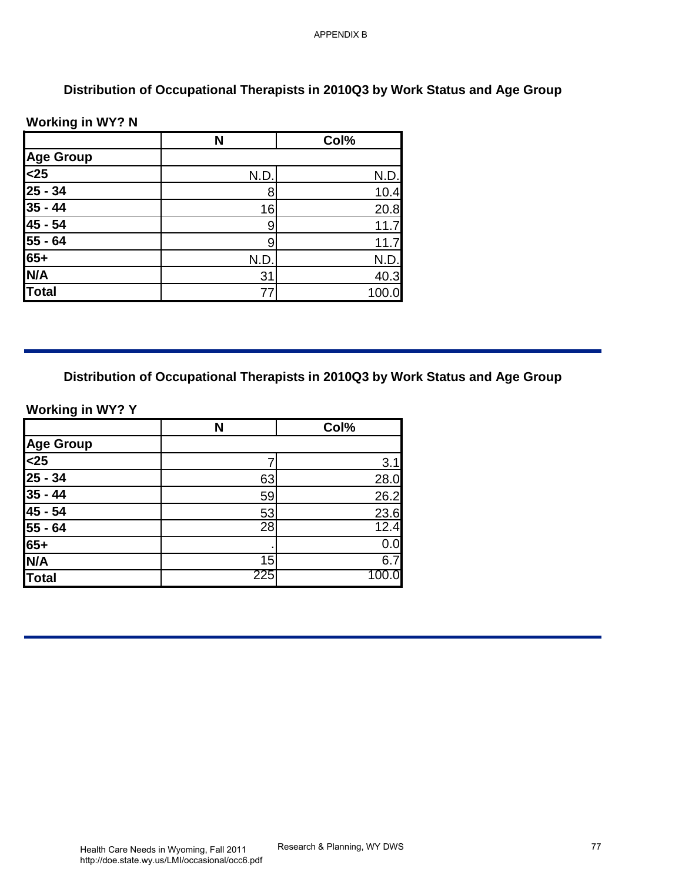# **Distribution of Occupational Therapists in 2010Q3 by Work Status and Age Group**

#### **Working in WY? N**

| <b>Working in WY? N</b>                                                       | N                                                                              | Col%         |
|-------------------------------------------------------------------------------|--------------------------------------------------------------------------------|--------------|
| <b>Age Group</b>                                                              |                                                                                |              |
| $25$                                                                          | N.D.                                                                           | N.D.         |
| $25 - 34$                                                                     | 8                                                                              | 10.4         |
| $35 - 44$                                                                     | 16                                                                             | 20.8         |
| $45 - 54$                                                                     | $\boldsymbol{9}$                                                               | 11.7         |
| $\overline{55} - 64$                                                          | $\boldsymbol{9}$                                                               | 11.7         |
| $65+$                                                                         | N.D.                                                                           | N.D.         |
| N/A                                                                           | 31                                                                             | 40.3         |
| <b>Total</b>                                                                  | 77                                                                             | 100.0        |
|                                                                               | Distribution of Occupational Therapists in 2010Q3 by Work Status and Age Group |              |
|                                                                               | N                                                                              | Col%         |
|                                                                               |                                                                                |              |
|                                                                               | $\overline{7}$                                                                 | 3.1          |
|                                                                               | 63                                                                             | 28.0         |
| <b>Working in WY? Y</b><br><b>Age Group</b><br>$25$<br>$25 - 34$<br>$35 - 44$ | 59                                                                             | 26.2         |
| $\frac{45 - 54}{55 - 64}$                                                     | 53<br>28                                                                       | 23.6<br>12.4 |
|                                                                               |                                                                                | 0.0          |
| $\frac{65+}{N/A}$<br><b>Total</b>                                             | 15<br>225                                                                      | 6.7<br>100.0 |

# **Distribution of Occupational Therapists in 2010Q3 by Work Status and Age Group**

|                                      | N   | Col% |
|--------------------------------------|-----|------|
| <b>Age Group</b>                     |     |      |
| $\overline{\leq}25$                  |     | 3.1  |
| $\frac{25 - 34}{35 - 44}$<br>45 - 54 | 63  | 28.0 |
|                                      | 59  | 26.2 |
|                                      | 53  | 23.6 |
| $\frac{55 - 64}{65+}$                | 28  | 12.4 |
|                                      |     | 0.0  |
| N/A                                  | 15  | 6.7  |
| <b>Total</b>                         | 225 |      |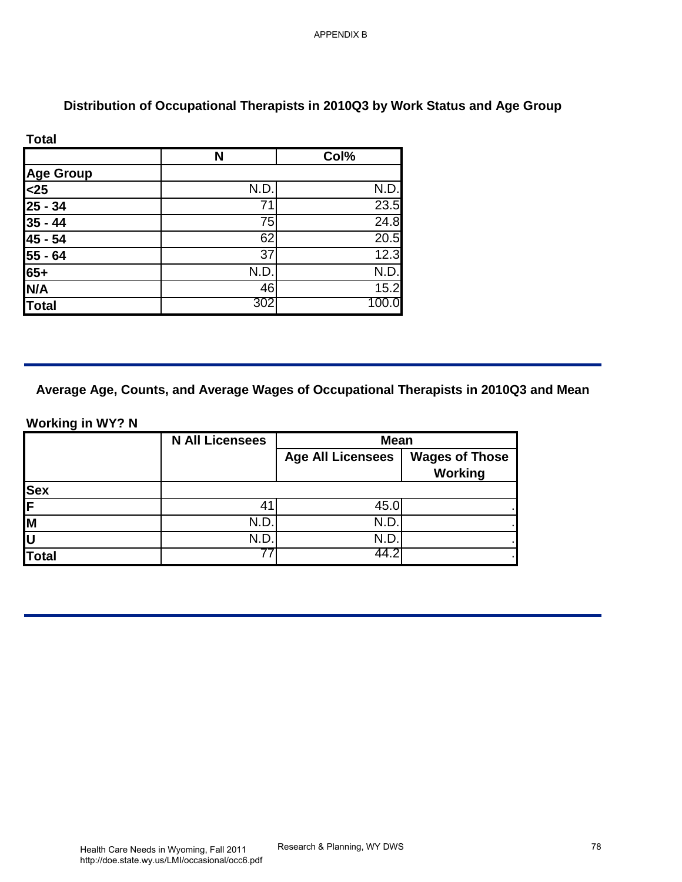# **Distribution of Occupational Therapists in 2010Q3 by Work Status and Age Group**

| <b>Total</b>                                      |      |       |
|---------------------------------------------------|------|-------|
|                                                   | N    | Col%  |
|                                                   |      |       |
|                                                   | N.D. | N.D.  |
|                                                   | 71   | 23.5  |
| Age Group<br><25<br>25 - 34<br>35 - 44<br>45 - 54 | 75   | 24.8  |
|                                                   | 62   | 20.5  |
|                                                   | 37   | 12.3  |
| $\frac{1}{55 - 64}$<br>65+                        | N.D. | N.D.  |
| N/A                                               | 46   | 15.2  |
| Total                                             | 302  | 100.0 |

#### **Working in WY? N**

|                          | N                      | Col%                                    |                       |
|--------------------------|------------------------|-----------------------------------------|-----------------------|
| <b>Age Group</b><br>$25$ |                        |                                         |                       |
|                          | N.D.<br>71             | N.D.<br>23.5                            |                       |
| $25 - 34$<br>$35 - 44$   | $\overline{75}$        | 24.8                                    |                       |
|                          | 62                     | 20.5                                    |                       |
| 45 - 54<br>55 - 64       | 37                     | 12.3                                    |                       |
| $65+$                    | N.D.                   | N.D.                                    |                       |
| N/A                      | 46                     | 15.2                                    |                       |
| <b>Total</b>             | 302                    | 100.0                                   |                       |
|                          | <b>N All Licensees</b> | <b>Mean</b><br><b>Age All Licensees</b> | <b>Wages of Those</b> |
|                          |                        |                                         | <b>Working</b>        |
| <b>Sex</b>               | 41                     | 45.0                                    |                       |
|                          | N.D.                   | N.D.                                    |                       |
|                          | N.D.                   | N.D.                                    |                       |
|                          | $\overline{77}$        | 44.2                                    |                       |
| <b>Total</b>             |                        |                                         |                       |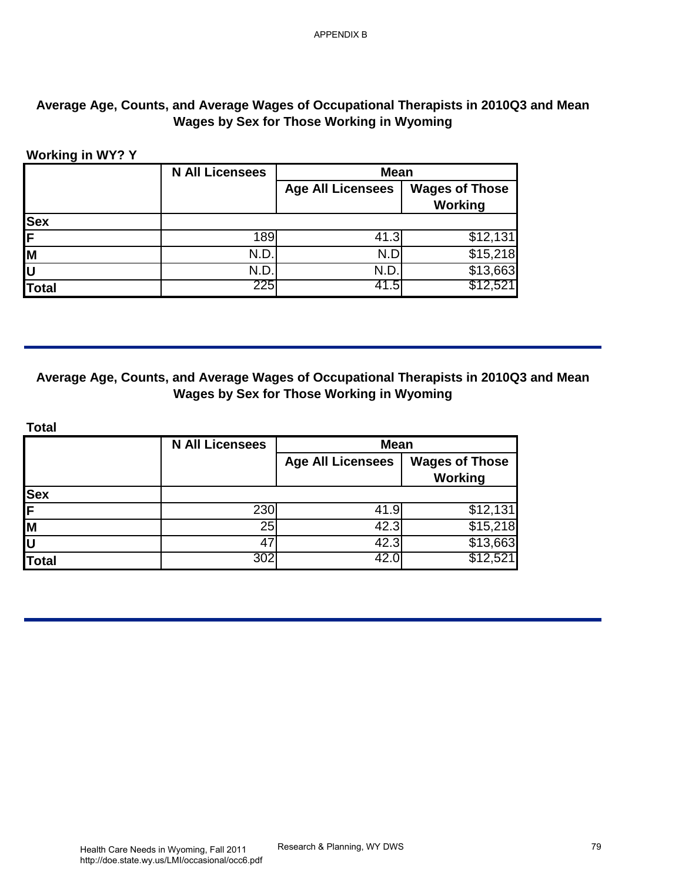# **Average Age, Counts, and Average Wages of Occupational Therapists in 2010Q3 and Mean Wages by Sex for Those Working in Wyoming**

#### **Working in WY? Y**

|              | <b>N All Licensees</b> | <b>Mean</b>              |                                  |
|--------------|------------------------|--------------------------|----------------------------------|
|              |                        | <b>Age All Licensees</b> | <b>Wages of Those</b><br>Working |
| <b>Sex</b>   |                        |                          |                                  |
| F            | 189                    | 41.3                     | \$12,131                         |
| ĪМ           | N.D.                   | N.D                      | \$15,218                         |
| lu           | N.D                    | N.D.                     | \$13,663                         |
| <b>Total</b> | 225                    | 41.5                     | \$12,521                         |

#### **Average Age, Counts, and Average Wages of Occupational Therapists in 2010Q3 and Mean Wages by Sex for Those Working in Wyoming**

| <b>Age All Licensees</b><br><b>Wages of Those</b><br><b>Working</b><br>189<br>41.3<br>N.D.<br>N.D<br>N.D.<br>N.D.<br><b>Total</b><br>225<br>41.5<br><b>Wages by Sex for Those Working in Wyoming</b><br><b>Total</b><br><b>N All Licensees</b><br><b>Mean</b><br><b>Age All Licensees</b><br><b>Wages of Those</b><br><b>Working</b><br>230<br>41.9<br>25<br>42.3<br>42.3<br>47<br>\$12,521<br><b>Total</b><br>42.0<br>302 | <b>Working in WY? Y</b> | <b>N All Licensees</b> | <b>Mean</b> |  |
|----------------------------------------------------------------------------------------------------------------------------------------------------------------------------------------------------------------------------------------------------------------------------------------------------------------------------------------------------------------------------------------------------------------------------|-------------------------|------------------------|-------------|--|
| \$12,131<br>\$12,521                                                                                                                                                                                                                                                                                                                                                                                                       |                         |                        |             |  |
| $\overline{$}15,218$<br>\$13,663<br>Average Age, Counts, and Average Wages of Occupational Therapists in 2010Q3 and Mean<br>$\overline{$12,131}$<br>\$15,218<br>\$13,663                                                                                                                                                                                                                                                   | <b>Sex</b>              |                        |             |  |
|                                                                                                                                                                                                                                                                                                                                                                                                                            |                         |                        |             |  |
|                                                                                                                                                                                                                                                                                                                                                                                                                            |                         |                        |             |  |
|                                                                                                                                                                                                                                                                                                                                                                                                                            |                         |                        |             |  |
|                                                                                                                                                                                                                                                                                                                                                                                                                            |                         |                        |             |  |
|                                                                                                                                                                                                                                                                                                                                                                                                                            |                         |                        |             |  |
|                                                                                                                                                                                                                                                                                                                                                                                                                            |                         |                        |             |  |
|                                                                                                                                                                                                                                                                                                                                                                                                                            |                         |                        |             |  |
|                                                                                                                                                                                                                                                                                                                                                                                                                            |                         |                        |             |  |
|                                                                                                                                                                                                                                                                                                                                                                                                                            |                         |                        |             |  |
|                                                                                                                                                                                                                                                                                                                                                                                                                            |                         |                        |             |  |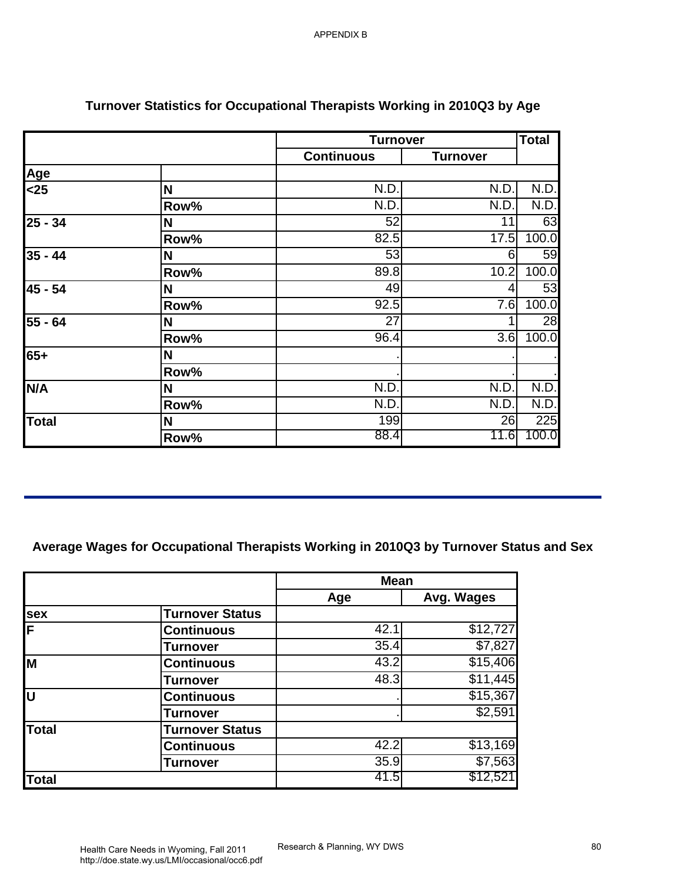|                                 |                                                                                        | <b>Turnover</b>   |                     | <b>Total</b>     |
|---------------------------------|----------------------------------------------------------------------------------------|-------------------|---------------------|------------------|
|                                 |                                                                                        | <b>Continuous</b> | <b>Turnover</b>     |                  |
| Age                             |                                                                                        |                   |                     |                  |
| $25$                            | N                                                                                      | N.D.              | N.D.                | N.D.             |
|                                 | Row%                                                                                   | N.D.              | N.D.                | N.D.             |
| $25 - 34$                       | N                                                                                      | 52                | 11                  | 63               |
|                                 | Row%                                                                                   | 82.5              | 17.5                | 100.0            |
| $35 - 44$                       | N                                                                                      | 53                | 6                   | 59               |
|                                 | Row%                                                                                   | 89.8              | 10.2                | 100.0            |
| 45 - 54                         | N                                                                                      | 49                | 4                   | 53               |
|                                 | Row%                                                                                   | 92.5              | 7.6                 | 100.0            |
| $55 - 64$                       | N                                                                                      | 27                | 1.                  | 28               |
|                                 | Row%                                                                                   | 96.4              | 3.6                 | 100.0            |
| $65+$                           | N                                                                                      |                   |                     |                  |
|                                 | Row%                                                                                   |                   |                     |                  |
| N/A                             | N                                                                                      | N.D.              | N.D.                | N.D.             |
|                                 | Row%                                                                                   | N.D.              | N.D.                | N.D.             |
| <b>Total</b>                    | N                                                                                      | 199               | 26                  | $\overline{225}$ |
|                                 | Row%                                                                                   | 88.4              | 11.6                |                  |
|                                 |                                                                                        |                   |                     |                  |
|                                 | Average Wages for Occupational Therapists Working in 2010Q3 by Turnover Status and Sex | <b>Mean</b>       |                     |                  |
|                                 |                                                                                        | Age               | Avg. Wages          |                  |
| sex                             | <b>Turnover Status</b>                                                                 |                   |                     | 100.0            |
|                                 | <b>Continuous</b>                                                                      | 42.1              | \$12,727            |                  |
| $\overline{\mathsf{F}}$         | <b>Turnover</b>                                                                        | 35.4              | $\sqrt{57,827}$     |                  |
|                                 | <b>Continuous</b>                                                                      | 43.2              | \$15,406            |                  |
|                                 | <b>Turnover</b>                                                                        | 48.3              | \$11,445            |                  |
|                                 | <b>Continuous</b>                                                                      |                   | \$15,367            |                  |
|                                 | <b>Turnover</b>                                                                        |                   | \$2,591             |                  |
|                                 | <b>Turnover Status</b>                                                                 |                   |                     |                  |
|                                 | <b>Continuous</b>                                                                      | 42.2              | \$13,169            |                  |
| M<br>U<br><b>Total</b><br>Total | <b>Turnover</b>                                                                        | 35.9<br>41.5      | \$7,563<br>\$12,521 |                  |

# **Turnover Statistics for Occupational Therapists Working in 2010Q3 by Age**

|              |                        | <b>Mean</b> |                 |
|--------------|------------------------|-------------|-----------------|
|              |                        | Age         | Avg. Wages      |
| <b>sex</b>   | <b>Turnover Status</b> |             |                 |
| ΙF           | <b>Continuous</b>      | 42.1        | \$12,727        |
|              | <b>Turnover</b>        | 35.4        | \$7,827         |
| İМ           | <b>Continuous</b>      | 43.2        | \$15,406        |
|              | <b>Turnover</b>        | 48.3        | \$11,445        |
| lυ           | <b>Continuous</b>      |             | \$15,367        |
|              | <b>Turnover</b>        |             | \$2,591         |
| Total        | <b>Turnover Status</b> |             |                 |
|              | <b>Continuous</b>      | 42.2        | \$13,169        |
|              | <b>Turnover</b>        | 35.9        | $\sqrt{$7,563}$ |
| <b>Total</b> |                        | 41.5        | \$12,521        |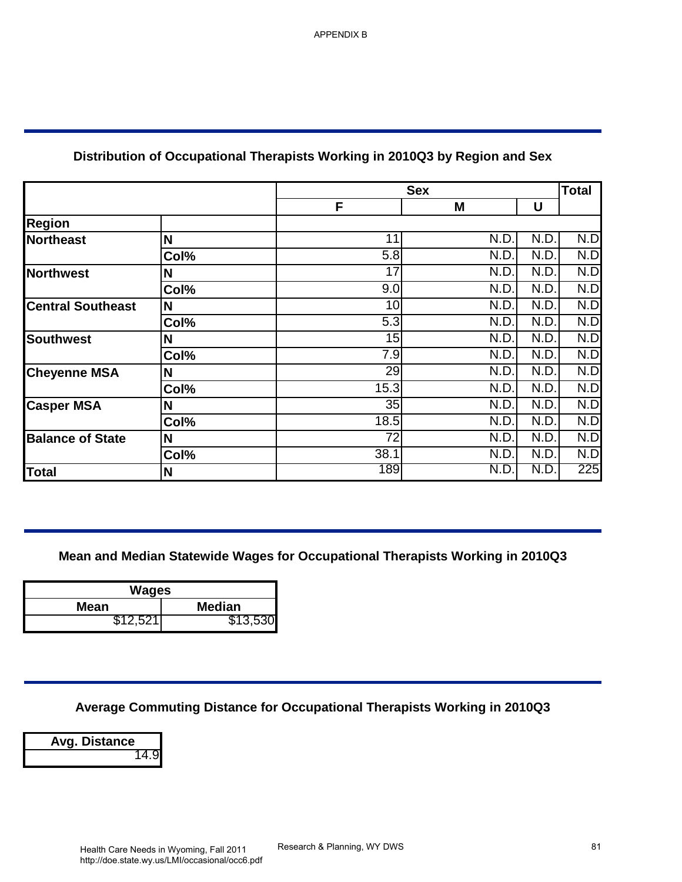# **Distribution of Occupational Therapists Working in 2010Q3 by Region and Sex**

|                          |                               | <b>Sex</b>                                                                    |              |              | <b>Total</b> |
|--------------------------|-------------------------------|-------------------------------------------------------------------------------|--------------|--------------|--------------|
|                          |                               | F                                                                             | M            | U            |              |
| <b>Region</b>            |                               |                                                                               |              |              |              |
| <b>Northeast</b>         | N                             | 11                                                                            | N.D.         | N.D.         | N.D          |
|                          | Col%                          | 5.8                                                                           | N.D.         | N.D.         | N.D          |
| <b>Northwest</b>         | N                             | $\overline{17}$                                                               | N.D.         | N.D.         | N.D          |
|                          | Col%                          | 9.0                                                                           | N.D.         | N.D.         | N.D          |
| <b>Central Southeast</b> | N                             | 10                                                                            | N.D.         | N.D.         | N.D          |
|                          | Col%                          | 5.3                                                                           | N.D.         | N.D.         | N.D          |
| <b>Southwest</b>         | $\mathbf N$                   | 15                                                                            | N.D.         | N.D.         | N.D          |
|                          | Col%                          | 7.9                                                                           | N.D.         | N.D.         | N.D          |
| <b>Cheyenne MSA</b>      | N                             | 29                                                                            | N.D.         | N.D.         | N.D          |
|                          | Col%                          | 15.3<br>35                                                                    | N.D.<br>N.D. | N.D.<br>N.D. | N.D<br>N.D   |
| <b>Casper MSA</b>        | N                             | 18.5                                                                          | N.D.         | N.D.         |              |
|                          | Col%<br>N                     | $\overline{72}$                                                               | N.D.         | N.D.         | N.D<br>N.D   |
| <b>Balance of State</b>  | Col%                          | 38.1                                                                          | N.D.         | N.D.         | N.D          |
| <b>Total</b>             | $\mathbf N$                   | 189                                                                           | N.D.         | N.D.         | 225          |
| <b>Mean</b>              | <b>Wages</b><br><b>Median</b> | Mean and Median Statewide Wages for Occupational Therapists Working in 2010Q3 |              |              |              |
| \$12,521                 | \$13,530                      |                                                                               |              |              |              |
|                          |                               |                                                                               |              |              |              |
|                          |                               | Average Commuting Distance for Occupational Therapists Working in 2010Q3      |              |              |              |

| Wages    |               |
|----------|---------------|
| Mean     | <b>Median</b> |
| \$12,521 | \$13,530      |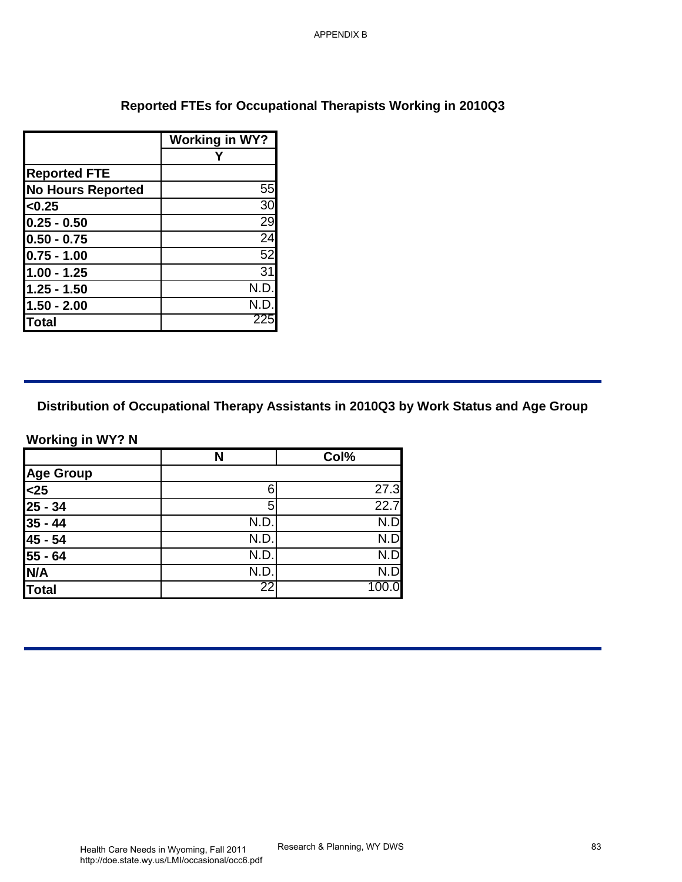# **Reported FTEs for Occupational Therapists Working in 2010Q3**

|                          | <b>Working in WY?</b> |
|--------------------------|-----------------------|
|                          |                       |
| <b>Reported FTE</b>      |                       |
| <b>No Hours Reported</b> | 55                    |
| < 0.25                   | 30                    |
| $0.25 - 0.50$            | 29                    |
| $0.50 - 0.75$            | 24                    |
| $0.75 - 1.00$            | 52                    |
| $1.00 - 1.25$            | 31                    |
| $1.25 - 1.50$            | N.D.                  |
| $1.50 - 2.00$            | N.D.                  |
| Γotal                    | 225                   |

|                          |                                                             | <b>APPENDIX B</b>           |                                                                                        |
|--------------------------|-------------------------------------------------------------|-----------------------------|----------------------------------------------------------------------------------------|
|                          |                                                             |                             |                                                                                        |
|                          |                                                             |                             |                                                                                        |
|                          |                                                             |                             |                                                                                        |
|                          | Reported FTEs for Occupational Therapists Working in 2010Q3 |                             |                                                                                        |
|                          |                                                             |                             |                                                                                        |
|                          | <b>Working in WY?</b><br>Y                                  |                             |                                                                                        |
| <b>Reported FTE</b>      |                                                             |                             |                                                                                        |
| <b>No Hours Reported</b> | 55                                                          |                             |                                                                                        |
| < 0.25                   | 30                                                          |                             |                                                                                        |
| $0.25 - 0.50$            | 29                                                          |                             |                                                                                        |
| $0.50 - 0.75$            | 24                                                          |                             |                                                                                        |
| $0.75 - 1.00$            | 52                                                          |                             |                                                                                        |
| $1.00 - 1.25$            | $\overline{31}$                                             |                             |                                                                                        |
| $1.25 - 1.50$            | N.D.                                                        |                             |                                                                                        |
| $1.50 - 2.00$            | N.D.                                                        |                             |                                                                                        |
| <b>Total</b>             | 225                                                         |                             |                                                                                        |
|                          |                                                             |                             |                                                                                        |
|                          |                                                             |                             |                                                                                        |
|                          |                                                             |                             |                                                                                        |
|                          |                                                             |                             |                                                                                        |
|                          |                                                             |                             | Distribution of Occupational Therapy Assistants in 2010Q3 by Work Status and Age Group |
|                          |                                                             |                             |                                                                                        |
| <b>Working in WY? N</b>  |                                                             |                             |                                                                                        |
|                          | N                                                           | Col%                        |                                                                                        |
| <b>Age Group</b>         |                                                             |                             |                                                                                        |
| $25$                     | $\,$ 6 $\,$                                                 | 27.3                        |                                                                                        |
| $25 - 34$                | $\overline{5}$                                              | 22.7                        |                                                                                        |
| $35 - 44$                | N.D.<br>N.D.                                                | N.D<br>N.D                  |                                                                                        |
| 45 - 54<br>55 - 64       | N.D.                                                        | N.D                         |                                                                                        |
|                          | N.D.                                                        | N.D                         |                                                                                        |
| N/A                      | 22                                                          | 100.0                       |                                                                                        |
| <b>Total</b>             |                                                             |                             |                                                                                        |
|                          |                                                             |                             |                                                                                        |
|                          |                                                             |                             |                                                                                        |
|                          |                                                             |                             |                                                                                        |
|                          |                                                             |                             |                                                                                        |
|                          |                                                             |                             |                                                                                        |
|                          |                                                             |                             |                                                                                        |
|                          |                                                             |                             |                                                                                        |
|                          |                                                             |                             |                                                                                        |
|                          |                                                             |                             |                                                                                        |
|                          |                                                             |                             |                                                                                        |
|                          |                                                             |                             |                                                                                        |
|                          |                                                             |                             |                                                                                        |
|                          |                                                             |                             |                                                                                        |
|                          |                                                             |                             |                                                                                        |
|                          | Health Care Needs in Wyoming Fall 2011                      | Research & Planning, WY DWS | 83                                                                                     |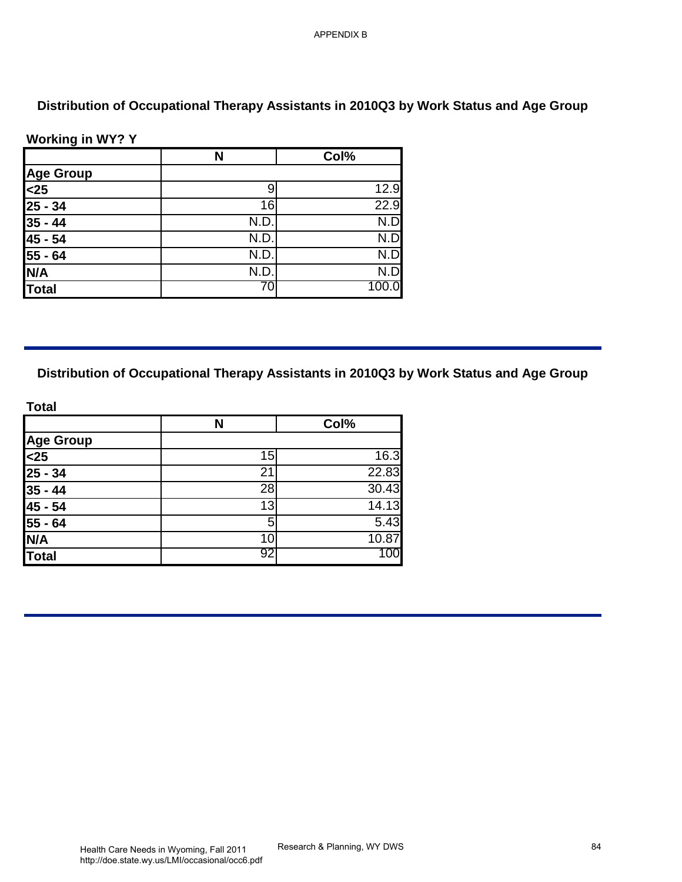### **Working in WY? Y**

| <b>Age Group</b><br>$25$                                              | $9\,$<br>$\overline{16}$<br>N.D.<br>N.D.<br>N.D.<br>N.D.<br>70 | 12.9<br>22.9<br>N.D<br>N.D<br>N.D<br>N.D<br>100.0 |
|-----------------------------------------------------------------------|----------------------------------------------------------------|---------------------------------------------------|
| $25 - 34$<br>$35 - 44$<br>45 - 54<br>$55 - 64$<br>N/A<br><b>Total</b> |                                                                |                                                   |
|                                                                       |                                                                |                                                   |
|                                                                       |                                                                |                                                   |
|                                                                       |                                                                |                                                   |
|                                                                       |                                                                |                                                   |
|                                                                       |                                                                |                                                   |
|                                                                       |                                                                |                                                   |
| <b>Total</b><br>N<br><b>Age Group</b>                                 |                                                                | Col%                                              |
| $25$                                                                  | 15                                                             | 16.3                                              |
| $25 - 34$                                                             | $\overline{21}$                                                | 22.83                                             |
| $35 - 44$                                                             | $\overline{28}$                                                | 30.43                                             |
| $45 - 54$                                                             | 13                                                             | 14.13                                             |
| $55 - 64$                                                             | $\overline{5}$                                                 | 5.43                                              |
| N/A<br><b>Total</b>                                                   | 10<br>92                                                       | 10.87<br>100                                      |
|                                                                       |                                                                |                                                   |

| <b>Total</b>          |    |       |  |
|-----------------------|----|-------|--|
|                       | N  | Col%  |  |
| <b>Age Group</b>      |    |       |  |
| $\overline{\text{<}}$ | 15 | 16.3  |  |
| $25 - 34$             | 21 | 22.83 |  |
| $35 - 44$             | 28 | 30.43 |  |
| 45 - 54               | 13 | 14.13 |  |
| $55 - 64$             | 5  | 5.43  |  |
| N/A                   | 10 | 10.87 |  |
| Total                 | 92 | 100   |  |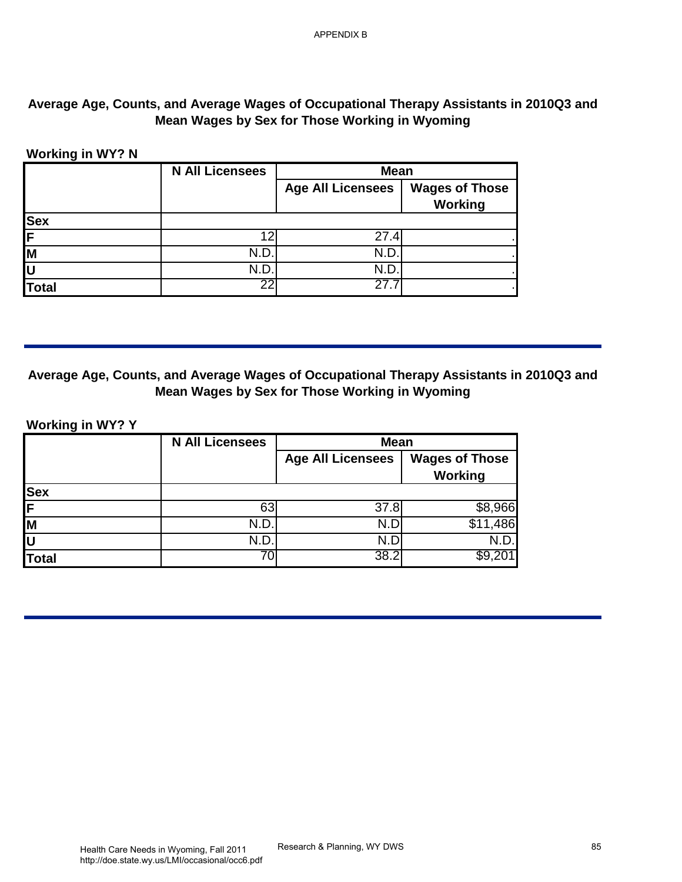# **Average Age, Counts, and Average Wages of Occupational Therapy Assistants in 2010Q3 and Mean Wages by Sex for Those Working in Wyoming**

### **Working in WY? N**

|            | <b>N All Licensees</b> | <b>Mean</b>              |                                  |
|------------|------------------------|--------------------------|----------------------------------|
|            |                        | <b>Age All Licensees</b> | <b>Wages of Those</b><br>Working |
| <b>Sex</b> |                        |                          |                                  |
| IF.        | 12                     | 27.4                     |                                  |
| lм         | N.D                    | N.D.                     |                                  |
| ΙL         | N.D                    | N.D                      |                                  |
| Total      | 22                     | 27.                      |                                  |

#### **Average Age, Counts, and Average Wages of Occupational Therapy Assistants in 2010Q3 and Mean Wages by Sex for Those Working in Wyoming**

| <b>Total</b>            | 12<br>N.D.<br>N.D.<br>22 | <b>Age All Licensees</b><br>27.4<br>N.D.                                                                                                  | <b>Wages of Those</b><br><b>Working</b> |
|-------------------------|--------------------------|-------------------------------------------------------------------------------------------------------------------------------------------|-----------------------------------------|
|                         |                          |                                                                                                                                           |                                         |
|                         |                          |                                                                                                                                           |                                         |
|                         |                          |                                                                                                                                           |                                         |
|                         |                          |                                                                                                                                           |                                         |
|                         |                          | N.D.<br>27.7                                                                                                                              |                                         |
|                         |                          | Average Age, Counts, and Average Wages of Occupational Therapy Assistants in 2010Q3 and<br>Mean Wages by Sex for Those Working in Wyoming |                                         |
| <b>Working in WY? Y</b> |                          |                                                                                                                                           |                                         |
|                         | <b>N All Licensees</b>   | <b>Mean</b><br><b>Age All Licensees</b>                                                                                                   | <b>Wages of Those</b>                   |
|                         |                          |                                                                                                                                           | <b>Working</b>                          |
|                         |                          |                                                                                                                                           |                                         |
|                         | 63                       | 37.8                                                                                                                                      | \$8,966                                 |
|                         | N.D.<br>N.D.             | N.D<br>N.D                                                                                                                                | \$11,486<br>N.D.                        |
|                         | 70                       | 38.2                                                                                                                                      | \$9,201                                 |
|                         |                          |                                                                                                                                           |                                         |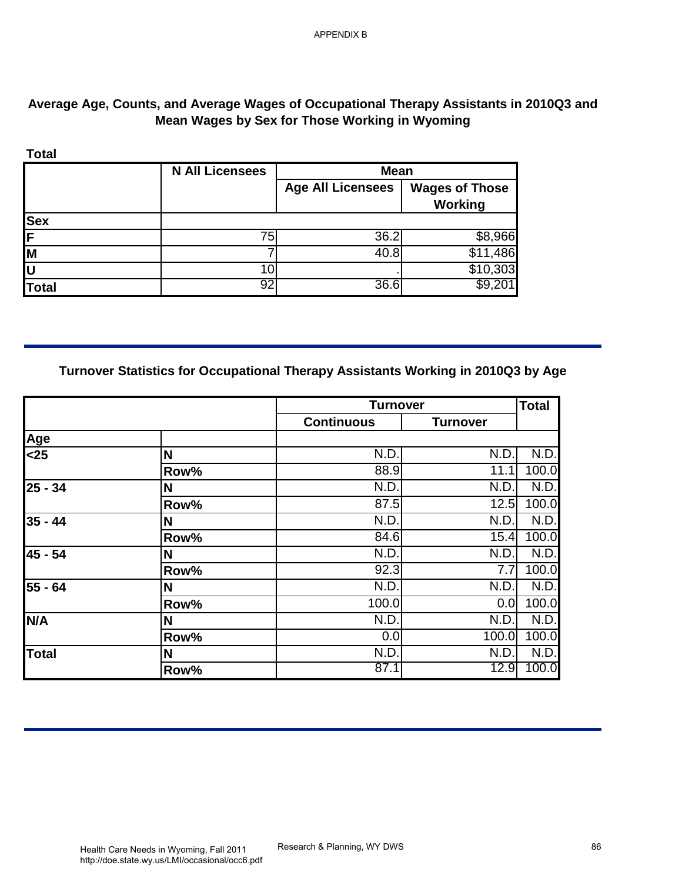# **Average Age, Counts, and Average Wages of Occupational Therapy Assistants in 2010Q3 and Mean Wages by Sex for Those Working in Wyoming**

|              | <b>N All Licensees</b> | <b>Mean</b>              |                                  |
|--------------|------------------------|--------------------------|----------------------------------|
|              |                        | <b>Age All Licensees</b> | <b>Wages of Those</b><br>Working |
| <b>Sex</b>   |                        |                          |                                  |
| ιE           | 75                     | 36.2                     | \$8,966                          |
| M            |                        | 40.8                     | \$11,486                         |
|              |                        |                          | \$10,303                         |
| <b>Total</b> | 92                     | 36.6                     | \$9,20                           |

### **Turnover Statistics for Occupational Therapy Assistants Working in 2010Q3 by Age**

| <b>Sex</b><br>75<br>M<br>7<br>$\overline{10}$<br>92<br><b>Total</b><br>Turnover Statistics for Occupational Therapy Assistants Working in 2010Q3 by Age | <b>Age All Licensees</b><br>36.2<br>40.8<br>36.6 | <b>Wages of Those</b><br>Working<br>\$8,966<br>\$11,486<br>\$10,303<br>\$9,201 |                    |
|---------------------------------------------------------------------------------------------------------------------------------------------------------|--------------------------------------------------|--------------------------------------------------------------------------------|--------------------|
|                                                                                                                                                         |                                                  |                                                                                |                    |
|                                                                                                                                                         |                                                  |                                                                                |                    |
|                                                                                                                                                         |                                                  |                                                                                |                    |
|                                                                                                                                                         |                                                  |                                                                                |                    |
|                                                                                                                                                         |                                                  |                                                                                |                    |
|                                                                                                                                                         | <b>Turnover</b>                                  |                                                                                | <b>Total</b>       |
|                                                                                                                                                         | <b>Continuous</b>                                | <b>Turnover</b>                                                                |                    |
| Age<br>$25$<br>N                                                                                                                                        | N.D.                                             | N.D.                                                                           | N.D.               |
| Row%                                                                                                                                                    | 88.9                                             | 11.1                                                                           | 100.0              |
| 25 - 34<br>N                                                                                                                                            | N.D.                                             | N.D.                                                                           | N.D.               |
| Row%                                                                                                                                                    | 87.5                                             | 12.5                                                                           | 100.0              |
| N<br>$35 - 44$                                                                                                                                          | N.D.                                             | N.D.                                                                           | N.D.               |
| Row%                                                                                                                                                    | 84.6<br>N.D.                                     | N.D.                                                                           | 15.4 100.0<br>N.D. |
|                                                                                                                                                         |                                                  |                                                                                | 100.0              |
|                                                                                                                                                         |                                                  |                                                                                | N.D.               |
| Row%                                                                                                                                                    | 100.0                                            | 0.0                                                                            | 100.0              |
| N/A<br>N                                                                                                                                                | N.D.                                             | N.D.                                                                           | N.D.               |
| Row%                                                                                                                                                    |                                                  |                                                                                | 100.0              |
|                                                                                                                                                         | 87.1                                             | 12.9                                                                           | N.D.<br>100.0      |
| 45 - 54<br>N<br>Row%<br>55 - 64<br>N<br><b>Total</b><br>N                                                                                               | 92.3<br>N.D.<br>0.0<br>N.D.                      | 7.7<br>N.D.<br>100.0<br>N.D.                                                   |                    |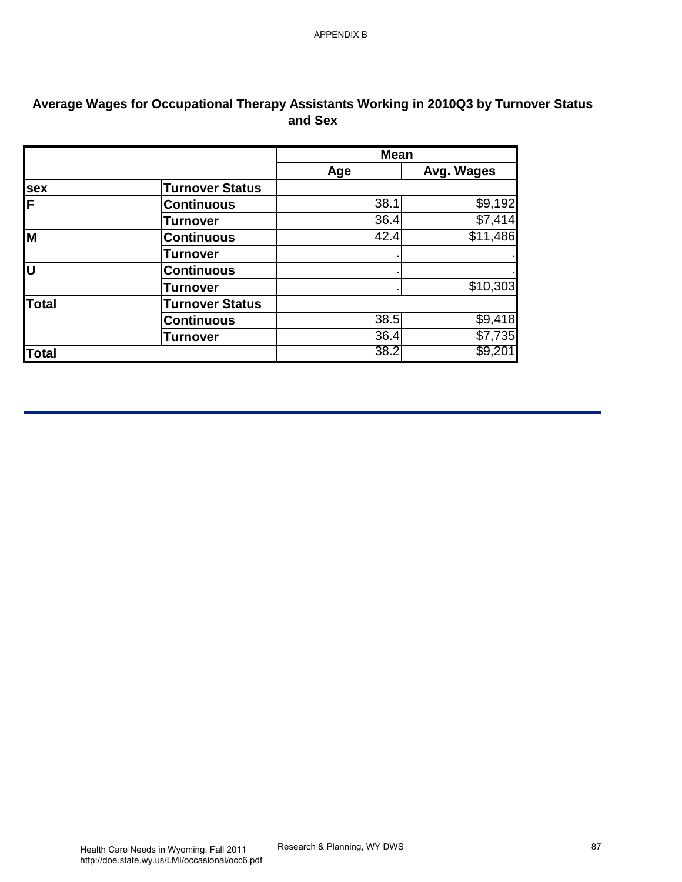| Avg. Wages<br><b>Age</b><br><b>Turnover Status</b><br>38.1<br><b>Continuous</b><br>36.4<br><b>Turnover</b><br><b>Continuous</b><br>42.4<br><b>Turnover</b><br><b>Continuous</b><br><b>Turnover</b><br><b>Turnover Status</b><br>38.5<br><b>Continuous</b><br>36.4<br><b>Turnover</b><br>38.2 | M<br>Ū<br><b>Total</b><br><b>Total</b> |     | <b>Mean</b> |  |
|----------------------------------------------------------------------------------------------------------------------------------------------------------------------------------------------------------------------------------------------------------------------------------------------|----------------------------------------|-----|-------------|--|
| \$9,192                                                                                                                                                                                                                                                                                      |                                        |     |             |  |
| \$7,414<br>\$11,486                                                                                                                                                                                                                                                                          |                                        | sex |             |  |
|                                                                                                                                                                                                                                                                                              |                                        | F   |             |  |
|                                                                                                                                                                                                                                                                                              |                                        |     |             |  |
|                                                                                                                                                                                                                                                                                              |                                        |     |             |  |
| \$10,303                                                                                                                                                                                                                                                                                     |                                        |     |             |  |
| \$9,418<br>\$7,735<br>\$9,201                                                                                                                                                                                                                                                                |                                        |     |             |  |
|                                                                                                                                                                                                                                                                                              |                                        |     |             |  |
|                                                                                                                                                                                                                                                                                              |                                        |     |             |  |
|                                                                                                                                                                                                                                                                                              |                                        |     |             |  |
|                                                                                                                                                                                                                                                                                              |                                        |     |             |  |
|                                                                                                                                                                                                                                                                                              |                                        |     |             |  |
|                                                                                                                                                                                                                                                                                              |                                        |     |             |  |
|                                                                                                                                                                                                                                                                                              |                                        |     |             |  |
|                                                                                                                                                                                                                                                                                              |                                        |     |             |  |
|                                                                                                                                                                                                                                                                                              |                                        |     |             |  |
|                                                                                                                                                                                                                                                                                              |                                        |     |             |  |

# **Average Wages for Occupational Therapy Assistants Working in 2010Q3 by Turnover Status and Sex**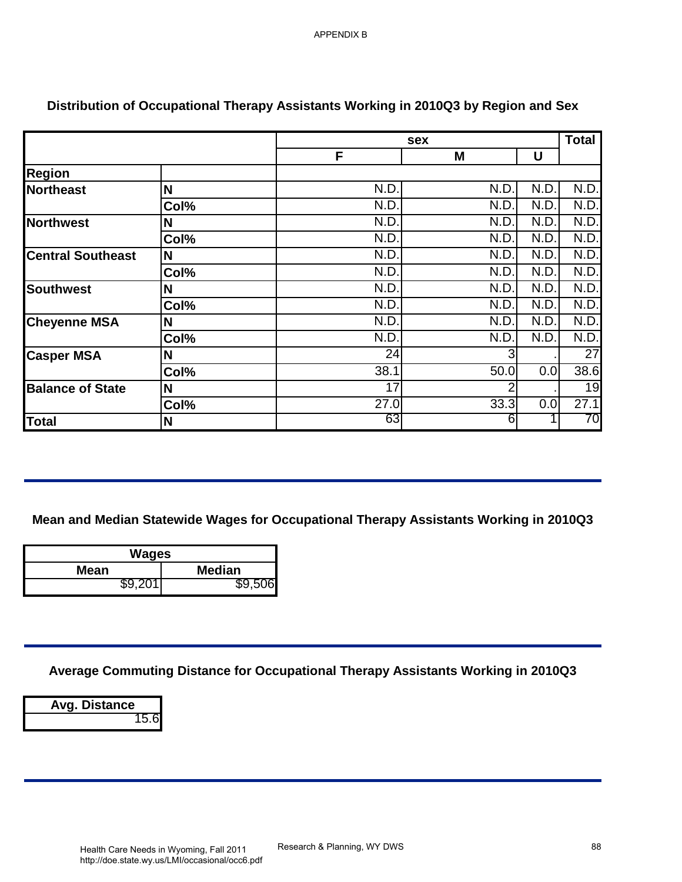|                          |               | sex                                                                                   |                |              | <b>Total</b> |
|--------------------------|---------------|---------------------------------------------------------------------------------------|----------------|--------------|--------------|
|                          |               | F                                                                                     | M              | U            |              |
| <b>Region</b>            |               |                                                                                       |                |              |              |
| Northeast                | N             | N.D.                                                                                  | N.D.           | N.D.         | N.D.         |
|                          | Col%          | N.D.                                                                                  | N.D.           | N.D.         | N.D.         |
| Northwest                | N             | N.D.<br>N.D.                                                                          | N.D.<br>N.D.   | N.D.<br>N.D. | N.D.<br>N.D. |
| <b>Central Southeast</b> | Col%<br>N     | N.D.                                                                                  | N.D.           | N.D.         | N.D.         |
|                          | Col%          | N.D.                                                                                  | N.D.           | N.D.         | N.D.         |
| Southwest                | N             | N.D.                                                                                  | N.D.           | N.D.         | N.D.         |
|                          | Col%          | N.D.                                                                                  | N.D.           | N.D.         | N.D.         |
| <b>Cheyenne MSA</b>      | N             | N.D.                                                                                  | N.D.           | N.D.         | N.D.         |
|                          | Col%          | N.D.                                                                                  | N.D.           | N.D.         | N.D.         |
| <b>Casper MSA</b>        | N             | 24                                                                                    | 3              |              | 27           |
|                          | Col%          | 38.1                                                                                  | 50.0           | 0.0          | 38.6         |
| <b>Balance of State</b>  | N             | 17                                                                                    | $\overline{2}$ |              | 19           |
|                          |               |                                                                                       |                |              |              |
|                          | Col%<br>N     | 27.0<br>63                                                                            | 33.3<br>6      | 0.0          |              |
|                          |               | Mean and Median Statewide Wages for Occupational Therapy Assistants Working in 2010Q3 |                |              |              |
| Total                    | <b>Wages</b>  |                                                                                       |                |              | 27.1<br>70   |
| <b>Mean</b>              | <b>Median</b> |                                                                                       |                |              |              |
| \$9,201                  | \$9,506       |                                                                                       |                |              |              |
|                          |               |                                                                                       |                |              |              |
|                          |               | Average Commuting Distance for Occupational Therapy Assistants Working in 2010Q3      |                |              |              |

# **Distribution of Occupational Therapy Assistants Working in 2010Q3 by Region and Sex**

| Wages       |               |  |
|-------------|---------------|--|
| <b>Mean</b> | <b>Median</b> |  |
| \$9.201     |               |  |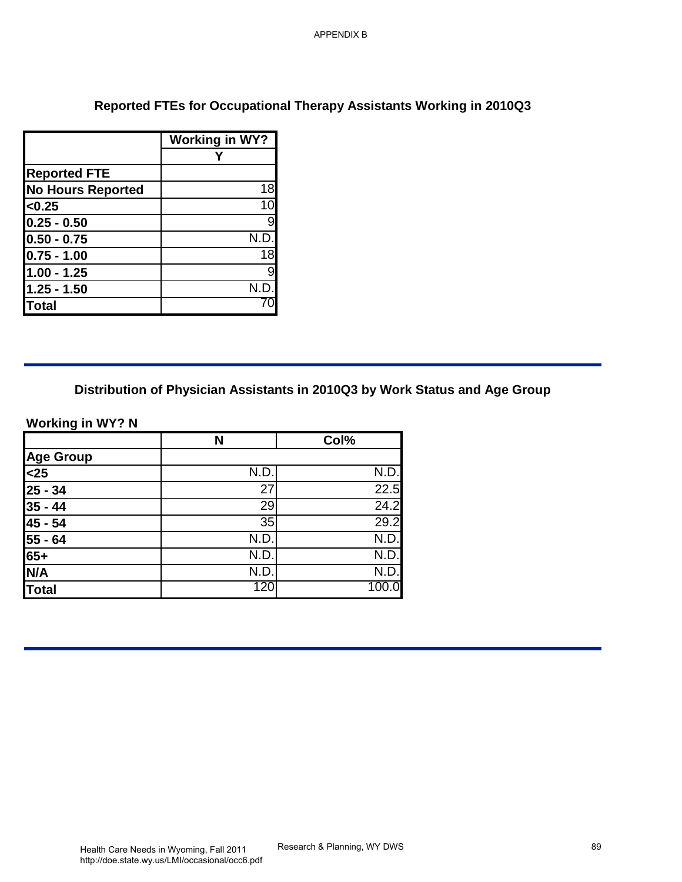# **Reported FTEs for Occupational Therapy Assistants Working in 2010Q3**

|                          | <b>Working in WY?</b> |
|--------------------------|-----------------------|
|                          |                       |
| <b>Reported FTE</b>      |                       |
| <b>No Hours Reported</b> | 18                    |
| < 0.25                   | 10                    |
| $0.25 - 0.50$            | 9                     |
| $ 0.50 - 0.75$           | N.D.                  |
| $0.75 - 1.00$            | 18                    |
| $1.00 - 1.25$            | 9                     |
| $1.25 - 1.50$            | N.D.                  |
| Total                    |                       |

### **Working in WY? N**

|                          |                                         | <b>APPENDIX B</b>           |                                                                             |
|--------------------------|-----------------------------------------|-----------------------------|-----------------------------------------------------------------------------|
|                          |                                         |                             |                                                                             |
|                          |                                         |                             |                                                                             |
|                          |                                         |                             | Reported FTEs for Occupational Therapy Assistants Working in 2010Q3         |
|                          | <b>Working in WY?</b><br>Y              |                             |                                                                             |
| <b>Reported FTE</b>      |                                         |                             |                                                                             |
| <b>No Hours Reported</b> | 18                                      |                             |                                                                             |
| < 0.25                   | 10                                      |                             |                                                                             |
| $0.25 - 0.50$            | $\boldsymbol{9}$                        |                             |                                                                             |
| $0.50 - 0.75$            | N.D.                                    |                             |                                                                             |
| $0.75 - 1.00$            | 18                                      |                             |                                                                             |
| $1.00 - 1.25$            | $\overline{9}$                          |                             |                                                                             |
| $1.25 - 1.50$            | N.D.                                    |                             |                                                                             |
| <b>Total</b>             | 70                                      |                             |                                                                             |
|                          |                                         |                             |                                                                             |
| <b>Working in WY? N</b>  |                                         |                             | Distribution of Physician Assistants in 2010Q3 by Work Status and Age Group |
|                          | N                                       | Col%                        |                                                                             |
|                          |                                         |                             |                                                                             |
| Age Group                | N.D.                                    | N.D.                        |                                                                             |
| $25 - 34$                | $\overline{27}$                         | 22.5                        |                                                                             |
| $35 - 44$                | 29                                      | 24.2                        |                                                                             |
| 45 - 54                  | 35                                      | 29.2                        |                                                                             |
| 55 - 64                  | N.D.                                    | N.D.                        |                                                                             |
| $65+$                    | N.D.                                    | N.D                         |                                                                             |
| N/A                      | N.D.                                    | N.D.                        |                                                                             |
| <b>Total</b>             | 120                                     | 100.0                       |                                                                             |
|                          |                                         |                             |                                                                             |
|                          |                                         |                             |                                                                             |
|                          |                                         |                             |                                                                             |
|                          |                                         |                             |                                                                             |
|                          |                                         |                             |                                                                             |
|                          |                                         |                             |                                                                             |
|                          |                                         |                             |                                                                             |
|                          |                                         |                             |                                                                             |
|                          |                                         |                             |                                                                             |
|                          |                                         |                             |                                                                             |
|                          |                                         |                             |                                                                             |
|                          | Health Care Needs in Wyoming, Fall 2011 | Research & Planning, WY DWS | 89                                                                          |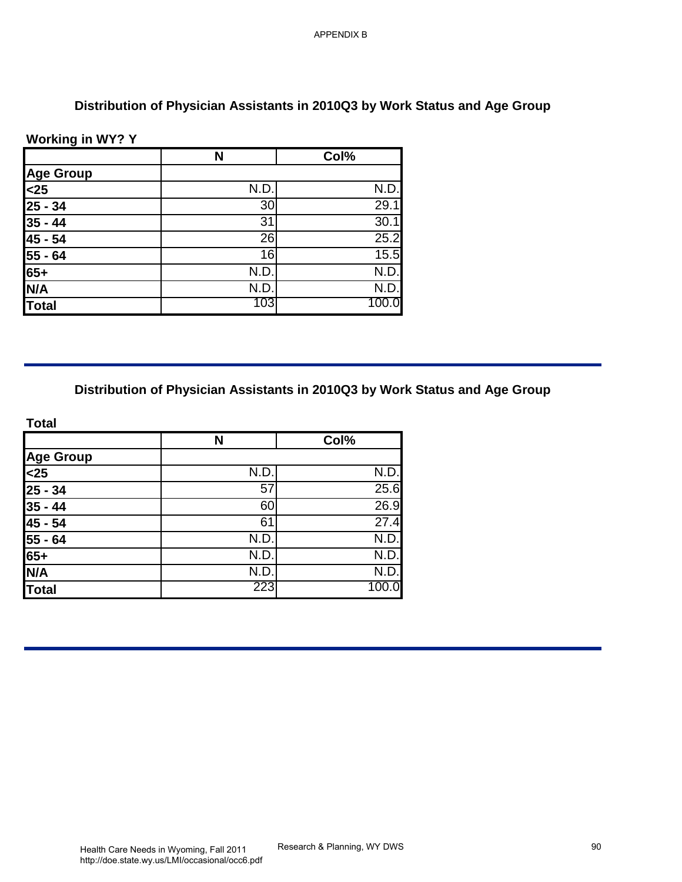# **Distribution of Physician Assistants in 2010Q3 by Work Status and Age Group**

### **Working in WY? Y**

|                     | N                                                                           | Col%          |
|---------------------|-----------------------------------------------------------------------------|---------------|
| <b>Age Group</b>    |                                                                             |               |
| $25$                | N.D.                                                                        | N.D.          |
| $25 - 34$           | 30                                                                          | 29.1          |
| $35 - 44$           | $\overline{31}$                                                             | 30.1          |
| 45 - 54             | 26                                                                          | 25.2          |
| $55 - 64$           | 16                                                                          | 15.5          |
| $65+$               | N.D.                                                                        | N.D.          |
| N/A<br><b>Total</b> | N.D.<br>103                                                                 | N.D.<br>100.0 |
|                     |                                                                             |               |
| <b>Total</b>        | Distribution of Physician Assistants in 2010Q3 by Work Status and Age Group |               |
|                     | $\mathbf N$                                                                 | Col%          |
| <b>Age Group</b>    |                                                                             |               |
| $25$                | N.D.                                                                        | N.D.          |
| $25 - 34$           | $\overline{57}$                                                             | 25.6          |
| $35 - 44$           | 60                                                                          | 26.9          |
| $45 - 54$           | 61                                                                          | 27.4          |
| 55 - 64             | N.D.                                                                        | N.D.          |
| $65+$               | N.D.                                                                        | N.D           |
| N/A                 | N.D.<br>223                                                                 | N.D.<br>100.0 |
|                     |                                                                             |               |
| <b>Total</b>        |                                                                             |               |

|                                                                     | N    | Col%  |
|---------------------------------------------------------------------|------|-------|
|                                                                     |      |       |
|                                                                     | N.D. | N.D.  |
|                                                                     | 57   | 25.6  |
| Age Group<br><25<br>25 - 34<br>35 - 44<br>45 - 54<br>55 - 64<br>65+ | 60   | 26.9  |
|                                                                     | 61   | 27.4  |
|                                                                     | N.D. | N.D.  |
|                                                                     | N.D. | N.D.  |
| N/A                                                                 | N.D. | N.D.  |
| Total                                                               | 223  | 100.0 |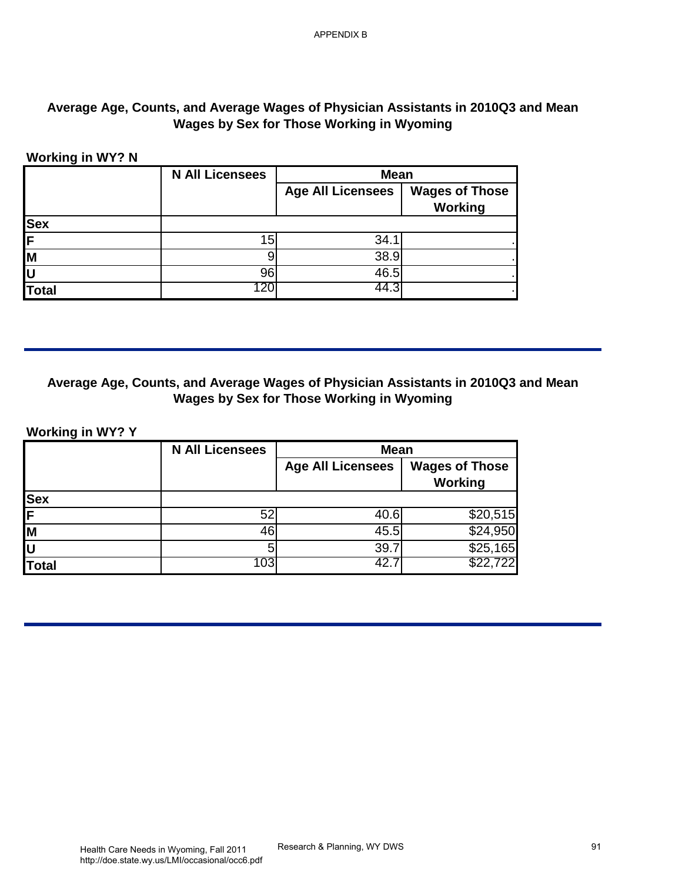# **Average Age, Counts, and Average Wages of Physician Assistants in 2010Q3 and Mean Wages by Sex for Those Working in Wyoming**

#### **Working in WY? N**

| <b>Age All Licensees</b><br><b>Working</b><br><b>Sex</b><br>15<br>34.1<br>$\overline{9}$<br>38.9<br>96<br>46.5<br>120<br>44.3<br><b>Total</b><br>Wages by Sex for Those Working in Wyoming<br><b>Working in WY? Y</b><br><b>N All Licensees</b><br><b>Mean</b><br><b>Age All Licensees</b><br>Working<br>Sex<br>F<br>52<br>40.6<br>46<br>45.5<br>5<br>39.7<br>103<br>42.7<br>\$22,<br><b>Total</b> | <b>N All Licensees</b> | <b>Mean</b> |                       |
|----------------------------------------------------------------------------------------------------------------------------------------------------------------------------------------------------------------------------------------------------------------------------------------------------------------------------------------------------------------------------------------------------|------------------------|-------------|-----------------------|
| Average Age, Counts, and Average Wages of Physician Assistants in 2010Q3 and Mean<br>\$20,515<br>\$24,950                                                                                                                                                                                                                                                                                          |                        |             | <b>Wages of Those</b> |
|                                                                                                                                                                                                                                                                                                                                                                                                    |                        |             |                       |
|                                                                                                                                                                                                                                                                                                                                                                                                    |                        |             |                       |
|                                                                                                                                                                                                                                                                                                                                                                                                    |                        |             |                       |
|                                                                                                                                                                                                                                                                                                                                                                                                    |                        |             |                       |
|                                                                                                                                                                                                                                                                                                                                                                                                    |                        |             |                       |
|                                                                                                                                                                                                                                                                                                                                                                                                    |                        |             | <b>Wages of Those</b> |
|                                                                                                                                                                                                                                                                                                                                                                                                    |                        |             |                       |
|                                                                                                                                                                                                                                                                                                                                                                                                    |                        |             |                       |
|                                                                                                                                                                                                                                                                                                                                                                                                    |                        |             |                       |
|                                                                                                                                                                                                                                                                                                                                                                                                    |                        |             | \$25,165              |
|                                                                                                                                                                                                                                                                                                                                                                                                    |                        |             |                       |
|                                                                                                                                                                                                                                                                                                                                                                                                    |                        |             |                       |

# **Average Age, Counts, and Average Wages of Physician Assistants in 2010Q3 and Mean Wages by Sex for Those Working in Wyoming**

#### **Working in WY? Y**

|              | <b>N All Licensees</b> | <b>Mean</b>              |                                  |
|--------------|------------------------|--------------------------|----------------------------------|
|              |                        | <b>Age All Licensees</b> | <b>Wages of Those</b><br>Working |
| <b>Sex</b>   |                        |                          |                                  |
| F            | 52                     | 40.6                     | \$20,515                         |
| Iм           | 46                     | 45.5                     | \$24,950                         |
| lu           |                        | 39.7                     | \$25,165                         |
| <b>Total</b> | 103                    | -42.                     | \$22,722                         |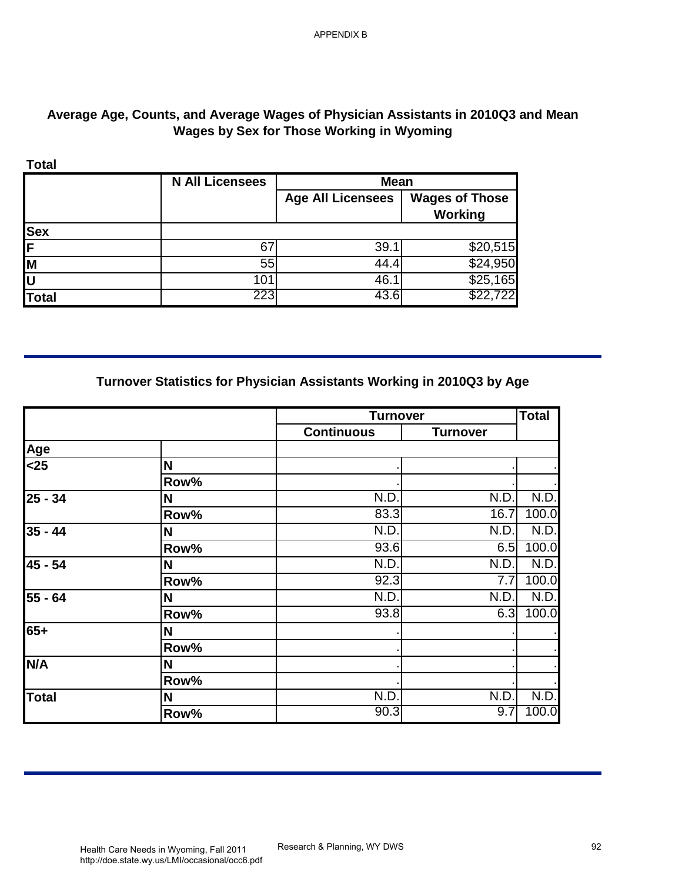# **Average Age, Counts, and Average Wages of Physician Assistants in 2010Q3 and Mean Wages by Sex for Those Working in Wyoming**

|              | <b>N All Licensees</b> | <b>Mean</b>              |                                  |
|--------------|------------------------|--------------------------|----------------------------------|
|              |                        | <b>Age All Licensees</b> | <b>Wages of Those</b><br>Working |
| <b>Sex</b>   |                        |                          |                                  |
| IF           | 6 <sup>7</sup>         | 39.1                     | \$20,515                         |
| M            | 55                     | 44.4                     | \$24,950                         |
| ΙU           | 101                    | 46.                      | \$25,165                         |
| <b>Total</b> | 223                    | 43.6                     | \$22,722                         |

# **Turnover Statistics for Physician Assistants Working in 2010Q3 by Age**

| <b>Total</b>                                                              | <b>N All Licensees</b>                                                | <b>Mean</b>              |                                         |               |
|---------------------------------------------------------------------------|-----------------------------------------------------------------------|--------------------------|-----------------------------------------|---------------|
|                                                                           |                                                                       | <b>Age All Licensees</b> | <b>Wages of Those</b><br><b>Working</b> |               |
| <b>Sex</b>                                                                |                                                                       |                          |                                         |               |
| F                                                                         | 67                                                                    | 39.1                     | \$20,515                                |               |
| M                                                                         | 55                                                                    | 44.4                     | \$24,950                                |               |
| $\overline{\mathsf{U}}$<br><b>Total</b>                                   | 101<br>223                                                            | 46.1<br>43.6             | \$25,165<br>\$22,722                    |               |
|                                                                           | Turnover Statistics for Physician Assistants Working in 2010Q3 by Age |                          |                                         |               |
|                                                                           |                                                                       |                          |                                         |               |
|                                                                           |                                                                       | <b>Turnover</b>          |                                         | <b>Total</b>  |
|                                                                           |                                                                       | <b>Continuous</b>        | <b>Turnover</b>                         |               |
|                                                                           |                                                                       |                          |                                         |               |
|                                                                           | N                                                                     |                          |                                         |               |
|                                                                           | Row%                                                                  |                          |                                         |               |
|                                                                           | N                                                                     | N.D.<br>83.3             | N.D.<br>16.7                            | N.D.<br>100.0 |
|                                                                           | Row%                                                                  | N.D.                     | N.D.                                    | N.D.          |
|                                                                           | $\boldsymbol{\mathsf{N}}$<br>Row%                                     | 93.6                     | 6.5                                     | 100.0         |
|                                                                           | N                                                                     | N.D.                     | N.D.                                    | N.D.          |
|                                                                           | Row%                                                                  | 92.3                     | 7.7                                     | 100.0         |
|                                                                           | N                                                                     | N.D.                     | N.D.                                    | N.D.          |
|                                                                           | Row%                                                                  | 93.8                     | 6.3                                     |               |
|                                                                           | N                                                                     |                          |                                         |               |
| <u>Age</u><br>$25$<br>$25 - 34$<br>$35 - 44$<br>45 - 54<br>55 - 64<br>65+ | Row%                                                                  |                          |                                         |               |
|                                                                           | N                                                                     |                          |                                         |               |
| N/A<br><b>Total</b>                                                       | Row%<br>N                                                             | N.D.                     | N.D.                                    | 100.0<br>N.D. |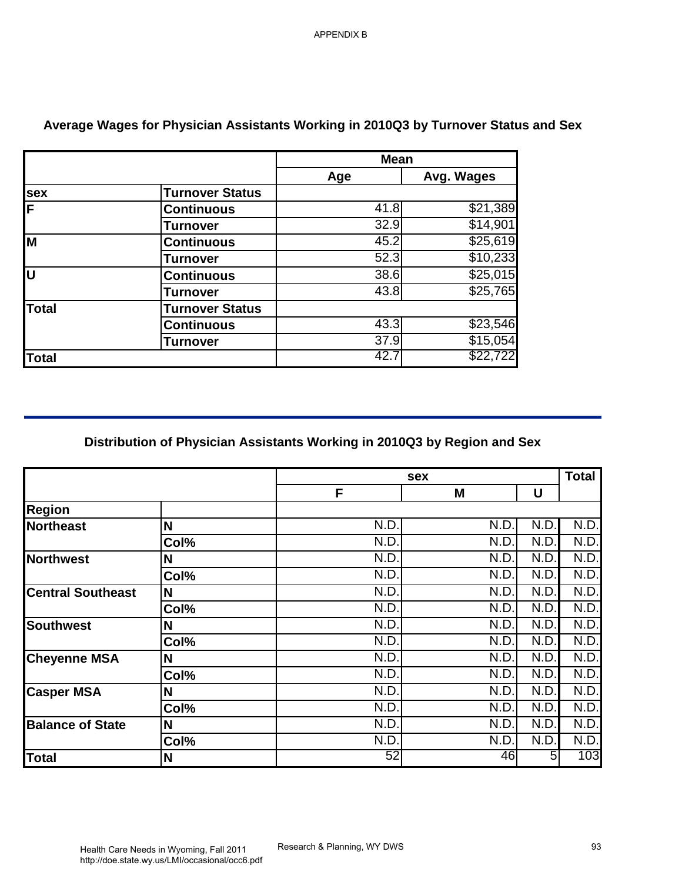|              |                        | <b>Mean</b> |            |
|--------------|------------------------|-------------|------------|
|              |                        | Age         | Avg. Wages |
| <b>sex</b>   | <b>Turnover Status</b> |             |            |
| F            | <b>Continuous</b>      | 41.8        | \$21,389   |
|              | <b>Turnover</b>        | 32.9        | \$14,901   |
| Iм           | <b>Continuous</b>      | 45.2        | \$25,619   |
|              | <b>Turnover</b>        | 52.3        | \$10,233   |
| Ū            | <b>Continuous</b>      | 38.6        | \$25,015   |
|              | <b>Turnover</b>        | 43.8        | \$25,765   |
| <b>Total</b> | <b>Turnover Status</b> |             |            |
|              | <b>Continuous</b>      | 43.3        | \$23,546   |
|              | Turnover               | 37.9        | \$15,054   |
| <b>Total</b> |                        | 42.7        | \$22,722   |

# **Average Wages for Physician Assistants Working in 2010Q3 by Turnover Status and Sex**

### **Distribution of Physician Assistants Working in 2010Q3 by Region and Sex**

|                                                                                          |                                                                          | <b>Mean</b>  |                      |              |              |
|------------------------------------------------------------------------------------------|--------------------------------------------------------------------------|--------------|----------------------|--------------|--------------|
|                                                                                          |                                                                          | Age          | Avg. Wages           |              |              |
| <u>sex</u>                                                                               | <b>Turnover Status</b>                                                   |              |                      |              |              |
| F                                                                                        | <b>Continuous</b>                                                        | 41.8         | \$21,389             |              |              |
|                                                                                          | <b>Turnover</b>                                                          | 32.9         | \$14,901             |              |              |
| M                                                                                        | <b>Continuous</b>                                                        | 45.2         | \$25,619             |              |              |
|                                                                                          | <b>Turnover</b>                                                          | 52.3         | \$10,233             |              |              |
| lu                                                                                       | <b>Continuous</b>                                                        | 38.6         | \$25,015             |              |              |
|                                                                                          | <b>Turnover</b>                                                          | 43.8         | \$25,765             |              |              |
| <b>Total</b>                                                                             | <b>Turnover Status</b>                                                   |              |                      |              |              |
|                                                                                          | <b>Continuous</b>                                                        | 43.3         | \$23,546             |              |              |
| Total                                                                                    | <b>Turnover</b>                                                          | 37.9<br>42.7 | \$15,054<br>\$22,722 |              |              |
|                                                                                          | Distribution of Physician Assistants Working in 2010Q3 by Region and Sex |              |                      |              |              |
|                                                                                          |                                                                          |              | sex                  |              | <b>Total</b> |
|                                                                                          |                                                                          | F            | M                    | U            |              |
|                                                                                          |                                                                          |              |                      |              |              |
| <b>Region</b><br>Northeast                                                               | N                                                                        | N.D.         | N.D.                 | N.D.         | N.D.         |
|                                                                                          | Col%                                                                     | N.D.         | N.D.                 | N.D.         | N.D.         |
| Northwest                                                                                | N                                                                        | N.D.         | N.D.                 | N.D.         | N.D.         |
|                                                                                          | Col%                                                                     | N.D.         | N.D.                 | N.D.         | N.D.         |
|                                                                                          | N                                                                        | N.D.         | N.D.                 | N.D.         | N.D.         |
|                                                                                          | Col%                                                                     | N.D.         | N.D.                 | N.D.         | N.D.         |
|                                                                                          | N                                                                        | N.D.         | N.D.                 | N.D.         | N.D.         |
|                                                                                          | Col%                                                                     | N.D.         | N.D.                 | N.D.         | N.D.         |
|                                                                                          | N                                                                        | N.D.         | N.D.                 | N.D.         | N.D.         |
|                                                                                          | Col%                                                                     | N.D.         | N.D.                 | N.D.         | N.D.         |
| <b>Central Southeast</b><br><b>Southwest</b><br><b>Cheyenne MSA</b><br><b>Casper MSA</b> | N                                                                        | N.D.         | N.D.                 | N.D.         | N.D.         |
|                                                                                          | Col%                                                                     | N.D.         | N.D.                 | N.D.         | N.D.         |
| <b>Balance of State</b>                                                                  | N.<br>Col%                                                               | N.D.<br>N.D. | N.D.<br>N.D.         | N.D.<br>N.D. | N.D.<br>N.D. |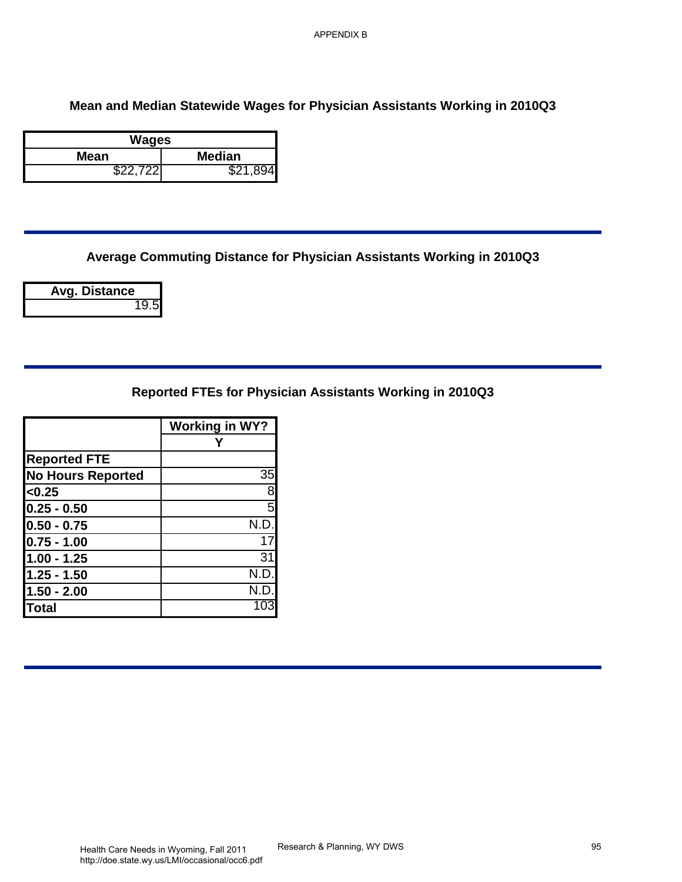# **Mean and Median Statewide Wages for Physician Assistants Working in 2010Q3** APPENDIX B<br>S for Physician Assistants Working in 2010Q3<br>Or Physician Assistants Working in 2010Q3<br>Cician Assistants Working in 2010Q3<br>Research & Planning, WY DWS

| Wages    |               |
|----------|---------------|
| Mean     | <b>Median</b> |
| \$22.722 | \$21,894      |

**Average Commuting Distance for Physician Assistants Working in 2010Q3**

**Avg. Distance** 19.5

**Reported FTEs for Physician Assistants Working in 2010Q3**

|                          | <b>Working in WY?</b> |
|--------------------------|-----------------------|
|                          |                       |
| <b>Reported FTE</b>      |                       |
| <b>No Hours Reported</b> | 35                    |
| < 0.25                   | 8                     |
| $0.25 - 0.50$            | $\overline{5}$        |
| $0.50 - 0.75$            | N.D.                  |
| $0.75 - 1.00$            | 17                    |
| $1.00 - 1.25$            | 31                    |
| 1.25 - 1.50              | N.D.                  |
| $1.50 - 2.00$            | N.D.                  |
| <b>Total</b>             | 103                   |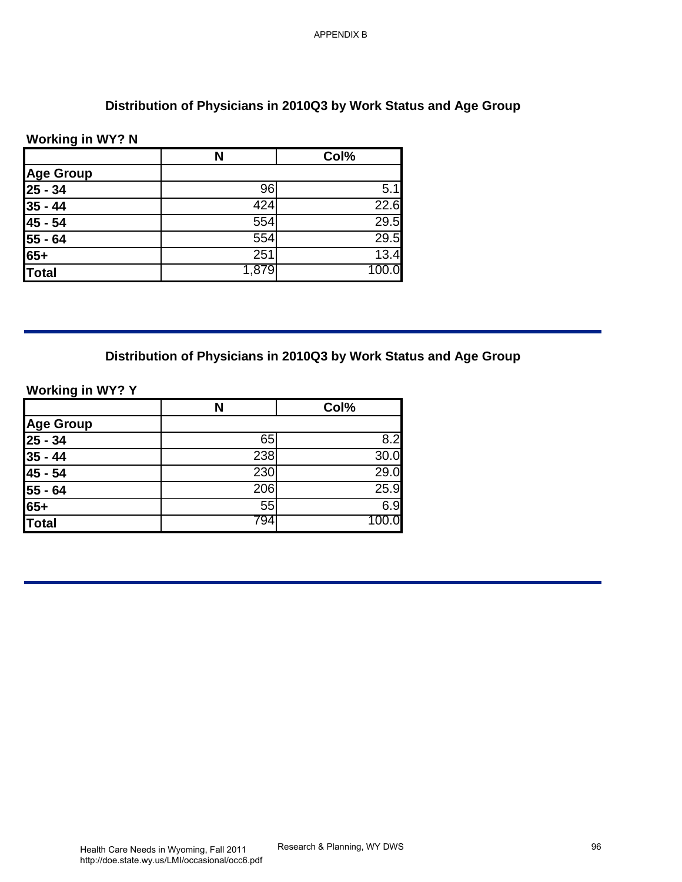### **Distribution of Physicians in 2010Q3 by Work Status and Age Group**

### **Working in WY? N**

| <b>Working in WY? N</b>       | N     | Col%             |
|-------------------------------|-------|------------------|
| <b>Age Group</b>              |       |                  |
| $25 - 34$                     | 96    | $\overline{5.1}$ |
| $35 - 44$                     | 424   | 22.6             |
| $45 - 54$                     | 554   | 29.5             |
| $55 - 64$                     | 554   | 29.5             |
| $65+$                         | 251   | 13.4             |
| Total                         | 1,879 | 100.0            |
| <b>Age Group</b><br>$25 - 34$ | 65    | Col%<br>8.2      |
| $35 - 44$                     | 238   | 30.0             |
|                               | 230   | 29.0             |
|                               |       | 25.9             |
| 45 - 54<br>$55 - 64$          | 206   |                  |
| $65+$                         | 55    | 6.9              |
|                               | 794   | 100.0            |
| <b>Total</b>                  |       |                  |
|                               |       |                  |
|                               |       |                  |
|                               |       |                  |
|                               |       |                  |
|                               |       |                  |
|                               |       |                  |
|                               |       |                  |
|                               |       |                  |

# **Distribution of Physicians in 2010Q3 by Work Status and Age Group**

### **Working in WY? Y**

|                                                              | N   | Col%  |
|--------------------------------------------------------------|-----|-------|
| Age Group<br>25 - 34<br>35 - 44<br>45 - 54<br>55 - 64<br>65+ |     |       |
|                                                              | 65  | 8.2   |
|                                                              | 238 | 30.0  |
|                                                              | 230 | 29.0  |
|                                                              | 206 | 25.9  |
|                                                              | 55  | 6.9   |
| <b>Total</b>                                                 | 794 | 100.0 |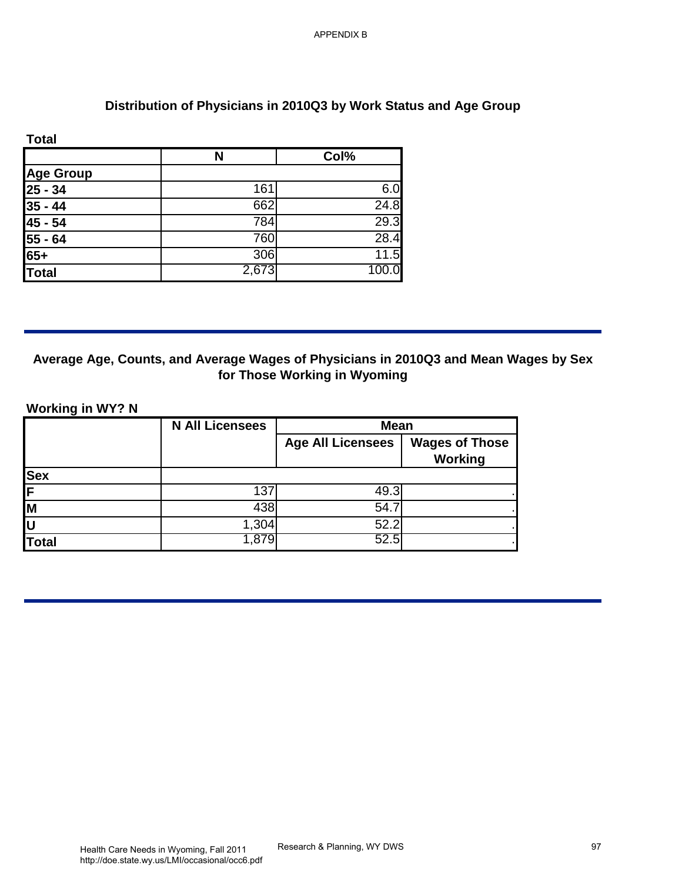# **Distribution of Physicians in 2010Q3 by Work Status and Age Group**

| <b>Total</b>                                                          |       |       |
|-----------------------------------------------------------------------|-------|-------|
|                                                                       | N     | Col%  |
|                                                                       |       |       |
|                                                                       | 161   | 6.0   |
|                                                                       | 662   | 24.8  |
|                                                                       | 784   | 29.3  |
|                                                                       | 760   | 28.4  |
|                                                                       | 306   | 11.5  |
| Age Group<br>25 - 34<br>35 - 44<br>45 - 54<br>55 - 64<br>65+<br>Total | 2,673 | 100.0 |

# **Average Age, Counts, and Average Wages of Physicians in 2010Q3 and Mean Wages by Sex for Those Working in Wyoming**

#### **Working in WY? N**

| <b>Total</b>                      | $\mathbf N$            | Col%                     |                       |
|-----------------------------------|------------------------|--------------------------|-----------------------|
| <b>Age Group</b>                  |                        |                          |                       |
| $\overline{25 - 34}$<br>$35 - 44$ | 161<br>662             | 6.0<br>24.8              |                       |
| $45 - 54$                         | 784                    | 29.3                     |                       |
| $55 - 64$                         | 760                    | 28.4                     |                       |
| 65+                               | 306                    | 11.5                     |                       |
| <b>Total</b>                      | 2,673                  | 100.0                    |                       |
| <b>Working in WY? N</b>           | <b>N All Licensees</b> | Mean                     |                       |
|                                   |                        |                          |                       |
|                                   |                        | <b>Age All Licensees</b> | <b>Wages of Those</b> |
|                                   |                        |                          | <b>Working</b>        |
|                                   | 137                    | 49.3                     |                       |
|                                   | 438                    | 54.7                     |                       |
|                                   | 1,304                  | 52.2                     |                       |
| Sex<br>F<br>M<br>U<br>U<br>Total  | 1,879                  | 52.5                     |                       |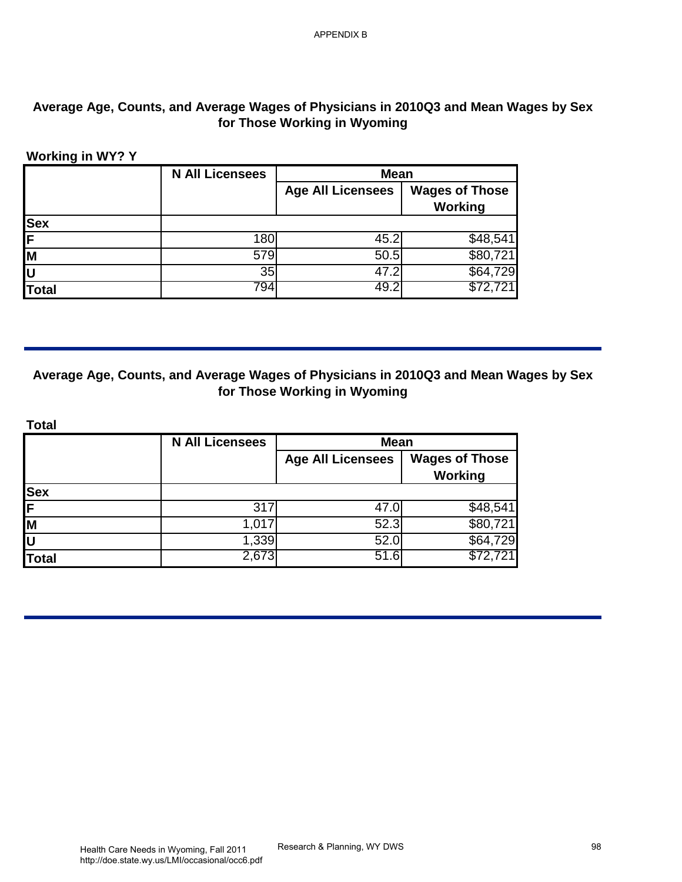# **Average Age, Counts, and Average Wages of Physicians in 2010Q3 and Mean Wages by Sex for Those Working in Wyoming**

#### **Working in WY? Y**

|              | <b>N All Licensees</b> | <b>Mean</b>              |                       |
|--------------|------------------------|--------------------------|-----------------------|
|              |                        | <b>Age All Licensees</b> | <b>Wages of Those</b> |
|              |                        |                          | Working               |
| <b>Sex</b>   |                        |                          |                       |
| F            | 180                    | 45.2                     | \$48,541              |
| Iм           | 579                    | 50.5                     | \$80,721              |
| İυ           | 35                     | 47.2                     | \$64,729              |
| <b>Total</b> | 794                    | 49.2                     | \$72,721              |

# **Average Age, Counts, and Average Wages of Physicians in 2010Q3 and Mean Wages by Sex for Those Working in Wyoming**

| <b>Sex</b><br><b>Total</b> | 180<br>579             | <b>Age All Licensees</b><br>45.2 | <b>Wages of Those</b><br><b>Working</b> |
|----------------------------|------------------------|----------------------------------|-----------------------------------------|
|                            |                        |                                  |                                         |
|                            |                        |                                  |                                         |
|                            |                        |                                  | \$48,541                                |
|                            |                        | 50.5                             | \$80,721                                |
|                            | 35<br>794              | 47.2<br>49.2                     | $\overline{$}64,729$<br>\$72,721        |
|                            | <b>N All Licensees</b> | <b>Mean</b>                      |                                         |
| Sex<br>F<br>M              |                        | <b>Age All Licensees</b>         | <b>Wages of Those</b><br><b>Working</b> |
|                            |                        |                                  |                                         |
|                            | 317<br>1,017           | 47.0<br>52.3                     | \$48,541<br>\$80,721                    |
|                            | 1,339                  | 52.0                             | \$64,729                                |
|                            | 2,673                  | 51.6                             | \$72,72                                 |
|                            |                        |                                  |                                         |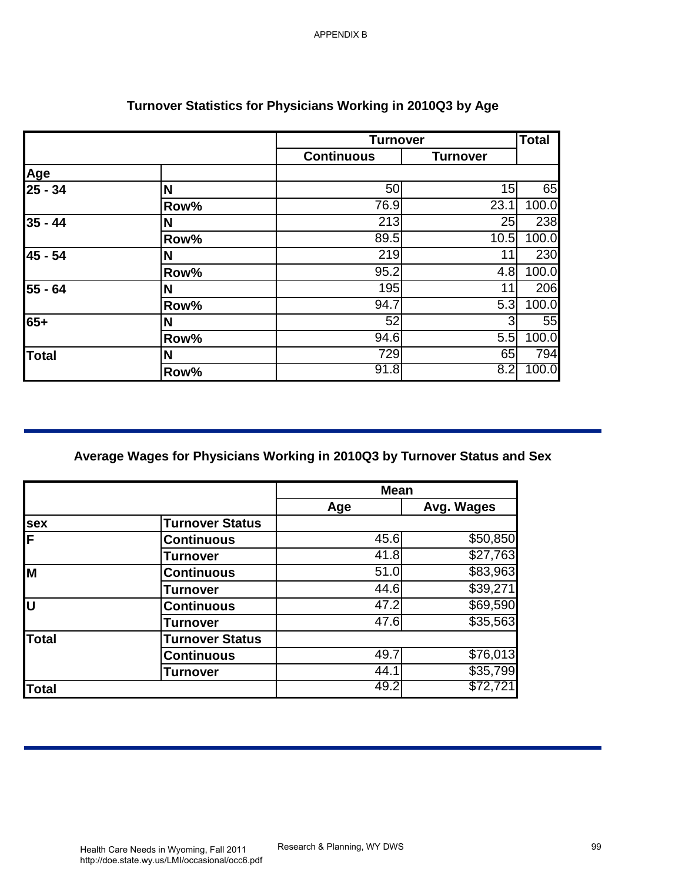| N<br>Row%<br>N<br>Row%<br>N<br>Row%<br>N<br>Row%<br>N<br>Row%<br>N<br>Row% | <b>Continuous</b><br>50<br>76.9<br>213<br>89.5<br>219<br>95.2<br>195<br>94.7<br>52<br>94.6<br>729<br>91.8 | <b>Turnover</b><br>15<br>23.1<br>25<br>10.5<br>11<br>4.8<br>11<br>5.3<br>3<br>5.5<br>65<br>8.2 | 65<br>100.0<br>238<br>100.0<br>230<br>100.0<br>206<br>100.0<br>55                                                        |
|----------------------------------------------------------------------------|-----------------------------------------------------------------------------------------------------------|------------------------------------------------------------------------------------------------|--------------------------------------------------------------------------------------------------------------------------|
|                                                                            |                                                                                                           |                                                                                                |                                                                                                                          |
|                                                                            |                                                                                                           |                                                                                                |                                                                                                                          |
|                                                                            |                                                                                                           |                                                                                                |                                                                                                                          |
|                                                                            |                                                                                                           |                                                                                                |                                                                                                                          |
|                                                                            |                                                                                                           |                                                                                                |                                                                                                                          |
|                                                                            |                                                                                                           |                                                                                                |                                                                                                                          |
|                                                                            |                                                                                                           |                                                                                                |                                                                                                                          |
|                                                                            |                                                                                                           |                                                                                                |                                                                                                                          |
|                                                                            |                                                                                                           |                                                                                                |                                                                                                                          |
|                                                                            |                                                                                                           |                                                                                                |                                                                                                                          |
|                                                                            |                                                                                                           |                                                                                                |                                                                                                                          |
|                                                                            |                                                                                                           |                                                                                                | 100.0                                                                                                                    |
|                                                                            |                                                                                                           |                                                                                                | 794<br>100.0                                                                                                             |
|                                                                            |                                                                                                           |                                                                                                |                                                                                                                          |
|                                                                            | Age                                                                                                       | Avg. Wages                                                                                     |                                                                                                                          |
| <b>Turnover Status</b>                                                     |                                                                                                           |                                                                                                |                                                                                                                          |
|                                                                            |                                                                                                           |                                                                                                |                                                                                                                          |
|                                                                            |                                                                                                           |                                                                                                |                                                                                                                          |
| <b>Turnover</b>                                                            | 41.8                                                                                                      | \$83,963                                                                                       |                                                                                                                          |
| <b>Continuous</b>                                                          | 51.0                                                                                                      |                                                                                                |                                                                                                                          |
| <b>Turnover</b>                                                            | 44.6                                                                                                      | \$39,271                                                                                       |                                                                                                                          |
| <b>Continuous</b>                                                          | 47.2                                                                                                      | \$69,590                                                                                       |                                                                                                                          |
| <b>Turnover</b>                                                            | 47.6                                                                                                      | \$35,563                                                                                       |                                                                                                                          |
| <b>Turnover Status</b>                                                     |                                                                                                           |                                                                                                |                                                                                                                          |
| <b>Continuous</b><br><b>Turnover</b>                                       | 49.7<br>44.1                                                                                              | \$76,013<br>\$35,799                                                                           |                                                                                                                          |
|                                                                            | <b>Continuous</b>                                                                                         |                                                                                                | Average Wages for Physicians Working in 2010Q3 by Turnover Status and Sex<br><b>Mean</b><br>\$50,850<br>45.6<br>\$27,763 |

# **Turnover Statistics for Physicians Working in 2010Q3 by Age**

|              |                        | <b>Mean</b> |                      |
|--------------|------------------------|-------------|----------------------|
|              |                        | Age         | Avg. Wages           |
| <b>Isex</b>  | <b>Turnover Status</b> |             |                      |
| IF           | <b>Continuous</b>      | 45.6        | \$50,850             |
|              | <b>Turnover</b>        | 41.8        | \$27,763             |
| lм           | <b>Continuous</b>      | 51.0        | \$83,963             |
|              | <b>Turnover</b>        | 44.6        | \$39,271             |
| lu           | <b>Continuous</b>      | 47.2        | $\overline{$69,590}$ |
|              | <b>Turnover</b>        | 47.6        | \$35,563             |
| <b>Total</b> | <b>Turnover Status</b> |             |                      |
|              | <b>Continuous</b>      | 49.7        | \$76,013             |
|              | <b>Turnover</b>        | 44.1        | \$35,799             |
| <b>Total</b> |                        | 49.2        | \$72,72'             |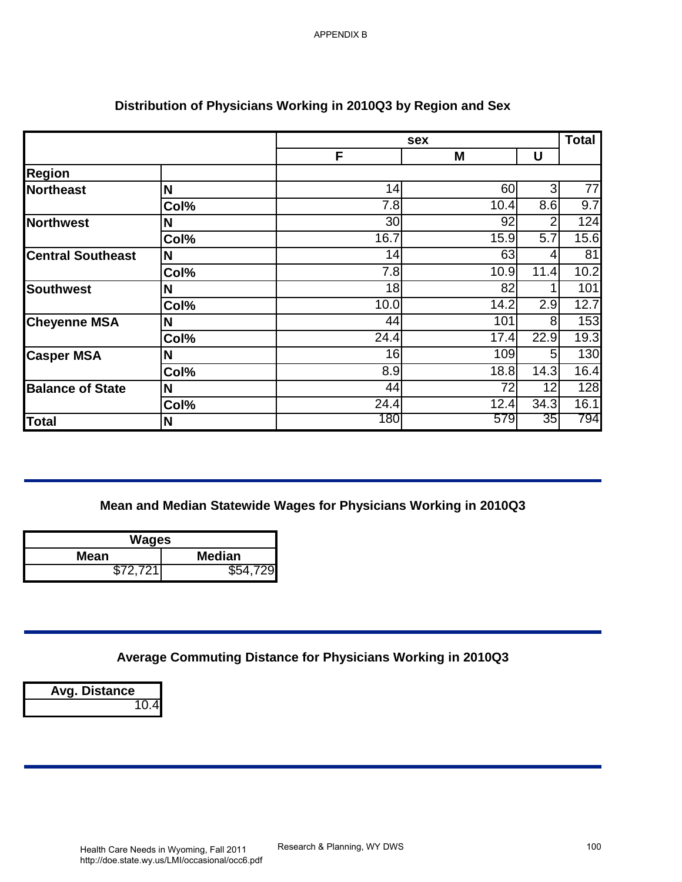|                          |                           | sex                                                              |            |                                    | <b>Total</b> |
|--------------------------|---------------------------|------------------------------------------------------------------|------------|------------------------------------|--------------|
|                          |                           | F                                                                | M          | U                                  |              |
| <b>Region</b>            |                           |                                                                  |            |                                    |              |
| Northeast                | N                         | 14                                                               | 60         | 3                                  | 77           |
|                          | Col%                      | 7.8<br>$\overline{30}$                                           | 10.4<br>92 | $\overline{8.6}$<br>$\overline{2}$ | 9.7<br>124   |
| <b>Northwest</b>         | N<br>Col%                 | 16.7                                                             | 15.9       | $\overline{5.7}$                   | 15.6         |
| <b>Central Southeast</b> | N                         | 14                                                               | 63         | 4                                  | 81           |
|                          | Col%                      | 7.8                                                              | 10.9       | 11.4                               | 10.2         |
| <b>Southwest</b>         | N                         | 18                                                               | 82         | 1                                  | 101          |
|                          | Col%                      | 10.0                                                             | 14.2       | 2.9                                | 12.7         |
| <b>Cheyenne MSA</b>      | N                         | 44                                                               | 101        | 8                                  | 153          |
|                          | Col%                      | 24.4                                                             | 17.4       | 22.9                               | 19.3         |
| <b>Casper MSA</b>        | N                         | 16                                                               | 109        | 5                                  | 130          |
|                          | Col%                      | 8.9                                                              | 18.8       | 14.3                               | 16.4         |
| <b>Balance of State</b>  | N                         | 44                                                               | 72         | 12                                 | 128          |
|                          | Col%                      | $\overline{24.4}$                                                | 12.4       | 34.3                               | 16.1         |
|                          | N                         | 180                                                              | 579        | 35                                 |              |
| Total                    | <b>Wages</b>              | Mean and Median Statewide Wages for Physicians Working in 2010Q3 |            |                                    |              |
| <b>Mean</b><br>\$72,721  | <b>Median</b><br>\$54,729 |                                                                  |            |                                    | 794          |
| Avg. Distance<br>10.4    |                           | Average Commuting Distance for Physicians Working in 2010Q3      |            |                                    |              |

# **Distribution of Physicians Working in 2010Q3 by Region and Sex**

### **Mean and Median Statewide Wages for Physicians Working in 2010Q3**

| Wages    |               |
|----------|---------------|
| Mean     | <b>Median</b> |
| \$72.721 | \$54.729      |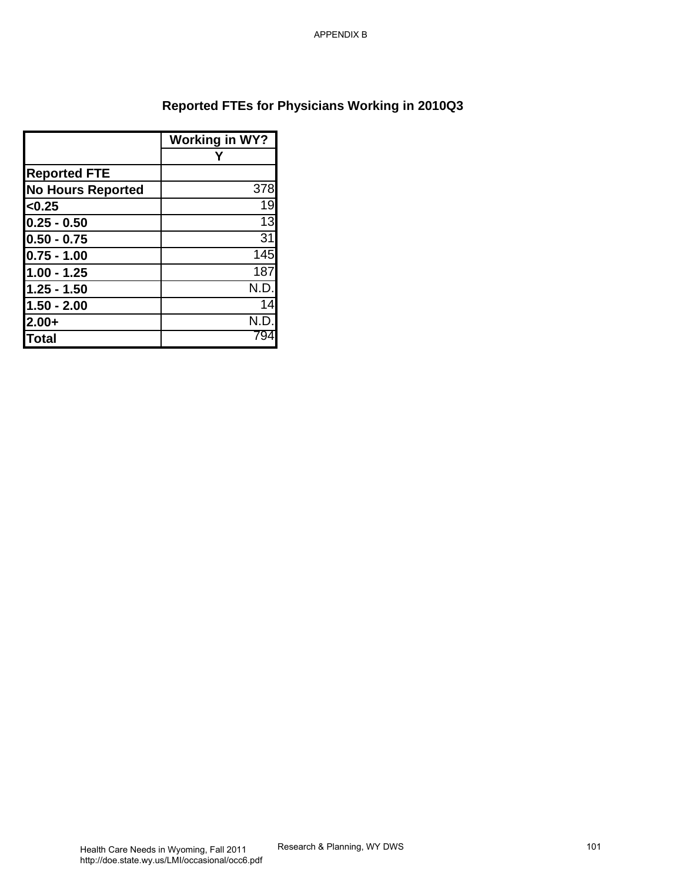# **Reported FTEs for Physicians Working in 2010Q3** APPENDIX B<br>Physicians Working in 2010Q3<br>Research & Planning, WY DWS

|                          | <b>Working in WY?</b> |
|--------------------------|-----------------------|
|                          |                       |
| <b>Reported FTE</b>      |                       |
| <b>No Hours Reported</b> | 378                   |
| < 0.25                   | 19                    |
| $0.25 - 0.50$            | 13                    |
| $0.50 - 0.75$            | 31                    |
| $0.75 - 1.00$            | 145                   |
| $1.00 - 1.25$            | 187                   |
| $1.25 - 1.50$            | N.D                   |
| $1.50 - 2.00$            | 14                    |
| $2.00+$                  | N.I                   |
| <b>Total</b>             | 94. /                 |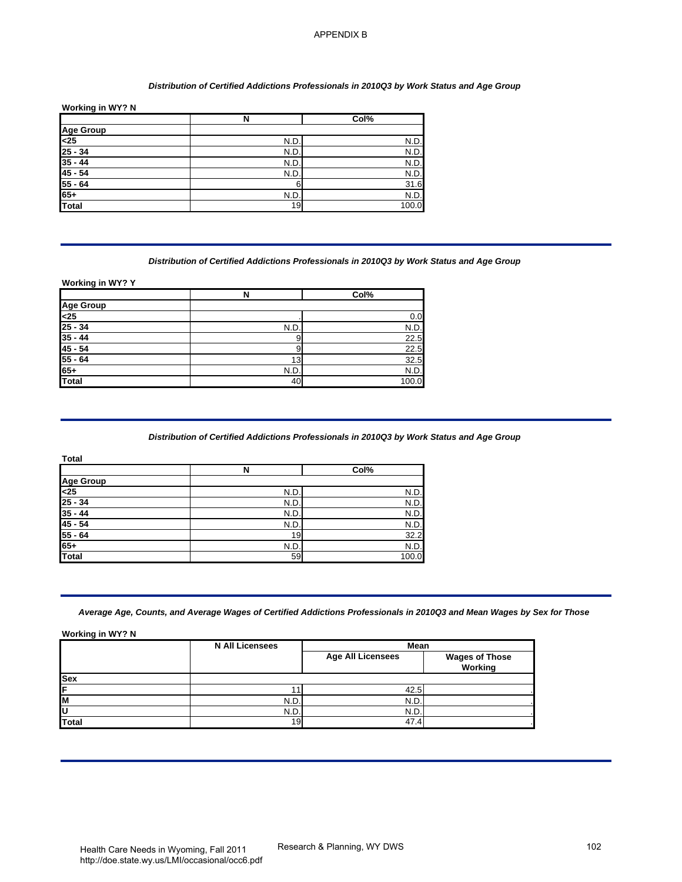#### *Distribution of Certified Addictions Professionals in 2010Q3 by Work Status and Age Group*

| Working in WY? N |      |       |
|------------------|------|-------|
|                  | N    | Col%  |
|                  |      |       |
| Age Group<br><25 | N.D  | N.D.  |
| $25 - 34$        | N.D. | N.D.  |
| $35 - 44$        | N.D. | N.D.  |
| $45 - 54$        | N.D. | N.D.  |
| $55 - 64$        | 6    | 31.6  |
| $65+$            | N.D. | N.D.  |
| Total            | 19   | 100.0 |

#### *Distribution of Certified Addictions Professionals in 2010Q3 by Work Status and Age Group*

|                  | N    | Col%  |
|------------------|------|-------|
|                  |      |       |
| Age Group<br><25 |      | 0.0   |
| $25 - 34$        | N.D. | N.D.  |
| $35 - 44$        | 9    | 22.5  |
| $45 - 54$        | 9    | 22.5  |
| $55 - 64$        | 13   | 32.5  |
| $65+$            | N.D. | N.D.  |
| <b>Total</b>     | 40   | 100.0 |

#### *Distribution of Certified Addictions Professionals in 2010Q3 by Work Status and Age Group*

| <b>Total</b>     |      |       |
|------------------|------|-------|
|                  | N    | Col%  |
|                  |      |       |
| Age Group<br><25 | N.D. | N.D.  |
| $25 - 34$        | N.D. | N.D.  |
| $35 - 44$        | N.D. | N.D.  |
| $45 - 54$        | N.D. | N.D.  |
| $55 - 64$        | 19   | 32.2  |
| $65+$            | N.D. | N.D.  |
| Total            | 59   | 100.0 |

| <b>Age Group</b><br>$25$                                                                                                                  | N                                                                                                                                                | Col%                     |                                  |
|-------------------------------------------------------------------------------------------------------------------------------------------|--------------------------------------------------------------------------------------------------------------------------------------------------|--------------------------|----------------------------------|
|                                                                                                                                           |                                                                                                                                                  |                          |                                  |
|                                                                                                                                           | N.D.                                                                                                                                             | N.D                      |                                  |
| $25 - 34$                                                                                                                                 | N.D.                                                                                                                                             | N.D.                     |                                  |
| $35 - 44$                                                                                                                                 | N.D.                                                                                                                                             | N.D                      |                                  |
| $45 - 54$<br>$55 - 64$                                                                                                                    | N.D.<br>6                                                                                                                                        | N.D.<br>31.6             |                                  |
| $65+$                                                                                                                                     | N.D.                                                                                                                                             | N.D.                     |                                  |
| Total                                                                                                                                     | 19                                                                                                                                               | 100.0                    |                                  |
| Working in WY? Y                                                                                                                          | Distribution of Certified Addictions Professionals in 2010Q3 by Work Status and Age Group                                                        |                          |                                  |
|                                                                                                                                           | N                                                                                                                                                | Col%                     |                                  |
| <b>Age Group</b>                                                                                                                          |                                                                                                                                                  | 0.0                      |                                  |
| $25 - 34$                                                                                                                                 | N.D.                                                                                                                                             | N.D.                     |                                  |
| $35 - 44$                                                                                                                                 | 9                                                                                                                                                | 22.5                     |                                  |
| $45 - 54$                                                                                                                                 | 9                                                                                                                                                | 22.5                     |                                  |
| $55 - 64$<br>$65+$                                                                                                                        | 13                                                                                                                                               | 32.5                     |                                  |
| Total                                                                                                                                     | N.D.<br>40                                                                                                                                       | N.D.<br>100.0            |                                  |
|                                                                                                                                           | Distribution of Certified Addictions Professionals in 2010Q3 by Work Status and Age Group                                                        |                          |                                  |
|                                                                                                                                           |                                                                                                                                                  |                          |                                  |
|                                                                                                                                           | N                                                                                                                                                | Col%                     |                                  |
|                                                                                                                                           |                                                                                                                                                  |                          |                                  |
|                                                                                                                                           | N.D.                                                                                                                                             | N.D.                     |                                  |
|                                                                                                                                           | N.D.                                                                                                                                             | N.D                      |                                  |
|                                                                                                                                           | N.D.                                                                                                                                             | N.D                      |                                  |
|                                                                                                                                           | N.D                                                                                                                                              | N.D.                     |                                  |
|                                                                                                                                           | 19<br>N.D.                                                                                                                                       | 32.2<br>N.D.             |                                  |
|                                                                                                                                           | 59                                                                                                                                               | 100.0                    |                                  |
| Total<br><b>Age Group</b><br>$25$<br>$25 - 34$<br>$35 - 44$<br>$45 - 54$<br>$55 - 64$<br>$65+$<br><b>Total</b><br><b>Working in WY? N</b> | Average Age, Counts, and Average Wages of Certified Addictions Professionals in 2010Q3 and Mean Wages by Sex for Those<br><b>N All Licensees</b> | Mean                     |                                  |
| <b>Sex</b>                                                                                                                                |                                                                                                                                                  | <b>Age All Licensees</b> | <b>Wages of Those</b><br>Working |
|                                                                                                                                           | 11                                                                                                                                               | 42.5                     |                                  |
|                                                                                                                                           | N.D.                                                                                                                                             | N.D.                     |                                  |
| <b>Total</b>                                                                                                                              | N.D.<br>19                                                                                                                                       | N.D.<br>47.4             |                                  |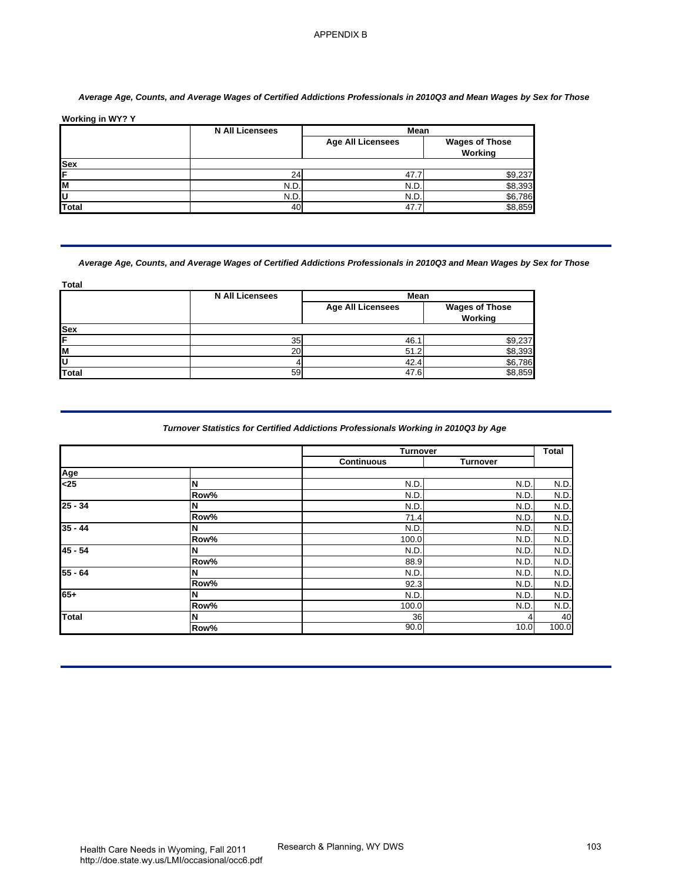#### *Average Age, Counts, and Average Wages of Certified Addictions Professionals in 2010Q3 and Mean Wages by Sex for Those*

|              | <b>N All Licensees</b> | <b>Mean</b>              |                                  |
|--------------|------------------------|--------------------------|----------------------------------|
|              |                        | <b>Age All Licensees</b> | <b>Wages of Those</b><br>Working |
| <b>Sex</b>   |                        |                          |                                  |
| IF           | 24 <sub>1</sub>        | 47.                      | \$9,237                          |
| ΙM           | N.D.                   | N.D.                     | \$8,393                          |
| lU           | N.D                    | N.D.                     | \$6,786                          |
| <b>Total</b> | 40                     | 47.7                     | \$8,859                          |

#### *Average Age, Counts, and Average Wages of Certified Addictions Professionals in 2010Q3 and Mean Wages by Sex for Those*

|            | <b>N All Licensees</b> | Mean                     |                                  |
|------------|------------------------|--------------------------|----------------------------------|
|            |                        | <b>Age All Licensees</b> | <b>Wages of Those</b><br>Working |
| <b>Sex</b> |                        |                          |                                  |
| lF         | 35                     | 46.7                     | \$9,237                          |
| lм         | 20                     | 51.2                     | \$8,393                          |
| ΙU         |                        | 42.4                     | \$6,786                          |
| Total      | 59                     | 47.6                     | \$8,859                          |

#### *Turnover Statistics for Certified Addictions Professionals Working in 2010Q3 by Age*

| <b>Sex</b><br>F<br>M                                                     | <b>N All Licensees</b>                                                                                                 | <b>Mean</b>                          |                                  |
|--------------------------------------------------------------------------|------------------------------------------------------------------------------------------------------------------------|--------------------------------------|----------------------------------|
|                                                                          |                                                                                                                        | <b>Age All Licensees</b>             | <b>Wages of Those</b><br>Working |
|                                                                          |                                                                                                                        |                                      |                                  |
|                                                                          | 24<br>N.D.                                                                                                             | 47.7<br>N.D.                         | \$9,237<br>\$8,393               |
| U                                                                        | N.D.                                                                                                                   | N.D.                                 | \$6,786                          |
| <b>Total</b>                                                             | 40                                                                                                                     | 47.7                                 | \$8,859                          |
|                                                                          | Average Age, Counts, and Average Wages of Certified Addictions Professionals in 2010Q3 and Mean Wages by Sex for Those |                                      |                                  |
| Total                                                                    | <b>N All Licensees</b>                                                                                                 | Mean                                 |                                  |
|                                                                          |                                                                                                                        | <b>Age All Licensees</b>             | <b>Wages of Those</b><br>Working |
| Sex                                                                      |                                                                                                                        |                                      |                                  |
|                                                                          | 35<br>20                                                                                                               | 46.1<br>51.2                         | \$9,237<br>\$8,393               |
| M                                                                        | 4                                                                                                                      | 42.4                                 | \$6,786                          |
| <b>Total</b>                                                             | 59                                                                                                                     | 47.6                                 | \$8,859                          |
|                                                                          |                                                                                                                        |                                      |                                  |
|                                                                          |                                                                                                                        | <b>Turnover</b><br><b>Continuous</b> | <b>Turnover</b>                  |
|                                                                          |                                                                                                                        |                                      |                                  |
|                                                                          | N                                                                                                                      | N.D.                                 | N.D.                             |
|                                                                          | Row%<br>N                                                                                                              | N.D.                                 | N.D.                             |
|                                                                          | Row%                                                                                                                   | N.D.<br>71.4                         | N.D.<br>N.D.                     |
|                                                                          | N                                                                                                                      | N.D.                                 | N.D.                             |
|                                                                          | Row%                                                                                                                   | 100.0                                | N.D.                             |
|                                                                          | N                                                                                                                      | N.D.                                 | N.D.                             |
|                                                                          | Row%                                                                                                                   | 88.9                                 | N.D.                             |
|                                                                          | N<br>Row%                                                                                                              | N.D.<br>92.3                         | N.D.<br>N.D.                     |
| Age<br>$25$<br>$25 - 34$<br>$35 - 44$<br>$45 - 54$<br>$55 - 64$<br>$65+$ | N                                                                                                                      | N.D.                                 | N.D.                             |
| <b>Total</b>                                                             | Row%<br>N                                                                                                              | 100.0<br>36                          | N.D.<br>4                        |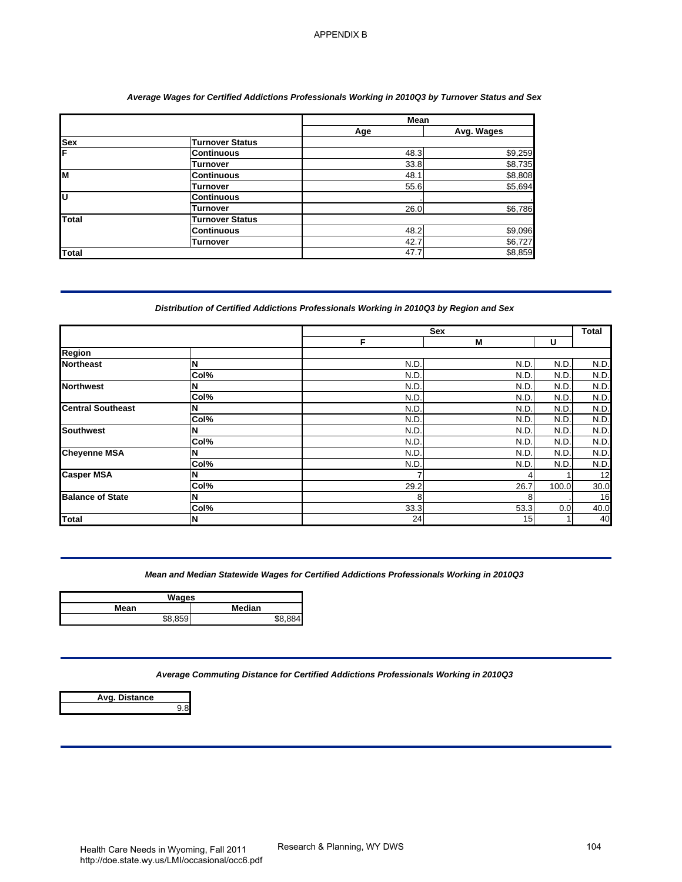#### *Average Wages for Certified Addictions Professionals Working in 2010Q3 by Turnover Status and Sex*

|              |                        | <b>Mean</b> |            |
|--------------|------------------------|-------------|------------|
|              |                        | Age         | Avg. Wages |
| <b>Sex</b>   | Turnover Status        |             |            |
| F            | <b>Continuous</b>      | 48.3        | \$9,259    |
|              | Turnover               | 33.8        | \$8,735    |
| lм           | <b>Continuous</b>      | 48.1        | \$8,808    |
|              | <b>Turnover</b>        | 55.6        | \$5,694    |
| lυ           | <b>Continuous</b>      |             |            |
|              | Turnover               | 26.0        | \$6,786    |
| <b>Total</b> | <b>Turnover Status</b> |             |            |
|              | Continuous             | 48.2        | \$9,096    |
|              | <b>Turnover</b>        | 42.7        | \$6,727    |
| <b>Total</b> |                        | 47.7        | \$8,859    |

#### *Distribution of Certified Addictions Professionals Working in 2010Q3 by Region and Sex*

| Sex                      |                                                                                          | Age          | Avg. Wages         |              |              |
|--------------------------|------------------------------------------------------------------------------------------|--------------|--------------------|--------------|--------------|
|                          |                                                                                          |              |                    |              |              |
| F                        | <b>Turnover Status</b><br><b>Continuous</b>                                              | 48.3         | \$9,259            |              |              |
|                          | <b>Turnover</b>                                                                          | 33.8         | \$8,735            |              |              |
| M                        | <b>Continuous</b><br><b>Turnover</b>                                                     | 48.1<br>55.6 | \$8,808<br>\$5,694 |              |              |
| U                        | <b>Continuous</b>                                                                        |              |                    |              |              |
|                          | <b>Turnover</b>                                                                          | 26.0         | \$6,786            |              |              |
| Total                    | <b>Turnover Status</b><br><b>Continuous</b>                                              | 48.2         | \$9,096            |              |              |
|                          | <b>Turnover</b>                                                                          | 42.7         | \$6,727            |              |              |
| <b>Total</b>             |                                                                                          | 47.7         | \$8,859            |              |              |
|                          | Distribution of Certified Addictions Professionals Working in 2010Q3 by Region and Sex   | Sex          |                    |              | Total        |
| <b>Region</b>            |                                                                                          | F            | M                  | U            |              |
| <b>Northeast</b>         | N                                                                                        | N.D          | N.D.               | N.D.         | N.D.         |
|                          | Col%                                                                                     | N.D          | N.D                | N.D          | N.D.         |
| <b>Northwest</b>         | N<br>Col%                                                                                | N.D<br>N.D   | N.D.<br>N.D.       | N.D.<br>N.D. | N.D.<br>N.D. |
| <b>Central Southeast</b> | N                                                                                        | N.D          | N.D                | N.D.         | N.D.         |
|                          | Col%                                                                                     | N.D          | N.D                | N.D.         | N.D.         |
| <b>Southwest</b>         | N<br>Col%                                                                                | N.D<br>N.D   | N.D<br>N.D         | N.D.<br>N.D. | N.D.<br>N.D. |
| <b>Cheyenne MSA</b>      | N                                                                                        | N.D          | N.D                | N.D.         | N.D.         |
|                          | Col%                                                                                     | N.D          | N.D                | N.D.         | N.D.         |
| <b>Casper MSA</b>        | N<br>Col%                                                                                | 7<br>29.2    | 4<br>26.7          | 100.0        | 12<br>30.0   |
| <b>Balance of State</b>  | N                                                                                        | 8            | 8                  |              | 16           |
| Total                    | Col%<br>N                                                                                | 33.3<br>24   | 53.3<br>15         | 0.0          | 40.0<br>40   |
|                          | Mean and Median Statewide Wages for Certified Addictions Professionals Working in 2010Q3 |              |                    |              |              |
|                          |                                                                                          |              |                    |              |              |
| Mean                     | <b>Wages</b><br>Median                                                                   |              |                    |              |              |
| \$8,859                  | \$8,884                                                                                  |              |                    |              |              |
|                          |                                                                                          |              |                    |              |              |
| <b>Avg. Distance</b>     | Average Commuting Distance for Certified Addictions Professionals Working in 2010Q3      |              |                    |              |              |
|                          | 9.8                                                                                      |              |                    |              |              |

#### *Mean and Median Statewide Wages for Certified Addictions Professionals Working in 2010Q3*

| Wages   |               |
|---------|---------------|
| Mean    | <b>Median</b> |
| \$8.859 | <b>CO OOA</b> |

| Avg. Distance |     |
|---------------|-----|
|               | 9 R |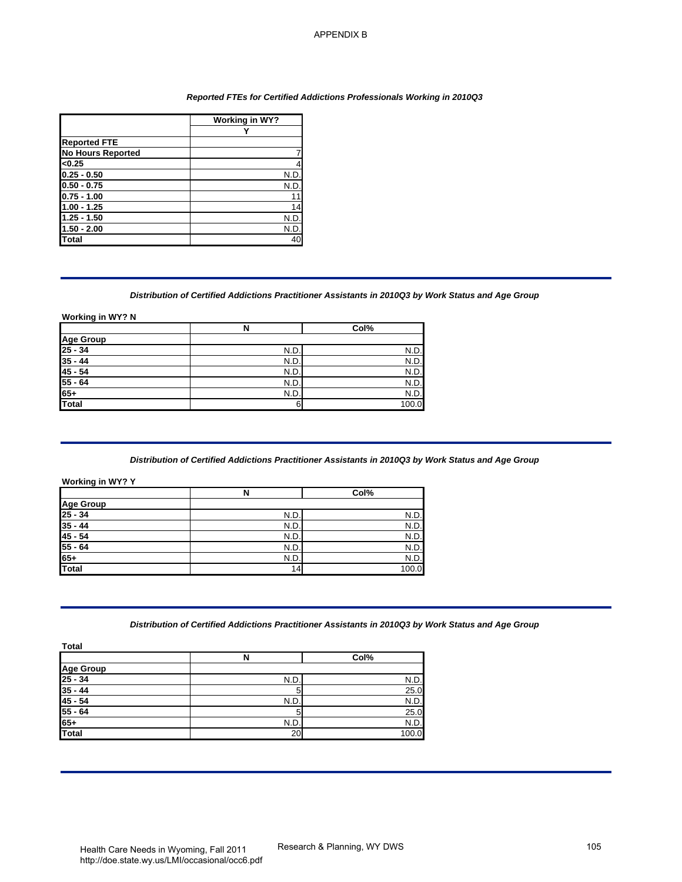#### *Reported FTEs for Certified Addictions Professionals Working in 2010Q3*

|                          | Working in WY? |
|--------------------------|----------------|
|                          |                |
| <b>Reported FTE</b>      |                |
| <b>No Hours Reported</b> |                |
| < 0.25                   | 4              |
| $0.25 - 0.50$            | N.D.           |
| $0.50 - 0.75$            | N.D.           |
| $0.75 - 1.00$            | 11             |
| $1.00 - 1.25$            | 14             |
| $1.25 - 1.50$            | N.D.           |
| $1.50 - 2.00$            | N.D.           |
| <b>Total</b>             | 40             |

#### *Distribution of Certified Addictions Practitioner Assistants in 2010Q3 by Work Status and Age Group*

#### **Working in WY? N**

|                                 | N    | Col%  |
|---------------------------------|------|-------|
|                                 |      |       |
| Age Group<br>25 - 34<br>35 - 44 | N.D  | N.D.  |
|                                 | N.D. | N.D.  |
| $\frac{45 - 54}{55 - 64}$       | N.D  | N.D.  |
|                                 | N.D. | N.D.  |
| $65+$<br>Total                  | N.D  | N.D.  |
|                                 | 6    | 100.0 |

#### *Distribution of Certified Addictions Practitioner Assistants in 2010Q3 by Work Status and Age Group*

#### **Working in WY? Y**

|                                  | N               | Col%  |
|----------------------------------|-----------------|-------|
| Age Group<br>25 - 34<br>35 - 44  |                 |       |
|                                  | N.D             | N.D.  |
|                                  | N.D.            | N.D.  |
|                                  | N.D.            | N.D.  |
|                                  | N.D.            | N.D.  |
| $\frac{45 - 54}{55 - 64}$<br>65+ | N.D.            | N.D.  |
| Total                            | 14 <sub>1</sub> | 100.0 |

#### *Distribution of Certified Addictions Practitioner Assistants in 2010Q3 by Work Status and Age Group*

| <b>Reported FTE</b><br><b>No Hours Reported</b><br><0.25<br>$0.25 - 0.50$<br>$0.50 - 0.75$<br>$0.75 - 1.00$<br>$1.00 - 1.25$<br>$1.25 - 1.50$<br>$1.50 - 2.00$ | <b>Working in WY?</b><br>Y<br>7<br>4<br>N.D<br>N.D<br>11<br>14<br>N.D.<br>N.D.<br>40 |                                                                                                     |  |
|----------------------------------------------------------------------------------------------------------------------------------------------------------------|--------------------------------------------------------------------------------------|-----------------------------------------------------------------------------------------------------|--|
|                                                                                                                                                                |                                                                                      |                                                                                                     |  |
|                                                                                                                                                                |                                                                                      |                                                                                                     |  |
|                                                                                                                                                                |                                                                                      |                                                                                                     |  |
|                                                                                                                                                                |                                                                                      |                                                                                                     |  |
|                                                                                                                                                                |                                                                                      |                                                                                                     |  |
|                                                                                                                                                                |                                                                                      |                                                                                                     |  |
|                                                                                                                                                                |                                                                                      |                                                                                                     |  |
|                                                                                                                                                                |                                                                                      |                                                                                                     |  |
| <b>Total</b>                                                                                                                                                   |                                                                                      |                                                                                                     |  |
|                                                                                                                                                                |                                                                                      |                                                                                                     |  |
|                                                                                                                                                                |                                                                                      | Distribution of Certified Addictions Practitioner Assistants in 2010Q3 by Work Status and Age Group |  |
| Working in WY? N                                                                                                                                               | $\mathsf N$                                                                          |                                                                                                     |  |
| <b>Age Group</b>                                                                                                                                               |                                                                                      | Col%                                                                                                |  |
| $25 - 34$                                                                                                                                                      | N.D.                                                                                 | N.D.                                                                                                |  |
| $35 - 44$                                                                                                                                                      | N.D.                                                                                 | N.D.                                                                                                |  |
| $45 - 54$                                                                                                                                                      | N.D.                                                                                 | N.D.                                                                                                |  |
| $55 - 64$<br>$65+$                                                                                                                                             | N.D.<br>N.D.                                                                         | N.D.<br>N.D.                                                                                        |  |
| Total                                                                                                                                                          | 6                                                                                    | 100.0                                                                                               |  |
|                                                                                                                                                                |                                                                                      |                                                                                                     |  |
|                                                                                                                                                                |                                                                                      |                                                                                                     |  |
|                                                                                                                                                                | N                                                                                    | Col%                                                                                                |  |
|                                                                                                                                                                | N.D.                                                                                 | N.D                                                                                                 |  |
|                                                                                                                                                                | N.D.                                                                                 | N.D.                                                                                                |  |
|                                                                                                                                                                | N.D.                                                                                 | N.D.                                                                                                |  |
|                                                                                                                                                                | N.D.                                                                                 | N.D.                                                                                                |  |
| <b>Working in WY? Y</b><br><b>Age Group</b><br>$25 - 34$<br>$35 - 44$<br>$45 - 54$<br>$55 - 64$<br>$65+$<br><b>Total</b>                                       | N.D.<br>14                                                                           | N.D.<br>100.0                                                                                       |  |
|                                                                                                                                                                |                                                                                      | Distribution of Certified Addictions Practitioner Assistants in 2010Q3 by Work Status and Age Group |  |
|                                                                                                                                                                | $\overline{\mathsf{N}}$                                                              | Col%                                                                                                |  |
|                                                                                                                                                                |                                                                                      |                                                                                                     |  |
|                                                                                                                                                                | N.D.                                                                                 | N.D.                                                                                                |  |
|                                                                                                                                                                | 5                                                                                    | 25.0                                                                                                |  |
|                                                                                                                                                                | N.D.                                                                                 | N.D.                                                                                                |  |
| <b>Total</b><br><b>Age Group</b><br>$25 - 34$<br>$35 - 44$<br>$45 - 54$<br>$55 - 64$<br>$65+$                                                                  | 5<br>N.D.                                                                            | 25.0<br>N.D.                                                                                        |  |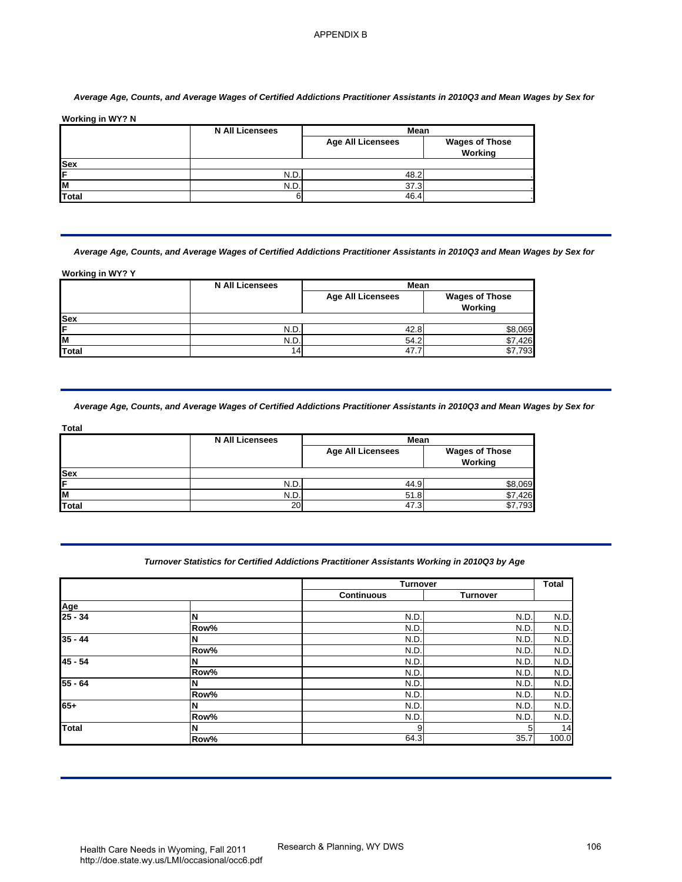#### *Average Age, Counts, and Average Wages of Certified Addictions Practitioner Assistants in 2010Q3 and Mean Wages by Sex for*

|            | <b>N All Licensees</b> | Mean                     |                                  |
|------------|------------------------|--------------------------|----------------------------------|
|            |                        | <b>Age All Licensees</b> | <b>Wages of Those</b><br>Working |
| <b>Sex</b> |                        |                          |                                  |
| IF         | N.D                    | 48.2                     |                                  |
| IM.        | N.D                    | 37.3                     |                                  |
| Total      |                        | 46.4                     |                                  |

|            | <b>N All Licensees</b> | <b>Mean</b>              |                                  |
|------------|------------------------|--------------------------|----------------------------------|
|            |                        | <b>Age All Licensees</b> | <b>Wages of Those</b><br>Working |
| <b>Sex</b> |                        |                          |                                  |
| lF         | N.D.                   | 42.8                     | .069                             |
| lм         | N.D.                   | 54.2                     | \$7,426                          |
| Total      | 14                     | 47.7                     | .793                             |

|              | <b>N All Licensees</b> | Mean                     |                                  |
|--------------|------------------------|--------------------------|----------------------------------|
|              |                        | <b>Age All Licensees</b> | <b>Wages of Those</b><br>Working |
| <b>Sex</b>   |                        |                          |                                  |
| Е            | N.D.                   | 44.9                     | \$8,069                          |
| M            | N.D.                   | 51.8                     | \$7.426                          |
| <b>Total</b> | 20                     | 47.3                     | .793                             |

#### *Turnover Statistics for Certified Addictions Practitioner Assistants Working in 2010Q3 by Age*

| Sex<br>F<br>M<br><b>Total</b>                                                    |                                                                                                                            | Mean                             |                                  |
|----------------------------------------------------------------------------------|----------------------------------------------------------------------------------------------------------------------------|----------------------------------|----------------------------------|
|                                                                                  |                                                                                                                            | <b>Age All Licensees</b>         | <b>Wages of Those</b>            |
|                                                                                  |                                                                                                                            |                                  | Working                          |
|                                                                                  | N.D.                                                                                                                       | 48.2                             |                                  |
|                                                                                  | N.D.<br>6                                                                                                                  | 37.3<br>46.4                     |                                  |
|                                                                                  | Average Age, Counts, and Average Wages of Certified Addictions Practitioner Assistants in 2010Q3 and Mean Wages by Sex for |                                  |                                  |
| Working in WY? Y                                                                 |                                                                                                                            |                                  |                                  |
|                                                                                  | <b>N All Licensees</b>                                                                                                     | Mean<br><b>Age All Licensees</b> | <b>Wages of Those</b><br>Working |
| Sex<br>F                                                                         | N.D.                                                                                                                       | 42.8                             | \$8,069                          |
| M<br><b>Total</b>                                                                | N.D<br>14                                                                                                                  | 54.2<br>47.7                     | \$7,426<br>\$7,793               |
|                                                                                  | Average Age, Counts, and Average Wages of Certified Addictions Practitioner Assistants in 2010Q3 and Mean Wages by Sex for |                                  |                                  |
| Total                                                                            | <b>N All Licensees</b>                                                                                                     | <b>Mean</b>                      |                                  |
|                                                                                  |                                                                                                                            | <b>Age All Licensees</b>         | <b>Wages of Those</b>            |
|                                                                                  |                                                                                                                            |                                  | Working                          |
|                                                                                  |                                                                                                                            |                                  |                                  |
|                                                                                  | N.D.<br>N.D<br>20                                                                                                          | 44.9<br>51.8<br>47.3             | \$8,069<br>\$7,426<br>\$7,793    |
| <b>Sex</b><br>F<br>M<br>Total                                                    | Turnover Statistics for Certified Addictions Practitioner Assistants Working in 2010Q3 by Age                              |                                  |                                  |
|                                                                                  |                                                                                                                            | Turnover                         |                                  |
|                                                                                  |                                                                                                                            | <b>Continuous</b>                | <b>Turnover</b>                  |
|                                                                                  | N                                                                                                                          | N.D                              | N.D.                             |
|                                                                                  | Row%<br>N                                                                                                                  | N.D.<br>N.D                      | N.D.<br>N.D.                     |
|                                                                                  | Row%                                                                                                                       | N.D                              | N.D.                             |
|                                                                                  | N<br>Row%                                                                                                                  | N.D<br>N.D                       | N.D.<br>N.D.                     |
|                                                                                  | N                                                                                                                          | N.D                              | N.D.                             |
|                                                                                  | Row%                                                                                                                       | N.D.                             | N.D.                             |
| Age<br>$25 - 34$<br>$35 - 44$<br>$45 - 54$<br>$55 - 64$<br>$65+$<br><b>Total</b> | N<br>Row%<br>N                                                                                                             | N.D<br>N.D                       | N.D.<br>N.D.                     |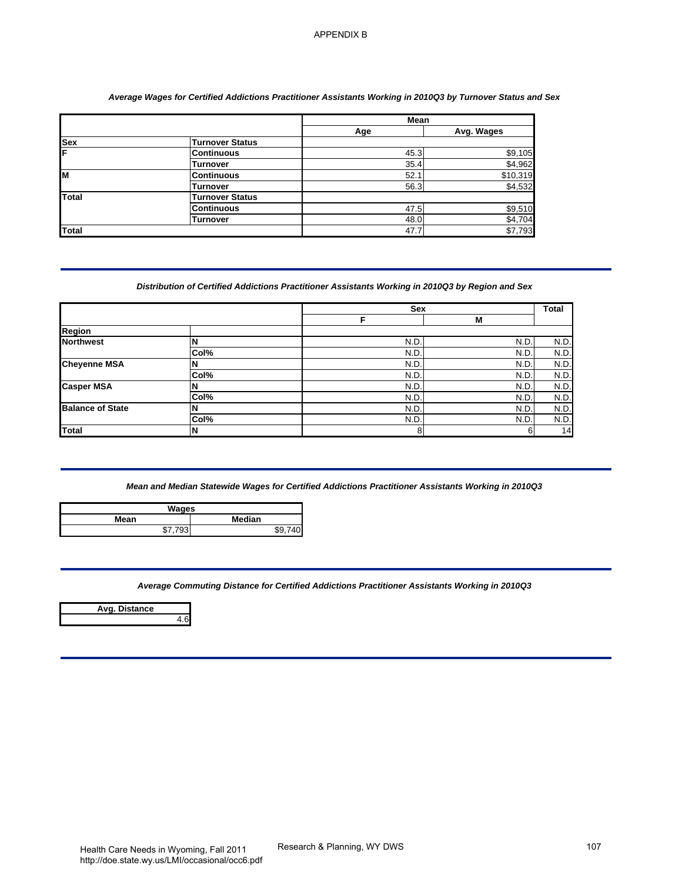#### *Average Wages for Certified Addictions Practitioner Assistants Working in 2010Q3 by Turnover Status and Sex*

|              |                        | <b>Mean</b> |            |
|--------------|------------------------|-------------|------------|
|              |                        | Age         | Avg. Wages |
| Sex<br>F     | Turnover Status        |             |            |
|              | <b>Continuous</b>      | 45.3        | \$9,105    |
|              | Turnover               | 35.4        | \$4,962    |
| lм           | <b>Continuous</b>      | 52.1        | \$10,319   |
|              | <b>Turnover</b>        | 56.3        | \$4,532    |
| <b>Total</b> | <b>Turnover Status</b> |             |            |
|              | <b>Continuous</b>      | 47.5        | \$9,510    |
|              | Turnover               | 48.0        | \$4,704    |
| Total        |                        | 47.7        | \$7,793    |

#### *Distribution of Certified Addictions Practitioner Assistants Working in 2010Q3 by Region and Sex*

|                         |                                                                                                  | Mean         |                              |
|-------------------------|--------------------------------------------------------------------------------------------------|--------------|------------------------------|
| <b>Sex</b>              | <b>Turnover Status</b>                                                                           | Age          | Avg. Wages                   |
| F                       | <b>Continuous</b>                                                                                | 45.3         | \$9,105                      |
|                         | <b>Turnover</b>                                                                                  | 35.4         | \$4,962                      |
| M                       | <b>Continuous</b>                                                                                | 52.1         | \$10,319                     |
| Total                   | <b>Turnover</b><br><b>Turnover Status</b>                                                        | 56.3         | \$4,532                      |
|                         | <b>Continuous</b>                                                                                | 47.5         | \$9,510                      |
|                         | <b>Turnover</b>                                                                                  | 48.0         | \$4,704                      |
| <b>Total</b>            |                                                                                                  | 47.7         | \$7,793                      |
|                         | Distribution of Certified Addictions Practitioner Assistants Working in 2010Q3 by Region and Sex | Sex<br>F     | <b>Total</b><br>М            |
| Region                  |                                                                                                  |              |                              |
| <b>Northwest</b>        | N<br>Col%                                                                                        | N.D.<br>N.D. | N.D.<br>N.D.<br>N.D.<br>N.D. |
| <b>Cheyenne MSA</b>     | N                                                                                                | N.D.         | N.D.<br>N.D.                 |
|                         | Col%                                                                                             | N.D.         | N.D.<br>N.D.                 |
| <b>Casper MSA</b>       | N                                                                                                | N.D.         | N.D.<br>N.D.                 |
| <b>Balance of State</b> | Col%<br>N                                                                                        | N.D.<br>N.D. | N.D.<br>N.D.<br>N.D.<br>N.D. |
|                         | Col%                                                                                             | N.D.         | N.D.<br>N.D.                 |
| <b>Total</b>            | N                                                                                                | 8            | 6                            |
|                         | Wages<br>Median                                                                                  |              |                              |
| Mean                    | \$7,793<br>\$9,740                                                                               |              |                              |
|                         | Average Commuting Distance for Certified Addictions Practitioner Assistants Working in 2010Q3    |              |                              |
| Avg. Distance           | 4.6                                                                                              |              |                              |
|                         |                                                                                                  |              |                              |
|                         |                                                                                                  |              |                              |
|                         |                                                                                                  |              |                              |

| Wages   |         |  |
|---------|---------|--|
| Mean    | Median  |  |
| \$7.793 | \$9,740 |  |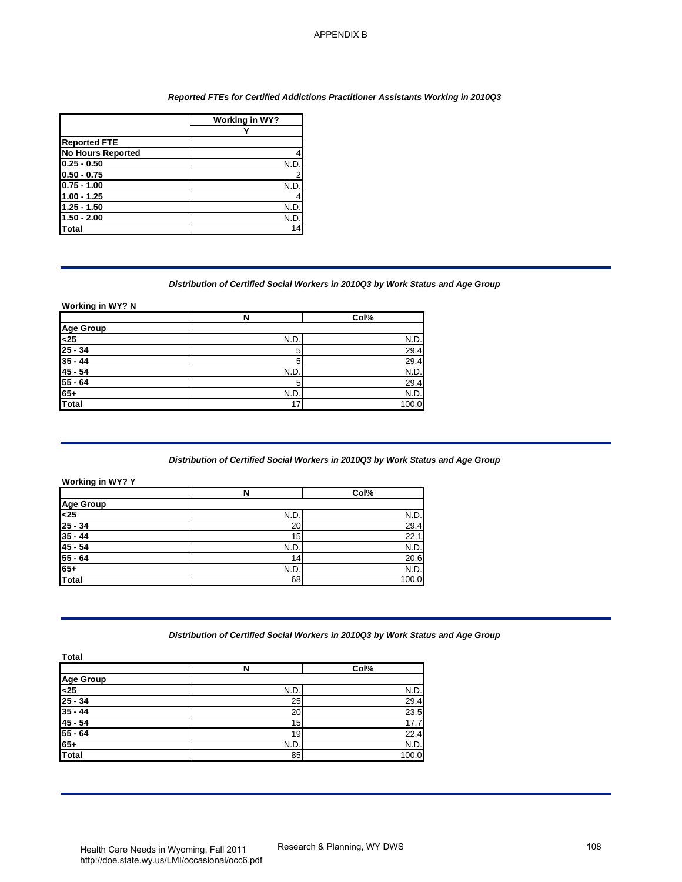#### *Reported FTEs for Certified Addictions Practitioner Assistants Working in 2010Q3*

|                          | Working in WY? |
|--------------------------|----------------|
|                          |                |
| <b>Reported FTE</b>      |                |
| <b>No Hours Reported</b> |                |
| $0.25 - 0.50$            | N.C            |
| $0.50 - 0.75$            |                |
| $0.75 - 1.00$            | N.D            |
| $1.00 - 1.25$            |                |
| $1.25 - 1.50$            | N.D            |
| $1.50 - 2.00$            | N.D            |
| Total                    | 14             |

#### *Distribution of Certified Social Workers in 2010Q3 by Work Status and Age Group*

|                                                                                                                                                                                                                                                                                                         |                            | Reported FTEs for Certified Addictions Practitioner Assistants Working in 2010Q3                 |  |
|---------------------------------------------------------------------------------------------------------------------------------------------------------------------------------------------------------------------------------------------------------------------------------------------------------|----------------------------|--------------------------------------------------------------------------------------------------|--|
|                                                                                                                                                                                                                                                                                                         | <b>Working in WY?</b><br>Y |                                                                                                  |  |
| <b>Reported FTE</b>                                                                                                                                                                                                                                                                                     |                            |                                                                                                  |  |
| <b>No Hours Reported</b>                                                                                                                                                                                                                                                                                | 4                          |                                                                                                  |  |
| $0.25 - 0.50$<br>$0.50 - 0.75$                                                                                                                                                                                                                                                                          | N.D                        |                                                                                                  |  |
| $0.75 - 1.00$                                                                                                                                                                                                                                                                                           | N.D.                       |                                                                                                  |  |
| $1.00 - 1.25$                                                                                                                                                                                                                                                                                           |                            |                                                                                                  |  |
| $1.25 - 1.50$<br>$1.50 - 2.00$                                                                                                                                                                                                                                                                          | N.D.<br>N.D.               |                                                                                                  |  |
| <b>Total</b>                                                                                                                                                                                                                                                                                            | 14                         |                                                                                                  |  |
|                                                                                                                                                                                                                                                                                                         |                            | Distribution of Certified Social Workers in 2010Q3 by Work Status and Age Group                  |  |
| Working in WY? N                                                                                                                                                                                                                                                                                        | N                          | Col%                                                                                             |  |
| <b>Age Group</b>                                                                                                                                                                                                                                                                                        |                            |                                                                                                  |  |
| $25$<br>$25 - 34$                                                                                                                                                                                                                                                                                       | N.D.<br>5                  | N.D.<br>29.4                                                                                     |  |
| $35 - 44$                                                                                                                                                                                                                                                                                               | 5                          | 29.4                                                                                             |  |
|                                                                                                                                                                                                                                                                                                         | N.D.                       | N.D.                                                                                             |  |
|                                                                                                                                                                                                                                                                                                         |                            |                                                                                                  |  |
|                                                                                                                                                                                                                                                                                                         | 5                          | 29.4                                                                                             |  |
|                                                                                                                                                                                                                                                                                                         | N.D.<br>17                 | N.D.<br>100.0<br>Distribution of Certified Social Workers in 2010Q3 by Work Status and Age Group |  |
|                                                                                                                                                                                                                                                                                                         |                            |                                                                                                  |  |
|                                                                                                                                                                                                                                                                                                         | N                          | Col%                                                                                             |  |
|                                                                                                                                                                                                                                                                                                         | N.D.                       | N.D                                                                                              |  |
|                                                                                                                                                                                                                                                                                                         | 20                         | 29.4                                                                                             |  |
|                                                                                                                                                                                                                                                                                                         | 15                         | 22.1                                                                                             |  |
|                                                                                                                                                                                                                                                                                                         | N.D.<br>14                 | N.D.<br>20.6                                                                                     |  |
|                                                                                                                                                                                                                                                                                                         | N.D.                       | N.D.                                                                                             |  |
|                                                                                                                                                                                                                                                                                                         | 68                         | 100.0                                                                                            |  |
|                                                                                                                                                                                                                                                                                                         |                            | Distribution of Certified Social Workers in 2010Q3 by Work Status and Age Group                  |  |
|                                                                                                                                                                                                                                                                                                         |                            |                                                                                                  |  |
|                                                                                                                                                                                                                                                                                                         | N                          | Col%                                                                                             |  |
|                                                                                                                                                                                                                                                                                                         | N.D.                       | N.D                                                                                              |  |
|                                                                                                                                                                                                                                                                                                         | 25                         | 29.4                                                                                             |  |
|                                                                                                                                                                                                                                                                                                         | 20                         | 23.5                                                                                             |  |
|                                                                                                                                                                                                                                                                                                         | 15<br>19                   | 17.7<br>22.4                                                                                     |  |
|                                                                                                                                                                                                                                                                                                         | N.D.                       | N.D.                                                                                             |  |
| $45 - 54$<br>$55 - 64$<br>$65+$<br>Total<br><b>Working in WY? Y</b><br><b>Age Group</b><br>$<$ 25<br>$25 - 34$<br>$35 - 44$<br>$45 - 54$<br>$55 - 64$<br>$65+$<br><b>Total</b><br><b>Total</b><br><b>Age Group</b><br>$25$<br>$25 - 34$<br>$35 - 44$<br>$45 - 54$<br>$55 - 64$<br>$65+$<br><b>Total</b> | 85                         | 100.0                                                                                            |  |

#### *Distribution of Certified Social Workers in 2010Q3 by Work Status and Age Group*

|                  | N               | Col%  |
|------------------|-----------------|-------|
|                  |                 |       |
| Age Group<br><25 | N.D.            | N.D.  |
| $25 - 34$        | 20              | 29.4  |
| $35 - 44$        | 15 <sub>1</sub> | 22.1  |
| $45 - 54$        | N.D.            | N.D.  |
| $55 - 64$        | 14              | 20.6  |
| $65+$            | N.D.            | N.D.  |
| Total            | 68              | 100.0 |

#### *Distribution of Certified Social Workers in 2010Q3 by Work Status and Age Group*

| <b>Total</b>     |                 |       |
|------------------|-----------------|-------|
|                  | N               | Col%  |
|                  |                 |       |
| Age Group<br><25 | N.D.            | N.D.  |
| $25 - 34$        | 25              | 29.4  |
| $35 - 44$        | 20              | 23.5  |
| $45 - 54$        | 15 <sub>1</sub> | 17.7  |
| $55 - 64$        | 19 <sub>1</sub> | 22.4  |
| $65+$            | N.D.            | N.D.  |
| Total            | 85              | 100.0 |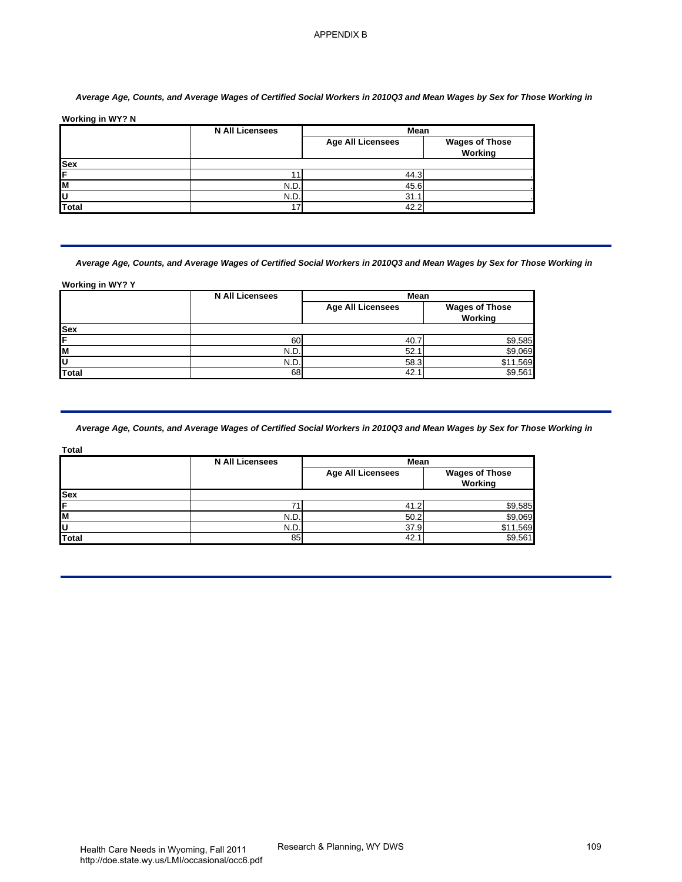## *Average Age, Counts, and Average Wages of Certified Social Workers in 2010Q3 and Mean Wages by Sex for Those Working in*

|              | <b>N All Licensees</b> | Mean                     |                                  |
|--------------|------------------------|--------------------------|----------------------------------|
|              |                        | <b>Age All Licensees</b> | <b>Wages of Those</b><br>Working |
| <b>Sex</b>   |                        |                          |                                  |
| IF           |                        | 44.3                     |                                  |
| lм           | N.D.                   | 45.6                     |                                  |
| IU           | N.D.                   | 31.1                     |                                  |
| <b>Total</b> | -                      | 42.2                     |                                  |

| <b>Wages of Those</b><br><b>Age All Licensees</b><br>Working<br>Sex<br>11<br>44.3<br>N.D.<br>$45.\overline{6}$<br>N.D.<br>31.1<br><b>Total</b><br>42.2<br>17<br>Average Age, Counts, and Average Wages of Certified Social Workers in 2010Q3 and Mean Wages by Sex for Those Working in<br><b>Working in WY? Y</b><br><b>N All Licensees</b><br>Mean<br><b>Age All Licensees</b><br><b>Wages of Those</b><br>Working<br><b>Sex</b><br>60<br>40.7<br>\$9,585<br>\$9,069<br>N.D.<br>52.1<br>N.D.<br>58.3<br>\$11,569<br><b>Total</b><br>68<br>42.1<br>\$9,561<br>Average Age, Counts, and Average Wages of Certified Social Workers in 2010Q3 and Mean Wages by Sex for Those Working in<br>Total<br><b>N All Licensees</b><br>Mean<br><b>Wages of Those</b><br><b>Age All Licensees</b><br>Working<br>Sex<br>71<br>41.2<br>\$9,585<br>N.D.<br>50.2<br>\$9,069<br>\$11,569<br>37.9<br>N.D.<br><b>Total</b><br>42.1<br>\$9,561<br>85 | Working in WY? N | <b>N All Licensees</b> | Mean |  |
|-----------------------------------------------------------------------------------------------------------------------------------------------------------------------------------------------------------------------------------------------------------------------------------------------------------------------------------------------------------------------------------------------------------------------------------------------------------------------------------------------------------------------------------------------------------------------------------------------------------------------------------------------------------------------------------------------------------------------------------------------------------------------------------------------------------------------------------------------------------------------------------------------------------------------------------|------------------|------------------------|------|--|
|                                                                                                                                                                                                                                                                                                                                                                                                                                                                                                                                                                                                                                                                                                                                                                                                                                                                                                                                   |                  |                        |      |  |
|                                                                                                                                                                                                                                                                                                                                                                                                                                                                                                                                                                                                                                                                                                                                                                                                                                                                                                                                   |                  |                        |      |  |
|                                                                                                                                                                                                                                                                                                                                                                                                                                                                                                                                                                                                                                                                                                                                                                                                                                                                                                                                   |                  |                        |      |  |
|                                                                                                                                                                                                                                                                                                                                                                                                                                                                                                                                                                                                                                                                                                                                                                                                                                                                                                                                   |                  |                        |      |  |
|                                                                                                                                                                                                                                                                                                                                                                                                                                                                                                                                                                                                                                                                                                                                                                                                                                                                                                                                   |                  |                        |      |  |
|                                                                                                                                                                                                                                                                                                                                                                                                                                                                                                                                                                                                                                                                                                                                                                                                                                                                                                                                   |                  |                        |      |  |
|                                                                                                                                                                                                                                                                                                                                                                                                                                                                                                                                                                                                                                                                                                                                                                                                                                                                                                                                   |                  |                        |      |  |
|                                                                                                                                                                                                                                                                                                                                                                                                                                                                                                                                                                                                                                                                                                                                                                                                                                                                                                                                   |                  |                        |      |  |
|                                                                                                                                                                                                                                                                                                                                                                                                                                                                                                                                                                                                                                                                                                                                                                                                                                                                                                                                   |                  |                        |      |  |
|                                                                                                                                                                                                                                                                                                                                                                                                                                                                                                                                                                                                                                                                                                                                                                                                                                                                                                                                   |                  |                        |      |  |
|                                                                                                                                                                                                                                                                                                                                                                                                                                                                                                                                                                                                                                                                                                                                                                                                                                                                                                                                   |                  |                        |      |  |
|                                                                                                                                                                                                                                                                                                                                                                                                                                                                                                                                                                                                                                                                                                                                                                                                                                                                                                                                   |                  |                        |      |  |
|                                                                                                                                                                                                                                                                                                                                                                                                                                                                                                                                                                                                                                                                                                                                                                                                                                                                                                                                   |                  |                        |      |  |
|                                                                                                                                                                                                                                                                                                                                                                                                                                                                                                                                                                                                                                                                                                                                                                                                                                                                                                                                   |                  |                        |      |  |
|                                                                                                                                                                                                                                                                                                                                                                                                                                                                                                                                                                                                                                                                                                                                                                                                                                                                                                                                   |                  |                        |      |  |
|                                                                                                                                                                                                                                                                                                                                                                                                                                                                                                                                                                                                                                                                                                                                                                                                                                                                                                                                   |                  |                        |      |  |
|                                                                                                                                                                                                                                                                                                                                                                                                                                                                                                                                                                                                                                                                                                                                                                                                                                                                                                                                   |                  |                        |      |  |
|                                                                                                                                                                                                                                                                                                                                                                                                                                                                                                                                                                                                                                                                                                                                                                                                                                                                                                                                   |                  |                        |      |  |
|                                                                                                                                                                                                                                                                                                                                                                                                                                                                                                                                                                                                                                                                                                                                                                                                                                                                                                                                   |                  |                        |      |  |

| ×<br>٦<br>.<br>۰. |
|-------------------|
|                   |

|              | <b>N All Licensees</b> | Mean                     |                                  |
|--------------|------------------------|--------------------------|----------------------------------|
|              |                        | <b>Age All Licensees</b> | <b>Wages of Those</b><br>Working |
| <b>Sex</b>   |                        |                          |                                  |
| IF           |                        | 41.2                     | \$9,585                          |
| lм           | N.D.                   | 50.2                     | \$9,069                          |
| IU           | N.D.                   | 37.9                     | \$11,569                         |
| <b>Total</b> | 85                     | 42.1                     | \$9,561                          |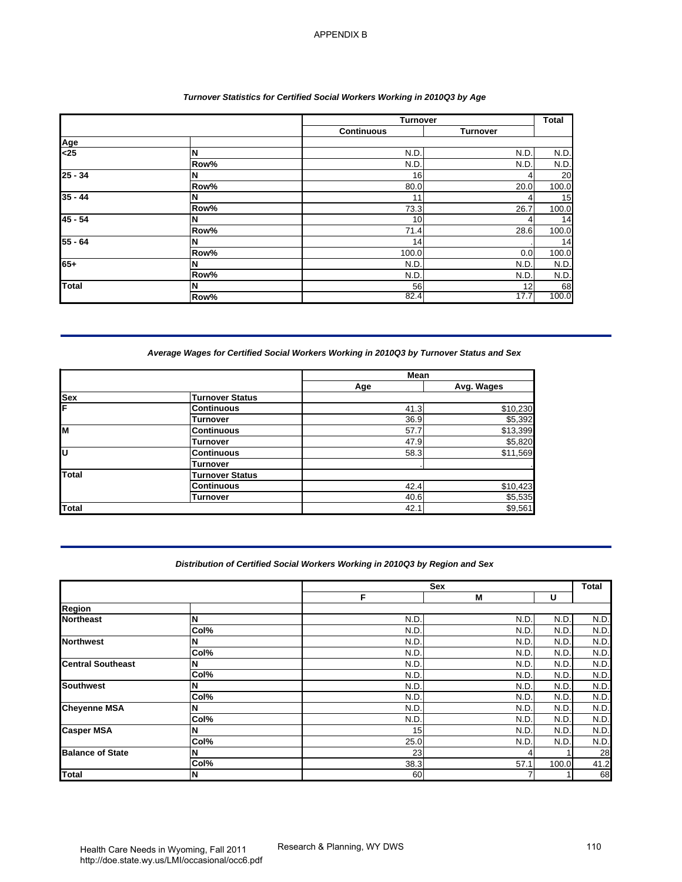# *Turnover Statistics for Certified Social Workers Working in 2010Q3 by Age*

|              |      | <b>Turnover</b>   |                 | <b>Total</b> |
|--------------|------|-------------------|-----------------|--------------|
|              |      | <b>Continuous</b> | <b>Turnover</b> |              |
| Age          |      |                   |                 |              |
| $25$         | N    | N.D               | N.D.            | N.D.         |
|              | Row% | N.D               | N.D.            | N.D.         |
| $25 - 34$    | N    | 16                | $\overline{4}$  | 20           |
|              | Row% | 80.0              | 20.0            | 100.0        |
| $35 - 44$    | N    | 11                | 4               | 15           |
|              | Row% | 73.3              | 26.7            | 100.0        |
| $45 - 54$    | N    | 10                | 4               | 14           |
|              | Row% | 71.4              | 28.6            | 100.0        |
| $55 - 64$    | N    | 14                |                 | 14           |
|              | Row% | 100.0             | 0.0             | 100.0        |
| $65+$        | N    | N.D.              | N.D.            | N.D.         |
|              | Row% | N.D               | N.D.            | N.D.         |
| <b>Total</b> | N    | 56                | 12 <sub>1</sub> | 68           |
|              | Row% | 82.4              | 17.7            | 100.0        |

## *Average Wages for Certified Social Workers Working in 2010Q3 by Turnover Status and Sex*

|            |                        | Mean |            |
|------------|------------------------|------|------------|
|            |                        | Age  | Avg. Wages |
| <b>Sex</b> | <b>Turnover Status</b> |      |            |
| ΙF         | <b>Continuous</b>      | 41.3 | \$10,230   |
|            | Turnover               | 36.9 | \$5,392    |
| M          | <b>Continuous</b>      | 57.7 | \$13,399   |
|            | Turnover               | 47.9 | \$5,820    |
| lυ         | <b>Continuous</b>      | 58.3 | \$11,569   |
|            | Turnover               |      |            |
| Total      | <b>Turnover Status</b> |      |            |
|            | <b>Continuous</b>      | 42.4 | \$10,423   |
|            | <b>Turnover</b>        | 40.6 | \$5,535    |
| Total      |                        | 42.1 | \$9,561    |

# *Distribution of Certified Social Workers Working in 2010Q3 by Region and Sex*

|                                                                                   |                                      | Turnover                                                                     |                    | <b>Total</b> |
|-----------------------------------------------------------------------------------|--------------------------------------|------------------------------------------------------------------------------|--------------------|--------------|
|                                                                                   |                                      | <b>Continuous</b>                                                            | <b>Turnover</b>    |              |
| Age<br>$25$                                                                       | N                                    | N.D.                                                                         | N.D                | N.D          |
|                                                                                   | Row%                                 | N.D                                                                          | N.D                | N.D          |
| $25 - 34$                                                                         | N                                    | 16                                                                           | 4                  | 20           |
|                                                                                   | Row%                                 | 80.0                                                                         | 20.0               | 100.0        |
| $35 - 44$                                                                         | N                                    | 11                                                                           |                    | 15           |
|                                                                                   | Row%                                 | 73.3                                                                         | 26.7               | 100.0        |
| $45 - 54$                                                                         | N<br>Row%                            | 10<br>71.4                                                                   | 4<br>28.6          | 14<br>100.0  |
| $55 - 64$                                                                         | N                                    | 14                                                                           |                    | 14           |
|                                                                                   | Row%                                 | 100.0                                                                        | 0.0                | 100.0        |
| $65+$                                                                             | N                                    | N.D                                                                          | N.D                | N.D          |
|                                                                                   | Row%                                 | N.D                                                                          | N.D                | N.D          |
| <b>Total</b>                                                                      | N<br>Row%                            | 56<br>82.4                                                                   | 12<br>17.7         | 68<br>100.0  |
|                                                                                   | <b>Turnover Status</b>               |                                                                              |                    |              |
| <b>Sex</b>                                                                        |                                      | Age                                                                          | Avg. Wages         |              |
|                                                                                   | <b>Continuous</b>                    | 41.3                                                                         | \$10,230           |              |
|                                                                                   | <b>Turnover</b>                      | 36.9                                                                         | \$5,392            |              |
|                                                                                   |                                      |                                                                              |                    |              |
|                                                                                   | <b>Continuous</b>                    | 57.7                                                                         | \$13,399           |              |
|                                                                                   | <b>Turnover</b>                      | 47.9<br>58.3                                                                 | \$5,820            |              |
|                                                                                   | <b>Continuous</b><br><b>Turnover</b> |                                                                              | \$11,569           |              |
|                                                                                   | <b>Turnover Status</b>               |                                                                              |                    |              |
|                                                                                   | <b>Continuous</b>                    | 42.4                                                                         | \$10,423           |              |
|                                                                                   | <b>Turnover</b>                      | 40.6<br>42.1                                                                 | \$5,535<br>\$9,561 |              |
| <b>Total</b><br>Total                                                             |                                      | Distribution of Certified Social Workers Working in 2010Q3 by Region and Sex |                    |              |
|                                                                                   |                                      | Sex<br>F                                                                     | M                  | U            |
|                                                                                   |                                      |                                                                              |                    |              |
|                                                                                   | N                                    | N.D                                                                          | N.D.               | N.D.         |
|                                                                                   | Col%<br>N                            | N.D<br>N.D                                                                   | N.D<br>N.D         | N.D<br>N.D   |
|                                                                                   | Col%                                 | N.D                                                                          | N.D                | N.D.         |
|                                                                                   | N                                    | N.D                                                                          | N.D                | N.D          |
| <b>Region</b><br><b>Northeast</b><br><b>Northwest</b><br><b>Central Southeast</b> | Col%                                 | N.D                                                                          | N.D                | N.D          |
| <b>Southwest</b>                                                                  | N                                    | N.D                                                                          | N.D                | N.D          |
|                                                                                   | Col%                                 | N.D                                                                          | N.D                | N.D          |
|                                                                                   | N<br>Col%                            | N.D<br>N.D.                                                                  | N.D<br>N.D         | N.D.<br>N.D. |
|                                                                                   | N                                    | 15                                                                           | N.D                | N.D.         |
| <b>Cheyenne MSA</b><br><b>Casper MSA</b>                                          | Col%                                 | 25.0                                                                         | N.D                | N.D.         |
| <b>Balance of State</b>                                                           | N<br>Col%                            | 23<br>38.3                                                                   | 4<br>57.1          | 100.0        |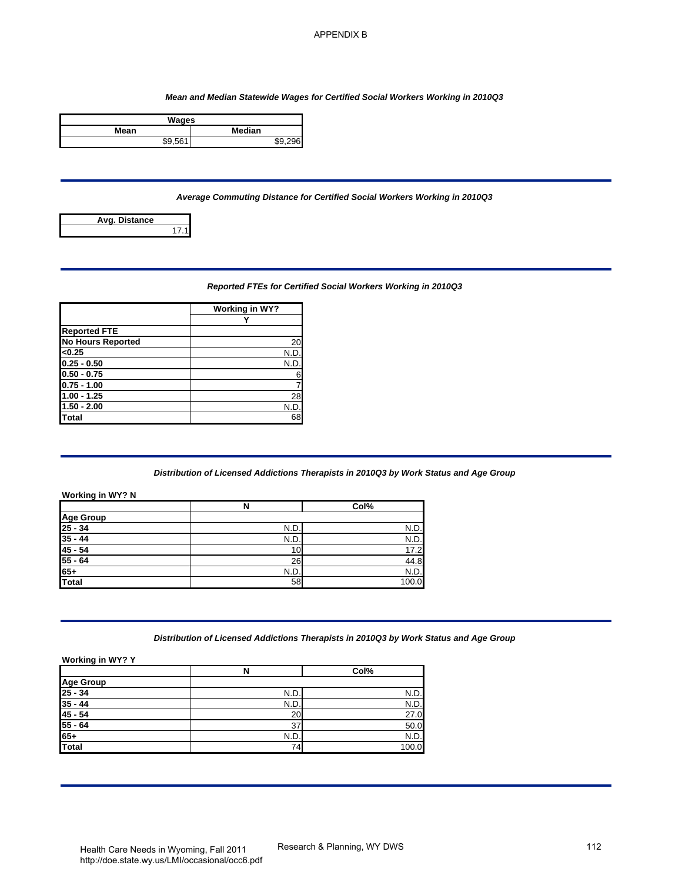#### *Mean and Median Statewide Wages for Certified Social Workers Working in 2010Q3*

| Wages         |               |
|---------------|---------------|
| Mean          | <b>Median</b> |
| <b>¢Q 561</b> | ¢۵            |

## *Average Commuting Distance for Certified Social Workers Working in 2010Q3*



## *Reported FTEs for Certified Social Workers Working in 2010Q3*

|                          | Working in WY? |
|--------------------------|----------------|
|                          |                |
| <b>Reported FTE</b>      |                |
| <b>No Hours Reported</b> | 20             |
| < 0.25                   | N.D            |
| $0.25 - 0.50$            | N.D            |
| $0.50 - 0.75$            | 6              |
| $0.75 - 1.00$            |                |
| 1.00 - 1.25              | 28             |
| $1.50 - 2.00$            | N.D.           |
| Total                    | 68             |

#### *Distribution of Licensed Addictions Therapists in 2010Q3 by Work Status and Age Group*

|                                                                                                                                                                                                                                                                                                        |                            | Mean and Median Statewide Wages for Certified Social Workers Working in 2010Q3        |  |
|--------------------------------------------------------------------------------------------------------------------------------------------------------------------------------------------------------------------------------------------------------------------------------------------------------|----------------------------|---------------------------------------------------------------------------------------|--|
| <b>Wages</b><br>Mean                                                                                                                                                                                                                                                                                   | Median                     |                                                                                       |  |
| \$9,561                                                                                                                                                                                                                                                                                                | \$9,296                    |                                                                                       |  |
|                                                                                                                                                                                                                                                                                                        |                            |                                                                                       |  |
|                                                                                                                                                                                                                                                                                                        |                            | Average Commuting Distance for Certified Social Workers Working in 2010Q3             |  |
| Avg. Distance<br>17.1                                                                                                                                                                                                                                                                                  |                            |                                                                                       |  |
|                                                                                                                                                                                                                                                                                                        |                            |                                                                                       |  |
|                                                                                                                                                                                                                                                                                                        |                            | Reported FTEs for Certified Social Workers Working in 2010Q3                          |  |
|                                                                                                                                                                                                                                                                                                        | <b>Working in WY?</b><br>Y |                                                                                       |  |
| <b>Reported FTE</b>                                                                                                                                                                                                                                                                                    |                            |                                                                                       |  |
| No Hours Reported                                                                                                                                                                                                                                                                                      | 20                         |                                                                                       |  |
| < 0.25                                                                                                                                                                                                                                                                                                 | N.D.                       |                                                                                       |  |
| $0.25 - 0.50$                                                                                                                                                                                                                                                                                          | N.D.                       |                                                                                       |  |
| $0.50 - 0.75$<br>$0.75 - 1.00$                                                                                                                                                                                                                                                                         | 6<br>$\overline{7}$        |                                                                                       |  |
|                                                                                                                                                                                                                                                                                                        |                            |                                                                                       |  |
|                                                                                                                                                                                                                                                                                                        |                            |                                                                                       |  |
|                                                                                                                                                                                                                                                                                                        | 28                         |                                                                                       |  |
|                                                                                                                                                                                                                                                                                                        | N.D.<br>68                 |                                                                                       |  |
|                                                                                                                                                                                                                                                                                                        |                            | Distribution of Licensed Addictions Therapists in 2010Q3 by Work Status and Age Group |  |
|                                                                                                                                                                                                                                                                                                        | N                          | Col%                                                                                  |  |
|                                                                                                                                                                                                                                                                                                        |                            |                                                                                       |  |
|                                                                                                                                                                                                                                                                                                        | N.D.                       | N.D.                                                                                  |  |
|                                                                                                                                                                                                                                                                                                        | N.D.                       | N.D.                                                                                  |  |
|                                                                                                                                                                                                                                                                                                        | 10                         | 17.2                                                                                  |  |
|                                                                                                                                                                                                                                                                                                        | 26                         | 44.8                                                                                  |  |
|                                                                                                                                                                                                                                                                                                        | N.D.<br>58                 | N.D.<br>100.0                                                                         |  |
|                                                                                                                                                                                                                                                                                                        |                            |                                                                                       |  |
|                                                                                                                                                                                                                                                                                                        |                            | Distribution of Licensed Addictions Therapists in 2010Q3 by Work Status and Age Group |  |
|                                                                                                                                                                                                                                                                                                        | N                          | Col%                                                                                  |  |
|                                                                                                                                                                                                                                                                                                        |                            |                                                                                       |  |
|                                                                                                                                                                                                                                                                                                        | N.D.                       | N.D.                                                                                  |  |
|                                                                                                                                                                                                                                                                                                        | N.D.                       | N.D                                                                                   |  |
|                                                                                                                                                                                                                                                                                                        | 20                         | $\overline{27.0}$                                                                     |  |
|                                                                                                                                                                                                                                                                                                        | $\overline{37}$            | 50.0                                                                                  |  |
| $1.00 - 1.25$<br>$1.50 - 2.00$<br>Total<br><b>Working in WY? N</b><br><b>Age Group</b><br>$25 - 34$<br>$\frac{35 - 44}{45 - 54}$<br>$\frac{48}{55 \cdot 64}$<br>$\frac{65+}{64}$<br>Total<br>Working in WY? Y<br>Age Group<br>25 - 34<br>35 - 44<br>$\frac{45 - 54}{55 - 64}$<br>$65+$<br><b>Total</b> | N.D.<br>74                 | N.D.<br>100.0                                                                         |  |
|                                                                                                                                                                                                                                                                                                        |                            |                                                                                       |  |

#### *Distribution of Licensed Addictions Therapists in 2010Q3 by Work Status and Age Group*

|                       | N    | Col%  |
|-----------------------|------|-------|
|                       |      |       |
| Age Group<br>25 - 34  | N.D. | N.D.  |
| $35 - 44$             | N.D. | N.D.  |
| $45 - 54$             | 20   | 27.0  |
| $\frac{55 - 64}{65+}$ | 37   | 50.0  |
|                       | N.D. | N.D.  |
| Total                 | 74   | 100.0 |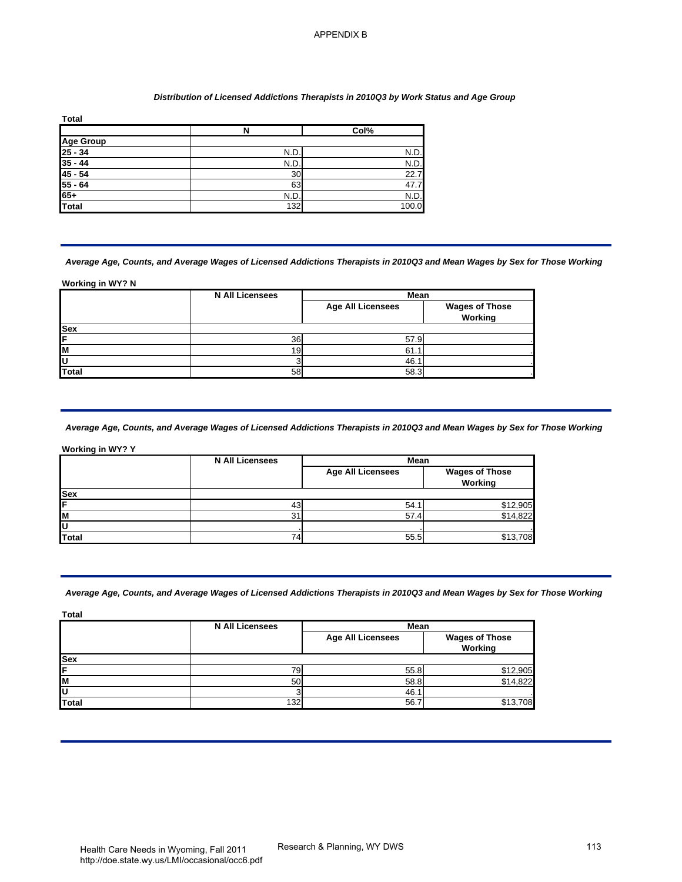#### *Distribution of Licensed Addictions Therapists in 2010Q3 by Work Status and Age Group*

| <b>Total</b>          |      |       |
|-----------------------|------|-------|
|                       | N    | Col%  |
| <b>Age Group</b>      |      |       |
| $25 - 34$             | N.D. | N.D.  |
| $35 - 44$             | N.D. | N.D.  |
| $45 - 54$             | 30   | 22.7  |
| $\frac{55 - 64}{65+}$ | 63   | 47.7  |
|                       | N.D. | N.D.  |
| Total                 | 132  | 100.0 |

#### *Average Age, Counts, and Average Wages of Licensed Addictions Therapists in 2010Q3 and Mean Wages by Sex for Those Working*

#### **Working in WY? N**

|            | <b>N All Licensees</b> | Mean                     |                                  |
|------------|------------------------|--------------------------|----------------------------------|
|            |                        | <b>Age All Licensees</b> | <b>Wages of Those</b><br>Working |
| <b>Sex</b> |                        |                          |                                  |
| ΙF         | 36                     | 57.9                     |                                  |
| lм         | 19                     | 61.                      |                                  |
| ΙU         |                        | 46.1                     |                                  |
| Total      | 58                     | 58.3                     |                                  |

## *Average Age, Counts, and Average Wages of Licensed Addictions Therapists in 2010Q3 and Mean Wages by Sex for Those Working*

| Working in WY? Y |                        |                          |                       |
|------------------|------------------------|--------------------------|-----------------------|
|                  | <b>N All Licensees</b> | Mean                     |                       |
|                  |                        | <b>Age All Licensees</b> | <b>Wages of Those</b> |
|                  |                        |                          | Working               |
| <b>Sex</b>       |                        |                          |                       |
| F                | 43                     | 54.1                     |                       |
| Iм               | 31                     | 57.4                     | \$12,905<br>\$14,822  |
| U                |                        |                          |                       |
| Total            | 74                     | 55.5                     | \$13,708              |

## *Average Age, Counts, and Average Wages of Licensed Addictions Therapists in 2010Q3 and Mean Wages by Sex for Those Working*

| <b>Age Group</b><br>$\frac{25 - 34}{35 - 44}$                                         | $\overline{\mathbf{N}}$                                                                                                                                         | Col%                             |                                  |
|---------------------------------------------------------------------------------------|-----------------------------------------------------------------------------------------------------------------------------------------------------------------|----------------------------------|----------------------------------|
|                                                                                       |                                                                                                                                                                 |                                  |                                  |
|                                                                                       | N.D.                                                                                                                                                            | N.D.                             |                                  |
|                                                                                       | N.D<br>30                                                                                                                                                       | N.D.<br>22.7                     |                                  |
| $\frac{45 - 54}{55 - 64}$                                                             | 63                                                                                                                                                              | 47.7                             |                                  |
|                                                                                       | N.D.                                                                                                                                                            | N.D.                             |                                  |
| Total                                                                                 | 132                                                                                                                                                             | 100.0                            |                                  |
| Working in WY? N                                                                      | Average Age, Counts, and Average Wages of Licensed Addictions Therapists in 2010Q3 and Mean Wages by Sex for Those Working<br><b>N All Licensees</b>            | Mean                             |                                  |
|                                                                                       |                                                                                                                                                                 | <b>Age All Licensees</b>         | <b>Wages of Those</b><br>Working |
|                                                                                       |                                                                                                                                                                 |                                  |                                  |
|                                                                                       | 36                                                                                                                                                              | 57.9                             |                                  |
|                                                                                       |                                                                                                                                                                 |                                  |                                  |
|                                                                                       | 19                                                                                                                                                              | 61.1                             |                                  |
|                                                                                       | 3<br>58<br>Average Age, Counts, and Average Wages of Licensed Addictions Therapists in 2010Q3 and Mean Wages by Sex for Those Working<br><b>N All Licensees</b> | 46.1<br>58.3<br>Mean             |                                  |
|                                                                                       |                                                                                                                                                                 | <b>Age All Licensees</b>         | <b>Wages of Those</b><br>Working |
|                                                                                       |                                                                                                                                                                 | 54.1                             |                                  |
|                                                                                       | 43<br>31                                                                                                                                                        | 57.4                             | \$12,905<br>\$14,822             |
|                                                                                       | 74                                                                                                                                                              | 55.5                             | \$13,708                         |
| <b>Total</b><br><b>Working in WY? Y</b><br><b>Sex</b><br><b>Total</b><br><b>Total</b> | Average Age, Counts, and Average Wages of Licensed Addictions Therapists in 2010Q3 and Mean Wages by Sex for Those Working                                      |                                  |                                  |
|                                                                                       | <b>N All Licensees</b>                                                                                                                                          | Mean<br><b>Age All Licensees</b> | <b>Wages of Those</b>            |
|                                                                                       |                                                                                                                                                                 |                                  | Working                          |
|                                                                                       |                                                                                                                                                                 |                                  |                                  |
|                                                                                       | 79                                                                                                                                                              | 55.8                             | \$12,905                         |
| <b>Total</b>                                                                          | 50<br>3<br>132                                                                                                                                                  | 58.8<br>46.1<br>56.7             | \$14,822<br>\$13,708             |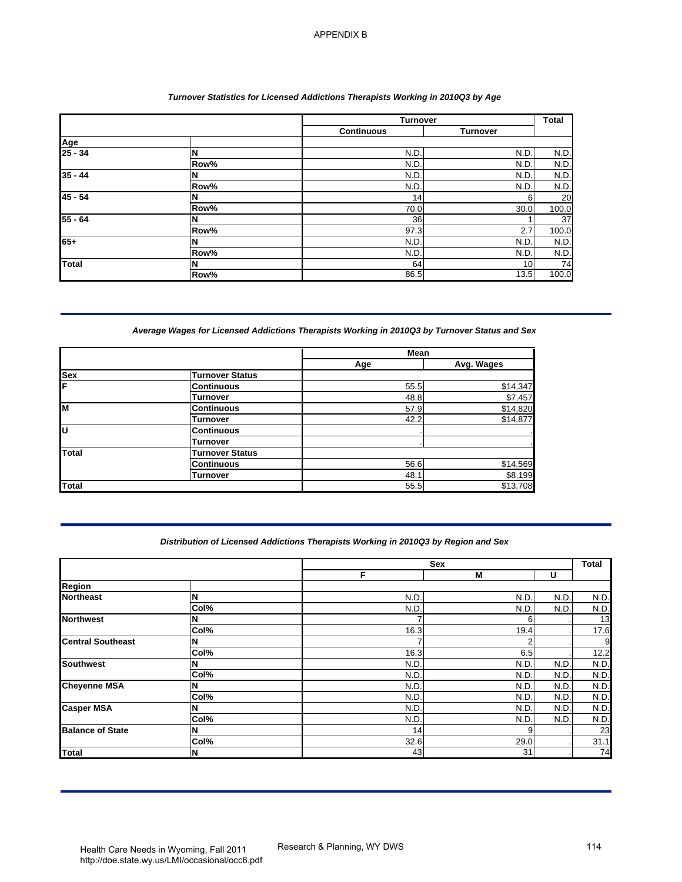## *Turnover Statistics for Licensed Addictions Therapists Working in 2010Q3 by Age*

|                |      | <b>Turnover</b>   |                 | <b>Total</b> |
|----------------|------|-------------------|-----------------|--------------|
|                |      | <b>Continuous</b> | <b>Turnover</b> |              |
| Age<br>25 - 34 |      |                   |                 |              |
|                | N    | N.D               | N.D             | N.D.         |
|                | Row% | N.D               | N.D             | N.D.         |
| $35 - 44$      | N    | N.D               | N.D             | N.D.         |
|                | Row% | N.D               | N.D             | N.D.         |
| $45 - 54$      |      | 14                | 6               | 20           |
|                | Row% | 70.0              | 30.0            | 100.0        |
| $55 - 64$      |      | 36                |                 | 37           |
|                | Row% | 97.3              | 2.7             | 100.0        |
| 65+            | N    | N.D               | N.D             | N.D.         |
|                | Row% | N.D               | N.D             | N.D.         |
| Total          | N    | 64                | 10              | 74           |
|                | Row% | 86.5              | 13.5            | 100.0        |

# *Average Wages for Licensed Addictions Therapists Working in 2010Q3 by Turnover Status and Sex*

|            |                        | Mean |            |
|------------|------------------------|------|------------|
|            |                        | Age  | Avg. Wages |
| <b>Sex</b> | <b>Turnover Status</b> |      |            |
| F          | <b>Continuous</b>      | 55.5 | \$14,347   |
|            | Turnover               | 48.8 | \$7,457    |
| lм         | <b>Continuous</b>      | 57.9 | \$14,820   |
|            | Turnover               | 42.2 | \$14,877   |
| Ιū         | <b>Continuous</b>      |      |            |
|            | Turnover               |      |            |
| Total      | <b>Turnover Status</b> |      |            |
|            | <b>Continuous</b>      | 56.6 | \$14,569   |
|            | Turnover               | 48.1 | \$8,199    |
| Total      |                        | 55.5 | \$13,708   |

## *Distribution of Licensed Addictions Therapists Working in 2010Q3 by Region and Sex*

| Age<br>$25 - 34$<br>$35 - 44$<br>$45 - 54$<br>55 - 64                                                                          | N<br>Row%<br>N<br>Row%<br>N                                                                   | <b>Continuous</b><br>N.D.<br>N.D<br>N.D | <b>Turnover</b><br>N.D.<br>N.D  |             |
|--------------------------------------------------------------------------------------------------------------------------------|-----------------------------------------------------------------------------------------------|-----------------------------------------|---------------------------------|-------------|
|                                                                                                                                |                                                                                               |                                         |                                 |             |
|                                                                                                                                |                                                                                               |                                         |                                 | N.D         |
|                                                                                                                                |                                                                                               |                                         |                                 | N.D         |
|                                                                                                                                |                                                                                               |                                         | N.D                             | N.D         |
|                                                                                                                                |                                                                                               | N.D.                                    | N.D                             | N.D.        |
|                                                                                                                                |                                                                                               | 14                                      | 6                               | 20          |
|                                                                                                                                | Row%<br>N                                                                                     | 70.0<br>36                              | 30.0<br>1                       | 100.0<br>37 |
|                                                                                                                                | Row%                                                                                          | 97.3                                    | 2.7                             | 100.0       |
| 65+                                                                                                                            | N                                                                                             | N.D                                     | N.D                             | N.D.        |
|                                                                                                                                | Row%                                                                                          | N.D.                                    | N.D                             | N.D.        |
| Total                                                                                                                          | N<br>Row%                                                                                     | 64<br>86.5                              | 10<br>13.5                      | 74<br>100.0 |
|                                                                                                                                |                                                                                               |                                         |                                 |             |
|                                                                                                                                | Average Wages for Licensed Addictions Therapists Working in 2010Q3 by Turnover Status and Sex |                                         |                                 |             |
|                                                                                                                                |                                                                                               | Mean                                    |                                 |             |
|                                                                                                                                |                                                                                               | Age                                     | Avg. Wages                      |             |
| <b>Sex</b>                                                                                                                     | <b>Turnover Status</b><br><b>Continuous</b>                                                   | 55.5                                    |                                 |             |
|                                                                                                                                | <b>Turnover</b>                                                                               | 48.8                                    | \$14,347<br>\$7,457             |             |
|                                                                                                                                | <b>Continuous</b>                                                                             | 57.9                                    | \$14,820                        |             |
|                                                                                                                                | <b>Turnover</b>                                                                               | 42.2                                    | \$14,877                        |             |
|                                                                                                                                | <b>Continuous</b>                                                                             |                                         |                                 |             |
|                                                                                                                                | <b>Turnover</b>                                                                               |                                         |                                 |             |
|                                                                                                                                |                                                                                               |                                         |                                 |             |
|                                                                                                                                | <b>Turnover Status</b><br><b>Continuous</b>                                                   | 56.6                                    |                                 |             |
|                                                                                                                                | <b>Turnover</b>                                                                               | 48.1<br>55.5                            | \$14,569<br>\$8,199<br>\$13,708 |             |
|                                                                                                                                |                                                                                               |                                         |                                 |             |
|                                                                                                                                | Distribution of Licensed Addictions Therapists Working in 2010Q3 by Region and Sex            |                                         |                                 |             |
|                                                                                                                                |                                                                                               | F                                       | Sex<br>M                        | U           |
|                                                                                                                                |                                                                                               |                                         |                                 |             |
|                                                                                                                                | N                                                                                             | N.D                                     | N.D                             | N.D.        |
|                                                                                                                                | Col%<br>N                                                                                     | N.D<br>7                                | N.D.<br>6                       | N.D         |
|                                                                                                                                | Col%                                                                                          | 16.3                                    | 19.4                            |             |
|                                                                                                                                | N                                                                                             | 7                                       | 2                               |             |
|                                                                                                                                | Col%                                                                                          | 16.3                                    | 6.5                             |             |
| <b>Total</b><br><b>Total</b><br>Region<br><b>Northeast</b><br><b>Northwest</b><br><b>Central Southeast</b><br><b>Southwest</b> | N                                                                                             | N.D                                     | N.D                             | N.D         |
| <b>Cheyenne MSA</b>                                                                                                            | Col%<br>N                                                                                     | N.D<br>N.D                              | N.D<br>N.D                      | N.D<br>N.D  |
|                                                                                                                                | Col%                                                                                          | N.D                                     | N.D                             | N.D.        |
|                                                                                                                                | N                                                                                             | N.D                                     | N.D                             | N.D.        |
|                                                                                                                                | Col%                                                                                          | N.D.                                    | N.D                             | N.D.        |
| <b>Casper MSA</b><br><b>Balance of State</b>                                                                                   | N<br>Col%                                                                                     | 14<br>32.6                              | 9<br>29.0                       |             |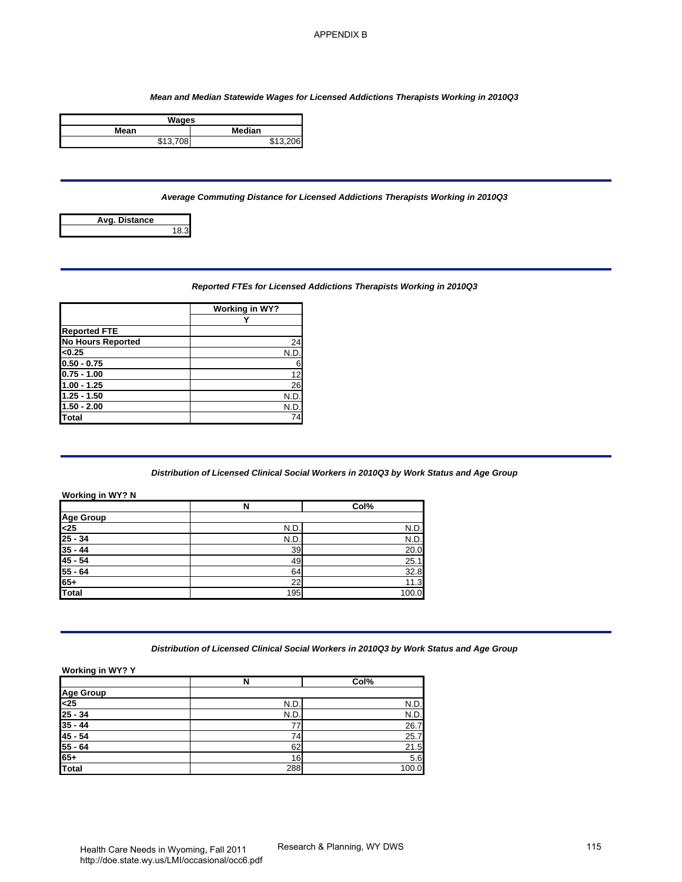#### *Mean and Median Statewide Wages for Licensed Addictions Therapists Working in 2010Q3*

| Wages    |          |  |  |
|----------|----------|--|--|
| Mean     | Median   |  |  |
| \$13.708 | \$13,206 |  |  |

## *Average Commuting Distance for Licensed Addictions Therapists Working in 2010Q3*



## *Reported FTEs for Licensed Addictions Therapists Working in 2010Q3*

|                          | Working in WY? |
|--------------------------|----------------|
|                          |                |
| <b>Reported FTE</b>      |                |
| <b>No Hours Reported</b> | 24             |
| < 0.25                   | N.D            |
| $0.50 - 0.75$            | 6              |
| $0.75 - 1.00$            | 12             |
| $1.00 - 1.25$            | 26             |
| $1.25 - 1.50$            | N.D            |
| $1.50 - 2.00$            | N.D.           |
| <b>Total</b>             | 74             |

#### *Distribution of Licensed Clinical Social Workers in 2010Q3 by Work Status and Age Group*

|                                        |                       | <b>APPENDIX B</b>                                                                       |     |
|----------------------------------------|-----------------------|-----------------------------------------------------------------------------------------|-----|
|                                        |                       |                                                                                         |     |
|                                        |                       |                                                                                         |     |
|                                        |                       | Mean and Median Statewide Wages for Licensed Addictions Therapists Working in 2010Q3    |     |
|                                        | <b>Wages</b>          |                                                                                         |     |
| Mean<br>\$13,708                       | Median<br>\$13,206    |                                                                                         |     |
|                                        |                       |                                                                                         |     |
|                                        |                       | Average Commuting Distance for Licensed Addictions Therapists Working in 2010Q3         |     |
| Avg. Distance                          |                       |                                                                                         |     |
|                                        | 18.3                  |                                                                                         |     |
|                                        |                       |                                                                                         |     |
|                                        |                       |                                                                                         |     |
|                                        |                       | Reported FTEs for Licensed Addictions Therapists Working in 2010Q3                      |     |
|                                        | <b>Working in WY?</b> |                                                                                         |     |
| <b>Reported FTE</b>                    | Υ                     |                                                                                         |     |
| <b>No Hours Reported</b>               | 24                    |                                                                                         |     |
| < 0.25                                 | N.D.                  |                                                                                         |     |
| $0.50 - 0.75$                          | 6                     |                                                                                         |     |
| $0.75 - 1.00$                          | 12                    |                                                                                         |     |
| $1.00 - 1.25$<br>$1.25 - 1.50$         | 26<br>N.D.            |                                                                                         |     |
| $1.50 - 2.00$                          | N.D.                  |                                                                                         |     |
| Total                                  | 74                    |                                                                                         |     |
|                                        |                       | Distribution of Licensed Clinical Social Workers in 2010Q3 by Work Status and Age Group |     |
| <b>Working in WY? N</b>                | N                     | Col%                                                                                    |     |
| <b>Age Group</b>                       |                       |                                                                                         |     |
| $25$                                   | N.D.                  | N.D                                                                                     |     |
| $\frac{25 - 34}{35 - 44}$              | N.D.                  | N.D.                                                                                    |     |
|                                        | 39                    | 20.0                                                                                    |     |
| $\frac{45 - 54}{55 - 64}$              | 49                    | 25.1                                                                                    |     |
| $65+$                                  | 64<br>22              | 32.8<br>11.3                                                                            |     |
| <b>Total</b>                           | 195                   | 100.0                                                                                   |     |
|                                        |                       |                                                                                         |     |
|                                        |                       | Distribution of Licensed Clinical Social Workers in 2010Q3 by Work Status and Age Group |     |
| Working in WY? Y                       |                       |                                                                                         |     |
| <b>Age Group</b>                       | N                     | Col%                                                                                    |     |
| $\overline{25}$                        | N.D.                  | N.D.                                                                                    |     |
| $\frac{25 - 34}{35 - 44}$              | N.D.                  | N.D.                                                                                    |     |
| $45 - 54$                              | 77<br>74              | 26.7<br>25.7                                                                            |     |
|                                        | 62                    | 21.5                                                                                    |     |
| 55 - 64<br>65+                         | 16                    | 5.6                                                                                     |     |
| <b>Total</b>                           | 288                   | 100.0                                                                                   |     |
|                                        |                       |                                                                                         |     |
|                                        |                       |                                                                                         |     |
|                                        |                       |                                                                                         |     |
|                                        |                       |                                                                                         |     |
|                                        |                       |                                                                                         |     |
| Health Care Needs in Wyoming Fall 2011 |                       | Research & Planning, WY DWS                                                             | 115 |

## *Distribution of Licensed Clinical Social Workers in 2010Q3 by Work Status and Age Group*

|                  | N    | Col%  |
|------------------|------|-------|
|                  |      |       |
| Age Group<br><25 | N.D. | N.D.  |
| $25 - 34$        | N.D. | N.D.  |
| $35 - 44$        |      | 26.7  |
| $45 - 54$        |      | 25.7  |
| $55 - 64$        | 62   | 21.5  |
| $65+$            | 16   | 5.6   |
| Total            | 288  | 100.0 |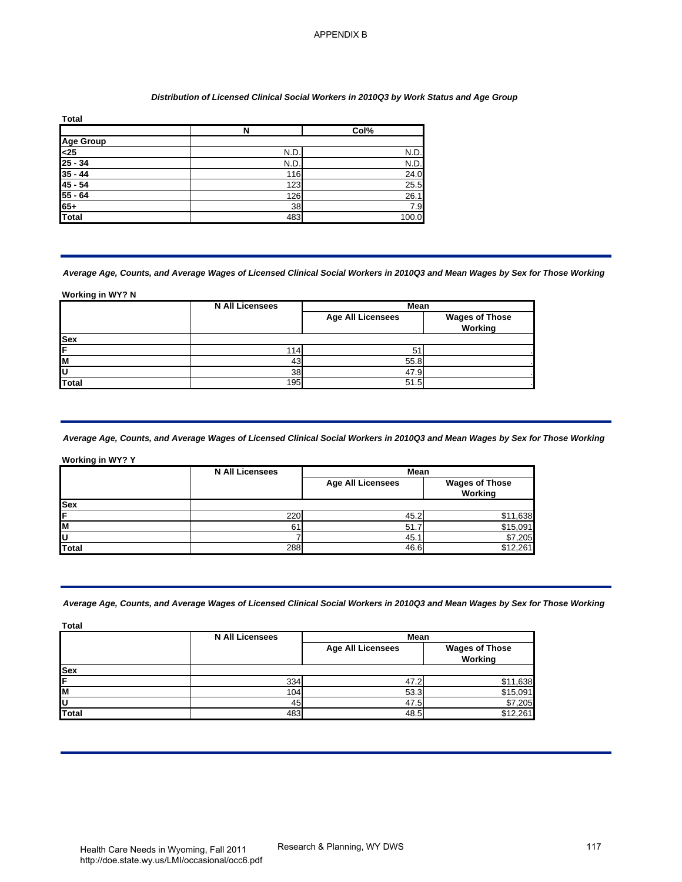#### *Distribution of Licensed Clinical Social Workers in 2010Q3 by Work Status and Age Group*

| <b>Total</b>     |      |       |
|------------------|------|-------|
|                  | N    | Col%  |
|                  |      |       |
| Age Group<br><25 | N.D  | N.D.  |
| $25 - 34$        | N.D. | N.D.  |
| $35 - 44$        | 116  | 24.0  |
| $45 - 54$        | 123  | 25.5  |
| $55 - 64$        | 126  | 26.1  |
| $65+$            | 38   | 7.9   |
| Total            | 483  | 100.0 |

## *Average Age, Counts, and Average Wages of Licensed Clinical Social Workers in 2010Q3 and Mean Wages by Sex for Those Working*

|            | <b>N All Licensees</b> | Mean                     |                                  |
|------------|------------------------|--------------------------|----------------------------------|
|            |                        | <b>Age All Licensees</b> | <b>Wages of Those</b><br>Working |
| <b>Sex</b> |                        |                          |                                  |
| lF         | 114                    |                          |                                  |
| lм         | 43                     | 55.8                     |                                  |
| ΙU         | 38 <sup>1</sup>        | 47.9                     |                                  |
| Total      | 195                    | 51.5                     |                                  |

## *Average Age, Counts, and Average Wages of Licensed Clinical Social Workers in 2010Q3 and Mean Wages by Sex for Those Working*

| <b>Total</b>                                                          | $\overline{\mathsf{N}}$                                                                                                                                      | Col%                             |                                  |
|-----------------------------------------------------------------------|--------------------------------------------------------------------------------------------------------------------------------------------------------------|----------------------------------|----------------------------------|
| <b>Age Group</b>                                                      |                                                                                                                                                              |                                  |                                  |
| $\frac{<25}{25 - 34}$                                                 | N.D.                                                                                                                                                         | N.D.                             |                                  |
|                                                                       | N.D.                                                                                                                                                         | N.D.                             |                                  |
| $\frac{35 - 44}{45 - 54}$                                             | 116<br>123                                                                                                                                                   | 24.0<br>25.5                     |                                  |
| $55 - 64$                                                             | 126                                                                                                                                                          | 26.1                             |                                  |
| 65+<br>Total                                                          | 38                                                                                                                                                           | 7.9                              |                                  |
|                                                                       | 483                                                                                                                                                          | 100.0                            |                                  |
| Working in WY? N                                                      | Average Age, Counts, and Average Wages of Licensed Clinical Social Workers in 2010Q3 and Mean Wages by Sex for Those Workin<br><b>N All Licensees</b>        | Mean                             |                                  |
| <b>Sex</b>                                                            |                                                                                                                                                              | <b>Age All Licensees</b>         | <b>Wages of Those</b><br>Working |
|                                                                       | 114                                                                                                                                                          | 51                               |                                  |
|                                                                       |                                                                                                                                                              | 55.8                             |                                  |
|                                                                       |                                                                                                                                                              |                                  |                                  |
|                                                                       | 43<br>38                                                                                                                                                     |                                  |                                  |
|                                                                       | 195<br>Average Age, Counts, and Average Wages of Licensed Clinical Social Workers in 2010Q3 and Mean Wages by Sex for Those Workin<br><b>N All Licensees</b> | 47.9<br>51.5<br>Mean             |                                  |
|                                                                       |                                                                                                                                                              | <b>Age All Licensees</b>         | <b>Wages of Those</b>            |
|                                                                       |                                                                                                                                                              |                                  | Working                          |
|                                                                       | 220                                                                                                                                                          | 45.2                             | \$11,638                         |
|                                                                       | 61                                                                                                                                                           | 51.7                             | \$15,091                         |
|                                                                       | 7                                                                                                                                                            | 45.1                             | \$7,205                          |
|                                                                       | 288                                                                                                                                                          | 46.6                             | \$12,261                         |
| <b>Total</b><br>Working in WY? Y<br>Sex<br>U<br>Total<br><b>Total</b> | Average Age, Counts, and Average Wages of Licensed Clinical Social Workers in 2010Q3 and Mean Wages by Sex for Those Workin                                  |                                  |                                  |
|                                                                       | <b>N All Licensees</b>                                                                                                                                       | Mean<br><b>Age All Licensees</b> | <b>Wages of Those</b>            |
|                                                                       |                                                                                                                                                              |                                  | Working                          |
|                                                                       | 334                                                                                                                                                          | 47.2                             | \$11,638                         |
|                                                                       | 104                                                                                                                                                          | 53.3                             | \$15,091                         |
| <b>Total</b>                                                          | 45<br>483                                                                                                                                                    | 47.5<br>48.5                     | \$7,205<br>\$12,261              |

## *Average Age, Counts, and Average Wages of Licensed Clinical Social Workers in 2010Q3 and Mean Wages by Sex for Those Working*

|            | <b>N All Licensees</b> | <b>Mean</b>              |                                  |
|------------|------------------------|--------------------------|----------------------------------|
|            |                        | <b>Age All Licensees</b> | <b>Wages of Those</b><br>Working |
| <b>Sex</b> |                        |                          |                                  |
| IF         | 334                    | 47.2                     | \$11,638                         |
| lм         | 104                    | 53.3                     | \$15,091                         |
| ΙU         | 45                     | 47.5                     | \$7,205                          |
| Total      | 483                    | 48.5                     | \$12,261                         |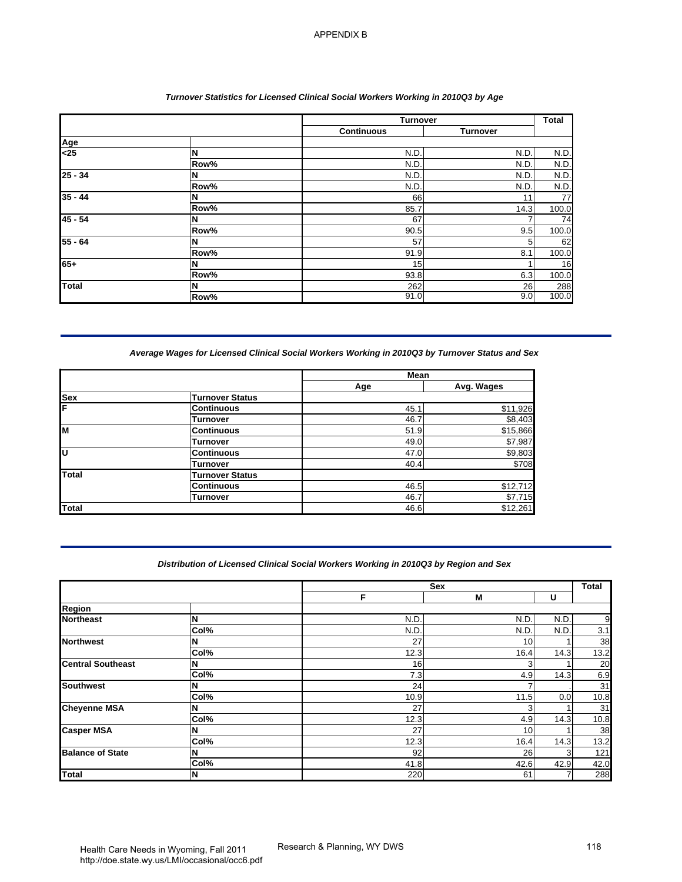|                                |      | <b>Turnover</b>   |                 | <b>Total</b> |
|--------------------------------|------|-------------------|-----------------|--------------|
|                                |      | <b>Continuous</b> | <b>Turnover</b> |              |
| $\frac{\text{Age}}{\text{25}}$ |      |                   |                 |              |
|                                | ΙN   | N.D.              | N.D.            | N.D.         |
|                                | Row% | N.D.              | N.D.            | N.D.         |
| $25 - 34$                      | N    | N.D.              | N.D.            | N.D.         |
|                                | Row% | N.D.              | N.D.            | N.D.         |
| $35 - 44$                      | IN   | 66                | 11              | 77           |
|                                | Row% | 85.7              | 14.3            | 100.0        |
| $45 - 54$                      | N    | 67                |                 | 74           |
|                                | Row% | 90.5              | 9.5             | 100.0        |
| $55 - 64$                      | ΙN   | 57                | 5               | 62           |
|                                | Row% | 91.9              | 8.1             | 100.0        |
| $65+$                          | N    | 15                |                 | 16           |
|                                | Row% | 93.8              | 6.3             | 100.0        |
| <b>Total</b>                   | IN   | 262               | 26              | 288          |
|                                | Row% | 91.0              | 9.0             | 100.0        |

## *Average Wages for Licensed Clinical Social Workers Working in 2010Q3 by Turnover Status and Sex*

|            |                        | Mean |            |
|------------|------------------------|------|------------|
|            |                        | Age  | Avg. Wages |
| <b>Sex</b> | <b>Turnover Status</b> |      |            |
| ΙF         | <b>Continuous</b>      | 45.7 | \$11,926   |
|            | <b>Turnover</b>        | 46.7 | \$8,403    |
| M          | <b>Continuous</b>      | 51.9 | \$15,866   |
|            | <b>Turnover</b>        | 49.0 | \$7,987    |
| lυ         | <b>Continuous</b>      | 47.0 | \$9,803    |
|            | Turnover               | 40.4 | \$708      |
| Total      | <b>Turnover Status</b> |      |            |
|            | <b>Continuous</b>      | 46.5 | \$12,712   |
|            | <b>Turnover</b>        | 46.7 | \$7,715    |
| Total      |                        | 46.6 | \$12,261   |

## *Distribution of Licensed Clinical Social Workers Working in 2010Q3 by Region and Sex*

|                                                                                   |                               | <b>Turnover</b>                                                                      |                     | <b>Total</b>       |
|-----------------------------------------------------------------------------------|-------------------------------|--------------------------------------------------------------------------------------|---------------------|--------------------|
|                                                                                   |                               | <b>Continuous</b>                                                                    | <b>Turnover</b>     |                    |
| Age<br><25                                                                        | N                             | N.D.                                                                                 | N.D.                | N.D                |
|                                                                                   | Row%                          | N.D                                                                                  | N.D                 | N.D                |
| $25 - 34$                                                                         | N                             | N.D.                                                                                 | N.D                 | N.D.               |
|                                                                                   | Row%                          | N.D                                                                                  | N.D                 | N.D.               |
| $35 - 44$                                                                         | N                             | 66                                                                                   | 11                  | 77                 |
| $45 - 54$                                                                         | Row%<br>N                     | 85.7<br>67                                                                           | 14.3<br>7           | 100.0<br>74        |
|                                                                                   | Row%                          | 90.5                                                                                 | 9.5                 | 100.0              |
| $55 - 64$                                                                         | N                             | 57                                                                                   | 5                   | 62                 |
|                                                                                   | Row%                          | 91.9                                                                                 | 8.1                 | 100.0              |
| $65+$                                                                             | N                             | 15                                                                                   | 1                   | 16                 |
|                                                                                   | Row%                          | 93.8                                                                                 | 6.3                 | 100.0              |
| Total                                                                             | N<br>Row%                     | 262<br>91.0                                                                          | 26<br>9.0           | 288<br>100.0       |
|                                                                                   | <b>Turnover Status</b>        |                                                                                      |                     |                    |
| Sex                                                                               |                               | Age                                                                                  | Avg. Wages          |                    |
|                                                                                   | <b>Continuous</b>             | 45.1                                                                                 | \$11,926            |                    |
|                                                                                   | Turnover                      | 46.7                                                                                 | \$8,403             |                    |
|                                                                                   |                               |                                                                                      |                     |                    |
|                                                                                   | <b>Continuous</b>             | 51.9                                                                                 | \$15,866            |                    |
|                                                                                   | Turnover<br><b>Continuous</b> | 49.0<br>47.0                                                                         | \$7,987<br>\$9,803  |                    |
|                                                                                   | <b>Turnover</b>               | 40.4                                                                                 | \$708               |                    |
|                                                                                   | <b>Turnover Status</b>        |                                                                                      |                     |                    |
|                                                                                   | <b>Continuous</b>             | 46.5                                                                                 | \$12,712            |                    |
|                                                                                   | <b>Turnover</b>               | 46.7<br>46.6                                                                         | \$7,715<br>\$12,261 |                    |
| Total<br><b>Total</b>                                                             |                               | Distribution of Licensed Clinical Social Workers Working in 2010Q3 by Region and Sex |                     |                    |
|                                                                                   |                               | F                                                                                    | Sex<br>Μ            | U                  |
|                                                                                   |                               |                                                                                      |                     |                    |
|                                                                                   | N                             | N.D.                                                                                 | N.D                 | N.D.               |
|                                                                                   | Col%<br>N                     | N.D<br>27                                                                            | N.D<br>10           | N.D.<br>1          |
|                                                                                   | Col%                          | 12.3                                                                                 | 16.4                | 14.3               |
| <b>Region</b><br><b>Northeast</b><br><b>Northwest</b><br><b>Central Southeast</b> | N                             | 16                                                                                   | 3                   | 1                  |
|                                                                                   | Col%                          | 7.3                                                                                  | 4.9                 | 14.3               |
|                                                                                   | N                             | 24                                                                                   | $\overline{7}$      |                    |
|                                                                                   | Col%                          | 10.9                                                                                 | 11.5                | 0.0<br>$\mathbf 1$ |
|                                                                                   | N<br>Col%                     | 27<br>12.3                                                                           | 3<br>4.9            | 14.3               |
|                                                                                   | N                             | 27                                                                                   | 10                  | 1                  |
| <b>Southwest</b><br><b>Cheyenne MSA</b><br><b>Casper MSA</b>                      | Col%                          | 12.3                                                                                 | 16.4                | 14.3               |
| <b>Balance of State</b>                                                           | N<br>Col%                     | 92<br>41.8                                                                           | 26<br>42.6          | 3<br>42.9          |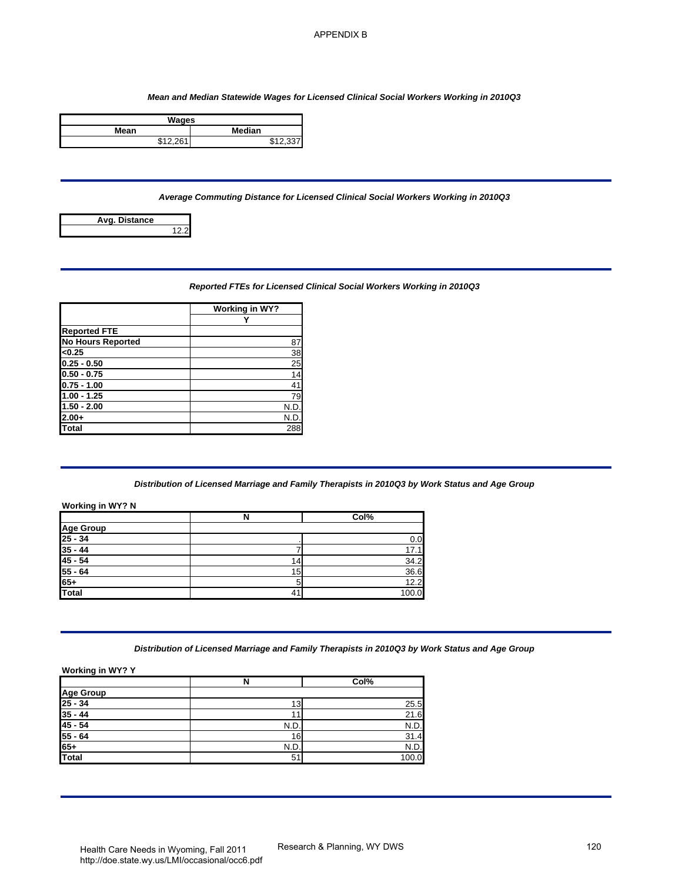#### *Mean and Median Statewide Wages for Licensed Clinical Social Workers Working in 2010Q3*

| Wages                 |                   |
|-----------------------|-------------------|
| Mean                  | <b>Median</b>     |
| $Q$ <sub>12</sub> $Q$ | <b>৫</b> 4 ຕັ້ງ ລ |

## *Average Commuting Distance for Licensed Clinical Social Workers Working in 2010Q3*



## *Reported FTEs for Licensed Clinical Social Workers Working in 2010Q3*

|                          | Working in WY?  |
|--------------------------|-----------------|
|                          |                 |
| <b>Reported FTE</b>      |                 |
| <b>No Hours Reported</b> | 87              |
| < 0.25                   | 38              |
| $0.25 - 0.50$            | 25              |
| $0.50 - 0.75$            | $\overline{14}$ |
| $0.75 - 1.00$            | 41              |
| $1.00 - 1.25$            | 79              |
| $1.50 - 2.00$            | N.D.            |
| $2.00+$                  | N.D.            |
| Total                    | 288             |

# *Distribution of Licensed Marriage and Family Therapists in 2010Q3 by Work Status and Age Group*

| Mean and Median Statewide Wages for Licensed Clinical Social Workers Working in 2010Q3<br><b>Wages</b><br>Median<br>Mean<br>\$12,261<br>\$12,337<br>Average Commuting Distance for Licensed Clinical Social Workers Working in 2010Q3<br>Avg. Distance<br>12.2<br>Reported FTEs for Licensed Clinical Social Workers Working in 2010Q3<br><b>Working in WY?</b><br>Y<br>87<br>38<br>25<br>14<br>41<br>79<br>N.D.<br>N.D.<br>288<br>Distribution of Licensed Marriage and Family Therapists in 2010Q3 by Work Status and Age Group<br>N<br>Col%<br>0.0<br>7<br>17.1<br>34.2<br>14<br>15<br>36.6<br>5<br>12.2<br>41<br>100.0<br>Distribution of Licensed Marriage and Family Therapists in 2010Q3 by Work Status and Age Group<br>Col%<br>N<br>25.5<br>13<br>11<br>21.6<br>N.D.<br>N.D.<br>31.4<br>16<br>N.D.<br>N.D.<br>51<br>100.0<br>Research & Planning, WY DWS<br>Health Care Needs in Wyoming Fall 2011 |  | <b>APPENDIX B</b> |     |
|-------------------------------------------------------------------------------------------------------------------------------------------------------------------------------------------------------------------------------------------------------------------------------------------------------------------------------------------------------------------------------------------------------------------------------------------------------------------------------------------------------------------------------------------------------------------------------------------------------------------------------------------------------------------------------------------------------------------------------------------------------------------------------------------------------------------------------------------------------------------------------------------------------------|--|-------------------|-----|
|                                                                                                                                                                                                                                                                                                                                                                                                                                                                                                                                                                                                                                                                                                                                                                                                                                                                                                             |  |                   |     |
|                                                                                                                                                                                                                                                                                                                                                                                                                                                                                                                                                                                                                                                                                                                                                                                                                                                                                                             |  |                   |     |
|                                                                                                                                                                                                                                                                                                                                                                                                                                                                                                                                                                                                                                                                                                                                                                                                                                                                                                             |  |                   |     |
|                                                                                                                                                                                                                                                                                                                                                                                                                                                                                                                                                                                                                                                                                                                                                                                                                                                                                                             |  |                   |     |
|                                                                                                                                                                                                                                                                                                                                                                                                                                                                                                                                                                                                                                                                                                                                                                                                                                                                                                             |  |                   |     |
|                                                                                                                                                                                                                                                                                                                                                                                                                                                                                                                                                                                                                                                                                                                                                                                                                                                                                                             |  |                   |     |
|                                                                                                                                                                                                                                                                                                                                                                                                                                                                                                                                                                                                                                                                                                                                                                                                                                                                                                             |  |                   |     |
|                                                                                                                                                                                                                                                                                                                                                                                                                                                                                                                                                                                                                                                                                                                                                                                                                                                                                                             |  |                   |     |
|                                                                                                                                                                                                                                                                                                                                                                                                                                                                                                                                                                                                                                                                                                                                                                                                                                                                                                             |  |                   |     |
|                                                                                                                                                                                                                                                                                                                                                                                                                                                                                                                                                                                                                                                                                                                                                                                                                                                                                                             |  |                   |     |
|                                                                                                                                                                                                                                                                                                                                                                                                                                                                                                                                                                                                                                                                                                                                                                                                                                                                                                             |  |                   |     |
| <b>Reported FTE</b><br><b>No Hours Reported</b><br>< 0.25<br>$0.25 - 0.50$<br>$0.50 - 0.75$<br>$0.75 - 1.00$<br>$1.00 - 1.25$<br>$1.50 - 2.00$<br>$2.00+$<br><b>Total</b><br>Working in WY? N<br><b>Age Group</b><br>$\frac{25 - 34}{35 - 44}$<br>$\frac{45 - 54}{55 - 64}$<br>$65+$<br><b>Total</b><br>Working in WY? Y                                                                                                                                                                                                                                                                                                                                                                                                                                                                                                                                                                                    |  |                   |     |
|                                                                                                                                                                                                                                                                                                                                                                                                                                                                                                                                                                                                                                                                                                                                                                                                                                                                                                             |  |                   |     |
|                                                                                                                                                                                                                                                                                                                                                                                                                                                                                                                                                                                                                                                                                                                                                                                                                                                                                                             |  |                   |     |
|                                                                                                                                                                                                                                                                                                                                                                                                                                                                                                                                                                                                                                                                                                                                                                                                                                                                                                             |  |                   |     |
|                                                                                                                                                                                                                                                                                                                                                                                                                                                                                                                                                                                                                                                                                                                                                                                                                                                                                                             |  |                   |     |
|                                                                                                                                                                                                                                                                                                                                                                                                                                                                                                                                                                                                                                                                                                                                                                                                                                                                                                             |  |                   |     |
|                                                                                                                                                                                                                                                                                                                                                                                                                                                                                                                                                                                                                                                                                                                                                                                                                                                                                                             |  |                   |     |
|                                                                                                                                                                                                                                                                                                                                                                                                                                                                                                                                                                                                                                                                                                                                                                                                                                                                                                             |  |                   |     |
|                                                                                                                                                                                                                                                                                                                                                                                                                                                                                                                                                                                                                                                                                                                                                                                                                                                                                                             |  |                   |     |
|                                                                                                                                                                                                                                                                                                                                                                                                                                                                                                                                                                                                                                                                                                                                                                                                                                                                                                             |  |                   |     |
|                                                                                                                                                                                                                                                                                                                                                                                                                                                                                                                                                                                                                                                                                                                                                                                                                                                                                                             |  |                   |     |
|                                                                                                                                                                                                                                                                                                                                                                                                                                                                                                                                                                                                                                                                                                                                                                                                                                                                                                             |  |                   |     |
|                                                                                                                                                                                                                                                                                                                                                                                                                                                                                                                                                                                                                                                                                                                                                                                                                                                                                                             |  |                   |     |
|                                                                                                                                                                                                                                                                                                                                                                                                                                                                                                                                                                                                                                                                                                                                                                                                                                                                                                             |  |                   |     |
|                                                                                                                                                                                                                                                                                                                                                                                                                                                                                                                                                                                                                                                                                                                                                                                                                                                                                                             |  |                   |     |
|                                                                                                                                                                                                                                                                                                                                                                                                                                                                                                                                                                                                                                                                                                                                                                                                                                                                                                             |  |                   |     |
|                                                                                                                                                                                                                                                                                                                                                                                                                                                                                                                                                                                                                                                                                                                                                                                                                                                                                                             |  |                   |     |
|                                                                                                                                                                                                                                                                                                                                                                                                                                                                                                                                                                                                                                                                                                                                                                                                                                                                                                             |  |                   |     |
|                                                                                                                                                                                                                                                                                                                                                                                                                                                                                                                                                                                                                                                                                                                                                                                                                                                                                                             |  |                   |     |
| Age Group<br>25 - 34<br>$\frac{35 - 44}{45 - 54}$<br>$55 - 64$<br>65+<br>Total                                                                                                                                                                                                                                                                                                                                                                                                                                                                                                                                                                                                                                                                                                                                                                                                                              |  |                   |     |
|                                                                                                                                                                                                                                                                                                                                                                                                                                                                                                                                                                                                                                                                                                                                                                                                                                                                                                             |  |                   |     |
|                                                                                                                                                                                                                                                                                                                                                                                                                                                                                                                                                                                                                                                                                                                                                                                                                                                                                                             |  |                   |     |
|                                                                                                                                                                                                                                                                                                                                                                                                                                                                                                                                                                                                                                                                                                                                                                                                                                                                                                             |  |                   |     |
|                                                                                                                                                                                                                                                                                                                                                                                                                                                                                                                                                                                                                                                                                                                                                                                                                                                                                                             |  |                   |     |
|                                                                                                                                                                                                                                                                                                                                                                                                                                                                                                                                                                                                                                                                                                                                                                                                                                                                                                             |  |                   |     |
|                                                                                                                                                                                                                                                                                                                                                                                                                                                                                                                                                                                                                                                                                                                                                                                                                                                                                                             |  |                   |     |
|                                                                                                                                                                                                                                                                                                                                                                                                                                                                                                                                                                                                                                                                                                                                                                                                                                                                                                             |  |                   |     |
|                                                                                                                                                                                                                                                                                                                                                                                                                                                                                                                                                                                                                                                                                                                                                                                                                                                                                                             |  |                   |     |
|                                                                                                                                                                                                                                                                                                                                                                                                                                                                                                                                                                                                                                                                                                                                                                                                                                                                                                             |  |                   |     |
|                                                                                                                                                                                                                                                                                                                                                                                                                                                                                                                                                                                                                                                                                                                                                                                                                                                                                                             |  |                   |     |
|                                                                                                                                                                                                                                                                                                                                                                                                                                                                                                                                                                                                                                                                                                                                                                                                                                                                                                             |  |                   |     |
|                                                                                                                                                                                                                                                                                                                                                                                                                                                                                                                                                                                                                                                                                                                                                                                                                                                                                                             |  |                   |     |
|                                                                                                                                                                                                                                                                                                                                                                                                                                                                                                                                                                                                                                                                                                                                                                                                                                                                                                             |  |                   | 120 |

## *Distribution of Licensed Marriage and Family Therapists in 2010Q3 by Work Status and Age Group*

|                                            | N    | Col%  |
|--------------------------------------------|------|-------|
|                                            |      |       |
| Age Group<br>25 - 34<br>35 - 44<br>45 - 54 | 13.  | 25.5  |
|                                            |      | 21.6  |
|                                            | N.D. | N.D.  |
|                                            | 16   | 31.4  |
| $\frac{55 - 64}{65+}$                      | N.D  | N.D.  |
| <b>Total</b>                               | 51   | 100.0 |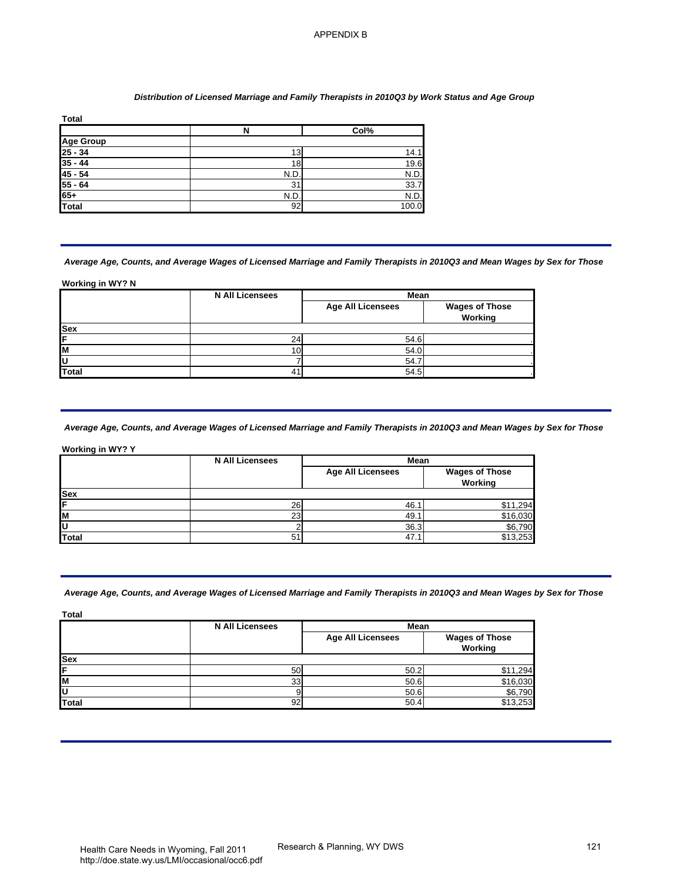## *Distribution of Licensed Marriage and Family Therapists in 2010Q3 by Work Status and Age Group*

| <b>Total</b>         |     |       |
|----------------------|-----|-------|
|                      | N   | Col%  |
|                      |     |       |
| Age Group<br>25 - 34 | 13  | 14.1  |
| $35 - 44$            | 18  | 19.6  |
| $45 - 54$            | N.D | N.D.  |
| $55 - 64$            | 31  | 33.7  |
| $65+$                | N.D | N.D.  |
| <b>Total</b>         | 92  | 100.0 |

#### *Average Age, Counts, and Average Wages of Licensed Marriage and Family Therapists in 2010Q3 and Mean Wages by Sex for Those*

#### **Working in WY? N**

| <b>Age Group</b><br>$\frac{25 - 34}{35 - 44}$<br>$\frac{45 - 54}{55 - 64}$ | $\overline{\mathsf{N}}$                                                                                                                                          | Col%                                             |                                             |
|----------------------------------------------------------------------------|------------------------------------------------------------------------------------------------------------------------------------------------------------------|--------------------------------------------------|---------------------------------------------|
|                                                                            |                                                                                                                                                                  |                                                  |                                             |
|                                                                            | 13                                                                                                                                                               | 14.1                                             |                                             |
|                                                                            | 18<br>N.D.                                                                                                                                                       | 19.6<br>N.D.                                     |                                             |
|                                                                            | 31                                                                                                                                                               | 33.7                                             |                                             |
|                                                                            | N.D.                                                                                                                                                             | N.D.                                             |                                             |
| <b>Total</b>                                                               | 92                                                                                                                                                               | 100.0                                            |                                             |
| Working in WY? N                                                           | Average Age, Counts, and Average Wages of Licensed Marriage and Family Therapists in 2010Q3 and Mean Wages by Sex for Those<br><b>N All Licensees</b>            | Mean                                             |                                             |
|                                                                            |                                                                                                                                                                  | <b>Age All Licensees</b>                         | <b>Wages of Those</b><br>Working            |
|                                                                            |                                                                                                                                                                  |                                                  |                                             |
|                                                                            | 24                                                                                                                                                               | 54.6                                             |                                             |
|                                                                            | 10                                                                                                                                                               | 54.0                                             |                                             |
|                                                                            |                                                                                                                                                                  |                                                  |                                             |
|                                                                            | 7<br>41<br>Average Age, Counts, and Average Wages of Licensed Marriage and Family Therapists in 2010Q3 and Mean Wages by Sex for Those<br><b>N All Licensees</b> | 54.7<br>54.5<br>Mean<br><b>Age All Licensees</b> | <b>Wages of Those</b><br>Working            |
|                                                                            | 26<br>23<br>$\overline{\mathbf{c}}$<br>51                                                                                                                        | 46.1<br>49.1<br>36.3<br>47.1                     | \$11,294<br>\$16,030<br>\$6,790<br>\$13,253 |
| U<br>Total<br>Working in WY? Y<br>Sex<br><b>Total</b><br><b>Total</b>      | Average Age, Counts, and Average Wages of Licensed Marriage and Family Therapists in 2010Q3 and Mean Wages by Sex for Those<br><b>N All Licensees</b>            | Mean                                             |                                             |
| Sex                                                                        |                                                                                                                                                                  | <b>Age All Licensees</b>                         | <b>Wages of Those</b><br>Working            |
|                                                                            |                                                                                                                                                                  |                                                  |                                             |
|                                                                            | 50                                                                                                                                                               | 50.2                                             | $\overline{$}11,294$                        |
| <u>i<br/>M<br/>U<br/>Total</u>                                             | 33<br>$\boldsymbol{9}$                                                                                                                                           | 50.6<br>50.6                                     | \$16,030<br>\$6,790                         |

## *Average Age, Counts, and Average Wages of Licensed Marriage and Family Therapists in 2010Q3 and Mean Wages by Sex for Those*

|            | <b>N All Licensees</b> | Mean                     |                                  |
|------------|------------------------|--------------------------|----------------------------------|
|            |                        | <b>Age All Licensees</b> | <b>Wages of Those</b><br>Working |
| <b>Sex</b> |                        |                          |                                  |
| IF         | 26                     | 46.                      | 1,294                            |
| lм         | 23                     | 49.1                     | \$16,030                         |
| ΙU         |                        | 36.3                     | \$6,790                          |
| Total      | 51                     | 47                       | \$13,253                         |

## *Average Age, Counts, and Average Wages of Licensed Marriage and Family Therapists in 2010Q3 and Mean Wages by Sex for Those*

| <b>Total</b> |                                |                          |                                  |
|--------------|--------------------------------|--------------------------|----------------------------------|
|              | <b>N All Licensees</b><br>Mean |                          |                                  |
|              |                                | <b>Age All Licensees</b> | <b>Wages of Those</b><br>Working |
| <b>Sex</b>   |                                |                          |                                  |
|              | 50                             | 50.2                     | \$11,294                         |
| lМ           | 33                             | 50.6                     | \$16,030                         |
|              |                                | 50.6                     | $$6,790$<br>$$13,253$            |
| <b>Total</b> | 92                             | 50.4                     |                                  |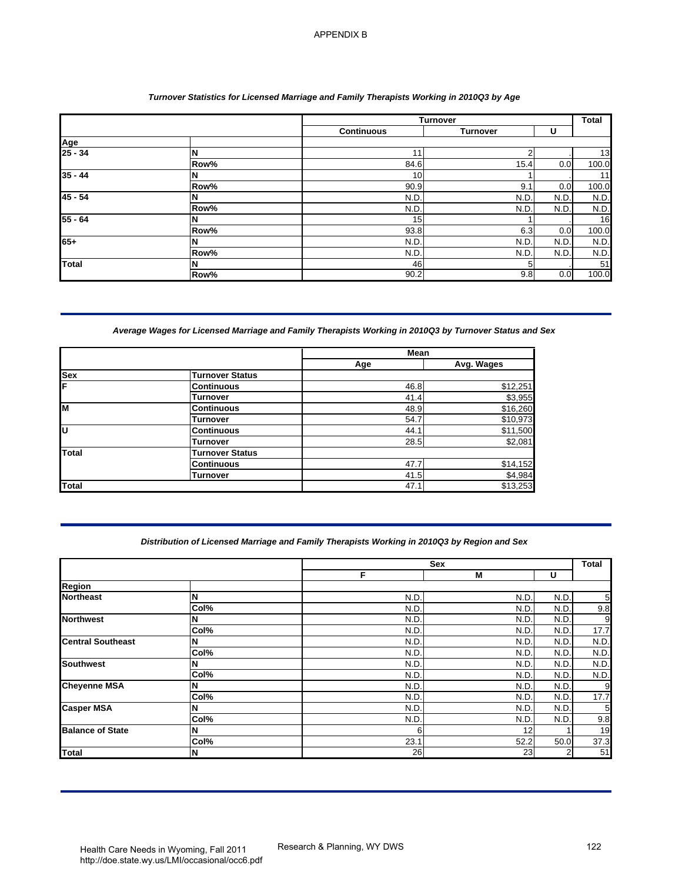## *Turnover Statistics for Licensed Marriage and Family Therapists Working in 2010Q3 by Age*

|                |      |                   | <b>Turnover</b> |      | <b>Total</b> |
|----------------|------|-------------------|-----------------|------|--------------|
|                |      | <b>Continuous</b> | <b>Turnover</b> | U    |              |
| Age<br>25 - 34 |      |                   |                 |      |              |
|                | N    | 11                | ◠               |      | 13           |
|                | Row% | 84.6              | 15.4            | 0.0  | 100.0        |
| $35 - 44$      | N    | 10                |                 |      | 11           |
|                | Row% | 90.9              | 9.1             | 0.0  | 100.0        |
| $45 - 54$      | N    | N.D.              | N.D.            | N.D  | N.D.         |
|                | Row% | N.D.              | N.D.            | N.D. | N.D.         |
| $55 - 64$      | N    | 15 <sub>l</sub>   |                 |      | 16           |
|                | Row% | 93.8              | 6.3             | 0.0  | 100.0        |
| 65+            | N    | N.D.              | N.D.            | N.D. | N.D.         |
|                | Row% | N.D.              | N.D.            | N.D. | N.D.         |
| <b>Total</b>   | N    | 46                | 5               |      | 51           |
|                | Row% | 90.2              | 9.8             | 0.0  | 100.0        |

# *Average Wages for Licensed Marriage and Family Therapists Working in 2010Q3 by Turnover Status and Sex*

|          |                        | <b>Mean</b> |            |
|----------|------------------------|-------------|------------|
|          |                        | Age         | Avg. Wages |
| Sex<br>F | <b>Turnover Status</b> |             |            |
|          | <b>Continuous</b>      | 46.8        | \$12,251   |
|          | Turnover               | 41.4        | \$3,955    |
| lм       | <b>Continuous</b>      | 48.9        | \$16,260   |
|          | <b>Turnover</b>        | 54.7        | \$10,973   |
| lū       | <b>Continuous</b>      | 44.1        | \$11,500   |
|          | <b>Turnover</b>        | 28.5        | \$2,081    |
| Total    | <b>Turnover Status</b> |             |            |
|          | <b>Continuous</b>      | 47.7        | \$14,152   |
|          | Turnover               | 41.5        | \$4,984    |
| Total    |                        | 47.1        | \$13,253   |

## *Distribution of Licensed Marriage and Family Therapists Working in 2010Q3 by Region and Sex*

|                                                                                                                                       |                                                                                             |                          | Turnover                 |              | Total                                 |
|---------------------------------------------------------------------------------------------------------------------------------------|---------------------------------------------------------------------------------------------|--------------------------|--------------------------|--------------|---------------------------------------|
| Age                                                                                                                                   |                                                                                             | <b>Continuous</b>        | <b>Turnover</b>          | U            |                                       |
| $25 - 34$                                                                                                                             | N                                                                                           | 11                       | $\boldsymbol{2}$         |              |                                       |
|                                                                                                                                       | Row%                                                                                        | 84.6                     | 15.4                     | 0.0          | 100.0                                 |
| $35 - 44$                                                                                                                             | N<br>Row%                                                                                   | 10<br>90.9               | 1<br>9.1                 | 0.0          | 100.0                                 |
| $45 - 54$                                                                                                                             | N                                                                                           | N.D.                     | N.D.                     | N.D.         | N.D.                                  |
|                                                                                                                                       | Row%                                                                                        | N.D                      | N.D                      | N.D.         | N.D.                                  |
| $55 - 64$                                                                                                                             | N                                                                                           | 15                       | 1                        |              |                                       |
| 65+                                                                                                                                   | Row%<br>N                                                                                   | $93.\overline{8}$<br>N.D | $6.\overline{3}$<br>N.D. | 0.0<br>N.D.  | 100.0<br>N.D.                         |
|                                                                                                                                       | Row%                                                                                        | N.D.                     | N.D                      | N.D.         | N.D.                                  |
| Total                                                                                                                                 | N                                                                                           | 46                       | 5                        |              |                                       |
|                                                                                                                                       | Row%                                                                                        | 90.2                     | 9.8                      | 0.0          | 100.0                                 |
|                                                                                                                                       |                                                                                             | Mean<br>Age              | Avg. Wages               |              |                                       |
|                                                                                                                                       |                                                                                             |                          |                          |              |                                       |
| <b>Sex</b>                                                                                                                            | <b>Turnover Status</b><br><b>Continuous</b>                                                 | 46.8                     | \$12,251                 |              |                                       |
|                                                                                                                                       | <b>Turnover</b>                                                                             | 41.4                     | \$3,955                  |              |                                       |
| M                                                                                                                                     | <b>Continuous</b>                                                                           | 48.9                     | \$16,260                 |              |                                       |
|                                                                                                                                       | <b>Turnover</b><br><b>Continuous</b>                                                        | 54.7                     | \$10,973                 |              |                                       |
|                                                                                                                                       | <b>Turnover</b>                                                                             | 44.1<br>28.5             | \$11,500<br>\$2,081      |              |                                       |
|                                                                                                                                       |                                                                                             |                          |                          |              |                                       |
|                                                                                                                                       | <b>Turnover Status</b>                                                                      |                          |                          |              |                                       |
| <b>Total</b>                                                                                                                          | <b>Continuous</b>                                                                           | 47.7                     | \$14,152                 |              |                                       |
|                                                                                                                                       | <b>Turnover</b>                                                                             | 41.5<br>47.1             | \$4,984<br>\$13,253      |              |                                       |
|                                                                                                                                       | Distribution of Licensed Marriage and Family Therapists Working in 2010Q3 by Region and Sex |                          |                          |              |                                       |
|                                                                                                                                       |                                                                                             | F                        | Sex<br>M                 | U            |                                       |
|                                                                                                                                       |                                                                                             |                          |                          |              |                                       |
|                                                                                                                                       | N                                                                                           | N.D                      | N.D                      | N.D          |                                       |
|                                                                                                                                       | Col%<br>N                                                                                   | N.D<br>N.D               | N.D<br>N.D               | N.D.<br>N.D. |                                       |
|                                                                                                                                       | Col%                                                                                        | N.D.                     | N.D                      | N.D.         |                                       |
|                                                                                                                                       | N                                                                                           | N.D                      | N.D.                     | N.D          |                                       |
|                                                                                                                                       | Col%                                                                                        | N.D                      | N.D                      | N.D.         |                                       |
|                                                                                                                                       | N<br>Col%                                                                                   | N.D<br>N.D               | N.D                      | N.D<br>N.D   |                                       |
| <b>Total</b><br>Region<br><b>Northeast</b><br><b>Northwest</b><br><b>Central Southeast</b><br><b>Southwest</b><br><b>Cheyenne MSA</b> | N                                                                                           | N.D                      | N.D<br>N.D               | N.D          |                                       |
|                                                                                                                                       | Col%                                                                                        | N.D                      | N.D                      | N.D.         |                                       |
|                                                                                                                                       | N                                                                                           | N.D                      | N.D                      | N.D.         |                                       |
| <b>Casper MSA</b><br><b>Balance of State</b>                                                                                          | Col%<br>N                                                                                   | N.D.<br>6                | N.D<br>12                | N.D.<br>1    | Total<br>N.D.<br>N.D.<br>N.D.<br>N.D. |
| <b>Total</b>                                                                                                                          | Col%<br>N                                                                                   | 23.1<br>26               | 52.2<br>23               | 50.0         |                                       |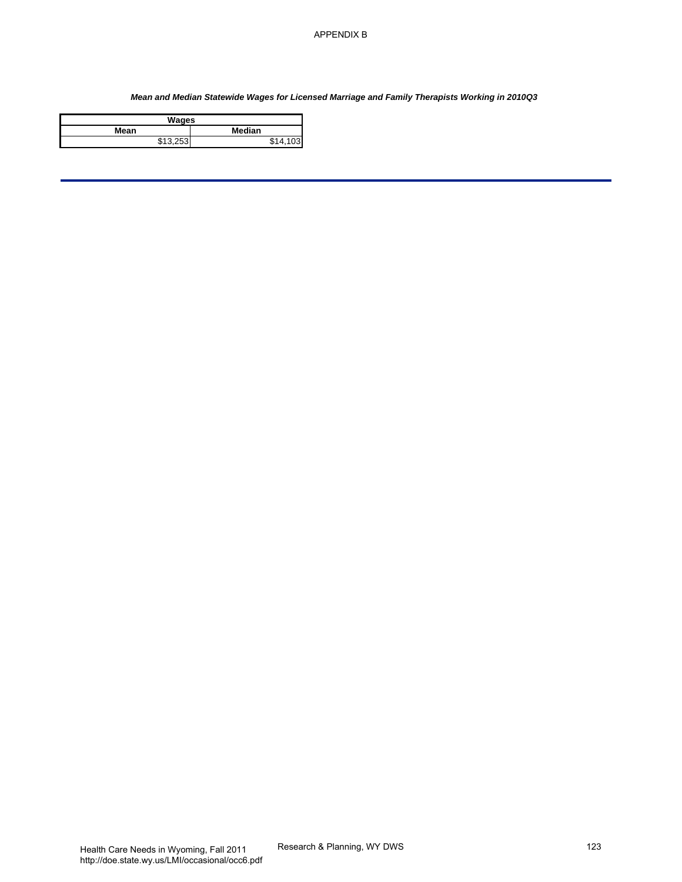# *Mean and Median Statewide Wages for Licensed Marriage and Family Therapists Working in 2010Q3* APPENDIX B $\frac{1}{\sqrt{100}}$ <br>for Licensed Marriage and Family Therapists Wonking in 201003<br>1433<br>Research & Planning, WY DWS

| Wages          |             |  |  |
|----------------|-------------|--|--|
| Median<br>Mean |             |  |  |
| \$13.253       | \$1A<br>103 |  |  |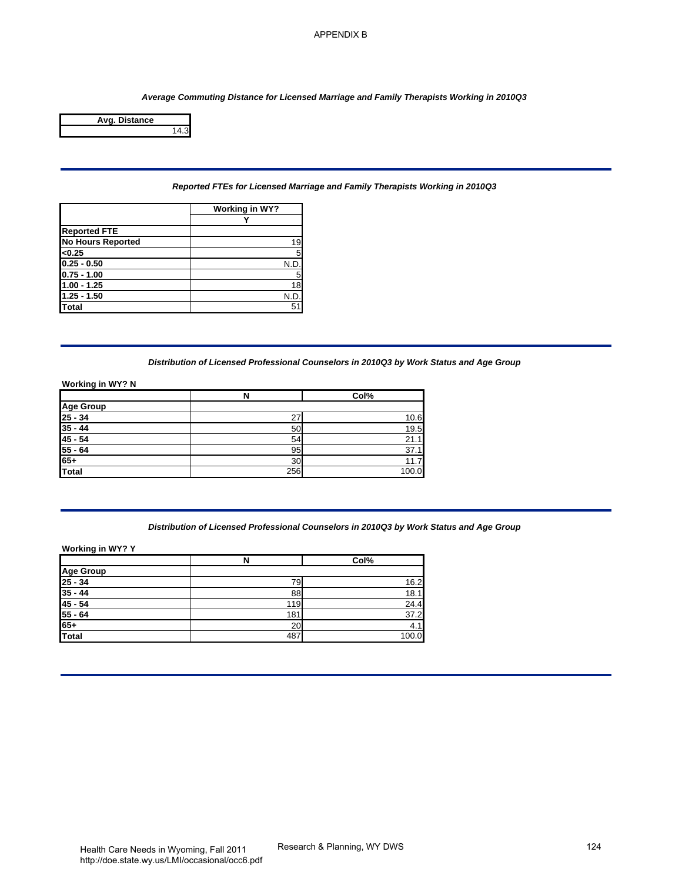

## *Reported FTEs for Licensed Marriage and Family Therapists Working in 2010Q3*

|                          | Working in WY? |
|--------------------------|----------------|
|                          |                |
| <b>Reported FTE</b>      |                |
| <b>No Hours Reported</b> | 19             |
| < 0.25                   |                |
| $0.25 - 0.50$            | N.D            |
| $0.75 - 1.00$            |                |
| $1.00 - 1.25$            | 18             |
| $1.25 - 1.50$            | N.D            |
| Total                    | 51             |

# *Distribution of Licensed Professional Counselors in 2010Q3 by Work Status and Age Group*

#### **Working in WY? N**

|                           | N   | Col%  |
|---------------------------|-----|-------|
| Age Group                 |     |       |
| $\frac{25 - 34}{35 - 44}$ | 27  | 10.6  |
|                           | 50  | 19.5  |
| $45 - 54$                 | 54  | 21.1  |
|                           | 95  | 37.1  |
| $\frac{55 - 64}{65+}$     | 30  | 11.7  |
| Total                     | 256 | 100.0 |

# *Distribution of Licensed Professional Counselors in 2010Q3 by Work Status and Age Group*

|                                        |                                                                                          | <b>APPENDIX B</b>           |     |
|----------------------------------------|------------------------------------------------------------------------------------------|-----------------------------|-----|
|                                        |                                                                                          |                             |     |
|                                        |                                                                                          |                             |     |
|                                        |                                                                                          |                             |     |
|                                        | Average Commuting Distance for Licensed Marriage and Family Therapists Working in 2010Q3 |                             |     |
| Avg. Distance                          |                                                                                          |                             |     |
| 14.3                                   |                                                                                          |                             |     |
|                                        |                                                                                          |                             |     |
|                                        |                                                                                          |                             |     |
|                                        |                                                                                          |                             |     |
|                                        | Reported FTEs for Licensed Marriage and Family Therapists Working in 2010Q3              |                             |     |
|                                        |                                                                                          |                             |     |
|                                        | <b>Working in WY?</b><br>Y                                                               |                             |     |
| <b>Reported FTE</b>                    |                                                                                          |                             |     |
| <b>No Hours Reported</b>               | 19                                                                                       |                             |     |
| <0.25                                  | 5                                                                                        |                             |     |
| $0.25 - 0.50$<br>$0.75 - 1.00$         | N.D.<br>5                                                                                |                             |     |
| $1.00 - 1.25$                          | $\overline{18}$                                                                          |                             |     |
| $1.25 - 1.50$                          | N.D.                                                                                     |                             |     |
| <b>Total</b>                           | 51                                                                                       |                             |     |
|                                        |                                                                                          |                             |     |
|                                        |                                                                                          |                             |     |
|                                        |                                                                                          |                             |     |
|                                        | Distribution of Licensed Professional Counselors in 2010Q3 by Work Status and Age Group  |                             |     |
| <b>Working in WY? N</b>                |                                                                                          |                             |     |
|                                        | N                                                                                        | Col%                        |     |
| <b>Age Group</b>                       |                                                                                          |                             |     |
| $25 - 34$<br>$35 - 44$                 | 27                                                                                       | 10.6                        |     |
| $45 - 54$                              | 50<br>54                                                                                 | 19.5<br>21.1                |     |
| $55 - 64$                              | 95                                                                                       | 37.1                        |     |
| $65+$                                  | 30                                                                                       | 11.7                        |     |
| <b>Total</b>                           | 256                                                                                      | 100.0                       |     |
|                                        |                                                                                          |                             |     |
|                                        |                                                                                          |                             |     |
|                                        |                                                                                          |                             |     |
|                                        | Distribution of Licensed Professional Counselors in 2010Q3 by Work Status and Age Group  |                             |     |
| Working in WY? Y                       |                                                                                          |                             |     |
|                                        | $\overline{\mathbf{z}}$                                                                  | Col%                        |     |
| <b>Age Group</b>                       |                                                                                          |                             |     |
| $25 - 34$<br>$35 - 44$                 | 79                                                                                       | 16.2                        |     |
| $45 - 54$                              | 88<br>119                                                                                | 18.1<br>24.4                |     |
| $55 - 64$                              | 181                                                                                      | 37.2                        |     |
| $65+$                                  | 20                                                                                       | 4.1                         |     |
| <b>Total</b>                           | 487                                                                                      | 100.0                       |     |
|                                        |                                                                                          |                             |     |
|                                        |                                                                                          |                             |     |
|                                        |                                                                                          |                             |     |
|                                        |                                                                                          |                             |     |
|                                        |                                                                                          |                             |     |
|                                        |                                                                                          |                             |     |
|                                        |                                                                                          |                             |     |
|                                        |                                                                                          |                             |     |
|                                        |                                                                                          |                             |     |
|                                        |                                                                                          |                             |     |
|                                        |                                                                                          |                             |     |
|                                        |                                                                                          |                             |     |
|                                        |                                                                                          |                             |     |
|                                        |                                                                                          |                             |     |
| Health Care Needs in Wyoming Fall 2011 |                                                                                          | Research & Planning, WY DWS | 124 |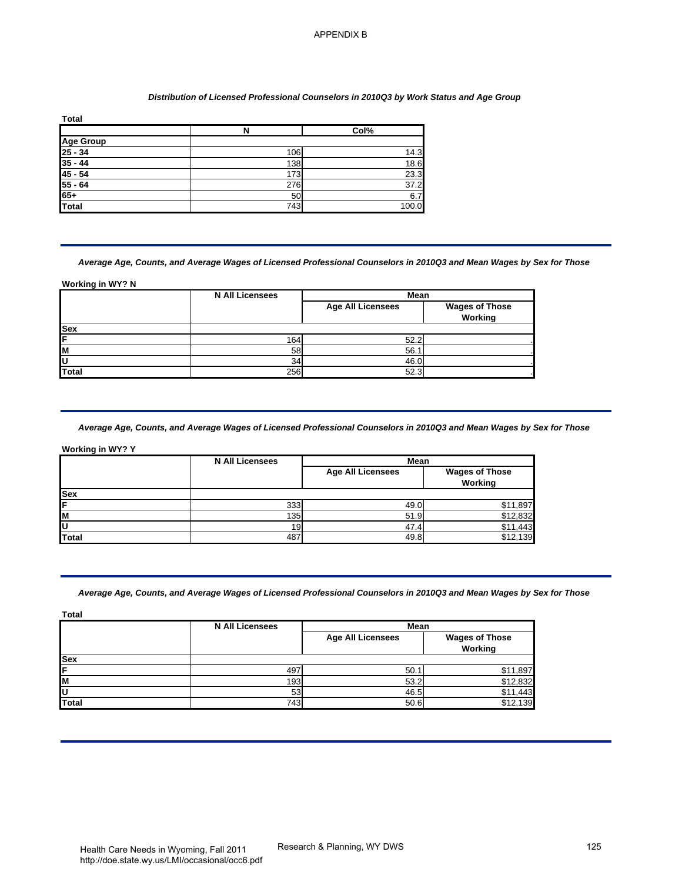#### *Distribution of Licensed Professional Counselors in 2010Q3 by Work Status and Age Group*

| <b>Total</b>          |     |       |
|-----------------------|-----|-------|
|                       | N   | Col%  |
|                       |     |       |
| Age Group<br>25 - 34  | 106 | 14.3  |
| $35 - 44$             | 138 | 18.6  |
| $45 - 54$             | 173 | 23.3  |
| $\frac{55 - 64}{65+}$ | 276 | 37.2  |
|                       | 50  | 6.7   |
| Total                 | 743 | 100.0 |

# *Average Age, Counts, and Average Wages of Licensed Professional Counselors in 2010Q3 and Mean Wages by Sex for Those*

|            | <b>N All Licensees</b> | Mean                     |                                         |
|------------|------------------------|--------------------------|-----------------------------------------|
|            |                        | <b>Age All Licensees</b> | <b>Wages of Those</b><br><b>Working</b> |
| <b>Sex</b> |                        |                          |                                         |
| ΙF         | 164                    | 52.2                     |                                         |
| lм         | 58                     | 56.1                     |                                         |
| lυ         | 34                     | 46.0                     |                                         |
| Total      | 256                    | 52.3                     |                                         |

## *Average Age, Counts, and Average Wages of Licensed Professional Counselors in 2010Q3 and Mean Wages by Sex for Those*

|              | <b>N All Licensees</b> | <b>Mean</b>              |                                  |
|--------------|------------------------|--------------------------|----------------------------------|
|              |                        | <b>Age All Licensees</b> | <b>Wages of Those</b><br>Working |
| <b>Sex</b>   |                        |                          |                                  |
| ΙF           | 333                    | 49.0                     | \$11,897                         |
| lм           | 135                    | 51.9                     | \$12,832                         |
| ΙU           | 19                     | 47.4                     | .443                             |
| <b>Total</b> | 487                    | 49.8                     | \$12,139                         |

## *Average Age, Counts, and Average Wages of Licensed Professional Counselors in 2010Q3 and Mean Wages by Sex for Those*

| <b>Age Group</b><br>$\frac{25 - 34}{35 - 44}$<br>$\frac{45 - 54}{55 - 64}$<br>$65+$<br>Total | $\overline{\mathbf{N}}$<br>106<br>138                                                                                                                 | Col%                                     |                                             |
|----------------------------------------------------------------------------------------------|-------------------------------------------------------------------------------------------------------------------------------------------------------|------------------------------------------|---------------------------------------------|
|                                                                                              |                                                                                                                                                       |                                          |                                             |
|                                                                                              |                                                                                                                                                       | 14.3                                     |                                             |
|                                                                                              |                                                                                                                                                       | 18.6<br>23.3                             |                                             |
|                                                                                              | 173<br>276                                                                                                                                            | 37.2                                     |                                             |
|                                                                                              | 50                                                                                                                                                    | 6.7                                      |                                             |
|                                                                                              | 743                                                                                                                                                   | 100.0                                    |                                             |
| Working in WY? N                                                                             | Average Age, Counts, and Average Wages of Licensed Professional Counselors in 2010Q3 and Mean Wages by Sex for Those                                  |                                          |                                             |
|                                                                                              | <b>N All Licensees</b>                                                                                                                                | Mean<br><b>Age All Licensees</b>         | <b>Wages of Those</b><br>Working            |
|                                                                                              |                                                                                                                                                       |                                          |                                             |
|                                                                                              | 164                                                                                                                                                   | 52.2                                     |                                             |
|                                                                                              | 58                                                                                                                                                    | 56.1                                     |                                             |
|                                                                                              | 34                                                                                                                                                    | 46.0                                     |                                             |
|                                                                                              | 256<br>Average Age, Counts, and Average Wages of Licensed Professional Counselors in 2010Q3 and Mean Wages by Sex for Those<br><b>N All Licensees</b> | 52.3<br>Mean<br><b>Age All Licensees</b> | <b>Wages of Those</b>                       |
|                                                                                              | 333<br>135<br>19                                                                                                                                      | 49.0<br>51.9<br>47.4                     | Working<br>\$11,897<br>\$12,832<br>\$11,443 |
| <b>Total</b><br><b>Working in WY? Y</b><br><b>Sex</b><br><b>Total</b>                        | 487<br>Average Age, Counts, and Average Wages of Licensed Professional Counselors in 2010Q3 and Mean Wages by Sex for Those                           | 49.8                                     | \$12,139                                    |
| <b>Total</b>                                                                                 |                                                                                                                                                       |                                          |                                             |
| <b>Sex</b>                                                                                   | <b>N All Licensees</b>                                                                                                                                | Mean<br><b>Age All Licensees</b>         | <b>Wages of Those</b><br>Working            |
|                                                                                              |                                                                                                                                                       |                                          |                                             |
|                                                                                              | 497                                                                                                                                                   | 50.1                                     | $\overline{$}11,897$                        |
| <b>Total</b>                                                                                 | 193<br>53                                                                                                                                             | 53.2<br>46.5                             | \$12,832<br>\$11,443                        |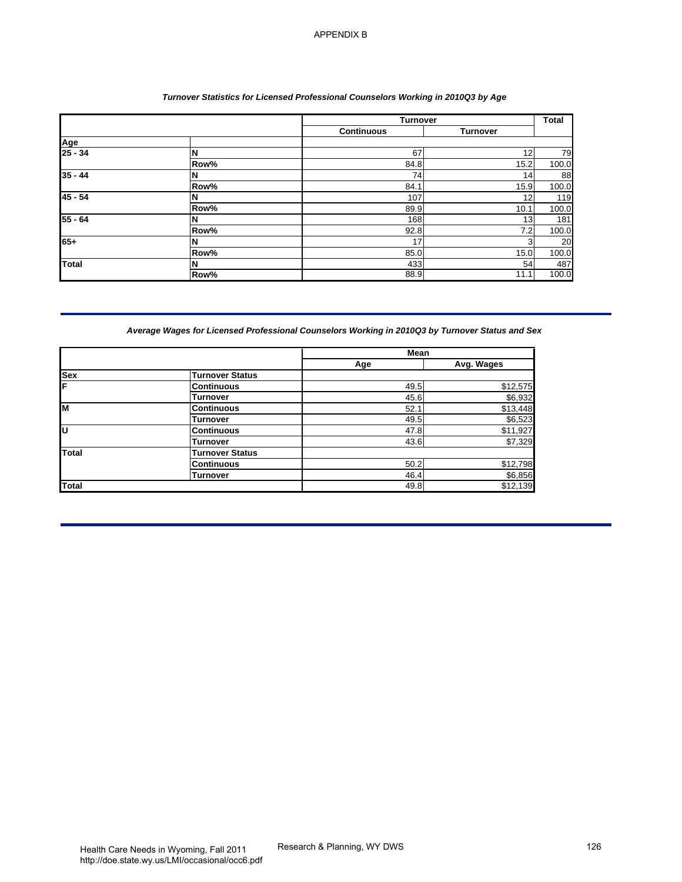## *Turnover Statistics for Licensed Professional Counselors Working in 2010Q3 by Age*

|              |                                                                                                 | Turnover                  |                     | <b>Total</b> |
|--------------|-------------------------------------------------------------------------------------------------|---------------------------|---------------------|--------------|
|              |                                                                                                 | <b>Continuous</b>         | <b>Turnover</b>     |              |
| Age          |                                                                                                 |                           |                     |              |
| $25 - 34$    | N                                                                                               | 67                        | 12                  | 79           |
|              | Row%                                                                                            | 84.8                      | $\frac{15.2}{2}$    | 100.0        |
| $35 - 44$    | N                                                                                               | 74                        | 14                  | 88           |
| $45 - 54$    | Row%<br>N                                                                                       | 84.1<br>$\frac{107}{107}$ | 15.9<br>12          | 100.0        |
|              | Row%                                                                                            | 89.9                      | 10.1                | 119<br>100.0 |
| $55 - 64$    | N                                                                                               | 168                       | 13                  | 181          |
|              | Row%                                                                                            | 92.8                      | 7.2                 | 100.0        |
| $65+$        | N                                                                                               | 17                        | 3                   | 20           |
|              | Row%                                                                                            | 85.0                      | 15.0                | 100.0        |
| Total        | N                                                                                               | 433                       | 54                  | 487          |
|              | Row%                                                                                            | 88.9                      | 11.1                | 100.0        |
|              | Average Wages for Licensed Professional Counselors Working in 2010Q3 by Turnover Status and Sex | Mean                      |                     |              |
|              |                                                                                                 | Age                       | Avg. Wages          |              |
| <b>Sex</b>   | <b>Turnover Status</b>                                                                          |                           |                     |              |
| F            | <b>Continuous</b>                                                                               | 49.5                      | \$12,575            |              |
|              | <b>Turnover</b>                                                                                 | 45.6                      | \$6,932             |              |
| M            | <b>Continuous</b>                                                                               | 52.1                      | \$13,448            |              |
| Ū            | <b>Turnover</b>                                                                                 | 49.5                      | \$6,523             |              |
|              | <b>Continuous</b>                                                                               | 47.8                      | \$11,927            |              |
| <b>Total</b> | <b>Turnover</b><br><b>Turnover Status</b>                                                       | 43.6                      | \$7,329             |              |
|              | <b>Continuous</b>                                                                               | 50.2                      | \$12,798            |              |
|              |                                                                                                 |                           |                     |              |
|              |                                                                                                 |                           |                     |              |
| <b>Total</b> | <b>Turnover</b>                                                                                 | 46.4<br>49.8              | \$6,856<br>\$12,139 |              |
|              |                                                                                                 |                           |                     |              |

# *Average Wages for Licensed Professional Counselors Working in 2010Q3 by Turnover Status and Sex*

|          |                        | <b>Mean</b> |            |
|----------|------------------------|-------------|------------|
|          |                        | Age         | Avg. Wages |
| Sex<br>F | <b>Turnover Status</b> |             |            |
|          | <b>Continuous</b>      | 49.5        | \$12,575   |
|          | Turnover               | 45.6        | \$6,932    |
| lм       | <b>Continuous</b>      | 52.1        | \$13,448   |
|          | <b>Turnover</b>        | 49.5        | \$6,523    |
| lυ       | <b>Continuous</b>      | 47.8        | \$11,927   |
|          | Turnover               | 43.6        | \$7,329    |
| Total    | <b>Turnover Status</b> |             |            |
|          | <b>Continuous</b>      | 50.2        | \$12,798   |
|          | <b>Turnover</b>        | 46.4        | \$6,856    |
| Total    |                        | 49.8        | \$12,139   |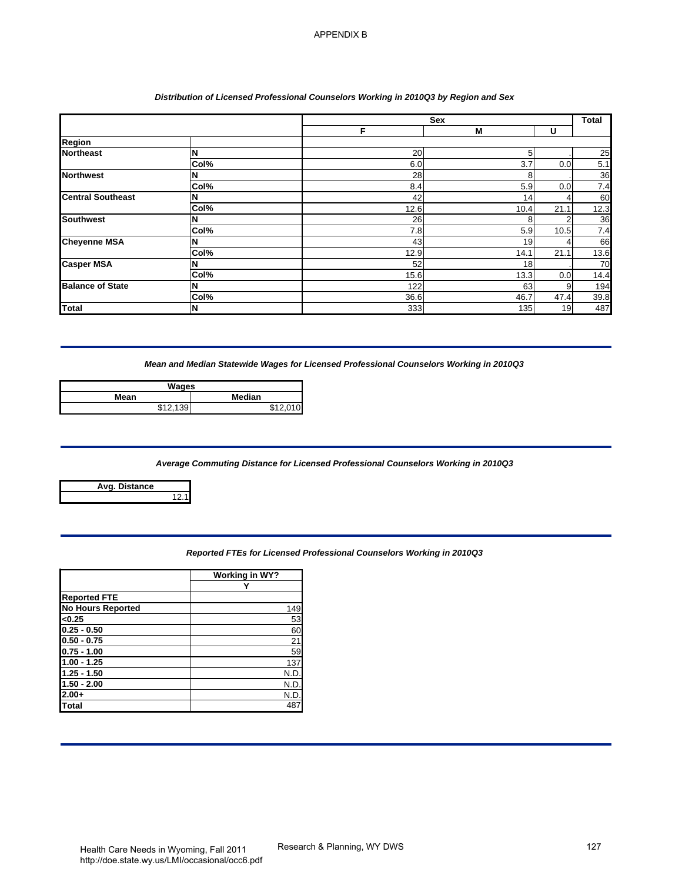## *Distribution of Licensed Professional Counselors Working in 2010Q3 by Region and Sex*

| Region<br><b>Northeast</b><br>N<br>20<br>5<br>Col%<br>6.0<br>$\overline{3.7}$<br>0.0<br><b>Northwest</b><br>28<br>8<br>N<br>Col%<br>8.4<br>5.9<br>0.0<br>42<br>14<br><b>Central Southeast</b><br>N<br>4<br>Col%<br>12.6<br>21.1<br>10.4<br>26<br><b>Southwest</b><br>$\overline{c}$<br>8<br>N<br>Col%<br>7.8<br>5.9<br>10.5<br><b>Cheyenne MSA</b><br>N<br>43<br>19<br>4<br>Col%<br>12.9<br>21.1<br>14.1<br><b>Casper MSA</b><br>52<br>N<br>18<br>Col%<br>15.6<br>13.3<br>0.0<br>122<br><b>Balance of State</b><br>63<br>9<br>N<br>Col%<br>36.6<br>47.4<br>46.7<br>333<br>19<br>135<br><b>Total</b><br>N<br>Mean and Median Statewide Wages for Licensed Professional Counselors Working in 2010Q3<br><b>Wages</b><br>Median<br>Mean<br>\$12,139<br>\$12,010<br>Average Commuting Distance for Licensed Professional Counselors Working in 2010Q3<br><b>Avg. Distance</b><br>12.1<br>Reported FTEs for Licensed Professional Counselors Working in 2010Q3<br><b>Working in WY?</b><br>Y<br><b>Reported FTE</b><br><b>No Hours Reported</b><br>149<br><0.25<br>53<br>$0.25 - 0.50$<br>60<br>$\overline{21}$<br>$0.50 - 0.75$<br>59<br>$0.75 - 1.00$<br>$1.00 - 1.25$<br>137<br>$1.25 - 1.50$<br>N.D.<br>$1.50 - 2.00$<br>N.D.<br>$2.00+$<br>N.D.<br><b>Total</b><br>487 |  | F. | Sex<br>M | U | Total       |
|------------------------------------------------------------------------------------------------------------------------------------------------------------------------------------------------------------------------------------------------------------------------------------------------------------------------------------------------------------------------------------------------------------------------------------------------------------------------------------------------------------------------------------------------------------------------------------------------------------------------------------------------------------------------------------------------------------------------------------------------------------------------------------------------------------------------------------------------------------------------------------------------------------------------------------------------------------------------------------------------------------------------------------------------------------------------------------------------------------------------------------------------------------------------------------------------------------------------------------------------------------------------|--|----|----------|---|-------------|
|                                                                                                                                                                                                                                                                                                                                                                                                                                                                                                                                                                                                                                                                                                                                                                                                                                                                                                                                                                                                                                                                                                                                                                                                                                                                        |  |    |          |   |             |
|                                                                                                                                                                                                                                                                                                                                                                                                                                                                                                                                                                                                                                                                                                                                                                                                                                                                                                                                                                                                                                                                                                                                                                                                                                                                        |  |    |          |   | 25<br>5.1   |
|                                                                                                                                                                                                                                                                                                                                                                                                                                                                                                                                                                                                                                                                                                                                                                                                                                                                                                                                                                                                                                                                                                                                                                                                                                                                        |  |    |          |   | 36          |
|                                                                                                                                                                                                                                                                                                                                                                                                                                                                                                                                                                                                                                                                                                                                                                                                                                                                                                                                                                                                                                                                                                                                                                                                                                                                        |  |    |          |   | 7.4         |
|                                                                                                                                                                                                                                                                                                                                                                                                                                                                                                                                                                                                                                                                                                                                                                                                                                                                                                                                                                                                                                                                                                                                                                                                                                                                        |  |    |          |   | 60<br>12.3  |
|                                                                                                                                                                                                                                                                                                                                                                                                                                                                                                                                                                                                                                                                                                                                                                                                                                                                                                                                                                                                                                                                                                                                                                                                                                                                        |  |    |          |   | 36          |
|                                                                                                                                                                                                                                                                                                                                                                                                                                                                                                                                                                                                                                                                                                                                                                                                                                                                                                                                                                                                                                                                                                                                                                                                                                                                        |  |    |          |   | 7.4         |
|                                                                                                                                                                                                                                                                                                                                                                                                                                                                                                                                                                                                                                                                                                                                                                                                                                                                                                                                                                                                                                                                                                                                                                                                                                                                        |  |    |          |   | 66          |
|                                                                                                                                                                                                                                                                                                                                                                                                                                                                                                                                                                                                                                                                                                                                                                                                                                                                                                                                                                                                                                                                                                                                                                                                                                                                        |  |    |          |   | 13.6<br>70  |
|                                                                                                                                                                                                                                                                                                                                                                                                                                                                                                                                                                                                                                                                                                                                                                                                                                                                                                                                                                                                                                                                                                                                                                                                                                                                        |  |    |          |   | 14.4        |
|                                                                                                                                                                                                                                                                                                                                                                                                                                                                                                                                                                                                                                                                                                                                                                                                                                                                                                                                                                                                                                                                                                                                                                                                                                                                        |  |    |          |   | 194         |
|                                                                                                                                                                                                                                                                                                                                                                                                                                                                                                                                                                                                                                                                                                                                                                                                                                                                                                                                                                                                                                                                                                                                                                                                                                                                        |  |    |          |   | 39.8<br>487 |
|                                                                                                                                                                                                                                                                                                                                                                                                                                                                                                                                                                                                                                                                                                                                                                                                                                                                                                                                                                                                                                                                                                                                                                                                                                                                        |  |    |          |   |             |
|                                                                                                                                                                                                                                                                                                                                                                                                                                                                                                                                                                                                                                                                                                                                                                                                                                                                                                                                                                                                                                                                                                                                                                                                                                                                        |  |    |          |   |             |
|                                                                                                                                                                                                                                                                                                                                                                                                                                                                                                                                                                                                                                                                                                                                                                                                                                                                                                                                                                                                                                                                                                                                                                                                                                                                        |  |    |          |   |             |
|                                                                                                                                                                                                                                                                                                                                                                                                                                                                                                                                                                                                                                                                                                                                                                                                                                                                                                                                                                                                                                                                                                                                                                                                                                                                        |  |    |          |   |             |
|                                                                                                                                                                                                                                                                                                                                                                                                                                                                                                                                                                                                                                                                                                                                                                                                                                                                                                                                                                                                                                                                                                                                                                                                                                                                        |  |    |          |   |             |
|                                                                                                                                                                                                                                                                                                                                                                                                                                                                                                                                                                                                                                                                                                                                                                                                                                                                                                                                                                                                                                                                                                                                                                                                                                                                        |  |    |          |   |             |
|                                                                                                                                                                                                                                                                                                                                                                                                                                                                                                                                                                                                                                                                                                                                                                                                                                                                                                                                                                                                                                                                                                                                                                                                                                                                        |  |    |          |   |             |
|                                                                                                                                                                                                                                                                                                                                                                                                                                                                                                                                                                                                                                                                                                                                                                                                                                                                                                                                                                                                                                                                                                                                                                                                                                                                        |  |    |          |   |             |
|                                                                                                                                                                                                                                                                                                                                                                                                                                                                                                                                                                                                                                                                                                                                                                                                                                                                                                                                                                                                                                                                                                                                                                                                                                                                        |  |    |          |   |             |
|                                                                                                                                                                                                                                                                                                                                                                                                                                                                                                                                                                                                                                                                                                                                                                                                                                                                                                                                                                                                                                                                                                                                                                                                                                                                        |  |    |          |   |             |
|                                                                                                                                                                                                                                                                                                                                                                                                                                                                                                                                                                                                                                                                                                                                                                                                                                                                                                                                                                                                                                                                                                                                                                                                                                                                        |  |    |          |   |             |
|                                                                                                                                                                                                                                                                                                                                                                                                                                                                                                                                                                                                                                                                                                                                                                                                                                                                                                                                                                                                                                                                                                                                                                                                                                                                        |  |    |          |   |             |
|                                                                                                                                                                                                                                                                                                                                                                                                                                                                                                                                                                                                                                                                                                                                                                                                                                                                                                                                                                                                                                                                                                                                                                                                                                                                        |  |    |          |   |             |
|                                                                                                                                                                                                                                                                                                                                                                                                                                                                                                                                                                                                                                                                                                                                                                                                                                                                                                                                                                                                                                                                                                                                                                                                                                                                        |  |    |          |   |             |
|                                                                                                                                                                                                                                                                                                                                                                                                                                                                                                                                                                                                                                                                                                                                                                                                                                                                                                                                                                                                                                                                                                                                                                                                                                                                        |  |    |          |   |             |
|                                                                                                                                                                                                                                                                                                                                                                                                                                                                                                                                                                                                                                                                                                                                                                                                                                                                                                                                                                                                                                                                                                                                                                                                                                                                        |  |    |          |   |             |
|                                                                                                                                                                                                                                                                                                                                                                                                                                                                                                                                                                                                                                                                                                                                                                                                                                                                                                                                                                                                                                                                                                                                                                                                                                                                        |  |    |          |   |             |
|                                                                                                                                                                                                                                                                                                                                                                                                                                                                                                                                                                                                                                                                                                                                                                                                                                                                                                                                                                                                                                                                                                                                                                                                                                                                        |  |    |          |   |             |

| Wages       |        |
|-------------|--------|
| Mean        | Median |
| <b>ሰላ ሰ</b> | 0.4001 |

## *Average Commuting Distance for Licensed Professional Counselors Working in 2010Q3*

| Avg. Distance |  |
|---------------|--|
|               |  |

| <b>Reported FTEs for Licensed Professional Counselors Working in 2010Q3</b> |  |
|-----------------------------------------------------------------------------|--|
|                                                                             |  |

|                          | <b>Working in WY?</b> |
|--------------------------|-----------------------|
|                          |                       |
| <b>Reported FTE</b>      |                       |
| <b>No Hours Reported</b> | 149                   |
| < 0.25                   | 53                    |
| $0.25 - 0.50$            | 60                    |
| $0.50 - 0.75$            | $\overline{21}$       |
| $0.75 - 1.00$            | 59                    |
| $1.00 - 1.25$            | 137                   |
| $1.25 - 1.50$            | N.D                   |
| $1.50 - 2.00$            | N.D                   |
| $2.00+$                  | N.D                   |
| Total                    | 487                   |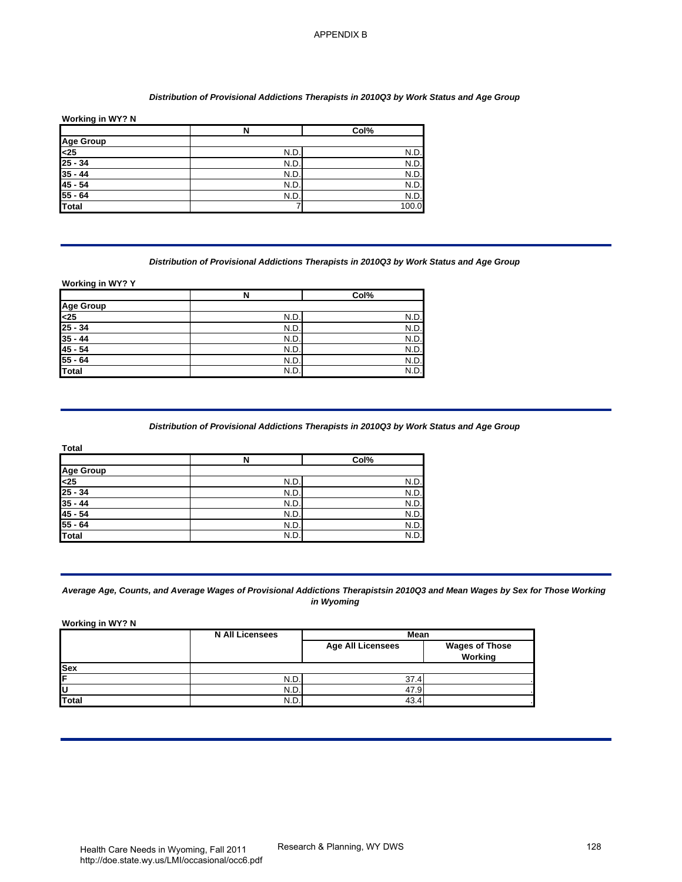#### *Distribution of Provisional Addictions Therapists in 2010Q3 by Work Status and Age Group*

## **Working in WY? N**

|                             | N    | Col%  |
|-----------------------------|------|-------|
|                             |      |       |
| Age Group<br><25<br>25 - 34 | N.D. | N.D.  |
|                             | N.D. | N.D.  |
| $35 - 44$                   | N.D. | N.D.  |
| $45 - 54$                   | N.D. | N.D.  |
| $55 - 64$                   | N.D. | N.D.  |
| Total                       |      | 100.0 |

#### *Distribution of Provisional Addictions Therapists in 2010Q3 by Work Status and Age Group*

|                  | N    | Col% |
|------------------|------|------|
| Age Group<br><25 |      |      |
|                  | N.D. | N.D. |
| $25 - 34$        | N.D. | N.D. |
| $35 - 44$        | N.D. | N.D. |
| $45 - 54$        | N.D. | N.D. |
| $55 - 64$        | N.D. | N.D. |
| <b>Total</b>     | N.D. | N.D. |

## *Distribution of Provisional Addictions Therapists in 2010Q3 by Work Status and Age Group*

| Total                       |      |      |
|-----------------------------|------|------|
|                             | N    | Col% |
|                             |      |      |
| Age Group<br>-25<br>25 - 34 | N.D. | N.D. |
|                             | N.D. | N.D. |
| $35 - 44$                   | N.D. | N.D. |
| $45 - 54$                   | N.D. | N.D. |
| $55 - 64$                   | N.D  | N.D. |
| <b>Total</b>                | N.D. | N.D. |

#### *Average Age, Counts, and Average Wages of Provisional Addictions Therapistsin 2010Q3 and Mean Wages by Sex for Those Working in Wyoming*

| Working in WY? N                                                                                                                                                          | $\overline{\mathsf{N}}$                                                                                                                               | Col%                                           |                       |
|---------------------------------------------------------------------------------------------------------------------------------------------------------------------------|-------------------------------------------------------------------------------------------------------------------------------------------------------|------------------------------------------------|-----------------------|
| <b>Age Group</b>                                                                                                                                                          |                                                                                                                                                       |                                                |                       |
| -25                                                                                                                                                                       | N.D.                                                                                                                                                  | N.D.                                           |                       |
| $25 - 34$                                                                                                                                                                 | N.D.                                                                                                                                                  | N.D.                                           |                       |
| $35 - 44$<br>$45 - 54$                                                                                                                                                    | N.D.                                                                                                                                                  | N.D.                                           |                       |
| $55 - 64$                                                                                                                                                                 | N.D.<br>N.D.                                                                                                                                          | N.D.<br>N.D.                                   |                       |
| <b>Total</b>                                                                                                                                                              | 7                                                                                                                                                     | 100.0                                          |                       |
|                                                                                                                                                                           | Distribution of Provisional Addictions Therapists in 2010Q3 by Work Status and Age Group                                                              |                                                |                       |
| Working in WY? Y                                                                                                                                                          | N                                                                                                                                                     | Col%                                           |                       |
| <b>Age Group</b>                                                                                                                                                          |                                                                                                                                                       |                                                |                       |
| $25$                                                                                                                                                                      | N.D.                                                                                                                                                  | N.D.                                           |                       |
| $25 - 34$                                                                                                                                                                 | N.D.                                                                                                                                                  | N.D.                                           |                       |
|                                                                                                                                                                           |                                                                                                                                                       | N.D.                                           |                       |
|                                                                                                                                                                           | N.D.                                                                                                                                                  |                                                |                       |
|                                                                                                                                                                           | <u>N.D.</u>                                                                                                                                           | N.D.                                           |                       |
|                                                                                                                                                                           | N.D.<br>N.D.<br>Distribution of Provisional Addictions Therapists in 2010Q3 by Work Status and Age Group<br>N<br>N.D.<br>N.D.                         | N.D.<br>N.D.<br>Col%<br>N.D<br>N.D.            |                       |
|                                                                                                                                                                           | N.D.<br>N.D.<br>N.D.<br>N.D.                                                                                                                          | N.D<br>N.D<br>N.D.<br>N.D.                     |                       |
| $35 - 44$<br>$45 - 54$<br>$55 - 64$<br>Total<br>Total<br><b>Age Group</b><br>$25$<br>$25 - 34$<br>$35 - 44$<br>$45 - 54$<br>$55 - 64$<br><b>Total</b><br>Working in WY? N | Average Age, Counts, and Average Wages of Provisional Addictions Therapistsin 2010Q3 and Mean Wages by Sex for Those Workin<br><b>N All Licensees</b> | in Wyoming<br>Mean<br><b>Age All Licensees</b> | <b>Wages of Those</b> |
|                                                                                                                                                                           |                                                                                                                                                       |                                                | Working               |
|                                                                                                                                                                           |                                                                                                                                                       |                                                |                       |
| Sex<br>F<br>U                                                                                                                                                             | N.D.<br>N.D.                                                                                                                                          | 37.4<br>47.9                                   |                       |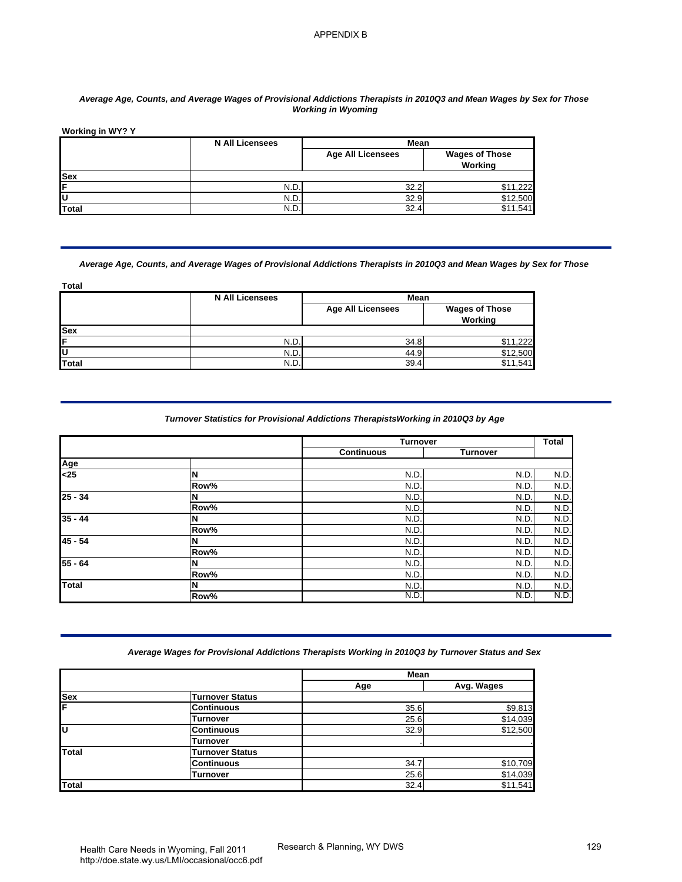## *Average Age, Counts, and Average Wages of Provisional Addictions Therapists in 2010Q3 and Mean Wages by Sex for Those Working in Wyoming*

|            | <b>N All Licensees</b><br>Mean |                          |                                  |
|------------|--------------------------------|--------------------------|----------------------------------|
|            |                                | <b>Age All Licensees</b> | <b>Wages of Those</b><br>Working |
| <b>Sex</b> |                                |                          |                                  |
| IF         | N.D.                           | 32.2                     | ,222                             |
| ΙU         | N.D.                           | 32.9                     | \$12,500                         |
| Total      | N.D.                           | 32.4                     | .541<br>\$11                     |

#### *Average Age, Counts, and Average Wages of Provisional Addictions Therapists in 2010Q3 and Mean Wages by Sex for Those*

| <b>Total</b> |                        |                          |                                  |
|--------------|------------------------|--------------------------|----------------------------------|
|              | <b>N All Licensees</b> | Mean                     |                                  |
|              |                        | <b>Age All Licensees</b> | <b>Wages of Those</b><br>Working |
| <b>Sex</b>   |                        |                          |                                  |
| ΙF           | N.D.                   | 34.8                     | \$11,222                         |
| ΙU           | N.D.                   | 44.9                     | \$12,500                         |
| <b>Total</b> | N.D.                   | 39.4                     | \$11.541                         |

#### *Turnover Statistics for Provisional Addictions TherapistsWorking in 2010Q3 by Age*

| Working in WY? Y                                                                                              |                                                                                                                                                 | <b>Working in Wyoming</b>        |                                  |                                                                                                             |
|---------------------------------------------------------------------------------------------------------------|-------------------------------------------------------------------------------------------------------------------------------------------------|----------------------------------|----------------------------------|-------------------------------------------------------------------------------------------------------------|
|                                                                                                               | <b>N All Licensees</b>                                                                                                                          | Mean<br><b>Age All Licensees</b> | <b>Wages of Those</b><br>Working |                                                                                                             |
| Sex                                                                                                           |                                                                                                                                                 |                                  |                                  |                                                                                                             |
| F<br>U                                                                                                        | N.D.<br>N.D.                                                                                                                                    | 32.2<br>32.9                     | \$11,222<br>\$12,500             |                                                                                                             |
| <b>Total</b>                                                                                                  | N.D.                                                                                                                                            | 32.4                             | \$11,541                         |                                                                                                             |
| <b>Total</b>                                                                                                  | Average Age, Counts, and Average Wages of Provisional Addictions Therapists in 2010Q3 and Mean Wages by Sex for Those<br><b>N All Licensees</b> | Mean                             |                                  |                                                                                                             |
|                                                                                                               |                                                                                                                                                 | <b>Age All Licensees</b>         | <b>Wages of Those</b><br>Working |                                                                                                             |
| Sex                                                                                                           |                                                                                                                                                 |                                  |                                  |                                                                                                             |
| F                                                                                                             | N.D.                                                                                                                                            | 34.8                             | \$11,222                         |                                                                                                             |
| U<br>Total                                                                                                    | N.D.<br>N.D.                                                                                                                                    | 44.9<br>39.4                     | \$12,500<br>\$11,541             |                                                                                                             |
|                                                                                                               | Turnover Statistics for Provisional Addictions TherapistsWorking in 2010Q3 by Age                                                               |                                  |                                  |                                                                                                             |
|                                                                                                               |                                                                                                                                                 | <b>Turnover</b>                  |                                  |                                                                                                             |
|                                                                                                               |                                                                                                                                                 | <b>Continuous</b>                | <b>Turnover</b>                  |                                                                                                             |
|                                                                                                               |                                                                                                                                                 |                                  |                                  |                                                                                                             |
|                                                                                                               | N<br>Row%                                                                                                                                       | N.D<br>N.D                       | N.D.<br>N.D.                     |                                                                                                             |
|                                                                                                               | N                                                                                                                                               | N.D                              | N.D.                             |                                                                                                             |
|                                                                                                               | Row%                                                                                                                                            | N.D                              | N.D.                             |                                                                                                             |
|                                                                                                               | N                                                                                                                                               | N.D                              | N.D.                             |                                                                                                             |
|                                                                                                               | Row%                                                                                                                                            | N.D.                             | N.D.                             |                                                                                                             |
|                                                                                                               | N                                                                                                                                               | N.D                              | N.D.                             |                                                                                                             |
|                                                                                                               | Row%                                                                                                                                            | N.D                              | N.D.                             |                                                                                                             |
|                                                                                                               | N<br>Row%                                                                                                                                       | N.D<br>N.D                       | N.D.<br>N.D.                     |                                                                                                             |
|                                                                                                               | N                                                                                                                                               | N.D                              | N.D.                             |                                                                                                             |
|                                                                                                               | Row%                                                                                                                                            | N.D                              | N.D.                             |                                                                                                             |
|                                                                                                               | Average Wages for Provisional Addictions Therapists Working in 2010Q3 by Turnover Status and Sex                                                |                                  |                                  |                                                                                                             |
|                                                                                                               |                                                                                                                                                 | Mean                             |                                  |                                                                                                             |
|                                                                                                               | <b>Turnover Status</b>                                                                                                                          | Age                              | Avg. Wages                       |                                                                                                             |
|                                                                                                               | <b>Continuous</b>                                                                                                                               | 35.6                             | \$9,813                          |                                                                                                             |
|                                                                                                               | <b>Turnover</b>                                                                                                                                 | 25.6                             | \$14,039                         |                                                                                                             |
|                                                                                                               | <b>Continuous</b>                                                                                                                               | 32.9                             | \$12,500                         |                                                                                                             |
|                                                                                                               | <b>Turnover</b>                                                                                                                                 |                                  |                                  |                                                                                                             |
|                                                                                                               | <b>Turnover Status</b>                                                                                                                          |                                  |                                  |                                                                                                             |
| Age<br><25<br>$25 - 34$<br>$35 - 44$<br>$45 - 54$<br>55 - 64<br><b>Total</b><br><b>Sex</b><br>F<br>G<br>Total | <b>Continuous</b><br><b>Turnover</b>                                                                                                            | 34.7<br>25.6                     | \$10,709<br>\$14,039             | <b>Total</b><br>N.D<br>N.D.<br>N.D.<br>N.D.<br>N.D.<br>N.D.<br>N.D.<br>N.D.<br>N.D.<br>N.D.<br>N.D.<br>N.D. |

#### *Average Wages for Provisional Addictions Therapists Working in 2010Q3 by Turnover Status and Sex*

|                                        |                        | Mean |            |
|----------------------------------------|------------------------|------|------------|
|                                        |                        | Age  | Avg. Wages |
| Sex<br>F                               | <b>Turnover Status</b> |      |            |
|                                        | <b>Continuous</b>      | 35.6 | \$9,813    |
|                                        | Turnover               | 25.6 | \$14,039   |
| lυ                                     | <b>Continuous</b>      | 32.9 | \$12,500   |
|                                        | <b>Turnover</b>        |      |            |
| <b>Total</b><br><b>Turnover Status</b> |                        |      |            |
|                                        | <b>Continuous</b>      | 34.7 | \$10,709   |
|                                        | <b>Turnover</b>        | 25.6 | \$14,039   |
| Total                                  |                        | 32.4 | \$11,541   |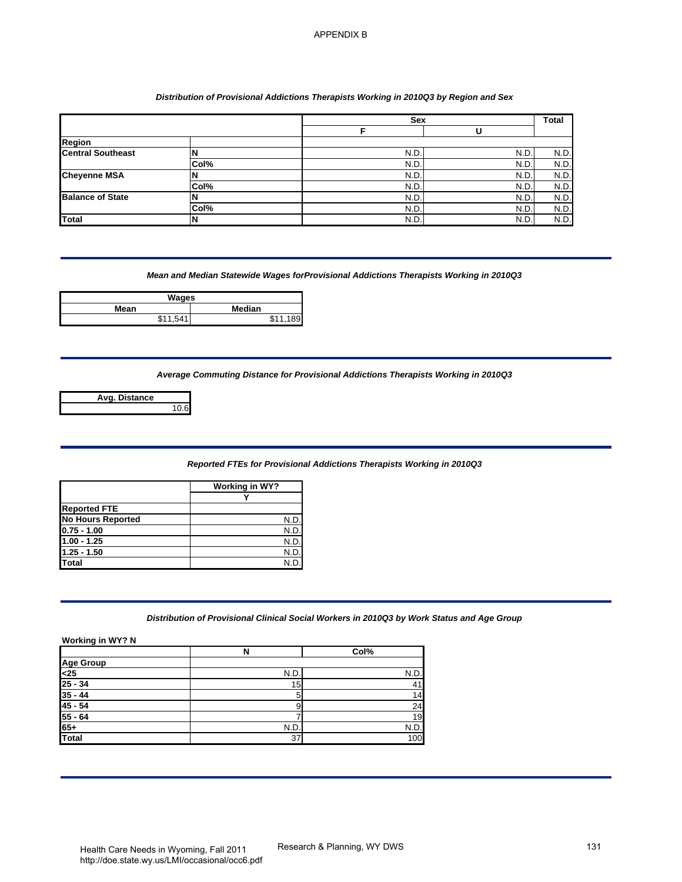## *Distribution of Provisional Addictions Therapists Working in 2010Q3 by Region and Sex*

|                                                                                                                                                                                                                                 |                                                | Sex                                                                                        |              | Total        |
|---------------------------------------------------------------------------------------------------------------------------------------------------------------------------------------------------------------------------------|------------------------------------------------|--------------------------------------------------------------------------------------------|--------------|--------------|
|                                                                                                                                                                                                                                 |                                                | F                                                                                          | U            |              |
| Region<br><b>Central Southeast</b>                                                                                                                                                                                              | N                                              | N.D.                                                                                       | N.D.         | N.D.         |
|                                                                                                                                                                                                                                 | Col%                                           | N.D.                                                                                       | N.D.         | N.D.         |
| <b>Cheyenne MSA</b>                                                                                                                                                                                                             | N                                              | N.D.                                                                                       | N.D.         | N.D.         |
|                                                                                                                                                                                                                                 | Col%                                           | N.D.                                                                                       | N.D.         | N.D.         |
| <b>Balance of State</b>                                                                                                                                                                                                         | N                                              | N.D.                                                                                       | N.D          | N.D.         |
| <b>Total</b>                                                                                                                                                                                                                    | Col%<br>Ν                                      | N.D.<br>N.D.                                                                               | N.D.<br>N.D. | N.D.<br>N.D. |
| Mean                                                                                                                                                                                                                            | <b>Wages</b><br>Median<br>\$11,541<br>\$11,189 | Mean and Median Statewide Wages forProvisional Addictions Therapists Working in 2010Q3     |              |              |
| Avg. Distance                                                                                                                                                                                                                   | 10.6                                           |                                                                                            |              |              |
|                                                                                                                                                                                                                                 |                                                | Reported FTEs for Provisional Addictions Therapists Working in 2010Q3                      |              |              |
|                                                                                                                                                                                                                                 |                                                |                                                                                            |              |              |
|                                                                                                                                                                                                                                 | <b>Working in WY?</b>                          |                                                                                            |              |              |
|                                                                                                                                                                                                                                 | Υ                                              |                                                                                            |              |              |
|                                                                                                                                                                                                                                 |                                                |                                                                                            |              |              |
|                                                                                                                                                                                                                                 | <u>N.D.</u><br>N.D.                            |                                                                                            |              |              |
|                                                                                                                                                                                                                                 | N.D.                                           |                                                                                            |              |              |
|                                                                                                                                                                                                                                 | N.D.                                           |                                                                                            |              |              |
|                                                                                                                                                                                                                                 | N.D.                                           |                                                                                            |              |              |
|                                                                                                                                                                                                                                 |                                                | Distribution of Provisional Clinical Social Workers in 2010Q3 by Work Status and Age Group |              |              |
|                                                                                                                                                                                                                                 | $\overline{\mathbf{N}}$                        | Col%                                                                                       |              |              |
|                                                                                                                                                                                                                                 |                                                |                                                                                            |              |              |
|                                                                                                                                                                                                                                 | N.D                                            | N.D.                                                                                       |              |              |
|                                                                                                                                                                                                                                 | 15                                             | 41                                                                                         |              |              |
|                                                                                                                                                                                                                                 | 5<br>9                                         | 14<br>$\overline{24}$                                                                      |              |              |
|                                                                                                                                                                                                                                 | $\overline{7}$                                 | 19                                                                                         |              |              |
| <b>Reported FTE</b><br><b>No Hours Reported</b><br>$0.75 - 1.00$<br>$1.00 - 1.25$<br>$1.25 - 1.50$<br><b>Total</b><br>Working in WY? N<br><b>Age Group</b><br>$25$<br>$25 - 34$<br>$35 - 44$<br>$45 - 54$<br>$55 - 64$<br>$65+$ | N.D.                                           | N.D.                                                                                       |              |              |

| Wages          |                        |  |  |
|----------------|------------------------|--|--|
| Median<br>Mean |                        |  |  |
| \$11.<br>541   | <b>C</b> <sub>11</sub> |  |  |

| Avg. Distance |      |
|---------------|------|
|               | 10.6 |

#### *Reported FTEs for Provisional Addictions Therapists Working in 2010Q3*

|                          | Working in WY? |
|--------------------------|----------------|
|                          |                |
| <b>Reported FTE</b>      |                |
| <b>No Hours Reported</b> | N.D.           |
| $0.75 - 1.00$            | N.D            |
| $1.00 - 1.25$            | N.D.           |
| $1.25 - 1.50$            | N.D            |
| <b>Total</b>             | N.F            |

# *Distribution of Provisional Clinical Social Workers in 2010Q3 by Work Status and Age Group*

|                                        | N               | Col% |
|----------------------------------------|-----------------|------|
| Age Group<br><25<br>25 - 34<br>35 - 44 |                 |      |
|                                        | N.D.            | N.D. |
|                                        | 15 <sub>1</sub> | 41   |
|                                        | 5               | 14   |
| $45 - 54$                              | 9               | 24   |
| $55 - 64$                              |                 | 19   |
| $65+$                                  | N.D.            | N.D. |
| Total                                  | 37              | 100  |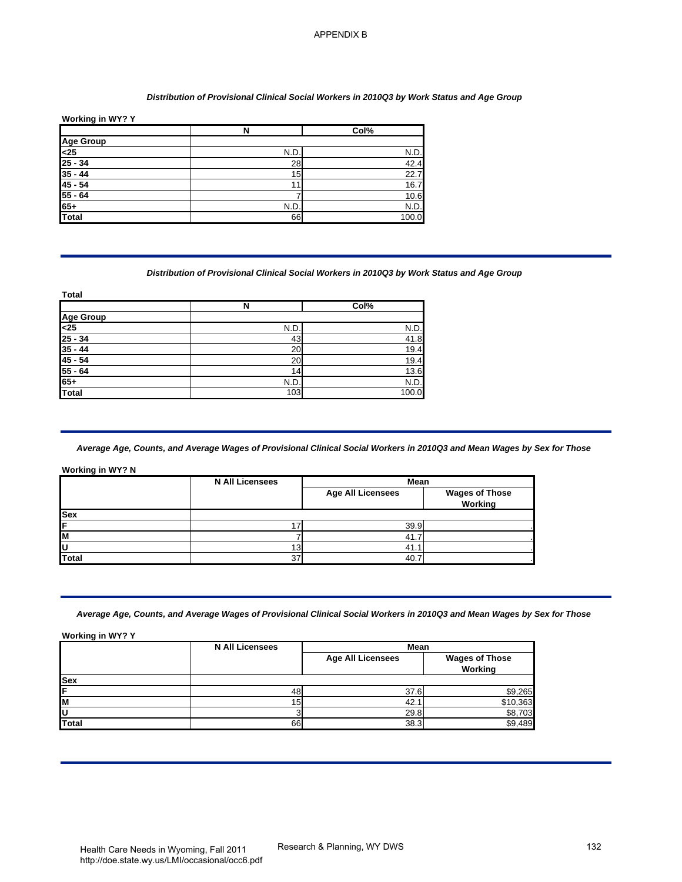#### *Distribution of Provisional Clinical Social Workers in 2010Q3 by Work Status and Age Group*

| Working in WY? Y |     |       |  |  |
|------------------|-----|-------|--|--|
|                  | N   | Col%  |  |  |
|                  |     |       |  |  |
| Age Group<br><25 | N.D | N.D.  |  |  |
| $25 - 34$        | 28  | 42.4  |  |  |
| $35 - 44$        | 15  | 22.7  |  |  |
| $45 - 54$        |     | 16.7  |  |  |
| 55 - 64          |     | 10.6  |  |  |
| 65+              | N.D | N.D.  |  |  |
| Total            | 66  | 100.0 |  |  |

#### *Distribution of Provisional Clinical Social Workers in 2010Q3 by Work Status and Age Group*

| ι υιαι          |       |  |  |  |
|-----------------|-------|--|--|--|
| N               | Col%  |  |  |  |
|                 |       |  |  |  |
| N.D.            | N.D.  |  |  |  |
| 43 <sub>l</sub> | 41.8  |  |  |  |
| 20              | 19.4  |  |  |  |
| 20              | 19.4  |  |  |  |
| 14              | 13.6  |  |  |  |
| N.D.            | N.D.  |  |  |  |
| 103             | 100.0 |  |  |  |
|                 |       |  |  |  |

#### **Working in WY? N**

|            | <b>N All Licensees</b> | Mean                     |                                  |
|------------|------------------------|--------------------------|----------------------------------|
|            |                        | <b>Age All Licensees</b> | <b>Wages of Those</b><br>Working |
| <b>Sex</b> |                        |                          |                                  |
| lF         |                        | 39.9                     |                                  |
| lм         |                        | 41.7                     |                                  |
| ΙU         |                        | 41.7                     |                                  |
| Total      | 37                     | 40.7                     |                                  |

| <b>Age Group</b><br><25<br>$25 - 34$<br>$35 - 44$<br>$45 - 54$<br>$55 - 64$<br>$65+$<br><b>Total</b> | $\overline{\mathbf{N}}$<br>N.D.<br>28<br>15<br>11<br>$\overline{7}$<br>N.D.<br>66                                                                 | Col%<br>N.D.<br>42.4<br>22.7<br>16.7<br>10.6<br>N.D.<br>100.0 |                       |
|------------------------------------------------------------------------------------------------------|---------------------------------------------------------------------------------------------------------------------------------------------------|---------------------------------------------------------------|-----------------------|
|                                                                                                      |                                                                                                                                                   |                                                               |                       |
|                                                                                                      |                                                                                                                                                   |                                                               |                       |
|                                                                                                      |                                                                                                                                                   |                                                               |                       |
|                                                                                                      |                                                                                                                                                   |                                                               |                       |
|                                                                                                      |                                                                                                                                                   |                                                               |                       |
|                                                                                                      |                                                                                                                                                   |                                                               |                       |
|                                                                                                      |                                                                                                                                                   |                                                               |                       |
|                                                                                                      | Distribution of Provisional Clinical Social Workers in 2010Q3 by Work Status and Age Group                                                        |                                                               |                       |
|                                                                                                      | N                                                                                                                                                 | Col%                                                          |                       |
| <b>Age Group</b>                                                                                     |                                                                                                                                                   |                                                               |                       |
| $25 - 34$                                                                                            | N.D<br>43                                                                                                                                         | N.D.<br>41.8                                                  |                       |
| $35 - 44$                                                                                            | 20                                                                                                                                                | 19.4                                                          |                       |
| $45 - 54$                                                                                            | 20                                                                                                                                                | 19.4                                                          |                       |
| $55 - 64$                                                                                            | 14                                                                                                                                                | 13.6                                                          |                       |
| Total                                                                                                | N.D.<br>103                                                                                                                                       | N.D.<br>100.0                                                 |                       |
|                                                                                                      |                                                                                                                                                   |                                                               |                       |
|                                                                                                      | Average Age, Counts, and Average Wages of Provisional Clinical Social Workers in 2010Q3 and Mean Wages by Sex for Those                           |                                                               |                       |
|                                                                                                      | <b>N All Licensees</b>                                                                                                                            | Mean                                                          |                       |
|                                                                                                      |                                                                                                                                                   | <b>Age All Licensees</b>                                      | <b>Wages of Those</b> |
|                                                                                                      |                                                                                                                                                   |                                                               | Working               |
|                                                                                                      | 17                                                                                                                                                | 39.9                                                          |                       |
|                                                                                                      | 7                                                                                                                                                 | 41.7                                                          |                       |
|                                                                                                      | 13                                                                                                                                                | 41.1                                                          |                       |
|                                                                                                      | 37                                                                                                                                                | 40.7                                                          |                       |
| Working in WY? N<br>Sex<br><b>Total</b><br>Working in WY? Y                                          | Average Age, Counts, and Average Wages of Provisional Clinical Social Workers in 2010Q3 and Mean Wages by Sex for Those<br><b>N All Licensees</b> | Mean                                                          |                       |
|                                                                                                      |                                                                                                                                                   | <b>Age All Licensees</b>                                      | <b>Wages of Those</b> |
|                                                                                                      |                                                                                                                                                   |                                                               | Working               |
|                                                                                                      |                                                                                                                                                   |                                                               |                       |
|                                                                                                      | 48                                                                                                                                                | 37.6                                                          | \$9,265               |
|                                                                                                      | 15<br>3                                                                                                                                           | 42.1<br>29.8                                                  | \$10,363<br>\$8,703   |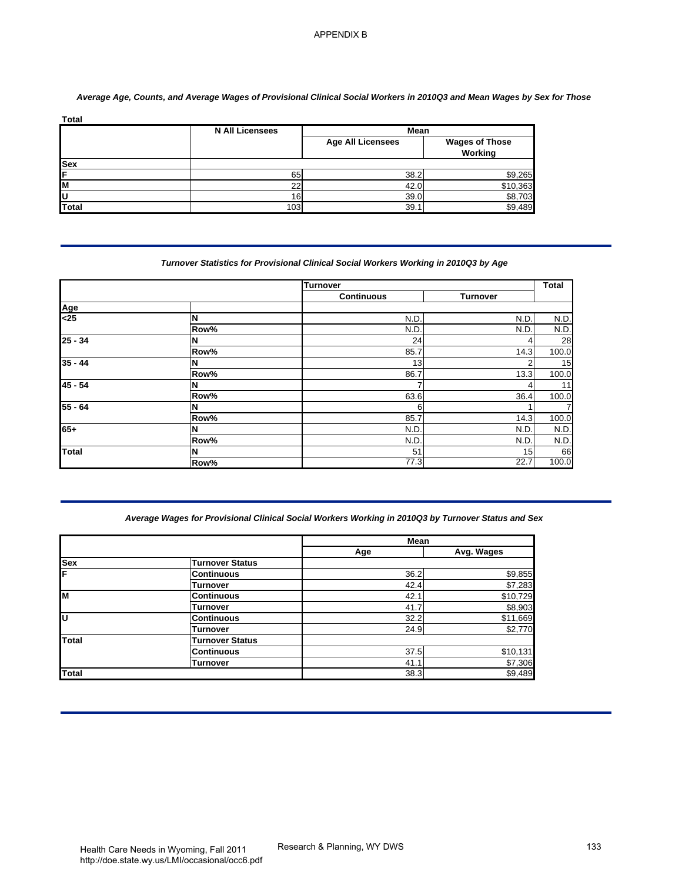|            | <b>N All Licensees</b> | Mean                     |                                  |  |
|------------|------------------------|--------------------------|----------------------------------|--|
|            |                        | <b>Age All Licensees</b> | <b>Wages of Those</b><br>Working |  |
| <b>Sex</b> |                        |                          |                                  |  |
| ΙF         | 65                     | 38.2                     | \$9,265                          |  |
| lм         | $\sim$                 | 42.0                     | \$10,363                         |  |
| ΙU         | 16                     | 39.0                     | \$8,703                          |  |
| Total      | 103                    | 39.1                     | \$9.489                          |  |

## *Average Age, Counts, and Average Wages of Provisional Clinical Social Workers in 2010Q3 and Mean Wages by Sex for Those*

# *Turnover Statistics for Provisional Clinical Social Workers Working in 2010Q3 by Age*

|                             | <b>N All Licensees</b>                                                                             | Mean                     |                                  |
|-----------------------------|----------------------------------------------------------------------------------------------------|--------------------------|----------------------------------|
|                             |                                                                                                    | <b>Age All Licensees</b> | <b>Wages of Those</b><br>Working |
| Sex                         |                                                                                                    |                          |                                  |
|                             | 65                                                                                                 | 38.2                     | \$9,265                          |
| $\frac{N}{C}$               | 22<br>16                                                                                           | 42.0<br>39.0             | \$10,363<br>\$8,703              |
| <b>Total</b>                | 103                                                                                                | 39.1                     | \$9,489                          |
|                             | Turnover Statistics for Provisional Clinical Social Workers Working in 2010Q3 by Age               |                          |                                  |
|                             |                                                                                                    | <b>Turnover</b>          |                                  |
| Age                         |                                                                                                    | <b>Continuous</b>        | <b>Turnover</b>                  |
| $\overline{\leq}25$         | N                                                                                                  | N.D                      | N.D.                             |
|                             | Row%                                                                                               | N.D                      | N.D                              |
| $25 - 34$                   | N<br>Row%                                                                                          | 24<br>85.7               | 4<br>14.3                        |
| $35 - 44$                   | N                                                                                                  | 13                       | $\overline{2}$                   |
| $45 - 54$                   | Row%                                                                                               | 86.7                     | 13.3                             |
|                             | N<br>Row%                                                                                          | 63.6                     | 4<br>36.4                        |
|                             |                                                                                                    |                          |                                  |
|                             | N                                                                                                  | 6                        | 1                                |
|                             | Row%                                                                                               | 85.7                     | 14.3                             |
|                             | N<br>Row%                                                                                          | N.D                      | N.D.<br>N.D.                     |
|                             | N<br>Row%                                                                                          | N.D<br>51<br>77.3        | 15<br>22.7                       |
| $55 - 64$<br>$65+$<br>Total | Average Wages for Provisional Clinical Social Workers Working in 2010Q3 by Turnover Status and Sex |                          |                                  |
|                             |                                                                                                    | Mean                     |                                  |
|                             | <b>Turnover Status</b>                                                                             | Age                      | Avg. Wages                       |
|                             | <b>Continuous</b>                                                                                  | 36.2                     | \$9,855                          |
| Sex                         | <b>Turnover</b>                                                                                    | 42.4                     | \$7,283                          |
|                             | <b>Continuous</b><br><b>Turnover</b>                                                               | 42.1<br>41.7             | \$10,729<br>\$8,903              |
|                             | <b>Continuous</b>                                                                                  | 32.2                     | \$11,669                         |
|                             | Turnover                                                                                           | 24.9                     | \$2,770                          |
| Total                       | <b>Turnover Status</b><br><b>Continuous</b><br><b>Turnover</b>                                     | 37.5<br>41.1             | \$10,131<br>\$7,306              |

## *Average Wages for Provisional Clinical Social Workers Working in 2010Q3 by Turnover Status and Sex*

|              |                        | <b>Mean</b> |            |  |
|--------------|------------------------|-------------|------------|--|
|              |                        | Age         | Avg. Wages |  |
| <b>Sex</b>   | <b>Turnover Status</b> |             |            |  |
| F            | <b>Continuous</b>      | 36.2        | \$9,855    |  |
|              | <b>Turnover</b>        | 42.4        | \$7,283    |  |
| lм           | <b>Continuous</b>      | 42.1        | \$10,729   |  |
|              | Turnover               | 41.7        | \$8,903    |  |
| lυ           | <b>Continuous</b>      | 32.2        | \$11,669   |  |
|              | <b>Turnover</b>        | 24.9        | \$2,770    |  |
| Total        | <b>Turnover Status</b> |             |            |  |
|              | <b>Continuous</b>      | 37.5        | \$10,131   |  |
|              | <b>Turnover</b>        | 41.1        | \$7,306    |  |
| <b>Total</b> |                        | 38.3        | \$9,489    |  |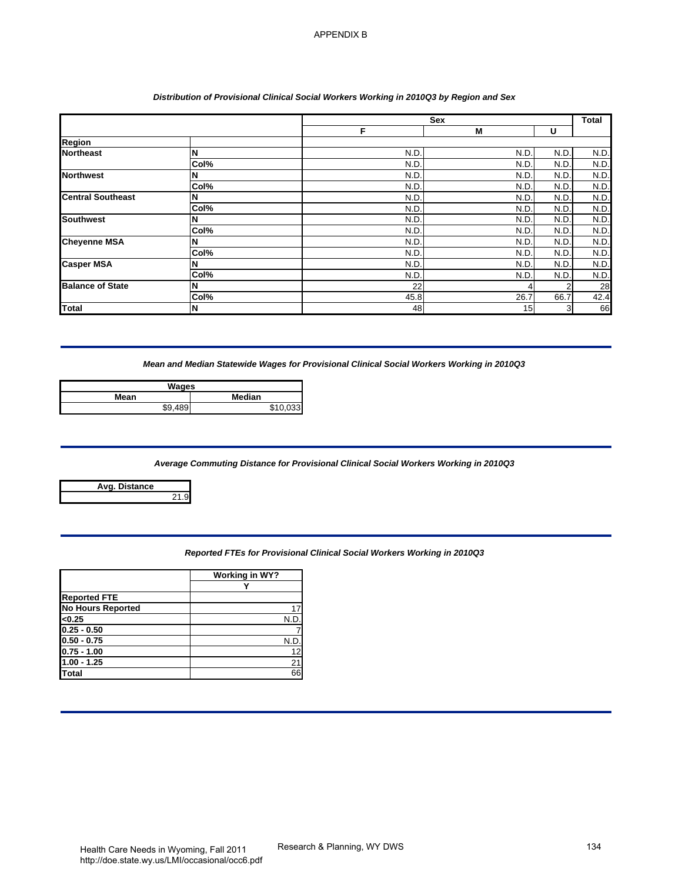## *Distribution of Provisional Clinical Social Workers Working in 2010Q3 by Region and Sex*

| Region<br><b>Northeast</b><br>N<br>N.D.<br>N.D.<br>N.D.<br>Col%<br>N.D<br>N.D.<br>N.D<br><b>Northwest</b><br>N.D<br>N.D.<br>N.D<br>N<br>Col%<br>N.D.<br>N.D.<br>N.D.<br>N.D<br>N.D<br><b>Central Southeast</b><br>N.D<br>N<br>Col%<br>N.D<br>N.D.<br>N.D<br>N.D.<br><b>Southwest</b><br>N.D.<br>N.D.<br>N<br>Col%<br>N.D<br>N.D<br>N.D.<br><b>Cheyenne MSA</b><br>N.D<br>N<br>N.D.<br>N.D.<br>N.D.<br>Col%<br>N.D.<br>N.D.<br><b>Casper MSA</b><br>N.D<br>N.D<br>N<br>N.D<br>N.D.<br>Col%<br>N.D.<br>N.D.<br><b>Balance of State</b><br>22<br>$\overline{2}$<br>N<br>4<br>Col%<br>45.8<br>26.7<br>66.7<br>48<br>15<br>N<br>3<br><b>Total</b><br>Mean and Median Statewide Wages for Provisional Clinical Social Workers Working in 2010Q3<br><b>Wages</b><br>Median<br>Mean<br>\$9,489<br>\$10,033<br>Average Commuting Distance for Provisional Clinical Social Workers Working in 2010Q3<br>Avg. Distance<br>21.9<br>Reported FTEs for Provisional Clinical Social Workers Working in 2010Q3<br><b>Working in WY?</b><br>Y<br><b>Reported FTE</b><br><b>No Hours Reported</b><br>17<br><0.25<br>N.D<br>$0.25 - 0.50$<br>$0.50 - 0.75$<br>N.D.<br>$0.75 - 1.00$<br>12<br>$1.00 - 1.25$<br>$\overline{21}$<br>66<br><b>Total</b> |  | F. | Sex<br>M | U | Total        |
|----------------------------------------------------------------------------------------------------------------------------------------------------------------------------------------------------------------------------------------------------------------------------------------------------------------------------------------------------------------------------------------------------------------------------------------------------------------------------------------------------------------------------------------------------------------------------------------------------------------------------------------------------------------------------------------------------------------------------------------------------------------------------------------------------------------------------------------------------------------------------------------------------------------------------------------------------------------------------------------------------------------------------------------------------------------------------------------------------------------------------------------------------------------------------------------------------------------------------------|--|----|----------|---|--------------|
|                                                                                                                                                                                                                                                                                                                                                                                                                                                                                                                                                                                                                                                                                                                                                                                                                                                                                                                                                                                                                                                                                                                                                                                                                                  |  |    |          |   |              |
|                                                                                                                                                                                                                                                                                                                                                                                                                                                                                                                                                                                                                                                                                                                                                                                                                                                                                                                                                                                                                                                                                                                                                                                                                                  |  |    |          |   | N.D.         |
|                                                                                                                                                                                                                                                                                                                                                                                                                                                                                                                                                                                                                                                                                                                                                                                                                                                                                                                                                                                                                                                                                                                                                                                                                                  |  |    |          |   | N.D.<br>N.D. |
|                                                                                                                                                                                                                                                                                                                                                                                                                                                                                                                                                                                                                                                                                                                                                                                                                                                                                                                                                                                                                                                                                                                                                                                                                                  |  |    |          |   | N.D.         |
|                                                                                                                                                                                                                                                                                                                                                                                                                                                                                                                                                                                                                                                                                                                                                                                                                                                                                                                                                                                                                                                                                                                                                                                                                                  |  |    |          |   | N.D.         |
|                                                                                                                                                                                                                                                                                                                                                                                                                                                                                                                                                                                                                                                                                                                                                                                                                                                                                                                                                                                                                                                                                                                                                                                                                                  |  |    |          |   | N.D.<br>N.D. |
|                                                                                                                                                                                                                                                                                                                                                                                                                                                                                                                                                                                                                                                                                                                                                                                                                                                                                                                                                                                                                                                                                                                                                                                                                                  |  |    |          |   | N.D.         |
|                                                                                                                                                                                                                                                                                                                                                                                                                                                                                                                                                                                                                                                                                                                                                                                                                                                                                                                                                                                                                                                                                                                                                                                                                                  |  |    |          |   | N.D.         |
|                                                                                                                                                                                                                                                                                                                                                                                                                                                                                                                                                                                                                                                                                                                                                                                                                                                                                                                                                                                                                                                                                                                                                                                                                                  |  |    |          |   | N.D.<br>N.D. |
|                                                                                                                                                                                                                                                                                                                                                                                                                                                                                                                                                                                                                                                                                                                                                                                                                                                                                                                                                                                                                                                                                                                                                                                                                                  |  |    |          |   | N.D.         |
|                                                                                                                                                                                                                                                                                                                                                                                                                                                                                                                                                                                                                                                                                                                                                                                                                                                                                                                                                                                                                                                                                                                                                                                                                                  |  |    |          |   | 28           |
|                                                                                                                                                                                                                                                                                                                                                                                                                                                                                                                                                                                                                                                                                                                                                                                                                                                                                                                                                                                                                                                                                                                                                                                                                                  |  |    |          |   | 42.4<br>66   |
|                                                                                                                                                                                                                                                                                                                                                                                                                                                                                                                                                                                                                                                                                                                                                                                                                                                                                                                                                                                                                                                                                                                                                                                                                                  |  |    |          |   |              |
|                                                                                                                                                                                                                                                                                                                                                                                                                                                                                                                                                                                                                                                                                                                                                                                                                                                                                                                                                                                                                                                                                                                                                                                                                                  |  |    |          |   |              |
|                                                                                                                                                                                                                                                                                                                                                                                                                                                                                                                                                                                                                                                                                                                                                                                                                                                                                                                                                                                                                                                                                                                                                                                                                                  |  |    |          |   |              |
|                                                                                                                                                                                                                                                                                                                                                                                                                                                                                                                                                                                                                                                                                                                                                                                                                                                                                                                                                                                                                                                                                                                                                                                                                                  |  |    |          |   |              |
|                                                                                                                                                                                                                                                                                                                                                                                                                                                                                                                                                                                                                                                                                                                                                                                                                                                                                                                                                                                                                                                                                                                                                                                                                                  |  |    |          |   |              |
|                                                                                                                                                                                                                                                                                                                                                                                                                                                                                                                                                                                                                                                                                                                                                                                                                                                                                                                                                                                                                                                                                                                                                                                                                                  |  |    |          |   |              |
|                                                                                                                                                                                                                                                                                                                                                                                                                                                                                                                                                                                                                                                                                                                                                                                                                                                                                                                                                                                                                                                                                                                                                                                                                                  |  |    |          |   |              |
|                                                                                                                                                                                                                                                                                                                                                                                                                                                                                                                                                                                                                                                                                                                                                                                                                                                                                                                                                                                                                                                                                                                                                                                                                                  |  |    |          |   |              |
|                                                                                                                                                                                                                                                                                                                                                                                                                                                                                                                                                                                                                                                                                                                                                                                                                                                                                                                                                                                                                                                                                                                                                                                                                                  |  |    |          |   |              |
|                                                                                                                                                                                                                                                                                                                                                                                                                                                                                                                                                                                                                                                                                                                                                                                                                                                                                                                                                                                                                                                                                                                                                                                                                                  |  |    |          |   |              |
|                                                                                                                                                                                                                                                                                                                                                                                                                                                                                                                                                                                                                                                                                                                                                                                                                                                                                                                                                                                                                                                                                                                                                                                                                                  |  |    |          |   |              |
|                                                                                                                                                                                                                                                                                                                                                                                                                                                                                                                                                                                                                                                                                                                                                                                                                                                                                                                                                                                                                                                                                                                                                                                                                                  |  |    |          |   |              |
|                                                                                                                                                                                                                                                                                                                                                                                                                                                                                                                                                                                                                                                                                                                                                                                                                                                                                                                                                                                                                                                                                                                                                                                                                                  |  |    |          |   |              |
|                                                                                                                                                                                                                                                                                                                                                                                                                                                                                                                                                                                                                                                                                                                                                                                                                                                                                                                                                                                                                                                                                                                                                                                                                                  |  |    |          |   |              |
|                                                                                                                                                                                                                                                                                                                                                                                                                                                                                                                                                                                                                                                                                                                                                                                                                                                                                                                                                                                                                                                                                                                                                                                                                                  |  |    |          |   |              |
|                                                                                                                                                                                                                                                                                                                                                                                                                                                                                                                                                                                                                                                                                                                                                                                                                                                                                                                                                                                                                                                                                                                                                                                                                                  |  |    |          |   |              |
|                                                                                                                                                                                                                                                                                                                                                                                                                                                                                                                                                                                                                                                                                                                                                                                                                                                                                                                                                                                                                                                                                                                                                                                                                                  |  |    |          |   |              |
|                                                                                                                                                                                                                                                                                                                                                                                                                                                                                                                                                                                                                                                                                                                                                                                                                                                                                                                                                                                                                                                                                                                                                                                                                                  |  |    |          |   |              |
|                                                                                                                                                                                                                                                                                                                                                                                                                                                                                                                                                                                                                                                                                                                                                                                                                                                                                                                                                                                                                                                                                                                                                                                                                                  |  |    |          |   |              |
|                                                                                                                                                                                                                                                                                                                                                                                                                                                                                                                                                                                                                                                                                                                                                                                                                                                                                                                                                                                                                                                                                                                                                                                                                                  |  |    |          |   |              |
|                                                                                                                                                                                                                                                                                                                                                                                                                                                                                                                                                                                                                                                                                                                                                                                                                                                                                                                                                                                                                                                                                                                                                                                                                                  |  |    |          |   |              |

| Wages      |        |  |
|------------|--------|--|
| Mean       | Median |  |
| 180<br>\$9 |        |  |

## *Average Commuting Distance for Provisional Clinical Social Workers Working in 2010Q3*

| Avg. Distance |  |
|---------------|--|
|               |  |

| Reported FTEs for Provisional Clinical Social Workers Working in 2010Q3 |  |
|-------------------------------------------------------------------------|--|

|                          | Working in WY? |
|--------------------------|----------------|
|                          |                |
| <b>Reported FTE</b>      |                |
| <b>No Hours Reported</b> |                |
| < 0.25                   | N.D            |
| $0.25 - 0.50$            |                |
| $0.50 - 0.75$            | N.I            |
| $0.75 - 1.00$            | 12             |
| $1.00 - 1.25$            | 21             |
| Total                    | 66             |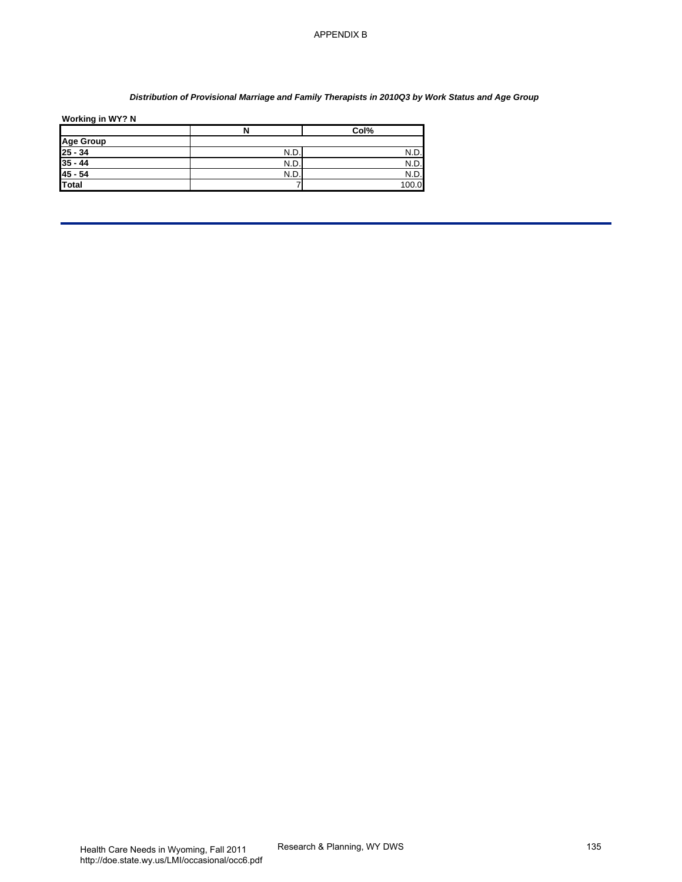## *Distribution of Provisional Marriage and Family Therapists in 2010Q3 by Work Status and Age Group*

| Working in WY? N |  |  |
|------------------|--|--|

| Working in WY? N                | N              | Col%         |  |
|---------------------------------|----------------|--------------|--|
|                                 |                |              |  |
| Age Group<br>25 - 34<br>35 - 44 | N.D.<br>N.D.   | N.D.<br>N.D. |  |
| $45 - 54$                       | N.D.           | N.D.         |  |
| <b>Total</b>                    | $\overline{7}$ | 100.0        |  |
|                                 |                |              |  |
|                                 |                |              |  |
|                                 |                |              |  |
|                                 |                |              |  |
|                                 |                |              |  |
|                                 |                |              |  |
|                                 |                |              |  |
|                                 |                |              |  |
|                                 |                |              |  |
|                                 |                |              |  |
|                                 |                |              |  |
|                                 |                |              |  |
|                                 |                |              |  |
|                                 |                |              |  |
|                                 |                |              |  |
|                                 |                |              |  |
|                                 |                |              |  |
|                                 |                |              |  |
|                                 |                |              |  |
|                                 |                |              |  |
|                                 |                |              |  |
|                                 |                |              |  |
|                                 |                |              |  |
|                                 |                |              |  |
|                                 |                |              |  |
|                                 |                |              |  |
|                                 |                |              |  |
|                                 |                |              |  |
|                                 |                |              |  |
|                                 |                |              |  |
|                                 |                |              |  |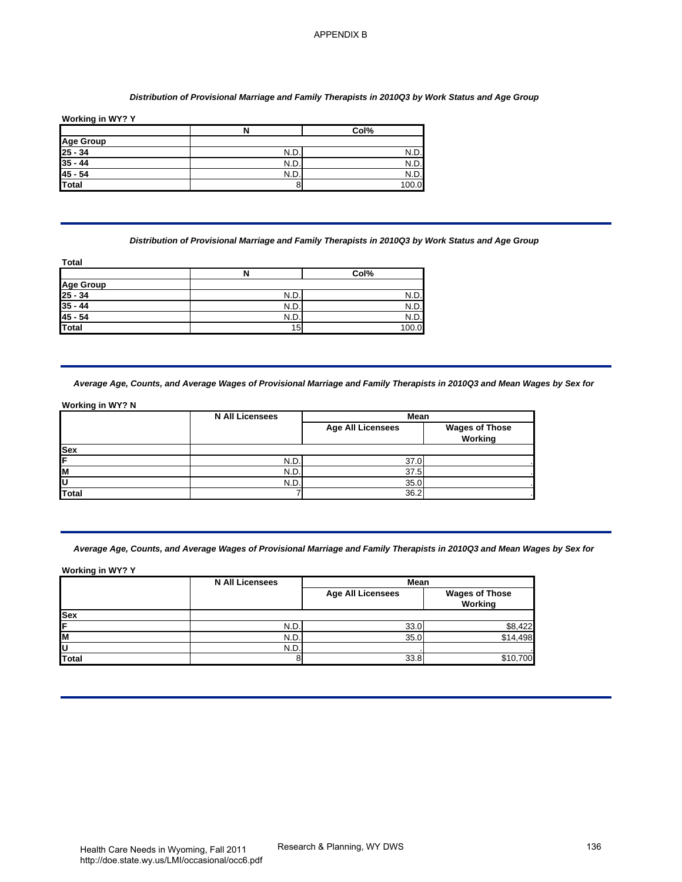#### *Distribution of Provisional Marriage and Family Therapists in 2010Q3 by Work Status and Age Group*

|                                                     | N   | Col%  |
|-----------------------------------------------------|-----|-------|
|                                                     |     |       |
|                                                     | N.D | N.D.  |
|                                                     | N.D | N.D.  |
|                                                     | N.D | N.D.  |
| Age Group<br>25 - 34<br>35 - 44<br>45 - 54<br>Total |     | 100.0 |

|                                 | N   | Col%  |
|---------------------------------|-----|-------|
|                                 |     |       |
| Age Group<br>25 - 34<br>35 - 44 | N.D | N.D   |
|                                 | N.D | N.D.  |
| $45 - 54$                       | N.D | N.D.  |
| <b>Total</b>                    | 15  | 100.0 |

|            | <b>N All Licensees</b> | Mean                     |                                  |
|------------|------------------------|--------------------------|----------------------------------|
|            |                        | <b>Age All Licensees</b> | <b>Wages of Those</b><br>Working |
| <b>Sex</b> |                        |                          |                                  |
| ΙF         | N.D.                   | 37.0                     |                                  |
| ΙM         | N.D.                   | 37.5                     |                                  |
| ΙU         | N.D.                   | 35.0                     |                                  |
| Total      |                        | 36.2                     |                                  |

| <b>Age Group</b>                                                               | $\overline{\mathbf{N}}$                                                                                                  | Col%                     |                                  |
|--------------------------------------------------------------------------------|--------------------------------------------------------------------------------------------------------------------------|--------------------------|----------------------------------|
|                                                                                |                                                                                                                          |                          |                                  |
| $\frac{25 - 34}{35 - 44}$                                                      | N.D.                                                                                                                     | N.D                      |                                  |
| $45 - 54$                                                                      | N.D<br>N.D.                                                                                                              | N.D.<br>N.D.             |                                  |
| <b>Total</b>                                                                   | 8                                                                                                                        | 100.0                    |                                  |
|                                                                                | Distribution of Provisional Marriage and Family Therapists in 2010Q3 by Work Status and Age Group                        |                          |                                  |
| Total                                                                          | N                                                                                                                        | Col%                     |                                  |
| Age Group<br>25 - 34<br>35 - 44                                                |                                                                                                                          |                          |                                  |
|                                                                                | N.D.<br>N.D.                                                                                                             | N.D<br>N.D.              |                                  |
| $45 - 54$                                                                      | N.D.                                                                                                                     | N.D.                     |                                  |
| <b>Total</b>                                                                   | 15                                                                                                                       | 100.0                    |                                  |
|                                                                                | Average Age, Counts, and Average Wages of Provisional Marriage and Family Therapists in 2010Q3 and Mean Wages by Sex for |                          |                                  |
|                                                                                | <b>N All Licensees</b>                                                                                                   | Mean                     |                                  |
|                                                                                |                                                                                                                          | <b>Age All Licensees</b> | <b>Wages of Those</b><br>Working |
|                                                                                |                                                                                                                          |                          |                                  |
|                                                                                | N.D.<br>N.D.                                                                                                             | 37.0<br>37.5             |                                  |
|                                                                                | N.D.<br>7                                                                                                                | 35.0<br>36.2             |                                  |
|                                                                                | Average Age, Counts, and Average Wages of Provisional Marriage and Family Therapists in 2010Q3 and Mean Wages by Sex for |                          |                                  |
| <b>Working in WY? N</b><br><b>Sex</b><br>U<br>Total<br><b>Working in WY? Y</b> | <b>N All Licensees</b>                                                                                                   | Mean                     |                                  |
|                                                                                |                                                                                                                          | <b>Age All Licensees</b> | <b>Wages of Those</b>            |
|                                                                                |                                                                                                                          |                          | Working                          |
|                                                                                | N.D.                                                                                                                     | 33.0                     |                                  |
| <b>Sex</b><br>M<br>U<br>Total                                                  | N.D.<br>N.D.                                                                                                             | 35.0                     | \$8,422<br>\$14,498              |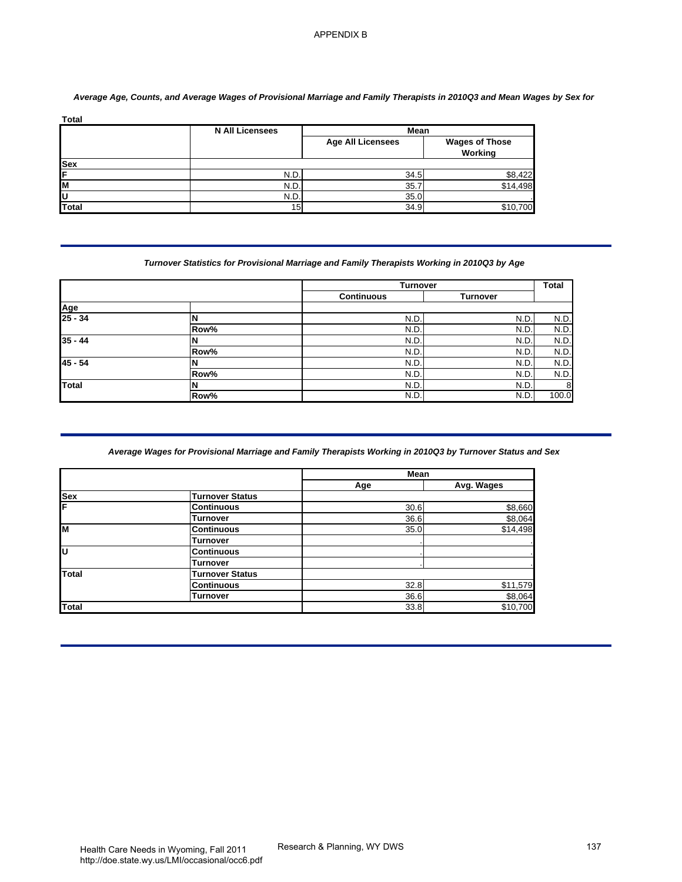| <b>Total</b> |                        |                          |                                  |
|--------------|------------------------|--------------------------|----------------------------------|
|              | <b>N All Licensees</b> | Mean                     |                                  |
|              |                        | <b>Age All Licensees</b> | <b>Wages of Those</b><br>Working |
| <b>Sex</b>   |                        |                          |                                  |
| IF           | N.D                    | 34.5                     | \$8,422                          |
| lм           | N.D                    | 35.                      | \$14,498                         |
| ΙU           | N.D                    | 35.0                     |                                  |
| Total        | 15 <sub>1</sub>        | 34.9                     | \$10,700                         |

# *Average Age, Counts, and Average Wages of Provisional Marriage and Family Therapists in 2010Q3 and Mean Wages by Sex for*

## *Turnover Statistics for Provisional Marriage and Family Therapists Working in 2010Q3 by Age*

|                |      | <b>Turnover</b>   |                 | <b>Total</b> |
|----------------|------|-------------------|-----------------|--------------|
|                |      | <b>Continuous</b> | <b>Turnover</b> |              |
| Age<br>25 - 34 |      |                   |                 |              |
|                |      | N.D               | N.D             | N.D.         |
|                | Row% | N.D               | N.D             | N.D.         |
| $35 - 44$      |      | N.D               | N.D             | N.D.         |
|                | Row% | N.D               | N.D             | N.D.         |
| $45 - 54$      |      | N.D               | N.D             | N.D.         |
|                | Row% | N.D               | N.D             | N.D.         |
| Total          |      | N.D               | N.D             | 8            |
|                | Row% | N.D               | N.D             | 100.0        |

## *Average Wages for Provisional Marriage and Family Therapists Working in 2010Q3 by Turnover Status and Sex*

|                               | <b>N All Licensees</b>                                                                                    | <b>Mean</b>                   |                                  |
|-------------------------------|-----------------------------------------------------------------------------------------------------------|-------------------------------|----------------------------------|
|                               |                                                                                                           | <b>Age All Licensees</b>      | <b>Wages of Those</b><br>Working |
| <b>Sex</b>                    |                                                                                                           |                               |                                  |
|                               | N.D<br>N.D.                                                                                               | 34.5<br>35.7                  | \$8,422<br>\$14,498              |
| M                             | N.D.                                                                                                      | 35.0                          |                                  |
| <b>Total</b>                  | 15                                                                                                        | 34.9                          | \$10,700                         |
|                               | Turnover Statistics for Provisional Marriage and Family Therapists Working in 2010Q3 by Age               |                               |                                  |
|                               |                                                                                                           | Turnover<br><b>Continuous</b> | <b>Turnover</b>                  |
| Age                           |                                                                                                           |                               |                                  |
| $25 - 34$                     | N                                                                                                         | N.D                           | N.D.                             |
| $35 - 44$                     | Row%                                                                                                      | N.D                           | N.D.                             |
|                               | N<br>Row%                                                                                                 | N.D<br>N.D                    | N.D.<br>N.D.                     |
| $45 - 54$                     | N                                                                                                         | N.D                           | N.D.                             |
|                               | Row%                                                                                                      | N.D.                          | N.D.                             |
| <b>Total</b>                  | N<br>Row%                                                                                                 | N.D.<br>N.D                   | N.D.<br>N.D.                     |
|                               | Average Wages for Provisional Marriage and Family Therapists Working in 2010Q3 by Turnover Status and Sex |                               |                                  |
|                               |                                                                                                           | Mean                          |                                  |
|                               | <b>Turnover Status</b>                                                                                    | Age                           | Avg. Wages                       |
|                               | <b>Continuous</b>                                                                                         | 30.6                          | \$8,660                          |
|                               | <b>Turnover</b><br><b>Continuous</b>                                                                      | 36.6<br>35.0                  | \$8,064<br>\$14.498              |
|                               | <b>Turnover</b>                                                                                           |                               |                                  |
|                               | <b>Continuous</b>                                                                                         |                               |                                  |
|                               | Turnover<br><b>Turnover Status</b>                                                                        |                               |                                  |
| <b>Sex</b><br>M<br>U<br>Total | <b>Continuous</b>                                                                                         | $32.\overline{8}$             | \$11,579                         |
| <b>Total</b>                  | Turnover                                                                                                  | 36.6<br>33.8                  | \$8,064<br>\$10,700              |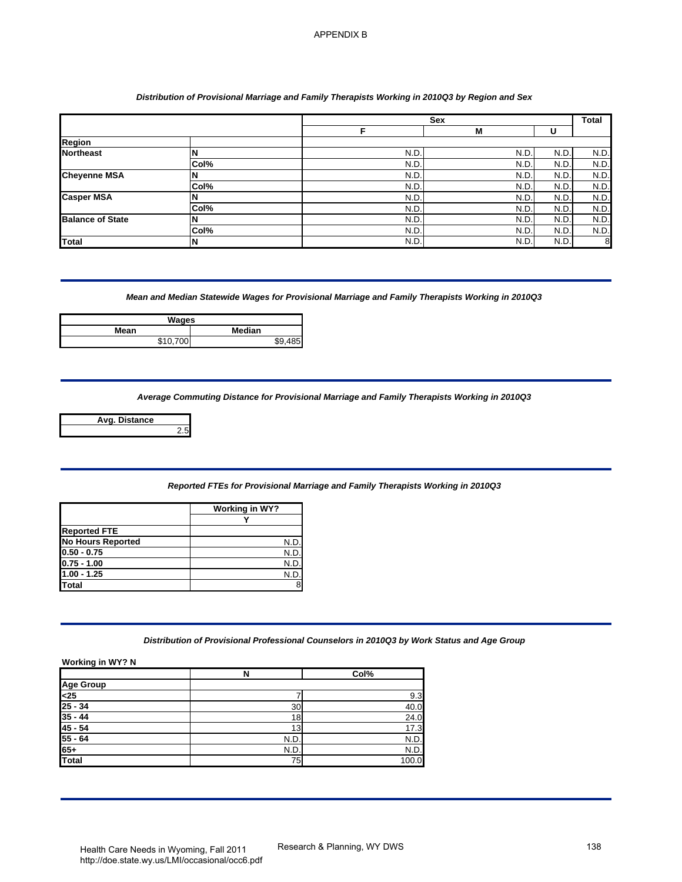## *Distribution of Provisional Marriage and Family Therapists Working in 2010Q3 by Region and Sex*

|                                                                                                       |                                                                                                                  |                |               | Sex         |             | Total            |
|-------------------------------------------------------------------------------------------------------|------------------------------------------------------------------------------------------------------------------|----------------|---------------|-------------|-------------|------------------|
| Region                                                                                                |                                                                                                                  |                | F             | M           | U           |                  |
| <b>Northeast</b>                                                                                      | N                                                                                                                |                | N.D.          | N.D.        | N.D.        | N.D.             |
|                                                                                                       | Col%                                                                                                             |                | N.D           | N.D.        | N.D         | N.D.             |
| <b>Cheyenne MSA</b>                                                                                   | N                                                                                                                |                | N.D           | N.D.        | N.D         | N.D.             |
| <b>Casper MSA</b>                                                                                     | Col%<br>N                                                                                                        |                | N.D.<br>N.D   | N.D.<br>N.D | N.D.<br>N.D | N.D.<br>N.D.     |
|                                                                                                       | Col%                                                                                                             |                | N.D           | N.D.        | N.D         | N.D.             |
| <b>Balance of State</b>                                                                               | N                                                                                                                |                | N.D.          | N.D.        | N.D.        | N.D.             |
|                                                                                                       | Col%                                                                                                             |                | N.D           | N.D.        | N.D         | N.D.             |
| <b>Total</b>                                                                                          | N                                                                                                                |                | N.D           | N.D.        | N.D.        | $\boldsymbol{8}$ |
|                                                                                                       | Mean and Median Statewide Wages for Provisional Marriage and Family Therapists Working in 2010Q3<br><b>Wages</b> |                |               |             |             |                  |
| <b>Mean</b>                                                                                           | Median<br>\$10,700                                                                                               | \$9,485        |               |             |             |                  |
|                                                                                                       |                                                                                                                  |                |               |             |             |                  |
|                                                                                                       |                                                                                                                  |                |               |             |             |                  |
|                                                                                                       | Average Commuting Distance for Provisional Marriage and Family Therapists Working in 2010Q3                      |                |               |             |             |                  |
| <b>Avg. Distance</b>                                                                                  | 2.5                                                                                                              |                |               |             |             |                  |
|                                                                                                       |                                                                                                                  |                |               |             |             |                  |
|                                                                                                       | Reported FTEs for Provisional Marriage and Family Therapists Working in 2010Q3                                   |                |               |             |             |                  |
|                                                                                                       | <b>Working in WY?</b>                                                                                            |                |               |             |             |                  |
|                                                                                                       | Y                                                                                                                |                |               |             |             |                  |
| <b>Reported FTE</b>                                                                                   |                                                                                                                  |                |               |             |             |                  |
| <b>No Hours Reported</b><br>$0.50 - 0.75$                                                             |                                                                                                                  | N.D<br>N.D     |               |             |             |                  |
| $0.75 - 1.00$                                                                                         |                                                                                                                  | N.D.           |               |             |             |                  |
| $1.00 - 1.25$                                                                                         |                                                                                                                  | N.D.           |               |             |             |                  |
| <b>Total</b>                                                                                          |                                                                                                                  | 8              |               |             |             |                  |
|                                                                                                       |                                                                                                                  |                |               |             |             |                  |
|                                                                                                       | Distribution of Provisional Professional Counselors in 2010Q3 by Work Status and Age Group                       |                |               |             |             |                  |
| <b>Working in WY? N</b>                                                                               |                                                                                                                  |                |               |             |             |                  |
|                                                                                                       | N                                                                                                                |                | Col%          |             |             |                  |
|                                                                                                       |                                                                                                                  | $\overline{7}$ | 9.3           |             |             |                  |
|                                                                                                       |                                                                                                                  | 30             | 40.0          |             |             |                  |
|                                                                                                       |                                                                                                                  | 18             | 24.0          |             |             |                  |
|                                                                                                       |                                                                                                                  |                |               |             |             |                  |
|                                                                                                       |                                                                                                                  | 13             | 17.3          |             |             |                  |
|                                                                                                       |                                                                                                                  | N.D.           | N.D.          |             |             |                  |
| <b>Age Group</b><br>$25$<br>$25 - 34$<br>$35 - 44$<br>$45 - 54$<br>$55 - 64$<br>$65+$<br><b>Total</b> |                                                                                                                  | N.D.<br>75     | N.D.<br>100.0 |             |             |                  |

| Wages   |        |
|---------|--------|
| Mean    | Median |
| 0.10700 | \$9    |



|                          | Working in WY? |
|--------------------------|----------------|
|                          |                |
| <b>Reported FTE</b>      |                |
| <b>No Hours Reported</b> | N.D.           |
| $0.50 - 0.75$            | N.D            |
| $0.75 - 1.00$            | N.D            |
| $1.00 - 1.25$            | N.C            |
| Total                    |                |

#### *Distribution of Provisional Professional Counselors in 2010Q3 by Work Status and Age Group*

|                       | N               | Col%  |
|-----------------------|-----------------|-------|
|                       |                 |       |
| Age Group<br><25      |                 | 9.3   |
| $25 - 34$             | 30              | 40.0  |
| $35 - 44$             | 18 <sub>1</sub> | 24.0  |
| $45 - 54$             | 13              | 17.3  |
|                       | N.D             | N.D.  |
| $\frac{55 - 64}{65+}$ | N.D.            | N.D.  |
| <b>Total</b>          | 75              | 100.0 |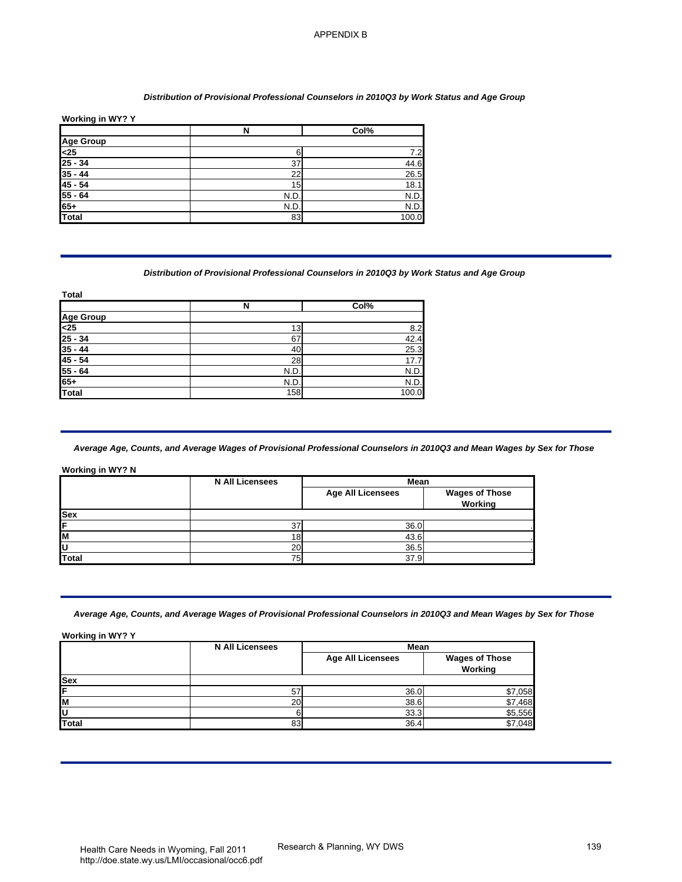#### *Distribution of Provisional Professional Counselors in 2010Q3 by Work Status and Age Group*

| Working in WY? Y |      |       |
|------------------|------|-------|
|                  | N    | Col%  |
|                  |      |       |
| Age Group<br><25 |      | 7.2   |
| $25 - 34$        | 37   | 44.6  |
| $35 - 44$        | 22   | 26.5  |
| $45 - 54$        | 15   | 18.1  |
| $55 - 64$        | N.D  | N.D.  |
| $65+$            | N.D. | N.D.  |
| Total            | 83   | 100.0 |

#### *Distribution of Provisional Professional Counselors in 2010Q3 by Work Status and Age Group*

| ι υιαι |       |  |
|--------|-------|--|
| N      | Col%  |  |
|        |       |  |
| 13     | 8.2   |  |
| 67     | 42.4  |  |
| 40     | 25.3  |  |
| 28     | 17.7  |  |
| N.D.   | N.D.  |  |
| N.D.   | N.D.  |  |
| 158    | 100.0 |  |
|        |       |  |

#### **Working in WY? N**

|            | <b>N All Licensees</b> | Mean                     |                                         |
|------------|------------------------|--------------------------|-----------------------------------------|
|            |                        | <b>Age All Licensees</b> | <b>Wages of Those</b><br><b>Working</b> |
| <b>Sex</b> |                        |                          |                                         |
| ίF         | ົ                      | 36.0                     |                                         |
| ΙM         | 1 R                    | 43.6                     |                                         |
| ΙU         | 20                     | 36.5                     |                                         |
| Total      | 75 <sub>1</sub>        | 37.9                     |                                         |

| <b>Age Group</b>                                                                           | $\overline{\mathbf{N}}$                                                                                                 | Col%                     |                                  |
|--------------------------------------------------------------------------------------------|-------------------------------------------------------------------------------------------------------------------------|--------------------------|----------------------------------|
|                                                                                            |                                                                                                                         |                          |                                  |
| <25                                                                                        | 6                                                                                                                       | 7.2                      |                                  |
| $25 - 34$                                                                                  | 37                                                                                                                      | 44.6                     |                                  |
| $35 - 44$                                                                                  | 22                                                                                                                      | 26.5                     |                                  |
| $45 - 54$<br>$55 - 64$                                                                     | 15<br>N.D.                                                                                                              | 18.1<br>N.D.             |                                  |
| $65+$                                                                                      | N.D.                                                                                                                    | N.D.                     |                                  |
| <b>Total</b>                                                                               | 83                                                                                                                      | 100.0                    |                                  |
| <b>Total</b>                                                                               | Distribution of Provisional Professional Counselors in 2010Q3 by Work Status and Age Group                              |                          |                                  |
|                                                                                            | N                                                                                                                       | Col%                     |                                  |
| <b>Age Group</b>                                                                           |                                                                                                                         |                          |                                  |
| $25 - 34$                                                                                  | 13<br>67                                                                                                                | 8.2<br>42.4              |                                  |
| $35 - 44$                                                                                  | 40                                                                                                                      | 25.3                     |                                  |
| $45 - 54$                                                                                  | 28                                                                                                                      | 17.7                     |                                  |
|                                                                                            |                                                                                                                         | N.D.                     |                                  |
|                                                                                            | N.D.                                                                                                                    |                          |                                  |
|                                                                                            | N.D.<br>158                                                                                                             | N.D.<br>100.0            |                                  |
|                                                                                            | Average Age, Counts, and Average Wages of Provisional Professional Counselors in 2010Q3 and Mean Wages by Sex for Those |                          |                                  |
|                                                                                            | <b>N All Licensees</b>                                                                                                  | Mean                     |                                  |
|                                                                                            |                                                                                                                         | <b>Age All Licensees</b> | <b>Wages of Those</b><br>Working |
|                                                                                            |                                                                                                                         |                          |                                  |
|                                                                                            | 37                                                                                                                      | 36.0                     |                                  |
|                                                                                            | <u>18</u>                                                                                                               | 43.6                     |                                  |
|                                                                                            | 20<br>75                                                                                                                | 36.5<br>37.9             |                                  |
| $55 - 64$<br>$65+$<br>Total<br>Working in WY? N<br>Sex<br><b>Total</b><br>Working in WY? Y | Average Age, Counts, and Average Wages of Provisional Professional Counselors in 2010Q3 and Mean Wages by Sex for Those | Mean                     |                                  |
|                                                                                            | <b>N All Licensees</b>                                                                                                  | <b>Age All Licensees</b> | <b>Wages of Those</b>            |
|                                                                                            |                                                                                                                         |                          | Working                          |
|                                                                                            |                                                                                                                         |                          |                                  |
|                                                                                            | 57                                                                                                                      | 36.0                     | \$7,058                          |
|                                                                                            | 20<br>6                                                                                                                 | 38.6<br>33.3             | \$7,468<br>\$5,556               |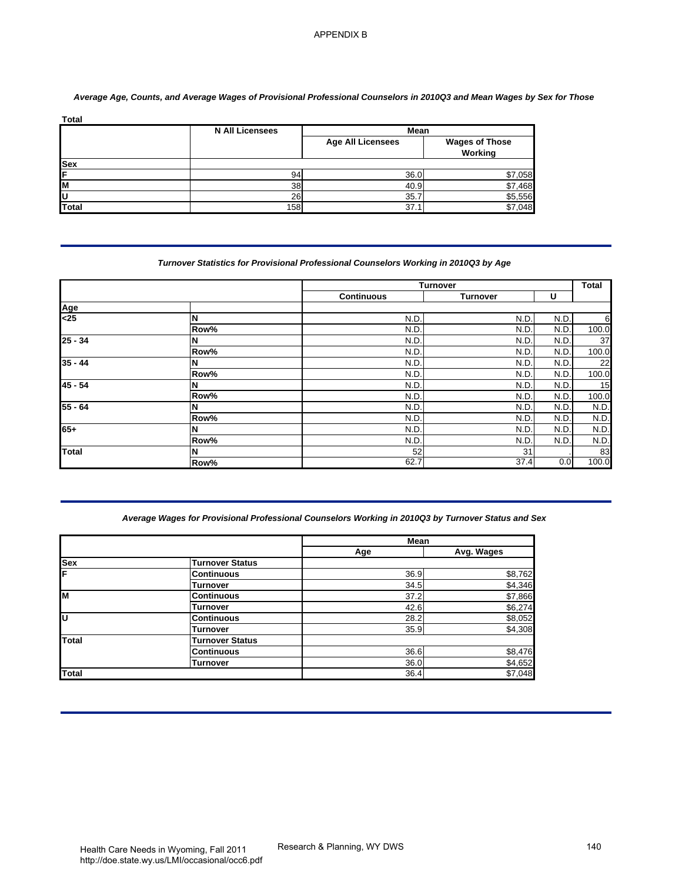|            | <b>N All Licensees</b> | Mean                     |                                  |
|------------|------------------------|--------------------------|----------------------------------|
|            |                        | <b>Age All Licensees</b> | <b>Wages of Those</b><br>Working |
| <b>Sex</b> |                        |                          |                                  |
| ΙF         | 94                     | 36.0                     | \$7,058                          |
| lм         | 38                     | 40.9                     | \$7,468                          |
| ΙU         | 26                     | 35.                      | \$5,556                          |
| Total      | 158                    | 37.                      | .048<br>\$7                      |

# *Average Age, Counts, and Average Wages of Provisional Professional Counselors in 2010Q3 and Mean Wages by Sex for Those*

## *Turnover Statistics for Provisional Professional Counselors Working in 2010Q3 by Age*

| <b>Total</b>                       | <b>N All Licensees</b>                                                                             | Mean                     |                                    |              |
|------------------------------------|----------------------------------------------------------------------------------------------------|--------------------------|------------------------------------|--------------|
|                                    |                                                                                                    | <b>Age All Licensees</b> | <b>Wages of Those</b><br>Working   |              |
| Sex                                |                                                                                                    |                          |                                    |              |
|                                    | 94<br>38                                                                                           | 36.0<br>40.9             | \$7,058<br>\$7,468                 |              |
|                                    | $\overline{26}$                                                                                    | 35.7                     | \$5,556                            |              |
| <b>Total</b>                       | 158                                                                                                | 37.1                     | \$7,048                            |              |
|                                    | Turnover Statistics for Provisional Professional Counselors Working in 2010Q3 by Age               |                          |                                    |              |
|                                    |                                                                                                    | <b>Continuous</b>        | <b>Turnover</b><br><b>Turnover</b> | U            |
| Age                                |                                                                                                    |                          |                                    |              |
| $25$                               | N                                                                                                  | N.D.                     | N.D.                               | N.D.         |
| $25 - 34$                          | Row%<br>N                                                                                          | N.D.<br>N.D.             | N.D<br>N.D.                        | N.D<br>N.D.  |
|                                    | Row%                                                                                               | N.D                      | N.D                                | N.D.         |
| $35 - 44$                          | N                                                                                                  | N.D.                     | N.D                                | N.D          |
|                                    | Row%                                                                                               | N.D.                     | N.D.                               | N.D.         |
| $45 - 54$                          | N<br>Row%                                                                                          | N.D<br>N.D.              | N.D<br>N.D                         | N.D.<br>N.D. |
|                                    | N                                                                                                  | N.D.                     | N.D.                               | N.D.         |
|                                    |                                                                                                    |                          |                                    |              |
|                                    | Row%                                                                                               | N.D                      | N.D                                | N.D          |
|                                    | N                                                                                                  | N.D.                     | N.D                                | N.D.         |
|                                    | Row%<br>N                                                                                          | N.D.<br>52               | N.D.<br>31                         | N.D.         |
| $55 - 64$<br>$65+$<br><b>Total</b> | Row%                                                                                               | 62.7                     | 37.4                               | 0.0          |
|                                    | Average Wages for Provisional Professional Counselors Working in 2010Q3 by Turnover Status and Sex |                          |                                    |              |
|                                    |                                                                                                    | Mean                     |                                    |              |
|                                    | <b>Turnover Status</b>                                                                             | Age                      | Avg. Wages                         |              |
|                                    | <b>Continuous</b>                                                                                  | 36.9                     | \$8,762                            |              |
|                                    | <b>Turnover</b>                                                                                    | 34.5                     | \$4,346                            |              |
|                                    | <b>Continuous</b><br><b>Turnover</b>                                                               | 37.2<br>42.6             | \$7,866                            |              |
|                                    | <b>Continuous</b>                                                                                  | 28.2                     | \$6,274<br>\$8,052                 |              |
|                                    | <b>Turnover</b>                                                                                    | 35.9                     | \$4,308                            |              |
| Sex<br>M<br>Total                  | <b>Turnover Status</b><br><b>Continuous</b>                                                        |                          |                                    |              |
|                                    | <b>Turnover</b>                                                                                    | 36.6<br>36.0<br>36.4     | \$8,476<br>\$4,652<br>\$7,048      |              |

## *Average Wages for Provisional Professional Counselors Working in 2010Q3 by Turnover Status and Sex*

|          |                        | <b>Mean</b> |            |
|----------|------------------------|-------------|------------|
|          |                        | Age         | Avg. Wages |
| Sex<br>F | <b>Turnover Status</b> |             |            |
|          | <b>Continuous</b>      | 36.9        | \$8,762    |
|          | Turnover               | 34.5        | \$4,346    |
| м        | <b>Continuous</b>      | 37.2        | \$7,866    |
|          | Turnover               | 42.6        | \$6,274    |
| lυ       | <b>Continuous</b>      | 28.2        | \$8,052    |
|          | Turnover               | 35.9        | \$4,308    |
| Total    | <b>Turnover Status</b> |             |            |
|          | <b>Continuous</b>      | 36.6        | \$8,476    |
|          | Turnover               | 36.0        | \$4,652    |
| Total    |                        | 36.4        | \$7,048    |